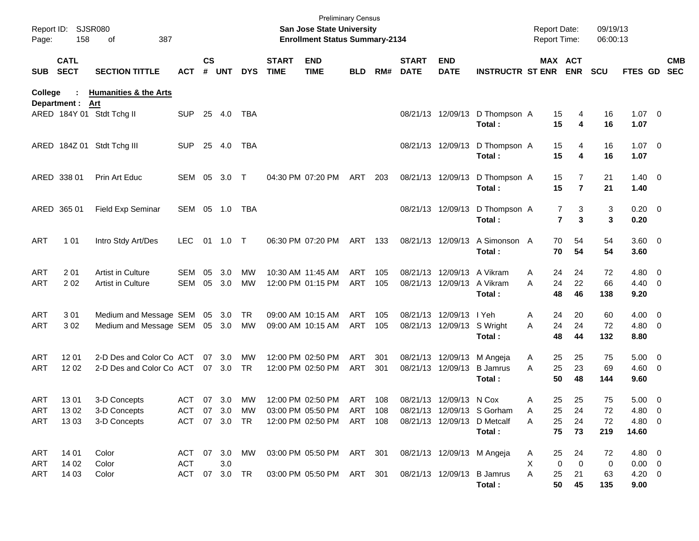| Page:      | Report ID: SJSR080<br>158  | 387<br>οf                        |            |                    |               |            |                             | San Jose State University<br><b>Enrollment Status Summary-2134</b> | <b>Preliminary Census</b> |     |                             |                            |                                          | <b>Report Date:</b><br>Report Time: |                                  | 09/19/13<br>06:00:13 |                        |            |            |
|------------|----------------------------|----------------------------------|------------|--------------------|---------------|------------|-----------------------------|--------------------------------------------------------------------|---------------------------|-----|-----------------------------|----------------------------|------------------------------------------|-------------------------------------|----------------------------------|----------------------|------------------------|------------|------------|
| <b>SUB</b> | <b>CATL</b><br><b>SECT</b> | <b>SECTION TITTLE</b>            | <b>ACT</b> | $\mathsf{cs}$<br># | <b>UNT</b>    | <b>DYS</b> | <b>START</b><br><b>TIME</b> | <b>END</b><br><b>TIME</b>                                          | <b>BLD</b>                | RM# | <b>START</b><br><b>DATE</b> | <b>END</b><br><b>DATE</b>  | <b>INSTRUCTR ST ENR ENR</b>              |                                     | MAX ACT                          | <b>SCU</b>           | <b>FTES GD</b>         | <b>SEC</b> | <b>CMB</b> |
| College    |                            | <b>Humanities &amp; the Arts</b> |            |                    |               |            |                             |                                                                    |                           |     |                             |                            |                                          |                                     |                                  |                      |                        |            |            |
|            | Department :               | Art<br>ARED 184Y 01 Stdt Tchg II | <b>SUP</b> |                    | 25 4.0        | TBA        |                             |                                                                    |                           |     |                             |                            | 08/21/13 12/09/13 D Thompson A<br>Total: | 15<br>15                            | 4<br>4                           | 16<br>16             | $1.07 \t 0$<br>1.07    |            |            |
|            |                            | ARED 184Z 01 Stdt Tchg III       | <b>SUP</b> | 25                 | 4.0           | TBA        |                             |                                                                    |                           |     |                             |                            | 08/21/13 12/09/13 D Thompson A<br>Total: | 15<br>15                            | 4<br>4                           | 16<br>16             | $1.07 \t 0$<br>1.07    |            |            |
|            | ARED 338 01                | Prin Art Educ                    | SEM 05     |                    | 3.0           | $\top$     |                             | 04:30 PM 07:20 PM                                                  | ART                       | 203 |                             | 08/21/13 12/09/13          | D Thompson A<br>Total:                   | 15<br>15                            | $\overline{7}$<br>$\overline{7}$ | 21<br>21             | $1.40 \ 0$<br>1.40     |            |            |
|            | ARED 365 01                | Field Exp Seminar                |            |                    | SEM 05 1.0    | TBA        |                             |                                                                    |                           |     |                             | 08/21/13 12/09/13          | D Thompson A<br>Total:                   |                                     | 7<br>3<br>$\overline{7}$<br>3    | 3<br>3               | $0.20 \ 0$<br>0.20     |            |            |
| <b>ART</b> | 1 0 1                      | Intro Stdy Art/Des               | <b>LEC</b> |                    | 01 1.0 T      |            |                             | 06:30 PM 07:20 PM                                                  | ART 133                   |     |                             | 08/21/13 12/09/13          | A Simonson A<br>Total:                   | 70<br>70                            | 54<br>54                         | 54<br>54             | $3.60 \ 0$<br>3.60     |            |            |
| <b>ART</b> | 201                        | Artist in Culture                | SEM        | 05                 | 3.0           | <b>MW</b>  |                             | 10:30 AM 11:45 AM                                                  | ART                       | 105 |                             | 08/21/13 12/09/13          | A Vikram                                 | 24<br>A                             | 24                               | 72                   | $4.80$ 0               |            |            |
| <b>ART</b> | 202                        | <b>Artist in Culture</b>         | <b>SEM</b> | 05                 | 3.0           | <b>MW</b>  |                             | 12:00 PM 01:15 PM                                                  | ART                       | 105 |                             | 08/21/13 12/09/13          | A Vikram<br>Total:                       | A<br>24<br>48                       | 22<br>46                         | 66<br>138            | $4.40 \quad 0$<br>9.20 |            |            |
| <b>ART</b> | 301                        | Medium and Message SEM 05 3.0    |            |                    |               | TR         |                             | 09:00 AM 10:15 AM                                                  | ART                       | 105 |                             | 08/21/13 12/09/13 I Yeh    |                                          | 24<br>A                             | 20                               | 60                   | $4.00 \ 0$             |            |            |
| <b>ART</b> | 302                        | Medium and Message SEM 05 3.0    |            |                    |               | MW         |                             | 09:00 AM 10:15 AM                                                  | ART                       | 105 |                             | 08/21/13 12/09/13 S Wright | Total:                                   | A<br>24<br>48                       | 24<br>44                         | 72<br>132            | $4.80$ 0<br>8.80       |            |            |
| <b>ART</b> | 1201                       | 2-D Des and Color Co ACT         |            |                    | 07 3.0        | <b>MW</b>  |                             | 12:00 PM 02:50 PM                                                  | ART                       | 301 |                             | 08/21/13 12/09/13          | M Angeja                                 | 25<br>A                             | 25                               | 75                   | $5.00 \t 0$            |            |            |
| ART        | 12 02                      | 2-D Des and Color Co ACT         |            |                    | 07 3.0        | <b>TR</b>  |                             | 12:00 PM 02:50 PM                                                  | ART                       | 301 |                             | 08/21/13 12/09/13          | <b>B</b> Jamrus<br>Total:                | A<br>25<br>50                       | 23<br>48                         | 69<br>144            | $4.60$ 0<br>9.60       |            |            |
| ART        | 1301                       | 3-D Concepts                     | ACT        | 07                 | 3.0           | <b>MW</b>  |                             | 12:00 PM 02:50 PM                                                  | ART 108                   |     |                             | 08/21/13 12/09/13 N Cox    |                                          | 25<br>A                             | 25                               | 75                   | $5.00 \t 0$            |            |            |
| <b>ART</b> | 13 02                      | 3-D Concepts                     |            |                    | ACT 07 3.0    | MW         |                             | 03:00 PM 05:50 PM                                                  | ART 108                   |     |                             |                            | 08/21/13 12/09/13 S Gorham               | 25<br>A                             | 24                               | 72                   | 4.80 0                 |            |            |
| ART        | 1303                       | 3-D Concepts                     |            |                    | ACT 07 3.0 TR |            |                             | 12:00 PM 02:50 PM                                                  | ART 108                   |     |                             |                            | 08/21/13 12/09/13 D Metcalf              | 25<br>A                             | 24                               | 72                   | 4.80 0                 |            |            |
|            |                            |                                  |            |                    |               |            |                             |                                                                    |                           |     |                             |                            | Total:                                   | 75                                  | 73                               | 219                  | 14.60                  |            |            |
| ART        | 14 01                      | Color                            | ACT        |                    | 07 3.0        | МW         |                             | 03:00 PM 05:50 PM ART 301                                          |                           |     |                             |                            | 08/21/13 12/09/13 M Angeja               | 25<br>A                             | 24                               | 72                   | 4.80 0                 |            |            |
| ART        | 14 02                      | Color                            | ACT        |                    | 3.0           |            |                             |                                                                    |                           |     |                             |                            |                                          | Χ                                   | 0<br>0                           | 0                    | $0.00 \t 0$            |            |            |
| ART        | 14 03                      | Color                            |            |                    | ACT 07 3.0 TR |            |                             | 03:00 PM 05:50 PM ART 301                                          |                           |     |                             |                            | 08/21/13 12/09/13 B Jamrus<br>Total:     | A<br>25                             | 21<br>50<br>45                   | 63<br>135            | $4.20 \ 0$<br>9.00     |            |            |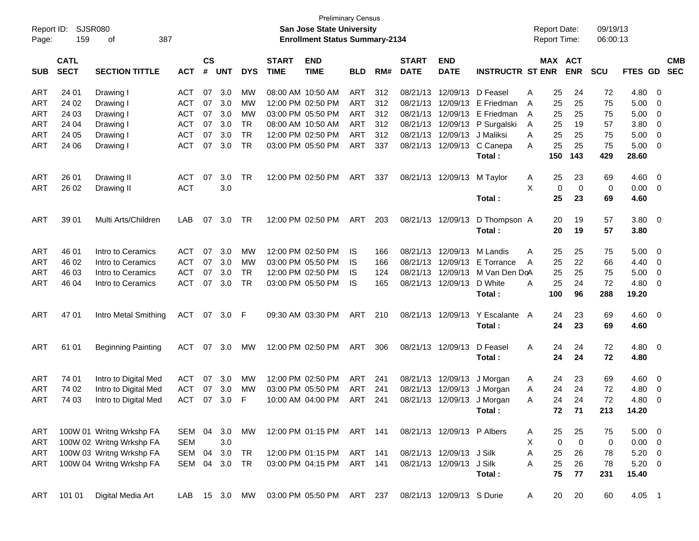| Report ID:<br>Page: | 159                        | <b>SJSR080</b><br>387<br>οf |               |                    |            |            |                             | <b>Preliminary Census</b><br><b>San Jose State University</b><br><b>Enrollment Status Summary-2134</b> |            |     |                             |                            |                         |   | <b>Report Date:</b><br><b>Report Time:</b> |                       | 09/19/13<br>06:00:13 |                |                          |                          |
|---------------------|----------------------------|-----------------------------|---------------|--------------------|------------|------------|-----------------------------|--------------------------------------------------------------------------------------------------------|------------|-----|-----------------------------|----------------------------|-------------------------|---|--------------------------------------------|-----------------------|----------------------|----------------|--------------------------|--------------------------|
| <b>SUB</b>          | <b>CATL</b><br><b>SECT</b> | <b>SECTION TITTLE</b>       | <b>ACT</b>    | $\mathsf{cs}$<br># | <b>UNT</b> | <b>DYS</b> | <b>START</b><br><b>TIME</b> | <b>END</b><br><b>TIME</b>                                                                              | <b>BLD</b> | RM# | <b>START</b><br><b>DATE</b> | <b>END</b><br><b>DATE</b>  | <b>INSTRUCTR ST ENR</b> |   |                                            | MAX ACT<br><b>ENR</b> | <b>SCU</b>           | FTES GD        |                          | <b>CMB</b><br><b>SEC</b> |
| ART                 | 24 01                      | Drawing I                   | ACT           | 07                 | 3.0        | MW         |                             | 08:00 AM 10:50 AM                                                                                      | ART        | 312 | 08/21/13                    | 12/09/13                   | D Feasel                | A | 25                                         | 24                    | 72                   | 4.80           | $\overline{\mathbf{0}}$  |                          |
| <b>ART</b>          | 24 02                      | Drawing I                   | ACT           | 07                 | 3.0        | MW         |                             | 12:00 PM 02:50 PM                                                                                      | ART        | 312 | 08/21/13                    | 12/09/13                   | E Friedman              | A | 25                                         | 25                    | 75                   | 5.00           | $\overline{\mathbf{0}}$  |                          |
| <b>ART</b>          | 24 03                      | Drawing I                   | <b>ACT</b>    | 07                 | 3.0        | MW         |                             | 03:00 PM 05:50 PM                                                                                      | ART        | 312 | 08/21/13                    | 12/09/13                   | E Friedman              | A | 25                                         | 25                    | 75                   | 5.00           | 0                        |                          |
| <b>ART</b>          | 24 04                      | Drawing I                   | <b>ACT</b>    | 07                 | 3.0        | <b>TR</b>  |                             | 08:00 AM 10:50 AM                                                                                      | ART        | 312 | 08/21/13                    | 12/09/13                   | P Surgalski             | A | 25                                         | 19                    | 57                   | 3.80           | $\overline{\mathbf{0}}$  |                          |
| <b>ART</b>          | 24 05                      | Drawing I                   | <b>ACT</b>    | 07                 | 3.0        | <b>TR</b>  |                             | 12:00 PM 02:50 PM                                                                                      | ART        | 312 | 08/21/13                    | 12/09/13                   | J Maliksi               | Α | 25                                         | 25                    | 75                   | 5.00           | $\overline{0}$           |                          |
| <b>ART</b>          | 24 06                      | Drawing I                   | <b>ACT</b>    | 07                 | 3.0        | <b>TR</b>  |                             | 03:00 PM 05:50 PM                                                                                      | ART        | 337 |                             | 08/21/13 12/09/13          | C Canepa                | Α | 25                                         | 25                    | 75                   | 5.00           | $\overline{\mathbf{0}}$  |                          |
|                     |                            |                             |               |                    |            |            |                             |                                                                                                        |            |     |                             |                            | Total:                  |   | 150                                        | 143                   | 429                  | 28.60          |                          |                          |
| <b>ART</b>          | 26 01                      | Drawing II                  | ACT           | 07                 | 3.0        | <b>TR</b>  |                             | 12:00 PM 02:50 PM                                                                                      | ART        | 337 |                             | 08/21/13 12/09/13          | M Taylor                | A | 25                                         | 23                    | 69                   | 4.60           | $\overline{\mathbf{0}}$  |                          |
| <b>ART</b>          | 26 02                      | Drawing II                  | <b>ACT</b>    |                    | 3.0        |            |                             |                                                                                                        |            |     |                             |                            |                         | X | 0                                          | 0                     | 0                    | 0.00           | $\overline{0}$           |                          |
|                     |                            |                             |               |                    |            |            |                             |                                                                                                        |            |     |                             |                            | Total:                  |   | 25                                         | 23                    | 69                   | 4.60           |                          |                          |
| <b>ART</b>          | 39 01                      | Multi Arts/Children         | LAB           | 07                 | 3.0        | TR         |                             | 12:00 PM 02:50 PM                                                                                      | ART        | 203 |                             | 08/21/13 12/09/13          | D Thompson A            |   | 20                                         | 19                    | 57                   | $3.80 \ 0$     |                          |                          |
|                     |                            |                             |               |                    |            |            |                             |                                                                                                        |            |     |                             |                            | Total:                  |   | 20                                         | 19                    | 57                   | 3.80           |                          |                          |
| <b>ART</b>          | 46 01                      | Intro to Ceramics           | <b>ACT</b>    | 07                 | 3.0        | MW         |                             | 12:00 PM 02:50 PM                                                                                      | IS         | 166 | 08/21/13                    | 12/09/13                   | M Landis                | A | 25                                         | 25                    | 75                   | 5.00           | $\overline{\mathbf{0}}$  |                          |
| <b>ART</b>          | 46 02                      | Intro to Ceramics           | ACT           | 07                 | 3.0        | MW         |                             | 03:00 PM 05:50 PM                                                                                      | IS         | 166 | 08/21/13                    | 12/09/13                   | E Torrance              | A | 25                                         | 22                    | 66                   | 4.40           | $\overline{\mathbf{0}}$  |                          |
| <b>ART</b>          | 46 03                      | Intro to Ceramics           | <b>ACT</b>    | 07                 | 3.0        | <b>TR</b>  |                             | 12:00 PM 02:50 PM                                                                                      | IS         | 124 | 08/21/13                    | 12/09/13                   | M Van Den DoA           |   | 25                                         | 25                    | 75                   | 5.00           | $\overline{0}$           |                          |
| <b>ART</b>          | 46 04                      | Intro to Ceramics           | <b>ACT</b>    | 07                 | 3.0        | <b>TR</b>  |                             | 03:00 PM 05:50 PM                                                                                      | IS         | 165 |                             | 08/21/13 12/09/13          | D White                 | Α | 25                                         | 24                    | 72                   | 4.80           | $\overline{\phantom{0}}$ |                          |
|                     |                            |                             |               |                    |            |            |                             |                                                                                                        |            |     |                             |                            | Total:                  |   | 100                                        | 96                    | 288                  | 19.20          |                          |                          |
| <b>ART</b>          | 47 01                      | Intro Metal Smithing        | ACT           |                    | 07 3.0 F   |            |                             | 09:30 AM 03:30 PM                                                                                      | <b>ART</b> | 210 |                             | 08/21/13 12/09/13          | Y Escalante A           |   | 24                                         | 23                    | 69                   | $4.60 \quad 0$ |                          |                          |
|                     |                            |                             |               |                    |            |            |                             |                                                                                                        |            |     |                             |                            | Total:                  |   | 24                                         | 23                    | 69                   | 4.60           |                          |                          |
| <b>ART</b>          | 61 01                      | <b>Beginning Painting</b>   | <b>ACT</b>    | 07                 | 3.0        | <b>MW</b>  |                             | 12:00 PM 02:50 PM                                                                                      | ART        | 306 |                             | 08/21/13 12/09/13          | D Feasel                | A | 24                                         | 24                    | 72                   | $4.80\ 0$      |                          |                          |
|                     |                            |                             |               |                    |            |            |                             |                                                                                                        |            |     |                             |                            | Total:                  |   | 24                                         | 24                    | 72                   | 4.80           |                          |                          |
| <b>ART</b>          | 74 01                      | Intro to Digital Med        | ACT           | 07                 | 3.0        | <b>MW</b>  |                             | 12:00 PM 02:50 PM                                                                                      | ART        | 241 | 08/21/13                    | 12/09/13                   | J Morgan                | A | 24                                         | 23                    | 69                   | 4.60           | $\overline{\mathbf{0}}$  |                          |
| <b>ART</b>          | 74 02                      | Intro to Digital Med        | <b>ACT</b>    | 07                 | 3.0        | MW         |                             | 03:00 PM 05:50 PM                                                                                      | ART        | 241 | 08/21/13                    | 12/09/13                   | J Morgan                | Α | 24                                         | 24                    | 72                   | 4.80           | $\overline{0}$           |                          |
| <b>ART</b>          | 74 03                      | Intro to Digital Med        | <b>ACT</b>    | 07                 | 3.0        | F          |                             | 10:00 AM 04:00 PM                                                                                      | ART        | 241 |                             | 08/21/13 12/09/13 J Morgan |                         | Α | 24                                         | 24                    | 72                   | 4.80           | $\overline{\mathbf{0}}$  |                          |
|                     |                            |                             |               |                    |            |            |                             |                                                                                                        |            |     |                             |                            | Total:                  |   | 72                                         | 71                    | 213                  | 14.20          |                          |                          |
| ART                 |                            | 100W 01 Writng Wrkshp FA    | SEM 04        |                    | 3.0        | MW         |                             | 12:00 PM 01:15 PM ART 141                                                                              |            |     |                             | 08/21/13 12/09/13 P Albers |                         | A | 25                                         | 25                    | 75                   | $5.00 \t 0$    |                          |                          |
| ART                 |                            | 100W 02 Writng Wrkshp FA    | <b>SEM</b>    |                    | 3.0        |            |                             |                                                                                                        |            |     |                             |                            |                         | X | 0                                          | $\mathbf 0$           | 0                    | $0.00 \t 0$    |                          |                          |
| ART                 |                            | 100W 03 Writng Wrkshp FA    | SEM           | 04                 | 3.0        | TR         |                             | 12:00 PM 01:15 PM ART 141                                                                              |            |     |                             | 08/21/13 12/09/13 J Silk   |                         | Α | 25                                         | 26                    | 78                   | 5.20 0         |                          |                          |
| ART                 |                            | 100W 04 Writng Wrkshp FA    | SEM 04        |                    | 3.0        | TR         |                             | 03:00 PM 04:15 PM                                                                                      | ART 141    |     |                             | 08/21/13 12/09/13          | J Silk                  | Α | 25                                         | 26                    | 78                   | $5.20 \t 0$    |                          |                          |
|                     |                            |                             |               |                    |            |            |                             |                                                                                                        |            |     |                             |                            | Total:                  |   | 75                                         | 77                    | 231                  | 15.40          |                          |                          |
| ART                 | 101 01                     | Digital Media Art           | LAB 15 3.0 MW |                    |            |            |                             | 03:00 PM 05:50 PM ART 237                                                                              |            |     |                             | 08/21/13 12/09/13 S Durie  |                         | A | 20                                         | 20                    | 60                   | 4.05 1         |                          |                          |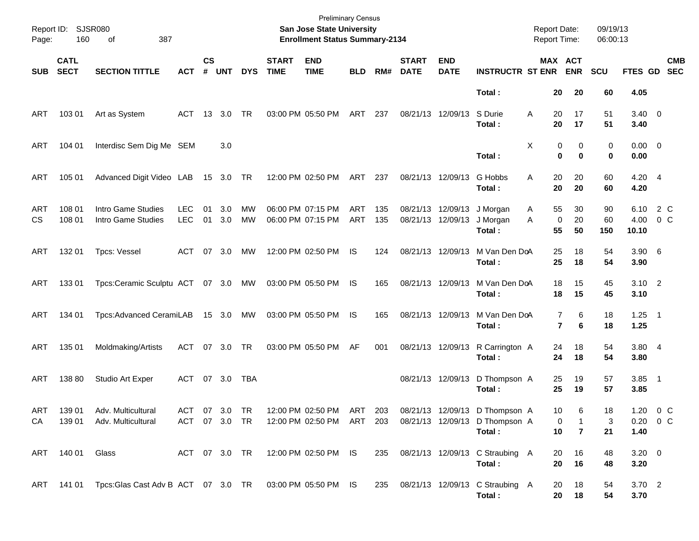| Page:      | Report ID: SJSR080<br>160  | 387<br>of                                               |                          |                    |            |                 |                             | <b>Preliminary Census</b><br>San Jose State University<br><b>Enrollment Status Summary-2134</b> |            |            |                                        |                           |                                           | <b>Report Date:</b><br><b>Report Time:</b> |                                            | 09/19/13<br>06:00:13 |                       |                          |
|------------|----------------------------|---------------------------------------------------------|--------------------------|--------------------|------------|-----------------|-----------------------------|-------------------------------------------------------------------------------------------------|------------|------------|----------------------------------------|---------------------------|-------------------------------------------|--------------------------------------------|--------------------------------------------|----------------------|-----------------------|--------------------------|
| <b>SUB</b> | <b>CATL</b><br><b>SECT</b> | <b>SECTION TITTLE</b>                                   | <b>ACT</b>               | $\mathsf{cs}$<br># | <b>UNT</b> | <b>DYS</b>      | <b>START</b><br><b>TIME</b> | <b>END</b><br><b>TIME</b>                                                                       | <b>BLD</b> | RM#        | <b>START</b><br><b>DATE</b>            | <b>END</b><br><b>DATE</b> | <b>INSTRUCTR ST ENR</b>                   |                                            | MAX ACT<br><b>ENR</b>                      | <b>SCU</b>           | FTES GD               | <b>CMB</b><br><b>SEC</b> |
|            |                            |                                                         |                          |                    |            |                 |                             |                                                                                                 |            |            |                                        |                           | Total:                                    |                                            | 20<br>20                                   | 60                   | 4.05                  |                          |
| ART        | 103 01                     | Art as System                                           | ACT                      | - 13               | 3.0        | TR              |                             | 03:00 PM 05:50 PM                                                                               | ART        | 237        | 08/21/13 12/09/13                      |                           | S Durie<br>Total:                         | Α                                          | 17<br>20<br>20<br>17                       | 51<br>51             | $3.40 \ 0$<br>3.40    |                          |
| ART        | 104 01                     | Interdisc Sem Dig Me SEM                                |                          |                    | 3.0        |                 |                             |                                                                                                 |            |            |                                        |                           | Total:                                    | X                                          | 0<br>0<br>$\bf{0}$<br>$\bf{0}$             | 0<br>0               | $0.00 \t 0$<br>0.00   |                          |
| ART        | 105 01                     | Advanced Digit Video LAB                                |                          |                    | 15 3.0 TR  |                 |                             | 12:00 PM 02:50 PM                                                                               | ART        | 237        | 08/21/13 12/09/13                      |                           | G Hobbs<br>Total:                         | A                                          | 20<br>20<br>20<br>20                       | 60<br>60             | $4.20$ 4<br>4.20      |                          |
| ART<br>CS. | 108 01<br>108 01           | Intro Game Studies<br>Intro Game Studies                | <b>LEC</b><br><b>LEC</b> | 01<br>01           | 3.0<br>3.0 | MW<br><b>MW</b> |                             | 06:00 PM 07:15 PM<br>06:00 PM 07:15 PM                                                          | ART<br>ART | 135<br>135 | 08/21/13 12/09/13<br>08/21/13 12/09/13 |                           | J Morgan<br>J Morgan<br>Total:            | 55<br>A<br>A<br>55                         | 30<br>20<br>$\mathbf 0$<br>50              | 90<br>60<br>150      | 6.10<br>4.00<br>10.10 | 2 C<br>$0\,$ C           |
| ART        | 132 01                     | <b>Tpcs: Vessel</b>                                     | ACT                      |                    | 07 3.0     | МW              |                             | 12:00 PM 02:50 PM                                                                               | IS         | 124        | 08/21/13 12/09/13                      |                           | M Van Den DoA<br>Total:                   | 25<br>25                                   | 18<br>18                                   | 54<br>54             | $3.90\quad 6$<br>3.90 |                          |
| ART        | 13301                      | Tpcs:Ceramic Sculptu ACT 07 3.0 MW                      |                          |                    |            |                 |                             | 03:00 PM 05:50 PM                                                                               | IS         | 165        | 08/21/13 12/09/13                      |                           | M Van Den DoA<br>Total:                   | 18                                         | 15<br>18<br>15                             | 45<br>45             | $3.10$ 2<br>3.10      |                          |
| ART        | 134 01                     | Tpcs:Advanced CeramiLAB                                 |                          |                    | 15 3.0 MW  |                 |                             | 03:00 PM 05:50 PM                                                                               | IS         | 165        | 08/21/13 12/09/13                      |                           | M Van Den DoA<br>Total:                   |                                            | $\overline{7}$<br>6<br>$\overline{7}$<br>6 | 18<br>18             | $1.25$ 1<br>1.25      |                          |
| ART        | 135 01                     | Moldmaking/Artists                                      | ACT                      |                    | 07 3.0     | <b>TR</b>       |                             | 03:00 PM 05:50 PM                                                                               | AF         | 001        |                                        | 08/21/13 12/09/13         | R Carrington A<br>Total:                  | 24<br>24                                   | 18<br>18                                   | 54<br>54             | 3.804<br>3.80         |                          |
| <b>ART</b> | 138 80                     | Studio Art Exper                                        | ACT                      |                    | 07 3.0     | TBA             |                             |                                                                                                 |            |            | 08/21/13 12/09/13                      |                           | D Thompson A<br>Total:                    | 25<br>25                                   | 19<br>19                                   | 57<br>57             | $3.85$ 1<br>3.85      |                          |
| <b>ART</b> | 139 01                     | Adv. Multicultural                                      | ACT 07 3.0 TR            |                    |            |                 |                             | 12:00 PM 02:50 PM ART 203                                                                       |            |            |                                        |                           | 08/21/13 12/09/13 D Thompson A            |                                            | 10<br>6                                    | 18                   | 1.20 $0 \, \text{C}$  |                          |
| CA         | 139 01                     | Adv. Multicultural                                      | ACT 07 3.0 TR            |                    |            |                 |                             | 12:00 PM 02:50 PM ART 203                                                                       |            |            |                                        |                           | 08/21/13 12/09/13 D Thompson A<br>Total:  |                                            | 0<br>1<br>$10$<br>$\overline{\mathbf{r}}$  | 3<br>21              | $0.20 \t 0 C$<br>1.40 |                          |
| ART        | 140 01                     | Glass                                                   | ACT 07 3.0 TR            |                    |            |                 |                             | 12:00 PM 02:50 PM IS                                                                            |            | 235        |                                        |                           | 08/21/13 12/09/13 C Straubing A<br>Total: |                                            | 20<br>16<br>20<br>16                       | 48<br>48             | $3.20 \ 0$<br>3.20    |                          |
|            | ART 141 01                 | Tpcs:Glas Cast Adv B ACT 07 3.0 TR 03:00 PM 05:50 PM IS |                          |                    |            |                 |                             |                                                                                                 |            | 235        |                                        |                           | 08/21/13 12/09/13 C Straubing A<br>Total: |                                            | 18<br>20<br>20<br>18                       | 54<br>54             | $3.70$ 2<br>3.70      |                          |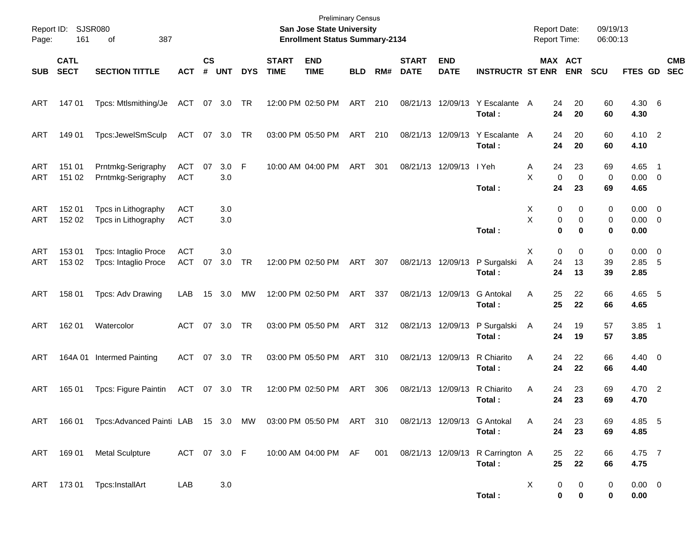| Page:      | Report ID: SJSR080<br>161  | 387<br>of                                                            |                          |                    |              |            |                             | <b>Preliminary Census</b><br>San Jose State University<br><b>Enrollment Status Summary-2134</b> |            |     |                             |                           |                                            | <b>Report Date:</b><br><b>Report Time:</b> |                                 | 09/19/13<br>06:00:13 |                                    |            |
|------------|----------------------------|----------------------------------------------------------------------|--------------------------|--------------------|--------------|------------|-----------------------------|-------------------------------------------------------------------------------------------------|------------|-----|-----------------------------|---------------------------|--------------------------------------------|--------------------------------------------|---------------------------------|----------------------|------------------------------------|------------|
| <b>SUB</b> | <b>CATL</b><br><b>SECT</b> | <b>SECTION TITTLE</b>                                                | <b>ACT</b>               | $\mathsf{cs}$<br># | <b>UNT</b>   | <b>DYS</b> | <b>START</b><br><b>TIME</b> | <b>END</b><br><b>TIME</b>                                                                       | <b>BLD</b> | RM# | <b>START</b><br><b>DATE</b> | <b>END</b><br><b>DATE</b> | <b>INSTRUCTR ST ENR</b>                    |                                            | MAX ACT<br><b>ENR</b>           | <b>SCU</b>           | FTES GD SEC                        | <b>CMB</b> |
| ART        | 147 01                     | Tpcs: Mtlsmithing/Je                                                 | ACT 07 3.0               |                    |              | TR         |                             | 12:00 PM 02:50 PM                                                                               | ART        | 210 |                             | 08/21/13 12/09/13         | Y Escalante A<br>Total:                    | 24<br>24                                   | 20<br>20                        | 60<br>60             | 4.30 6<br>4.30                     |            |
| ART        | 149 01                     | Tpcs:JewelSmSculp                                                    | ACT 07 3.0               |                    |              | TR         |                             | 03:00 PM 05:50 PM                                                                               | ART        | 210 |                             | 08/21/13 12/09/13         | Y Escalante<br>Total:                      | 24<br>A<br>24                              | 20<br>20                        | 60<br>60             | 4.10 2<br>4.10                     |            |
| ART<br>ART | 151 01<br>151 02           | Prntmkg-Serigraphy<br>Prntmkg-Serigraphy                             | <b>ACT</b><br><b>ACT</b> | 07                 | 3.0 F<br>3.0 |            |                             | 10:00 AM 04:00 PM                                                                               | ART        | 301 |                             | 08/21/13 12/09/13         | I Yeh<br>Total:                            | 24<br>Α<br>X<br>24                         | 23<br>$\mathbf 0$<br>0<br>23    | 69<br>0<br>69        | 4.65 1<br>$0.00 \t 0$<br>4.65      |            |
| ART<br>ART | 152 01<br>152 02           | Tpcs in Lithography<br>Tpcs in Lithography                           | ACT<br><b>ACT</b>        |                    | 3.0<br>3.0   |            |                             |                                                                                                 |            |     |                             |                           | Total:                                     | X<br>X                                     | 0<br>0<br>0<br>0<br>0<br>0      | 0<br>0<br>0          | $0.00 \t 0$<br>$0.00 \t 0$<br>0.00 |            |
| ART<br>ART | 153 01<br>153 02           | <b>Tpcs: Intaglio Proce</b><br><b>Tpcs: Intaglio Proce</b>           | <b>ACT</b><br><b>ACT</b> | 07                 | 3.0<br>3.0   | <b>TR</b>  |                             | 12:00 PM 02:50 PM                                                                               | ART        | 307 |                             | 08/21/13 12/09/13         | P Surgalski<br>Total:                      | X<br>24<br>A<br>24                         | 0<br>0<br>13<br>13              | 0<br>39<br>39        | $0.00 \t 0$<br>2.85 5<br>2.85      |            |
| ART        | 158 01                     | Tpcs: Adv Drawing                                                    | LAB                      |                    | 15 3.0       | МW         |                             | 12:00 PM 02:50 PM                                                                               | ART        | 337 |                             | 08/21/13 12/09/13         | G Antokal<br>Total:                        | 25<br>Α<br>25                              | 22<br>22                        | 66<br>66             | 4.65 5<br>4.65                     |            |
| ART        | 162 01                     | Watercolor                                                           | ACT                      | 07                 | 3.0          | <b>TR</b>  |                             | 03:00 PM 05:50 PM                                                                               | ART 312    |     |                             | 08/21/13 12/09/13         | P Surgalski<br>Total:                      | 24<br>A<br>24                              | 19<br>19                        | 57<br>57             | $3.85$ 1<br>3.85                   |            |
| ART        |                            | 164A 01 Intermed Painting                                            | ACT                      |                    | 07 3.0       | TR         |                             | 03:00 PM 05:50 PM                                                                               | ART        | 310 |                             | 08/21/13 12/09/13         | R Chiarito<br>Total:                       | 24<br>Α<br>24                              | 22<br>22                        | 66<br>66             | $4.40 \ 0$<br>4.40                 |            |
| ART        | 165 01                     | Tpcs: Figure Paintin                                                 | ACT 07 3.0               |                    |              | TR         |                             | 12:00 PM 02:50 PM                                                                               | ART        | 306 |                             | 08/21/13 12/09/13         | R Chiarito<br>Total:                       | 24<br>Α<br>24                              | 23<br>23                        | 69<br>69             | 4.70 2<br>4.70                     |            |
| ART        |                            | 166 01 Tpcs: Advanced Painti LAB 15 3.0 MW 03:00 PM 05:50 PM ART 310 |                          |                    |              |            |                             |                                                                                                 |            |     |                             |                           | 08/21/13 12/09/13 G Antokal<br>Total:      | 24<br>Α<br>24                              | 23<br>23                        | 69<br>69             | 4.85 5<br>4.85                     |            |
|            | ART 169 01                 | <b>Metal Sculpture</b>                                               | ACT 07 3.0 F             |                    |              |            |                             | 10:00 AM 04:00 PM AF                                                                            |            | 001 |                             |                           | 08/21/13 12/09/13 R Carrington A<br>Total: | 25<br>25                                   | 22<br>22                        | 66<br>66             | 4.75 7<br>4.75                     |            |
|            |                            | ART 173 01 Tpcs: InstallArt                                          | LAB                      |                    | 3.0          |            |                             |                                                                                                 |            |     |                             |                           | Total:                                     | X                                          | 0<br>0<br>$\pmb{0}$<br>$\bf{0}$ | 0<br>0               | $0.00 \t 0$<br>0.00                |            |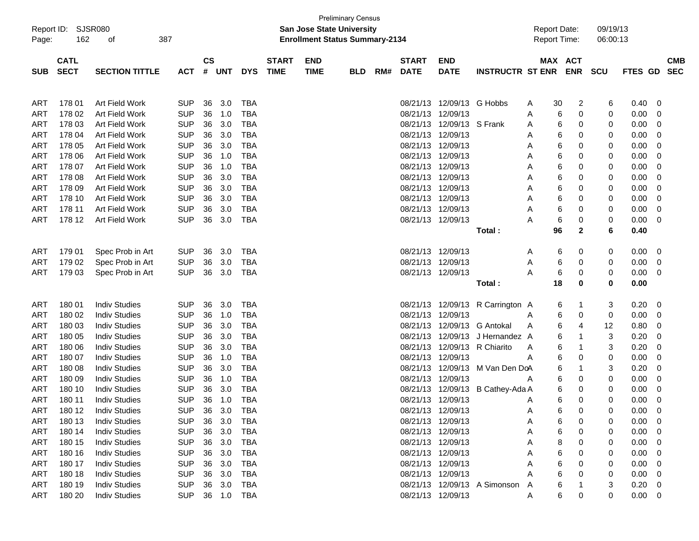|            |             |                       |            |               |            |            |                           |                                       | <b>Preliminary Census</b> |     |                   |                           |                              |                     |            |          |            |                |            |  |
|------------|-------------|-----------------------|------------|---------------|------------|------------|---------------------------|---------------------------------------|---------------------------|-----|-------------------|---------------------------|------------------------------|---------------------|------------|----------|------------|----------------|------------|--|
| Report ID: | SJSR080     |                       |            |               |            |            | San Jose State University |                                       |                           |     |                   |                           | <b>Report Date:</b>          |                     |            | 09/19/13 |            |                |            |  |
| Page:      | 162         | 387<br>of             |            |               |            |            |                           | <b>Enrollment Status Summary-2134</b> |                           |     |                   |                           |                              | <b>Report Time:</b> |            |          | 06:00:13   |                |            |  |
|            |             |                       |            |               |            |            |                           |                                       |                           |     |                   |                           |                              |                     |            |          |            |                |            |  |
|            | <b>CATL</b> |                       |            | $\mathsf{cs}$ |            |            | <b>START</b>              | <b>END</b>                            |                           |     | <b>START</b>      | <b>END</b>                |                              |                     | MAX ACT    |          |            |                | <b>CMB</b> |  |
| <b>SUB</b> | <b>SECT</b> | <b>SECTION TITTLE</b> | <b>ACT</b> | #             | <b>UNT</b> | <b>DYS</b> | <b>TIME</b>               | <b>TIME</b>                           | <b>BLD</b>                | RM# | <b>DATE</b>       | <b>DATE</b>               | <b>INSTRUCTR ST ENR</b>      |                     | <b>ENR</b> |          | <b>SCU</b> | <b>FTES GD</b> | <b>SEC</b> |  |
|            |             |                       |            |               |            |            |                           |                                       |                           |     |                   |                           |                              |                     |            |          |            |                |            |  |
|            |             |                       |            |               |            |            |                           |                                       |                           |     |                   |                           |                              |                     |            |          |            |                |            |  |
| <b>ART</b> | 178 01      | Art Field Work        | <b>SUP</b> | 36            | 3.0        | TBA        |                           |                                       |                           |     |                   | 08/21/13 12/09/13 G Hobbs |                              | A                   | 30         | 2        | 6          | 0.40           | 0          |  |
| <b>ART</b> | 178 02      | Art Field Work        | <b>SUP</b> | 36            | 1.0        | TBA        |                           |                                       |                           |     | 08/21/13          | 12/09/13                  |                              | A                   | 6          | 0        | 0          | 0.00           | 0          |  |
| <b>ART</b> | 178 03      | Art Field Work        | <b>SUP</b> | 36            | 3.0        | TBA        |                           |                                       |                           |     | 08/21/13          | 12/09/13                  | S Frank                      | A                   | 6          | 0        | 0          | 0.00           | 0          |  |
| <b>ART</b> | 178 04      | Art Field Work        | <b>SUP</b> | 36            | 3.0        | TBA        |                           |                                       |                           |     | 08/21/13          | 12/09/13                  |                              | A                   | 6          | 0        | 0          | 0.00           | 0          |  |
| <b>ART</b> | 178 05      | Art Field Work        | <b>SUP</b> | 36            | 3.0        | TBA        |                           |                                       |                           |     | 08/21/13          | 12/09/13                  |                              | A                   | 6          | 0        | 0          | 0.00           | 0          |  |
| <b>ART</b> | 178 06      | Art Field Work        | <b>SUP</b> | 36            | 1.0        | TBA        |                           |                                       |                           |     | 08/21/13          | 12/09/13                  |                              | A                   | 6          | 0        | 0          | 0.00           | 0          |  |
| <b>ART</b> | 178 07      | Art Field Work        | <b>SUP</b> | 36            | 1.0        | TBA        |                           |                                       |                           |     | 08/21/13          | 12/09/13                  |                              | A                   | 6          | 0        | 0          | 0.00           | 0          |  |
| <b>ART</b> | 178 08      | Art Field Work        | <b>SUP</b> | 36            | 3.0        | TBA        |                           |                                       |                           |     | 08/21/13          | 12/09/13                  |                              | A                   | 6          | 0        | 0          | 0.00           | 0          |  |
| <b>ART</b> | 178 09      | Art Field Work        | <b>SUP</b> | 36            | 3.0        | TBA        |                           |                                       |                           |     | 08/21/13          | 12/09/13                  |                              | A                   | 6          | 0        | 0          | 0.00           | 0          |  |
| <b>ART</b> | 178 10      | Art Field Work        | <b>SUP</b> | 36            | 3.0        | TBA        |                           |                                       |                           |     | 08/21/13 12/09/13 |                           |                              | A                   | 6          | 0        | 0          | 0.00           | 0          |  |
| <b>ART</b> | 178 11      | Art Field Work        | <b>SUP</b> | 36            | 3.0        | TBA        |                           |                                       |                           |     | 08/21/13 12/09/13 |                           |                              | A                   | 6          | 0        | 0          | 0.00           | 0          |  |
| <b>ART</b> | 178 12      | Art Field Work        | <b>SUP</b> | 36            | 3.0        | TBA        |                           |                                       |                           |     | 08/21/13 12/09/13 |                           |                              | A                   | 6          | 0        | 0          | 0.00           | 0          |  |
|            |             |                       |            |               |            |            |                           |                                       |                           |     |                   |                           | Total:                       |                     | 96         | 2        | 6          | 0.40           |            |  |
|            |             |                       |            |               |            |            |                           |                                       |                           |     |                   |                           |                              |                     |            |          |            |                |            |  |
| <b>ART</b> | 179 01      | Spec Prob in Art      | <b>SUP</b> | 36            | 3.0        | TBA        |                           |                                       |                           |     | 08/21/13 12/09/13 |                           |                              | A                   | 6          | 0        | 0          | 0.00           | 0          |  |
| <b>ART</b> | 179 02      | Spec Prob in Art      | <b>SUP</b> | 36            | 3.0        | TBA        |                           |                                       |                           |     | 08/21/13 12/09/13 |                           |                              | A                   | 6          | 0        | 0          | 0.00           | 0          |  |
| <b>ART</b> | 179 03      | Spec Prob in Art      | <b>SUP</b> | 36            | 3.0        | TBA        |                           |                                       |                           |     | 08/21/13 12/09/13 |                           |                              | A                   | 6          | 0        | 0          | 0.00           | 0          |  |
|            |             |                       |            |               |            |            |                           |                                       |                           |     |                   |                           | Total:                       |                     | 18         | 0        | 0          | 0.00           |            |  |
|            |             |                       |            |               |            |            |                           |                                       |                           |     |                   |                           |                              |                     |            |          |            |                |            |  |
| <b>ART</b> | 180 01      | <b>Indiv Studies</b>  | <b>SUP</b> | 36            | 3.0        | TBA        |                           |                                       |                           |     |                   | 08/21/13 12/09/13         | R Carrington A               |                     | 6          | -1       | 3          | 0.20           | 0          |  |
| <b>ART</b> | 180 02      | <b>Indiv Studies</b>  | <b>SUP</b> | 36            | 1.0        | TBA        |                           |                                       |                           |     | 08/21/13          | 12/09/13                  |                              | A                   | 6          | 0        | 0          | 0.00           | 0          |  |
| <b>ART</b> | 180 03      | <b>Indiv Studies</b>  | <b>SUP</b> | 36            | 3.0        | TBA        |                           |                                       |                           |     | 08/21/13          | 12/09/13                  | <b>G</b> Antokal             | A                   | 6          | 4        | 12         | 0.80           | 0          |  |
| <b>ART</b> | 180 05      | <b>Indiv Studies</b>  | <b>SUP</b> | 36            | 3.0        | TBA        |                           |                                       |                           |     | 08/21/13          | 12/09/13                  | J Hernandez A                |                     | 6          | -1       | 3          | 0.20           | 0          |  |
| <b>ART</b> | 180 06      | <b>Indiv Studies</b>  | <b>SUP</b> | 36            | 3.0        | TBA        |                           |                                       |                           |     | 08/21/13          | 12/09/13                  | R Chiarito                   | A                   | 6          | -1       | 3          | 0.20           | 0          |  |
| <b>ART</b> | 180 07      | <b>Indiv Studies</b>  | <b>SUP</b> | 36            | 1.0        | TBA        |                           |                                       |                           |     | 08/21/13          | 12/09/13                  |                              | A                   | 6          | 0        | 0          | 0.00           | 0          |  |
| <b>ART</b> | 180 08      | <b>Indiv Studies</b>  | <b>SUP</b> | 36            | 3.0        | TBA        |                           |                                       |                           |     | 08/21/13          | 12/09/13                  | M Van Den DoA                |                     | 6          | 1        | 3          | 0.20           | 0          |  |
| <b>ART</b> | 180 09      | <b>Indiv Studies</b>  | <b>SUP</b> | 36            | 1.0        | TBA        |                           |                                       |                           |     | 08/21/13          | 12/09/13                  |                              | A                   | 6          | 0        | 0          | 0.00           | 0          |  |
| <b>ART</b> | 180 10      | <b>Indiv Studies</b>  | <b>SUP</b> | 36            | 3.0        | TBA        |                           |                                       |                           |     | 08/21/13          | 12/09/13                  | B Cathey-Ada A               |                     | 6          | 0        | 0          | 0.00           | 0          |  |
| <b>ART</b> | 180 11      | <b>Indiv Studies</b>  | <b>SUP</b> | 36            | 1.0        | TBA        |                           |                                       |                           |     |                   | 08/21/13 12/09/13         |                              | A                   | 6          | 0        | 0          | 0.00           | 0          |  |
| <b>ART</b> | 180 12      | <b>Indiv Studies</b>  | <b>SUP</b> |               | 36 3.0     | TBA        |                           |                                       |                           |     |                   | 08/21/13 12/09/13         |                              | A                   | 6          | 0        | 0          | 0.00           | $\Omega$   |  |
| ART        | 180 13      | <b>Indiv Studies</b>  | <b>SUP</b> | 36            | 3.0        | TBA        |                           |                                       |                           |     | 08/21/13 12/09/13 |                           |                              | A                   | 6          | 0        |            | 0.00           | 0          |  |
| ART        | 180 14      | <b>Indiv Studies</b>  | <b>SUP</b> | 36            | 3.0        | TBA        |                           |                                       |                           |     | 08/21/13 12/09/13 |                           |                              | Α                   | 6          | 0        |            | 0.00           | 0          |  |
| ART        | 180 15      | <b>Indiv Studies</b>  | <b>SUP</b> | 36            | 3.0        | TBA        |                           |                                       |                           |     | 08/21/13 12/09/13 |                           |                              | Α                   | 8          | 0        |            | 0.00           | 0          |  |
| ART        | 180 16      | <b>Indiv Studies</b>  | <b>SUP</b> | 36            | 3.0        | TBA        |                           |                                       |                           |     | 08/21/13 12/09/13 |                           |                              |                     | 6          | 0        |            | 0.00           | 0          |  |
| ART        | 180 17      | <b>Indiv Studies</b>  | <b>SUP</b> | 36            | 3.0        | TBA        |                           |                                       |                           |     | 08/21/13 12/09/13 |                           |                              |                     | 6          | 0        | 0          | 0.00           | 0          |  |
| ART        | 180 18      | <b>Indiv Studies</b>  | <b>SUP</b> | 36            | 3.0        | TBA        |                           |                                       |                           |     |                   | 08/21/13 12/09/13         |                              |                     | 6          | 0        | 0          | 0.00           | 0          |  |
|            |             |                       |            |               |            |            |                           |                                       |                           |     |                   |                           | 08/21/13 12/09/13 A Simonson |                     |            |          |            |                |            |  |
| ART        | 180 19      | <b>Indiv Studies</b>  | <b>SUP</b> | 36            | 3.0        | TBA        |                           |                                       |                           |     |                   |                           |                              | A                   | 6          |          | З          | 0.20           | 0          |  |
| ART        | 180 20      | <b>Indiv Studies</b>  | SUP        |               | 36 1.0     | TBA        |                           |                                       |                           |     |                   | 08/21/13 12/09/13         |                              | A                   | 6          | 0        | 0          | 0.00           | 0          |  |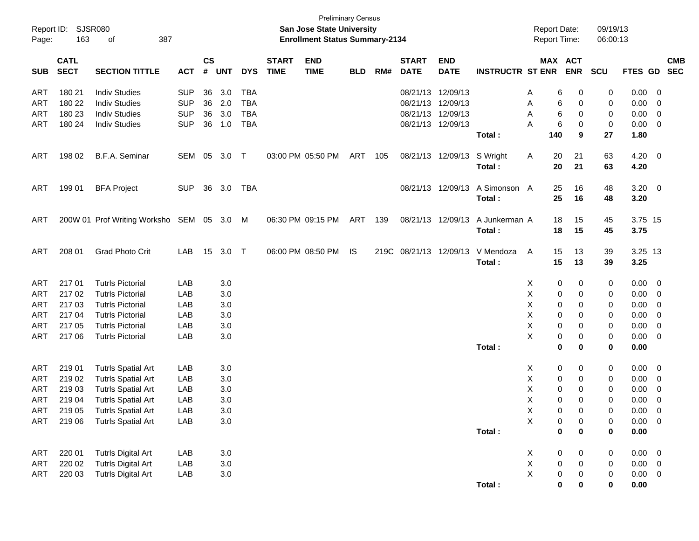| Page:      | Report ID: SJSR080<br>163  | 387<br>of                    |            |                               |            |            |                             | <b>Preliminary Census</b><br>San Jose State University<br><b>Enrollment Status Summary-2134</b> |            |     |                             |                           |                         |   | <b>Report Date:</b><br>Report Time: |            | 09/19/13<br>06:00:13 |             |                          |                          |
|------------|----------------------------|------------------------------|------------|-------------------------------|------------|------------|-----------------------------|-------------------------------------------------------------------------------------------------|------------|-----|-----------------------------|---------------------------|-------------------------|---|-------------------------------------|------------|----------------------|-------------|--------------------------|--------------------------|
| <b>SUB</b> | <b>CATL</b><br><b>SECT</b> | <b>SECTION TITTLE</b>        | <b>ACT</b> | $\mathsf{CS}\phantom{0}$<br># | <b>UNT</b> | <b>DYS</b> | <b>START</b><br><b>TIME</b> | <b>END</b><br><b>TIME</b>                                                                       | <b>BLD</b> | RM# | <b>START</b><br><b>DATE</b> | <b>END</b><br><b>DATE</b> | <b>INSTRUCTR ST ENR</b> |   | MAX ACT                             | <b>ENR</b> | <b>SCU</b>           | FTES GD     |                          | <b>CMB</b><br><b>SEC</b> |
| ART        | 180 21                     | <b>Indiv Studies</b>         | <b>SUP</b> | 36                            | 3.0        | TBA        |                             |                                                                                                 |            |     | 08/21/13                    | 12/09/13                  |                         | A | 6                                   | 0          | 0                    | 0.00        | - 0                      |                          |
| ART        | 180 22                     | <b>Indiv Studies</b>         | <b>SUP</b> | 36                            | 2.0        | <b>TBA</b> |                             |                                                                                                 |            |     | 08/21/13                    | 12/09/13                  |                         | Α | 6                                   | 0          | 0                    | 0.00        | 0                        |                          |
| <b>ART</b> | 180 23                     | <b>Indiv Studies</b>         | <b>SUP</b> | 36                            | 3.0        | <b>TBA</b> |                             |                                                                                                 |            |     | 08/21/13                    | 12/09/13                  |                         | Α | 6                                   | 0          | 0                    | 0.00        | 0                        |                          |
| ART        | 180 24                     | <b>Indiv Studies</b>         | <b>SUP</b> | 36                            | 1.0        | <b>TBA</b> |                             |                                                                                                 |            |     |                             | 08/21/13 12/09/13         |                         | A | 6                                   | 0          | 0                    | 0.00        | 0                        |                          |
|            |                            |                              |            |                               |            |            |                             |                                                                                                 |            |     |                             |                           | Total:                  |   | 140                                 | 9          | 27                   | 1.80        |                          |                          |
| ART        | 198 02                     | B.F.A. Seminar               | <b>SEM</b> | 05                            | 3.0        | Т          |                             | 03:00 PM 05:50 PM                                                                               | ART        | 105 |                             | 08/21/13 12/09/13         | S Wright                | A | 20                                  | 21         | 63                   | 4.20        | $\overline{\phantom{0}}$ |                          |
|            |                            |                              |            |                               |            |            |                             |                                                                                                 |            |     |                             |                           | Total:                  |   | 20                                  | 21         | 63                   | 4.20        |                          |                          |
| ART        | 199 01                     | <b>BFA Project</b>           | <b>SUP</b> | 36                            | 3.0        | TBA        |                             |                                                                                                 |            |     | 08/21/13                    | 12/09/13                  | A Simonson A            |   | 25                                  | 16         | 48                   | 3.20        | $\overline{\phantom{0}}$ |                          |
|            |                            |                              |            |                               |            |            |                             |                                                                                                 |            |     |                             |                           | Total:                  |   | 25                                  | 16         | 48                   | 3.20        |                          |                          |
| ART        |                            | 200W 01 Prof Writing Worksho | SEM        |                               | 05 3.0     | M          |                             | 06:30 PM 09:15 PM                                                                               | ART        | 139 |                             | 08/21/13 12/09/13         | A Junkerman A           |   | 18                                  | 15         | 45                   | 3.75 15     |                          |                          |
|            |                            |                              |            |                               |            |            |                             |                                                                                                 |            |     |                             |                           | Total:                  |   | 18                                  | 15         | 45                   | 3.75        |                          |                          |
| ART        | 208 01                     | <b>Grad Photo Crit</b>       | LAB        | 15                            | 3.0        | $\top$     |                             | 06:00 PM 08:50 PM                                                                               | IS         |     | 219C 08/21/13               | 12/09/13                  | V Mendoza               | A | 15                                  | 13         | 39                   | 3.25 13     |                          |                          |
|            |                            |                              |            |                               |            |            |                             |                                                                                                 |            |     |                             |                           | Total:                  |   | 15                                  | 13         | 39                   | 3.25        |                          |                          |
| <b>ART</b> | 21701                      | <b>Tutrls Pictorial</b>      | LAB        |                               | 3.0        |            |                             |                                                                                                 |            |     |                             |                           |                         | X | 0                                   | 0          | 0                    | 0.00        | $\overline{\mathbf{0}}$  |                          |
| <b>ART</b> | 21702                      | <b>Tutrls Pictorial</b>      | LAB        |                               | 3.0        |            |                             |                                                                                                 |            |     |                             |                           |                         | Х | 0                                   | 0          | 0                    | 0.00        | 0                        |                          |
| ART        | 217 03                     | <b>Tutrls Pictorial</b>      | LAB        |                               | 3.0        |            |                             |                                                                                                 |            |     |                             |                           |                         | х | 0                                   | 0          | 0                    | 0.00        | 0                        |                          |
| <b>ART</b> | 217 04                     | <b>Tutrls Pictorial</b>      | LAB        |                               | 3.0        |            |                             |                                                                                                 |            |     |                             |                           |                         | Χ | 0                                   | 0          | 0                    | 0.00        | 0                        |                          |
| ART        | 217 05                     | <b>Tutrls Pictorial</b>      | LAB        |                               | 3.0        |            |                             |                                                                                                 |            |     |                             |                           |                         | х | 0                                   | 0          | 0                    | 0.00        | 0                        |                          |
| <b>ART</b> | 217 06                     | <b>Tutrls Pictorial</b>      | LAB        |                               | 3.0        |            |                             |                                                                                                 |            |     |                             |                           |                         | X | 0                                   | 0          | 0                    | 0.00        | 0                        |                          |
|            |                            |                              |            |                               |            |            |                             |                                                                                                 |            |     |                             |                           | Total:                  |   | 0                                   | 0          | 0                    | 0.00        |                          |                          |
| <b>ART</b> | 219 01                     | <b>Tutrls Spatial Art</b>    | LAB        |                               | 3.0        |            |                             |                                                                                                 |            |     |                             |                           |                         | X | 0                                   | 0          | 0                    | 0.00        | - 0                      |                          |
| ART        | 219 02                     | <b>Tutrls Spatial Art</b>    | LAB        |                               | 3.0        |            |                             |                                                                                                 |            |     |                             |                           |                         | х | 0                                   | 0          | 0                    | 0.00        | 0                        |                          |
| <b>ART</b> | 219 03                     | <b>Tutrls Spatial Art</b>    | LAB        |                               | 3.0        |            |                             |                                                                                                 |            |     |                             |                           |                         | х | 0                                   | 0          | 0                    | 0.00        | 0                        |                          |
| <b>ART</b> | 219 04                     | <b>Tutrls Spatial Art</b>    | LAB        |                               | 3.0        |            |                             |                                                                                                 |            |     |                             |                           |                         | Χ | 0                                   | 0          | 0                    | 0.00        | 0                        |                          |
| ART        | 219 05                     | <b>Tutrls Spatial Art</b>    | LAB        |                               | 3.0        |            |                             |                                                                                                 |            |     |                             |                           |                         | X | $\Omega$                            | $\Omega$   | 0                    | 0.00        | $\overline{0}$           |                          |
| ART        | 219 06                     | <b>Tutrls Spatial Art</b>    | LAB        |                               | 3.0        |            |                             |                                                                                                 |            |     |                             |                           |                         | X | 0                                   | 0          | 0                    | $0.00 \t 0$ |                          |                          |
|            |                            |                              |            |                               |            |            |                             |                                                                                                 |            |     |                             |                           | Total:                  |   | 0                                   | $\bf{0}$   | 0                    | $0.00\,$    |                          |                          |
| ART        | 220 01                     | <b>Tutrls Digital Art</b>    | LAB        |                               | 3.0        |            |                             |                                                                                                 |            |     |                             |                           |                         | X | 0                                   | 0          | 0                    | 0.00        | $\overline{\phantom{0}}$ |                          |
| <b>ART</b> | 220 02                     | <b>Tutrls Digital Art</b>    | LAB        |                               | 3.0        |            |                             |                                                                                                 |            |     |                             |                           |                         | X | 0                                   | 0          | 0                    | 0.00        | $\overline{\mathbf{0}}$  |                          |
| ART        | 220 03                     | <b>Tutrls Digital Art</b>    | LAB        |                               | 3.0        |            |                             |                                                                                                 |            |     |                             |                           |                         | X | 0                                   | 0          | 0                    | $0.00 \t 0$ |                          |                          |
|            |                            |                              |            |                               |            |            |                             |                                                                                                 |            |     |                             |                           | Total:                  |   | $\pmb{0}$                           | 0          | 0                    | 0.00        |                          |                          |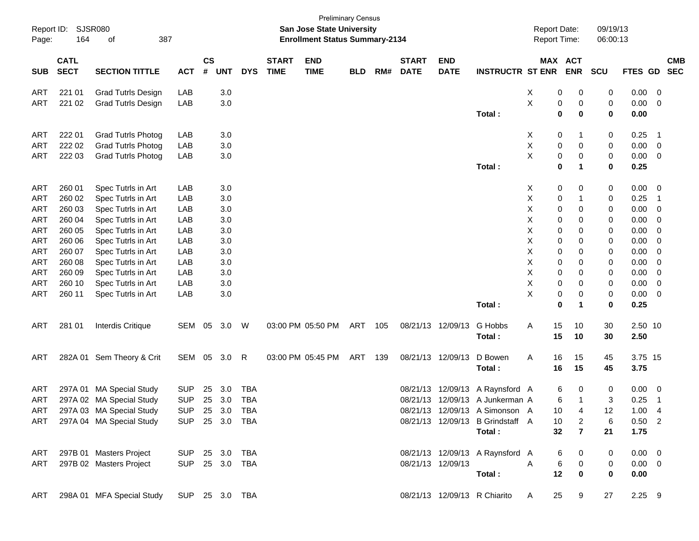| Report ID:<br>Page: | 164         | SJSR080<br>387<br>οf                         |                |           |            |            |              | San Jose State University<br><b>Enrollment Status Summary-2134</b> | <b>Preliminary Census</b> |     |              |                   |                                  | <b>Report Date:</b><br><b>Report Time:</b> |                         | 09/19/13<br>06:00:13 |                |                         |            |
|---------------------|-------------|----------------------------------------------|----------------|-----------|------------|------------|--------------|--------------------------------------------------------------------|---------------------------|-----|--------------|-------------------|----------------------------------|--------------------------------------------|-------------------------|----------------------|----------------|-------------------------|------------|
|                     | <b>CATL</b> |                                              |                | <b>CS</b> |            |            | <b>START</b> | <b>END</b>                                                         |                           |     | <b>START</b> | <b>END</b>        |                                  | MAX ACT                                    |                         |                      |                |                         | <b>CMB</b> |
| <b>SUB</b>          | <b>SECT</b> | <b>SECTION TITTLE</b>                        | <b>ACT</b>     | #         | <b>UNT</b> | <b>DYS</b> | <b>TIME</b>  | <b>TIME</b>                                                        | <b>BLD</b>                | RM# | <b>DATE</b>  | <b>DATE</b>       | <b>INSTRUCTR ST ENR</b>          |                                            | <b>ENR</b>              | <b>SCU</b>           | FTES GD SEC    |                         |            |
| ART                 | 221 01      | <b>Grad Tutrls Design</b>                    | LAB            |           | 3.0        |            |              |                                                                    |                           |     |              |                   |                                  | X<br>0                                     | 0                       | 0                    | 0.00           | $\overline{0}$          |            |
| <b>ART</b>          | 221 02      | <b>Grad Tutrls Design</b>                    | LAB            |           | 3.0        |            |              |                                                                    |                           |     |              |                   |                                  | Χ<br>0                                     | 0                       | 0                    | 0.00           | 0                       |            |
|                     |             |                                              |                |           |            |            |              |                                                                    |                           |     |              |                   | Total:                           | 0                                          | 0                       | 0                    | 0.00           |                         |            |
| ART                 | 222 01      | <b>Grad Tutrls Photog</b>                    | LAB            |           | 3.0        |            |              |                                                                    |                           |     |              |                   |                                  | 0<br>X                                     | 1                       | 0                    | 0.25           | - 1                     |            |
| ART                 | 222 02      | <b>Grad Tutrls Photog</b>                    | LAB            |           | 3.0        |            |              |                                                                    |                           |     |              |                   |                                  | Χ<br>0                                     | 0                       | 0                    | 0.00           | $\overline{\mathbf{0}}$ |            |
| <b>ART</b>          | 222 03      | <b>Grad Tutrls Photog</b>                    | LAB            |           | 3.0        |            |              |                                                                    |                           |     |              |                   |                                  | X<br>0                                     | 0                       | 0                    | 0.00           | $\overline{0}$          |            |
|                     |             |                                              |                |           |            |            |              |                                                                    |                           |     |              |                   | Total:                           | 0                                          | 1                       | 0                    | 0.25           |                         |            |
| ART                 | 260 01      | Spec Tutrls in Art                           | LAB            |           | 3.0        |            |              |                                                                    |                           |     |              |                   |                                  | 0<br>X                                     | 0                       | 0                    | 0.00           | $\overline{0}$          |            |
| <b>ART</b>          | 260 02      | Spec Tutrls in Art                           | LAB            |           | 3.0        |            |              |                                                                    |                           |     |              |                   |                                  | х<br>0                                     |                         | 0                    | 0.25           | - 1                     |            |
| ART                 | 260 03      | Spec Tutrls in Art                           | LAB            |           | 3.0        |            |              |                                                                    |                           |     |              |                   |                                  | Χ<br>0                                     | 0                       | 0                    | 0.00           | 0                       |            |
| ART                 | 260 04      | Spec Tutrls in Art                           | LAB            |           | 3.0        |            |              |                                                                    |                           |     |              |                   |                                  | Χ<br>0                                     | 0                       | 0                    | 0.00           | 0                       |            |
| <b>ART</b>          | 260 05      | Spec Tutrls in Art                           | LAB            |           | 3.0        |            |              |                                                                    |                           |     |              |                   |                                  | X<br>0                                     | 0                       | 0                    | 0.00           | 0                       |            |
| ART                 | 260 06      | Spec Tutrls in Art                           | LAB            |           | 3.0        |            |              |                                                                    |                           |     |              |                   |                                  | X<br>0                                     | 0                       | 0                    | 0.00           | 0                       |            |
| ART                 | 260 07      | Spec Tutrls in Art                           | LAB            |           | 3.0        |            |              |                                                                    |                           |     |              |                   |                                  | Χ<br>0                                     | 0                       | 0                    | 0.00           | 0                       |            |
| ART                 | 260 08      | Spec Tutrls in Art                           | LAB            |           | 3.0        |            |              |                                                                    |                           |     |              |                   |                                  | X<br>0                                     | 0                       | 0                    | 0.00           | 0                       |            |
| ART                 | 260 09      | Spec Tutrls in Art                           | LAB            |           | 3.0        |            |              |                                                                    |                           |     |              |                   |                                  | X<br>0                                     | 0                       | 0                    | 0.00           | 0                       |            |
| ART                 | 260 10      | Spec Tutrls in Art                           | LAB            |           | 3.0        |            |              |                                                                    |                           |     |              |                   |                                  | Χ<br>0                                     | 0                       | 0                    | 0.00           | 0                       |            |
| <b>ART</b>          | 260 11      | Spec Tutrls in Art                           | LAB            |           | 3.0        |            |              |                                                                    |                           |     |              |                   |                                  | X<br>0                                     | 0                       | 0                    | 0.00           | 0                       |            |
|                     |             |                                              |                |           |            |            |              |                                                                    |                           |     |              |                   | Total:                           | $\mathbf 0$                                | 1                       | 0                    | 0.25           |                         |            |
| ART                 | 281 01      | Interdis Critique                            | SEM 05         |           | 3.0        | W          |              | 03:00 PM 05:50 PM                                                  | ART                       | 105 |              | 08/21/13 12/09/13 | G Hobbs                          | 15<br>Α                                    | 10                      | 30                   | 2.50 10        |                         |            |
|                     |             |                                              |                |           |            |            |              |                                                                    |                           |     |              |                   | Total:                           | 15                                         | 10                      | 30                   | 2.50           |                         |            |
| ART                 |             | 282A 01 Sem Theory & Crit                    | SEM 05 3.0     |           |            | R          |              | 03:00 PM 05:45 PM                                                  | ART                       | 139 |              | 08/21/13 12/09/13 | D Bowen                          | Α<br>16                                    | 15                      | 45                   | 3.75 15        |                         |            |
|                     |             |                                              |                |           |            |            |              |                                                                    |                           |     |              |                   | Total:                           | 16                                         | 15                      | 45                   | 3.75           |                         |            |
| ART                 |             | 297A 01 MA Special Study                     | <b>SUP</b>     | 25        | 3.0        | <b>TBA</b> |              |                                                                    |                           |     |              | 08/21/13 12/09/13 | A Raynsford A                    | 6                                          | 0                       | 0                    | 0.00           | $\overline{0}$          |            |
| ART                 |             | 297A 02 MA Special Study                     | <b>SUP</b>     | 25        | 3.0        | <b>TBA</b> |              |                                                                    |                           |     |              |                   | 08/21/13 12/09/13 A Junkerman A  | 6                                          |                         | 3                    | 0.25           | -1                      |            |
| ART                 |             | 297A 03 MA Special Study                     | SUP            |           |            | 25 3.0 TBA |              |                                                                    |                           |     |              |                   | 08/21/13 12/09/13 A Simonson A   | 10                                         | 4                       | 12                   | 1.00           | -4                      |            |
|                     |             | ART 297A 04 MA Special Study SUP 25 3.0 TBA  |                |           |            |            |              |                                                                    |                           |     |              |                   | 08/21/13 12/09/13 B Grindstaff A | 10                                         | $\overline{2}$          | 6                    | $0.50$ 2       |                         |            |
|                     |             |                                              |                |           |            |            |              |                                                                    |                           |     |              |                   | Total:                           | 32                                         | $\overline{7}$          | 21                   | 1.75           |                         |            |
|                     |             |                                              |                |           |            |            |              |                                                                    |                           |     |              |                   |                                  |                                            |                         |                      |                |                         |            |
|                     |             | ART 297B 01 Masters Project                  | SUP 25 3.0 TBA |           |            |            |              |                                                                    |                           |     |              |                   | 08/21/13 12/09/13 A Raynsford A  | 6                                          | $\overline{\mathbf{0}}$ | 0                    | $0.00 \t 0$    |                         |            |
| ART                 |             | 297B 02 Masters Project SUP 25 3.0 TBA       |                |           |            |            |              |                                                                    |                           |     |              | 08/21/13 12/09/13 |                                  | $\mathsf{A}$<br>6                          | $\overline{\mathbf{0}}$ | $\mathbf{0}$         | $0.00 \quad 0$ |                         |            |
|                     |             |                                              |                |           |            |            |              |                                                                    |                           |     |              |                   | Total:                           | 12                                         | $\bf{0}$                | $\mathbf 0$          | 0.00           |                         |            |
|                     |             | ART 298A 01 MFA Special Study SUP 25 3.0 TBA |                |           |            |            |              |                                                                    |                           |     |              |                   | 08/21/13 12/09/13 R Chiarito A   | 25                                         | 9                       | 27                   | $2.25$ 9       |                         |            |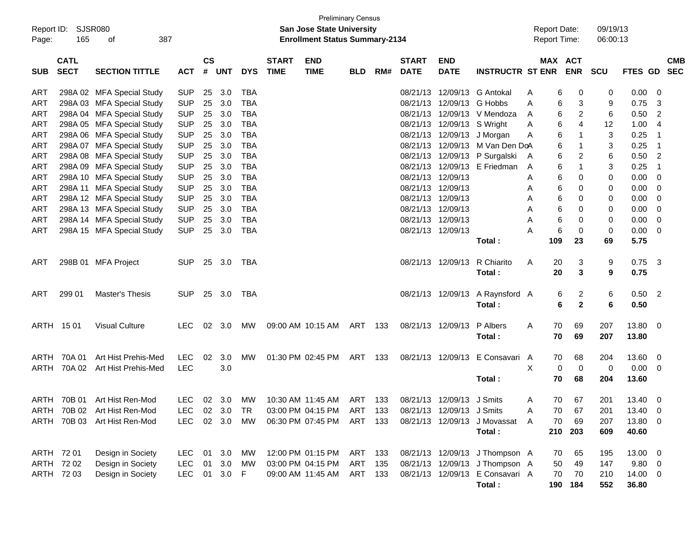| Report ID:<br>Page: | SJSR080<br>165                                         | 387<br>оf                    |               |                    |            |            |                             | <b>Preliminary Census</b><br><b>San Jose State University</b><br><b>Enrollment Status Summary-2134</b> |            |     |                             |                           |                                 |   | <b>Report Date:</b> | <b>Report Time:</b>   | 09/19/13<br>06:00:13 |             |                         |            |
|---------------------|--------------------------------------------------------|------------------------------|---------------|--------------------|------------|------------|-----------------------------|--------------------------------------------------------------------------------------------------------|------------|-----|-----------------------------|---------------------------|---------------------------------|---|---------------------|-----------------------|----------------------|-------------|-------------------------|------------|
| <b>SUB</b>          | <b>CATL</b><br><b>SECT</b>                             | <b>SECTION TITTLE</b>        | <b>ACT</b>    | $\mathsf{cs}$<br># | <b>UNT</b> | <b>DYS</b> | <b>START</b><br><b>TIME</b> | <b>END</b><br><b>TIME</b>                                                                              | <b>BLD</b> | RM# | <b>START</b><br><b>DATE</b> | <b>END</b><br><b>DATE</b> | <b>INSTRUCTR ST ENR</b>         |   |                     | MAX ACT<br><b>ENR</b> | <b>SCU</b>           | FTES GD SEC |                         | <b>CMB</b> |
| <b>ART</b>          |                                                        | 298A 02 MFA Special Study    | <b>SUP</b>    | 25                 | 3.0        | <b>TBA</b> |                             |                                                                                                        |            |     | 08/21/13                    | 12/09/13                  | G Antokal                       | A | 6                   | 0                     | 0                    | 0.00        | 0                       |            |
| <b>ART</b>          |                                                        | 298A 03 MFA Special Study    | <b>SUP</b>    | 25                 | 3.0        | <b>TBA</b> |                             |                                                                                                        |            |     | 08/21/13                    | 12/09/13                  | G Hobbs                         | A | 6                   | 3                     | 9                    | 0.75        | 3                       |            |
| <b>ART</b>          |                                                        | 298A 04 MFA Special Study    | <b>SUP</b>    | 25                 | 3.0        | <b>TBA</b> |                             |                                                                                                        |            |     | 08/21/13                    |                           | 12/09/13 V Mendoza              | A | 6                   | 2                     | 6                    | 0.50        | 2                       |            |
| <b>ART</b>          |                                                        | 298A 05 MFA Special Study    | <b>SUP</b>    | 25                 | 3.0        | <b>TBA</b> |                             |                                                                                                        |            |     | 08/21/13                    | 12/09/13                  | S Wright                        | Α | 6                   | 4                     | 12                   | 1.00        | 4                       |            |
| <b>ART</b>          |                                                        | 298A 06 MFA Special Study    | <b>SUP</b>    | 25                 | 3.0        | <b>TBA</b> |                             |                                                                                                        |            |     | 08/21/13                    | 12/09/13                  | J Morgan                        | Α | 6                   | $\mathbf{1}$          | 3                    | 0.25        | $\mathbf 1$             |            |
| <b>ART</b>          | 298A 07 MFA Special Study<br>298A 08 MFA Special Study |                              |               | 25                 | 3.0        | <b>TBA</b> |                             |                                                                                                        |            |     | 08/21/13                    | 12/09/13                  | M Van Den DoA                   |   | 6                   | 1                     | 3                    | 0.25        | -1                      |            |
| <b>ART</b>          | <b>SUP</b><br><b>SUP</b><br>298A 09 MFA Special Study  |                              |               | 25                 | 3.0        | <b>TBA</b> |                             |                                                                                                        |            |     | 08/21/13                    | 12/09/13                  | P Surgalski                     | A | 6                   | 2                     | 6                    | 0.50        | 2                       |            |
| <b>ART</b>          |                                                        |                              | <b>SUP</b>    | 25                 | 3.0        | <b>TBA</b> |                             |                                                                                                        |            |     | 08/21/13                    | 12/09/13                  | E Friedman                      | A | 6                   | 1                     | 3                    | 0.25        | -1                      |            |
| <b>ART</b>          | 298A 10 MFA Special Study                              |                              | <b>SUP</b>    | 25                 | 3.0        | <b>TBA</b> |                             |                                                                                                        |            |     | 08/21/13                    | 12/09/13                  |                                 | Α | 6                   | 0                     | 0                    | 0.00        | 0                       |            |
| <b>ART</b>          |                                                        | 298A 11 MFA Special Study    | <b>SUP</b>    | 25                 | 3.0        | <b>TBA</b> |                             |                                                                                                        |            |     | 08/21/13                    | 12/09/13                  |                                 | Α | 6                   | 0                     | 0                    | 0.00        | 0                       |            |
| <b>ART</b>          |                                                        | 298A 12 MFA Special Study    | <b>SUP</b>    | 25                 | 3.0        | <b>TBA</b> |                             |                                                                                                        |            |     | 08/21/13                    | 12/09/13                  |                                 | Α | 6                   | 0                     | 0                    | 0.00        | 0                       |            |
| <b>ART</b>          |                                                        | 298A 13 MFA Special Study    | <b>SUP</b>    | 25                 | 3.0        | <b>TBA</b> |                             |                                                                                                        |            |     | 08/21/13                    | 12/09/13                  |                                 | Α | 6                   | 0                     | 0                    | 0.00        | 0                       |            |
| <b>ART</b>          |                                                        | 298A 14 MFA Special Study    | <b>SUP</b>    | 25                 | 3.0        | <b>TBA</b> |                             |                                                                                                        |            |     | 08/21/13                    | 12/09/13                  |                                 | A | 6                   | 0                     | 0                    | 0.00        | 0                       |            |
| ART                 |                                                        | 298A 15 MFA Special Study    | <b>SUP</b>    | 25                 | 3.0        | <b>TBA</b> |                             |                                                                                                        |            |     | 08/21/13 12/09/13           |                           |                                 | А | 6                   | 0                     | 0                    | 0.00        | 0                       |            |
|                     |                                                        |                              |               |                    |            |            |                             |                                                                                                        |            |     |                             |                           | Total:                          |   | 109                 | 23                    | 69                   | 5.75        |                         |            |
| ART                 |                                                        | 298B 01 MFA Project          | <b>SUP</b>    |                    | 25 3.0     | TBA        |                             |                                                                                                        |            |     |                             | 08/21/13 12/09/13         | R Chiarito                      | Α | 20                  | 3                     | 9                    | 0.75        | 3                       |            |
|                     |                                                        |                              |               |                    |            |            |                             |                                                                                                        |            |     |                             |                           | Total:                          |   | 20                  | 3                     | 9                    | 0.75        |                         |            |
| ART                 | 299 01                                                 | Master's Thesis              | <b>SUP</b>    |                    | 25 3.0     | TBA        |                             |                                                                                                        |            |     |                             |                           | 08/21/13 12/09/13 A Raynsford A |   | 6                   | 2                     | 6                    | 0.50        | $\overline{2}$          |            |
|                     |                                                        |                              |               |                    |            |            |                             |                                                                                                        |            |     |                             |                           | Total:                          |   | 6                   | $\overline{2}$        | 6                    | 0.50        |                         |            |
|                     | ARTH 1501                                              | <b>Visual Culture</b>        | LEC.          |                    | 02 3.0     | МW         |                             | 09:00 AM 10:15 AM                                                                                      | ART 133    |     |                             | 08/21/13 12/09/13         | P Albers                        | A | 70                  | 69                    | 207                  | 13.80       | 0                       |            |
|                     |                                                        |                              |               |                    |            |            |                             |                                                                                                        |            |     |                             |                           | Total:                          |   | 70                  | 69                    | 207                  | 13.80       |                         |            |
| ARTH                | 70A 01                                                 | Art Hist Prehis-Med          | <b>LEC</b>    | 02                 | 3.0        | MW         |                             | 01:30 PM 02:45 PM                                                                                      | ART 133    |     |                             | 08/21/13 12/09/13         | E Consavari A                   |   | 70                  | 68                    | 204                  | 13.60       | 0                       |            |
| ARTH                | 70A 02                                                 | Art Hist Prehis-Med          | <b>LEC</b>    |                    | 3.0        |            |                             |                                                                                                        |            |     |                             |                           |                                 | Χ | 0                   | $\mathbf 0$           | $\mathbf 0$          | 0.00        | 0                       |            |
|                     |                                                        |                              |               |                    |            |            |                             |                                                                                                        |            |     |                             |                           | Total:                          |   | 70                  | 68                    | 204                  | 13.60       |                         |            |
|                     |                                                        | ARTH 70B 01 Art Hist Ren-Mod | LEC.          |                    | 02 3.0     | <b>MW</b>  |                             | 10:30 AM 11:45 AM                                                                                      | ART 133    |     |                             | 08/21/13 12/09/13 J Smits |                                 | A | 70                  | 67                    | 201                  | 13.40       | 0                       |            |
|                     |                                                        | ARTH 70B 02 Art Hist Ren-Mod | LEC 02 3.0 TR |                    |            |            |                             | 03:00 PM 04:15 PM ART 133 08/21/13 12/09/13 J Smits                                                    |            |     |                             |                           |                                 |   | 70                  | 67                    | 201                  | 13.40       | $\mathbf 0$             |            |
|                     |                                                        | ARTH 70B 03 Art Hist Ren-Mod | LEC.          |                    | 02 3.0     | МW         |                             | 06:30 PM 07:45 PM                                                                                      | ART 133    |     |                             |                           | 08/21/13 12/09/13 J Movassat A  |   | 70                  | 69                    | 207                  | 13.80       | 0                       |            |
|                     |                                                        |                              |               |                    |            |            |                             |                                                                                                        |            |     |                             |                           | Total:                          |   |                     | 210 203               | 609                  | 40.60       |                         |            |
|                     | ARTH 72 01                                             | Design in Society            | LEC           |                    | 01 3.0     | MW         |                             | 12:00 PM 01:15 PM ART                                                                                  |            | 133 |                             |                           | 08/21/13 12/09/13 J Thompson A  |   | 70                  | 65                    | 195                  | 13.00       | $\overline{\mathbf{0}}$ |            |
|                     | ARTH 72 02                                             | Design in Society            | <b>LEC</b>    | 01                 | 3.0        | MW         |                             | 03:00 PM 04:15 PM                                                                                      | ART        | 135 |                             |                           | 08/21/13 12/09/13 J Thompson A  |   | 50                  | 49                    | 147                  | 9.80        | 0                       |            |
|                     | ARTH 72 03                                             | Design in Society            | <b>LEC</b>    |                    | 01 3.0 F   |            |                             | 09:00 AM 11:45 AM                                                                                      | ART 133    |     |                             |                           | 08/21/13 12/09/13 E Consavari A |   | 70                  | 70                    | 210                  | 14.00       | $\overline{0}$          |            |
|                     |                                                        |                              |               |                    |            |            |                             |                                                                                                        |            |     |                             |                           | Total:                          |   |                     | 190 184               | 552                  | 36.80       |                         |            |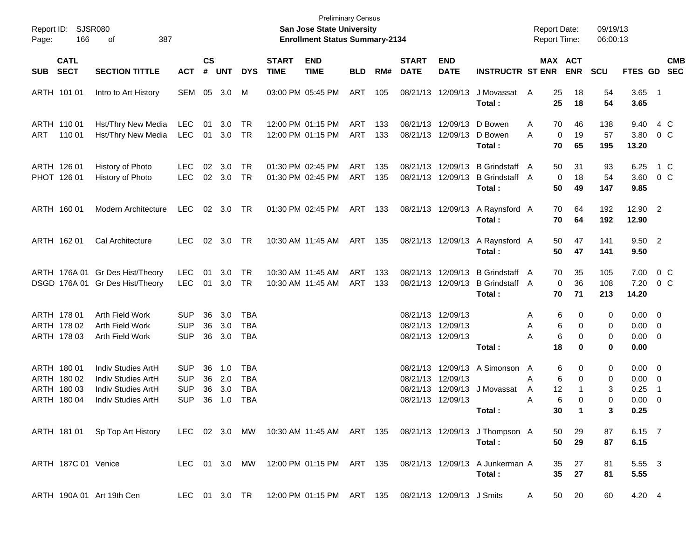| Page:      | Report ID: SJSR080<br>166                                | 387<br>of                                                                                             |                                                      |                             |                          |                                                      |                             | <b>Preliminary Census</b><br>San Jose State University<br><b>Enrollment Status Summary-2134</b> |                   |            |                                              |                                           |                                                                                   | <b>Report Date:</b><br><b>Report Time:</b> |                                               | 09/19/13<br>06:00:13  |                                                    |                                |            |
|------------|----------------------------------------------------------|-------------------------------------------------------------------------------------------------------|------------------------------------------------------|-----------------------------|--------------------------|------------------------------------------------------|-----------------------------|-------------------------------------------------------------------------------------------------|-------------------|------------|----------------------------------------------|-------------------------------------------|-----------------------------------------------------------------------------------|--------------------------------------------|-----------------------------------------------|-----------------------|----------------------------------------------------|--------------------------------|------------|
| <b>SUB</b> | <b>CATL</b><br><b>SECT</b>                               | <b>SECTION TITTLE</b>                                                                                 | <b>ACT</b>                                           | $\mathsf{cs}$<br>$\pmb{\#}$ | <b>UNT</b>               | <b>DYS</b>                                           | <b>START</b><br><b>TIME</b> | <b>END</b><br><b>TIME</b>                                                                       | <b>BLD</b>        | RM#        | <b>START</b><br><b>DATE</b>                  | <b>END</b><br><b>DATE</b>                 | <b>INSTRUCTR ST ENR</b>                                                           |                                            | MAX ACT<br><b>ENR</b>                         | <b>SCU</b>            | FTES GD SEC                                        |                                | <b>CMB</b> |
|            | ARTH 101 01                                              | Intro to Art History                                                                                  | SEM                                                  | 05                          | 3.0                      | M                                                    |                             | 03:00 PM 05:45 PM                                                                               | ART               | 105        | 08/21/13                                     | 12/09/13                                  | J Movassat<br>Total:                                                              | A                                          | 25<br>18<br>25<br>18                          | 54<br>54              | $3.65$ 1<br>3.65                                   |                                |            |
| ART        | ARTH 110 01<br>110 01                                    | Hst/Thry New Media<br>Hst/Thry New Media                                                              | <b>LEC</b><br><b>LEC</b>                             | 01<br>01                    | 3.0<br>3.0               | TR<br>TR                                             |                             | 12:00 PM 01:15 PM<br>12:00 PM 01:15 PM                                                          | ART<br>ART        | 133<br>133 | 08/21/13<br>08/21/13                         | 12/09/13<br>12/09/13                      | D Bowen<br>D Bowen<br>Total:                                                      | A<br>A                                     | 70<br>46<br>$\mathbf 0$<br>19<br>70<br>65     | 138<br>57<br>195      | 9.40<br>3.80<br>13.20                              | 4 C<br>0 C                     |            |
|            | ARTH 126 01<br>PHOT 126 01                               | History of Photo<br>History of Photo                                                                  | LEC.<br><b>LEC</b>                                   | 02                          | 3.0<br>02 3.0            | TR<br>TR                                             |                             | 01:30 PM 02:45 PM<br>01:30 PM 02:45 PM                                                          | <b>ART</b><br>ART | 135<br>135 | 08/21/13<br>08/21/13                         | 12/09/13<br>12/09/13                      | <b>B</b> Grindstaff<br>B Grindstaff A<br>Total:                                   | A                                          | 50<br>31<br>$\mathbf 0$<br>18<br>50<br>49     | 93<br>54<br>147       | 6.25<br>3.60<br>9.85                               | 1 C<br>$0\,C$                  |            |
|            | ARTH 160 01                                              | Modern Architecture                                                                                   | <b>LEC</b>                                           |                             | 02 3.0                   | TR                                                   |                             | 01:30 PM 02:45 PM                                                                               | ART               | 133        |                                              |                                           | 08/21/13 12/09/13 A Raynsford A<br>Total :                                        |                                            | 70<br>64<br>70<br>64                          | 192<br>192            | 12.90 2<br>12.90                                   |                                |            |
|            | ARTH 162 01                                              | Cal Architecture                                                                                      | LEC.                                                 |                             | 02 3.0                   | TR                                                   |                             | 10:30 AM 11:45 AM                                                                               | ART               | 135        |                                              |                                           | 08/21/13 12/09/13 A Raynsford A<br>Total :                                        |                                            | 50<br>47<br>50<br>47                          | 141<br>141            | 9.50 2<br>9.50                                     |                                |            |
|            |                                                          | ARTH 176A 01 Gr Des Hist/Theory<br>DSGD 176A 01 Gr Des Hist/Theory                                    | <b>LEC</b><br><b>LEC</b>                             | 01<br>01                    | 3.0<br>3.0               | <b>TR</b><br>TR                                      |                             | 10:30 AM 11:45 AM<br>10:30 AM 11:45 AM                                                          | ART<br>ART        | 133<br>133 | 08/21/13<br>08/21/13                         | 12/09/13<br>12/09/13                      | <b>B</b> Grindstaff<br><b>B</b> Grindstaff A<br>Total:                            | A                                          | 35<br>70<br>$\mathbf 0$<br>36<br>70<br>71     | 105<br>108<br>213     | 7.00<br>7.20<br>14.20                              | $0\,$ C<br>0 C                 |            |
|            | ARTH 178 01<br>ARTH 178 02<br>ARTH 178 03                | Arth Field Work<br>Arth Field Work<br>Arth Field Work                                                 | <b>SUP</b><br><b>SUP</b><br><b>SUP</b>               | 36<br>36<br>36              | 3.0<br>3.0<br>3.0        | TBA<br><b>TBA</b><br><b>TBA</b>                      |                             |                                                                                                 |                   |            | 08/21/13<br>08/21/13                         | 12/09/13<br>12/09/13<br>08/21/13 12/09/13 | Total:                                                                            | A<br>Α<br>А                                | 6<br>0<br>6<br>0<br>6<br>0<br>18<br>$\bf{0}$  | 0<br>0<br>0<br>0      | $0.00 \t 0$<br>$0.00 \t 0$<br>$0.00 \t 0$<br>0.00  |                                |            |
|            | ARTH 180 01<br>ARTH 180 02<br>ARTH 180 03<br>ARTH 180 04 | Indiv Studies ArtH<br><b>Indiv Studies ArtH</b><br>Indiv Studies ArtH<br><b>Indiv Studies ArtH</b>    | <b>SUP</b><br><b>SUP</b><br><b>SUP</b><br><b>SUP</b> | 36<br>36<br>36<br>36        | 1.0<br>2.0<br>3.0<br>1.0 | <b>TBA</b><br><b>TBA</b><br><b>TBA</b><br><b>TBA</b> |                             |                                                                                                 |                   |            | 08/21/13<br>08/21/13<br>08/21/13<br>08/21/13 | 12/09/13<br>12/09/13<br>12/09/13          | 12/09/13 A Simonson<br>J Movassat<br>Total :                                      | A<br>A<br>A<br>A                           | 6<br>0<br>6<br>0<br>12<br>6<br>$\Omega$<br>30 | 0<br>0<br>3<br>0<br>3 | $0.00 \t 0$<br>$0.00 \t 0$<br>0.25<br>0.00<br>0.25 | - 1<br>$\overline{\mathbf{0}}$ |            |
|            |                                                          | ARTH 181 01 Sp Top Art History LEC 02 3.0 MW 10:30 AM 11:45 AM ART 135 08/21/13 12/09/13 J Thompson A |                                                      |                             |                          |                                                      |                             |                                                                                                 |                   |            |                                              |                                           | Total:                                                                            |                                            | 50<br>29<br>50<br>29                          | 87<br>87              | 6.15 7<br>6.15                                     |                                |            |
|            | ARTH 187C 01 Venice                                      |                                                                                                       |                                                      |                             |                          |                                                      |                             |                                                                                                 |                   |            |                                              |                                           | LEC 01 3.0 MW 12:00 PM 01:15 PM ART 135 08/21/13 12/09/13 A Junkerman A<br>Total: |                                            | 27<br>35<br>35 <sub>5</sub><br>27             | 81<br>81              | 5.55 3<br>5.55                                     |                                |            |
|            |                                                          | ARTH 190A 01 Art 19th Cen                                                                             |                                                      |                             |                          |                                                      |                             | LEC 01 3.0 TR  12:00 PM  01:15 PM  ART  135  08/21/13  12/09/13  J Smits                        |                   |            |                                              |                                           |                                                                                   | A                                          | 20<br>50                                      | 60                    | 4.20 4                                             |                                |            |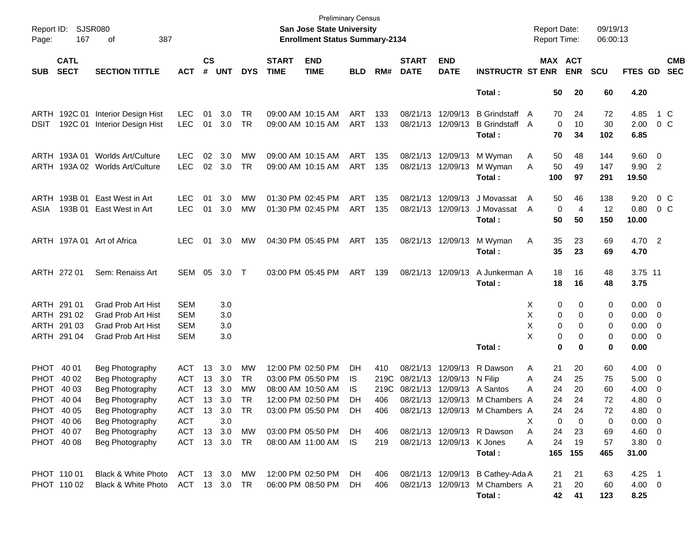| Page:       | Report ID: SJSR080<br>167  | 387<br>οf                       |               |                    |            |            |                             | <b>Preliminary Census</b><br>San Jose State University<br><b>Enrollment Status Summary-2134</b> |            |      |                             |                           |                                  | <b>Report Date:</b><br><b>Report Time:</b> |                   |                       | 09/19/13<br>06:00:13 |                     |                          |                          |
|-------------|----------------------------|---------------------------------|---------------|--------------------|------------|------------|-----------------------------|-------------------------------------------------------------------------------------------------|------------|------|-----------------------------|---------------------------|----------------------------------|--------------------------------------------|-------------------|-----------------------|----------------------|---------------------|--------------------------|--------------------------|
| <b>SUB</b>  | <b>CATL</b><br><b>SECT</b> | <b>SECTION TITTLE</b>           | <b>ACT</b>    | $\mathsf{cs}$<br># | <b>UNT</b> | <b>DYS</b> | <b>START</b><br><b>TIME</b> | <b>END</b><br><b>TIME</b>                                                                       | <b>BLD</b> | RM#  | <b>START</b><br><b>DATE</b> | <b>END</b><br><b>DATE</b> | <b>INSTRUCTR ST ENR</b>          |                                            |                   | MAX ACT<br><b>ENR</b> | <b>SCU</b>           | FTES GD             |                          | <b>CMB</b><br><b>SEC</b> |
|             |                            |                                 |               |                    |            |            |                             |                                                                                                 |            |      |                             |                           | Total:                           |                                            | 50                | 20                    | 60                   | 4.20                |                          |                          |
|             | ARTH 192C 01               | Interior Design Hist            | LEC.          | 01                 | 3.0        | TR         |                             | 09:00 AM 10:15 AM                                                                               | ART        | 133  |                             | 08/21/13 12/09/13         | <b>B</b> Grindstaff              | $\mathsf{A}$                               | 70                | 24                    | 72                   | 4.85                |                          | 1 C                      |
| DSIT        | 192C 01                    | Interior Design Hist            | <b>LEC</b>    | 01                 | 3.0        | TR         |                             | 09:00 AM 10:15 AM                                                                               | ART        | 133  |                             | 08/21/13 12/09/13         | <b>B</b> Grindstaff A<br>Total:  |                                            | $\mathbf 0$<br>70 | 10<br>34              | 30<br>102            | 2.00<br>6.85        | 0 C                      |                          |
|             |                            | ARTH 193A 01 Worlds Art/Culture | LEC.          | 02                 | 3.0        | MW         |                             | 09:00 AM 10:15 AM                                                                               | ART        | 135  |                             | 08/21/13 12/09/13         | M Wyman                          | Α                                          | 50                | 48                    | 144                  | $9.60 \quad 0$      |                          |                          |
|             |                            | ARTH 193A 02 Worlds Art/Culture | <b>LEC</b>    |                    | 02 3.0     | TR         |                             | 09:00 AM 10:15 AM                                                                               | ART        | 135  |                             | 08/21/13 12/09/13         | M Wyman<br>Total :               | A                                          | 50<br>100         | 49<br>97              | 147<br>291           | 9.90 2<br>19.50     |                          |                          |
|             | ARTH 193B 01               | East West in Art                | <b>LEC</b>    | 01                 | 3.0        | МW         |                             | 01:30 PM 02:45 PM                                                                               | ART        | 135  |                             | 08/21/13 12/09/13         | J Movassat                       | A                                          | 50                | 46                    | 138                  | 9.20                | 0 C                      |                          |
| ASIA        | 193B 01                    | East West in Art                | LEC.          | 01                 | 3.0        | МW         |                             | 01:30 PM 02:45 PM                                                                               | ART        | 135  |                             | 08/21/13 12/09/13         | J Movassat<br>Total :            | A                                          | 0<br>50           | $\overline{4}$<br>50  | 12<br>150            | 0.80<br>10.00       |                          | $0\,$ C                  |
|             |                            | ARTH 197A 01 Art of Africa      | LEC.          | 01                 | 3.0        | МW         |                             | 04:30 PM 05:45 PM                                                                               | ART 135    |      |                             | 08/21/13 12/09/13         | M Wyman<br>Total :               | Α                                          | 35<br>35          | 23<br>23              | 69<br>69             | 4.70 2<br>4.70      |                          |                          |
|             | ARTH 272 01                | Sem: Renaiss Art                | SEM           | 05                 | 3.0        | $\top$     |                             | 03:00 PM 05:45 PM                                                                               | ART        | 139  |                             | 08/21/13 12/09/13         | A Junkerman A<br>Total:          |                                            | 18<br>18          | 16<br>16              | 48<br>48             | 3.75 11<br>3.75     |                          |                          |
|             | ARTH 291 01                | <b>Grad Prob Art Hist</b>       | <b>SEM</b>    |                    | 3.0        |            |                             |                                                                                                 |            |      |                             |                           |                                  | X.                                         | 0                 | 0                     | 0                    | $0.00 \t 0$         |                          |                          |
|             | ARTH 291 02                | <b>Grad Prob Art Hist</b>       | <b>SEM</b>    |                    | 3.0        |            |                             |                                                                                                 |            |      |                             |                           |                                  | х                                          | 0                 | 0                     | 0                    | $0.00 \t 0$         |                          |                          |
|             | ARTH 291 03                | <b>Grad Prob Art Hist</b>       | <b>SEM</b>    |                    | 3.0        |            |                             |                                                                                                 |            |      |                             |                           |                                  | х                                          | 0                 | 0                     | 0                    | $0.00 \t 0$         |                          |                          |
|             | ARTH 291 04                | <b>Grad Prob Art Hist</b>       | SEM           |                    | 3.0        |            |                             |                                                                                                 |            |      |                             |                           | Total:                           | X                                          | 0<br>0            | 0<br>0                | 0<br>0               | $0.00 \t 0$<br>0.00 |                          |                          |
|             | PHOT 40 01                 | Beg Photography                 | ACT           | 13                 | 3.0        | MW         |                             | 12:00 PM 02:50 PM                                                                               | DH         | 410  |                             | 08/21/13 12/09/13         | R Dawson                         | Α                                          | 21                | 20                    | 60                   | $4.00 \t 0$         |                          |                          |
| PHOT        | 40 02                      | Beg Photography                 | ACT           |                    | 13 3.0     | TR         |                             | 03:00 PM 05:50 PM                                                                               | IS.        | 219C | 08/21/13                    | 12/09/13                  | N Filip                          | Α                                          | 24                | 25                    | 75                   | $5.00 \t 0$         |                          |                          |
| <b>PHOT</b> | 40 03                      | Beg Photography                 | <b>ACT</b>    | 13                 | 3.0        | MW         |                             | 08:00 AM 10:50 AM                                                                               | IS         | 219C | 08/21/13                    |                           | 12/09/13 A Santos                | Α                                          | 24                | 20                    | 60                   | 4.00                | $\overline{\phantom{0}}$ |                          |
|             | PHOT 40 04                 | Beg Photography                 | <b>ACT</b>    |                    | 13 3.0     | TR         |                             | 12:00 PM 02:50 PM                                                                               | DH         | 406  |                             |                           | 08/21/13 12/09/13 M Chambers A   |                                            | 24                | 24                    | 72                   | 4.80                | - 0                      |                          |
|             | PHOT 40 05                 | Beg Photography                 | ACT 13 3.0 TR |                    |            |            |                             | 03:00 PM 05:50 PM                                                                               | DH         | 406  |                             |                           | 08/21/13 12/09/13 M Chambers A   |                                            | 24                | 24                    | 72                   | 4.80                | - 0                      |                          |
|             | PHOT 40 06                 | Beg Photography                 | ACT           |                    | 3.0        |            |                             |                                                                                                 |            |      |                             |                           |                                  | X.                                         | 0                 | 0                     | 0                    | $0.00 \t 0$         |                          |                          |
|             | PHOT 40 07                 | Beg Photography                 | ACT 13 3.0    |                    |            | MW         |                             | 03:00 PM 05:50 PM                                                                               | DH.        | 406  |                             |                           | 08/21/13 12/09/13 R Dawson       | A                                          | 24                | 23                    | 69                   | $4.60 \quad 0$      |                          |                          |
|             | PHOT 40 08                 | Beg Photography                 | ACT 13 3.0 TR |                    |            |            |                             | 08:00 AM 11:00 AM                                                                               | IS.        | 219  |                             | 08/21/13 12/09/13 K Jones | Total:                           | A                                          | 24<br>165         | 19<br>155             | 57<br>465            | $3.80\ 0$<br>31.00  |                          |                          |
|             | PHOT 110 01                | Black & White Photo             | ACT 13 3.0 MW |                    |            |            |                             | 12:00 PM 02:50 PM                                                                               | DH.        | 406  |                             |                           | 08/21/13 12/09/13 B Cathey-Ada A |                                            | 21                | 21                    | 63                   | $4.25$ 1            |                          |                          |
|             | PHOT 110 02                | Black & White Photo             | ACT 13 3.0 TR |                    |            |            |                             | 06:00 PM 08:50 PM                                                                               | DH.        | 406  |                             |                           | 08/21/13 12/09/13 M Chambers A   |                                            | 21                | 20                    | 60                   | $4.00 \ 0$          |                          |                          |
|             |                            |                                 |               |                    |            |            |                             |                                                                                                 |            |      |                             |                           | Total:                           |                                            | 42                | 41                    | 123                  | 8.25                |                          |                          |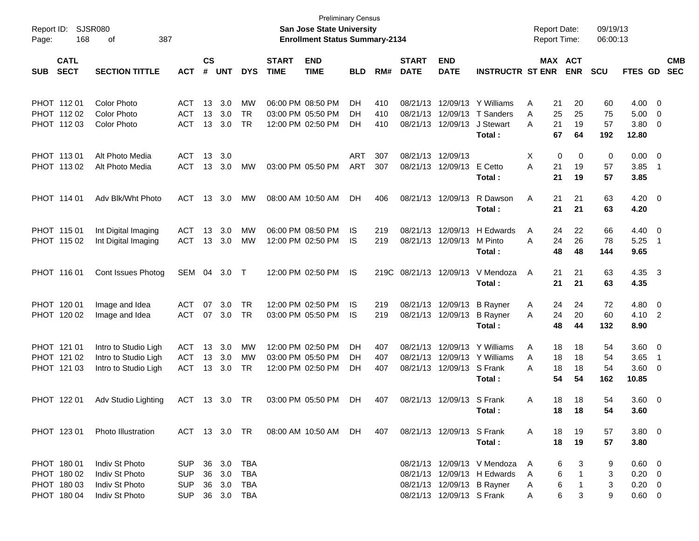| Report ID:<br>168<br>Page:                               | <b>SJSR080</b><br>387<br>οf                                          |                                                      |                |                                   |                                 |                             | <b>San Jose State University</b><br><b>Enrollment Status Summary-2134</b> | <b>Preliminary Census</b> |                   |                                  |                                  |                                                                                          | <b>Report Date:</b><br>Report Time: |                      |                       | 09/19/13<br>06:00:13  |                                                           |                                 |                          |
|----------------------------------------------------------|----------------------------------------------------------------------|------------------------------------------------------|----------------|-----------------------------------|---------------------------------|-----------------------------|---------------------------------------------------------------------------|---------------------------|-------------------|----------------------------------|----------------------------------|------------------------------------------------------------------------------------------|-------------------------------------|----------------------|-----------------------|-----------------------|-----------------------------------------------------------|---------------------------------|--------------------------|
| <b>CATL</b><br><b>SECT</b><br><b>SUB</b>                 | <b>SECTION TITTLE</b>                                                | <b>ACT</b>                                           | <b>CS</b><br># | <b>UNT</b>                        | <b>DYS</b>                      | <b>START</b><br><b>TIME</b> | <b>END</b><br><b>TIME</b>                                                 | <b>BLD</b>                | RM#               | <b>START</b><br><b>DATE</b>      | <b>END</b><br><b>DATE</b>        | <b>INSTRUCTR ST ENR</b>                                                                  |                                     |                      | MAX ACT<br><b>ENR</b> | <b>SCU</b>            | FTES GD                                                   |                                 | <b>CMB</b><br><b>SEC</b> |
| PHOT 11201<br>PHOT 112 02<br>PHOT 112 03                 | <b>Color Photo</b><br><b>Color Photo</b><br><b>Color Photo</b>       | <b>ACT</b><br><b>ACT</b><br><b>ACT</b>               | 13<br>13<br>13 | 3.0<br>3.0<br>3.0                 | MW<br><b>TR</b><br><b>TR</b>    |                             | 06:00 PM 08:50 PM<br>03:00 PM 05:50 PM<br>12:00 PM 02:50 PM               | DН<br>DН<br>DН            | 410<br>410<br>410 | 08/21/13<br>08/21/13<br>08/21/13 | 12/09/13<br>12/09/13<br>12/09/13 | Y Williams<br>T Sanders<br>J Stewart<br>Total:                                           | Α<br>A<br>A                         | 21<br>25<br>21<br>67 | 20<br>25<br>19<br>64  | 60<br>75<br>57<br>192 | 4.00<br>5.00<br>3.80<br>12.80                             | - 0<br>$\mathbf 0$<br>0         |                          |
| PHOT 11301<br>PHOT 113 02                                | Alt Photo Media<br>Alt Photo Media                                   | <b>ACT</b><br><b>ACT</b>                             | 13<br>13       | 3.0<br>3.0                        | <b>MW</b>                       |                             | 03:00 PM 05:50 PM                                                         | <b>ART</b><br><b>ART</b>  | 307<br>307        | 08/21/13<br>08/21/13             | 12/09/13<br>12/09/13             | E Cetto<br>Total:                                                                        | X<br>A                              | 0<br>21<br>21        | 0<br>19<br>19         | 0<br>57<br>57         | 0.00<br>3.85<br>3.85                                      | 0<br>$\overline{\phantom{0}}$ 1 |                          |
| PHOT 114 01                                              | Adv Blk/Wht Photo                                                    | <b>ACT</b>                                           | 13             | 3.0                               | MW                              |                             | 08:00 AM 10:50 AM                                                         | DH                        | 406               | 08/21/13                         | 12/09/13                         | R Dawson<br>Total:                                                                       | Α                                   | 21<br>21             | 21<br>21              | 63<br>63              | 4.20<br>4.20                                              | $\overline{\mathbf{0}}$         |                          |
| PHOT 115 01<br>PHOT 115 02                               | Int Digital Imaging<br>Int Digital Imaging                           | <b>ACT</b><br><b>ACT</b>                             | 13<br>13       | 3.0<br>3.0                        | MW<br><b>MW</b>                 |                             | 06:00 PM 08:50 PM<br>12:00 PM 02:50 PM                                    | IS<br><b>IS</b>           | 219<br>219        | 08/21/13<br>08/21/13             | 12/09/13<br>12/09/13             | H Edwards<br>M Pinto<br>Total:                                                           | A<br>A                              | 24<br>24<br>48       | 22<br>26<br>48        | 66<br>78<br>144       | 4.40<br>5.25<br>9.65                                      | 0<br>$\overline{\phantom{1}}$   |                          |
| PHOT 116 01                                              | Cont Issues Photog                                                   | SEM 04                                               |                | 3.0                               | $\top$                          |                             | 12:00 PM 02:50 PM                                                         | IS                        | 219C              | 08/21/13                         | 12/09/13                         | V Mendoza<br>Total:                                                                      | A                                   | 21<br>21             | 21<br>21              | 63<br>63              | 4.35 3<br>4.35                                            |                                 |                          |
| PHOT 120 01<br>PHOT 120 02                               | Image and Idea<br>Image and Idea                                     | <b>ACT</b><br><b>ACT</b>                             | 07<br>07       | 3.0<br>3.0                        | <b>TR</b><br>TR                 |                             | 12:00 PM 02:50 PM<br>03:00 PM 05:50 PM                                    | IS<br><b>IS</b>           | 219<br>219        | 08/21/13<br>08/21/13             | 12/09/13<br>12/09/13             | <b>B</b> Rayner<br><b>B</b> Rayner<br>Total:                                             | A<br>A                              | 24<br>24<br>48       | 24<br>20<br>44        | 72<br>60<br>132       | 4.80<br>4.10<br>8.90                                      | 0<br>$\overline{2}$             |                          |
| PHOT 121 01<br>PHOT 121 02<br>PHOT 121 03                | Intro to Studio Ligh<br>Intro to Studio Ligh<br>Intro to Studio Ligh | ACT<br><b>ACT</b><br><b>ACT</b>                      | 13<br>13<br>13 | 3.0<br>3.0<br>3.0                 | MW<br>MW<br><b>TR</b>           |                             | 12:00 PM 02:50 PM<br>03:00 PM 05:50 PM<br>12:00 PM 02:50 PM               | DН<br>DН<br>DН            | 407<br>407<br>407 | 08/21/13<br>08/21/13<br>08/21/13 | 12/09/13<br>12/09/13<br>12/09/13 | Y Williams<br>Y Williams<br>S Frank<br>Total:                                            | A<br>Α<br>A                         | 18<br>18<br>18<br>54 | 18<br>18<br>18<br>54  | 54<br>54<br>54<br>162 | 3.60<br>3.65<br>3.60<br>10.85                             | 0<br>$\overline{1}$<br>0        |                          |
| PHOT 122 01                                              | Adv Studio Lighting                                                  | ACT                                                  |                | 13 3.0                            | TR                              |                             | 03:00 PM 05:50 PM                                                         | <b>DH</b>                 | 407               | 08/21/13                         | 12/09/13 S Frank                 | Total:                                                                                   | Α                                   | 18<br>18             | 18<br>18              | 54<br>54              | 3.60<br>3.60                                              | $\overline{\mathbf{0}}$         |                          |
| PHOT 123 01                                              | <b>Photo Illustration</b>                                            | ACT 13 3.0 TR                                        |                |                                   |                                 |                             | 08:00 AM 10:50 AM                                                         | DH.                       | 407               |                                  | 08/21/13 12/09/13 S Frank        | Total:                                                                                   | A                                   | 18<br>18             | 19<br>19              | 57<br>57              | $3.80\ 0$<br>3.80                                         |                                 |                          |
| PHOT 180 01<br>PHOT 180 02<br>PHOT 180 03<br>PHOT 180 04 | Indiv St Photo<br>Indiv St Photo<br>Indiv St Photo<br>Indiv St Photo | <b>SUP</b><br><b>SUP</b><br><b>SUP</b><br><b>SUP</b> | 36             | 36 3.0<br>3.0<br>36 3.0<br>36 3.0 | TBA<br><b>TBA</b><br>TBA<br>TBA |                             |                                                                           |                           |                   |                                  | 08/21/13 12/09/13 S Frank        | 08/21/13 12/09/13 V Mendoza<br>08/21/13 12/09/13 H Edwards<br>08/21/13 12/09/13 B Rayner | A<br>A<br>A<br>A                    | 6<br>6<br>6<br>6     | 3<br>-1<br>1<br>3     | 9<br>3<br>3<br>9      | $0.60 \quad 0$<br>$0.20 \ 0$<br>$0.20 \ 0$<br>$0.60 \t 0$ |                                 |                          |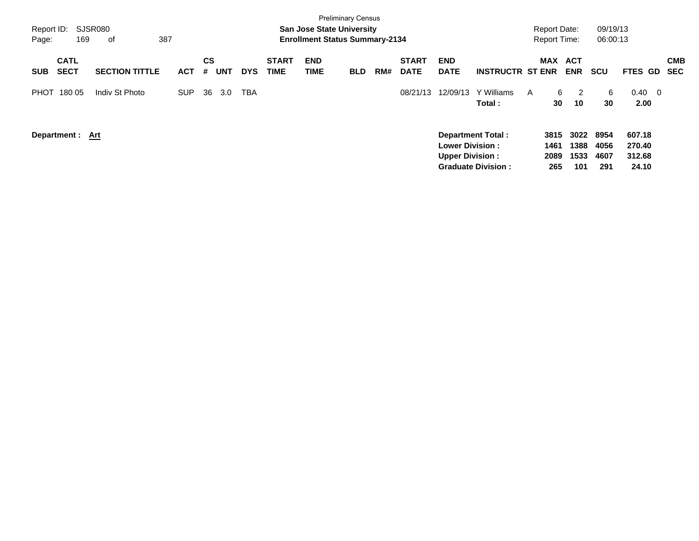| Report ID:<br>169<br>Page:               | SJSR080<br>387<br>оf  |            |                       |            |                             | <b>Preliminary Census</b><br><b>San Jose State University</b><br><b>Enrollment Status Summary-2134</b> |            |     |                             |                                                  |                                                       | <b>Report Date:</b><br><b>Report Time:</b> |                             | 09/19/13<br>06:00:13        |                                     |                          |
|------------------------------------------|-----------------------|------------|-----------------------|------------|-----------------------------|--------------------------------------------------------------------------------------------------------|------------|-----|-----------------------------|--------------------------------------------------|-------------------------------------------------------|--------------------------------------------|-----------------------------|-----------------------------|-------------------------------------|--------------------------|
| <b>CATL</b><br><b>SECT</b><br><b>SUB</b> | <b>SECTION TITTLE</b> | <b>ACT</b> | CS<br><b>UNT</b><br># | <b>DYS</b> | <b>START</b><br><b>TIME</b> | <b>END</b><br>TIME                                                                                     | <b>BLD</b> | RM# | <b>START</b><br><b>DATE</b> | <b>END</b><br><b>DATE</b>                        | <b>INSTRUCTR ST ENR</b>                               | <b>MAX</b>                                 | <b>ACT</b><br><b>ENR</b>    | <b>SCU</b>                  | <b>FTES</b><br>GD.                  | <b>CMB</b><br><b>SEC</b> |
| 180 05<br><b>PHOT</b>                    | Indiv St Photo        | <b>SUP</b> | 36<br>3.0             | <b>TBA</b> |                             |                                                                                                        |            |     | 08/21/13                    | 12/09/13                                         | Y Williams<br>Total:                                  | 6<br>A<br>30                               | -2<br>10                    | 6<br>30                     | $0.40 \quad 0$<br>2.00              |                          |
| Department: Art                          |                       |            |                       |            |                             |                                                                                                        |            |     |                             | <b>Lower Division:</b><br><b>Upper Division:</b> | <b>Department Total:</b><br><b>Graduate Division:</b> | 3815<br>1461<br>2089<br>265                | 3022<br>1388<br>1533<br>101 | 8954<br>4056<br>4607<br>291 | 607.18<br>270.40<br>312.68<br>24.10 |                          |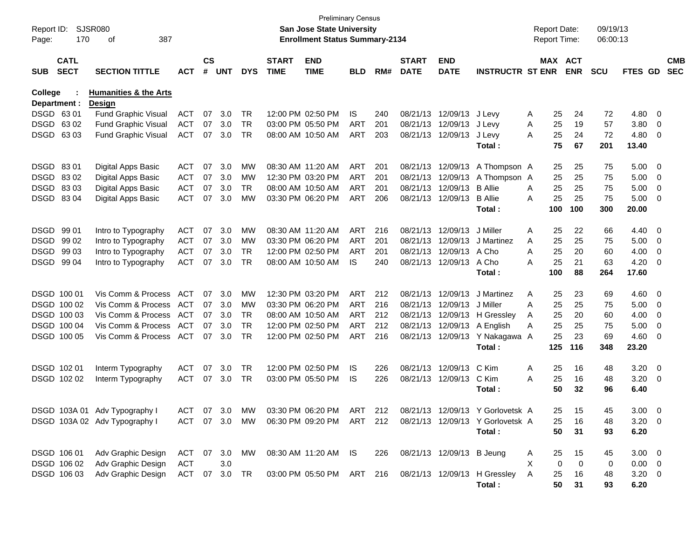| Report ID:<br>Page: | 170                        | SJSR080<br>387<br>оf                              |            |                    |            |               |                             | <b>Preliminary Census</b><br><b>San Jose State University</b><br><b>Enrollment Status Summary-2134</b> |            |     |                             |                           |                                                            | <b>Report Date:</b><br>Report Time: |         |            | 09/19/13<br>06:00:13 |                |                          |                          |
|---------------------|----------------------------|---------------------------------------------------|------------|--------------------|------------|---------------|-----------------------------|--------------------------------------------------------------------------------------------------------|------------|-----|-----------------------------|---------------------------|------------------------------------------------------------|-------------------------------------|---------|------------|----------------------|----------------|--------------------------|--------------------------|
| <b>SUB</b>          | <b>CATL</b><br><b>SECT</b> | <b>SECTION TITTLE</b>                             | <b>ACT</b> | $\mathsf{cs}$<br># | <b>UNT</b> | <b>DYS</b>    | <b>START</b><br><b>TIME</b> | <b>END</b><br><b>TIME</b>                                                                              | <b>BLD</b> | RM# | <b>START</b><br><b>DATE</b> | <b>END</b><br><b>DATE</b> | <b>INSTRUCTR ST ENR</b>                                    |                                     | MAX ACT | <b>ENR</b> | <b>SCU</b>           | FTES GD        |                          | <b>CMB</b><br><b>SEC</b> |
| <b>College</b>      | Department :               | <b>Humanities &amp; the Arts</b><br><b>Design</b> |            |                    |            |               |                             |                                                                                                        |            |     |                             |                           |                                                            |                                     |         |            |                      |                |                          |                          |
|                     | DSGD 6301                  | <b>Fund Graphic Visual</b>                        | <b>ACT</b> | 07                 | 3.0        | TR            |                             | 12:00 PM 02:50 PM                                                                                      | IS         | 240 | 08/21/13                    | 12/09/13                  | J Levy                                                     | Α                                   | 25      | 24         | 72                   | 4.80           | $\overline{\phantom{0}}$ |                          |
|                     | DSGD 6302                  | Fund Graphic Visual                               | <b>ACT</b> | 07                 | 3.0        | <b>TR</b>     |                             | 03:00 PM 05:50 PM                                                                                      | <b>ART</b> | 201 |                             | 08/21/13 12/09/13         | J Levy                                                     | Α                                   | 25      | 19         | 57                   | 3.80           | 0                        |                          |
|                     | DSGD 6303                  | Fund Graphic Visual                               | <b>ACT</b> | 07                 | 3.0        | <b>TR</b>     |                             | 08:00 AM 10:50 AM                                                                                      | <b>ART</b> | 203 |                             | 08/21/13 12/09/13         | J Levy                                                     | A                                   | 25      | 24         | 72                   | 4.80           | 0                        |                          |
|                     |                            |                                                   |            |                    |            |               |                             |                                                                                                        |            |     |                             |                           | Total:                                                     |                                     | 75      | 67         | 201                  | 13.40          |                          |                          |
|                     | DSGD 8301                  | Digital Apps Basic                                | <b>ACT</b> | 07                 | 3.0        | MW            |                             | 08:30 AM 11:20 AM                                                                                      | ART        | 201 | 08/21/13                    | 12/09/13                  | A Thompson A                                               |                                     | 25      | 25         | 75                   | 5.00           | $\overline{\mathbf{0}}$  |                          |
|                     | DSGD 8302                  | Digital Apps Basic                                | <b>ACT</b> | 07                 | 3.0        | MW            |                             | 12:30 PM 03:20 PM                                                                                      | <b>ART</b> | 201 | 08/21/13                    | 12/09/13                  | A Thompson A                                               |                                     | 25      | 25         | 75                   | 5.00           | 0                        |                          |
|                     | DSGD 8303                  | Digital Apps Basic                                | <b>ACT</b> | 07                 | 3.0        | TR            |                             | 08:00 AM 10:50 AM                                                                                      | <b>ART</b> | 201 | 08/21/13                    | 12/09/13                  | <b>B</b> Allie                                             | Α                                   | 25      | 25         | 75                   | 5.00           | 0                        |                          |
|                     | DSGD 8304                  | Digital Apps Basic                                | <b>ACT</b> | 07                 | 3.0        | MW            |                             | 03:30 PM 06:20 PM                                                                                      | ART        | 206 |                             | 08/21/13 12/09/13         | <b>B</b> Allie                                             | A                                   | 25      | 25         | 75                   | 5.00           | 0                        |                          |
|                     |                            |                                                   |            |                    |            |               |                             |                                                                                                        |            |     |                             |                           | Total:                                                     |                                     | 100     | 100        | 300                  | 20.00          |                          |                          |
|                     | DSGD 99 01                 | Intro to Typography                               | <b>ACT</b> | 07                 | 3.0        | MW            |                             | 08:30 AM 11:20 AM                                                                                      | ART        | 216 | 08/21/13                    | 12/09/13                  | J Miller                                                   | Α                                   | 25      | 22         | 66                   | 4.40           | $\overline{\phantom{0}}$ |                          |
|                     | DSGD 99 02                 | Intro to Typography                               | <b>ACT</b> | 07                 | 3.0        | MW            |                             | 03:30 PM 06:20 PM                                                                                      | <b>ART</b> | 201 | 08/21/13                    | 12/09/13                  | J Martinez                                                 | Α                                   | 25      | 25         | 75                   | 5.00           | $\overline{0}$           |                          |
|                     | DSGD 99 03                 | Intro to Typography                               | <b>ACT</b> | 07                 | 3.0        | <b>TR</b>     |                             | 12:00 PM 02:50 PM                                                                                      | <b>ART</b> | 201 | 08/21/13                    | 12/09/13                  | A Cho                                                      | A                                   | 25      | 20         | 60                   | 4.00           | 0                        |                          |
|                     | DSGD 99 04                 | Intro to Typography                               | <b>ACT</b> | 07                 | 3.0        | <b>TR</b>     |                             | 08:00 AM 10:50 AM                                                                                      | IS         | 240 |                             | 08/21/13 12/09/13         | A Cho                                                      | Α                                   | 25      | 21         | 63                   | 4.20           | 0                        |                          |
|                     |                            |                                                   |            |                    |            |               |                             |                                                                                                        |            |     |                             |                           | Total:                                                     |                                     | 100     | 88         | 264                  | 17.60          |                          |                          |
|                     | DSGD 100 01                | Vis Comm & Process                                | <b>ACT</b> | 07                 | 3.0        | MW            |                             | 12:30 PM 03:20 PM                                                                                      | ART        | 212 | 08/21/13                    | 12/09/13                  | J Martinez                                                 | Α                                   | 25      | 23         | 69                   | 4.60           | $\overline{\phantom{0}}$ |                          |
|                     | DSGD 100 02                | Vis Comm & Process                                | <b>ACT</b> | 07                 | 3.0        | MW            |                             | 03:30 PM 06:20 PM                                                                                      | ART        | 216 | 08/21/13                    | 12/09/13                  | J Miller                                                   | Α                                   | 25      | 25         | 75                   | 5.00           | $\overline{0}$           |                          |
|                     | DSGD 100 03                | Vis Comm & Process                                | <b>ACT</b> | 07                 | 3.0        | <b>TR</b>     |                             | 08:00 AM 10:50 AM                                                                                      | ART        | 212 | 08/21/13                    | 12/09/13                  | H Gressley                                                 | A                                   | 25      | 20         | 60                   | 4.00           | 0                        |                          |
|                     | DSGD 100 04                | Vis Comm & Process                                | <b>ACT</b> | 07                 | 3.0        | <b>TR</b>     |                             | 12:00 PM 02:50 PM                                                                                      | ART        | 212 | 08/21/13                    | 12/09/13                  | A English                                                  | Α                                   | 25      | 25         | 75                   | 5.00           | 0                        |                          |
|                     | DSGD 100 05                | Vis Comm & Process                                | ACT        | 07                 | 3.0        | <b>TR</b>     |                             | 12:00 PM 02:50 PM                                                                                      | ART        | 216 |                             | 08/21/13 12/09/13         | Y Nakagawa A                                               |                                     | 25      | 23         | 69                   | 4.60           | 0                        |                          |
|                     |                            |                                                   |            |                    |            |               |                             |                                                                                                        |            |     |                             |                           | Total:                                                     |                                     | 125     | 116        | 348                  | 23.20          |                          |                          |
|                     | DSGD 102 01                | Interm Typography                                 | <b>ACT</b> | 07                 | 3.0        | <b>TR</b>     |                             | 12:00 PM 02:50 PM                                                                                      | IS         | 226 |                             | 08/21/13 12/09/13         | C Kim                                                      | Α                                   | 25      | 16         | 48                   | 3.20           | $\overline{\mathbf{0}}$  |                          |
|                     | DSGD 102 02                | Interm Typography                                 | <b>ACT</b> | 07                 | 3.0        | TR            |                             | 03:00 PM 05:50 PM                                                                                      | IS         | 226 |                             | 08/21/13 12/09/13         | C Kim                                                      | A                                   | 25      | 16         | 48                   | 3.20           | 0                        |                          |
|                     |                            |                                                   |            |                    |            |               |                             |                                                                                                        |            |     |                             |                           | Total:                                                     |                                     | 50      | 32         | 96                   | 6.40           |                          |                          |
|                     |                            | DSGD 103A 01 Adv Typography I                     | ACT        |                    | 07 3.0     | MW            |                             | 03:30 PM 06:20 PM                                                                                      | ART        | 212 |                             |                           | 08/21/13 12/09/13 Y Gorlovetsk A                           |                                     | 25      | 15         | 45                   | $3.00 \ 0$     |                          |                          |
|                     |                            | DSGD 103A 02 Adv Typography I                     |            |                    |            | ACT 07 3.0 MW |                             |                                                                                                        |            |     |                             |                           | 06:30 PM 09:20 PM ART 212 08/21/13 12/09/13 Y Gorlovetsk A |                                     | 25      | 16         | 48                   | $3.20 \ 0$     |                          |                          |
|                     |                            |                                                   |            |                    |            |               |                             |                                                                                                        |            |     |                             |                           | Total:                                                     |                                     | 50      | 31         | 93                   | 6.20           |                          |                          |
|                     | DSGD 106 01                | Adv Graphic Design                                | ACT        |                    | 07 3.0     | MW            |                             | 08:30 AM 11:20 AM IS                                                                                   |            | 226 |                             | 08/21/13 12/09/13 B Jeung |                                                            | A                                   | 25      | 15         | 45                   | $3.00 \ 0$     |                          |                          |
|                     | DSGD 106 02                | Adv Graphic Design                                | <b>ACT</b> |                    | 3.0        |               |                             |                                                                                                        |            |     |                             |                           |                                                            | X                                   | 0       | 0          | 0                    | $0.00 \quad 0$ |                          |                          |
|                     | DSGD 106 03                | Adv Graphic Design                                | ACT        |                    | 07 3.0     | TR            |                             | 03:00 PM 05:50 PM ART 216                                                                              |            |     |                             |                           | 08/21/13 12/09/13 H Gressley                               | A                                   | 25      | 16         | 48                   | $3.20 \ 0$     |                          |                          |
|                     |                            |                                                   |            |                    |            |               |                             |                                                                                                        |            |     |                             |                           | Total:                                                     |                                     | 50      | 31         | 93                   | 6.20           |                          |                          |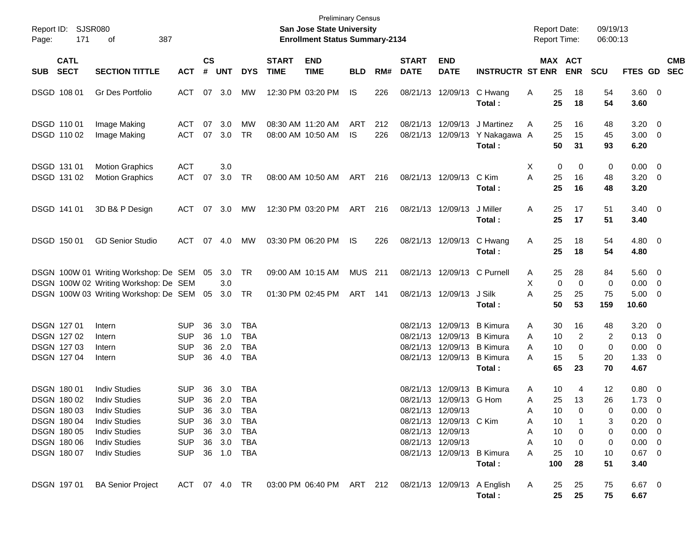| Page:      | Report ID: SJSR080<br>171  | 387<br>οf                                                                             |                          |                |            |            |                             | <b>Preliminary Census</b><br>San Jose State University<br><b>Enrollment Status Summary-2134</b> |            |            |                             |                                        |                                      | <b>Report Date:</b><br><b>Report Time:</b> |                                  | 09/19/13<br>06:00:13 |                                   |                           |
|------------|----------------------------|---------------------------------------------------------------------------------------|--------------------------|----------------|------------|------------|-----------------------------|-------------------------------------------------------------------------------------------------|------------|------------|-----------------------------|----------------------------------------|--------------------------------------|--------------------------------------------|----------------------------------|----------------------|-----------------------------------|---------------------------|
| <b>SUB</b> | <b>CATL</b><br><b>SECT</b> | <b>SECTION TITTLE</b>                                                                 | <b>ACT</b>               | <b>CS</b><br># | <b>UNT</b> | <b>DYS</b> | <b>START</b><br><b>TIME</b> | <b>END</b><br><b>TIME</b>                                                                       | <b>BLD</b> | RM#        | <b>START</b><br><b>DATE</b> | <b>END</b><br><b>DATE</b>              | <b>INSTRUCTR ST ENR</b>              |                                            | MAX ACT<br><b>ENR</b>            | <b>SCU</b>           |                                   | <b>CMB</b><br>FTES GD SEC |
|            | DSGD 108 01                | Gr Des Portfolio                                                                      | ACT                      |                | 07 3.0     | MW         |                             | 12:30 PM 03:20 PM                                                                               | <b>IS</b>  | 226        |                             | 08/21/13 12/09/13                      | C Hwang<br>Total:                    | 25<br>A<br>25                              | 18<br>18                         | 54<br>54             | 3.60 0<br>3.60                    |                           |
|            | DSGD 110 01<br>DSGD 110 02 | Image Making<br>Image Making                                                          | ACT<br>ACT               | 07<br>07       | 3.0<br>3.0 | MW<br>TR   |                             | 08:30 AM 11:20 AM<br>08:00 AM 10:50 AM                                                          | ART<br>IS  | 212<br>226 |                             | 08/21/13 12/09/13<br>08/21/13 12/09/13 | J Martinez<br>Y Nakagawa A<br>Total: | 25<br>A<br>25<br>50                        | 16<br>15<br>31                   | 48<br>45<br>93       | $3.20 \ 0$<br>$3.00 \ 0$<br>6.20  |                           |
|            | DSGD 131 01<br>DSGD 131 02 | <b>Motion Graphics</b><br><b>Motion Graphics</b>                                      | <b>ACT</b><br><b>ACT</b> | 07             | 3.0<br>3.0 | TR         |                             | 08:00 AM 10:50 AM                                                                               | ART 216    |            |                             | 08/21/13 12/09/13                      | C Kim<br>Total:                      | Х<br>A<br>25<br>25                         | 0<br>0<br>16<br>16               | 0<br>48<br>48        | $0.00 \t 0$<br>$3.20 \ 0$<br>3.20 |                           |
|            | DSGD 141 01                | 3D B& P Design                                                                        | ACT 07 3.0               |                |            | МW         |                             | 12:30 PM 03:20 PM                                                                               | ART        | 216        |                             | 08/21/13 12/09/13                      | J Miller<br>Total:                   | 25<br>Α<br>25                              | 17<br>17                         | 51<br>51             | $3.40 \ 0$<br>3.40                |                           |
|            | DSGD 150 01                | <b>GD Senior Studio</b>                                                               | ACT                      |                | 07 4.0     | MW         |                             | 03:30 PM 06:20 PM                                                                               | IS         | 226        |                             | 08/21/13 12/09/13                      | C Hwang<br>Total:                    | 25<br>Α<br>25                              | 18<br>18                         | 54<br>54             | $4.80\ 0$<br>4.80                 |                           |
|            |                            | DSGN 100W 01 Writing Workshop: De SEM 05 3.0<br>DSGN 100W 02 Writing Workshop: De SEM |                          |                | 3.0        | TR         |                             | 09:00 AM 10:15 AM                                                                               | MUS 211    |            |                             | 08/21/13 12/09/13 C Purnell            |                                      | 25<br>A<br>X                               | 28<br>$\mathbf 0$<br>$\mathbf 0$ | 84<br>0              | $5.60$ 0<br>$0.00 \t 0$           |                           |
|            |                            | DSGN 100W 03 Writing Workshop: De SEM 05 3.0                                          |                          |                |            | TR         |                             | 01:30 PM 02:45 PM                                                                               | ART 141    |            |                             | 08/21/13 12/09/13                      | J Silk<br>Total:                     | A<br>25<br>50                              | 25<br>53                         | 75<br>159            | $5.00 \t 0$<br>10.60              |                           |
|            | <b>DSGN 12701</b>          | Intern                                                                                | <b>SUP</b>               | 36             | 3.0        | <b>TBA</b> |                             |                                                                                                 |            |            |                             | 08/21/13 12/09/13 B Kimura             |                                      | 30<br>Α                                    | 16                               | 48                   | $3.20 \ 0$                        |                           |
|            | DSGN 127 02                | Intern                                                                                | <b>SUP</b>               | 36             | 1.0        | <b>TBA</b> |                             |                                                                                                 |            |            | 08/21/13                    |                                        | 12/09/13 B Kimura                    | 10<br>A                                    | 2                                | 2                    | $0.13 \quad 0$                    |                           |
|            | DSGN 127 03                | Intern                                                                                | <b>SUP</b>               | 36             | 2.0        | <b>TBA</b> |                             |                                                                                                 |            |            |                             | 08/21/13 12/09/13 B Kimura             |                                      | 10<br>Α                                    | 0                                | 0                    | $0.00 \t 0$                       |                           |
|            | DSGN 127 04                | Intern                                                                                | <b>SUP</b>               | 36             | 4.0        | <b>TBA</b> |                             |                                                                                                 |            |            |                             | 08/21/13 12/09/13 B Kimura             | Total:                               | 15<br>А<br>65                              | 5<br>23                          | 20<br>70             | $1.33 \ 0$<br>4.67                |                           |
|            | <b>DSGN 18001</b>          | <b>Indiv Studies</b>                                                                  | SUP                      | 36             | 3.0        | <b>TBA</b> |                             |                                                                                                 |            |            | 08/21/13                    | 12/09/13                               | <b>B</b> Kimura                      | 10<br>Α                                    | 4                                | 12                   | $0.80 \ 0$                        |                           |
|            | <b>DSGN 18002</b>          | <b>Indiv Studies</b>                                                                  | <b>SUP</b>               | 36             | 2.0        | <b>TBA</b> |                             |                                                                                                 |            |            |                             | 08/21/13 12/09/13 G Hom                |                                      | 25<br>Α                                    | 13                               | 26                   | $1.73 \t 0$                       |                           |
|            | DSGN 180 03                | <b>Indiv Studies</b>                                                                  | <b>SUP</b>               | 36             | 3.0        | TBA        |                             |                                                                                                 |            |            |                             | 08/21/13 12/09/13                      |                                      | 10<br>Α                                    | 0                                | 0                    | $0.00 \t 0$                       |                           |
|            | DSGN 180 04                | <b>Indiv Studies</b>                                                                  | <b>SUP</b>               | 36             | 3.0        | TBA        |                             |                                                                                                 |            |            |                             | 08/21/13 12/09/13 C Kim                |                                      | 10<br>Α                                    |                                  | 3                    | $0.20 \ 0$                        |                           |
|            | DSGN 180 05                | <b>Indiv Studies</b>                                                                  | <b>SUP</b>               |                | 36 3.0     | TBA        |                             |                                                                                                 |            |            |                             | 08/21/13 12/09/13                      |                                      | 10<br>А                                    | 0                                | 0                    | $0.00 \t 0$                       |                           |
|            | <b>DSGN 18006</b>          | <b>Indiv Studies</b>                                                                  | <b>SUP</b>               |                | 36 3.0     | TBA        |                             |                                                                                                 |            |            |                             | 08/21/13 12/09/13                      |                                      | 10<br>А                                    | 0                                | 0                    | $0.00 \t 0$                       |                           |
|            | DSGN 180 07                | <b>Indiv Studies</b>                                                                  | <b>SUP</b>               |                | 36 1.0 TBA |            |                             |                                                                                                 |            |            |                             | 08/21/13 12/09/13 B Kimura             | Total:                               | Α<br>25<br>100                             | 10<br>28                         | 10<br>51             | $0.67$ 0<br>3.40                  |                           |
|            | DSGN 197 01                | <b>BA Senior Project</b>                                                              | ACT 07 4.0 TR            |                |            |            |                             | 03:00 PM 06:40 PM ART 212 08/21/13 12/09/13 A English                                           |            |            |                             |                                        | Total:                               | 25<br>A<br>25                              | 25<br>25                         | 75<br>75             | $6.67$ 0<br>6.67                  |                           |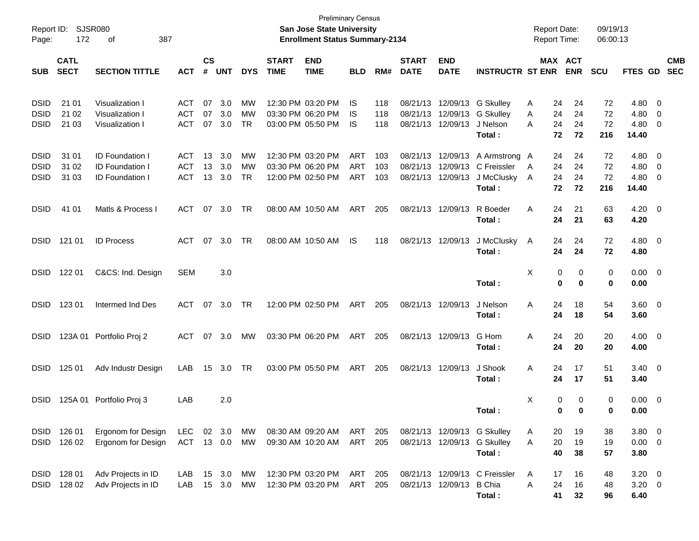| Report ID:<br>Page: | 172         | <b>SJSR080</b><br>387<br>оf |               |               |            |            |              | <b>Preliminary Census</b><br><b>San Jose State University</b><br><b>Enrollment Status Summary-2134</b> |            |     |              |                   |                               | <b>Report Date:</b><br><b>Report Time:</b> |              |              | 09/19/13<br>06:00:13 |                |                          |            |
|---------------------|-------------|-----------------------------|---------------|---------------|------------|------------|--------------|--------------------------------------------------------------------------------------------------------|------------|-----|--------------|-------------------|-------------------------------|--------------------------------------------|--------------|--------------|----------------------|----------------|--------------------------|------------|
|                     | <b>CATL</b> |                             |               | $\mathsf{cs}$ |            |            | <b>START</b> | <b>END</b>                                                                                             |            |     | <b>START</b> | <b>END</b>        |                               |                                            |              | MAX ACT      |                      |                |                          | <b>CMB</b> |
| <b>SUB</b>          | <b>SECT</b> | <b>SECTION TITTLE</b>       | <b>ACT</b>    | #             | <b>UNT</b> | <b>DYS</b> | <b>TIME</b>  | <b>TIME</b>                                                                                            | <b>BLD</b> | RM# | <b>DATE</b>  | <b>DATE</b>       | <b>INSTRUCTR ST ENR</b>       |                                            |              | <b>ENR</b>   | <b>SCU</b>           | FTES GD        |                          | <b>SEC</b> |
| <b>DSID</b>         | 21 01       | Visualization I             | <b>ACT</b>    | 07            | 3.0        | МW         |              | 12:30 PM 03:20 PM                                                                                      | IS         | 118 | 08/21/13     |                   | 12/09/13 G Skulley            | Α                                          | 24           | 24           | 72                   | $4.80\ 0$      |                          |            |
| <b>DSID</b>         | 21 02       | Visualization I             | <b>ACT</b>    | 07            | 3.0        | MW         |              | 03:30 PM 06:20 PM                                                                                      | IS         | 118 | 08/21/13     | 12/09/13          | <b>G Skulley</b>              | Α                                          | 24           | 24           | 72                   | 4.80           | $\overline{\phantom{0}}$ |            |
| <b>DSID</b>         | 21 03       | Visualization I             | <b>ACT</b>    | 07            | 3.0        | <b>TR</b>  |              | 03:00 PM 05:50 PM                                                                                      | IS         | 118 | 08/21/13     | 12/09/13          | J Nelson                      | Α                                          | 24           | 24           | 72                   | $4.80\ 0$      |                          |            |
|                     |             |                             |               |               |            |            |              |                                                                                                        |            |     |              |                   | Total:                        |                                            | 72           | 72           | 216                  | 14.40          |                          |            |
| <b>DSID</b>         | 31 01       | <b>ID Foundation I</b>      | <b>ACT</b>    | 13            | 3.0        | МW         |              | 12:30 PM 03:20 PM                                                                                      | <b>ART</b> | 103 | 08/21/13     | 12/09/13          | A Armstrong A                 |                                            | 24           | 24           | 72                   | $4.80\ 0$      |                          |            |
| <b>DSID</b>         | 31 02       | <b>ID Foundation I</b>      | <b>ACT</b>    | 13            | 3.0        | MW         |              | 03:30 PM 06:20 PM                                                                                      | <b>ART</b> | 103 | 08/21/13     | 12/09/13          | C Freissler                   | A                                          | 24           | 24           | 72                   | $4.80\ 0$      |                          |            |
| <b>DSID</b>         | 31 03       | <b>ID Foundation I</b>      | <b>ACT</b>    | 13            | 3.0        | <b>TR</b>  |              | 12:00 PM 02:50 PM                                                                                      | <b>ART</b> | 103 | 08/21/13     | 12/09/13          | J McClusky                    | A                                          | 24           | 24           | 72                   | $4.80\ 0$      |                          |            |
|                     |             |                             |               |               |            |            |              |                                                                                                        |            |     |              |                   | Total:                        |                                            | 72           | 72           | 216                  | 14.40          |                          |            |
| <b>DSID</b>         | 41 01       | Matls & Process I           | ACT           | 07            | 3.0        | TR         |              | 08:00 AM 10:50 AM                                                                                      | ART        | 205 | 08/21/13     | 12/09/13          | R Boeder                      | A                                          | 24           | 21           | 63                   | $4.20 \ 0$     |                          |            |
|                     |             |                             |               |               |            |            |              |                                                                                                        |            |     |              |                   | Total:                        |                                            | 24           | 21           | 63                   | 4.20           |                          |            |
| <b>DSID</b>         | 121 01      | <b>ID Process</b>           | <b>ACT</b>    | 07            | 3.0        | TR         |              | 08:00 AM 10:50 AM                                                                                      | IS         | 118 |              | 08/21/13 12/09/13 | J McClusky                    | A                                          | 24           | 24           | 72                   | $4.80\ 0$      |                          |            |
|                     |             |                             |               |               |            |            |              |                                                                                                        |            |     |              |                   | Total:                        |                                            | 24           | 24           | 72                   | 4.80           |                          |            |
| <b>DSID</b>         | 122 01      | C&CS: Ind. Design           | <b>SEM</b>    |               | 3.0        |            |              |                                                                                                        |            |     |              |                   |                               | X                                          | 0            | 0            | 0                    | $0.00 \t 0$    |                          |            |
|                     |             |                             |               |               |            |            |              |                                                                                                        |            |     |              |                   | Total:                        |                                            | 0            | 0            | 0                    | 0.00           |                          |            |
| <b>DSID</b>         | 123 01      | Intermed Ind Des            | ACT           | 07            | 3.0        | TR         |              | 12:00 PM 02:50 PM                                                                                      | ART        | 205 |              | 08/21/13 12/09/13 | J Nelson                      | A                                          | 24           | 18           | 54                   | 3.60 0         |                          |            |
|                     |             |                             |               |               |            |            |              |                                                                                                        |            |     |              |                   | Total:                        |                                            | 24           | 18           | 54                   | 3.60           |                          |            |
| <b>DSID</b>         |             | 123A 01 Portfolio Proj 2    | <b>ACT</b>    | 07            | 3.0        | МW         |              | 03:30 PM 06:20 PM                                                                                      | ART        | 205 |              | 08/21/13 12/09/13 | G Hom                         | A                                          | 24           | 20           | 20                   | $4.00 \ 0$     |                          |            |
|                     |             |                             |               |               |            |            |              |                                                                                                        |            |     |              |                   | Total:                        |                                            | 24           | 20           | 20                   | 4.00           |                          |            |
| <b>DSID</b>         | 125 01      | Adv Industr Design          | LAB           | 15            | 3.0        | TR         |              | 03:00 PM 05:50 PM                                                                                      | ART        | 205 | 08/21/13     | 12/09/13          | J Shook                       | A                                          | 24           | 17           | 51                   | $3.40 \quad 0$ |                          |            |
|                     |             |                             |               |               |            |            |              |                                                                                                        |            |     |              |                   | Total:                        |                                            | 24           | 17           | 51                   | 3.40           |                          |            |
| <b>DSID</b>         |             | 125A 01 Portfolio Proj 3    | LAB           |               | 2.0        |            |              |                                                                                                        |            |     |              |                   |                               | X                                          | 0            | $\mathbf 0$  | 0                    | $0.00 \t 0$    |                          |            |
|                     |             |                             |               |               |            |            |              |                                                                                                        |            |     |              |                   | Total:                        |                                            | $\mathbf{0}$ | $\mathbf{0}$ | $\mathbf{0}$         | 0.00           |                          |            |
|                     | DSID 126 01 | Ergonom for Design          | LEC           |               |            | 02 3.0 MW  |              | 08:30 AM 09:20 AM ART                                                                                  |            | 205 |              |                   | 08/21/13 12/09/13 G Skulley   | A                                          | 20           | 19           | 38                   | $3.80\ 0$      |                          |            |
| <b>DSID</b>         | 126 02      | Ergonom for Design          | ACT 13 0.0 MW |               |            |            |              | 09:30 AM 10:20 AM                                                                                      | ART 205    |     |              |                   | 08/21/13 12/09/13 G Skulley   | A                                          | 20           | 19           | 19                   | $0.00 \t 0$    |                          |            |
|                     |             |                             |               |               |            |            |              |                                                                                                        |            |     |              |                   | Total:                        |                                            | 40           | 38           | 57                   | 3.80           |                          |            |
| DSID                | 128 01      | Adv Projects in ID          | LAB.          | 15            | 3.0        | МW         |              | 12:30 PM 03:20 PM                                                                                      | ART        | 205 |              |                   | 08/21/13 12/09/13 C Freissler | A                                          | 17           | 16           | 48                   | $3.20 \ 0$     |                          |            |
| <b>DSID</b>         | 128 02      | Adv Projects in ID          | LAB           | 15            | 3.0        | MW         |              | 12:30 PM 03:20 PM                                                                                      | ART        | 205 |              | 08/21/13 12/09/13 | <b>B</b> Chia                 | Α                                          | 24           | 16           | 48                   | $3.20 \ 0$     |                          |            |
|                     |             |                             |               |               |            |            |              |                                                                                                        |            |     |              |                   | Total:                        |                                            | 41           | 32           | 96                   | 6.40           |                          |            |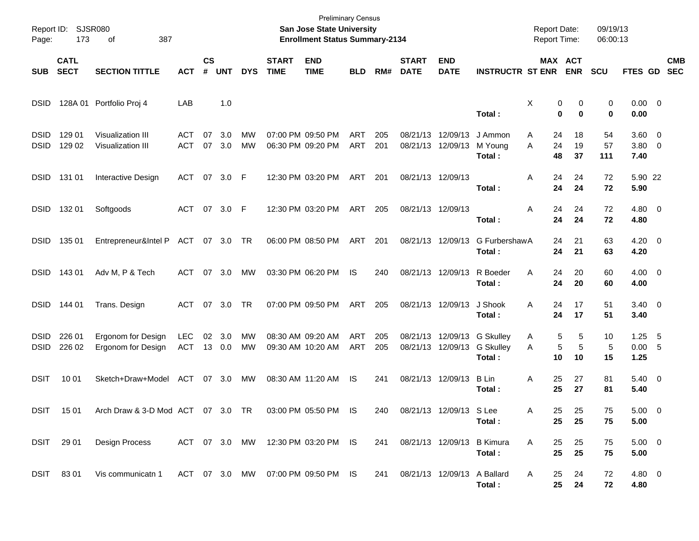| Page:                      | Report ID: SJSR080<br>173  | 387<br>οf                                              |                   |                |               |                        |                             | <b>Preliminary Census</b><br>San Jose State University<br><b>Enrollment Status Summary-2134</b> |                          |            |                             |                             |                                                           | <b>Report Date:</b><br><b>Report Time:</b> |                              | 09/19/13<br>06:00:13 |                                     |     |                          |
|----------------------------|----------------------------|--------------------------------------------------------|-------------------|----------------|---------------|------------------------|-----------------------------|-------------------------------------------------------------------------------------------------|--------------------------|------------|-----------------------------|-----------------------------|-----------------------------------------------------------|--------------------------------------------|------------------------------|----------------------|-------------------------------------|-----|--------------------------|
| <b>SUB</b>                 | <b>CATL</b><br><b>SECT</b> | <b>SECTION TITTLE</b>                                  | <b>ACT</b>        | <b>CS</b><br># | <b>UNT</b>    | <b>DYS</b>             | <b>START</b><br><b>TIME</b> | <b>END</b><br><b>TIME</b>                                                                       | <b>BLD</b>               | RM#        | <b>START</b><br><b>DATE</b> | <b>END</b><br><b>DATE</b>   | <b>INSTRUCTR ST ENR</b>                                   |                                            | <b>MAX ACT</b><br><b>ENR</b> | <b>SCU</b>           | <b>FTES GD</b>                      |     | <b>CMB</b><br><b>SEC</b> |
| <b>DSID</b>                |                            | 128A 01 Portfolio Proj 4                               | LAB               |                | 1.0           |                        |                             |                                                                                                 |                          |            |                             |                             | Total:                                                    | X<br>0<br>$\bf{0}$                         | 0<br>$\bf{0}$                | 0<br>0               | $0.00 \t 0$<br>0.00                 |     |                          |
| <b>DSID</b><br><b>DSID</b> | 129 01<br>129 02           | Visualization III<br>Visualization III                 | ACT<br><b>ACT</b> | 07<br>07       | 3.0<br>3.0    | <b>MW</b><br><b>MW</b> |                             | 07:00 PM 09:50 PM<br>06:30 PM 09:20 PM                                                          | <b>ART</b><br><b>ART</b> | 205<br>201 | 08/21/13 12/09/13           | 08/21/13 12/09/13           | J Ammon<br>M Young<br>Total:                              | 24<br>A<br>A<br>24<br>48                   | 18<br>19<br>37               | 54<br>57<br>111      | $3.60 \quad 0$<br>$3.80\ 0$<br>7.40 |     |                          |
| <b>DSID</b>                | 131 01                     | Interactive Design                                     | ACT 07 3.0 F      |                |               |                        |                             | 12:30 PM 03:20 PM                                                                               | ART                      | 201        | 08/21/13 12/09/13           |                             | Total:                                                    | A<br>24<br>24                              | 24<br>24                     | 72<br>72             | 5.90 22<br>5.90                     |     |                          |
| <b>DSID</b>                | 132 01                     | Softgoods                                              | ACT 07 3.0 F      |                |               |                        |                             | 12:30 PM 03:20 PM                                                                               | ART                      | 205        | 08/21/13 12/09/13           |                             | Total:                                                    | A<br>24<br>24                              | 24<br>24                     | 72<br>72             | $4.80\ 0$<br>4.80                   |     |                          |
| <b>DSID</b>                | 135 01                     | Entrepreneur&Intel P ACT 07 3.0 TR                     |                   |                |               |                        |                             | 06:00 PM 08:50 PM                                                                               | ART                      | 201        |                             | 08/21/13 12/09/13           | G FurbershawA<br>Total:                                   | 24<br>24                                   | 21<br>21                     | 63<br>63             | $4.20 \ 0$<br>4.20                  |     |                          |
| <b>DSID</b>                | 14301                      | Adv M, P & Tech                                        | ACT               |                | 07 3.0        | MW                     |                             | 03:30 PM 06:20 PM                                                                               | IS                       | 240        |                             |                             | 08/21/13 12/09/13 R Boeder<br>Total:                      | A<br>24<br>24                              | 20<br>20                     | 60<br>60             | $4.00 \ 0$<br>4.00                  |     |                          |
| <b>DSID</b>                | 144 01                     | Trans. Design                                          | ACT               |                | 07 3.0        | <b>TR</b>              |                             | 07:00 PM 09:50 PM                                                                               | ART                      | 205        |                             | 08/21/13 12/09/13           | J Shook<br>Total:                                         | A<br>24<br>24                              | 17<br>17                     | 51<br>51             | $3.40 \ 0$<br>3.40                  |     |                          |
| <b>DSID</b><br><b>DSID</b> | 226 01<br>226 02           | Ergonom for Design<br>Ergonom for Design               | <b>LEC</b><br>ACT | 02             | 3.0<br>13 0.0 | МW<br>MW               |                             | 08:30 AM 09:20 AM<br>09:30 AM 10:20 AM                                                          | ART<br><b>ART</b>        | 205<br>205 |                             | 08/21/13 12/09/13           | 08/21/13 12/09/13 G Skulley<br><b>G Skulley</b><br>Total: | 5<br>A<br>5<br>A<br>10                     | 5<br>5<br>10                 | 10<br>5<br>15        | 1.25<br>0.00 5<br>1.25              | - 5 |                          |
| <b>DSIT</b>                | 10 01                      | Sketch+Draw+Model                                      | ACT 07 3.0        |                |               | MW                     |                             | 08:30 AM 11:20 AM                                                                               | IS                       | 241        |                             | 08/21/13 12/09/13           | B Lin<br>Total:                                           | 25<br>Α<br>25                              | 27<br>27                     | 81<br>81             | $5.40 \ 0$<br>5.40                  |     |                          |
|                            | DSIT 1501                  | Arch Draw & 3-D Mod ACT 07 3.0 TR 03:00 PM 05:50 PM IS |                   |                |               |                        |                             |                                                                                                 |                          | 240        |                             | 08/21/13 12/09/13 S Lee     | Total:                                                    | Α<br>25<br>25                              | 25<br>25                     | 75<br>75             | $5.00 \t 0$<br>5.00                 |     |                          |
|                            | DSIT 29 01                 | Design Process                                         |                   |                |               |                        |                             | ACT 07 3.0 MW 12:30 PM 03:20 PM IS                                                              |                          | 241        |                             |                             | 08/21/13 12/09/13 B Kimura<br>Total:                      | 25<br>Α<br>25                              | 25<br>25                     | 75<br>75             | $5.00 \t 0$<br>5.00                 |     |                          |
|                            | DSIT 8301                  | Vis communicatn 1                                      |                   |                |               |                        |                             | ACT 07 3.0 MW 07:00 PM 09:50 PM IS                                                              |                          | 241        |                             | 08/21/13 12/09/13 A Ballard | Total:                                                    | 25<br>A<br>25                              | 24<br>24                     | 72<br>72             | 4.80 0<br>4.80                      |     |                          |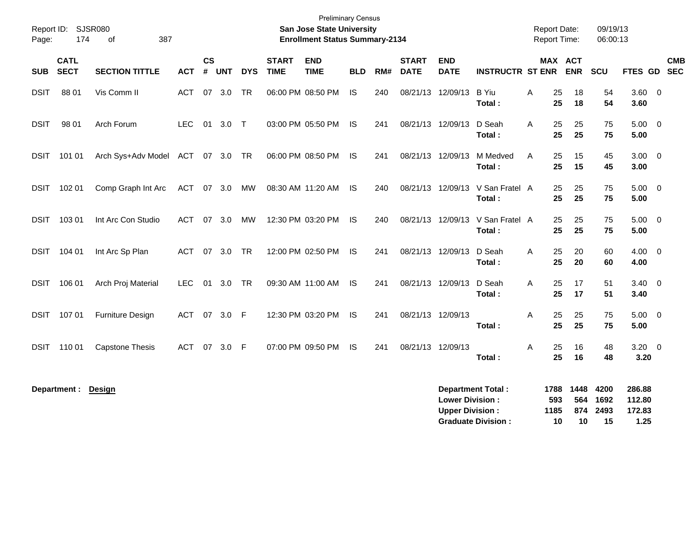| Page:       | Report ID: SJSR080<br>174  | of<br>387               |            |                |            |            |                             | <b>Preliminary Census</b><br>San Jose State University<br><b>Enrollment Status Summary-2134</b> |            |     |                             |                           |                          |   | <b>Report Date:</b><br><b>Report Time:</b> |             | 09/19/13<br>06:00:13 |                        |            |
|-------------|----------------------------|-------------------------|------------|----------------|------------|------------|-----------------------------|-------------------------------------------------------------------------------------------------|------------|-----|-----------------------------|---------------------------|--------------------------|---|--------------------------------------------|-------------|----------------------|------------------------|------------|
| <b>SUB</b>  | <b>CATL</b><br><b>SECT</b> | <b>SECTION TITTLE</b>   | <b>ACT</b> | <b>CS</b><br># | <b>UNT</b> | <b>DYS</b> | <b>START</b><br><b>TIME</b> | <b>END</b><br><b>TIME</b>                                                                       | <b>BLD</b> | RM# | <b>START</b><br><b>DATE</b> | <b>END</b><br><b>DATE</b> | <b>INSTRUCTR ST ENR</b>  |   | <b>MAX ACT</b>                             | <b>ENR</b>  | SCU                  | FTES GD SEC            | <b>CMB</b> |
| <b>DSIT</b> | 88 01                      | Vis Comm II             | <b>ACT</b> | 07             | 3.0        | <b>TR</b>  |                             | 06:00 PM 08:50 PM                                                                               | <b>IS</b>  | 240 |                             | 08/21/13 12/09/13         | <b>B</b> Yiu<br>Total:   | A | 25<br>25                                   | 18<br>18    | 54<br>54             | $3.60 \quad 0$<br>3.60 |            |
| <b>DSIT</b> | 98 01                      | Arch Forum              | <b>LEC</b> |                | 01 3.0 T   |            |                             | 03:00 PM 05:50 PM                                                                               | - IS       | 241 | 08/21/13 12/09/13           |                           | D Seah<br>Total:         | A | 25<br>25                                   | 25<br>25    | 75<br>75             | $5.00 \quad 0$<br>5.00 |            |
| DSIT        | 101 01                     | Arch Sys+Adv Model ACT  |            |                | 07 3.0 TR  |            |                             | 06:00 PM 08:50 PM                                                                               | IS         | 241 | 08/21/13 12/09/13           |                           | M Medved<br>Total:       | A | 25<br>25                                   | 15<br>15    | 45<br>45             | $3.00 \ 0$<br>3.00     |            |
| DSIT        | 102 01                     | Comp Graph Int Arc      | ACT        |                | 07 3.0     | MW         |                             | 08:30 AM 11:20 AM                                                                               | -IS        | 240 |                             | 08/21/13 12/09/13         | V San Fratel A<br>Total: |   | 25<br>25                                   | 25<br>25    | 75<br>75             | $5.00 \t 0$<br>5.00    |            |
| <b>DSIT</b> | 103 01                     | Int Arc Con Studio      | <b>ACT</b> | 07             | 3.0        | MW         |                             | 12:30 PM 03:20 PM                                                                               | IS.        | 240 |                             | 08/21/13 12/09/13         | V San Fratel A<br>Total: |   | 25<br>25                                   | 25<br>25    | 75<br>75             | $5.00 \t 0$<br>5.00    |            |
| <b>DSIT</b> | 104 01                     | Int Arc Sp Plan         | <b>ACT</b> | 07             | 3.0        | <b>TR</b>  |                             | 12:00 PM 02:50 PM                                                                               | - IS       | 241 | 08/21/13 12/09/13           |                           | D Seah<br>Total:         | A | 25<br>25                                   | 20<br>20    | 60<br>60             | $4.00 \quad 0$<br>4.00 |            |
| DSIT        | 106 01                     | Arch Proj Material      | <b>LEC</b> | 01             | 3.0        | <b>TR</b>  |                             | 09:30 AM 11:00 AM                                                                               | - IS       | 241 | 08/21/13 12/09/13           |                           | D Seah<br>Total:         | A | 25<br>25                                   | 17<br>17    | 51<br>51             | $3.40 \quad 0$<br>3.40 |            |
| <b>DSIT</b> | 107 01                     | <b>Furniture Design</b> | <b>ACT</b> | 07             | 3.0 F      |            |                             | 12:30 PM 03:20 PM                                                                               | - IS       | 241 | 08/21/13 12/09/13           |                           | Total:                   | A | 25<br>25                                   | 25<br>25    | 75<br>75             | $5.00 \quad 0$<br>5.00 |            |
| DSIT        | 110 01                     | <b>Capstone Thesis</b>  | <b>ACT</b> | 07             | 3.0        | -F         |                             | 07:00 PM 09:50 PM                                                                               | <b>IS</b>  | 241 | 08/21/13 12/09/13           |                           | Total:                   | A | 25<br>25                                   | 16<br>16    | 48<br>48             | $3.20 \ 0$<br>3.20     |            |
|             | Department :               | <b>Design</b>           |            |                |            |            |                             |                                                                                                 |            |     |                             | <b>Lower Division:</b>    | <b>Department Total:</b> |   | 1788<br>593                                | 1448<br>564 | 4200<br>1692         | 286.88<br>112.80       |            |

**Upper Division : 1185 874 2493 172.83 Graduate Division : 10 10 15 1.25**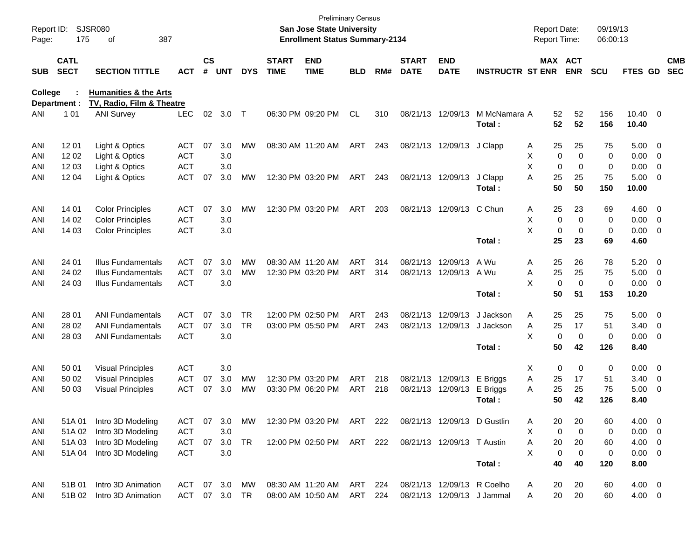| Report ID:<br>Page: | 175                        | <b>SJSR080</b><br>387<br>οf      |            |                    |            |            |                             | San Jose State University<br><b>Enrollment Status Summary-2134</b> | <b>Preliminary Census</b> |     |                             |                             |                            | <b>Report Date:</b><br>Report Time: |                              | 09/19/13<br>06:00:13 |                          |                          |                          |
|---------------------|----------------------------|----------------------------------|------------|--------------------|------------|------------|-----------------------------|--------------------------------------------------------------------|---------------------------|-----|-----------------------------|-----------------------------|----------------------------|-------------------------------------|------------------------------|----------------------|--------------------------|--------------------------|--------------------------|
| <b>SUB</b>          | <b>CATL</b><br><b>SECT</b> | <b>SECTION TITTLE</b>            | ACT        | $\mathsf{cs}$<br># | <b>UNT</b> | <b>DYS</b> | <b>START</b><br><b>TIME</b> | <b>END</b><br><b>TIME</b>                                          | <b>BLD</b>                | RM# | <b>START</b><br><b>DATE</b> | <b>END</b><br><b>DATE</b>   | <b>INSTRUCTR ST ENR</b>    |                                     | <b>MAX ACT</b><br><b>ENR</b> | <b>SCU</b>           | FTES GD                  |                          | <b>CMB</b><br><b>SEC</b> |
| College             |                            | <b>Humanities &amp; the Arts</b> |            |                    |            |            |                             |                                                                    |                           |     |                             |                             |                            |                                     |                              |                      |                          |                          |                          |
|                     | Department :               | TV, Radio, Film & Theatre        |            |                    |            |            |                             |                                                                    |                           |     |                             |                             |                            |                                     |                              |                      |                          |                          |                          |
| ANI                 | 1 0 1                      | <b>ANI Survey</b>                | <b>LEC</b> | 02                 | 3.0        | $\top$     |                             | 06:30 PM 09:20 PM                                                  | <b>CL</b>                 | 310 |                             | 08/21/13 12/09/13           | M McNamara A<br>Total:     | 52<br>52                            | 52<br>52                     | 156<br>156           | $10.40 \quad 0$<br>10.40 |                          |                          |
| ANI                 | 12 01                      | Light & Optics                   | ACT        | 07                 | 3.0        | MW         |                             | 08:30 AM 11:20 AM                                                  | ART                       | 243 |                             | 08/21/13 12/09/13 J Clapp   |                            | 25<br>A                             | 25                           | 75                   | $5.00 \t 0$              |                          |                          |
| ANI                 | 1202                       | Light & Optics                   | <b>ACT</b> |                    | 3.0        |            |                             |                                                                    |                           |     |                             |                             |                            | Χ                                   | $\mathbf 0$<br>$\mathbf 0$   | 0                    | 0.00                     | $\overline{\mathbf{0}}$  |                          |
| ANI                 | 12 03                      | Light & Optics                   | <b>ACT</b> |                    | 3.0        |            |                             |                                                                    |                           |     |                             |                             |                            | X                                   | $\mathbf 0$<br>$\mathbf 0$   | 0                    | 0.00                     | - 0                      |                          |
| ANI                 | 12 04                      | Light & Optics                   | <b>ACT</b> | 07                 | 3.0        | MW         |                             | 12:30 PM 03:20 PM                                                  | ART                       | 243 |                             | 08/21/13 12/09/13           | J Clapp                    | A<br>25                             | 25                           | 75                   | 5.00                     | $\overline{\phantom{0}}$ |                          |
|                     |                            |                                  |            |                    |            |            |                             |                                                                    |                           |     |                             |                             | Total:                     | 50                                  | 50                           | 150                  | 10.00                    |                          |                          |
| ANI                 | 14 01                      | <b>Color Principles</b>          | <b>ACT</b> | 07                 | 3.0        | <b>MW</b>  |                             | 12:30 PM 03:20 PM                                                  | ART                       | 203 |                             | 08/21/13 12/09/13 C Chun    |                            | 25<br>A                             | 23                           | 69                   | $4.60$ 0                 |                          |                          |
| ANI                 | 14 02                      | <b>Color Principles</b>          | <b>ACT</b> |                    | 3.0        |            |                             |                                                                    |                           |     |                             |                             |                            | X                                   | $\mathbf 0$<br>$\mathbf 0$   | 0                    | 0.00                     | $\overline{\phantom{0}}$ |                          |
| ANI                 | 14 03                      | <b>Color Principles</b>          | <b>ACT</b> |                    | 3.0        |            |                             |                                                                    |                           |     |                             |                             |                            | X                                   | $\mathbf 0$<br>$\mathbf 0$   | 0                    | $0.00 \t 0$              |                          |                          |
|                     |                            |                                  |            |                    |            |            |                             |                                                                    |                           |     |                             |                             | Total:                     | 25                                  | 23                           | 69                   | 4.60                     |                          |                          |
| ANI                 | 24 01                      | Illus Fundamentals               | ACT        | 07                 | 3.0        | MW         |                             | 08:30 AM 11:20 AM                                                  | ART                       | 314 |                             | 08/21/13 12/09/13           | A Wu                       | 25<br>A                             | 26                           | 78                   | 5.20                     | $\overline{\phantom{0}}$ |                          |
| ANI                 | 24 02                      | <b>Illus Fundamentals</b>        | <b>ACT</b> | 07                 | 3.0        | <b>MW</b>  |                             | 12:30 PM 03:20 PM                                                  | ART                       | 314 |                             | 08/21/13 12/09/13           | A Wu                       | 25<br>Α                             | 25                           | 75                   | 5.00                     | $\overline{\phantom{0}}$ |                          |
| ANI                 | 24 03                      | <b>Illus Fundamentals</b>        | <b>ACT</b> |                    | 3.0        |            |                             |                                                                    |                           |     |                             |                             |                            | X                                   | $\mathbf 0$<br>$\mathbf 0$   | 0                    | 0.00                     | $\overline{\phantom{0}}$ |                          |
|                     |                            |                                  |            |                    |            |            |                             |                                                                    |                           |     |                             |                             | Total:                     | 50                                  | 51                           | 153                  | 10.20                    |                          |                          |
| ANI                 | 28 01                      | <b>ANI Fundamentals</b>          | ACT        | 07                 | 3.0        | <b>TR</b>  |                             | 12:00 PM 02:50 PM                                                  | ART                       | 243 |                             | 08/21/13 12/09/13           | J Jackson                  | 25<br>A                             | 25                           | 75                   | 5.00                     | $\overline{\phantom{0}}$ |                          |
| ANI                 | 28 02                      | <b>ANI Fundamentals</b>          | <b>ACT</b> | 07                 | 3.0        | <b>TR</b>  |                             | 03:00 PM 05:50 PM                                                  | ART                       | 243 |                             | 08/21/13 12/09/13           | J Jackson                  | Α<br>25                             | 17                           | 51                   | 3.40                     | $\overline{\mathbf{0}}$  |                          |
| ANI                 | 28 03                      | <b>ANI Fundamentals</b>          | <b>ACT</b> |                    | 3.0        |            |                             |                                                                    |                           |     |                             |                             |                            | X                                   | $\mathbf 0$<br>$\mathbf 0$   | 0                    | 0.00                     | $\overline{\phantom{0}}$ |                          |
|                     |                            |                                  |            |                    |            |            |                             |                                                                    |                           |     |                             |                             | Total:                     | 50                                  | 42                           | 126                  | 8.40                     |                          |                          |
| ANI                 | 50 01                      | <b>Visual Principles</b>         | <b>ACT</b> |                    | 3.0        |            |                             |                                                                    |                           |     |                             |                             |                            | X                                   | $\mathbf 0$<br>0             | 0                    | 0.00                     | $\overline{\phantom{0}}$ |                          |
| ANI                 | 50 02                      | <b>Visual Principles</b>         | <b>ACT</b> | 07                 | 3.0        | MW         |                             | 12:30 PM 03:20 PM                                                  | ART                       | 218 |                             | 08/21/13 12/09/13           | E Briggs                   | 25<br>Α                             | 17                           | 51                   | 3.40                     | $\overline{\mathbf{0}}$  |                          |
| ANI                 | 50 03                      | <b>Visual Principles</b>         | <b>ACT</b> | 07                 | 3.0        | МW         |                             | 03:30 PM 06:20 PM                                                  | ART                       | 218 |                             | 08/21/13 12/09/13           | E Briggs                   | 25<br>A                             | 25                           | 75                   | 5.00                     | - 0                      |                          |
|                     |                            |                                  |            |                    |            |            |                             |                                                                    |                           |     |                             |                             | Total:                     | 50                                  | 42                           | 126                  | 8.40                     |                          |                          |
| ANI                 | 51A 01                     | Intro 3D Modeling                | ACT        | 07                 | 3.0        | МW         |                             | 12:30 PM 03:20 PM ART 222                                          |                           |     |                             | 08/21/13 12/09/13 D Gustlin |                            | 20<br>A                             | 20                           | 60                   | $4.00 \t 0$              |                          |                          |
| ANI                 | 51A 02                     | Intro 3D Modeling                | ACT        |                    | 3.0        |            |                             |                                                                    |                           |     |                             |                             |                            | Χ                                   | 0<br>0                       | 0                    | $0.00 \t 0$              |                          |                          |
| ANI                 | 51A 03                     | Intro 3D Modeling                | ACT        | 07                 | 3.0        | <b>TR</b>  |                             | 12:00 PM 02:50 PM ART 222                                          |                           |     |                             | 08/21/13 12/09/13 T Austin  |                            | 20<br>Α                             | 20                           | 60                   | $4.00 \ 0$               |                          |                          |
| ANI                 | 51A 04                     | Intro 3D Modeling                | <b>ACT</b> |                    | 3.0        |            |                             |                                                                    |                           |     |                             |                             |                            | X                                   | 0<br>0                       | 0                    | $0.00 \t 0$              |                          |                          |
|                     |                            |                                  |            |                    |            |            |                             |                                                                    |                           |     |                             |                             | Total:                     | 40                                  | 40                           | 120                  | 8.00                     |                          |                          |
| ANI                 | 51B 01                     | Intro 3D Animation               | ACT        |                    | 07 3.0     | МW         |                             | 08:30 AM 11:20 AM                                                  | ART 224                   |     |                             |                             | 08/21/13 12/09/13 R Coelho | 20<br>A                             | 20                           | 60                   | $4.00 \ 0$               |                          |                          |
| ANI                 | 51B 02                     | Intro 3D Animation               | ACT        |                    | 07 3.0     | TR         |                             | 08:00 AM 10:50 AM                                                  | ART 224                   |     |                             |                             | 08/21/13 12/09/13 J Jammal | 20<br>Α                             | 20                           | 60                   | $4.00 \ 0$               |                          |                          |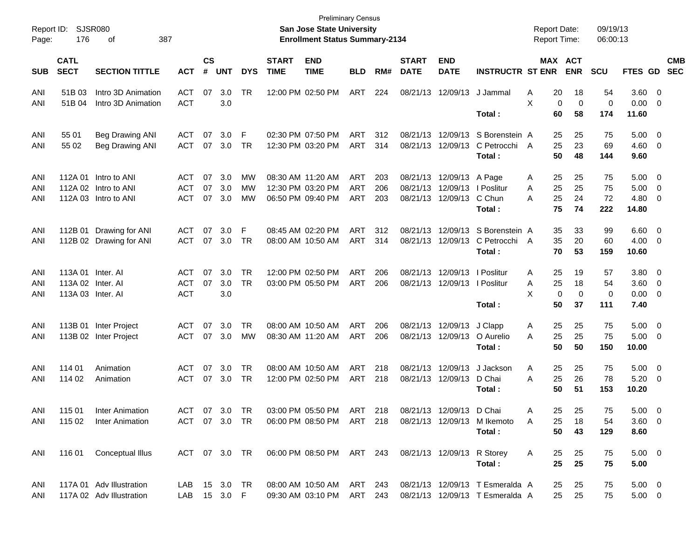| Page:      | Report ID: SJSR080<br>176  | 387<br>of                                |                          |                    |            |            |                             | San Jose State University<br><b>Enrollment Status Summary-2134</b>         | Preliminary Census |     |                             |                              |                                                                                | <b>Report Date:</b><br><b>Report Time:</b> |                            | 09/19/13<br>06:00:13 |                    |                         |                          |
|------------|----------------------------|------------------------------------------|--------------------------|--------------------|------------|------------|-----------------------------|----------------------------------------------------------------------------|--------------------|-----|-----------------------------|------------------------------|--------------------------------------------------------------------------------|--------------------------------------------|----------------------------|----------------------|--------------------|-------------------------|--------------------------|
| <b>SUB</b> | <b>CATL</b><br><b>SECT</b> | <b>SECTION TITTLE</b>                    | <b>ACT</b>               | $\mathsf{cs}$<br># | <b>UNT</b> | <b>DYS</b> | <b>START</b><br><b>TIME</b> | <b>END</b><br><b>TIME</b>                                                  | <b>BLD</b>         | RM# | <b>START</b><br><b>DATE</b> | <b>END</b><br><b>DATE</b>    | <b>INSTRUCTR ST ENR</b>                                                        |                                            | MAX ACT<br><b>ENR</b>      | <b>SCU</b>           | <b>FTES GD</b>     |                         | <b>CMB</b><br><b>SEC</b> |
| ANI<br>ANI | 51B 03<br>51B 04           | Intro 3D Animation<br>Intro 3D Animation | <b>ACT</b><br><b>ACT</b> | 07                 | 3.0<br>3.0 | TR         |                             | 12:00 PM 02:50 PM                                                          | ART                | 224 |                             | 08/21/13 12/09/13            | J Jammal                                                                       | 20<br>Α<br>X                               | 18<br>0<br>$\mathbf 0$     | 54<br>0              | $3.60 \ 0$<br>0.00 | $\overline{0}$          |                          |
|            |                            |                                          |                          |                    |            |            |                             |                                                                            |                    |     |                             |                              | Total:                                                                         | 60                                         | 58                         | 174                  | 11.60              |                         |                          |
| ANI        | 55 01                      | <b>Beg Drawing ANI</b>                   | <b>ACT</b>               | 07                 | 3.0        | F          |                             | 02:30 PM 07:50 PM                                                          | ART                | 312 |                             | 08/21/13 12/09/13            | S Borenstein A                                                                 | 25                                         | 25                         | 75                   | 5.00               | $\overline{\mathbf{0}}$ |                          |
| ANI        | 55 02                      | <b>Beg Drawing ANI</b>                   | <b>ACT</b>               | 07                 | 3.0        | TR         |                             | 12:30 PM 03:20 PM                                                          | ART                | 314 |                             | 08/21/13 12/09/13            | C Petrocchi<br>Total:                                                          | 25<br>A<br>50                              | 23<br>48                   | 69<br>144            | 4.60<br>9.60       | $\overline{\mathbf{0}}$ |                          |
| ANI        |                            | 112A 01 Intro to ANI                     | ACT                      | 07                 | 3.0        | МW         |                             | 08:30 AM 11:20 AM                                                          | ART                | 203 |                             | 08/21/13 12/09/13 A Page     |                                                                                | 25<br>Α                                    | 25                         | 75                   | 5.00               | $\overline{\mathbf{0}}$ |                          |
| ANI        |                            | 112A 02 Intro to ANI                     | <b>ACT</b>               | 07                 | 3.0        | МW         |                             | 12:30 PM 03:20 PM                                                          | ART                | 206 |                             | 08/21/13 12/09/13   Poslitur |                                                                                | 25<br>Α                                    | 25                         | 75                   | 5.00               | $\overline{\mathbf{0}}$ |                          |
| ANI        |                            | 112A 03 Intro to ANI                     | <b>ACT</b>               | 07                 | 3.0        | MW         |                             | 06:50 PM 09:40 PM                                                          | ART                | 203 |                             | 08/21/13 12/09/13            | C Chun                                                                         | 25<br>Α                                    | 24                         | 72                   | 4.80               | 0                       |                          |
|            |                            |                                          |                          |                    |            |            |                             |                                                                            |                    |     |                             |                              | Total :                                                                        | 75                                         | 74                         | 222                  | 14.80              |                         |                          |
| ANI        | 112B 01                    | Drawing for ANI                          | ACT                      | 07                 | 3.0        | F          |                             | 08:45 AM 02:20 PM                                                          | ART                | 312 |                             | 08/21/13 12/09/13            | S Borenstein A                                                                 | 35                                         | 33                         | 99                   | 6.60               | $\overline{\mathbf{0}}$ |                          |
| ANI        |                            | 112B 02 Drawing for ANI                  | <b>ACT</b>               | 07                 | 3.0        | TR         |                             | 08:00 AM 10:50 AM                                                          | ART                | 314 |                             | 08/21/13 12/09/13            | C Petrocchi A                                                                  | 35                                         | 20                         | 60                   | 4.00               | $\overline{0}$          |                          |
|            |                            |                                          |                          |                    |            |            |                             |                                                                            |                    |     |                             |                              | Total:                                                                         | 70                                         | 53                         | 159                  | 10.60              |                         |                          |
| ANI        | 113A 01 Inter. AI          |                                          | ACT                      | 07                 | 3.0        | TR         |                             | 12:00 PM 02:50 PM                                                          | ART                | 206 |                             | 08/21/13 12/09/13   Poslitur |                                                                                | 25<br>Α                                    | 19                         | 57                   | 3.80               | $\overline{\mathbf{0}}$ |                          |
| ANI        | 113A 02 Inter. AI          |                                          | <b>ACT</b>               | 07                 | 3.0        | <b>TR</b>  |                             | 03:00 PM 05:50 PM                                                          | ART                | 206 |                             | 08/21/13 12/09/13 l Poslitur |                                                                                | 25<br>A                                    | 18                         | 54                   | 3.60               | $\overline{\mathbf{0}}$ |                          |
| ANI        | 113A 03 Inter. Al          |                                          | <b>ACT</b>               |                    | 3.0        |            |                             |                                                                            |                    |     |                             |                              |                                                                                | X                                          | $\mathbf 0$<br>$\mathbf 0$ | 0                    | 0.00               | $\overline{0}$          |                          |
|            |                            |                                          |                          |                    |            |            |                             |                                                                            |                    |     |                             |                              | Total:                                                                         | 50                                         | 37                         | 111                  | 7.40               |                         |                          |
| ANI        |                            | 113B 01 Inter Project                    | <b>ACT</b>               | 07                 | 3.0        | TR         |                             | 08:00 AM 10:50 AM                                                          | ART                | 206 |                             | 08/21/13 12/09/13            | J Clapp                                                                        | 25<br>A                                    | 25                         | 75                   | 5.00               | $\overline{\mathbf{0}}$ |                          |
| ANI        |                            | 113B 02 Inter Project                    | <b>ACT</b>               | 07                 | 3.0        | МW         |                             | 08:30 AM 11:20 AM                                                          | ART                | 206 |                             | 08/21/13 12/09/13            | O Aurelio                                                                      | 25<br>Α                                    | 25                         | 75                   | 5.00               | $\overline{\mathbf{0}}$ |                          |
|            |                            |                                          |                          |                    |            |            |                             |                                                                            |                    |     |                             |                              | Total :                                                                        | 50                                         | 50                         | 150                  | 10.00              |                         |                          |
| ANI        | 114 01                     | Animation                                | <b>ACT</b>               | 07                 | 3.0        | TR         |                             | 08:00 AM 10:50 AM                                                          | ART                | 218 |                             | 08/21/13 12/09/13            | J Jackson                                                                      | 25<br>A                                    | 25                         | 75                   | 5.00               | $\overline{\mathbf{0}}$ |                          |
| ANI        | 114 02                     | Animation                                | <b>ACT</b>               | 07                 | 3.0        | TR         |                             | 12:00 PM 02:50 PM                                                          | ART                | 218 |                             | 08/21/13 12/09/13            | D Chai                                                                         | 25<br>Α                                    | 26                         | 78                   | 5.20               | $\overline{0}$          |                          |
|            |                            |                                          |                          |                    |            |            |                             |                                                                            |                    |     |                             |                              | Total :                                                                        | 50                                         | 51                         | 153                  | 10.20              |                         |                          |
| ANI        | 115 01                     | Inter Animation                          | ACT                      |                    | 07 3.0 TR  |            |                             | 03:00 PM 05:50 PM                                                          | ART 218            |     |                             | 08/21/13 12/09/13 D Chai     |                                                                                | A                                          | 25<br>-25                  | 75                   | 5.00               | - 0                     |                          |
|            |                            | ANI 115 02 Inter Animation               |                          |                    |            |            |                             |                                                                            |                    |     |                             |                              | ACT 07 3.0 TR  06:00 PM  08:50 PM  ART  218  08/21/13  12/09/13  M  Ikemoto  A | 25                                         | 18                         | 54                   | $3.60 \quad 0$     |                         |                          |
|            |                            |                                          |                          |                    |            |            |                             |                                                                            |                    |     |                             |                              | Total:                                                                         | 50                                         | 43                         | 129                  | 8.60               |                         |                          |
|            |                            | ANI 116 01 Conceptual Illus              |                          |                    |            |            |                             | ACT 07 3.0 TR  06:00 PM  08:50 PM  ART  243  08/21/13  12/09/13  R  Storey |                    |     |                             |                              |                                                                                | A<br>25                                    | -25                        | 75                   | $5.00 \t 0$        |                         |                          |
|            |                            |                                          |                          |                    |            |            |                             |                                                                            |                    |     |                             |                              | Total:                                                                         | 25                                         | 25                         | 75                   | 5.00               |                         |                          |
|            |                            |                                          |                          |                    |            |            |                             |                                                                            |                    |     |                             |                              |                                                                                |                                            |                            |                      |                    |                         |                          |
| ANI        |                            | 117A 01 Adv Illustration                 |                          |                    |            |            |                             |                                                                            |                    |     |                             |                              | LAB 15 3.0 TR  08:00 AM 10:50 AM ART 243  08/21/13  12/09/13 T Esmeralda A     | 25                                         | 25                         | 75                   | $5.00 \t 0$        |                         |                          |
| ANI        |                            | 117A 02 Adv Illustration                 | LAB 15 3.0 F             |                    |            |            |                             |                                                                            |                    |     |                             |                              | 09:30 AM 03:10 PM ART 243 08/21/13 12/09/13 T Esmeralda A                      |                                            | 25 25                      | 75                   | $5.00 \t 0$        |                         |                          |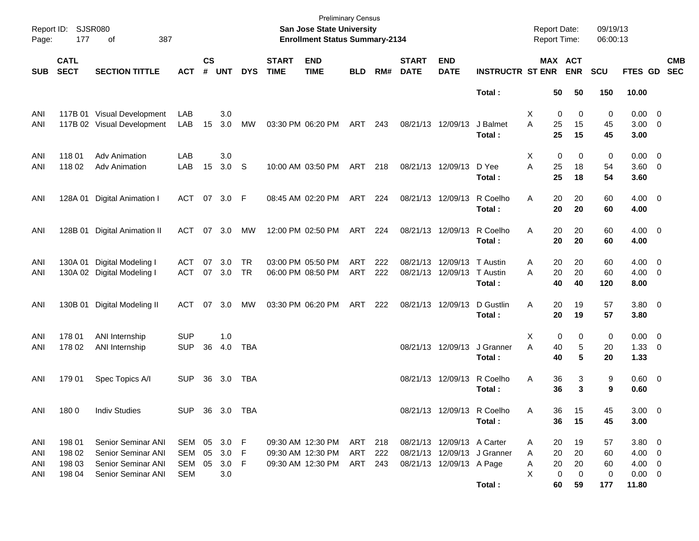| Page:      | Report ID: SJSR080<br>177  | 387<br>оf                   |              |                    |                  |            |                             | <b>Preliminary Census</b><br>San Jose State University<br><b>Enrollment Status Summary-2134</b> |            |     |                             |                            |                             | <b>Report Date:</b><br><b>Report Time:</b> |             |                       | 09/19/13<br>06:00:13 |                    |                          |
|------------|----------------------------|-----------------------------|--------------|--------------------|------------------|------------|-----------------------------|-------------------------------------------------------------------------------------------------|------------|-----|-----------------------------|----------------------------|-----------------------------|--------------------------------------------|-------------|-----------------------|----------------------|--------------------|--------------------------|
| <b>SUB</b> | <b>CATL</b><br><b>SECT</b> | <b>SECTION TITTLE</b>       | <b>ACT</b>   | $\mathsf{cs}$<br># | <b>UNT</b>       | <b>DYS</b> | <b>START</b><br><b>TIME</b> | <b>END</b><br><b>TIME</b>                                                                       | <b>BLD</b> | RM# | <b>START</b><br><b>DATE</b> | <b>END</b><br><b>DATE</b>  | <b>INSTRUCTR ST ENR</b>     |                                            |             | MAX ACT<br><b>ENR</b> | <b>SCU</b>           | FTES GD            | <b>CMB</b><br><b>SEC</b> |
|            |                            |                             |              |                    |                  |            |                             |                                                                                                 |            |     |                             |                            | Total:                      |                                            | 50          | 50                    | 150                  | 10.00              |                          |
| ANI        |                            | 117B 01 Visual Development  | LAB          |                    | 3.0              |            |                             |                                                                                                 |            |     |                             |                            |                             | X                                          | 0           | 0                     | 0                    | $0.00 \t 0$        |                          |
| ANI        |                            | 117B 02 Visual Development  | LAB          | 15                 | 3.0              | МW         |                             | 03:30 PM 06:20 PM                                                                               | ART        | 243 | 08/21/13 12/09/13           |                            | J Balmet<br>Total:          | A                                          | 25<br>25    | 15<br>15              | 45<br>45             | $3.00 \ 0$<br>3.00 |                          |
| ANI        | 11801                      | <b>Adv Animation</b>        | LAB          |                    | 3.0              |            |                             |                                                                                                 |            |     |                             |                            |                             | X                                          | 0           | 0                     | 0                    | $0.00 \t 0$        |                          |
| ANI        | 11802                      | <b>Adv Animation</b>        | LAB          | 15                 | 3.0 <sub>S</sub> |            |                             | 10:00 AM 03:50 PM                                                                               | ART        | 218 | 08/21/13 12/09/13           |                            | D Yee<br>Total:             | A                                          | 25<br>25    | 18<br>18              | 54<br>54             | 3.60 0<br>3.60     |                          |
| ANI        | 128A 01                    | <b>Digital Animation I</b>  | ACT          |                    | 07 3.0 F         |            |                             | 08:45 AM 02:20 PM                                                                               | ART 224    |     |                             | 08/21/13 12/09/13          | R Coelho<br>Total:          | Α                                          | 20<br>20    | 20<br>20              | 60<br>60             | $4.00 \ 0$<br>4.00 |                          |
| ANI        | 128B 01                    | <b>Digital Animation II</b> | ACT          |                    | 07 3.0           | МW         |                             | 12:00 PM 02:50 PM                                                                               | ART 224    |     |                             | 08/21/13 12/09/13          | R Coelho                    | Α                                          | 20          | 20                    | 60                   | $4.00 \ 0$         |                          |
|            |                            |                             |              |                    |                  |            |                             |                                                                                                 |            |     |                             |                            | Total:                      |                                            | 20          | 20                    | 60                   | 4.00               |                          |
| ANI        | 130A 01                    | Digital Modeling I          | ACT          | 07                 | 3.0              | <b>TR</b>  |                             | 03:00 PM 05:50 PM                                                                               | ART        | 222 |                             | 08/21/13 12/09/13          | T Austin                    | Α                                          | 20          | 20                    | 60                   | $4.00 \ 0$         |                          |
| ANI        |                            | 130A 02 Digital Modeling I  | ACT 07 3.0   |                    |                  | TR         |                             | 06:00 PM 08:50 PM                                                                               | ART        | 222 |                             | 08/21/13 12/09/13          | T Austin                    | A                                          | 20          | 20                    | 60                   | $4.00 \ 0$         |                          |
|            |                            |                             |              |                    |                  |            |                             |                                                                                                 |            |     |                             |                            | Total:                      |                                            | 40          | 40                    | 120                  | 8.00               |                          |
| ANI        |                            | 130B 01 Digital Modeling II | ACT          | 07                 | 3.0              | МW         |                             | 03:30 PM 06:20 PM                                                                               | ART        | 222 | 08/21/13 12/09/13           |                            | D Gustlin                   | Α                                          | 20          | 19                    | 57                   | 3.80 0             |                          |
|            |                            |                             |              |                    |                  |            |                             |                                                                                                 |            |     |                             |                            | Total:                      |                                            | 20          | 19                    | 57                   | 3.80               |                          |
| ANI        | 178 01                     | ANI Internship              | <b>SUP</b>   |                    | 1.0              |            |                             |                                                                                                 |            |     |                             |                            |                             | X                                          | 0           | 0                     | 0                    | $0.00 \t 0$        |                          |
| ANI        | 178 02                     | ANI Internship              | <b>SUP</b>   | 36                 | 4.0              | TBA        |                             |                                                                                                 |            |     |                             | 08/21/13 12/09/13          | J Granner                   | Α                                          | 40          | 5                     | 20                   | $1.33 \ 0$         |                          |
|            |                            |                             |              |                    |                  |            |                             |                                                                                                 |            |     |                             |                            | Total:                      |                                            | 40          | 5                     | 20                   | 1.33               |                          |
| ANI        | 179 01                     | Spec Topics A/I             | <b>SUP</b>   |                    | 36 3.0           | TBA        |                             |                                                                                                 |            |     |                             | 08/21/13 12/09/13          | R Coelho                    | Α                                          | 36          | 3                     | 9                    | 0.60 0             |                          |
|            |                            |                             |              |                    |                  |            |                             |                                                                                                 |            |     |                             |                            | Total :                     |                                            | 36          | 3                     | 9                    | 0.60               |                          |
| ANI        | 1800                       | <b>Indiv Studies</b>        | <b>SUP</b>   |                    | 36 3.0 TBA       |            |                             |                                                                                                 |            |     |                             |                            | 08/21/13 12/09/13 R Coelho  | A                                          | 36          | 15                    | 45                   | $3.00 \quad 0$     |                          |
|            |                            |                             |              |                    |                  |            |                             |                                                                                                 |            |     |                             |                            | Total:                      |                                            | 36          | 15                    | 45                   | 3.00               |                          |
| ANI        | 198 01                     | Senior Seminar ANI          | SEM 05 3.0 F |                    |                  |            |                             | 09:30 AM 12:30 PM                                                                               | ART 218    |     |                             | 08/21/13 12/09/13 A Carter |                             | A                                          | 20          | 19                    | 57                   | $3.80\ 0$          |                          |
| ANI        | 198 02                     | Senior Seminar ANI          | SEM          | 05                 | 3.0 F            |            |                             | 09:30 AM 12:30 PM                                                                               | ART        | 222 |                             |                            | 08/21/13 12/09/13 J Granner | A                                          | 20          | 20                    | 60                   | $4.00 \ 0$         |                          |
| ANI        | 198 03                     | Senior Seminar ANI          | SEM          |                    | 05 3.0 F         |            |                             | 09:30 AM 12:30 PM                                                                               | ART 243    |     |                             | 08/21/13 12/09/13 A Page   |                             | A                                          | 20          | 20                    | 60                   | $4.00 \quad 0$     |                          |
| ANI        | 198 04                     | Senior Seminar ANI          | <b>SEM</b>   |                    | 3.0              |            |                             |                                                                                                 |            |     |                             |                            |                             | X                                          | $\mathbf 0$ | 0                     | 0                    | $0.00 \t 0$        |                          |
|            |                            |                             |              |                    |                  |            |                             |                                                                                                 |            |     |                             |                            | Total:                      |                                            | 60          | 59                    | 177                  | 11.80              |                          |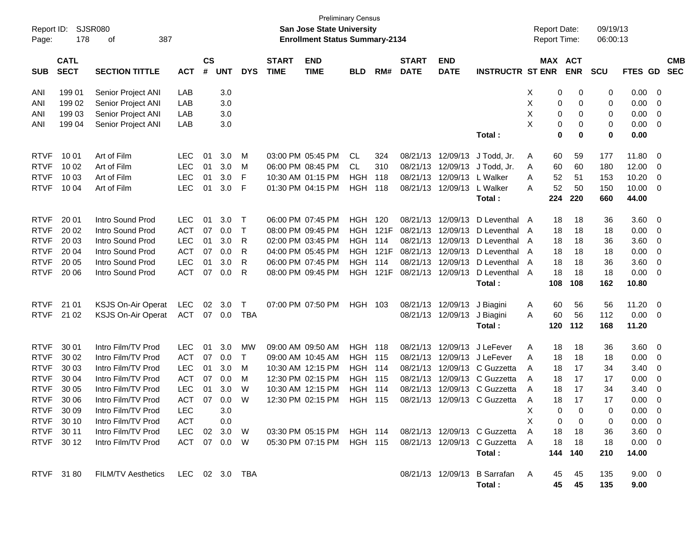| Report ID:<br>Page: | 178                        | <b>SJSR080</b><br>387<br>οf       |              |                    |            |            |                             | <b>San Jose State University</b><br><b>Enrollment Status Summary-2134</b> | <b>Preliminary Census</b> |      |                             |                           |                                                          | <b>Report Date:</b><br>Report Time: |                       | 09/19/13<br>06:00:13 |                        |                          |                          |
|---------------------|----------------------------|-----------------------------------|--------------|--------------------|------------|------------|-----------------------------|---------------------------------------------------------------------------|---------------------------|------|-----------------------------|---------------------------|----------------------------------------------------------|-------------------------------------|-----------------------|----------------------|------------------------|--------------------------|--------------------------|
| <b>SUB</b>          | <b>CATL</b><br><b>SECT</b> | <b>SECTION TITTLE</b>             | <b>ACT</b>   | $\mathsf{cs}$<br># | <b>UNT</b> | <b>DYS</b> | <b>START</b><br><b>TIME</b> | <b>END</b><br><b>TIME</b>                                                 | <b>BLD</b>                | RM#  | <b>START</b><br><b>DATE</b> | <b>END</b><br><b>DATE</b> | <b>INSTRUCTR ST ENR</b>                                  |                                     | MAX ACT<br><b>ENR</b> | <b>SCU</b>           | FTES GD                |                          | <b>CMB</b><br><b>SEC</b> |
| ANI                 | 199 01                     | Senior Project ANI                | LAB          |                    | 3.0        |            |                             |                                                                           |                           |      |                             |                           |                                                          | X                                   | 0<br>0                | 0                    | 0.00                   | $\overline{\mathbf{0}}$  |                          |
| ANI                 | 199 02                     | Senior Project ANI                | LAB          |                    | 3.0        |            |                             |                                                                           |                           |      |                             |                           |                                                          | Χ                                   | 0<br>0                | 0                    | 0.00                   | 0                        |                          |
| ANI                 | 199 03                     | Senior Project ANI                | LAB          |                    | 3.0        |            |                             |                                                                           |                           |      |                             |                           |                                                          | X                                   | 0<br>0                | 0                    | 0.00                   | 0                        |                          |
| ANI                 | 199 04                     | Senior Project ANI                | LAB          |                    | 3.0        |            |                             |                                                                           |                           |      |                             |                           |                                                          | X                                   | 0<br>0                | 0                    | 0.00                   | $\overline{\mathbf{0}}$  |                          |
|                     |                            |                                   |              |                    |            |            |                             |                                                                           |                           |      |                             |                           | Total:                                                   |                                     | 0<br>0                | 0                    | 0.00                   |                          |                          |
| <b>RTVF</b>         | 10 01                      | Art of Film                       | <b>LEC</b>   | 01                 | 3.0        | М          |                             | 03:00 PM 05:45 PM                                                         | CL                        | 324  |                             | 08/21/13 12/09/13         | J Todd, Jr.                                              | 60<br>A                             | 59                    | 177                  | 11.80                  | 0                        |                          |
| <b>RTVF</b>         | 10 02                      | Art of Film                       | <b>LEC</b>   | 01                 | 3.0        | М          |                             | 06:00 PM 08:45 PM                                                         | <b>CL</b>                 | 310  | 08/21/13                    | 12/09/13                  | J Todd, Jr.                                              | 60<br>A                             | 60                    | 180                  | 12.00                  | 0                        |                          |
| <b>RTVF</b>         | 10 03                      | Art of Film                       | <b>LEC</b>   | 01                 | 3.0        | F          |                             | 10:30 AM 01:15 PM                                                         | <b>HGH</b>                | 118  | 08/21/13                    | 12/09/13                  | L Walker                                                 | 52<br>Α                             | 51                    | 153                  | 10.20                  | 0                        |                          |
| <b>RTVF</b>         | 10 04                      | Art of Film                       | <b>LEC</b>   | 01                 | 3.0        | F          |                             | 01:30 PM 04:15 PM                                                         | <b>HGH</b>                | 118  |                             | 08/21/13 12/09/13         | L Walker                                                 | 52<br>А                             | 50                    | 150                  | 10.00                  | $\overline{\mathbf{0}}$  |                          |
|                     |                            |                                   |              |                    |            |            |                             |                                                                           |                           |      |                             |                           | Total:                                                   | 224                                 | 220                   | 660                  | 44.00                  |                          |                          |
| <b>RTVF</b>         | 20 01                      | Intro Sound Prod                  | <b>LEC</b>   | 01                 | 3.0        | $\top$     |                             | 06:00 PM 07:45 PM                                                         | <b>HGH</b>                | 120  | 08/21/13                    | 12/09/13                  | D Leventhal A                                            | 18                                  | 18                    | 36                   | 3.60                   | $\overline{\mathbf{0}}$  |                          |
| <b>RTVF</b>         | 20 02                      | Intro Sound Prod                  | <b>ACT</b>   | 07                 | 0.0        | $\top$     |                             | 08:00 PM 09:45 PM                                                         | <b>HGH</b>                | 121F | 08/21/13                    | 12/09/13                  | D Leventhal A                                            | 18                                  | 18                    | 18                   | 0.00                   | $\overline{\mathbf{0}}$  |                          |
| <b>RTVF</b>         | 20 03                      | Intro Sound Prod                  | <b>LEC</b>   | 01                 | 3.0        | R          |                             | 02:00 PM 03:45 PM                                                         | <b>HGH</b>                | 114  | 08/21/13                    | 12/09/13                  | D Leventhal A                                            | 18                                  | 18                    | 36                   | 3.60                   | $\overline{\mathbf{0}}$  |                          |
| <b>RTVF</b>         | 20 04                      | Intro Sound Prod                  | <b>ACT</b>   | 07                 | 0.0        | R          |                             | 04:00 PM 05:45 PM                                                         | <b>HGH</b>                | 121F | 08/21/13                    | 12/09/13                  | D Leventhal A                                            | 18                                  | 18                    | 18                   | 0.00                   | $\overline{\mathbf{0}}$  |                          |
| <b>RTVF</b>         | 20 05                      | Intro Sound Prod                  | <b>LEC</b>   | 01                 | 3.0        | R          |                             | 06:00 PM 07:45 PM                                                         | <b>HGH</b>                | 114  | 08/21/13                    | 12/09/13                  | D Leventhal                                              | 18<br>A                             | 18                    | 36                   | 3.60                   | 0                        |                          |
| <b>RTVF</b>         | 20 06                      | Intro Sound Prod                  | <b>ACT</b>   | 07                 | 0.0        | R          |                             | 08:00 PM 09:45 PM                                                         | <b>HGH</b>                | 121F |                             | 08/21/13 12/09/13         | D Leventhal A                                            | 18                                  | 18                    | 18                   | 0.00                   | $\overline{\mathbf{0}}$  |                          |
|                     |                            |                                   |              |                    |            |            |                             |                                                                           |                           |      |                             |                           | Total:                                                   | 108                                 | 108                   | 162                  | 10.80                  |                          |                          |
| <b>RTVF</b>         | 21 01                      | <b>KSJS On-Air Operat</b>         | <b>LEC</b>   | 02                 | 3.0        | T          |                             | 07:00 PM 07:50 PM                                                         | HGH 103                   |      |                             | 08/21/13 12/09/13         | J Biagini                                                | 60<br>A                             | 56                    | 56                   | 11.20                  | $\overline{\mathbf{0}}$  |                          |
| <b>RTVF</b>         | 21 02                      | <b>KSJS On-Air Operat</b>         | ACT          | 07                 | 0.0        | <b>TBA</b> |                             |                                                                           |                           |      |                             | 08/21/13 12/09/13         | J Biagini                                                | 60<br>A                             | 56                    | 112                  | 0.00                   | $\overline{\phantom{0}}$ |                          |
|                     |                            |                                   |              |                    |            |            |                             |                                                                           |                           |      |                             |                           | Total:                                                   | 120                                 | 112                   | 168                  | 11.20                  |                          |                          |
| <b>RTVF</b>         | 30 01                      | Intro Film/TV Prod                | <b>LEC</b>   | 01                 | 3.0        | <b>MW</b>  |                             | 09:00 AM 09:50 AM                                                         | <b>HGH</b>                | 118  | 08/21/13                    | 12/09/13                  | J LeFever                                                | 18<br>Α                             | 18                    | 36                   | 3.60                   | $\overline{\mathbf{0}}$  |                          |
| <b>RTVF</b>         | 30 02                      | Intro Film/TV Prod                | <b>ACT</b>   | 07                 | 0.0        | T          |                             | 09:00 AM 10:45 AM                                                         | <b>HGH</b>                | 115  | 08/21/13                    | 12/09/13                  | J LeFever                                                | 18<br>Α                             | 18                    | 18                   | 0.00                   | - 0                      |                          |
| <b>RTVF</b>         | 30 03                      | Intro Film/TV Prod                | <b>LEC</b>   | 01                 | 3.0        | М          |                             | 10:30 AM 12:15 PM                                                         | <b>HGH</b>                | 114  | 08/21/13                    | 12/09/13                  | C Guzzetta                                               | 18<br>A                             | 17                    | 34                   | 3.40                   | 0                        |                          |
| <b>RTVF</b>         | 30 04                      | Intro Film/TV Prod                | <b>ACT</b>   | 07                 | 0.0        | M          |                             | 12:30 PM 02:15 PM                                                         | <b>HGH</b>                | 115  | 08/21/13                    | 12/09/13                  | C Guzzetta                                               | 18<br>A                             | 17                    | 17                   | 0.00                   | $\mathbf 0$              |                          |
| <b>RTVF</b>         | 30 05                      | Intro Film/TV Prod                | <b>LEC</b>   | 01                 | 3.0        | W          |                             | 10:30 AM 12:15 PM                                                         | <b>HGH</b>                | 114  | 08/21/13                    | 12/09/13                  | C Guzzetta                                               | 18<br>A                             | 17                    | 34                   | 3.40                   | 0                        |                          |
| <b>RTVF</b>         | 30 06                      | Intro Film/TV Prod                | <b>ACT</b>   | 07                 | 0.0        | W          |                             | 12:30 PM 02:15 PM                                                         | <b>HGH</b>                | 115  | 08/21/13                    |                           | 12/09/13 C Guzzetta                                      | 18<br>Α                             | 17                    | 17                   | 0.00                   | 0                        |                          |
|                     | RTVF 30 09                 | Intro Film/TV Prod                | <b>LEC</b>   |                    | 3.0        |            |                             |                                                                           |                           |      |                             |                           |                                                          | X                                   | 0<br>$\overline{0}$   | $\Omega$             | $0.00 \t 0$            |                          |                          |
|                     | RTVF 30 10                 | Intro Film/TV Prod                | ACT          |                    | 0.0        |            |                             |                                                                           |                           |      |                             |                           |                                                          | X                                   | 0<br>0                | 0                    | $0.00 \quad 0$         |                          |                          |
|                     | RTVF 30 11                 | Intro Film/TV Prod                | LEC          |                    | 02 3.0 W   |            |                             |                                                                           |                           |      |                             |                           | 03:30 PM 05:15 PM HGH 114 08/21/13 12/09/13 C Guzzetta   | 18<br>A                             | 18                    | 36                   | $3.60 \quad 0$         |                          |                          |
|                     | RTVF 30 12                 | Intro Film/TV Prod                | ACT 07 0.0 W |                    |            |            |                             |                                                                           |                           |      |                             |                           | 05:30 PM 07:15 PM HGH 115 08/21/13 12/09/13 C Guzzetta A | 18                                  | -18                   | 18                   | $0.00 \quad 0$         |                          |                          |
|                     |                            |                                   |              |                    |            |            |                             |                                                                           |                           |      |                             |                           | Total:                                                   |                                     | 144 140               | 210                  | 14.00                  |                          |                          |
|                     | RTVF 3180                  | FILM/TV Aesthetics LEC 02 3.0 TBA |              |                    |            |            |                             |                                                                           |                           |      |                             |                           | 08/21/13 12/09/13 B Sarrafan A<br>Total:                 | 45<br>45                            | 45<br>45              | 135<br>135           | $9.00 \quad 0$<br>9.00 |                          |                          |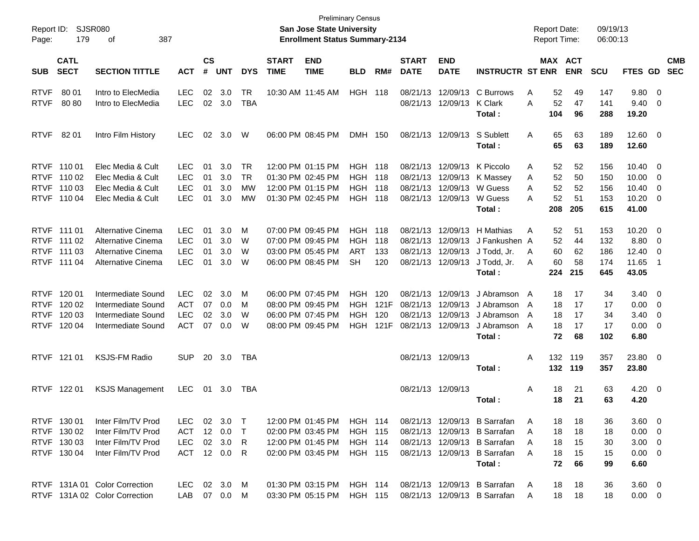| Report ID:<br>Page:                       | 179                                                      | SJSR080<br>387<br>οf                                                                 |                                                      |                      |                           |                                    |                             | <b>Preliminary Census</b><br><b>San Jose State University</b><br><b>Enrollment Status Summary-2134</b> |                                                                      |                            |                                  |                                                       |                                                                                                                             |                  |                             | <b>Report Date:</b><br><b>Report Time:</b> | 09/19/13<br>06:00:13            |                                                                    |                                                                                                 |                          |
|-------------------------------------------|----------------------------------------------------------|--------------------------------------------------------------------------------------|------------------------------------------------------|----------------------|---------------------------|------------------------------------|-----------------------------|--------------------------------------------------------------------------------------------------------|----------------------------------------------------------------------|----------------------------|----------------------------------|-------------------------------------------------------|-----------------------------------------------------------------------------------------------------------------------------|------------------|-----------------------------|--------------------------------------------|---------------------------------|--------------------------------------------------------------------|-------------------------------------------------------------------------------------------------|--------------------------|
| <b>SUB</b>                                | <b>CATL</b><br><b>SECT</b>                               | <b>SECTION TITTLE</b>                                                                | <b>ACT</b>                                           | $\mathsf{cs}$<br>#   | <b>UNT</b>                | <b>DYS</b>                         | <b>START</b><br><b>TIME</b> | <b>END</b><br><b>TIME</b>                                                                              | <b>BLD</b>                                                           | RM#                        | <b>START</b><br><b>DATE</b>      | <b>END</b><br><b>DATE</b>                             | <b>INSTRUCTR ST ENR</b>                                                                                                     |                  |                             | MAX ACT<br><b>ENR</b>                      | <b>SCU</b>                      | FTES GD                                                            |                                                                                                 | <b>CMB</b><br><b>SEC</b> |
| <b>RTVF</b><br><b>RTVF</b>                | 80 01<br>8080                                            | Intro to ElecMedia<br>Intro to ElecMedia                                             | <b>LEC</b><br><b>LEC</b>                             | 02<br>02             | 3.0<br>3.0                | TR<br><b>TBA</b>                   |                             | 10:30 AM 11:45 AM                                                                                      | <b>HGH</b>                                                           | 118                        | 08/21/13                         | 12/09/13<br>08/21/13 12/09/13                         | C Burrows<br><b>K</b> Clark<br>Total:                                                                                       | Α<br>A           | 52<br>52<br>104             | 49<br>47<br>96                             | 147<br>141<br>288               | 9.80 0<br>9.40<br>19.20                                            | - 0                                                                                             |                          |
| <b>RTVF</b>                               | 82 01                                                    | Intro Film History                                                                   | LEC.                                                 | 02                   | 3.0                       | W                                  |                             | 06:00 PM 08:45 PM                                                                                      | DMH 150                                                              |                            |                                  | 08/21/13 12/09/13                                     | S Sublett<br>Total:                                                                                                         | Α                | 65<br>65                    | 63<br>63                                   | 189<br>189                      | $12.60$ 0<br>12.60                                                 |                                                                                                 |                          |
| <b>RTVF</b><br><b>RTVF</b>                | RTVF 110 01<br>RTVF 110 02<br>110 03<br>110 04           | Elec Media & Cult<br>Elec Media & Cult<br>Elec Media & Cult<br>Elec Media & Cult     | <b>LEC</b><br><b>LEC</b><br><b>LEC</b><br><b>LEC</b> | 01<br>01<br>01<br>01 | 3.0<br>3.0<br>3.0<br>3.0  | TR<br><b>TR</b><br><b>MW</b><br>MW |                             | 12:00 PM 01:15 PM<br>01:30 PM 02:45 PM<br>12:00 PM 01:15 PM<br>01:30 PM 02:45 PM                       | <b>HGH</b><br><b>HGH</b><br><b>HGH</b><br>HGH                        | 118<br>118<br>118<br>118   | 08/21/13<br>08/21/13<br>08/21/13 | 12/09/13<br>12/09/13<br>12/09/13<br>08/21/13 12/09/13 | K Piccolo<br>K Massey<br>W Guess<br>W Guess<br>Total:                                                                       | Α<br>Α<br>A<br>Α | 52<br>52<br>52<br>52<br>208 | 52<br>50<br>52<br>51<br>205                | 156<br>150<br>156<br>153<br>615 | $10.40 \quad 0$<br>10.00<br>10.40<br>10.20<br>41.00                | $\overline{\mathbf{0}}$<br>$\overline{\mathbf{0}}$<br>$\overline{\phantom{0}}$                  |                          |
| <b>RTVF</b><br><b>RTVF</b><br><b>RTVF</b> | RTVF 111 01<br>111 02<br>111 03<br>111 04                | Alternative Cinema<br>Alternative Cinema<br>Alternative Cinema<br>Alternative Cinema | <b>LEC</b><br><b>LEC</b><br><b>LEC</b><br><b>LEC</b> | 01<br>01<br>01<br>01 | 3.0<br>3.0<br>3.0<br>3.0  | М<br>W<br>W<br>W                   |                             | 07:00 PM 09:45 PM<br>07:00 PM 09:45 PM<br>03:00 PM 05:45 PM<br>06:00 PM 08:45 PM                       | <b>HGH</b><br><b>HGH</b><br><b>ART</b><br>SН                         | 118<br>118<br>133<br>120   | 08/21/13<br>08/21/13<br>08/21/13 | 12/09/13<br>12/09/13<br>12/09/13<br>08/21/13 12/09/13 | H Mathias<br>J Fankushen A<br>J Todd, Jr.<br>J Todd, Jr.<br>Total:                                                          | Α<br>A<br>A      | 52<br>52<br>60<br>60<br>224 | 51<br>44<br>62<br>58<br>215                | 153<br>132<br>186<br>174<br>645 | 10.20<br>8.80<br>12.40<br>11.65<br>43.05                           | $\overline{\mathbf{0}}$<br>$\overline{\mathbf{0}}$<br>$\overline{\mathbf{0}}$<br>$\overline{1}$ |                          |
| <b>RTVF</b><br><b>RTVF</b><br><b>RTVF</b> | RTVF 120 01<br>120 02<br>120 03<br>120 04                | Intermediate Sound<br>Intermediate Sound<br>Intermediate Sound<br>Intermediate Sound | <b>LEC</b><br><b>ACT</b><br><b>LEC</b><br><b>ACT</b> | 02<br>07<br>02<br>07 | 3.0<br>0.0<br>3.0<br>0.0  | М<br>М<br>W<br>W                   |                             | 06:00 PM 07:45 PM<br>08:00 PM 09:45 PM<br>06:00 PM 07:45 PM<br>08:00 PM 09:45 PM                       | <b>HGH</b><br>HGH<br><b>HGH</b><br>HGH                               | 120<br>121F<br>120<br>121F | 08/21/13<br>08/21/13<br>08/21/13 | 12/09/13<br>12/09/13<br>12/09/13<br>08/21/13 12/09/13 | J Abramson A<br>J Abramson<br>J Abramson<br>J Abramson<br>Total:                                                            | A<br>A<br>A      | 18<br>18<br>18<br>18<br>72  | 17<br>17<br>17<br>17<br>68                 | 34<br>17<br>34<br>17<br>102     | $3.40 \ 0$<br>0.00<br>3.40<br>0.00<br>6.80                         | $\overline{\mathbf{0}}$<br>$\overline{\mathbf{0}}$<br>$\overline{\mathbf{0}}$                   |                          |
|                                           | RTVF 121 01                                              | <b>KSJS-FM Radio</b>                                                                 | <b>SUP</b>                                           |                      | 20 3.0                    | TBA                                |                             |                                                                                                        |                                                                      |                            |                                  | 08/21/13 12/09/13                                     | Total:                                                                                                                      | Α                | 132<br>132                  | 119<br>119                                 | 357<br>357                      | 23.80 0<br>23.80                                                   |                                                                                                 |                          |
|                                           | RTVF 122 01                                              | <b>KSJS Management</b>                                                               | <b>LEC</b>                                           | 01                   | 3.0                       | TBA                                |                             |                                                                                                        |                                                                      |                            |                                  | 08/21/13 12/09/13                                     | Total:                                                                                                                      | Α                | 18<br>18                    | 21<br>21                                   | 63<br>63                        | $4.20 \ 0$<br>4.20                                                 |                                                                                                 |                          |
|                                           | RTVF 130 01<br>RTVF 130 02<br>RTVF 130 03<br>RTVF 130 04 | Inter Film/TV Prod<br>Inter Film/TV Prod<br>Inter Film/TV Prod<br>Inter Film/TV Prod | LEC.<br>ACT<br><b>LEC</b><br>ACT 12 0.0 R            | 12                   | 02 3.0 T<br>0.0<br>02 3.0 | $\top$<br>R                        |                             | 12:00 PM 01:45 PM<br>02:00 PM 03:45 PM<br>12:00 PM 01:45 PM<br>02:00 PM 03:45 PM                       | <b>HGH 114</b><br><b>HGH 115</b><br><b>HGH 114</b><br><b>HGH 115</b> |                            |                                  | 08/21/13 12/09/13                                     | 08/21/13 12/09/13 B Sarrafan<br><b>B</b> Sarrafan<br>08/21/13 12/09/13 B Sarrafan<br>08/21/13 12/09/13 B Sarrafan<br>Total: | A<br>A<br>A<br>A | 18<br>18<br>18<br>18<br>72  | 18<br>18<br>15<br>15<br>66                 | 36<br>18<br>30<br>15<br>99      | $3.60 \ 0$<br>$0.00 \t 0$<br>$3.00 \quad 0$<br>$0.00 \t 0$<br>6.60 |                                                                                                 |                          |
|                                           |                                                          | RTVF 131A 01 Color Correction<br>RTVF 131A 02 Color Correction                       | LEC 02 3.0 M<br>LAB  07  0.0  M                      |                      |                           |                                    |                             | 01:30 PM 03:15 PM<br>03:30 PM 05:15 PM                                                                 | <b>HGH 114</b><br>HGH 115                                            |                            |                                  |                                                       | 08/21/13 12/09/13 B Sarrafan<br>08/21/13 12/09/13 B Sarrafan                                                                | A<br>A           | 18<br>18                    | 18<br>18                                   | 36<br>18                        | $3.60 \quad 0$<br>$0.00 \t 0$                                      |                                                                                                 |                          |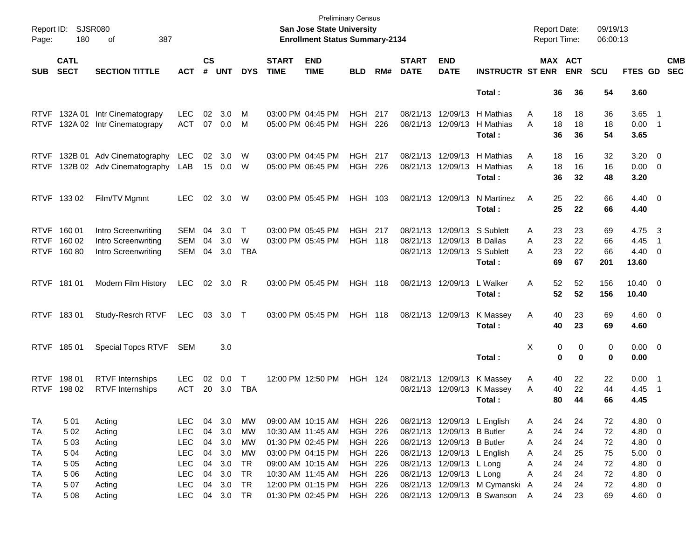| Report ID:<br>Page: | <b>SJSR080</b><br>180      | 387<br>оf                  |            |                    |            |              |                             | <b>Preliminary Census</b><br><b>San Jose State University</b><br><b>Enrollment Status Summary-2134</b> |                |     |                             |                             |                                | <b>Report Date:</b> |          | Report Time:          | 09/19/13<br>06:00:13 |                         |                            |                          |
|---------------------|----------------------------|----------------------------|------------|--------------------|------------|--------------|-----------------------------|--------------------------------------------------------------------------------------------------------|----------------|-----|-----------------------------|-----------------------------|--------------------------------|---------------------|----------|-----------------------|----------------------|-------------------------|----------------------------|--------------------------|
| <b>SUB</b>          | <b>CATL</b><br><b>SECT</b> | <b>SECTION TITTLE</b>      | <b>ACT</b> | $\mathsf{cs}$<br># | <b>UNT</b> | <b>DYS</b>   | <b>START</b><br><b>TIME</b> | <b>END</b><br><b>TIME</b>                                                                              | <b>BLD</b>     | RM# | <b>START</b><br><b>DATE</b> | <b>END</b><br><b>DATE</b>   | <b>INSTRUCTR ST ENR</b>        |                     |          | MAX ACT<br><b>ENR</b> | <b>SCU</b>           | FTES GD                 |                            | <b>CMB</b><br><b>SEC</b> |
|                     |                            |                            |            |                    |            |              |                             |                                                                                                        |                |     |                             |                             | Total:                         |                     | 36       | 36                    | 54                   | 3.60                    |                            |                          |
| <b>RTVF</b>         |                            | 132A 01 Intr Cinematograpy | <b>LEC</b> | 02                 | 3.0        | M            |                             | 03:00 PM 04:45 PM                                                                                      | <b>HGH 217</b> |     |                             | 08/21/13 12/09/13           | H Mathias                      | A                   | 18       | 18                    | 36                   | $3.65$ 1                |                            |                          |
| <b>RTVF</b>         |                            | 132A 02 Intr Cinematograpy | <b>ACT</b> | 07                 | 0.0        | M            |                             | 05:00 PM 06:45 PM                                                                                      | <b>HGH</b>     | 226 |                             | 08/21/13 12/09/13           | H Mathias<br>Total:            | A                   | 18<br>36 | 18<br>36              | 18<br>54             | $0.00$ 1<br>3.65        |                            |                          |
| <b>RTVF</b>         |                            | 132B 01 Adv Cinematography | LEC        | 02                 | 3.0        | W            |                             | 03:00 PM 04:45 PM                                                                                      | <b>HGH 217</b> |     |                             | 08/21/13 12/09/13           | H Mathias                      | Α                   | 18       | 16                    | 32                   | $3.20 \ 0$              |                            |                          |
| <b>RTVF</b>         |                            | 132B 02 Adv Cinematography | LAB        |                    | 15 0.0     | W            |                             | 05:00 PM 06:45 PM                                                                                      | <b>HGH</b>     | 226 |                             | 08/21/13 12/09/13           | H Mathias<br>Total:            | A                   | 18<br>36 | 16<br>32              | 16<br>48             | $0.00 \t 0$<br>3.20     |                            |                          |
|                     | RTVF 133 02                | Film/TV Mgmnt              | <b>LEC</b> | 02                 | 3.0        | W            |                             | 03:00 PM 05:45 PM                                                                                      | HGH 103        |     |                             | 08/21/13 12/09/13           | N Martinez<br>Total:           | Α                   | 25<br>25 | 22<br>22              | 66<br>66             | $4.40 \quad 0$<br>4.40  |                            |                          |
| <b>RTVF</b>         | 160 01                     | Intro Screenwriting        | SEM        | 04                 | 3.0        | $\mathsf{T}$ |                             | 03:00 PM 05:45 PM                                                                                      | <b>HGH 217</b> |     |                             | 08/21/13 12/09/13 S Sublett |                                | A                   | 23       | 23                    | 69                   | 4.75                    | $\overline{\mathbf{3}}$    |                          |
| <b>RTVF</b>         | 160 02                     | Intro Screenwriting        | SEM        | 04                 | 3.0        | W            |                             | 03:00 PM 05:45 PM                                                                                      | <b>HGH 118</b> |     |                             | 08/21/13 12/09/13 B Dallas  |                                | A                   | 23       | 22                    | 66                   | 4.45                    | - 1                        |                          |
|                     | RTVF 160 80                | Intro Screenwriting        | SEM        | 04                 | 3.0        | TBA          |                             |                                                                                                        |                |     |                             | 08/21/13 12/09/13 S Sublett | Total:                         | A                   | 23<br>69 | 22<br>67              | 66<br>201            | $4.40 \quad 0$<br>13.60 |                            |                          |
|                     |                            |                            |            |                    |            |              |                             |                                                                                                        |                |     |                             |                             |                                |                     |          |                       |                      |                         |                            |                          |
|                     | RTVF 181 01                | Modern Film History        | <b>LEC</b> |                    | 02 3.0     | R            |                             | 03:00 PM 05:45 PM                                                                                      | <b>HGH 118</b> |     |                             | 08/21/13 12/09/13           | L Walker<br>Total:             | Α                   | 52<br>52 | 52<br>52              | 156<br>156           | $10.40 \t 0$<br>10.40   |                            |                          |
|                     | RTVF 18301                 | Study-Resrch RTVF          | LEC        |                    | 03 3.0 T   |              |                             | 03:00 PM 05:45 PM                                                                                      | <b>HGH 118</b> |     | 08/21/13 12/09/13           |                             | K Massey<br>Total:             | A                   | 40<br>40 | 23<br>23              | 69<br>69             | $4.60$ 0<br>4.60        |                            |                          |
|                     | RTVF 185 01                | Special Topcs RTVF         | SEM        |                    | 3.0        |              |                             |                                                                                                        |                |     |                             |                             | Total:                         | Χ                   | 0<br>0   | 0<br>$\bf{0}$         | 0<br>0               | $0.00 \t 0$<br>0.00     |                            |                          |
|                     | RTVF 198 01                | <b>RTVF</b> Internships    | <b>LEC</b> | 02                 | 0.0        | Τ            |                             | 12:00 PM 12:50 PM                                                                                      | <b>HGH 124</b> |     |                             | 08/21/13 12/09/13           | K Massey                       | A                   | 40       | 22                    | 22                   | $0.00$ 1                |                            |                          |
|                     | RTVF 198 02                | <b>RTVF</b> Internships    | <b>ACT</b> | 20                 | 3.0        | <b>TBA</b>   |                             |                                                                                                        |                |     |                             | 08/21/13 12/09/13           | K Massey                       | A                   | 40       | 22                    | 44                   | 4.45                    | $\overline{\phantom{0}}$ 1 |                          |
|                     |                            |                            |            |                    |            |              |                             |                                                                                                        |                |     |                             |                             | Total:                         |                     | 80       | 44                    | 66                   | 4.45                    |                            |                          |
| <b>TA</b>           | 501                        | Acting                     | <b>LEC</b> |                    | 04 3.0     | МW           |                             | 09:00 AM 10:15 AM                                                                                      | HGH 226        |     |                             | 08/21/13 12/09/13 L English |                                | A                   | 24       | 24                    | 72                   | 4.80 0                  |                            |                          |
| TA                  | 5 0 2                      | Acting                     | <b>LEC</b> | 04                 | 3.0        | МW           |                             | 10:30 AM 11:45 AM                                                                                      | <b>HGH 226</b> |     |                             | 08/21/13 12/09/13 B Butler  |                                | Α                   | 24       | 24                    | 72                   | 4.80 0                  |                            |                          |
| TA                  | 503                        | Acting                     | <b>LEC</b> |                    | 04 3.0     | МW           |                             | 01:30 PM 02:45 PM                                                                                      | <b>HGH 226</b> |     |                             | 08/21/13 12/09/13 B Butler  |                                | A                   | 24       | 24                    | 72                   | 4.80 0                  |                            |                          |
| TA                  | 5 0 4                      | Acting                     | <b>LEC</b> |                    | 04 3.0     | МW           |                             | 03:00 PM 04:15 PM                                                                                      | <b>HGH 226</b> |     |                             | 08/21/13 12/09/13 L English |                                | Α                   | 24       | 25                    | 75                   | $5.00 \t 0$             |                            |                          |
| TA                  | 5 0 5                      | Acting                     | <b>LEC</b> |                    | 04 3.0     | TR           |                             | 09:00 AM 10:15 AM                                                                                      | <b>HGH 226</b> |     |                             | 08/21/13 12/09/13 L Long    |                                | Α                   | 24       | 24                    | 72                   | 4.80 0                  |                            |                          |
| TA                  | 5 0 6                      | Acting                     | <b>LEC</b> |                    | 04 3.0     | TR           |                             | 10:30 AM 11:45 AM                                                                                      | <b>HGH 226</b> |     |                             | 08/21/13 12/09/13 L Long    |                                | A                   | 24       | 24                    | 72                   | 4.80 0                  |                            |                          |
| TA                  | 507                        | Acting                     | <b>LEC</b> |                    | 04 3.0     | TR           |                             | 12:00 PM 01:15 PM                                                                                      | <b>HGH 226</b> |     |                             |                             | 08/21/13 12/09/13 M Cymanski A |                     | 24       | 24                    | 72                   | 4.80 0                  |                            |                          |
| <b>TA</b>           | 5 0 8                      | Acting                     | <b>LEC</b> |                    | 04 3.0 TR  |              |                             | 01:30 PM 02:45 PM                                                                                      | HGH 226        |     |                             |                             | 08/21/13 12/09/13 B Swanson    | A                   | 24       | 23                    | 69                   | 4.60 0                  |                            |                          |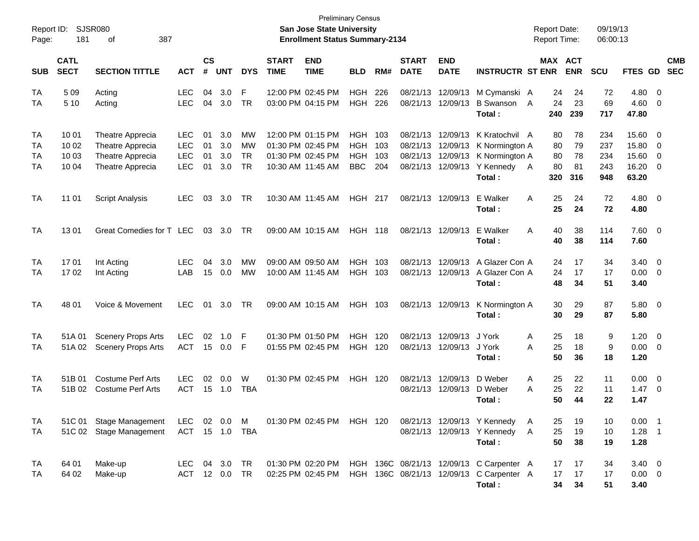| Report ID:<br>Page:  | 181                              | <b>SJSR080</b><br>387<br>οf                                                  |                                                      |                      |                          |                                                  |                             | <b>Preliminary Census</b><br><b>San Jose State University</b><br><b>Enrollment Status Summary-2134</b> |                                                      |                          |                                              |                           |                                                                                                | <b>Report Date:</b><br>Report Time: |                             | 09/19/13<br>06:00:13            |                                           |                                  |
|----------------------|----------------------------------|------------------------------------------------------------------------------|------------------------------------------------------|----------------------|--------------------------|--------------------------------------------------|-----------------------------|--------------------------------------------------------------------------------------------------------|------------------------------------------------------|--------------------------|----------------------------------------------|---------------------------|------------------------------------------------------------------------------------------------|-------------------------------------|-----------------------------|---------------------------------|-------------------------------------------|----------------------------------|
| <b>SUB</b>           | <b>CATL</b><br><b>SECT</b>       | <b>SECTION TITTLE</b>                                                        | <b>ACT</b>                                           | <b>CS</b><br>#       | <b>UNT</b>               | <b>DYS</b>                                       | <b>START</b><br><b>TIME</b> | <b>END</b><br><b>TIME</b>                                                                              | <b>BLD</b>                                           | RM#                      | <b>START</b><br><b>DATE</b>                  | <b>END</b><br><b>DATE</b> | <b>INSTRUCTR ST ENR</b>                                                                        | MAX ACT                             | <b>ENR</b>                  | SCU                             | FTES GD                                   | <b>CMB</b><br><b>SEC</b>         |
| TA<br>TA             | 5 0 9<br>5 10                    | Acting<br>Acting                                                             | <b>LEC</b><br><b>LEC</b>                             | 04<br>04             | 3.0<br>3.0               | F<br><b>TR</b>                                   |                             | 12:00 PM 02:45 PM<br>03:00 PM 04:15 PM                                                                 | <b>HGH</b><br><b>HGH</b>                             | 226<br>226               | 08/21/13<br>08/21/13                         | 12/09/13<br>12/09/13      | M Cymanski A<br><b>B</b> Swanson<br>Total:                                                     | 24<br>24<br>A<br>240                | 24<br>23<br>239             | 72<br>69<br>717                 | 4.80<br>4.60<br>47.80                     | - 0<br>0                         |
| TA<br>TA<br>TA<br>TA | 10 01<br>10 02<br>10 03<br>10 04 | Theatre Apprecia<br>Theatre Apprecia<br>Theatre Apprecia<br>Theatre Apprecia | <b>LEC</b><br><b>LEC</b><br><b>LEC</b><br><b>LEC</b> | 01<br>01<br>01<br>01 | 3.0<br>3.0<br>3.0<br>3.0 | <b>MW</b><br><b>MW</b><br><b>TR</b><br><b>TR</b> |                             | 12:00 PM 01:15 PM<br>01:30 PM 02:45 PM<br>01:30 PM 02:45 PM<br>10:30 AM 11:45 AM                       | <b>HGH</b><br><b>HGH</b><br><b>HGH</b><br><b>BBC</b> | 103<br>103<br>103<br>204 | 08/21/13<br>08/21/13<br>08/21/13<br>08/21/13 | 12/09/13<br>12/09/13      | K Kratochvil A<br>12/09/13 K Normington A<br>K Normington A<br>12/09/13 Y Kennedy<br>Total:    | 80<br>80<br>80<br>80<br>A<br>320    | 78<br>79<br>78<br>81<br>316 | 234<br>237<br>234<br>243<br>948 | 15.60<br>15.80<br>15.60<br>16.20<br>63.20 | 0<br>0<br>0<br>0                 |
| TA                   | 11 01                            | <b>Script Analysis</b>                                                       | <b>LEC</b>                                           | 03                   | 3.0                      | <b>TR</b>                                        |                             | 10:30 AM 11:45 AM                                                                                      | <b>HGH 217</b>                                       |                          | 08/21/13                                     | 12/09/13                  | E Walker<br>Total:                                                                             | A<br>25<br>25                       | 24<br>24                    | 72<br>72                        | 4.80<br>4.80                              | $\overline{\mathbf{0}}$          |
| TA                   | 1301                             | Great Comedies for T LEC                                                     |                                                      | 03                   | 3.0                      | TR.                                              |                             | 09:00 AM 10:15 AM                                                                                      | <b>HGH 118</b>                                       |                          |                                              | 08/21/13 12/09/13         | E Walker<br>Total:                                                                             | A<br>40<br>40                       | 38<br>38                    | 114<br>114                      | 7.60<br>7.60                              | $\overline{\phantom{0}}$         |
| <b>TA</b><br>TA      | 1701<br>1702                     | Int Acting<br>Int Acting                                                     | <b>LEC</b><br>LAB                                    | 04<br>15             | 3.0<br>0.0               | <b>MW</b><br><b>MW</b>                           |                             | 09:00 AM 09:50 AM<br>10:00 AM 11:45 AM                                                                 | <b>HGH</b><br>HGH 103                                | 103                      | 08/21/13<br>08/21/13                         | 12/09/13                  | A Glazer Con A<br>12/09/13 A Glazer Con A<br>Total:                                            | 24<br>24<br>48                      | 17<br>17<br>34              | 34<br>17<br>51                  | 3.40<br>0.00<br>3.40                      | $\overline{0}$<br>- 0            |
| TA                   | 48 01                            | Voice & Movement                                                             | <b>LEC</b>                                           | 01                   | 3.0                      | <b>TR</b>                                        |                             | 09:00 AM 10:15 AM                                                                                      | HGH 103                                              |                          |                                              | 08/21/13 12/09/13         | K Normington A<br>Total:                                                                       | 30<br>30                            | 29<br>29                    | 87<br>87                        | 5.80<br>5.80                              | $\overline{\phantom{0}}$         |
| TA<br>TA             | 51A 01<br>51A 02                 | <b>Scenery Props Arts</b><br><b>Scenery Props Arts</b>                       | <b>LEC</b><br><b>ACT</b>                             | 02<br>15             | 1.0<br>0.0               | F<br>F                                           |                             | 01:30 PM 01:50 PM<br>01:55 PM 02:45 PM                                                                 | <b>HGH</b><br><b>HGH 120</b>                         | 120                      | 08/21/13<br>08/21/13                         | 12/09/13<br>12/09/13      | J York<br>J York<br>Total:                                                                     | 25<br>Α<br>25<br>A<br>50            | 18<br>18<br>36              | 9<br>9<br>18                    | 1.20<br>0.00<br>1.20                      | $\overline{0}$<br>$\overline{0}$ |
| TA<br>TA             | 51B 01<br>51B 02                 | <b>Costume Perf Arts</b><br><b>Costume Perf Arts</b>                         | <b>LEC</b><br>ACT                                    | 02<br>15             | 0.0<br>1.0               | W<br><b>TBA</b>                                  |                             | 01:30 PM 02:45 PM                                                                                      | HGH 120                                              |                          | 08/21/13<br>08/21/13                         | 12/09/13<br>12/09/13      | D Weber<br>D Weber<br>Total:                                                                   | 25<br>Α<br>25<br>A<br>50            | 22<br>22<br>44              | 11<br>11<br>22                  | 0.00<br>1.47<br>1.47                      | $\overline{0}$<br>- 0            |
| TA<br>TA             |                                  | 51C 01 Stage Management<br>51C 02 Stage Management                           | LEC<br>ACT 15 1.0                                    |                      | 02 0.0                   | M<br>TBA                                         |                             | 01:30 PM 02:45 PM HGH 120                                                                              |                                                      |                          |                                              |                           | 08/21/13 12/09/13 Y Kennedy<br>08/21/13 12/09/13 Y Kennedy<br>Total:                           | 25<br>A<br>25<br>A<br>50            | 19<br>19<br>38              | 10<br>10<br>19                  | $0.00$ 1<br>$1.28$ 1<br>1.28              |                                  |
| TA<br>TA             | 64 01<br>64 02                   | Make-up<br>Make-up                                                           | LEC<br><b>ACT</b>                                    |                      | 04 3.0<br>12 0.0         | TR<br><b>TR</b>                                  |                             | 01:30 PM 02:20 PM<br>02:25 PM 02:45 PM                                                                 |                                                      |                          |                                              |                           | HGH 136C 08/21/13 12/09/13 C Carpenter A<br>HGH 136C 08/21/13 12/09/13 C Carpenter A<br>Total: | 17<br>17<br>34                      | 17<br>17<br>34              | 34<br>17<br>51                  | $3.40 \ 0$<br>$0.00 \t 0$<br>3.40         |                                  |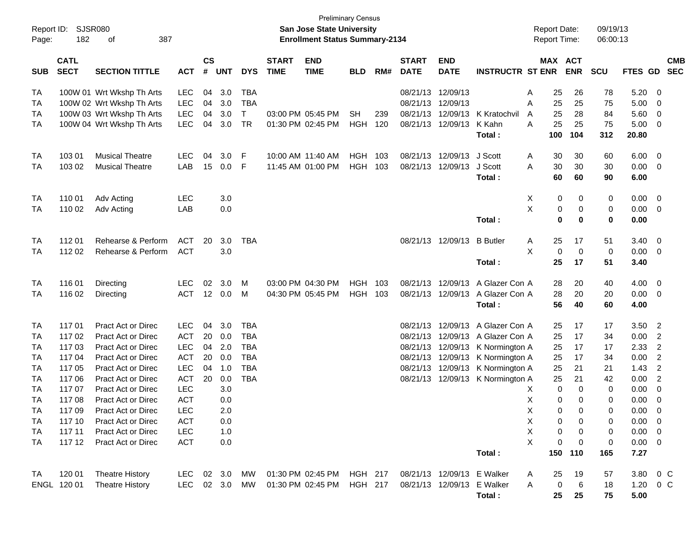| Report ID:<br>Page: | <b>SJSR080</b><br>182      | 387<br>оf                 |            |                    |            |            |                             | <b>Preliminary Census</b><br>San Jose State University<br><b>Enrollment Status Summary-2134</b> |            |     |                             |                            |                         | <b>Report Date:</b><br><b>Report Time:</b> |             |                       | 09/19/13<br>06:00:13 |               |                |                          |
|---------------------|----------------------------|---------------------------|------------|--------------------|------------|------------|-----------------------------|-------------------------------------------------------------------------------------------------|------------|-----|-----------------------------|----------------------------|-------------------------|--------------------------------------------|-------------|-----------------------|----------------------|---------------|----------------|--------------------------|
| <b>SUB</b>          | <b>CATL</b><br><b>SECT</b> | <b>SECTION TITTLE</b>     | <b>ACT</b> | $\mathsf{cs}$<br># | <b>UNT</b> | <b>DYS</b> | <b>START</b><br><b>TIME</b> | <b>END</b><br><b>TIME</b>                                                                       | <b>BLD</b> | RM# | <b>START</b><br><b>DATE</b> | <b>END</b><br><b>DATE</b>  | <b>INSTRUCTR ST ENR</b> |                                            |             | MAX ACT<br><b>ENR</b> | SCU                  | FTES GD       |                | <b>CMB</b><br><b>SEC</b> |
| TA                  |                            | 100W 01 Wrt Wkshp Th Arts | <b>LEC</b> | 04                 | 3.0        | <b>TBA</b> |                             |                                                                                                 |            |     | 08/21/13                    | 12/09/13                   |                         | Α                                          | 25          | 26                    | 78                   | 5.20          | - 0            |                          |
| <b>TA</b>           |                            | 100W 02 Wrt Wkshp Th Arts | LEC        | 04                 | 3.0        | <b>TBA</b> |                             |                                                                                                 |            |     | 08/21/13                    | 12/09/13                   |                         | A                                          | 25          | 25                    | 75                   | 5.00          | 0              |                          |
| <b>TA</b>           |                            | 100W 03 Wrt Wkshp Th Arts | <b>LEC</b> | 04                 | 3.0        | T.         |                             | 03:00 PM 05:45 PM                                                                               | <b>SH</b>  | 239 | 08/21/13                    | 12/09/13                   | K Kratochvil            | A                                          | 25          | 28                    | 84                   | 5.60          | 0              |                          |
| <b>TA</b>           |                            | 100W 04 Wrt Wkshp Th Arts | <b>LEC</b> | 04                 | 3.0        | <b>TR</b>  |                             | 01:30 PM 02:45 PM                                                                               | HGH        | 120 | 08/21/13                    | 12/09/13                   | K Kahn                  | A                                          | 25          | 25                    | 75                   | 5.00          | 0              |                          |
|                     |                            |                           |            |                    |            |            |                             |                                                                                                 |            |     |                             |                            | Total:                  |                                            | 100         | 104                   | 312                  | 20.80         |                |                          |
| <b>TA</b>           | 103 01                     | <b>Musical Theatre</b>    | <b>LEC</b> | 04                 | 3.0        | F          |                             | 10:00 AM 11:40 AM                                                                               | <b>HGH</b> | 103 | 08/21/13                    | 12/09/13                   | J Scott                 | A                                          | 30          | 30                    | 60                   | 6.00          | 0              |                          |
| <b>TA</b>           | 103 02                     | <b>Musical Theatre</b>    | LAB        | 15                 | 0.0        | F          |                             | 11:45 AM 01:00 PM                                                                               | HGH        | 103 | 08/21/13                    | 12/09/13                   | J Scott                 | A                                          | 30          | 30                    | 30                   | 0.00          | - 0            |                          |
|                     |                            |                           |            |                    |            |            |                             |                                                                                                 |            |     |                             |                            | Total:                  |                                            | 60          | 60                    | 90                   | 6.00          |                |                          |
| <b>TA</b>           | 110 01                     | Adv Acting                | <b>LEC</b> |                    | 3.0        |            |                             |                                                                                                 |            |     |                             |                            |                         | X                                          | 0           | 0                     | 0                    | 0.00          | 0              |                          |
| <b>TA</b>           | 110 02                     | Adv Acting                | LAB        |                    | 0.0        |            |                             |                                                                                                 |            |     |                             |                            |                         | X                                          | 0           | 0                     | 0                    | 0.00          | - 0            |                          |
|                     |                            |                           |            |                    |            |            |                             |                                                                                                 |            |     |                             |                            | Total:                  |                                            | 0           | $\mathbf 0$           | $\mathbf 0$          | 0.00          |                |                          |
| <b>TA</b>           | 112 01                     | Rehearse & Perform        | <b>ACT</b> | 20                 | 3.0        | <b>TBA</b> |                             |                                                                                                 |            |     |                             | 08/21/13 12/09/13          | <b>B</b> Butler         | Α                                          | 25          | 17                    | 51                   | 3.40          | 0              |                          |
| <b>TA</b>           | 112 02                     | Rehearse & Perform        | <b>ACT</b> |                    | 3.0        |            |                             |                                                                                                 |            |     |                             |                            |                         | X                                          | 0           | $\mathbf 0$           | 0                    | 0.00          | 0              |                          |
|                     |                            |                           |            |                    |            |            |                             |                                                                                                 |            |     |                             |                            | Total:                  |                                            | 25          | 17                    | 51                   | 3.40          |                |                          |
| TA                  | 116 01                     | Directing                 | <b>LEC</b> | 02                 | 3.0        | м          |                             | 03:00 PM 04:30 PM                                                                               | HGH        | 103 | 08/21/13                    | 12/09/13                   | A Glazer Con A          |                                            | 28          | 20                    | 40                   | 4.00          | 0              |                          |
| <b>TA</b>           | 116 02                     | Directing                 | <b>ACT</b> |                    | 12 0.0     | м          |                             | 04:30 PM 05:45 PM                                                                               | HGH        | 103 | 08/21/13                    | 12/09/13                   | A Glazer Con A          |                                            | 28          | 20                    | 20                   | 0.00          | - 0            |                          |
|                     |                            |                           |            |                    |            |            |                             |                                                                                                 |            |     |                             |                            | Total:                  |                                            | 56          | 40                    | 60                   | 4.00          |                |                          |
| <b>TA</b>           | 11701                      | <b>Pract Act or Direc</b> | <b>LEC</b> | 04                 | 3.0        | <b>TBA</b> |                             |                                                                                                 |            |     | 08/21/13                    | 12/09/13                   | A Glazer Con A          |                                            | 25          | 17                    | 17                   | 3.50          | $\overline{2}$ |                          |
| TA                  | 11702                      | <b>Pract Act or Direc</b> | <b>ACT</b> | 20                 | 0.0        | <b>TBA</b> |                             |                                                                                                 |            |     | 08/21/13                    | 12/09/13                   | A Glazer Con A          |                                            | 25          | 17                    | 34                   | 0.00          | $\overline{2}$ |                          |
| <b>TA</b>           | 11703                      | Pract Act or Direc        | <b>LEC</b> | 04                 | 2.0        | <b>TBA</b> |                             |                                                                                                 |            |     | 08/21/13                    | 12/09/13                   | K Normington A          |                                            | 25          | 17                    | 17                   | 2.33          | $\overline{2}$ |                          |
| <b>TA</b>           | 117 04                     | <b>Pract Act or Direc</b> | <b>ACT</b> | 20                 | 0.0        | <b>TBA</b> |                             |                                                                                                 |            |     | 08/21/13                    | 12/09/13                   | K Normington A          |                                            | 25          | 17                    | 34                   | 0.00          | $\overline{2}$ |                          |
| <b>TA</b>           | 117 05                     | <b>Pract Act or Direc</b> | <b>LEC</b> | 04                 | 1.0        | <b>TBA</b> |                             |                                                                                                 |            |     | 08/21/13                    | 12/09/13                   | K Normington A          |                                            | 25          | 21                    | 21                   | 1.43          | $\overline{2}$ |                          |
| <b>TA</b>           | 117 06                     | <b>Pract Act or Direc</b> | <b>ACT</b> | 20                 | 0.0        | <b>TBA</b> |                             |                                                                                                 |            |     |                             | 08/21/13 12/09/13          | K Normington A          |                                            | 25          | 21                    | 42                   | 0.00          | $\overline{2}$ |                          |
| <b>TA</b>           | 117 07                     | <b>Pract Act or Direc</b> | LEC        |                    | 3.0        |            |                             |                                                                                                 |            |     |                             |                            |                         | Х                                          | $\mathbf 0$ | $\mathbf 0$           | 0                    | 0.00          | $\mathbf 0$    |                          |
| <b>TA</b>           | 11708                      | <b>Pract Act or Direc</b> | <b>ACT</b> |                    | 0.0        |            |                             |                                                                                                 |            |     |                             |                            |                         | X                                          | 0           | $\mathbf 0$           | 0                    | 0.00          | $\mathbf 0$    |                          |
| <b>TA</b>           | 11709                      | Pract Act or Direc        | LEC        |                    | 2.0        |            |                             |                                                                                                 |            |     |                             |                            |                         | X                                          | $\Omega$    | 0                     | $\Omega$             | 0.00          | $\overline{0}$ |                          |
| TA                  | 117 10                     | Pract Act or Direc        | <b>ACT</b> |                    | 0.0        |            |                             |                                                                                                 |            |     |                             |                            |                         | X                                          | 0           | 0                     | 0                    | $0.00 \t 0$   |                |                          |
| TA                  | 117 11                     | Pract Act or Direc        | <b>LEC</b> |                    | 1.0        |            |                             |                                                                                                 |            |     |                             |                            |                         | X                                          | 0           | 0                     | 0                    | $0.00 \t 0$   |                |                          |
| TA                  | 117 12                     | Pract Act or Direc        | ACT        |                    | 0.0        |            |                             |                                                                                                 |            |     |                             |                            |                         | X                                          | $\Omega$    | $\mathbf 0$           | 0                    | $0.00 \t 0$   |                |                          |
|                     |                            |                           |            |                    |            |            |                             |                                                                                                 |            |     |                             |                            | Total:                  |                                            | 150         | 110                   | 165                  | 7.27          |                |                          |
| TA                  | 120 01                     | <b>Theatre History</b>    | LEC 02 3.0 |                    |            | MW         |                             | 01:30 PM 02:45 PM HGH 217                                                                       |            |     |                             | 08/21/13 12/09/13 E Walker |                         | A                                          | 25          | 19                    | 57                   | 3.80 0 C      |                |                          |
|                     | ENGL 120 01                | <b>Theatre History</b>    | LEC        |                    | 02 3.0     | MW         |                             | 01:30 PM 02:45 PM HGH 217                                                                       |            |     | 08/21/13 12/09/13 E Walker  |                            |                         | Α                                          | $\mathbf 0$ | 6                     | 18                   | $1.20 \t 0 C$ |                |                          |
|                     |                            |                           |            |                    |            |            |                             |                                                                                                 |            |     |                             |                            | Total:                  |                                            | 25          | 25                    | 75                   | 5.00          |                |                          |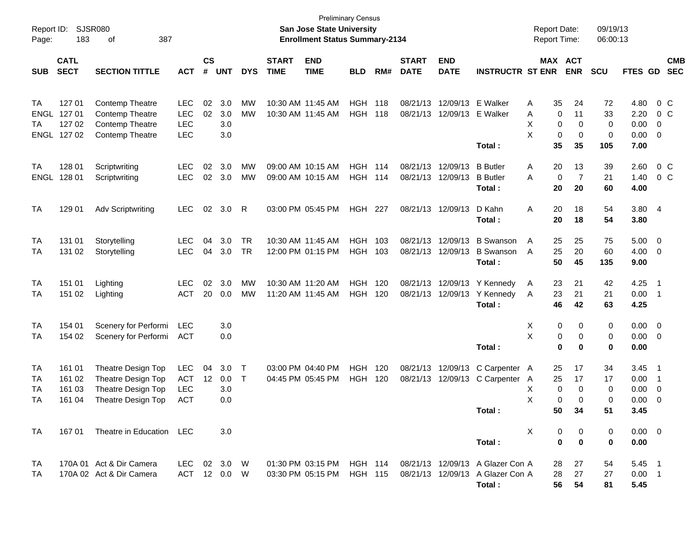| Report ID:<br>Page:      | 183                                       | <b>SJSR080</b><br>387<br>οf                                                          |                                                      |                |                          |                        |                                        | <b>Preliminary Census</b><br><b>San Jose State University</b><br><b>Enrollment Status Summary-2134</b> |                          |            |                             |                           |                                                                                | <b>Report Date:</b><br><b>Report Time:</b>  |                            | 09/19/13<br>06:00:13               |                                      |                                                      |
|--------------------------|-------------------------------------------|--------------------------------------------------------------------------------------|------------------------------------------------------|----------------|--------------------------|------------------------|----------------------------------------|--------------------------------------------------------------------------------------------------------|--------------------------|------------|-----------------------------|---------------------------|--------------------------------------------------------------------------------|---------------------------------------------|----------------------------|------------------------------------|--------------------------------------|------------------------------------------------------|
| <b>SUB</b>               | <b>CATL</b><br><b>SECT</b>                | <b>SECTION TITTLE</b>                                                                | <b>ACT</b>                                           | <b>CS</b><br># | <b>UNT</b>               | <b>DYS</b>             | <b>START</b><br><b>TIME</b>            | <b>END</b><br><b>TIME</b>                                                                              | <b>BLD</b>               | RM#        | <b>START</b><br><b>DATE</b> | <b>END</b><br><b>DATE</b> | <b>INSTRUCTR ST ENR</b>                                                        |                                             | MAX ACT<br><b>ENR</b>      | <b>SCU</b>                         | FTES GD                              | <b>CMB</b><br><b>SEC</b>                             |
| TA<br>ENGL<br>TA         | 127 01<br>127 01<br>127 02<br>ENGL 127 02 | Contemp Theatre<br>Contemp Theatre<br>Contemp Theatre<br><b>Contemp Theatre</b>      | <b>LEC</b><br><b>LEC</b><br><b>LEC</b><br><b>LEC</b> | 02<br>02       | 3.0<br>3.0<br>3.0<br>3.0 | МW<br>MW               | 10:30 AM 11:45 AM                      | 10:30 AM 11:45 AM                                                                                      | <b>HGH</b><br><b>HGH</b> | 118<br>118 | 08/21/13<br>08/21/13        | 12/09/13<br>12/09/13      | E Walker<br>E Walker<br>Total:                                                 | Α<br>35<br>Α<br>0<br>X<br>0<br>X<br>0<br>35 | 24<br>11<br>0<br>0<br>35   | 72<br>33<br>0<br>0<br>105          | 4.80<br>2.20<br>0.00<br>0.00<br>7.00 | 0 <sup>o</sup><br>0 <sup>o</sup><br>0<br>- 0         |
| <b>TA</b><br><b>ENGL</b> | 128 01<br>128 01                          | Scriptwriting<br>Scriptwriting                                                       | <b>LEC</b><br><b>LEC</b>                             | 02<br>02       | 3.0<br>3.0               | МW<br>МW               | 09:00 AM 10:15 AM<br>09:00 AM 10:15 AM |                                                                                                        | <b>HGH</b><br><b>HGH</b> | 114<br>114 | 08/21/13<br>08/21/13        | 12/09/13<br>12/09/13      | <b>B</b> Butler<br><b>B</b> Butler<br>Total:                                   | Α<br>20<br>0<br>A<br>20                     | 13<br>$\overline{7}$<br>20 | 39<br>21<br>60                     | 2.60<br>1.40<br>4.00                 | 0 <sup>o</sup><br>0 <sup>o</sup>                     |
| TA                       | 129 01                                    | <b>Adv Scriptwriting</b>                                                             | <b>LEC</b>                                           | 02             | 3.0                      | R                      | 03:00 PM 05:45 PM                      |                                                                                                        | <b>HGH 227</b>           |            | 08/21/13                    | 12/09/13                  | D Kahn<br>Total:                                                               | A<br>20<br>20                               | 18<br>18                   | 54<br>54                           | 3.80 4<br>3.80                       |                                                      |
| TA<br>TA                 | 131 01<br>131 02                          | Storytelling<br>Storytelling                                                         | <b>LEC</b><br><b>LEC</b>                             | 04<br>04       | 3.0<br>3.0               | <b>TR</b><br><b>TR</b> | 10:30 AM 11:45 AM                      | 12:00 PM 01:15 PM                                                                                      | <b>HGH</b><br><b>HGH</b> | 103<br>103 | 08/21/13<br>08/21/13        | 12/09/13<br>12/09/13      | <b>B</b> Swanson<br><b>B</b> Swanson<br>Total:                                 | 25<br>A<br>25<br>A<br>50                    | 25<br>20<br>45             | 75<br>60<br>135                    | 5.00<br>4.00<br>9.00                 | $\overline{\mathbf{0}}$<br>$\overline{\mathbf{0}}$   |
| TA<br>TA                 | 151 01<br>151 02                          | Lighting<br>Lighting                                                                 | <b>LEC</b><br><b>ACT</b>                             | 02<br>20       | 3.0<br>0.0               | MW<br>MW               | 10:30 AM 11:20 AM<br>11:20 AM 11:45 AM |                                                                                                        | <b>HGH</b><br><b>HGH</b> | 120<br>120 | 08/21/13<br>08/21/13        | 12/09/13<br>12/09/13      | Y Kennedy<br>Y Kennedy<br>Total:                                               | 23<br>A<br>23<br>A<br>46                    | 21<br>21<br>42             | 42<br>21<br>63                     | 4.25<br>0.00<br>4.25                 | $\overline{1}$<br>$\overline{1}$                     |
| TA<br>TA                 | 154 01<br>154 02                          | Scenery for Performi<br>Scenery for Performi                                         | <b>LEC</b><br>ACT                                    |                | 3.0<br>0.0               |                        |                                        |                                                                                                        |                          |            |                             |                           | Total:                                                                         | х<br>0<br>Χ<br>0<br>0                       | 0<br>0<br>0                | 0<br>0<br>0                        | 0.00<br>0.00<br>0.00                 | $\overline{\phantom{0}}$<br>$\overline{\phantom{0}}$ |
| TA<br>TA<br>TA<br>TA     | 161 01<br>161 02<br>161 03<br>161 04      | Theatre Design Top<br>Theatre Design Top<br>Theatre Design Top<br>Theatre Design Top | <b>LEC</b><br><b>ACT</b><br><b>LEC</b><br>ACT        | 04<br>12       | 3.0<br>0.0<br>3.0<br>0.0 | $\top$<br>$\top$       | 03:00 PM 04:40 PM<br>04:45 PM 05:45 PM |                                                                                                        | <b>HGH</b><br><b>HGH</b> | 120<br>120 | 08/21/13<br>08/21/13        | 12/09/13<br>12/09/13      | C Carpenter A<br>C Carpenter<br>Total:                                         | 25<br>25<br>A<br>Х<br>0<br>X<br>0<br>50     | 17<br>17<br>0<br>0<br>34   | 34<br>17<br>0<br>$\mathbf 0$<br>51 | 3.45<br>0.00<br>0.00<br>0.00<br>3.45 | $\overline{\phantom{1}}$<br>$\overline{1}$<br>0<br>0 |
| TA                       | 167 01                                    | Theatre in Education LEC                                                             |                                                      |                | 3.0                      |                        |                                        |                                                                                                        |                          |            |                             |                           | Total:                                                                         | Χ<br>0<br>0                                 | 0<br>0                     | 0<br>$\mathbf 0$                   | $0.00 \t 0$<br>0.00                  |                                                      |
| TA<br>TA                 |                                           | 170A 01 Act & Dir Camera<br>170A 02 Act & Dir Camera                                 | LEC.<br>ACT                                          |                | 02 3.0<br>12 0.0         | - W<br>W               |                                        | 01:30 PM 03:15 PM HGH 114<br>03:30 PM 05:15 PM                                                         | <b>HGH 115</b>           |            |                             |                           | 08/21/13 12/09/13 A Glazer Con A<br>08/21/13 12/09/13 A Glazer Con A<br>Total: | 28<br>28<br>56                              | 27<br>27<br>54             | 54<br>27<br>81                     | $5.45$ 1<br>$0.00$ 1<br>5.45         |                                                      |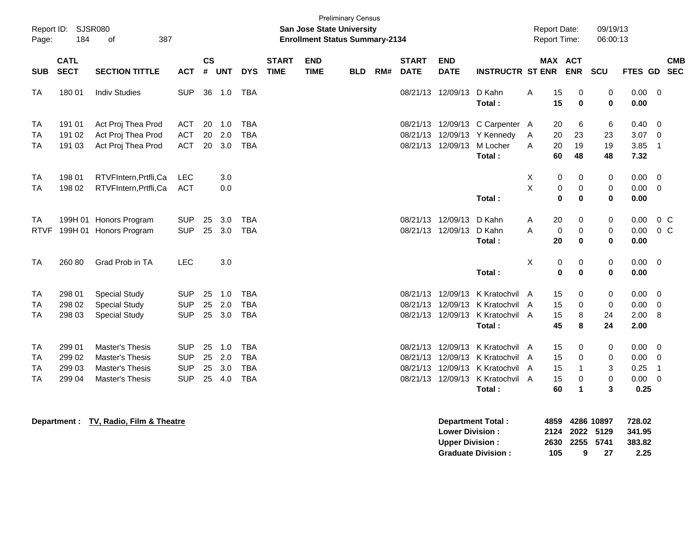| Report ID:<br>Page:                       | <b>SJSR080</b><br>184                | 387<br>οf                                                                                     |                                                      |                      |                          |                                                      |                             | <b>Preliminary Census</b><br><b>San Jose State University</b><br><b>Enrollment Status Summary-2134</b> |            |     |                                              |                                              |                                                                                | <b>Report Date:</b><br>Report Time: |                                              | 09/19/13<br>06:00:13  |                                      |                                         |
|-------------------------------------------|--------------------------------------|-----------------------------------------------------------------------------------------------|------------------------------------------------------|----------------------|--------------------------|------------------------------------------------------|-----------------------------|--------------------------------------------------------------------------------------------------------|------------|-----|----------------------------------------------|----------------------------------------------|--------------------------------------------------------------------------------|-------------------------------------|----------------------------------------------|-----------------------|--------------------------------------|-----------------------------------------|
| <b>SUB</b>                                | <b>CATL</b><br><b>SECT</b>           | <b>SECTION TITTLE</b>                                                                         | <b>ACT</b>                                           | <b>CS</b><br>#       | <b>UNT</b>               | <b>DYS</b>                                           | <b>START</b><br><b>TIME</b> | <b>END</b><br><b>TIME</b>                                                                              | <b>BLD</b> | RM# | <b>START</b><br><b>DATE</b>                  | <b>END</b><br><b>DATE</b>                    | <b>INSTRUCTR ST ENR</b>                                                        |                                     | MAX ACT<br><b>ENR</b>                        | SCU                   | FTES GD SEC                          | <b>CMB</b>                              |
| <b>TA</b>                                 | 180 01                               | <b>Indiv Studies</b>                                                                          | <b>SUP</b>                                           | 36                   | 1.0                      | <b>TBA</b>                                           |                             |                                                                                                        |            |     | 08/21/13                                     | 12/09/13                                     | D Kahn<br>Total:                                                               | A<br>15<br>15                       | 0<br>$\mathbf 0$                             | 0<br>$\bf{0}$         | 0.00<br>0.00                         | $\overline{0}$                          |
| <b>TA</b><br><b>TA</b><br><b>TA</b>       | 191 01<br>191 02<br>191 03           | Act Proj Thea Prod<br>Act Proj Thea Prod<br>Act Proj Thea Prod                                | <b>ACT</b><br><b>ACT</b><br><b>ACT</b>               | 20<br>20<br>20       | 1.0<br>2.0<br>3.0        | <b>TBA</b><br><b>TBA</b><br><b>TBA</b>               |                             |                                                                                                        |            |     | 08/21/13<br>08/21/13<br>08/21/13             | 12/09/13<br>12/09/13                         | C Carpenter A<br>12/09/13 Y Kennedy<br>M Locher<br>Total:                      | 20<br>Α<br>20<br>20<br>A<br>60      | 6<br>23<br>19<br>48                          | 6<br>23<br>19<br>48   | 0.40<br>3.07<br>3.85<br>7.32         | - 0<br>0<br>$\overline{1}$              |
| <b>TA</b><br><b>TA</b>                    | 198 01<br>198 02                     | RTVFIntern, Prtfli, Ca<br>RTVFIntern, Prtfli, Ca                                              | LEC<br><b>ACT</b>                                    |                      | 3.0<br>0.0               |                                                      |                             |                                                                                                        |            |     |                                              |                                              | Total:                                                                         | Х<br>X                              | 0<br>0<br>0<br>$\pmb{0}$<br>$\bf{0}$<br>0    | 0<br>0<br>0           | 0.00<br>0.00<br>0.00                 | 0<br>$\mathbf 0$                        |
| TA<br><b>RTVF</b>                         |                                      | 199H 01 Honors Program<br>199H 01 Honors Program                                              | <b>SUP</b><br><b>SUP</b>                             | 25<br>25             | 3.0<br>3.0               | <b>TBA</b><br><b>TBA</b>                             |                             |                                                                                                        |            |     | 08/21/13<br>08/21/13                         | 12/09/13<br>12/09/13                         | D Kahn<br>D Kahn<br>Total:                                                     | 20<br>A<br>A<br>20                  | 0<br>$\mathbf 0$<br>$\pmb{0}$<br>$\mathbf 0$ | 0<br>0<br>$\bf{0}$    | 0.00<br>0.00<br>0.00                 | 0 <sup>C</sup><br>$0\,C$                |
| <b>TA</b>                                 | 260 80                               | Grad Prob in TA                                                                               | <b>LEC</b>                                           |                      | 3.0                      |                                                      |                             |                                                                                                        |            |     |                                              |                                              | Total:                                                                         | X                                   | 0<br>0<br>$\mathbf 0$<br>$\mathbf 0$         | 0<br>0                | 0.00<br>0.00                         | 0                                       |
| <b>TA</b><br>TA<br><b>TA</b>              | 298 01<br>298 02<br>298 03           | <b>Special Study</b><br><b>Special Study</b><br><b>Special Study</b>                          | <b>SUP</b><br><b>SUP</b><br><b>SUP</b>               | 25<br>25<br>25       | 1.0<br>2.0<br>3.0        | <b>TBA</b><br><b>TBA</b><br><b>TBA</b>               |                             |                                                                                                        |            |     | 08/21/13<br>08/21/13<br>08/21/13             | 12/09/13<br>12/09/13<br>12/09/13             | K Kratochvil A<br>K Kratochvil A<br>K Kratochvil A<br>Total:                   | 15<br>15<br>15<br>45                | 0<br>0<br>8<br>8                             | 0<br>0<br>24<br>24    | 0.00<br>0.00<br>2.00<br>2.00         | 0<br>0<br>-8                            |
| TA<br><b>TA</b><br><b>TA</b><br><b>TA</b> | 299 01<br>299 02<br>299 03<br>299 04 | Master's Thesis<br><b>Master's Thesis</b><br><b>Master's Thesis</b><br><b>Master's Thesis</b> | <b>SUP</b><br><b>SUP</b><br><b>SUP</b><br><b>SUP</b> | 25<br>25<br>25<br>25 | 1.0<br>2.0<br>3.0<br>4.0 | <b>TBA</b><br><b>TBA</b><br><b>TBA</b><br><b>TBA</b> |                             |                                                                                                        |            |     | 08/21/13<br>08/21/13<br>08/21/13<br>08/21/13 | 12/09/13<br>12/09/13<br>12/09/13<br>12/09/13 | K Kratochvil A<br>K Kratochvil A<br>K Kratochvil A<br>K Kratochvil A<br>Total: | 15<br>15<br>15<br>15<br>60          | 0<br>0<br>1<br>0<br>$\blacktriangleleft$     | 0<br>0<br>3<br>0<br>3 | 0.00<br>0.00<br>0.25<br>0.00<br>0.25 | 0<br>0<br>$\overline{1}$<br>$\mathbf 0$ |

**Department : TV, Radio, Film & Theatre Department Total : 4859 4286 10897 728.02 Lower Division : 2124 2022 5129 341.95 Upper Division : 2630 2255 5741 383.82 Graduate Division :**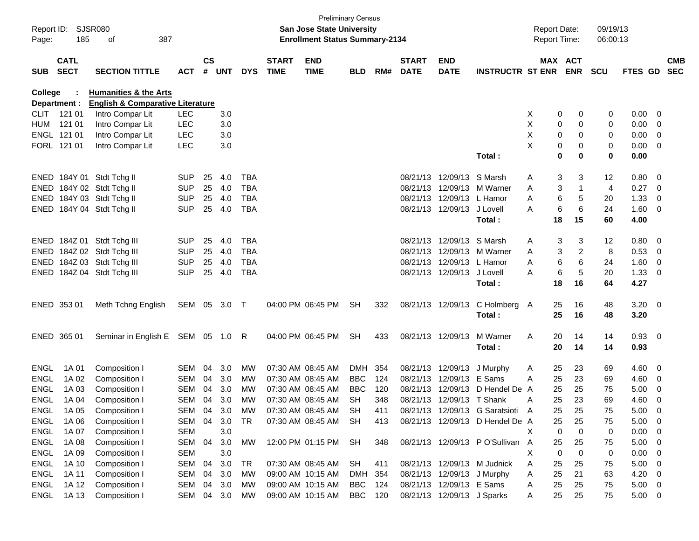| Report ID:<br>Page: | 185                        | <b>SJSR080</b><br>387<br>οf                 |            |               |       |            |                             | <b>Preliminary Census</b><br><b>San Jose State University</b><br><b>Enrollment Status Summary-2134</b> |            |     |                             |                            |                                  | <b>Report Date:</b><br>Report Time: |                            | 09/19/13<br>06:00:13 |              |                          |                          |
|---------------------|----------------------------|---------------------------------------------|------------|---------------|-------|------------|-----------------------------|--------------------------------------------------------------------------------------------------------|------------|-----|-----------------------------|----------------------------|----------------------------------|-------------------------------------|----------------------------|----------------------|--------------|--------------------------|--------------------------|
| <b>SUB</b>          | <b>CATL</b><br><b>SECT</b> | <b>SECTION TITTLE</b>                       | <b>ACT</b> | $\mathsf{cs}$ | # UNT | <b>DYS</b> | <b>START</b><br><b>TIME</b> | <b>END</b><br><b>TIME</b>                                                                              | <b>BLD</b> | RM# | <b>START</b><br><b>DATE</b> | <b>END</b><br><b>DATE</b>  | <b>INSTRUCTR ST ENR</b>          |                                     | MAX ACT<br><b>ENR</b>      | <b>SCU</b>           | FTES GD      |                          | <b>CMB</b><br><b>SEC</b> |
| College             |                            | <b>Humanities &amp; the Arts</b>            |            |               |       |            |                             |                                                                                                        |            |     |                             |                            |                                  |                                     |                            |                      |              |                          |                          |
|                     | Department :               | <b>English &amp; Comparative Literature</b> |            |               |       |            |                             |                                                                                                        |            |     |                             |                            |                                  |                                     |                            |                      |              |                          |                          |
| <b>CLIT</b>         | 121 01                     | Intro Compar Lit                            | <b>LEC</b> |               | 3.0   |            |                             |                                                                                                        |            |     |                             |                            |                                  | X                                   | 0<br>0                     | 0                    | 0.00         | $\overline{\phantom{0}}$ |                          |
| HUM                 | 121 01                     | Intro Compar Lit                            | <b>LEC</b> |               | 3.0   |            |                             |                                                                                                        |            |     |                             |                            |                                  | X                                   | 0<br>0                     | 0                    | 0.00         | $\overline{\mathbf{0}}$  |                          |
|                     | ENGL 121 01                | Intro Compar Lit                            | <b>LEC</b> |               | 3.0   |            |                             |                                                                                                        |            |     |                             |                            |                                  | X                                   | 0<br>0                     | 0                    | 0.00         | $\overline{\mathbf{0}}$  |                          |
|                     | FORL 121 01                | Intro Compar Lit                            | LEC        |               | 3.0   |            |                             |                                                                                                        |            |     |                             |                            | Total:                           | X                                   | 0<br>0<br>$\mathbf 0$<br>0 | 0<br>$\bf{0}$        | 0.00<br>0.00 | $\overline{\mathbf{0}}$  |                          |
|                     |                            | ENED 184Y 01 Stdt Tchg II                   | <b>SUP</b> | 25            | 4.0   | <b>TBA</b> |                             |                                                                                                        |            |     |                             | 08/21/13 12/09/13          | S Marsh                          | A                                   | 3<br>3                     | 12                   | 0.80         | $\overline{\phantom{0}}$ |                          |
|                     |                            | ENED 184Y 02 Stdt Tchg II                   | <b>SUP</b> | 25            | 4.0   | <b>TBA</b> |                             |                                                                                                        |            |     | 08/21/13                    |                            | 12/09/13 M Warner                | Α                                   | 3                          | 4                    | 0.27         | $\overline{\phantom{0}}$ |                          |
|                     |                            | ENED 184Y 03 Stdt Tchg II                   | <b>SUP</b> | 25            | 4.0   | <b>TBA</b> |                             |                                                                                                        |            |     |                             | 08/21/13 12/09/13 L Hamor  |                                  | A                                   | 6<br>5                     | 20                   | 1.33         | $\overline{0}$           |                          |
|                     |                            | ENED 184Y 04 Stdt Tchg II                   | <b>SUP</b> | 25            | 4.0   | <b>TBA</b> |                             |                                                                                                        |            |     |                             | 08/21/13 12/09/13          | J Lovell                         | A                                   | 6<br>6                     | 24                   | 1.60 0       |                          |                          |
|                     |                            |                                             |            |               |       |            |                             |                                                                                                        |            |     |                             |                            | Total:                           | 18                                  | 15                         | 60                   | 4.00         |                          |                          |
|                     |                            | ENED 184Z 01 Stdt Tchg III                  | <b>SUP</b> | 25            | 4.0   | <b>TBA</b> |                             |                                                                                                        |            |     |                             | 08/21/13 12/09/13 S Marsh  |                                  | Α                                   | 3<br>3                     | 12                   | $0.80 \ 0$   |                          |                          |
|                     |                            | ENED 184Z 02 Stdt Tchg III                  | <b>SUP</b> | 25            | 4.0   | <b>TBA</b> |                             |                                                                                                        |            |     | 08/21/13                    |                            | 12/09/13 M Warner                | Α                                   | 3<br>2                     | 8                    | 0.53         | $\overline{\mathbf{0}}$  |                          |
|                     |                            | ENED 184Z 03 Stdt Tchg III                  | <b>SUP</b> | 25            | 4.0   | <b>TBA</b> |                             |                                                                                                        |            |     |                             | 08/21/13 12/09/13 L Hamor  |                                  | A                                   | 6<br>6                     | 24                   | 1.60         | $\overline{\mathbf{0}}$  |                          |
|                     |                            | ENED 184Z 04 Stdt Tchg III                  | <b>SUP</b> | 25            | 4.0   | <b>TBA</b> |                             |                                                                                                        |            |     |                             | 08/21/13 12/09/13          | J Lovell                         | A                                   | 6<br>5                     | 20                   | 1.33         | $\overline{\mathbf{0}}$  |                          |
|                     |                            |                                             |            |               |       |            |                             |                                                                                                        |            |     |                             |                            | Total:                           | 18                                  | 16                         | 64                   | 4.27         |                          |                          |
|                     |                            |                                             |            |               |       |            |                             |                                                                                                        |            |     |                             |                            |                                  |                                     |                            |                      |              |                          |                          |
|                     | ENED 353 01                | Meth Tchng English                          | SEM 05     |               | 3.0   | $\top$     |                             | 04:00 PM 06:45 PM                                                                                      | <b>SH</b>  | 332 |                             | 08/21/13 12/09/13          | C Holmberg A                     | 25                                  | 16                         | 48                   | $3.20 \ 0$   |                          |                          |
|                     |                            |                                             |            |               |       |            |                             |                                                                                                        |            |     |                             |                            | Total:                           | 25                                  | 16                         | 48                   | 3.20         |                          |                          |
|                     | ENED 365 01                | Seminar in English E SEM 05 1.0 R           |            |               |       |            |                             | 04:00 PM 06:45 PM                                                                                      | <b>SH</b>  | 433 |                             | 08/21/13 12/09/13          | M Warner                         | 20<br>Α                             | 14                         | 14                   | 0.93 0       |                          |                          |
|                     |                            |                                             |            |               |       |            |                             |                                                                                                        |            |     |                             |                            | Total:                           | 20                                  | 14                         | 14                   | 0.93         |                          |                          |
| ENGL                | 1A 01                      | Composition I                               | SEM        | 04            | 3.0   | МW         |                             | 07:30 AM 08:45 AM                                                                                      | DMH        | 354 |                             | 08/21/13 12/09/13          | J Murphy                         | 25<br>Α                             | 23                         | 69                   | 4.60         | $\overline{\phantom{0}}$ |                          |
| <b>ENGL</b>         | 1A 02                      | Composition I                               | SEM        | 04            | 3.0   | MW         |                             | 07:30 AM 08:45 AM                                                                                      | <b>BBC</b> | 124 | 08/21/13                    | 12/09/13 E Sams            |                                  | A<br>25                             | 23                         | 69                   | 4.60         | - 0                      |                          |
| <b>ENGL</b>         | 1A 03                      | Composition I                               | <b>SEM</b> | 04            | 3.0   | МW         |                             | 07:30 AM 08:45 AM                                                                                      | <b>BBC</b> | 120 | 08/21/13                    | 12/09/13                   | D Hendel De A                    | 25                                  | 25                         | 75                   | 5.00         | $\overline{0}$           |                          |
| <b>ENGL</b>         | 1A 04                      | Composition I                               | SEM        | 04            | 3.0   | MW         |                             | 07:30 AM 08:45 AM                                                                                      | <b>SH</b>  | 348 |                             | 08/21/13 12/09/13 T Shank  |                                  | 25<br>A                             | 23                         | 69                   | 4.60         | $\overline{\mathbf{0}}$  |                          |
| ENGL                | 1A 05                      | Composition I                               | SEM        | 04            | 3.0   | MW         |                             | 07:30 AM 08:45 AM                                                                                      | SH         | 411 |                             |                            | 08/21/13 12/09/13 G Saratsioti A | 25                                  | 25                         | 75                   | 5.00         | $\overline{\mathbf{0}}$  |                          |
| ENGL                | 1A 06                      | Composition I                               | SEM        | 04            | 3.0   | TR         |                             | 07:30 AM 08:45 AM                                                                                      | <b>SH</b>  | 413 |                             |                            | 08/21/13 12/09/13 D Hendel De A  | 25                                  | 25                         | 75                   | 5.00         | $\overline{\phantom{0}}$ |                          |
| ENGL                | 1A 07                      | Composition I                               | <b>SEM</b> |               | 3.0   |            |                             |                                                                                                        |            |     |                             |                            |                                  | Χ                                   | 0<br>0                     | 0                    | 0.00         | $\overline{\phantom{0}}$ |                          |
| ENGL                | 1A 08                      | Composition I                               | SEM        | 04            | 3.0   | <b>MW</b>  |                             | 12:00 PM 01:15 PM                                                                                      | SH         | 348 |                             |                            | 08/21/13 12/09/13 PO'Sullivan A  | 25                                  | 25                         | 75                   | 5.00         | $\overline{\phantom{0}}$ |                          |
| <b>ENGL</b>         | 1A 09                      | Composition I                               | <b>SEM</b> |               | 3.0   |            |                             |                                                                                                        |            |     |                             |                            |                                  | X                                   | 0<br>$\mathbf 0$           | 0                    | 0.00         | $\overline{\mathbf{0}}$  |                          |
| <b>ENGL</b>         | 1A 10                      | Composition I                               | SEM        | 04            | 3.0   | <b>TR</b>  |                             | 07:30 AM 08:45 AM                                                                                      | <b>SH</b>  | 411 |                             |                            | 08/21/13 12/09/13 M Judnick      | 25<br>Α                             | 25                         | 75                   | 5.00         | $\overline{\phantom{0}}$ |                          |
| ENGL                | 1A 11                      | Composition I                               | SEM        | 04            | 3.0   | MW         |                             | 09:00 AM 10:15 AM                                                                                      | DMH 354    |     |                             | 08/21/13 12/09/13 J Murphy |                                  | 25<br>A                             | 21                         | 63                   | $4.20 \ 0$   |                          |                          |
| ENGL                | 1A 12                      | Composition I                               | SEM        | 04            | 3.0   | MW         |                             | 09:00 AM 10:15 AM                                                                                      | <b>BBC</b> | 124 |                             | 08/21/13 12/09/13 E Sams   |                                  | 25<br>A                             | 25                         | 75                   | $5.00 \t 0$  |                          |                          |
| ENGL                | 1A 13                      | Composition I                               | SEM 04     |               | 3.0   | MW         |                             | 09:00 AM 10:15 AM                                                                                      | BBC 120    |     |                             | 08/21/13 12/09/13 J Sparks |                                  | 25<br>A                             | 25                         | 75                   | $5.00 \t 0$  |                          |                          |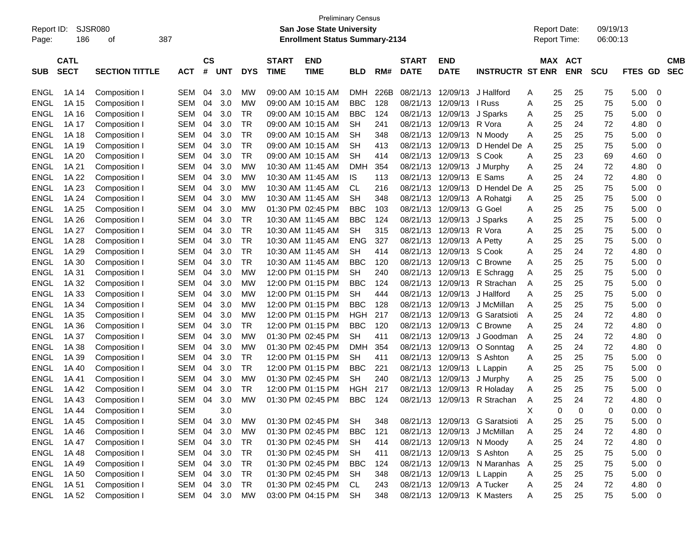| Report ID:<br>Page: | 186                        | SJSR080<br>οf         | 387        |                    |            |            |                             | <b>Preliminary Census</b><br><b>San Jose State University</b><br><b>Enrollment Status Summary-2134</b> |            |      |                             |                           |                                | <b>Report Date:</b><br><b>Report Time:</b> |                       | 09/19/13<br>06:00:13 |             |                          |
|---------------------|----------------------------|-----------------------|------------|--------------------|------------|------------|-----------------------------|--------------------------------------------------------------------------------------------------------|------------|------|-----------------------------|---------------------------|--------------------------------|--------------------------------------------|-----------------------|----------------------|-------------|--------------------------|
| <b>SUB</b>          | <b>CATL</b><br><b>SECT</b> | <b>SECTION TITTLE</b> | <b>ACT</b> | $\mathsf{cs}$<br># | <b>UNT</b> | <b>DYS</b> | <b>START</b><br><b>TIME</b> | <b>END</b><br><b>TIME</b>                                                                              | BLD        | RM#  | <b>START</b><br><b>DATE</b> | <b>END</b><br><b>DATE</b> | <b>INSTRUCTR ST ENR</b>        |                                            | MAX ACT<br><b>ENR</b> | <b>SCU</b>           | FTES<br>GD. | <b>CMB</b><br><b>SEC</b> |
| <b>ENGL</b>         | 1A 14                      | Composition I         | <b>SEM</b> | 04                 | 3.0        | МW         |                             | 09:00 AM 10:15 AM                                                                                      | <b>DMH</b> | 226B | 08/21/13                    | 12/09/13                  | J Hallford                     | 25<br>A                                    | 25                    | 75                   | 5.00        | 0                        |
| <b>ENGL</b>         | 1A 15                      | Composition I         | <b>SEM</b> | 04                 | 3.0        | МW         | 09:00 AM 10:15 AM           |                                                                                                        | <b>BBC</b> | 128  | 08/21/13                    | 12/09/13                  | I Russ                         | 25<br>Α                                    | 25                    | 75                   | 5.00        | 0                        |
| <b>ENGL</b>         | 1A 16                      | Composition I         | <b>SEM</b> | 04                 | 3.0        | TR         | 09:00 AM 10:15 AM           |                                                                                                        | <b>BBC</b> | 124  | 08/21/13                    | 12/09/13                  | J Sparks                       | 25<br>A                                    | 25                    | 75                   | 5.00        | 0                        |
| <b>ENGL</b>         | 1A 17                      | Composition I         | <b>SEM</b> | 04                 | 3.0        | TR         | 09:00 AM 10:15 AM           |                                                                                                        | <b>SH</b>  | 241  | 08/21/13                    | 12/09/13                  | R Vora                         | 25<br>Α                                    | 24                    | 72                   | 4.80        | 0                        |
| <b>ENGL</b>         | 1A 18                      | Composition I         | <b>SEM</b> | 04                 | 3.0        | TR         | 09:00 AM 10:15 AM           |                                                                                                        | <b>SH</b>  | 348  | 08/21/13                    | 12/09/13                  | N Moody                        | 25<br>Α                                    | 25                    | 75                   | 5.00        | 0                        |
| <b>ENGL</b>         | 1A 19                      | Composition I         | <b>SEM</b> | 04                 | 3.0        | <b>TR</b>  | 09:00 AM 10:15 AM           |                                                                                                        | SН         | 413  | 08/21/13                    | 12/09/13                  | D Hendel De A                  | 25                                         | 25                    | 75                   | 5.00        | 0                        |
| <b>ENGL</b>         | 1A 20                      | Composition I         | <b>SEM</b> | 04                 | 3.0        | <b>TR</b>  |                             | 09:00 AM 10:15 AM                                                                                      | SН         | 414  | 08/21/13                    | 12/09/13                  | S Cook                         | 25<br>Α                                    | 23                    | 69                   | 4.60        | 0                        |
| <b>ENGL</b>         | 1A 21                      | Composition I         | <b>SEM</b> | 04                 | 3.0        | МW         |                             | 10:30 AM 11:45 AM                                                                                      | DMH        | 354  | 08/21/13                    | 12/09/13                  | J Murphy                       | 25<br>Α                                    | 24                    | 72                   | 4.80        | 0                        |
| <b>ENGL</b>         | 1A 22                      | Composition I         | <b>SEM</b> | 04                 | 3.0        | МW         |                             | 10:30 AM 11:45 AM                                                                                      | IS         | 113  | 08/21/13                    | 12/09/13                  | E Sams                         | 25<br>Α                                    | 24                    | 72                   | 4.80        | 0                        |
| <b>ENGL</b>         | 1A 23                      | Composition I         | <b>SEM</b> | 04                 | 3.0        | МW         |                             | 10:30 AM 11:45 AM                                                                                      | СL         | 216  | 08/21/13                    | 12/09/13                  | D Hendel De A                  | 25                                         | 25                    | 75                   | 5.00        | 0                        |
| <b>ENGL</b>         | 1A 24                      | Composition I         | <b>SEM</b> | 04                 | 3.0        | МW         |                             | 10:30 AM 11:45 AM                                                                                      | <b>SH</b>  | 348  | 08/21/13                    | 12/09/13                  | A Rohatgi                      | 25<br>A                                    | 25                    | 75                   | 5.00        | 0                        |
| <b>ENGL</b>         | 1A 25                      | Composition I         | <b>SEM</b> | 04                 | 3.0        | МW         | 01:30 PM 02:45 PM           |                                                                                                        | <b>BBC</b> | 103  | 08/21/13                    | 12/09/13                  | G Goel                         | 25<br>Α                                    | 25                    | 75                   | 5.00        | 0                        |
| <b>ENGL</b>         | 1A 26                      | Composition I         | <b>SEM</b> | 04                 | 3.0        | TR         |                             | 10:30 AM 11:45 AM                                                                                      | <b>BBC</b> | 124  | 08/21/13                    | 12/09/13                  | J Sparks                       | 25<br>Α                                    | 25                    | 75                   | 5.00        | 0                        |
| <b>ENGL</b>         | 1A 27                      | Composition I         | <b>SEM</b> | 04                 | 3.0        | TR         |                             | 10:30 AM 11:45 AM                                                                                      | <b>SH</b>  | 315  | 08/21/13                    | 12/09/13 R Vora           |                                | 25<br>A                                    | 25                    | 75                   | 5.00        | 0                        |
| <b>ENGL</b>         | 1A 28                      | Composition I         | <b>SEM</b> | 04                 | 3.0        | TR         |                             | 10:30 AM 11:45 AM                                                                                      | <b>ENG</b> | 327  | 08/21/13                    | 12/09/13                  | A Petty                        | 25<br>Α                                    | 25                    | 75                   | 5.00        | 0                        |
| <b>ENGL</b>         | 1A 29                      | Composition I         | <b>SEM</b> | 04                 | 3.0        | TR         |                             | 10:30 AM 11:45 AM                                                                                      | <b>SH</b>  | 414  | 08/21/13                    | 12/09/13                  | S Cook                         | 25<br>Α                                    | 24                    | 72                   | 4.80        | 0                        |
| <b>ENGL</b>         | 1A 30                      | Composition I         | <b>SEM</b> | 04                 | 3.0        | <b>TR</b>  |                             | 10:30 AM 11:45 AM                                                                                      | <b>BBC</b> | 120  | 08/21/13                    | 12/09/13                  | C Browne                       | 25<br>Α                                    | 25                    | 75                   | 5.00        | 0                        |
| <b>ENGL</b>         | 1A 31                      | Composition I         | <b>SEM</b> | 04                 | 3.0        | МW         |                             | 12:00 PM 01:15 PM                                                                                      | <b>SH</b>  | 240  | 08/21/13                    | 12/09/13                  | E Schragg                      | 25<br>Α                                    | 25                    | 75                   | 5.00        | 0                        |
| <b>ENGL</b>         | 1A 32                      | Composition I         | <b>SEM</b> | 04                 | 3.0        | МW         |                             | 12:00 PM 01:15 PM                                                                                      | <b>BBC</b> | 124  | 08/21/13                    | 12/09/13                  | R Strachan                     | 25<br>A                                    | 25                    | 75                   | 5.00        | 0                        |
| <b>ENGL</b>         | 1A 33                      | Composition I         | <b>SEM</b> | 04                 | 3.0        | МW         |                             | 12:00 PM 01:15 PM                                                                                      | <b>SH</b>  | 444  | 08/21/13                    | 12/09/13                  | J Hallford                     | 25<br>Α                                    | 25                    | 75                   | 5.00        | 0                        |
| <b>ENGL</b>         | 1A 34                      | Composition I         | <b>SEM</b> | 04                 | 3.0        | МW         |                             | 12:00 PM 01:15 PM                                                                                      | <b>BBC</b> | 128  | 08/21/13                    | 12/09/13                  | J McMillan                     | 25<br>A                                    | 25                    | 75                   | 5.00        | 0                        |
| <b>ENGL</b>         | 1A 35                      | Composition I         | <b>SEM</b> | 04                 | 3.0        | МW         |                             | 12:00 PM 01:15 PM                                                                                      | HGH        | 217  | 08/21/13                    | 12/09/13                  | G Saratsioti                   | 25<br>A                                    | 24                    | 72                   | 4.80        | 0                        |
| <b>ENGL</b>         | 1A 36                      | Composition I         | <b>SEM</b> | 04                 | 3.0        | TR         |                             | 12:00 PM 01:15 PM                                                                                      | <b>BBC</b> | 120  | 08/21/13                    | 12/09/13                  | C Browne                       | 25<br>Α                                    | 24                    | 72                   | 4.80        | 0                        |
| <b>ENGL</b>         | 1A 37                      | Composition I         | <b>SEM</b> | 04                 | 3.0        | МW         | 01:30 PM 02:45 PM           |                                                                                                        | <b>SH</b>  | 411  | 08/21/13                    | 12/09/13                  | J Goodman                      | 25<br>A                                    | 24                    | 72                   | 4.80        | 0                        |
| <b>ENGL</b>         | 1A 38                      | Composition I         | <b>SEM</b> | 04                 | 3.0        | МW         | 01:30 PM 02:45 PM           |                                                                                                        | <b>DMH</b> | 354  | 08/21/13                    | 12/09/13                  | O Sonntag                      | 25<br>A                                    | 24                    | 72                   | 4.80        | 0                        |
| <b>ENGL</b>         | 1A 39                      | Composition I         | <b>SEM</b> | 04                 | 3.0        | TR         |                             | 12:00 PM 01:15 PM                                                                                      | <b>SH</b>  | 411  | 08/21/13                    | 12/09/13                  | S Ashton                       | 25<br>A                                    | 25                    | 75                   | 5.00        | 0                        |
| <b>ENGL</b>         | 1A 40                      | Composition I         | <b>SEM</b> | 04                 | 3.0        | TR         |                             | 12:00 PM 01:15 PM                                                                                      | <b>BBC</b> | 221  | 08/21/13                    | 12/09/13                  | L Lappin                       | 25<br>A                                    | 25                    | 75                   | 5.00        | 0                        |
| <b>ENGL</b>         | 1A 41                      | Composition I         | <b>SEM</b> | 04                 | 3.0        | МW         | 01:30 PM 02:45 PM           |                                                                                                        | <b>SH</b>  | 240  | 08/21/13                    | 12/09/13                  | J Murphy                       | 25<br>A                                    | 25                    | 75                   | 5.00        | 0                        |
| <b>ENGL</b>         | 1A 42                      | Composition I         | <b>SEM</b> | 04                 | 3.0        | TR         |                             | 12:00 PM 01:15 PM                                                                                      | HGH        | 217  | 08/21/13                    | 12/09/13                  | R Holaday                      | 25<br>A                                    | 25                    | 75                   | 5.00        | 0                        |
| <b>ENGL</b>         | 1A 43                      | Composition I         | SEM        | 04                 | 3.0        | МW         | 01:30 PM 02:45 PM           |                                                                                                        | <b>BBC</b> | 124  | 08/21/13                    |                           | 12/09/13 R Strachan            | 25<br>A                                    | 24                    | 72                   | 4.80        | 0                        |
| <b>ENGL</b>         | 1A 44                      | Composition I         | <b>SEM</b> |                    | 3.0        |            |                             |                                                                                                        |            |      |                             |                           |                                | Х                                          | 0<br>0                | 0                    | 0.00        | 0                        |
| <b>ENGL</b>         | 1A 45                      | Composition I         | SEM        | 04                 | 3.0        | МW         |                             | 01:30 PM 02:45 PM                                                                                      | <b>SH</b>  | 348  |                             |                           | 08/21/13 12/09/13 G Saratsioti | 25<br>A                                    | 25                    | 75                   | 5.00        | 0                        |
| <b>ENGL</b>         | 1A 46                      | Composition I         | SEM        | 04                 | 3.0        | MW         |                             | 01:30 PM 02:45 PM                                                                                      | <b>BBC</b> | 121  |                             |                           | 08/21/13 12/09/13 J McMillan   | 25<br>A                                    | 24                    | 72                   | 4.80        | 0                        |
| <b>ENGL</b>         | 1A 47                      | Composition I         | SEM        | 04                 | 3.0        | <b>TR</b>  |                             | 01:30 PM 02:45 PM                                                                                      | <b>SH</b>  | 414  | 08/21/13                    | 12/09/13 N Moody          |                                | 25<br>A                                    | 24                    | 72                   | 4.80        | 0                        |
| <b>ENGL</b>         | 1A 48                      | Composition I         | SEM        | 04                 | 3.0        | <b>TR</b>  |                             | 01:30 PM 02:45 PM                                                                                      | <b>SH</b>  | 411  | 08/21/13                    | 12/09/13 S Ashton         |                                | 25<br>Α                                    | 25                    | 75                   | 5.00        | 0                        |
| <b>ENGL</b>         | 1A 49                      | Composition I         | SEM        | 04                 | 3.0        | <b>TR</b>  |                             | 01:30 PM 02:45 PM                                                                                      | <b>BBC</b> | 124  | 08/21/13                    |                           | 12/09/13 N Maranhas A          | 25                                         | 25                    | 75                   | 5.00        | 0                        |
| <b>ENGL</b>         | 1A 50                      | Composition I         | SEM        | 04                 | 3.0        | <b>TR</b>  |                             | 01:30 PM 02:45 PM                                                                                      | <b>SH</b>  | 348  | 08/21/13                    | 12/09/13 L Lappin         |                                | 25<br>Α                                    | 25                    | 75                   | 5.00        | 0                        |
| <b>ENGL</b>         | 1A 51                      | Composition I         | SEM        | 04                 | 3.0        | <b>TR</b>  |                             | 01:30 PM 02:45 PM                                                                                      | CL         | 243  | 08/21/13                    | 12/09/13 A Tucker         |                                | 25<br>A                                    | 24                    | 72                   | 4.80        | 0                        |
| <b>ENGL</b>         | 1A 52                      | Composition I         | SEM 04 3.0 |                    |            | MW         |                             | 03:00 PM 04:15 PM                                                                                      | <b>SH</b>  | 348  |                             |                           | 08/21/13 12/09/13 K Masters    | 25<br>A                                    | 25                    | 75                   | 5.00        | $\mathbf 0$              |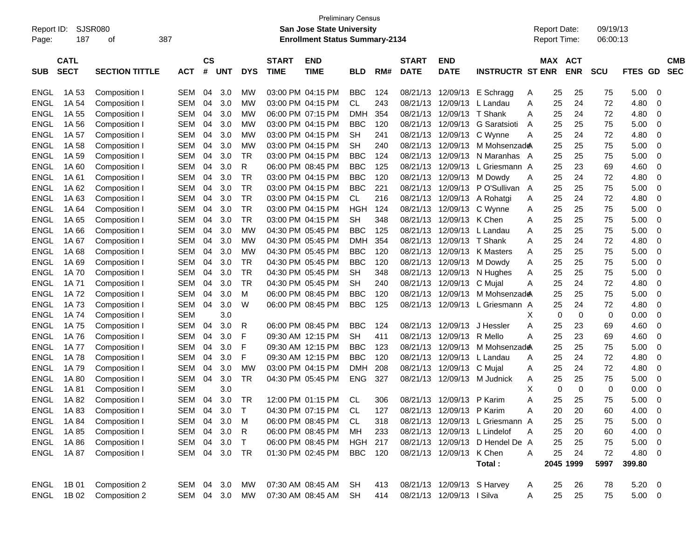| Report ID:<br>Page: | 187                        | SJSR080<br>387<br>оf  |            |                    |            |            |                             | <b>Preliminary Census</b><br><b>San Jose State University</b><br><b>Enrollment Status Summary-2134</b> |                |     |                             |                            |                                 | <b>Report Date:</b> |     | Report Time:             | 09/19/13<br>06:00:13 |             |                          |                          |
|---------------------|----------------------------|-----------------------|------------|--------------------|------------|------------|-----------------------------|--------------------------------------------------------------------------------------------------------|----------------|-----|-----------------------------|----------------------------|---------------------------------|---------------------|-----|--------------------------|----------------------|-------------|--------------------------|--------------------------|
| <b>SUB</b>          | <b>CATL</b><br><b>SECT</b> | <b>SECTION TITTLE</b> | <b>ACT</b> | $\mathsf{cs}$<br># | <b>UNT</b> | <b>DYS</b> | <b>START</b><br><b>TIME</b> | <b>END</b><br><b>TIME</b>                                                                              | <b>BLD</b>     | RM# | <b>START</b><br><b>DATE</b> | END<br><b>DATE</b>         | <b>INSTRUCTR ST ENR</b>         |                     | MAX | <b>ACT</b><br><b>ENR</b> | <b>SCU</b>           | FTES        | <b>GD</b>                | <b>CMB</b><br><b>SEC</b> |
| <b>ENGL</b>         | 1A 53                      | Composition I         | SEM        | 04                 | 3.0        | МW         |                             | 03:00 PM 04:15 PM                                                                                      | <b>BBC</b>     | 124 | 08/21/13                    | 12/09/13                   | E Schragg                       | A                   | 25  | 25                       | 75                   | 5.00        | 0                        |                          |
| ENGL                | 1A 54                      | Composition I         | SEM        | 04                 | 3.0        | МW         |                             | 03:00 PM 04:15 PM                                                                                      | CL             | 243 | 08/21/13                    | 12/09/13                   | L Landau                        | A                   | 25  | 24                       | 72                   | 4.80        | 0                        |                          |
| ENGL                | 1A 55                      | Composition I         | SEM        | 04                 | 3.0        | МW         |                             | 06:00 PM 07:15 PM                                                                                      | <b>DMH</b>     | 354 | 08/21/13                    | 12/09/13                   | T Shank                         | A                   | 25  | 24                       | 72                   | 4.80        | 0                        |                          |
| ENGL                | 1A 56                      | Composition I         | SEM        | 04                 | 3.0        | МW         |                             | 03:00 PM 04:15 PM                                                                                      | <b>BBC</b>     | 120 | 08/21/13                    | 12/09/13                   | G Saratsioti                    | A                   | 25  | 25                       | 75                   | 5.00        | 0                        |                          |
| ENGL                | 1A 57                      | Composition I         | SEM        | 04                 | 3.0        | МW         |                             | 03:00 PM 04:15 PM                                                                                      | SН             | 241 | 08/21/13                    | 12/09/13                   | C Wynne                         | Α                   | 25  | 24                       | 72                   | 4.80        | 0                        |                          |
| ENGL                | 1A 58                      | Composition I         | SEM        | 04                 | 3.0        | МW         |                             | 03:00 PM 04:15 PM                                                                                      | <b>SH</b>      | 240 | 08/21/13                    | 12/09/13                   | M Mohsenzad <b>e</b>            |                     | 25  | 25                       | 75                   | 5.00        | 0                        |                          |
| ENGL                | 1A 59                      | Composition I         | SEM        | 04                 | 3.0        | TR         |                             | 03:00 PM 04:15 PM                                                                                      | <b>BBC</b>     | 124 | 08/21/13                    | 12/09/13                   | N Maranhas A                    |                     | 25  | 25                       | 75                   | 5.00        | 0                        |                          |
| ENGL                | 1A 60                      | Composition I         | SEM        | 04                 | 3.0        | R          |                             | 06:00 PM 08:45 PM                                                                                      | <b>BBC</b>     | 125 | 08/21/13                    | 12/09/13                   | L Griesmann A                   |                     | 25  | 23                       | 69                   | 4.60        | 0                        |                          |
| ENGL                | 1A 61                      | Composition I         | SEM        | 04                 | 3.0        | TR         |                             | 03:00 PM 04:15 PM                                                                                      | <b>BBC</b>     | 120 | 08/21/13                    | 12/09/13                   | M Dowdy                         | Α                   | 25  | 24                       | 72                   | 4.80        | 0                        |                          |
| ENGL                | 1A 62                      | Composition I         | SEM        | 04                 | 3.0        | <b>TR</b>  |                             | 03:00 PM 04:15 PM                                                                                      | <b>BBC</b>     | 221 | 08/21/13                    | 12/09/13                   | P O'Sullivan                    | A                   | 25  | 25                       | 75                   | 5.00        | 0                        |                          |
| ENGL                | 1A 63                      | Composition I         | SEM        | 04                 | 3.0        | <b>TR</b>  |                             | 03:00 PM 04:15 PM                                                                                      | CL             | 216 | 08/21/13                    | 12/09/13                   | A Rohatgi                       | Α                   | 25  | 24                       | 72                   | 4.80        | 0                        |                          |
| ENGL                | 1A 64                      | Composition I         | SEM        | 04                 | 3.0        | TR         |                             | 03:00 PM 04:15 PM                                                                                      | <b>HGH</b>     | 124 | 08/21/13                    | 12/09/13                   | C Wynne                         | Α                   | 25  | 25                       | 75                   | 5.00        | 0                        |                          |
| ENGL                | 1A 65                      | Composition I         | SEM        | 04                 | 3.0        | TR         |                             | 03:00 PM 04:15 PM                                                                                      | SН             | 348 | 08/21/13                    | 12/09/13                   | K Chen                          | A                   | 25  | 25                       | 75                   | 5.00        | 0                        |                          |
| ENGL                | 1A 66                      | Composition I         | SEM        | 04                 | 3.0        | МW         |                             | 04:30 PM 05:45 PM                                                                                      | <b>BBC</b>     | 125 | 08/21/13                    | 12/09/13                   | L Landau                        | Α                   | 25  | 25                       | 75                   | 5.00        | 0                        |                          |
| ENGL                | 1A 67                      | Composition I         | SEM        | 04                 | 3.0        | МW         |                             | 04:30 PM 05:45 PM                                                                                      | <b>DMH</b>     | 354 | 08/21/13                    | 12/09/13                   | T Shank                         | Α                   | 25  | 24                       | 72                   | 4.80        | 0                        |                          |
| ENGL                | 1A 68                      | Composition I         | SEM        | 04                 | 3.0        | МW         |                             | 04:30 PM 05:45 PM                                                                                      | <b>BBC</b>     | 120 | 08/21/13                    | 12/09/13                   | K Masters                       | Α                   | 25  | 25                       | 75                   | 5.00        | 0                        |                          |
| ENGL                | 1A 69                      | Composition I         | SEM        | 04                 | 3.0        | TR         |                             | 04:30 PM 05:45 PM                                                                                      | <b>BBC</b>     | 120 | 08/21/13                    | 12/09/13                   | M Dowdy                         | Α                   | 25  | 25                       | 75                   | 5.00        | 0                        |                          |
| ENGL                | 1A 70                      | Composition I         | SEM        | 04                 | 3.0        | <b>TR</b>  |                             | 04:30 PM 05:45 PM                                                                                      | SН             | 348 | 08/21/13                    | 12/09/13                   | N Hughes                        | A                   | 25  | 25                       | 75                   | 5.00        | 0                        |                          |
| ENGL                | 1A 71                      | Composition I         | SEM        | 04                 | 3.0        | <b>TR</b>  |                             | 04:30 PM 05:45 PM                                                                                      | <b>SH</b>      | 240 | 08/21/13                    | 12/09/13                   | C Mujal                         | Α                   | 25  | 24                       | 72                   | 4.80        | 0                        |                          |
| ENGL                | 1A 72                      | Composition I         | SEM        | 04                 | 3.0        | м          |                             | 06:00 PM 08:45 PM                                                                                      | <b>BBC</b>     | 120 | 08/21/13                    | 12/09/13                   | M Mohsenzad <b>e</b>            |                     | 25  | 25                       | 75                   | 5.00        | 0                        |                          |
| ENGL                | 1A 73                      | Composition I         | SEM        | 04                 | 3.0        | W          |                             | 06:00 PM 08:45 PM                                                                                      | <b>BBC</b>     | 125 | 08/21/13                    | 12/09/13                   | L Griesmann A                   |                     | 25  | 24                       | 72                   | 4.80        | 0                        |                          |
| ENGL                | 1A 74                      | Composition I         | <b>SEM</b> |                    | 3.0        |            |                             |                                                                                                        |                |     |                             |                            |                                 | х                   | 0   | 0                        | 0                    | 0.00        | 0                        |                          |
| ENGL                | 1A 75                      | Composition I         | <b>SEM</b> | 04                 | 3.0        | R          |                             | 06:00 PM 08:45 PM                                                                                      | <b>BBC</b>     | 124 | 08/21/13                    | 12/09/13                   | J Hessler                       | Α                   | 25  | 23                       | 69                   | 4.60        | 0                        |                          |
| ENGL                | 1A 76                      | Composition I         | SEM        | 04                 | 3.0        | F          |                             | 09:30 AM 12:15 PM                                                                                      | <b>SH</b>      | 411 | 08/21/13                    | 12/09/13                   | R Mello                         | А                   | 25  | 23                       | 69                   | 4.60        | 0                        |                          |
| ENGL                | 1A 77                      | Composition I         | SEM        | 04                 | 3.0        | F          |                             | 09:30 AM 12:15 PM                                                                                      | <b>BBC</b>     | 123 | 08/21/13                    | 12/09/13                   | M Mohsenzad <b>e</b>            |                     | 25  | 25                       | 75                   | 5.00        | 0                        |                          |
| ENGL                | 1A 78                      | Composition I         | SEM        | 04                 | 3.0        | F          |                             | 09:30 AM 12:15 PM                                                                                      | <b>BBC</b>     | 120 | 08/21/13                    | 12/09/13                   | L Landau                        | Α                   | 25  | 24                       | 72                   | 4.80        | 0                        |                          |
| ENGL                | 1A 79                      | Composition I         | <b>SEM</b> | 04                 | 3.0        | МW         |                             | 03:00 PM 04:15 PM                                                                                      | <b>DMH</b>     | 208 | 08/21/13                    | 12/09/13                   | C Mujal                         | Α                   | 25  | 24                       | 72                   | 4.80        | 0                        |                          |
| ENGL                | 1A 80                      | Composition I         | SEM        | 04                 | 3.0        | TR         |                             | 04:30 PM 05:45 PM                                                                                      | <b>ENG</b>     | 327 | 08/21/13                    | 12/09/13                   | M Judnick                       | Α                   | 25  | 25                       | 75                   | 5.00        | 0                        |                          |
| ENGL                | 1A 81                      | Composition I         | <b>SEM</b> |                    | 3.0        |            |                             |                                                                                                        |                |     |                             |                            |                                 | х                   | 0   | $\mathbf 0$              | 0                    | 0.00        | 0                        |                          |
| <b>ENGL</b>         | 1A 82                      | Composition I         | <b>SEM</b> | 04                 | 3.0        | TR         |                             | 12:00 PM 01:15 PM                                                                                      | CL             | 306 |                             | 08/21/13 12/09/13 P Karim  |                                 | А                   | 25  | 25                       | 75                   | 5.00        | 0                        |                          |
| ENGL                | 1A 83                      | Composition I         | SEM        | 04                 | 3.0        | T          |                             | 04:30 PM 07:15 PM                                                                                      | CL.            | 127 |                             | 08/21/13 12/09/13 P Karim  |                                 | A                   | 20  | 20                       | 60                   | 4.00        | 0                        |                          |
| ENGL                | 1A 84                      | Composition I         | SEM        | 04                 | 3.0        | м          |                             | 06:00 PM 08:45 PM                                                                                      | CL             | 318 |                             |                            | 08/21/13 12/09/13 L Griesmann A |                     | 25  | 25                       | 75                   | 5.00        | 0                        |                          |
| <b>ENGL</b>         | 1A 85                      | Composition I         | SEM        | 04                 | 3.0        | R          |                             | 06:00 PM 08:45 PM                                                                                      | MН             | 233 |                             |                            | 08/21/13 12/09/13 L Lindelof    | Α                   | 25  | 20                       | 60                   | 4.00        | 0                        |                          |
| <b>ENGL</b>         | 1A 86                      | Composition I         | SEM        | 04                 | 3.0        | $\top$     |                             | 06:00 PM 08:45 PM                                                                                      | <b>HGH 217</b> |     |                             |                            | 08/21/13 12/09/13 D Hendel De A |                     | 25  | 25                       | 75                   | 5.00        | 0                        |                          |
| ENGL                | 1A 87                      | Composition I         | SEM 04     |                    | 3.0        | TR         |                             | 01:30 PM 02:45 PM                                                                                      | <b>BBC</b>     | 120 |                             | 08/21/13 12/09/13 K Chen   |                                 | A                   | 25  | 24                       | 72                   | 4.80        | 0                        |                          |
|                     |                            |                       |            |                    |            |            |                             |                                                                                                        |                |     |                             |                            | Total:                          |                     |     | 2045 1999                | 5997                 | 399.80      |                          |                          |
|                     | ENGL 1B01                  | Composition 2         | SEM 04 3.0 |                    |            | MW         |                             | 07:30 AM 08:45 AM SH                                                                                   |                | 413 |                             | 08/21/13 12/09/13 S Harvey |                                 | A                   | 25  | 26                       | 78                   | 5.20        | $\overline{\phantom{0}}$ |                          |
|                     | ENGL 1B02                  | Composition 2         |            |                    | SEM 04 3.0 | MW         |                             | 07:30 AM 08:45 AM                                                                                      | SH             | 414 |                             | 08/21/13 12/09/13 I Silva  |                                 | A                   | 25  | 25                       | 75                   | $5.00 \t 0$ |                          |                          |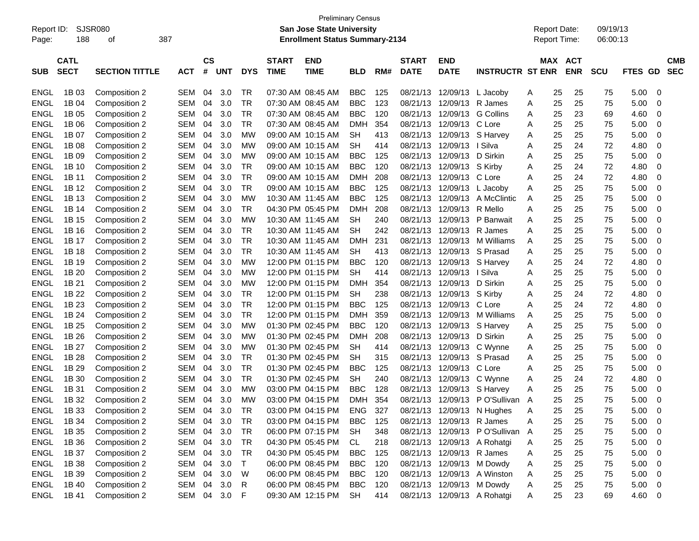| Report ID:<br>Page: | 188                        | SJSR080<br>οf         | 387        |                |            |            |                             | <b>Preliminary Census</b><br><b>San Jose State University</b><br><b>Enrollment Status Summary-2134</b> |            |     |                             |                           |                                 | <b>Report Date:</b><br>Report Time: |    |                          | 09/19/13<br>06:00:13 |            |                          |
|---------------------|----------------------------|-----------------------|------------|----------------|------------|------------|-----------------------------|--------------------------------------------------------------------------------------------------------|------------|-----|-----------------------------|---------------------------|---------------------------------|-------------------------------------|----|--------------------------|----------------------|------------|--------------------------|
| <b>SUB</b>          | <b>CATL</b><br><b>SECT</b> | <b>SECTION TITTLE</b> | <b>ACT</b> | <b>CS</b><br># | <b>UNT</b> | <b>DYS</b> | <b>START</b><br><b>TIME</b> | <b>END</b><br><b>TIME</b>                                                                              | <b>BLD</b> | RM# | <b>START</b><br><b>DATE</b> | END<br><b>DATE</b>        | <b>INSTRUCTR ST ENR</b>         | MAX                                 |    | <b>ACT</b><br><b>ENR</b> | <b>SCU</b>           | GD<br>FTES | <b>CMB</b><br><b>SEC</b> |
| <b>ENGL</b>         | 1B 03                      | Composition 2         | SEM        | 04             | 3.0        | TR         | 07:30 AM 08:45 AM           |                                                                                                        | <b>BBC</b> | 125 | 08/21/13                    | 12/09/13                  | L Jacoby                        | A                                   | 25 | 25                       | 75                   | 5.00       | 0                        |
| <b>ENGL</b>         | 1B 04                      | Composition 2         | SEM        | 04             | 3.0        | <b>TR</b>  | 07:30 AM 08:45 AM           |                                                                                                        | <b>BBC</b> | 123 | 08/21/13                    | 12/09/13                  | R James                         | Α                                   | 25 | 25                       | 75                   | 5.00       | 0                        |
| ENGL                | 1B 05                      | Composition 2         | SEM        | 04             | 3.0        | TR         |                             | 07:30 AM 08:45 AM                                                                                      | <b>BBC</b> | 120 | 08/21/13                    | 12/09/13                  | <b>G</b> Collins                | Α                                   | 25 | 23                       | 69                   | 4.60       | 0                        |
| ENGL                | 1B 06                      | Composition 2         | SEM        | 04             | 3.0        | TR         |                             | 07:30 AM 08:45 AM                                                                                      | DMH        | 354 | 08/21/13                    | 12/09/13                  | C Lore                          | A                                   | 25 | 25                       | 75                   | 5.00       | 0                        |
| <b>ENGL</b>         | 1B 07                      | Composition 2         | SEM        | 04             | 3.0        | МW         |                             | 09:00 AM 10:15 AM                                                                                      | SН         | 413 | 08/21/13                    | 12/09/13                  | S Harvey                        | Α                                   | 25 | 25                       | 75                   | 5.00       | 0                        |
| <b>ENGL</b>         | 1B 08                      | Composition 2         | SEM        | 04             | 3.0        | МW         |                             | 09:00 AM 10:15 AM                                                                                      | <b>SH</b>  | 414 | 08/21/13                    | 12/09/13                  | l Silva                         | Α                                   | 25 | 24                       | 72                   | 4.80       | 0                        |
| ENGL                | 1B 09                      | Composition 2         | SEM        | 04             | 3.0        | МW         |                             | 09:00 AM 10:15 AM                                                                                      | <b>BBC</b> | 125 | 08/21/13                    | 12/09/13                  | D Sirkin                        | Α                                   | 25 | 25                       | 75                   | 5.00       | 0                        |
| ENGL                | 1B 10                      | Composition 2         | SEM        | 04             | 3.0        | TR         |                             | 09:00 AM 10:15 AM                                                                                      | <b>BBC</b> | 120 | 08/21/13                    | 12/09/13                  | S Kirby                         | Α                                   | 25 | 24                       | 72                   | 4.80       | 0                        |
| ENGL                | 1B 11                      | Composition 2         | SEM        | 04             | 3.0        | TR         |                             | 09:00 AM 10:15 AM                                                                                      | <b>DMH</b> | 208 | 08/21/13                    | 12/09/13                  | C Lore                          | Α                                   | 25 | 24                       | 72                   | 4.80       | 0                        |
| ENGL                | 1B 12                      | Composition 2         | SEM        | 04             | 3.0        | TR         |                             | 09:00 AM 10:15 AM                                                                                      | <b>BBC</b> | 125 | 08/21/13                    | 12/09/13                  | L Jacoby                        | Α                                   | 25 | 25                       | 75                   | 5.00       | 0                        |
| ENGL                | 1B 13                      | Composition 2         | SEM        | 04             | 3.0        | МW         |                             | 10:30 AM 11:45 AM                                                                                      | <b>BBC</b> | 125 | 08/21/13                    | 12/09/13                  | A McClintic                     | Α                                   | 25 | 25                       | 75                   | 5.00       | 0                        |
| ENGL                | 1B 14                      | Composition 2         | SEM        | 04             | 3.0        | TR         |                             | 04:30 PM 05:45 PM                                                                                      | DMH        | 208 | 08/21/13                    | 12/09/13                  | R Mello                         | Α                                   | 25 | 25                       | 75                   | 5.00       | 0                        |
| ENGL                | 1B 15                      | Composition 2         | SEM        | 04             | 3.0        | МW         |                             | 10:30 AM 11:45 AM                                                                                      | SН         | 240 | 08/21/13                    | 12/09/13                  | P Banwait                       | Α                                   | 25 | 25                       | 75                   | 5.00       | 0                        |
| ENGL                | 1B 16                      | Composition 2         | SEM        | 04             | 3.0        | TR         |                             | 10:30 AM 11:45 AM                                                                                      | <b>SH</b>  | 242 | 08/21/13                    | 12/09/13                  | R James                         | Α                                   | 25 | 25                       | 75                   | 5.00       | 0                        |
| ENGL                | 1B 17                      | Composition 2         | SEM        | 04             | 3.0        | TR         |                             | 10:30 AM 11:45 AM                                                                                      | <b>DMH</b> | 231 | 08/21/13                    | 12/09/13                  | M Williams                      | A                                   | 25 | 25                       | 75                   | 5.00       | 0                        |
| ENGL                | 1B 18                      | Composition 2         | SEM        | 04             | 3.0        | TR         |                             | 10:30 AM 11:45 AM                                                                                      | SН         | 413 | 08/21/13                    | 12/09/13                  | S Prasad                        | A                                   | 25 | 25                       | 75                   | 5.00       | 0                        |
| <b>ENGL</b>         | 1B 19                      | Composition 2         | SEM        | 04             | 3.0        | МW         |                             | 12:00 PM 01:15 PM                                                                                      | <b>BBC</b> | 120 | 08/21/13                    | 12/09/13                  | S Harvey                        | Α                                   | 25 | 24                       | 72                   | 4.80       | 0                        |
| ENGL                | 1B 20                      | Composition 2         | SEM        | 04             | 3.0        | МW         |                             | 12:00 PM 01:15 PM                                                                                      | SН         | 414 | 08/21/13                    | 12/09/13                  | l Silva                         | Α                                   | 25 | 25                       | 75                   | 5.00       | 0                        |
| ENGL                | 1B 21                      | Composition 2         | SEM        | 04             | 3.0        | МW         |                             | 12:00 PM 01:15 PM                                                                                      | <b>DMH</b> | 354 | 08/21/13                    | 12/09/13                  | D Sirkin                        | Α                                   | 25 | 25                       | 75                   | 5.00       | 0                        |
| ENGL                | 1B 22                      | Composition 2         | SEM        | 04             | 3.0        | TR         |                             | 12:00 PM 01:15 PM                                                                                      | <b>SH</b>  | 238 | 08/21/13                    | 12/09/13                  | S Kirby                         | Α                                   | 25 | 24                       | 72                   | 4.80       | 0                        |
| ENGL                | 1B 23                      | Composition 2         | SEM        | 04             | 3.0        | TR         |                             | 12:00 PM 01:15 PM                                                                                      | <b>BBC</b> | 125 | 08/21/13                    | 12/09/13                  | C Lore                          | Α                                   | 25 | 24                       | 72                   | 4.80       | 0                        |
| ENGL                | 1B 24                      | Composition 2         | SEM        | 04             | 3.0        | TR         |                             | 12:00 PM 01:15 PM                                                                                      | <b>DMH</b> | 359 | 08/21/13                    | 12/09/13                  | M Williams                      | A                                   | 25 | 25                       | 75                   | 5.00       | 0                        |
| ENGL                | 1B 25                      | Composition 2         | SEM        | 04             | 3.0        | МW         |                             | 01:30 PM 02:45 PM                                                                                      | <b>BBC</b> | 120 | 08/21/13                    | 12/09/13                  | S Harvey                        | Α                                   | 25 | 25                       | 75                   | 5.00       | 0                        |
| ENGL                | 1B 26                      | Composition 2         | SEM        | 04             | 3.0        | МW         | 01:30 PM 02:45 PM           |                                                                                                        | <b>DMH</b> | 208 | 08/21/13                    | 12/09/13                  | D Sirkin                        | A                                   | 25 | 25                       | 75                   | 5.00       | 0                        |
| <b>ENGL</b>         | 1B 27                      | Composition 2         | SEM        | 04             | 3.0        | МW         |                             | 01:30 PM 02:45 PM                                                                                      | <b>SH</b>  | 414 | 08/21/13                    | 12/09/13                  | C Wynne                         | Α                                   | 25 | 25                       | 75                   | 5.00       | 0                        |
| <b>ENGL</b>         | 1B 28                      | Composition 2         | SEM        | 04             | 3.0        | TR         |                             | 01:30 PM 02:45 PM                                                                                      | <b>SH</b>  | 315 | 08/21/13                    | 12/09/13                  | S Prasad                        | Α                                   | 25 | 25                       | 75                   | 5.00       | 0                        |
| ENGL                | 1B 29                      | Composition 2         | SEM        | 04             | 3.0        | TR         |                             | 01:30 PM 02:45 PM                                                                                      | <b>BBC</b> | 125 | 08/21/13                    | 12/09/13                  | C Lore                          | Α                                   | 25 | 25                       | 75                   | 5.00       | 0                        |
| <b>ENGL</b>         | 1B 30                      | Composition 2         | <b>SEM</b> | 04             | 3.0        | TR         |                             | 01:30 PM 02:45 PM                                                                                      | <b>SH</b>  | 240 | 08/21/13                    | 12/09/13                  | C Wynne                         | A                                   | 25 | 24                       | 72                   | 4.80       | 0                        |
| <b>ENGL</b>         | 1B 31                      | Composition 2         | SEM        | 04             | 3.0        | МW         |                             | 03:00 PM 04:15 PM                                                                                      | <b>BBC</b> | 128 | 08/21/13                    | 12/09/13                  | S Harvey                        | Α                                   | 25 | 25                       | 75                   | 5.00       | 0                        |
| <b>ENGL</b>         | 1B 32                      | Composition 2         | SEM        | 04             | 3.0        | МW         |                             | 03:00 PM 04:15 PM                                                                                      | <b>DMH</b> | 354 | 08/21/13                    |                           | 12/09/13 PO'Sullivan A          |                                     | 25 | 25                       | 75                   | 5.00       | 0                        |
| ENGL                | 1B 33                      | Composition 2         | SEM        | 04             | 3.0        | TR         |                             | 03:00 PM 04:15 PM                                                                                      | ENG        | 327 |                             |                           | 08/21/13 12/09/13 N Hughes      | A                                   | 25 | 25                       | 75                   | 5.00       | 0                        |
| ENGL                | 1B 34                      | Composition 2         | SEM        | 04             | 3.0        | <b>TR</b>  |                             | 03:00 PM 04:15 PM                                                                                      | <b>BBC</b> | 125 |                             | 08/21/13 12/09/13 R James |                                 | Α                                   | 25 | 25                       | 75                   | 5.00       | 0                        |
| <b>ENGL</b>         | 1B 35                      | Composition 2         | SEM        | 04             | 3.0        | TR         |                             | 06:00 PM 07:15 PM                                                                                      | SH         | 348 |                             |                           | 08/21/13 12/09/13 PO'Sullivan A |                                     | 25 | 25                       | 75                   | 5.00       | $\mathbf 0$              |
| <b>ENGL</b>         | 1B 36                      | Composition 2         | SEM        | 04             | 3.0        | TR         |                             | 04:30 PM 05:45 PM                                                                                      | CL         | 218 |                             |                           | 08/21/13 12/09/13 A Rohatgi     | Α                                   | 25 | 25                       | 75                   | 5.00       | 0                        |
| <b>ENGL</b>         | 1B 37                      | Composition 2         | SEM        | 04             | 3.0        | <b>TR</b>  |                             | 04:30 PM 05:45 PM                                                                                      | <b>BBC</b> | 125 |                             | 08/21/13 12/09/13 R James |                                 | Α                                   | 25 | 25                       | 75                   | 5.00       | 0                        |
| <b>ENGL</b>         | 1B 38                      | Composition 2         | SEM        | 04             | 3.0        | $\top$     |                             | 06:00 PM 08:45 PM                                                                                      | <b>BBC</b> | 120 | 08/21/13                    |                           | 12/09/13 M Dowdy                | Α                                   | 25 | 25                       | 75                   | 5.00       | 0                        |
| <b>ENGL</b>         | 1B 39                      | Composition 2         | SEM        | 04             | 3.0        | W          |                             | 06:00 PM 08:45 PM                                                                                      | <b>BBC</b> | 120 | 08/21/13                    |                           | 12/09/13 A Winston              | Α                                   | 25 | 25                       | 75                   | 5.00       | $\mathbf 0$              |
| <b>ENGL</b>         | 1B 40                      | Composition 2         | SEM        | 04             | 3.0        | R          |                             | 06:00 PM 08:45 PM                                                                                      | <b>BBC</b> | 120 |                             | 08/21/13 12/09/13 M Dowdy |                                 | Α                                   | 25 | 25                       | 75                   | 5.00       | $\mathbf 0$              |
| ENGL                | 1B 41                      | Composition 2         | SEM 04     |                | 3.0        | F          |                             | 09:30 AM 12:15 PM                                                                                      | SH         | 414 |                             |                           | 08/21/13 12/09/13 A Rohatgi     | A                                   | 25 | 23                       | 69                   | 4.60       | 0                        |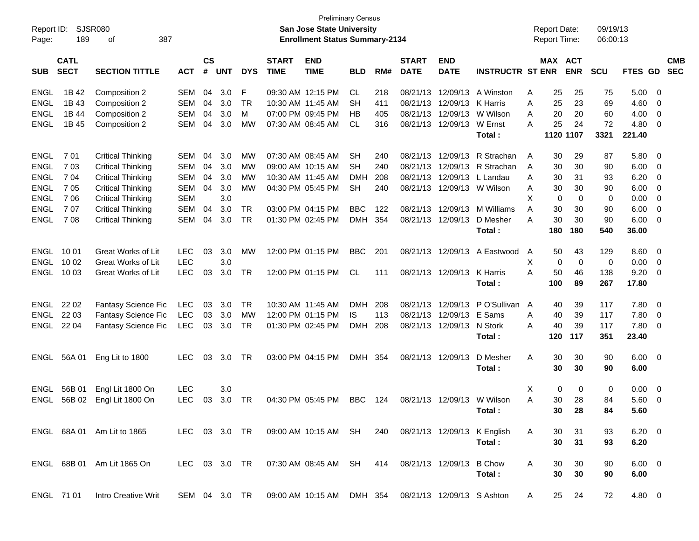| Report ID:<br>Page: | 189                        | SJSR080<br>387<br>of       |               |                    |            |               |                             | <b>San Jose State University</b><br><b>Enrollment Status Summary-2134</b> | <b>Preliminary Census</b> |     |                             |                            |                             |   | <b>Report Date:</b><br>Report Time: |                       | 09/19/13<br>06:00:13 |                |                |                          |
|---------------------|----------------------------|----------------------------|---------------|--------------------|------------|---------------|-----------------------------|---------------------------------------------------------------------------|---------------------------|-----|-----------------------------|----------------------------|-----------------------------|---|-------------------------------------|-----------------------|----------------------|----------------|----------------|--------------------------|
| <b>SUB</b>          | <b>CATL</b><br><b>SECT</b> | <b>SECTION TITTLE</b>      | <b>ACT</b>    | $\mathsf{cs}$<br># | <b>UNT</b> | <b>DYS</b>    | <b>START</b><br><b>TIME</b> | <b>END</b><br><b>TIME</b>                                                 | BLD                       | RM# | <b>START</b><br><b>DATE</b> | <b>END</b><br><b>DATE</b>  | <b>INSTRUCTR ST ENR</b>     |   |                                     | MAX ACT<br><b>ENR</b> | SCU                  | <b>FTES GD</b> |                | <b>CMB</b><br><b>SEC</b> |
| <b>ENGL</b>         | 1B 42                      | Composition 2              | <b>SEM</b>    | 04                 | 3.0        | F             |                             | 09:30 AM 12:15 PM                                                         | CL.                       | 218 | 08/21/13                    | 12/09/13                   | A Winston                   | Α | 25                                  | 25                    | 75                   | 5.00           | 0              |                          |
| <b>ENGL</b>         | 1B 43                      | Composition 2              | <b>SEM</b>    | 04                 | 3.0        | <b>TR</b>     |                             | 10:30 AM 11:45 AM                                                         | <b>SH</b>                 | 411 | 08/21/13                    | 12/09/13                   | K Harris                    | A | 25                                  | 23                    | 69                   | 4.60           | 0              |                          |
| <b>ENGL</b>         | 1B 44                      | Composition 2              | <b>SEM</b>    | 04                 | 3.0        | M             |                             | 07:00 PM 09:45 PM                                                         | НB                        | 405 | 08/21/13                    | 12/09/13                   | W Wilson                    | A | 20                                  | 20                    | 60                   | 4.00           | 0              |                          |
| <b>ENGL</b>         | 1B 45                      | Composition 2              | <b>SEM</b>    | 04                 | 3.0        | <b>MW</b>     |                             | 07:30 AM 08:45 AM                                                         | <b>CL</b>                 | 316 | 08/21/13                    | 12/09/13                   | W Ernst                     | A | 25                                  | 24                    | 72                   | 4.80           | 0              |                          |
|                     |                            |                            |               |                    |            |               |                             |                                                                           |                           |     |                             |                            | Total:                      |   |                                     | 1120 1107             | 3321                 | 221.40         |                |                          |
| <b>ENGL</b>         | 701                        | <b>Critical Thinking</b>   | <b>SEM</b>    | 04                 | 3.0        | MW            |                             | 07:30 AM 08:45 AM                                                         | <b>SH</b>                 | 240 | 08/21/13                    | 12/09/13                   | R Strachan                  | A | 30                                  | 29                    | 87                   | 5.80           | 0              |                          |
| <b>ENGL</b>         | 7 0 3                      | <b>Critical Thinking</b>   | <b>SEM</b>    | 04                 | 3.0        | <b>MW</b>     |                             | 09:00 AM 10:15 AM                                                         | <b>SH</b>                 | 240 | 08/21/13                    | 12/09/13                   | R Strachan                  | A | 30                                  | 30                    | 90                   | 6.00           | 0              |                          |
| <b>ENGL</b>         | 7 04                       | <b>Critical Thinking</b>   | <b>SEM</b>    | 04                 | 3.0        | <b>MW</b>     |                             | 10:30 AM 11:45 AM                                                         | DMH                       | 208 | 08/21/13                    | 12/09/13                   | L Landau                    | A | 30                                  | 31                    | 93                   | 6.20           | 0              |                          |
| <b>ENGL</b>         | 7 0 5                      | <b>Critical Thinking</b>   | <b>SEM</b>    | 04                 | 3.0        | <b>MW</b>     |                             | 04:30 PM 05:45 PM                                                         | <b>SH</b>                 | 240 | 08/21/13                    |                            | 12/09/13 W Wilson           | Α | 30                                  | 30                    | 90                   | 6.00           | 0              |                          |
| <b>ENGL</b>         | 706                        | <b>Critical Thinking</b>   | <b>SEM</b>    |                    | 3.0        |               |                             |                                                                           |                           |     |                             |                            |                             | X | $\mathbf 0$                         | $\mathbf 0$           | 0                    | 0.00           | $\mathbf 0$    |                          |
| <b>ENGL</b>         | 707                        | <b>Critical Thinking</b>   | <b>SEM</b>    | 04                 | 3.0        | <b>TR</b>     |                             | 03:00 PM 04:15 PM                                                         | <b>BBC</b>                | 122 | 08/21/13                    | 12/09/13                   | M Williams                  | A | 30                                  | 30                    | 90                   | 6.00           | 0              |                          |
| <b>ENGL</b>         | 708                        | <b>Critical Thinking</b>   | <b>SEM</b>    | 04                 | 3.0        | <b>TR</b>     |                             | 01:30 PM 02:45 PM                                                         | <b>DMH</b>                | 354 |                             | 08/21/13 12/09/13          | D Mesher                    | A | 30                                  | 30                    | 90                   | 6.00           | 0              |                          |
|                     |                            |                            |               |                    |            |               |                             |                                                                           |                           |     |                             |                            | Total:                      |   | 180                                 | 180                   | 540                  | 36.00          |                |                          |
| ENGL                | 10 01                      | Great Works of Lit         | <b>LEC</b>    | 03                 | 3.0        | MW            |                             | 12:00 PM 01:15 PM                                                         | <b>BBC</b>                | 201 | 08/21/13                    | 12/09/13                   | A Eastwood                  | A | 50                                  | 43                    | 129                  | 8.60           | 0              |                          |
| <b>ENGL</b>         | 10 02                      | <b>Great Works of Lit</b>  | <b>LEC</b>    |                    | 3.0        |               |                             |                                                                           |                           |     |                             |                            |                             | X | $\mathbf 0$                         | $\overline{0}$        | $\mathbf 0$          | 0.00           | 0              |                          |
| ENGL                | 10 03                      | <b>Great Works of Lit</b>  | <b>LEC</b>    | 03                 | 3.0        | <b>TR</b>     |                             | 12:00 PM 01:15 PM                                                         | CL                        | 111 |                             | 08/21/13 12/09/13          | K Harris                    | A | 50                                  | 46                    | 138                  | 9.20           | 0              |                          |
|                     |                            |                            |               |                    |            |               |                             |                                                                           |                           |     |                             |                            | Total:                      |   | 100                                 | 89                    | 267                  | 17.80          |                |                          |
| ENGL                | 22 02                      | Fantasy Science Fic        | <b>LEC</b>    | 03                 | 3.0        | <b>TR</b>     |                             | 10:30 AM 11:45 AM                                                         | <b>DMH</b>                | 208 | 08/21/13                    | 12/09/13                   | P O'Sullivan                | A | 40                                  | 39                    | 117                  | 7.80           | 0              |                          |
| <b>ENGL</b>         | 22 03                      | Fantasy Science Fic        | <b>LEC</b>    | 03                 | 3.0        | <b>MW</b>     |                             | 12:00 PM 01:15 PM                                                         | IS                        | 113 | 08/21/13                    | 12/09/13                   | E Sams                      | A | 40                                  | 39                    | 117                  | 7.80           | 0              |                          |
| ENGL                | 22 04                      | Fantasy Science Fic        | <b>LEC</b>    | 03                 | 3.0        | <b>TR</b>     |                             | 01:30 PM 02:45 PM                                                         | <b>DMH</b>                | 208 | 08/21/13                    | 12/09/13                   | N Stork                     | A | 40                                  | 39                    | 117                  | 7.80           | 0              |                          |
|                     |                            |                            |               |                    |            |               |                             |                                                                           |                           |     |                             |                            | Total:                      |   | 120                                 | 117                   | 351                  | 23.40          |                |                          |
| ENGL                | 56A 01                     | Eng Lit to 1800            | <b>LEC</b>    | 03                 | 3.0        | TR            |                             | 03:00 PM 04:15 PM                                                         | <b>DMH</b>                | 354 | 08/21/13                    | 12/09/13                   | D Mesher                    | Α | 30                                  | 30                    | 90                   | 6.00           | $\overline{0}$ |                          |
|                     |                            |                            |               |                    |            |               |                             |                                                                           |                           |     |                             |                            | Total:                      |   | 30                                  | 30                    | 90                   | 6.00           |                |                          |
| ENGL                | 56B 01                     | Engl Lit 1800 On           | <b>LEC</b>    |                    | 3.0        |               |                             |                                                                           |                           |     |                             |                            |                             | X | $\mathbf 0$                         | 0                     | 0                    | 0.00           | $\overline{0}$ |                          |
| <b>ENGL</b>         | 56B 02                     | Engl Lit 1800 On           | <b>LEC</b>    | 03                 | 3.0        | <b>TR</b>     |                             | 04:30 PM 05:45 PM                                                         | <b>BBC</b>                | 124 |                             |                            | 08/21/13 12/09/13 W Wilson  | A | 30                                  | 28                    | 84                   | 5.60           | $\overline{0}$ |                          |
|                     |                            |                            |               |                    |            |               |                             |                                                                           |                           |     |                             |                            | Total :                     |   |                                     | 30 28                 | 84                   | 5.60           |                |                          |
|                     |                            | ENGL 68A 01 Am Lit to 1865 |               |                    |            | LEC 03 3.0 TR |                             | 09:00 AM 10:15 AM SH                                                      |                           | 240 |                             |                            | 08/21/13 12/09/13 K English | A | 30                                  | 31                    | 93                   | $6.20 \quad 0$ |                |                          |
|                     |                            |                            |               |                    |            |               |                             |                                                                           |                           |     |                             |                            | Total:                      |   | 30                                  | 31                    | 93                   | 6.20           |                |                          |
|                     |                            | ENGL 68B 01 Am Lit 1865 On | LEC 03 3.0 TR |                    |            |               |                             | 07:30 AM 08:45 AM SH                                                      |                           | 414 |                             | 08/21/13 12/09/13          | <b>B</b> Chow               | A | 30                                  | 30                    | 90                   | $6.00 \t 0$    |                |                          |
|                     |                            |                            |               |                    |            |               |                             |                                                                           |                           |     |                             |                            | Total:                      |   | 30                                  | 30                    | 90                   | 6.00           |                |                          |
|                     | ENGL 71 01                 | Intro Creative Writ        | SEM 04 3.0 TR |                    |            |               |                             | 09:00 AM 10:15 AM                                                         | DMH 354                   |     |                             | 08/21/13 12/09/13 S Ashton |                             | A | 25                                  | 24                    | 72                   | 4.80 0         |                |                          |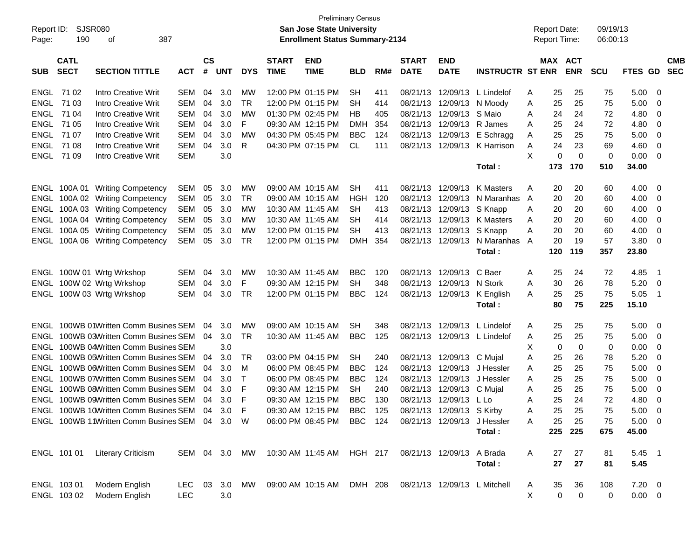| <b>Preliminary Census</b><br>SJSR080<br>San Jose State University<br><b>Report Date:</b><br>Report ID:<br><b>Enrollment Status Summary-2134</b><br><b>Report Time:</b> |             |                                                |               |               |            |             |                   |                            |            |     |                           |                              |                         |   | 09/19/13 |             |            |                |                |            |
|------------------------------------------------------------------------------------------------------------------------------------------------------------------------|-------------|------------------------------------------------|---------------|---------------|------------|-------------|-------------------|----------------------------|------------|-----|---------------------------|------------------------------|-------------------------|---|----------|-------------|------------|----------------|----------------|------------|
| Page:                                                                                                                                                                  | 190         | 387<br>οf                                      |               |               |            |             |                   |                            |            |     |                           |                              |                         |   |          |             | 06:00:13   |                |                |            |
|                                                                                                                                                                        | <b>CATL</b> |                                                |               | $\mathsf{cs}$ |            |             | <b>START</b>      | <b>END</b>                 |            |     | <b>START</b>              | <b>END</b>                   |                         |   |          | MAX ACT     |            |                |                | <b>CMB</b> |
| <b>SUB</b>                                                                                                                                                             | <b>SECT</b> | <b>SECTION TITTLE</b>                          | <b>ACT</b>    | #             | <b>UNT</b> | <b>DYS</b>  | <b>TIME</b>       | <b>TIME</b>                | <b>BLD</b> | RM# | <b>DATE</b>               | <b>DATE</b>                  | <b>INSTRUCTR ST ENR</b> |   |          | <b>ENR</b>  | <b>SCU</b> | <b>FTES GD</b> |                | <b>SEC</b> |
|                                                                                                                                                                        | ENGL 7102   | Intro Creative Writ                            | SEM           | 04            | 3.0        | МW          | 12:00 PM 01:15 PM |                            | SН         | 411 | 08/21/13                  |                              | 12/09/13 L Lindelof     | A | 25       | 25          | 75         | 5.00           | 0              |            |
|                                                                                                                                                                        | ENGL 71 03  | Intro Creative Writ                            | SEM           | 04            | 3.0        | <b>TR</b>   |                   | 12:00 PM 01:15 PM          | <b>SH</b>  | 414 | 08/21/13                  | 12/09/13 N Moody             |                         | A | 25       | 25          | 75         | 5.00           | 0              |            |
| ENGL                                                                                                                                                                   | 71 04       | Intro Creative Writ                            | SEM           | 04            | 3.0        | МW          | 01:30 PM 02:45 PM |                            | HВ         | 405 | 08/21/13                  | 12/09/13                     | S Maio                  | A | 24       | 24          | 72         | 4.80           | 0              |            |
| <b>ENGL</b>                                                                                                                                                            | 71 05       | Intro Creative Writ                            | SEM           | 04            | 3.0        | F           | 09:30 AM 12:15 PM |                            | <b>DMH</b> | 354 | 08/21/13                  | 12/09/13                     | R James                 | A | 25       | 24          | 72         | 4.80           | 0              |            |
| ENGL                                                                                                                                                                   | 71 07       | Intro Creative Writ                            | <b>SEM</b>    | 04            | 3.0        | МW          | 04:30 PM 05:45 PM |                            | <b>BBC</b> | 124 | 08/21/13                  |                              | 12/09/13 E Schragg      | A | 25       | 25          | 75         | 5.00           | 0              |            |
|                                                                                                                                                                        | ENGL 71 08  | Intro Creative Writ                            | SEM           | 04            | 3.0        | R           |                   | 04:30 PM 07:15 PM          | CL         | 111 | 08/21/13                  |                              | 12/09/13 K Harrison     | Α | 24       | 23          | 69         | 4.60           | 0              |            |
|                                                                                                                                                                        | ENGL 71 09  | Intro Creative Writ                            | <b>SEM</b>    |               | 3.0        |             |                   |                            |            |     |                           |                              |                         | X | 0        | $\mathbf 0$ | 0          | 0.00           | 0              |            |
|                                                                                                                                                                        |             |                                                |               |               |            |             |                   |                            |            |     |                           |                              | Total:                  |   | 173      | 170         | 510        | 34.00          |                |            |
|                                                                                                                                                                        |             | ENGL 100A 01 Writing Competency                | SEM           | 05            | 3.0        | MW          | 09:00 AM 10:15 AM |                            | <b>SH</b>  | 411 | 08/21/13                  | 12/09/13                     | K Masters               | A | 20       | 20          | 60         | 4.00           | 0              |            |
|                                                                                                                                                                        |             | ENGL 100A 02 Writing Competency                | SEM           | 05            | 3.0        | TR          | 09:00 AM 10:15 AM |                            | HGH        | 120 | 08/21/13                  | 12/09/13                     | N Maranhas A            |   | 20       | 20          | 60         | 4.00           | 0              |            |
|                                                                                                                                                                        |             | ENGL 100A 03 Writing Competency                | <b>SEM</b>    | 05            | 3.0        | МW          |                   | 10:30 AM 11:45 AM          | <b>SH</b>  | 413 | 08/21/13                  | 12/09/13                     | S Knapp                 | A | 20       | 20          | 60         | 4.00           | 0              |            |
|                                                                                                                                                                        |             | ENGL 100A 04 Writing Competency                | SEM           | 05            | 3.0        | MW          |                   | 10:30 AM 11:45 AM          | <b>SH</b>  | 414 | 08/21/13                  | 12/09/13                     | <b>K</b> Masters        | A | 20       | 20          | 60         | 4.00           | 0              |            |
|                                                                                                                                                                        |             | ENGL 100A 05 Writing Competency                | <b>SEM</b>    | 05            | 3.0        | МW          | 12:00 PM 01:15 PM |                            | <b>SH</b>  | 413 | 08/21/13                  | 12/09/13                     | S Knapp                 | A | 20       | 20          | 60         | 4.00           | 0              |            |
|                                                                                                                                                                        |             | ENGL 100A 06 Writing Competency                | SEM           | 05            | 3.0        | TR          |                   | 12:00 PM 01:15 PM          | <b>DMH</b> | 354 | 08/21/13                  |                              | 12/09/13 N Maranhas A   |   | 20       | 19          | 57         | 3.80           | 0              |            |
|                                                                                                                                                                        |             |                                                |               |               |            |             |                   |                            |            |     |                           |                              | Total:                  |   | 120      | 119         | 357        | 23.80          |                |            |
|                                                                                                                                                                        |             | ENGL 100W 01 Wrtg Wrkshop                      | SEM           | 04            | 3.0        | MW          | 10:30 AM 11:45 AM |                            | <b>BBC</b> | 120 | 08/21/13                  | 12/09/13                     | C Baer                  | A | 25       | 24          | 72         | 4.85           | $\overline{1}$ |            |
|                                                                                                                                                                        |             | ENGL 100W 02 Wrtg Wrkshop                      | SEM           | 04            | 3.0        | F           | 09:30 AM 12:15 PM |                            | <b>SH</b>  | 348 | 08/21/13                  | 12/09/13 N Stork             |                         | A | 30       | 26          | 78         | 5.20           | 0              |            |
|                                                                                                                                                                        |             | ENGL 100W 03 Wrtg Wrkshop                      | SEM           | 04            | 3.0        | TR          |                   | 12:00 PM 01:15 PM          | <b>BBC</b> | 124 |                           | 08/21/13 12/09/13 K English  |                         | A | 25       | 25          | 75         | 5.05           | $\overline{1}$ |            |
|                                                                                                                                                                        |             |                                                |               |               |            |             |                   |                            |            |     |                           |                              | Total:                  |   | 80       | 75          | 225        | 15.10          |                |            |
|                                                                                                                                                                        |             | ENGL 100WB 01Written Comm Busines SEM          |               | 04            | 3.0        | МW          |                   | 09:00 AM 10:15 AM          | <b>SH</b>  | 348 | 08/21/13                  | 12/09/13                     | L Lindelof              | A | 25       | 25          | 75         | 5.00           | 0              |            |
|                                                                                                                                                                        |             | ENGL 100WB 03Written Comm Busines SEM          |               | 04            | 3.0        | TR          |                   | 10:30 AM 11:45 AM          | <b>BBC</b> | 125 | 08/21/13                  |                              | 12/09/13 L Lindelof     | A | 25       | 25          | 75         | 5.00           | 0              |            |
|                                                                                                                                                                        |             | ENGL 100WB 04Written Comm Busines SEM          |               |               | 3.0        |             |                   |                            |            |     |                           |                              |                         | Х | 0        | $\mathbf 0$ | 0          | 0.00           | 0              |            |
|                                                                                                                                                                        |             | ENGL 100WB 05Written Comm Busines SEM          |               | 04            | 3.0        | .TR         | 03:00 PM 04:15 PM |                            | <b>SH</b>  | 240 | 08/21/13                  | 12/09/13                     | C Mujal                 | A | 25       | 26          | 78         | 5.20           | 0              |            |
|                                                                                                                                                                        |             | ENGL 100WB 06Written Comm Busines SEM          |               | 04            | 3.0        | M           | 06:00 PM 08:45 PM |                            | <b>BBC</b> | 124 | 08/21/13                  | 12/09/13                     | J Hessler               | A | 25       | 25          | 75         | 5.00           | 0              |            |
|                                                                                                                                                                        |             | ENGL 100WB 07Written Comm Busines SEM          |               | 04            | 3.0        | $\mathsf T$ | 06:00 PM 08:45 PM |                            | <b>BBC</b> | 124 | 08/21/13                  | 12/09/13                     | J Hessler               | A | 25       | 25          | 75         | 5.00           | 0              |            |
|                                                                                                                                                                        |             | ENGL 100WB 08Written Comm Busines SEM          |               | 04            | 3.0        | F           | 09:30 AM 12:15 PM |                            | <b>SH</b>  | 240 | 08/21/13                  | 12/09/13                     | C Mujal                 | A | 25       | 25          | 75         | 5.00           | 0              |            |
|                                                                                                                                                                        |             | ENGL 100WB 09Written Comm Busines SEM          |               | 04            | 3.0        | F           | 09:30 AM 12:15 PM |                            | <b>BBC</b> | 130 |                           | 08/21/13 12/09/13 L Lo       |                         | A | 25       | 24          | 72         | 4.80           | 0              |            |
|                                                                                                                                                                        |             | ENGL 100WB 10Written Comm Busines SEM 04 3.0 F |               |               |            |             |                   | 09:30 AM 12:15 PM BBC      |            | 125 | 08/21/13 12/09/13 S Kirby |                              |                         |   | 25       | 25          | 75         | $5.00 \t 0$    |                |            |
|                                                                                                                                                                        |             | ENGL 100WB 11Written Comm Busines SEM 04 3.0 W |               |               |            |             |                   | 06:00 PM 08:45 PM BBC 124  |            |     |                           | 08/21/13 12/09/13 J Hessler  |                         | A | 25       | 25          | 75         | $5.00 \t 0$    |                |            |
|                                                                                                                                                                        |             |                                                |               |               |            |             |                   |                            |            |     |                           |                              | Total:                  |   |          | 225 225     | 675        | 45.00          |                |            |
|                                                                                                                                                                        | ENGL 101 01 | <b>Literary Criticism</b>                      | SEM 04 3.0 MW |               |            |             |                   | 10:30 AM 11:45 AM  HGH 217 |            |     | 08/21/13 12/09/13 A Brada |                              |                         | A | 27       | 27          | 81         | $5.45$ 1       |                |            |
|                                                                                                                                                                        |             |                                                |               |               |            |             |                   |                            |            |     |                           |                              | Total :                 |   | 27       | 27          | 81         | 5.45           |                |            |
|                                                                                                                                                                        |             |                                                |               |               |            |             |                   |                            |            |     |                           |                              |                         |   |          |             |            |                |                |            |
|                                                                                                                                                                        | ENGL 103 01 | Modern English                                 | LEC           |               | 03 3.0 MW  |             |                   | 09:00 AM 10:15 AM DMH 208  |            |     |                           | 08/21/13 12/09/13 L Mitchell |                         | A | 35       | 36          | 108        | $7.20 \t 0$    |                |            |
|                                                                                                                                                                        | ENGL 103 02 | Modern English                                 | <b>LEC</b>    |               | 3.0        |             |                   |                            |            |     |                           |                              |                         | Χ | 0        | $\mathbf 0$ | 0          | $0.00 \t 0$    |                |            |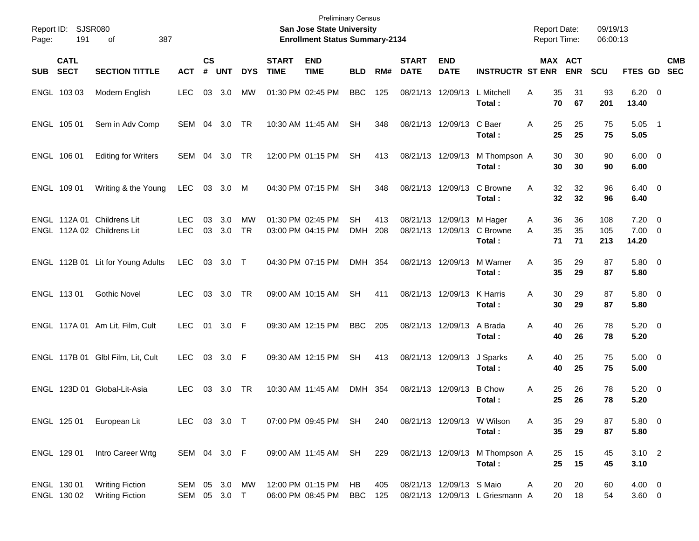| Page: | Report ID: SJSR080<br>191  | 387<br>оf                                                |                               |                             |               |                        |                             | <b>Preliminary Census</b><br><b>San Jose State University</b><br><b>Enrollment Status Summary-2134</b> |                  |            |                             |                            |                                          | <b>Report Date:</b><br><b>Report Time:</b> |                |                       | 09/19/13<br>06:00:13 |                                     |            |
|-------|----------------------------|----------------------------------------------------------|-------------------------------|-----------------------------|---------------|------------------------|-----------------------------|--------------------------------------------------------------------------------------------------------|------------------|------------|-----------------------------|----------------------------|------------------------------------------|--------------------------------------------|----------------|-----------------------|----------------------|-------------------------------------|------------|
| SUB   | <b>CATL</b><br><b>SECT</b> | <b>SECTION TITTLE</b>                                    | <b>ACT</b>                    | $\mathsf{cs}$<br>$\pmb{\#}$ | <b>UNT</b>    | <b>DYS</b>             | <b>START</b><br><b>TIME</b> | <b>END</b><br><b>TIME</b>                                                                              | <b>BLD</b>       | RM#        | <b>START</b><br><b>DATE</b> | <b>END</b><br><b>DATE</b>  | <b>INSTRUCTR ST ENR</b>                  |                                            |                | MAX ACT<br><b>ENR</b> | <b>SCU</b>           | FTES GD SEC                         | <b>CMB</b> |
|       | ENGL 103 03                | Modern English                                           | <b>LEC</b>                    | 03                          | 3.0           | MW                     |                             | 01:30 PM 02:45 PM                                                                                      | <b>BBC</b>       | 125        | 08/21/13                    | 12/09/13                   | L Mitchell<br>Total:                     | Α                                          | 35<br>70       | 31<br>67              | 93<br>201            | $6.20 \quad 0$<br>13.40             |            |
|       | ENGL 105 01                | Sem in Adv Comp                                          | SEM                           |                             | 04 3.0        | TR                     |                             | 10:30 AM 11:45 AM                                                                                      | <b>SH</b>        | 348        |                             | 08/21/13 12/09/13          | C Baer<br>Total:                         | Α                                          | 25<br>25       | 25<br>25              | 75<br>75             | $5.05$ 1<br>5.05                    |            |
|       | ENGL 106 01                | <b>Editing for Writers</b>                               | SEM                           | 04                          | 3.0           | TR                     |                             | 12:00 PM 01:15 PM                                                                                      | <b>SH</b>        | 413        | 08/21/13 12/09/13           |                            | M Thompson A<br>Total:                   |                                            | 30<br>30       | 30<br>30              | 90<br>90             | $6.00 \quad 0$<br>6.00              |            |
|       | ENGL 109 01                | Writing & the Young                                      | <b>LEC</b>                    |                             | 03 3.0        | M                      |                             | 04:30 PM 07:15 PM                                                                                      | <b>SH</b>        | 348        |                             | 08/21/13 12/09/13          | C Browne<br>Total:                       | Α                                          | 32<br>32       | 32<br>32              | 96<br>96             | $6.40 \quad 0$<br>6.40              |            |
|       |                            | ENGL 112A 01 Childrens Lit<br>ENGL 112A 02 Childrens Lit | <b>LEC</b><br><b>LEC</b>      | 03                          | 3.0<br>03 3.0 | <b>MW</b><br><b>TR</b> |                             | 01:30 PM 02:45 PM<br>03:00 PM 04:15 PM                                                                 | SН<br><b>DMH</b> | 413<br>208 | 08/21/13 12/09/13           | 08/21/13 12/09/13          | M Hager<br>C Browne<br>Total:            | A<br>A                                     | 36<br>35<br>71 | 36<br>35<br>71        | 108<br>105<br>213    | $7.20 \t 0$<br>$7.00 \t 0$<br>14.20 |            |
|       |                            | ENGL 112B 01 Lit for Young Adults                        | <b>LEC</b>                    |                             | 03 3.0 T      |                        |                             | 04:30 PM 07:15 PM                                                                                      | DMH 354          |            | 08/21/13 12/09/13           |                            | M Warner<br>Total:                       | Α                                          | 35<br>35       | 29<br>29              | 87<br>87             | 5.80 0<br>5.80                      |            |
|       | ENGL 113 01                | <b>Gothic Novel</b>                                      | <b>LEC</b>                    | 03                          | 3.0           | TR                     |                             | 09:00 AM 10:15 AM                                                                                      | <b>SH</b>        | 411        | 08/21/13 12/09/13           |                            | K Harris<br>Total:                       | A                                          | 30<br>30       | 29<br>29              | 87<br>87             | 5.80 0<br>5.80                      |            |
|       |                            | ENGL 117A 01 Am Lit, Film, Cult                          | <b>LEC</b>                    | 01                          | 3.0 F         |                        |                             | 09:30 AM 12:15 PM                                                                                      | <b>BBC</b>       | 205        |                             | 08/21/13 12/09/13          | A Brada<br>Total:                        | Α                                          | 40<br>40       | 26<br>26              | 78<br>78             | $5.20 \ 0$<br>5.20                  |            |
|       |                            | ENGL 117B 01 Glbl Film, Lit, Cult                        | <b>LEC</b>                    |                             | 03 3.0 F      |                        |                             | 09:30 AM 12:15 PM                                                                                      | <b>SH</b>        | 413        | 08/21/13 12/09/13           |                            | J Sparks<br>Total:                       | A                                          | 40<br>40       | 25<br>25              | 75<br>75             | $5.00 \t 0$<br>5.00                 |            |
|       |                            | ENGL 123D 01 Global-Lit-Asia                             | <b>LEC</b>                    | 03                          | 3.0           | TR                     |                             | 10:30 AM 11:45 AM                                                                                      | DMH 354          |            | 08/21/13 12/09/13           |                            | <b>B</b> Chow<br>Total :                 | Α                                          | 25<br>25       | 26<br>26              | 78<br>78             | $5.20 \ 0$<br>5.20                  |            |
|       | ENGL 125 01                | European Lit                                             | LEC 03 3.0 T                  |                             |               |                        |                             | 07:00 PM 09:45 PM SH                                                                                   |                  | 240        |                             | 08/21/13 12/09/13 W Wilson | Total:                                   | A                                          | 35<br>35       | 29<br>29              | 87<br>87             | 5.80 0<br>5.80                      |            |
|       | ENGL 129 01                | Intro Career Wrtg                                        | SEM 04 3.0 F                  |                             |               |                        |                             | 09:00 AM 11:45 AM SH                                                                                   |                  | 229        |                             |                            | 08/21/13 12/09/13 M Thompson A<br>Total: |                                            | 25<br>25       | 15<br>15              | 45<br>45             | $3.10$ 2<br>3.10                    |            |
|       | ENGL 130 01<br>ENGL 130 02 | <b>Writing Fiction</b><br><b>Writing Fiction</b>         | SEM 05 3.0 MW<br>SEM 05 3.0 T |                             |               |                        |                             | 12:00 PM 01:15 PM<br>06:00 PM 08:45 PM                                                                 | HB<br><b>BBC</b> | 405<br>125 |                             | 08/21/13 12/09/13 S Maio   | 08/21/13 12/09/13 L Griesmann A          | A                                          | 20<br>20       | 20<br>18              | 60<br>54             | 4.00 0<br>$3.60 \t 0$               |            |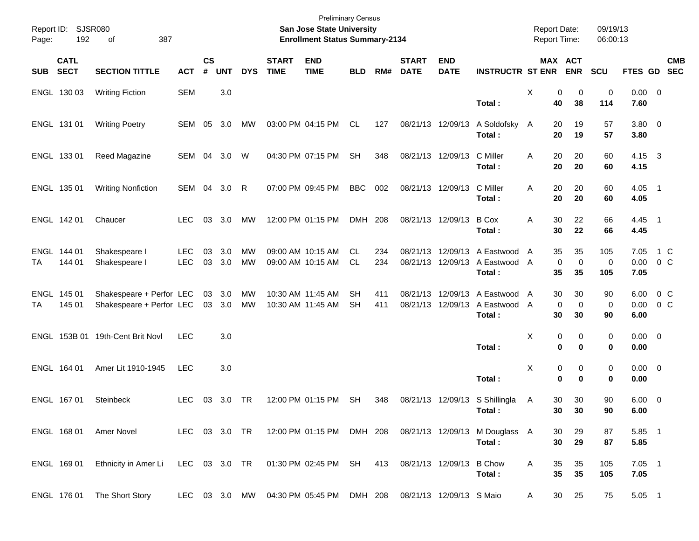| Page:      | Report ID: SJSR080<br>192  | 387<br>οf                                            |                          |                |               |                        |                             | <b>Preliminary Census</b><br>San Jose State University<br><b>Enrollment Status Summary-2134</b> |                 |            |                             |                           |                                                                          | <b>Report Date:</b><br>Report Time: |                                          | 09/19/13<br>06:00:13 |                        |                           |
|------------|----------------------------|------------------------------------------------------|--------------------------|----------------|---------------|------------------------|-----------------------------|-------------------------------------------------------------------------------------------------|-----------------|------------|-----------------------------|---------------------------|--------------------------------------------------------------------------|-------------------------------------|------------------------------------------|----------------------|------------------------|---------------------------|
| <b>SUB</b> | <b>CATL</b><br><b>SECT</b> | <b>SECTION TITTLE</b>                                | <b>ACT</b>               | <b>CS</b><br># | <b>UNT</b>    | <b>DYS</b>             | <b>START</b><br><b>TIME</b> | <b>END</b><br><b>TIME</b>                                                                       | <b>BLD</b>      | RM#        | <b>START</b><br><b>DATE</b> | <b>END</b><br><b>DATE</b> | <b>INSTRUCTR ST ENR</b>                                                  |                                     | MAX ACT<br><b>ENR</b>                    | <b>SCU</b>           |                        | <b>CMB</b><br>FTES GD SEC |
|            | ENGL 130 03                | <b>Writing Fiction</b>                               | <b>SEM</b>               |                | 3.0           |                        |                             |                                                                                                 |                 |            |                             |                           | Total:                                                                   | X                                   | 0<br>0<br>40<br>38                       | 0<br>114             | $0.00 \t 0$<br>7.60    |                           |
|            | ENGL 131 01                | <b>Writing Poetry</b>                                | SEM 05                   |                | 3.0           | MW                     |                             | 03:00 PM 04:15 PM                                                                               | CL.             | 127        |                             | 08/21/13 12/09/13         | A Soldofsky A<br>Total:                                                  |                                     | 20<br>19<br>20<br>19                     | 57<br>57             | 3.80 0<br>3.80         |                           |
|            | ENGL 133 01                | Reed Magazine                                        | SEM 04                   |                | 3.0           | W                      |                             | 04:30 PM 07:15 PM                                                                               | <b>SH</b>       | 348        |                             | 08/21/13 12/09/13         | C Miller<br>Total:                                                       | Α                                   | 20<br>20<br>20<br>20                     | 60<br>60             | $4.15 \quad 3$<br>4.15 |                           |
|            | ENGL 135 01                | <b>Writing Nonfiction</b>                            | SEM 04                   |                | 3.0           | R                      |                             | 07:00 PM 09:45 PM                                                                               | <b>BBC</b>      | 002        |                             | 08/21/13 12/09/13         | C Miller<br>Total:                                                       | A                                   | 20<br>20<br>20<br>20                     | 60<br>60             | $4.05$ 1<br>4.05       |                           |
|            | ENGL 142 01                | Chaucer                                              | <b>LEC</b>               | 03             | 3.0           | MW                     |                             | 12:00 PM 01:15 PM                                                                               | DMH 208         |            |                             | 08/21/13 12/09/13         | <b>B</b> Cox<br>Total:                                                   | Α                                   | 22<br>30<br>30<br>22                     | 66<br>66             | $4.45$ 1<br>4.45       |                           |
| ТA         | ENGL 144 01<br>144 01      | Shakespeare I<br>Shakespeare I                       | <b>LEC</b><br><b>LEC</b> | 03<br>03       | 3.0<br>3.0    | MW<br><b>MW</b>        |                             | 09:00 AM 10:15 AM<br>09:00 AM 10:15 AM                                                          | CL.<br>CL.      | 234<br>234 |                             |                           | 08/21/13 12/09/13 A Eastwood<br>08/21/13 12/09/13 A Eastwood<br>Total:   | A<br>A                              | 35<br>35<br>$\mathbf 0$<br>0<br>35<br>35 | 105<br>0<br>105      | 7.05<br>0.00<br>7.05   | 1 C<br>0 <sup>o</sup>     |
| ТA         | ENGL 145 01<br>145 01      | Shakespeare + Perfor LEC<br>Shakespeare + Perfor LEC |                          | 03             | 3.0<br>03 3.0 | <b>MW</b><br><b>MW</b> |                             | 10:30 AM 11:45 AM<br>10:30 AM 11:45 AM                                                          | SН<br><b>SH</b> | 411<br>411 |                             |                           | 08/21/13 12/09/13 A Eastwood<br>08/21/13 12/09/13 A Eastwood A<br>Total: | A                                   | 30<br>30<br>0<br>$\mathbf 0$<br>30<br>30 | 90<br>0<br>90        | 6.00<br>0.00<br>6.00   | $0\,C$<br>0 <sup>o</sup>  |
|            |                            | ENGL 153B 01 19th-Cent Brit Novl                     | <b>LEC</b>               |                | 3.0           |                        |                             |                                                                                                 |                 |            |                             |                           | Total:                                                                   | X                                   | 0<br>0<br>$\bf{0}$<br>$\bf{0}$           | 0<br>0               | $0.00 \t 0$<br>0.00    |                           |
|            | ENGL 164 01                | Amer Lit 1910-1945                                   | <b>LEC</b>               |                | 3.0           |                        |                             |                                                                                                 |                 |            |                             |                           | Total:                                                                   | X                                   | 0<br>0<br>$\bf{0}$<br>$\bf{0}$           | 0<br>0               | $0.00 \t 0$<br>0.00    |                           |
|            | ENGL 167 01                | <b>Steinbeck</b>                                     | <b>LEC</b>               | 03             | 3.0           | TR                     |                             | 12:00 PM 01:15 PM                                                                               | SH              | 348        |                             |                           | 08/21/13 12/09/13 S Shillingla<br>Total:                                 | A                                   | 30<br>30<br>30 <sub>o</sub><br>30        | 90<br>90             | $6.00 \t 0$<br>6.00    |                           |
|            | ENGL 168 01                | Amer Novel                                           | LEC 03 3.0 TR            |                |               |                        |                             | 12:00 PM 01:15 PM DMH 208                                                                       |                 |            |                             |                           | 08/21/13 12/09/13 M Douglass A<br>Total:                                 |                                     | 30<br>29<br>30<br>29                     | 87<br>87             | 5.85 1<br>5.85         |                           |
|            | ENGL 169 01                | Ethnicity in Amer Li                                 | LEC 03 3.0 TR            |                |               |                        |                             | 01:30 PM 02:45 PM SH                                                                            |                 | 413        |                             | 08/21/13 12/09/13         | <b>B</b> Chow<br>Total:                                                  | Α                                   | 35<br>35<br>35<br>35                     | 105<br>105           | $7.05$ 1<br>7.05       |                           |
|            | ENGL 176 01                | The Short Story                                      |                          |                |               |                        |                             | LEC 03 3.0 MW 04:30 PM 05:45 PM DMH 208                                                         |                 |            | 08/21/13 12/09/13 S Maio    |                           |                                                                          | A                                   | 30<br>25                                 | 75                   | 5.05 1                 |                           |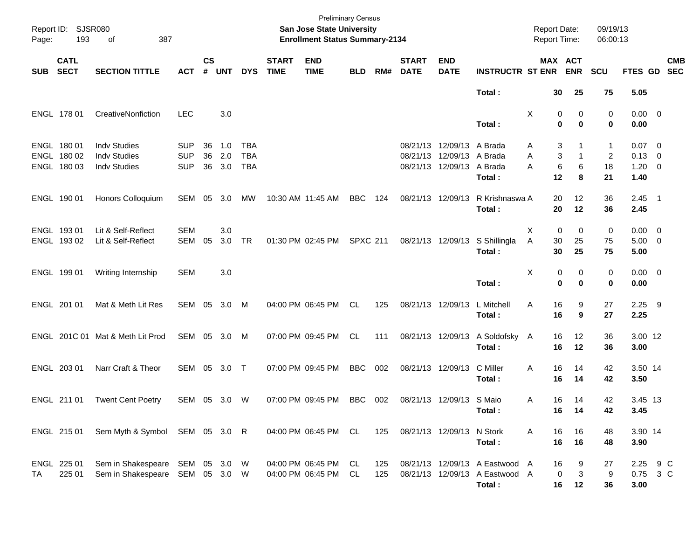| Page:      | Report ID: SJSR080<br>193                 |                                                                    |                                        |                    |                   |                                        | <b>Preliminary Census</b><br>San Jose State University<br><b>Enrollment Status Summary-2134</b> |                                           |                 |            |                             |                                                                            | <b>Report Date:</b><br>Report Time:                                        |                                   | 09/19/13<br>06:00:13                      |                    |                                                     |                          |
|------------|-------------------------------------------|--------------------------------------------------------------------|----------------------------------------|--------------------|-------------------|----------------------------------------|-------------------------------------------------------------------------------------------------|-------------------------------------------|-----------------|------------|-----------------------------|----------------------------------------------------------------------------|----------------------------------------------------------------------------|-----------------------------------|-------------------------------------------|--------------------|-----------------------------------------------------|--------------------------|
| <b>SUB</b> | <b>CATL</b><br><b>SECT</b>                | <b>SECTION TITTLE</b>                                              | <b>ACT</b>                             | $\mathsf{cs}$<br># | <b>UNT</b>        | <b>DYS</b>                             | <b>START</b><br><b>TIME</b>                                                                     | <b>END</b><br><b>TIME</b>                 | <b>BLD</b>      | RM#        | <b>START</b><br><b>DATE</b> | <b>END</b><br><b>DATE</b>                                                  | <b>INSTRUCTR ST ENR</b>                                                    |                                   | MAX ACT<br><b>ENR</b>                     | SCU                | FTES GD                                             | <b>CMB</b><br><b>SEC</b> |
|            |                                           |                                                                    |                                        |                    |                   |                                        |                                                                                                 |                                           |                 |            |                             |                                                                            | Total:                                                                     | 30                                | 25                                        | 75                 | 5.05                                                |                          |
|            | ENGL 178 01                               | CreativeNonfiction                                                 | <b>LEC</b>                             |                    | 3.0               |                                        |                                                                                                 |                                           |                 |            |                             |                                                                            | Total:                                                                     | Χ<br>$\mathbf 0$                  | 0<br>0<br>$\bf{0}$                        | 0<br>0             | $0.00 \t 0$<br>0.00                                 |                          |
|            | ENGL 180 01<br>ENGL 180 02<br>ENGL 180 03 | <b>Indv Studies</b><br><b>Indv Studies</b><br><b>Indv Studies</b>  | <b>SUP</b><br><b>SUP</b><br><b>SUP</b> | 36<br>36<br>36     | 1.0<br>2.0<br>3.0 | <b>TBA</b><br><b>TBA</b><br><b>TBA</b> |                                                                                                 |                                           |                 |            | 08/21/13                    | 08/21/13 12/09/13 A Brada<br>12/09/13 A Brada<br>08/21/13 12/09/13 A Brada | Total:                                                                     | Α<br>Α<br>$\,6$<br>A<br>12        | 3<br>1<br>3<br>$\mathbf{1}$<br>6<br>8     | 1<br>2<br>18<br>21 | $0.07 \quad 0$<br>$0.13 \ 0$<br>$1.20 \t 0$<br>1.40 |                          |
|            | ENGL 190 01                               | Honors Colloquium                                                  | SEM                                    |                    | 05 3.0            | МW                                     |                                                                                                 | 10:30 AM 11:45 AM                         | <b>BBC</b>      | 124        |                             | 08/21/13 12/09/13                                                          | R Krishnaswa A<br>Total:                                                   | 20<br>20                          | 12<br>12                                  | 36<br>36           | $2.45$ 1<br>2.45                                    |                          |
|            | ENGL 193 01<br>ENGL 193 02                | Lit & Self-Reflect<br>Lit & Self-Reflect                           | <b>SEM</b><br><b>SEM</b>               | 05                 | 3.0<br>3.0        | <b>TR</b>                              |                                                                                                 | 01:30 PM 02:45 PM                         | <b>SPXC 211</b> |            |                             | 08/21/13 12/09/13                                                          | S Shillingla<br>Total:                                                     | X<br>$\mathbf 0$<br>Α<br>30<br>30 | 0<br>25<br>25                             | 0<br>75<br>75      | $0.00 \t 0$<br>$5.00 \t 0$<br>5.00                  |                          |
|            | ENGL 199 01                               | Writing Internship                                                 | <b>SEM</b>                             |                    | 3.0               |                                        |                                                                                                 |                                           |                 |            |                             |                                                                            | Total:                                                                     | X<br>$\mathbf 0$                  | 0<br>0<br>$\bf{0}$                        | 0<br>0             | $0.00 \t 0$<br>0.00                                 |                          |
|            | ENGL 201 01                               | Mat & Meth Lit Res                                                 | SEM 05 3.0                             |                    |                   | M                                      |                                                                                                 | 04:00 PM 06:45 PM                         | CL.             | 125        |                             | 08/21/13 12/09/13                                                          | L Mitchell<br>Total:                                                       | 16<br>A<br>16                     | 9<br>9                                    | 27<br>27           | $2.25$ 9<br>2.25                                    |                          |
|            |                                           | ENGL 201C 01 Mat & Meth Lit Prod                                   | SEM 05 3.0 M                           |                    |                   |                                        |                                                                                                 | 07:00 PM 09:45 PM                         | CL.             | 111        |                             | 08/21/13 12/09/13                                                          | A Soldofsky A<br>Total:                                                    | 16<br>16                          | 12<br>12                                  | 36<br>36           | 3.00 12<br>3.00                                     |                          |
|            | ENGL 203 01                               | Narr Craft & Theor                                                 | SEM 05 3.0 T                           |                    |                   |                                        |                                                                                                 | 07:00 PM 09:45 PM                         | <b>BBC</b>      | 002        |                             | 08/21/13 12/09/13                                                          | C Miller<br>Total:                                                         | 16<br>A<br>16                     | 14<br>14                                  | 42<br>42           | 3.50 14<br>3.50                                     |                          |
|            | ENGL 211 01                               | <b>Twent Cent Poetry</b>                                           | SEM 05 3.0 W                           |                    |                   |                                        |                                                                                                 | 07:00 PM 09:45 PM                         | <b>BBC</b>      | 002        |                             | 08/21/13 12/09/13 S Maio                                                   | Total :                                                                    | 16<br>A<br>16                     | 14<br>$\overline{14}$                     | 42<br>42           | 3.45 13<br>3.45                                     |                          |
|            | ENGL 215 01                               | Sem Myth & Symbol SEM 05 3.0 R                                     |                                        |                    |                   |                                        |                                                                                                 | 04:00 PM 06:45 PM CL                      |                 | 125        |                             | 08/21/13 12/09/13 N Stork                                                  | Total:                                                                     | Α<br>16<br>16                     | 16<br>16                                  | 48<br>48           | 3.90 14<br>3.90                                     |                          |
| TA         | ENGL 225 01<br>225 01                     | Sem in Shakespeare SEM 05 3.0 W<br>Sem in Shakespeare SEM 05 3.0 W |                                        |                    |                   |                                        |                                                                                                 | 04:00 PM 06:45 PM<br>04:00 PM 06:45 PM CL | CL.             | 125<br>125 |                             |                                                                            | 08/21/13 12/09/13 A Eastwood A<br>08/21/13 12/09/13 A Eastwood A<br>Total: | 16<br>16                          | 9<br>$\ensuremath{\mathsf{3}}$<br>0<br>12 | 27<br>9<br>36      | 2.25 9 C<br>0.75 3 C<br>3.00                        |                          |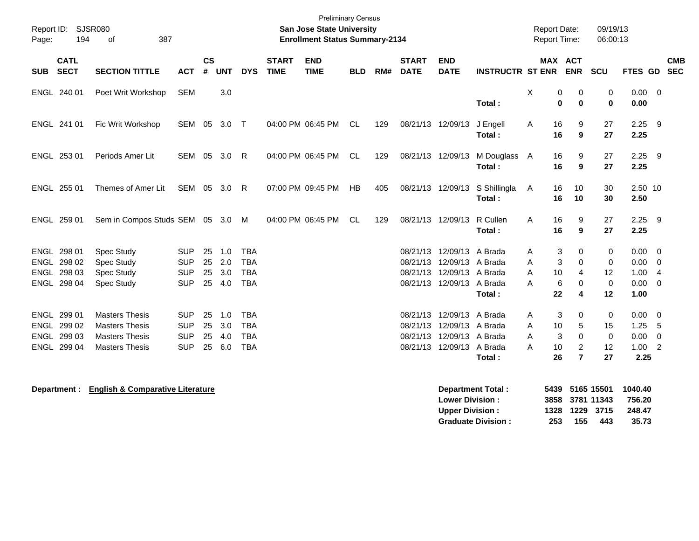| Page:      | Report ID: SJSR080<br>194  | 0f<br>387                                      |                          |                    |            |                          |                             | <b>Preliminary Census</b><br><b>San Jose State University</b><br><b>Enrollment Status Summary-2134</b> |            |     |                             |                                                |                         | <b>Report Date:</b><br><b>Report Time:</b> |                                                 | 09/19/13<br>06:00:13                   |                      |                                            |  |
|------------|----------------------------|------------------------------------------------|--------------------------|--------------------|------------|--------------------------|-----------------------------|--------------------------------------------------------------------------------------------------------|------------|-----|-----------------------------|------------------------------------------------|-------------------------|--------------------------------------------|-------------------------------------------------|----------------------------------------|----------------------|--------------------------------------------|--|
| <b>SUB</b> | <b>CATL</b><br><b>SECT</b> | <b>SECTION TITTLE</b>                          | <b>ACT</b>               | $\mathsf{cs}$<br># | <b>UNT</b> | <b>DYS</b>               | <b>START</b><br><b>TIME</b> | <b>END</b><br><b>TIME</b>                                                                              | <b>BLD</b> | RM# | <b>START</b><br><b>DATE</b> | <b>END</b><br><b>DATE</b>                      | <b>INSTRUCTR ST ENR</b> | <b>MAX ACT</b>                             | <b>ENR</b>                                      | SCU                                    | FTES GD SEC          | <b>CMB</b>                                 |  |
|            | ENGL 240 01                | Poet Writ Workshop                             | <b>SEM</b>               |                    | 3.0        |                          |                             |                                                                                                        |            |     |                             |                                                | Total:                  | X<br>0<br>$\mathbf 0$                      | 0<br>$\mathbf 0$                                | 0<br>0                                 | $0.00 \t 0$<br>0.00  |                                            |  |
|            | ENGL 241 01                | Fic Writ Workshop                              | <b>SEM</b>               | 05                 | 3.0        | $\top$                   |                             | 04:00 PM 06:45 PM                                                                                      | CL.        | 129 | 08/21/13 12/09/13           |                                                | J Engell<br>Total:      | 16<br>A<br>16                              | 9<br>9                                          | 27<br>27                               | $2.25$ 9<br>2.25     |                                            |  |
|            | ENGL 253 01                | Periods Amer Lit                               | SEM 05                   |                    | 3.0        | $\mathsf{R}$             |                             | 04:00 PM 06:45 PM                                                                                      | CL         | 129 | 08/21/13 12/09/13           |                                                | M Douglass A<br>Total:  | 16<br>16                                   | 9<br>9                                          | 27<br>27                               | $2.25$ 9<br>2.25     |                                            |  |
|            | ENGL 255 01                | Themes of Amer Lit                             | SEM 05 3.0               |                    |            | - R                      |                             | 07:00 PM 09:45 PM                                                                                      | HB         | 405 |                             | 08/21/13 12/09/13                              | S Shillingla<br>Total:  | 16<br>A<br>16                              | 10<br>10                                        | 30<br>30                               | 2.50 10<br>2.50      |                                            |  |
|            | ENGL 259 01                | Sem in Compos Studs SEM 05 3.0                 |                          |                    |            | M                        |                             | 04:00 PM 06:45 PM                                                                                      | CL.        | 129 | 08/21/13 12/09/13           |                                                | R Cullen<br>Total:      | 16<br>A<br>16                              | 9<br>9                                          | 27<br>27                               | $2.25$ 9<br>2.25     |                                            |  |
|            | ENGL 298 01<br>ENGL 298 02 | Spec Study<br>Spec Study                       | <b>SUP</b><br><b>SUP</b> | 25<br>25           | 1.0<br>2.0 | <b>TBA</b><br><b>TBA</b> |                             |                                                                                                        |            |     | 08/21/13                    | 08/21/13 12/09/13<br>12/09/13 A Brada          | A Brada                 | 3<br>A<br>3<br>A                           | 0<br>$\Omega$                                   | 0<br>0                                 | 0.00<br>0.00         | $\overline{\phantom{0}}$<br>$\overline{0}$ |  |
|            | ENGL 298 03<br>ENGL 298 04 | Spec Study<br>Spec Study                       | <b>SUP</b><br><b>SUP</b> | 25<br>25           | 3.0<br>4.0 | <b>TBA</b><br><b>TBA</b> |                             |                                                                                                        |            |     | 08/21/13                    | 12/09/13 A Brada<br>08/21/13 12/09/13 A Brada  | Total:                  | 10<br>A<br>6<br>A<br>22                    | 4<br>0<br>4                                     | $12 \overline{ }$<br>$\mathbf 0$<br>12 | 1.00<br>0.00<br>1.00 | $\overline{4}$<br>$\overline{0}$           |  |
|            | ENGL 299 01<br>ENGL 299 02 | <b>Masters Thesis</b><br><b>Masters Thesis</b> | <b>SUP</b><br><b>SUP</b> | 25<br>25           | 1.0<br>3.0 | <b>TBA</b><br><b>TBA</b> |                             |                                                                                                        |            |     | 08/21/13<br>08/21/13        | 12/09/13 A Brada<br>12/09/13 A Brada           |                         | 3<br>A<br>10<br>A                          | 0<br>5                                          | 0<br>15                                | $0.00 \t 0$<br>1.25  | -5                                         |  |
|            | ENGL 299 03<br>ENGL 299 04 | <b>Masters Thesis</b><br><b>Masters Thesis</b> | <b>SUP</b><br><b>SUP</b> | 25<br>25           | 4.0<br>6.0 | <b>TBA</b><br><b>TBA</b> |                             |                                                                                                        |            |     |                             | 08/21/13 12/09/13 A Brada<br>08/21/13 12/09/13 | A Brada<br>Total:       | A<br>3<br>A<br>10<br>26                    | $\mathbf 0$<br>$\overline{2}$<br>$\overline{7}$ | 0<br>12<br>27                          | 0.00<br>1.00<br>2.25 | $\overline{0}$<br>$\overline{2}$           |  |
|            |                            |                                                |                          |                    |            |                          |                             |                                                                                                        |            |     |                             |                                                |                         |                                            |                                                 |                                        |                      |                                            |  |

**Department : English & Comparative Literature Department Total : 5439 5165 15501 1040.40 Lower Division : 3858 3781 11343 756.20 Upper Division : 1328 1229 3715 248.47 Graduate Division : 253 155 443 35.73**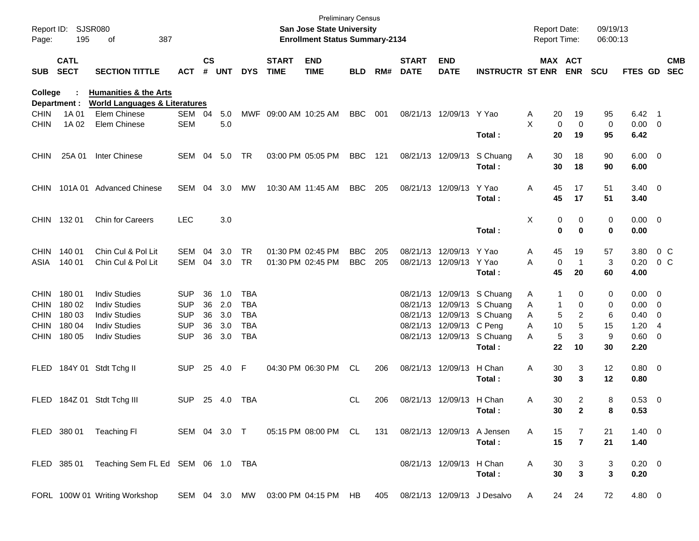| Report ID:<br>Page: | 195                        | <b>SJSR080</b><br>387<br>οf                   |              |                    |            |            |                             | San Jose State University<br><b>Enrollment Status Summary-2134</b> | <b>Preliminary Census</b> |     |                             |                           |                                      | <b>Report Date:</b> | <b>Report Time:</b>                      | 09/19/13<br>06:00:13 |                        |                          |                          |
|---------------------|----------------------------|-----------------------------------------------|--------------|--------------------|------------|------------|-----------------------------|--------------------------------------------------------------------|---------------------------|-----|-----------------------------|---------------------------|--------------------------------------|---------------------|------------------------------------------|----------------------|------------------------|--------------------------|--------------------------|
| <b>SUB</b>          | <b>CATL</b><br><b>SECT</b> | <b>SECTION TITTLE</b>                         | <b>ACT</b>   | $\mathsf{cs}$<br># | <b>UNT</b> | <b>DYS</b> | <b>START</b><br><b>TIME</b> | <b>END</b><br><b>TIME</b>                                          | <b>BLD</b>                | RM# | <b>START</b><br><b>DATE</b> | <b>END</b><br><b>DATE</b> | <b>INSTRUCTR ST ENR</b>              |                     | MAX ACT<br><b>ENR</b>                    | <b>SCU</b>           | FTES GD                |                          | <b>CMB</b><br><b>SEC</b> |
| College             |                            | <b>Humanities &amp; the Arts</b>              |              |                    |            |            |                             |                                                                    |                           |     |                             |                           |                                      |                     |                                          |                      |                        |                          |                          |
|                     | Department :               | <b>World Languages &amp; Literatures</b>      |              |                    |            |            |                             |                                                                    |                           |     |                             |                           |                                      |                     |                                          |                      |                        |                          |                          |
| <b>CHIN</b>         | 1A 01                      | Elem Chinese                                  | SEM 04       |                    | 5.0        | MWF        | 09:00 AM 10:25 AM           |                                                                    | <b>BBC</b>                | 001 |                             | 08/21/13 12/09/13         | Y Yao                                | A                   | 20<br>19                                 | 95                   | $6.42 \quad 1$         |                          |                          |
| <b>CHIN</b>         | 1A 02                      | Elem Chinese                                  | <b>SEM</b>   |                    | 5.0        |            |                             |                                                                    |                           |     |                             |                           | Total:                               | X                   | 0<br>0<br>20<br>19                       | 0<br>95              | 0.00<br>6.42           | $\overline{\phantom{0}}$ |                          |
| <b>CHIN</b>         | 25A 01                     | Inter Chinese                                 | SEM          | 04                 | 5.0        | TR         |                             | 03:00 PM 05:05 PM                                                  | <b>BBC</b>                | 121 |                             | 08/21/13 12/09/13         | S Chuang<br>Total:                   | A                   | 30<br>18<br>30<br>18                     | 90<br>90             | $6.00 \quad 0$<br>6.00 |                          |                          |
| CHIN.               |                            | 101A 01 Advanced Chinese                      | SEM          | 04                 | 3.0        | <b>MW</b>  |                             | 10:30 AM 11:45 AM                                                  | <b>BBC</b>                | 205 |                             | 08/21/13 12/09/13         | Y Yao<br>Total:                      | Α                   | 45<br>17<br>45<br>17                     | 51<br>51             | $3.40 \ 0$<br>3.40     |                          |                          |
| <b>CHIN</b>         | 132 01                     | <b>Chin for Careers</b>                       | <b>LEC</b>   |                    | 3.0        |            |                             |                                                                    |                           |     |                             |                           | Total:                               | Χ                   | 0<br>0<br>0<br>0                         | 0<br>0               | $0.00 \t 0$<br>0.00    |                          |                          |
| <b>CHIN</b>         | 140 01                     | Chin Cul & Pol Lit                            | SEM          | 04                 | 3.0        | <b>TR</b>  |                             | 01:30 PM 02:45 PM                                                  | <b>BBC</b>                | 205 |                             | 08/21/13 12/09/13         | Y Yao                                | A                   | 45<br>19                                 | 57                   | 3.80                   |                          | $0\,$ C                  |
| ASIA                | 140 01                     | Chin Cul & Pol Lit                            | SEM          | 04                 | 3.0        | TR         |                             | 01:30 PM 02:45 PM                                                  | <b>BBC</b>                | 205 |                             | 08/21/13 12/09/13         | Y Yao                                | Α                   | 0<br>-1                                  | 3                    | 0.20                   |                          | $0\,$ C                  |
|                     |                            |                                               |              |                    |            |            |                             |                                                                    |                           |     |                             |                           | Total:                               |                     | 45<br>20                                 | 60                   | 4.00                   |                          |                          |
| <b>CHIN</b>         | 180 01                     | <b>Indiv Studies</b>                          | <b>SUP</b>   | 36                 | 1.0        | TBA        |                             |                                                                    |                           |     |                             | 08/21/13 12/09/13         | S Chuang                             | A                   | 0<br>1                                   | 0                    | 0.00                   | $\overline{\phantom{0}}$ |                          |
| <b>CHIN</b>         | 180 02                     | <b>Indiv Studies</b>                          | <b>SUP</b>   | 36                 | 2.0        | TBA        |                             |                                                                    |                           |     |                             | 08/21/13 12/09/13         | S Chuang                             | A                   | 0<br>-1                                  | 0                    | 0.00                   | - 0                      |                          |
| <b>CHIN</b>         | 180 03                     | <b>Indiv Studies</b>                          | <b>SUP</b>   | 36                 | 3.0        | TBA        |                             |                                                                    |                           |     |                             | 08/21/13 12/09/13         | S Chuang                             | A                   | 2<br>5                                   | 6                    | 0.40                   | 0                        |                          |
| <b>CHIN</b>         | 180 04                     | <b>Indiv Studies</b>                          | <b>SUP</b>   | 36                 | 3.0        | TBA        |                             |                                                                    |                           |     |                             | 08/21/13 12/09/13         | C Peng                               | Α                   | 5<br>10                                  | 15                   | 1.20                   | -4                       |                          |
| <b>CHIN</b>         | 180 05                     | <b>Indiv Studies</b>                          | <b>SUP</b>   | 36                 | 3.0        | <b>TBA</b> |                             |                                                                    |                           |     |                             | 08/21/13 12/09/13         | S Chuang<br>Total:                   | A                   | 5<br>3<br>22<br>10                       | 9<br>30              | 0.60<br>2.20           | 0                        |                          |
| <b>FLED</b>         |                            | 184Y 01 Stdt Tchg II                          | <b>SUP</b>   | 25                 | 4.0        | F          |                             | 04:30 PM 06:30 PM                                                  | CL                        | 206 |                             | 08/21/13 12/09/13         | H Chan<br>Total:                     | Α                   | 30<br>3<br>30<br>3                       | 12<br>12             | $0.80 \ 0$<br>0.80     |                          |                          |
| <b>FLED</b>         |                            | 184Z 01 Stdt Tchg III                         | <b>SUP</b>   | 25                 | 4.0        | TBA        |                             |                                                                    | CL                        | 206 |                             | 08/21/13 12/09/13         | H Chan<br>Total:                     | Α                   | 30<br>2<br>30<br>$\mathbf{2}$            | 8<br>8               | 0.53<br>0.53           | $\overline{\mathbf{0}}$  |                          |
|                     | FLED 380 01                | Teaching Fl                                   | SEM 04 3.0 T |                    |            |            |                             | 05:15 PM 08:00 PM CL                                               |                           | 131 |                             |                           | 08/21/13 12/09/13 A Jensen<br>Total: | A                   | 15<br>7<br>15<br>$\overline{\mathbf{r}}$ | 21<br>21             | $1.40 \ 0$<br>1.40     |                          |                          |
|                     |                            | FLED 385 01 Teaching Sem FL Ed SEM 06 1.0 TBA |              |                    |            |            |                             |                                                                    |                           |     |                             | 08/21/13 12/09/13 H Chan  | Total:                               | A                   | 30<br>3<br>30<br>3                       | 3<br>3               | $0.20 \ 0$<br>0.20     |                          |                          |
|                     |                            | FORL 100W 01 Writing Workshop                 |              |                    |            |            |                             | SEM 04 3.0 MW 03:00 PM 04:15 PM HB                                 |                           | 405 |                             |                           | 08/21/13 12/09/13 J Desalvo          | A                   | 24<br>24                                 | 72                   | 4.80 0                 |                          |                          |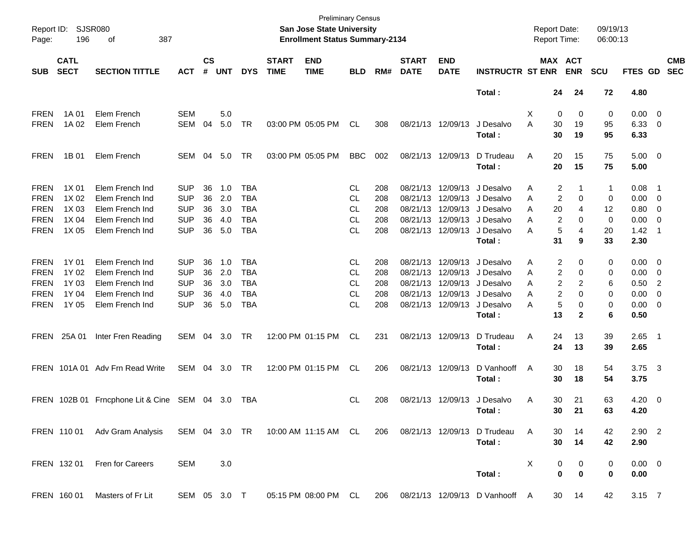| Page:       | Report ID: SJSR080<br>196  | 387<br>of                                                                                       |              |                    |            |            |                             | <b>Preliminary Census</b><br><b>San Jose State University</b><br><b>Enrollment Status Summary-2134</b> |            |     |                             |                           |                                | Report Date:<br><b>Report Time:</b> |             |                       | 09/19/13<br>06:00:13 |                     |                          |                          |
|-------------|----------------------------|-------------------------------------------------------------------------------------------------|--------------|--------------------|------------|------------|-----------------------------|--------------------------------------------------------------------------------------------------------|------------|-----|-----------------------------|---------------------------|--------------------------------|-------------------------------------|-------------|-----------------------|----------------------|---------------------|--------------------------|--------------------------|
| <b>SUB</b>  | <b>CATL</b><br><b>SECT</b> | <b>SECTION TITTLE</b>                                                                           | <b>ACT</b>   | $\mathsf{cs}$<br># | <b>UNT</b> | <b>DYS</b> | <b>START</b><br><b>TIME</b> | <b>END</b><br><b>TIME</b>                                                                              | <b>BLD</b> | RM# | <b>START</b><br><b>DATE</b> | <b>END</b><br><b>DATE</b> | <b>INSTRUCTR ST ENR</b>        |                                     |             | MAX ACT<br><b>ENR</b> | <b>SCU</b>           | FTES GD             |                          | <b>CMB</b><br><b>SEC</b> |
|             |                            |                                                                                                 |              |                    |            |            |                             |                                                                                                        |            |     |                             |                           | Total:                         |                                     | 24          | 24                    | 72                   | 4.80                |                          |                          |
| <b>FREN</b> | 1A 01                      | Elem French                                                                                     | <b>SEM</b>   |                    | 5.0        |            |                             |                                                                                                        |            |     |                             |                           |                                | X.                                  | 0           | 0                     | 0                    | $0.00 \t 0$         |                          |                          |
| <b>FREN</b> | 1A 02                      | Elem French                                                                                     | <b>SEM</b>   | 04                 | 5.0        | TR         |                             | 03:00 PM 05:05 PM                                                                                      | <b>CL</b>  | 308 |                             | 08/21/13 12/09/13         | J Desalvo<br>Total:            | A                                   | 30<br>30    | 19<br>19              | 95<br>95             | $6.33$ 0<br>6.33    |                          |                          |
| FREN        | 1B 01                      | Elem French                                                                                     | SEM          | 04                 | 5.0        | TR         |                             | 03:00 PM 05:05 PM                                                                                      | <b>BBC</b> | 002 |                             | 08/21/13 12/09/13         | D Trudeau<br>Total:            | Α                                   | 20<br>20    | 15<br>15              | 75<br>75             | $5.00 \t 0$<br>5.00 |                          |                          |
| <b>FREN</b> | 1X 01                      | Elem French Ind                                                                                 | <b>SUP</b>   | 36                 | 1.0        | <b>TBA</b> |                             |                                                                                                        | CL         | 208 |                             |                           | 08/21/13 12/09/13 J Desalvo    | Α                                   | 2           |                       | 1                    | 0.08                | - 1                      |                          |
| <b>FREN</b> | 1X 02                      | Elem French Ind                                                                                 | <b>SUP</b>   | 36                 | 2.0        | <b>TBA</b> |                             |                                                                                                        | CL         | 208 |                             |                           | 08/21/13 12/09/13 J Desalvo    | A                                   | 2           | 0                     | 0                    | $0.00 \t 0$         |                          |                          |
| <b>FREN</b> | 1X 03                      | Elem French Ind                                                                                 | <b>SUP</b>   | 36                 | 3.0        | <b>TBA</b> |                             |                                                                                                        | CL         | 208 |                             |                           | 08/21/13 12/09/13 J Desalvo    | A                                   | 20          | 4                     | 12                   | 0.80 0              |                          |                          |
| <b>FREN</b> | 1X 04                      | Elem French Ind                                                                                 | <b>SUP</b>   | 36                 | 4.0        | <b>TBA</b> |                             |                                                                                                        | CL         | 208 |                             |                           | 08/21/13 12/09/13 J Desalvo    | A                                   | 2           | 0                     | 0                    | 0.00                | $\overline{\phantom{0}}$ |                          |
| <b>FREN</b> | 1X 05                      | Elem French Ind                                                                                 | <b>SUP</b>   | 36                 | 5.0        | <b>TBA</b> |                             |                                                                                                        | <b>CL</b>  | 208 |                             | 08/21/13 12/09/13         | J Desalvo                      | A                                   | 5           | 4                     | 20                   | 1.42                | - 1                      |                          |
|             |                            |                                                                                                 |              |                    |            |            |                             |                                                                                                        |            |     |                             |                           | Total:                         |                                     | 31          | 9                     | 33                   | 2.30                |                          |                          |
| <b>FREN</b> | 1Y 01                      | Elem French Ind                                                                                 | <b>SUP</b>   | 36                 | 1.0        | <b>TBA</b> |                             |                                                                                                        | CL         | 208 |                             |                           | 08/21/13 12/09/13 J Desalvo    | Α                                   | 2           | 0                     | 0                    | $0.00 \t 0$         |                          |                          |
| <b>FREN</b> | 1Y 02                      | Elem French Ind                                                                                 | <b>SUP</b>   | 36                 | 2.0        | <b>TBA</b> |                             |                                                                                                        | CL         | 208 |                             |                           | 08/21/13 12/09/13 J Desalvo    | Α                                   | 2           | 0                     | 0                    | 0.00                | $\overline{\phantom{0}}$ |                          |
| <b>FREN</b> | 1Y 03                      | Elem French Ind                                                                                 | <b>SUP</b>   | 36                 | 3.0        | <b>TBA</b> |                             |                                                                                                        | CL         | 208 |                             |                           | 08/21/13 12/09/13 J Desalvo    | Α                                   | 2           | 2                     | 6                    | 0.50                | $\overline{2}$           |                          |
| <b>FREN</b> | 1Y 04                      | Elem French Ind                                                                                 | <b>SUP</b>   | 36                 | 4.0        | <b>TBA</b> |                             |                                                                                                        | CL         | 208 |                             |                           | 08/21/13 12/09/13 J Desalvo    | A                                   | 2           | 0                     | 0                    | 0.00                | $\overline{\mathbf{0}}$  |                          |
| <b>FREN</b> | 1Y 05                      | Elem French Ind                                                                                 | <b>SUP</b>   | 36                 | 5.0        | <b>TBA</b> |                             |                                                                                                        | <b>CL</b>  | 208 |                             | 08/21/13 12/09/13         | J Desalvo                      | A                                   | 5           | 0                     | 0                    | $0.00 \t 0$         |                          |                          |
|             |                            |                                                                                                 |              |                    |            |            |                             |                                                                                                        |            |     |                             |                           | Total:                         |                                     | 13          | $\mathbf{2}$          | 6                    | 0.50                |                          |                          |
|             | FREN 25A 01                | Inter Fren Reading                                                                              | SEM 04       |                    | 3.0        | TR         |                             | 12:00 PM 01:15 PM                                                                                      | CL         | 231 |                             | 08/21/13 12/09/13         | D Trudeau                      | Α                                   | 24          | 13                    | 39                   | $2.65$ 1            |                          |                          |
|             |                            |                                                                                                 |              |                    |            |            |                             |                                                                                                        |            |     |                             |                           | Total:                         |                                     | 24          | 13                    | 39                   | 2.65                |                          |                          |
|             |                            | FREN 101A 01 Adv Frn Read Write                                                                 | SEM 04       |                    | 3.0        | TR         |                             | 12:00 PM 01:15 PM                                                                                      | CL         | 206 |                             | 08/21/13 12/09/13         | D Vanhooff                     | A                                   | 30          | 18                    | 54                   | $3.75$ 3            |                          |                          |
|             |                            |                                                                                                 |              |                    |            |            |                             |                                                                                                        |            |     |                             |                           | Total:                         |                                     | 30          | 18                    | 54                   | 3.75                |                          |                          |
|             |                            | FREN 102B 01 Frncphone Lit & Cine SEM 04 3.0                                                    |              |                    |            | TBA        |                             |                                                                                                        | CL.        | 208 |                             | 08/21/13 12/09/13         | J Desalvo                      | Α                                   | 30          | 21                    | 63                   | $4.20 \ 0$          |                          |                          |
|             |                            |                                                                                                 |              |                    |            |            |                             |                                                                                                        |            |     |                             |                           | Total:                         |                                     | 30          | 21                    | 63                   | 4.20                |                          |                          |
|             |                            | FREN 11001 Adv Gram Analysis SEM 04 3.0 TR 10:00 AM 11:15 AM CL 206 08/21/13 12/09/13 D Trudeau |              |                    |            |            |                             |                                                                                                        |            |     |                             |                           |                                | A                                   | 30          | 14                    | 42                   | $2.90$ 2            |                          |                          |
|             |                            |                                                                                                 |              |                    |            |            |                             |                                                                                                        |            |     |                             |                           | Total:                         |                                     | 30          | 14                    | 42                   | 2.90                |                          |                          |
|             | FREN 132 01                | Fren for Careers                                                                                | SEM          |                    | 3.0        |            |                             |                                                                                                        |            |     |                             |                           |                                | X                                   | 0           | 0                     | 0                    | $0.00 \t 0$         |                          |                          |
|             |                            |                                                                                                 |              |                    |            |            |                             |                                                                                                        |            |     |                             |                           | Total:                         |                                     | $\mathbf 0$ | 0                     | 0                    | 0.00                |                          |                          |
|             | FREN 160 01                | Masters of Fr Lit                                                                               | SEM 05 3.0 T |                    |            |            |                             | 05:15 PM 08:00 PM CL                                                                                   |            | 206 |                             |                           | 08/21/13 12/09/13 D Vanhooff A |                                     | 30          | 14                    | 42                   | 3.15 7              |                          |                          |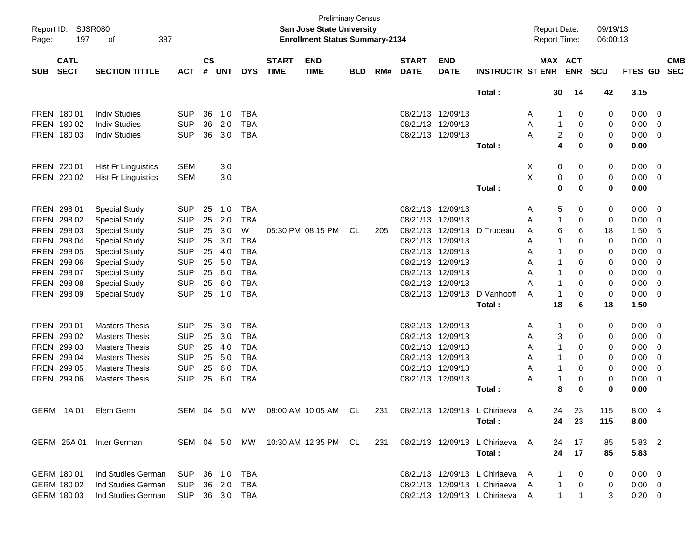| Report ID:<br>Page: | <b>SJSR080</b><br>197      | 387<br>оf                  |            |                    |            |               |                             | <b>Preliminary Census</b><br>San Jose State University<br><b>Enrollment Status Summary-2134</b> |            |     |                             |                           |                                 | <b>Report Date:</b><br>Report Time: |                             | 09/19/13<br>06:00:13 |             |                         |            |
|---------------------|----------------------------|----------------------------|------------|--------------------|------------|---------------|-----------------------------|-------------------------------------------------------------------------------------------------|------------|-----|-----------------------------|---------------------------|---------------------------------|-------------------------------------|-----------------------------|----------------------|-------------|-------------------------|------------|
| <b>SUB</b>          | <b>CATL</b><br><b>SECT</b> | <b>SECTION TITTLE</b>      | <b>ACT</b> | $\mathsf{cs}$<br># | <b>UNT</b> | <b>DYS</b>    | <b>START</b><br><b>TIME</b> | <b>END</b><br><b>TIME</b>                                                                       | <b>BLD</b> | RM# | <b>START</b><br><b>DATE</b> | <b>END</b><br><b>DATE</b> | <b>INSTRUCTR ST ENR</b>         |                                     | MAX ACT<br><b>ENR</b>       | <b>SCU</b>           | FTES GD SEC |                         | <b>CMB</b> |
|                     |                            |                            |            |                    |            |               |                             |                                                                                                 |            |     |                             |                           | Total:                          | 30                                  | 14                          | 42                   | 3.15        |                         |            |
|                     | FREN 180 01                | <b>Indiv Studies</b>       | <b>SUP</b> | 36                 | 1.0        | <b>TBA</b>    |                             |                                                                                                 |            |     |                             | 08/21/13 12/09/13         |                                 | Α                                   | 0                           | 0                    | 0.00        | $\overline{\mathbf{0}}$ |            |
|                     | FREN 180 02                | <b>Indiv Studies</b>       | <b>SUP</b> | 36                 | 2.0        | <b>TBA</b>    |                             |                                                                                                 |            |     | 08/21/13 12/09/13           |                           |                                 | 1<br>Α                              | 0                           | 0                    | 0.00        | $\overline{0}$          |            |
|                     | FREN 180 03                | <b>Indiv Studies</b>       | <b>SUP</b> | 36                 | 3.0        | <b>TBA</b>    |                             |                                                                                                 |            |     |                             | 08/21/13 12/09/13         |                                 | A                                   | 2<br>0                      | 0                    | 0.00        | - 0                     |            |
|                     |                            |                            |            |                    |            |               |                             |                                                                                                 |            |     |                             |                           | Total:                          |                                     | 4<br>0                      | $\mathbf 0$          | 0.00        |                         |            |
|                     | FREN 220 01                | <b>Hist Fr Linguistics</b> | <b>SEM</b> |                    | 3.0        |               |                             |                                                                                                 |            |     |                             |                           |                                 | Х<br>0                              | 0                           | 0                    | 0.00        | $\overline{\mathbf{0}}$ |            |
|                     | FREN 220 02                | <b>Hist Fr Linguistics</b> | <b>SEM</b> |                    | 3.0        |               |                             |                                                                                                 |            |     |                             |                           |                                 | X<br>0                              | 0                           | 0                    | 0.00        | $\overline{\mathbf{0}}$ |            |
|                     |                            |                            |            |                    |            |               |                             |                                                                                                 |            |     |                             |                           | Total:                          |                                     | $\mathbf 0$<br>0            | $\mathbf 0$          | 0.00        |                         |            |
|                     | FREN 298 01                | <b>Special Study</b>       | <b>SUP</b> | 25                 | 1.0        | <b>TBA</b>    |                             |                                                                                                 |            |     |                             | 08/21/13 12/09/13         |                                 | Α                                   | 5<br>0                      | 0                    | 0.00        | $\overline{\mathbf{0}}$ |            |
|                     | FREN 298 02                | <b>Special Study</b>       | <b>SUP</b> | 25                 | 2.0        | <b>TBA</b>    |                             |                                                                                                 |            |     |                             | 08/21/13 12/09/13         |                                 | 1<br>A                              | 0                           | 0                    | 0.00        | 0                       |            |
|                     | FREN 298 03                | <b>Special Study</b>       | <b>SUP</b> | 25                 | 3.0        | W             |                             | 05:30 PM 08:15 PM                                                                               | CL         | 205 |                             | 08/21/13 12/09/13         | D Trudeau                       | A                                   | 6<br>6                      | 18                   | 1.50        | 6                       |            |
|                     | FREN 298 04                | <b>Special Study</b>       | <b>SUP</b> | 25                 | 3.0        | <b>TBA</b>    |                             |                                                                                                 |            |     |                             | 08/21/13 12/09/13         |                                 | A                                   | $\Omega$                    | 0                    | 0.00        | 0                       |            |
|                     | FREN 298 05                | <b>Special Study</b>       | <b>SUP</b> | 25                 | 4.0        | <b>TBA</b>    |                             |                                                                                                 |            |     |                             | 08/21/13 12/09/13         |                                 | Α                                   | 0                           | 0                    | 0.00        | 0                       |            |
|                     | FREN 298 06                | <b>Special Study</b>       | <b>SUP</b> | 25                 | 5.0        | <b>TBA</b>    |                             |                                                                                                 |            |     |                             | 08/21/13 12/09/13         |                                 | Α<br>1                              | 0                           | 0                    | 0.00        | 0                       |            |
|                     | FREN 298 07                | <b>Special Study</b>       | <b>SUP</b> | 25                 | 6.0        | <b>TBA</b>    |                             |                                                                                                 |            |     |                             | 08/21/13 12/09/13         |                                 | Α<br>1                              | 0                           | 0                    | 0.00        | 0                       |            |
|                     | FREN 298 08                | <b>Special Study</b>       | <b>SUP</b> | 25                 | 6.0        | <b>TBA</b>    |                             |                                                                                                 |            |     | 08/21/13 12/09/13           |                           |                                 | 1<br>А                              | $\Omega$                    | 0                    | 0.00        | 0                       |            |
|                     | FREN 298 09                | <b>Special Study</b>       | <b>SUP</b> | 25                 | 1.0        | <b>TBA</b>    |                             |                                                                                                 |            |     |                             | 08/21/13 12/09/13         | D Vanhooff                      | $\mathbf 1$<br>A                    | $\Omega$                    | 0                    | 0.00        | - 0                     |            |
|                     |                            |                            |            |                    |            |               |                             |                                                                                                 |            |     |                             |                           | Total:                          | 18                                  | 6                           | 18                   | 1.50        |                         |            |
|                     | FREN 299 01                | <b>Masters Thesis</b>      | <b>SUP</b> | 25                 | 3.0        | <b>TBA</b>    |                             |                                                                                                 |            |     | 08/21/13 12/09/13           |                           |                                 | 1<br>Α                              | 0                           | 0                    | 0.00        | $\overline{\mathbf{0}}$ |            |
|                     | FREN 299 02                | <b>Masters Thesis</b>      | <b>SUP</b> | 25                 | 3.0        | <b>TBA</b>    |                             |                                                                                                 |            |     | 08/21/13                    | 12/09/13                  |                                 | Α                                   | 3<br>0                      | 0                    | 0.00        | 0                       |            |
|                     | FREN 299 03                | <b>Masters Thesis</b>      | <b>SUP</b> | 25                 | 4.0        | <b>TBA</b>    |                             |                                                                                                 |            |     |                             | 08/21/13 12/09/13         |                                 | Α                                   | 0                           | 0                    | 0.00        | 0                       |            |
|                     | FREN 299 04                | <b>Masters Thesis</b>      | <b>SUP</b> | 25                 | 5.0        | <b>TBA</b>    |                             |                                                                                                 |            |     |                             | 08/21/13 12/09/13         |                                 | $\mathbf 1$<br>Α                    | 0                           | 0                    | 0.00        | 0                       |            |
|                     | FREN 299 05                | <b>Masters Thesis</b>      | <b>SUP</b> | 25                 | 6.0        | <b>TBA</b>    |                             |                                                                                                 |            |     | 08/21/13 12/09/13           |                           |                                 | 1<br>Α                              | 0                           | 0                    | 0.00        | 0                       |            |
|                     | FREN 299 06                | <b>Masters Thesis</b>      | <b>SUP</b> | 25                 | 6.0        | <b>TBA</b>    |                             |                                                                                                 |            |     |                             | 08/21/13 12/09/13         |                                 | Α<br>1                              | 0                           | 0                    | 0.00        | 0                       |            |
|                     |                            |                            |            |                    |            |               |                             |                                                                                                 |            |     |                             |                           | Total:                          |                                     | 8<br>0                      | 0                    | 0.00        |                         |            |
|                     | GERM 1A01                  | Elem Germ                  |            |                    |            |               |                             | SEM 04 5.0 MW 08:00 AM 10:05 AM CL                                                              |            | 231 |                             |                           | 08/21/13 12/09/13 L Chiriaeva   | 24<br>$\mathsf{A}$                  | 23                          | 115                  | 8.00 4      |                         |            |
|                     |                            |                            |            |                    |            |               |                             |                                                                                                 |            |     |                             |                           | Total:                          | 24                                  | 23                          | 115                  | 8.00        |                         |            |
|                     | GERM 25A 01                | Inter German               |            |                    |            | SEM 04 5.0 MW |                             | 10:30 AM 12:35 PM CL                                                                            |            | 231 |                             |                           | 08/21/13 12/09/13 L Chiriaeva   | A<br>24                             | 17                          | 85                   | 5.83 2      |                         |            |
|                     |                            |                            |            |                    |            |               |                             |                                                                                                 |            |     |                             |                           | Total:                          | 24                                  | 17                          | 85                   | 5.83        |                         |            |
|                     | GERM 180 01                | Ind Studies German         | <b>SUP</b> |                    | 36 1.0     | TBA           |                             |                                                                                                 |            |     |                             |                           | 08/21/13 12/09/13 L Chiriaeva   | A                                   | 0                           | 0                    | $0.00 \t 0$ |                         |            |
|                     | GERM 180 02                | Ind Studies German         | <b>SUP</b> |                    | 36 2.0     | TBA           |                             |                                                                                                 |            |     |                             |                           | 08/21/13 12/09/13 L Chiriaeva   | A                                   | 0<br>1                      | 0                    | $0.00 \t 0$ |                         |            |
|                     | GERM 180 03                | Ind Studies German         | <b>SUP</b> |                    |            | 36 3.0 TBA    |                             |                                                                                                 |            |     |                             |                           | 08/21/13 12/09/13 L Chiriaeva A |                                     | $\mathbf 1$<br>$\mathbf{1}$ | 3                    | $0.20 \t 0$ |                         |            |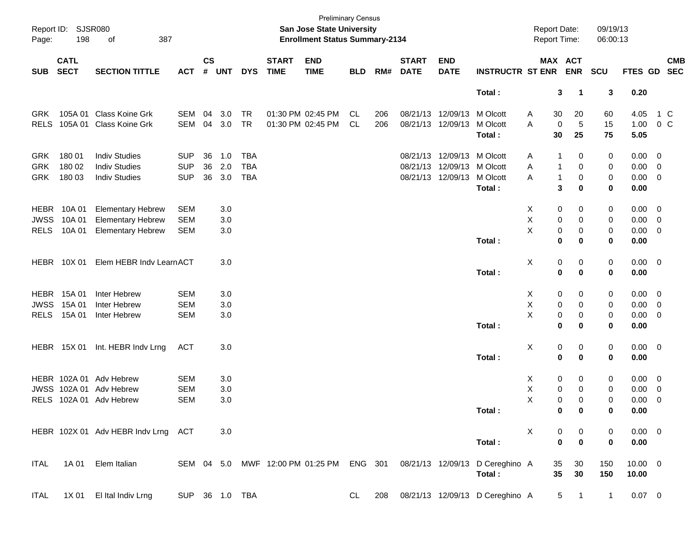| Page:       | Report ID: SJSR080<br>198  | 387<br>οf                           |            |                    |            |                |                             | <b>Preliminary Census</b><br>San Jose State University<br><b>Enrollment Status Summary-2134</b> |            |     |                             |                            |                                 | <b>Report Date:</b><br>Report Time: |             |             | 09/19/13<br>06:00:13 |              |                          |            |
|-------------|----------------------------|-------------------------------------|------------|--------------------|------------|----------------|-----------------------------|-------------------------------------------------------------------------------------------------|------------|-----|-----------------------------|----------------------------|---------------------------------|-------------------------------------|-------------|-------------|----------------------|--------------|--------------------------|------------|
| <b>SUB</b>  | <b>CATL</b><br><b>SECT</b> | <b>SECTION TITTLE</b>               | <b>ACT</b> | $\mathsf{cs}$<br># | <b>UNT</b> | <b>DYS</b>     | <b>START</b><br><b>TIME</b> | <b>END</b><br><b>TIME</b>                                                                       | <b>BLD</b> | RM# | <b>START</b><br><b>DATE</b> | <b>END</b><br><b>DATE</b>  | <b>INSTRUCTR ST ENR</b>         | MAX ACT                             |             | <b>ENR</b>  | <b>SCU</b>           | FTES GD SEC  |                          | <b>CMB</b> |
|             |                            |                                     |            |                    |            |                |                             |                                                                                                 |            |     |                             |                            | Total:                          |                                     | 3           | $\mathbf 1$ | 3                    | 0.20         |                          |            |
| <b>GRK</b>  |                            | 105A 01 Class Koine Grk             | SEM        | 04                 | 3.0        | <b>TR</b>      |                             | 01:30 PM 02:45 PM                                                                               | CL         | 206 |                             | 08/21/13 12/09/13 M Olcott |                                 | A                                   | 30          | 20          | 60                   | 4.05         |                          | 1 C        |
| <b>RELS</b> |                            | 105A 01 Class Koine Grk             | SEM        | 04                 | 3.0        | <b>TR</b>      |                             | 01:30 PM 02:45 PM                                                                               | <b>CL</b>  | 206 |                             | 08/21/13 12/09/13          | M Olcott                        | Α                                   | $\mathbf 0$ | 5           | 15                   | 1.00         | $0\,$ C                  |            |
|             |                            |                                     |            |                    |            |                |                             |                                                                                                 |            |     |                             |                            | Total:                          |                                     | 30          | 25          | 75                   | 5.05         |                          |            |
| <b>GRK</b>  | 180 01                     | <b>Indiv Studies</b>                | <b>SUP</b> | 36                 | 1.0        | <b>TBA</b>     |                             |                                                                                                 |            |     |                             | 08/21/13 12/09/13 M Olcott |                                 | A                                   | -1          | 0           | 0                    | $0.00 \t 0$  |                          |            |
| <b>GRK</b>  | 180 02                     | <b>Indiv Studies</b>                | <b>SUP</b> | 36                 | 2.0        | <b>TBA</b>     |                             |                                                                                                 |            |     |                             | 08/21/13 12/09/13 M Olcott |                                 | Α                                   | -1          | 0           | 0                    | $0.00 \t 0$  |                          |            |
| <b>GRK</b>  | 180 03                     | <b>Indiv Studies</b>                | <b>SUP</b> | 36                 | 3.0        | <b>TBA</b>     |                             |                                                                                                 |            |     |                             | 08/21/13 12/09/13          | M Olcott                        | A                                   | -1          | 0           | 0                    | $0.00 \t 0$  |                          |            |
|             |                            |                                     |            |                    |            |                |                             |                                                                                                 |            |     |                             |                            | Total:                          |                                     | 3           | 0           | 0                    | 0.00         |                          |            |
| HEBR        | 10A 01                     | <b>Elementary Hebrew</b>            | <b>SEM</b> |                    | 3.0        |                |                             |                                                                                                 |            |     |                             |                            |                                 | X                                   | 0           | 0           | 0                    | $0.00 \t 0$  |                          |            |
| <b>JWSS</b> | 10A 01                     | <b>Elementary Hebrew</b>            | <b>SEM</b> |                    | 3.0        |                |                             |                                                                                                 |            |     |                             |                            |                                 | Χ                                   | 0           | 0           | 0                    | $0.00 \t 0$  |                          |            |
| <b>RELS</b> | 10A 01                     | <b>Elementary Hebrew</b>            | <b>SEM</b> |                    | 3.0        |                |                             |                                                                                                 |            |     |                             |                            |                                 | X                                   | 0           | 0           | 0                    | $0.00 \t 0$  |                          |            |
|             |                            |                                     |            |                    |            |                |                             |                                                                                                 |            |     |                             |                            | Total:                          |                                     | 0           | 0           | 0                    | 0.00         |                          |            |
|             | HEBR 10X 01                | Elem HEBR Indv LearnACT             |            |                    | 3.0        |                |                             |                                                                                                 |            |     |                             |                            |                                 | X                                   | 0           | 0           | 0                    | $0.00 \t 0$  |                          |            |
|             |                            |                                     |            |                    |            |                |                             |                                                                                                 |            |     |                             |                            | Total:                          |                                     | 0           | $\mathbf 0$ | 0                    | 0.00         |                          |            |
| HEBR        | 15A 01                     | Inter Hebrew                        | <b>SEM</b> |                    | 3.0        |                |                             |                                                                                                 |            |     |                             |                            |                                 | X                                   | 0           | 0           | 0                    | $0.00 \t 0$  |                          |            |
| <b>JWSS</b> | 15A 01                     | Inter Hebrew                        | <b>SEM</b> |                    | 3.0        |                |                             |                                                                                                 |            |     |                             |                            |                                 | Χ                                   | 0           | 0           | 0                    | $0.00 \t 0$  |                          |            |
| <b>RELS</b> | 15A 01                     | Inter Hebrew                        | <b>SEM</b> |                    | 3.0        |                |                             |                                                                                                 |            |     |                             |                            |                                 | X                                   | 0           | 0           | 0                    | $0.00 \t 0$  |                          |            |
|             |                            |                                     |            |                    |            |                |                             |                                                                                                 |            |     |                             |                            | Total:                          |                                     | 0           | 0           | 0                    | 0.00         |                          |            |
|             | HEBR 15X 01                | Int. HEBR Indv Lrng                 | <b>ACT</b> |                    | 3.0        |                |                             |                                                                                                 |            |     |                             |                            |                                 | X                                   | 0           | 0           | 0                    | $0.00 \t 0$  |                          |            |
|             |                            |                                     |            |                    |            |                |                             |                                                                                                 |            |     |                             |                            | Total:                          |                                     | 0           | $\mathbf 0$ | 0                    | 0.00         |                          |            |
|             |                            | HEBR 102A 01 Adv Hebrew             | <b>SEM</b> |                    | 3.0        |                |                             |                                                                                                 |            |     |                             |                            |                                 | X                                   | 0           | 0           | 0                    | $0.00 \t 0$  |                          |            |
| <b>JWSS</b> |                            | 102A 01 Adv Hebrew                  | <b>SEM</b> |                    | 3.0        |                |                             |                                                                                                 |            |     |                             |                            |                                 | Χ                                   | 0           | 0           | 0                    | 0.00         | $\overline{\phantom{0}}$ |            |
| <b>RELS</b> |                            | 102A 01 Adv Hebrew                  | <b>SEM</b> |                    | 3.0        |                |                             |                                                                                                 |            |     |                             |                            |                                 | X                                   | 0           | 0           | 0                    | 0.00         | $\overline{\phantom{0}}$ |            |
|             |                            |                                     |            |                    |            |                |                             |                                                                                                 |            |     |                             |                            | Total:                          |                                     | 0           | 0           | 0                    | 0.00         |                          |            |
|             |                            | HEBR 102X 01 Adv HEBR Indv Lrng ACT |            |                    | 3.0        |                |                             |                                                                                                 |            |     |                             |                            |                                 | X                                   | 0           | 0           | 0                    | $0.00 \t 0$  |                          |            |
|             |                            |                                     |            |                    |            |                |                             |                                                                                                 |            |     |                             |                            | Total:                          |                                     | $\mathbf 0$ | $\mathbf 0$ | 0                    | 0.00         |                          |            |
| ITAL        |                            | 1A 01 Elem Italian                  |            |                    |            |                |                             | SEM 04 5.0 MWF 12:00 PM 01:25 PM ENG 301                                                        |            |     |                             |                            | 08/21/13 12/09/13 D Cereghino A |                                     | 35          | 30          | 150                  | $10.00 \t 0$ |                          |            |
|             |                            |                                     |            |                    |            |                |                             |                                                                                                 |            |     |                             |                            | Total:                          |                                     | 35          | 30          | 150                  | 10.00        |                          |            |
| ITAL        |                            | 1X 01 El Ital Indiv Lrng            |            |                    |            | SUP 36 1.0 TBA |                             |                                                                                                 | CL —       | 208 |                             |                            | 08/21/13 12/09/13 D Cereghino A |                                     |             | $5 \quad 1$ | $\mathbf{1}$         | $0.07$ 0     |                          |            |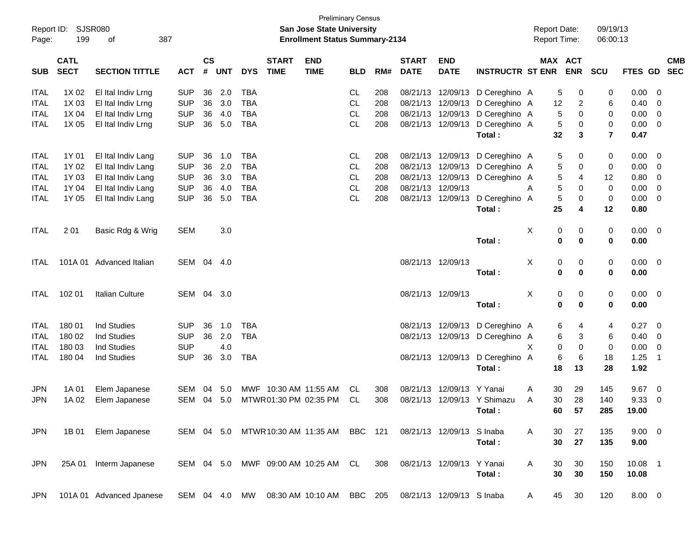| Report ID:<br>Page: | 199                        | SJSR080<br>387<br>оf     |            |                    |            |            |                             | <b>San Jose State University</b><br><b>Enrollment Status Summary-2134</b> | <b>Preliminary Census</b> |     |                             |                           |                         | <b>Report Date:</b><br><b>Report Time:</b> |                       | 09/19/13<br>06:00:13 |                |                          |
|---------------------|----------------------------|--------------------------|------------|--------------------|------------|------------|-----------------------------|---------------------------------------------------------------------------|---------------------------|-----|-----------------------------|---------------------------|-------------------------|--------------------------------------------|-----------------------|----------------------|----------------|--------------------------|
| <b>SUB</b>          | <b>CATL</b><br><b>SECT</b> | <b>SECTION TITTLE</b>    | <b>ACT</b> | $\mathsf{cs}$<br># | <b>UNT</b> | <b>DYS</b> | <b>START</b><br><b>TIME</b> | <b>END</b><br><b>TIME</b>                                                 | <b>BLD</b>                | RM# | <b>START</b><br><b>DATE</b> | <b>END</b><br><b>DATE</b> | <b>INSTRUCTR ST ENR</b> |                                            | MAX ACT<br><b>ENR</b> | <b>SCU</b>           | <b>FTES GD</b> | <b>CMB</b><br><b>SEC</b> |
| <b>ITAL</b>         | 1X 02                      | El Ital Indiv Lrng       | <b>SUP</b> | 36                 | 2.0        | <b>TBA</b> |                             |                                                                           | CL                        | 208 | 08/21/13                    | 12/09/13                  | D Cereghino A           |                                            | 5<br>0                | 0                    | 0.00           | - 0                      |
| <b>ITAL</b>         | 1X 03                      | El Ital Indiv Lrng       | <b>SUP</b> | 36                 | 3.0        | <b>TBA</b> |                             |                                                                           | <b>CL</b>                 | 208 | 08/21/13                    | 12/09/13                  | D Cereghino A           | 12                                         | $\overline{c}$        | 6                    | 0.40           | 0                        |
| <b>ITAL</b>         | 1X 04                      | El Ital Indiv Lrng       | <b>SUP</b> | 36                 | 4.0        | <b>TBA</b> |                             |                                                                           | <b>CL</b>                 | 208 | 08/21/13                    | 12/09/13                  | D Cereghino A           |                                            | 5<br>0                | 0                    | 0.00           | 0                        |
| <b>ITAL</b>         | 1X 05                      | El Ital Indiv Lrng       | <b>SUP</b> | 36                 | 5.0        | <b>TBA</b> |                             |                                                                           | <b>CL</b>                 | 208 | 08/21/13                    | 12/09/13                  | D Cereghino A           |                                            | 5<br>0                | 0                    | 0.00           | - 0                      |
|                     |                            |                          |            |                    |            |            |                             |                                                                           |                           |     |                             |                           | Total:                  | 32                                         | 3                     | 7                    | 0.47           |                          |
| <b>ITAL</b>         | 1Y 01                      | El Ital Indiv Lang       | <b>SUP</b> | 36                 | 1.0        | <b>TBA</b> |                             |                                                                           | CL                        | 208 | 08/21/13                    | 12/09/13                  | D Cereghino A           |                                            | 5<br>0                | 0                    | 0.00           | - 0                      |
| <b>ITAL</b>         | 1Y 02                      | El Ital Indiv Lang       | <b>SUP</b> | 36                 | 2.0        | <b>TBA</b> |                             |                                                                           | <b>CL</b>                 | 208 | 08/21/13                    | 12/09/13                  | D Cereghino A           |                                            | 5<br>0                | 0                    | 0.00           | - 0                      |
| <b>ITAL</b>         | 1Y 03                      | El Ital Indiv Lang       | <b>SUP</b> | 36                 | 3.0        | <b>TBA</b> |                             |                                                                           | <b>CL</b>                 | 208 | 08/21/13                    | 12/09/13                  | D Cereghino A           |                                            | 5<br>4                | 12                   | 0.80           | 0                        |
| <b>ITAL</b>         | 1Y 04                      | El Ital Indiv Lang       | <b>SUP</b> | 36                 | 4.0        | <b>TBA</b> |                             |                                                                           | <b>CL</b>                 | 208 | 08/21/13                    | 12/09/13                  |                         | A                                          | 5<br>0                | 0                    | 0.00           | 0                        |
| <b>ITAL</b>         | 1Y 05                      | El Ital Indiv Lang       | <b>SUP</b> | 36                 | 5.0        | <b>TBA</b> |                             |                                                                           | <b>CL</b>                 | 208 | 08/21/13                    | 12/09/13                  | D Cereghino A           |                                            | 5<br>0                | 0                    | 0.00           | - 0                      |
|                     |                            |                          |            |                    |            |            |                             |                                                                           |                           |     |                             |                           | Total:                  | 25                                         | 4                     | 12                   | 0.80           |                          |
| <b>ITAL</b>         | 201                        | Basic Rdg & Wrig         | <b>SEM</b> |                    | 3.0        |            |                             |                                                                           |                           |     |                             |                           |                         | X                                          | 0<br>0                | 0                    | $0.00 \t 0$    |                          |
|                     |                            |                          |            |                    |            |            |                             |                                                                           |                           |     |                             |                           | Total:                  |                                            | $\mathbf 0$<br>0      | 0                    | 0.00           |                          |
| <b>ITAL</b>         |                            | 101A 01 Advanced Italian | SEM 04 4.0 |                    |            |            |                             |                                                                           |                           |     |                             | 08/21/13 12/09/13         |                         | Х                                          | 0<br>0                | 0                    | 0.00           | $\overline{\phantom{0}}$ |
|                     |                            |                          |            |                    |            |            |                             |                                                                           |                           |     |                             |                           | Total:                  |                                            | $\mathbf 0$<br>0      | 0                    | 0.00           |                          |
|                     |                            |                          |            |                    |            |            |                             |                                                                           |                           |     |                             |                           |                         |                                            |                       |                      |                |                          |
| ITAL.               | 102 01                     | Italian Culture          | SEM 04 3.0 |                    |            |            |                             |                                                                           |                           |     |                             | 08/21/13 12/09/13         |                         | Х                                          | 0<br>0                | 0                    | $0.00 \t 0$    |                          |
|                     |                            |                          |            |                    |            |            |                             |                                                                           |                           |     |                             |                           | Total:                  |                                            | 0<br>$\bf{0}$         | 0                    | 0.00           |                          |
| <b>ITAL</b>         | 180 01                     | <b>Ind Studies</b>       | <b>SUP</b> | 36                 | 1.0        | <b>TBA</b> |                             |                                                                           |                           |     | 08/21/13                    | 12/09/13                  | D Cereghino A           |                                            | 6<br>4                | 4                    | 0.27           | - 0                      |
| <b>ITAL</b>         | 180 02                     | <b>Ind Studies</b>       | <b>SUP</b> | 36                 | 2.0        | <b>TBA</b> |                             |                                                                           |                           |     | 08/21/13                    |                           | 12/09/13 D Cereghino A  |                                            | 3<br>6                | 6                    | 0.40           | - 0                      |
| <b>ITAL</b>         | 180 03                     | <b>Ind Studies</b>       | <b>SUP</b> |                    | 4.0        |            |                             |                                                                           |                           |     |                             |                           |                         | X                                          | $\mathbf 0$<br>0      | 0                    | 0.00           | 0                        |
| <b>ITAL</b>         | 180 04                     | <b>Ind Studies</b>       | <b>SUP</b> | 36                 | 3.0        | <b>TBA</b> |                             |                                                                           |                           |     |                             | 08/21/13 12/09/13         | D Cereghino A           |                                            | 6<br>6                | 18                   | 1.25           | $\overline{\mathbf{1}}$  |
|                     |                            |                          |            |                    |            |            |                             |                                                                           |                           |     |                             |                           | Total:                  | 18                                         | 13                    | 28                   | 1.92           |                          |
| <b>JPN</b>          | 1A 01                      | Elem Japanese            | <b>SEM</b> | 04                 | 5.0        |            |                             | MWF 10:30 AM 11:55 AM                                                     | CL.                       | 308 | 08/21/13                    | 12/09/13 Y Yanai          |                         | 30<br>A                                    | 29                    | 145                  | 9.67           | - 0                      |
| <b>JPN</b>          | 1A 02                      | Elem Japanese            | <b>SEM</b> | 04                 | 5.0        |            |                             | MTWR01:30 PM 02:35 PM                                                     | CL                        | 308 | 08/21/13                    |                           | 12/09/13 Y Shimazu      | 30<br>Α                                    | 28                    | 140                  | 9.33           | - 0                      |
|                     |                            |                          |            |                    |            |            |                             |                                                                           |                           |     |                             |                           | Total :                 |                                            | 57<br>60              | 285                  | 19.00          |                          |
| <b>JPN</b>          | 1B 01                      | Elem Japanese            |            |                    |            |            |                             | SEM 04 5.0 MTWR 10:30 AM 11:35 AM BBC 121                                 |                           |     |                             | 08/21/13 12/09/13         | S Inaba                 | 30<br>A                                    | 27                    | 135                  | $9.00 \t 0$    |                          |
|                     |                            |                          |            |                    |            |            |                             |                                                                           |                           |     |                             |                           | Total:                  | 30                                         | 27                    | 135                  | 9.00           |                          |
| <b>JPN</b>          |                            | 25A 01 Interm Japanese   |            |                    |            |            |                             | SEM 04 5.0 MWF 09:00 AM 10:25 AM CL                                       |                           | 308 |                             | 08/21/13 12/09/13 Y Yanai |                         | 30<br>A                                    | 30                    | 150                  | $10.08$ 1      |                          |
|                     |                            |                          |            |                    |            |            |                             |                                                                           |                           |     |                             |                           | Total:                  | 30                                         | 30                    | 150                  | 10.08          |                          |
|                     |                            |                          |            |                    |            |            |                             |                                                                           |                           |     |                             |                           |                         |                                            |                       |                      |                |                          |
| <b>JPN</b>          |                            | 101A 01 Advanced Jpanese | SEM 04 4.0 |                    |            | MW         |                             | 08:30 AM 10:10 AM                                                         | BBC 205                   |     |                             | 08/21/13 12/09/13 S Inaba |                         | 45<br>A                                    | 30                    | 120                  | $8.00 \t 0$    |                          |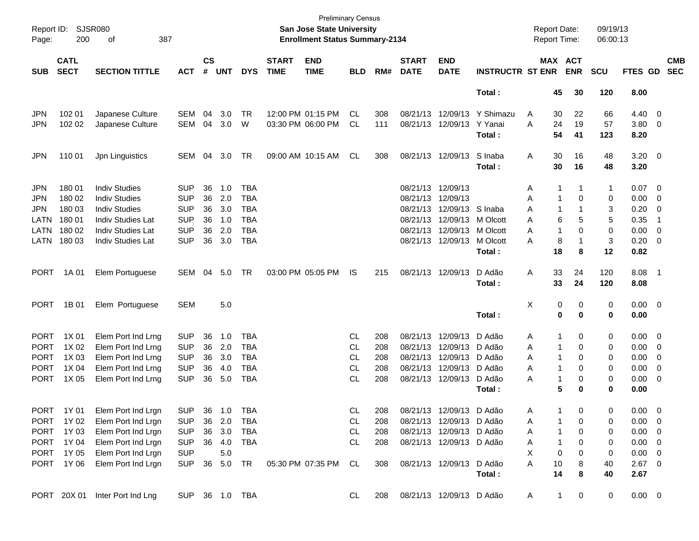| Report ID:<br>Page: | 200                        | <b>SJSR080</b><br>387<br>οf    |            |                    |                |            |                             | <b>Preliminary Census</b><br><b>San Jose State University</b><br><b>Enrollment Status Summary-2134</b> |            |     |                             |                           |                         |              | <b>Report Date:</b> | <b>Report Time:</b>   | 09/19/13<br>06:00:13 |                |                          |                          |
|---------------------|----------------------------|--------------------------------|------------|--------------------|----------------|------------|-----------------------------|--------------------------------------------------------------------------------------------------------|------------|-----|-----------------------------|---------------------------|-------------------------|--------------|---------------------|-----------------------|----------------------|----------------|--------------------------|--------------------------|
| <b>SUB</b>          | <b>CATL</b><br><b>SECT</b> | <b>SECTION TITTLE</b>          | <b>ACT</b> | $\mathsf{cs}$<br># | <b>UNT</b>     | <b>DYS</b> | <b>START</b><br><b>TIME</b> | <b>END</b><br><b>TIME</b>                                                                              | <b>BLD</b> | RM# | <b>START</b><br><b>DATE</b> | <b>END</b><br><b>DATE</b> | <b>INSTRUCTR ST ENR</b> |              |                     | MAX ACT<br><b>ENR</b> | <b>SCU</b>           | FTES GD        |                          | <b>CMB</b><br><b>SEC</b> |
|                     |                            |                                |            |                    |                |            |                             |                                                                                                        |            |     |                             |                           | Total:                  |              | 45                  | 30                    | 120                  | 8.00           |                          |                          |
| JPN                 | 102 01                     | Japanese Culture               | <b>SEM</b> | 04                 | 3.0            | TR         |                             | 12:00 PM 01:15 PM                                                                                      | CL         | 308 |                             | 08/21/13 12/09/13         | Y Shimazu               | A            | 30                  | 22                    | 66                   | 4.40           | $\overline{0}$           |                          |
| <b>JPN</b>          | 102 02                     | Japanese Culture               | <b>SEM</b> | 04                 | 3.0            | W          |                             | 03:30 PM 06:00 PM                                                                                      | CL         | 111 |                             | 08/21/13 12/09/13         | Y Yanai                 | A            | 24                  | 19                    | 57                   | 3.80           | $\overline{0}$           |                          |
|                     |                            |                                |            |                    |                |            |                             |                                                                                                        |            |     |                             |                           | Total:                  |              | 54                  | 41                    | 123                  | 8.20           |                          |                          |
| <b>JPN</b>          | 110 01                     | Jpn Linguistics                | <b>SEM</b> | 04                 | 3.0            | TR         |                             | 09:00 AM 10:15 AM                                                                                      | CL         | 308 |                             | 08/21/13 12/09/13         | S Inaba                 | Α            | 30                  | 16                    | 48                   | 3.20           | $\overline{\phantom{0}}$ |                          |
|                     |                            |                                |            |                    |                |            |                             |                                                                                                        |            |     |                             |                           | Total:                  |              | 30                  | 16                    | 48                   | 3.20           |                          |                          |
| JPN                 | 180 01                     | <b>Indiv Studies</b>           | <b>SUP</b> | 36                 | 1.0            | <b>TBA</b> |                             |                                                                                                        |            |     |                             | 08/21/13 12/09/13         |                         | A            | 1                   | 1                     | $\mathbf 1$          | 0.07           | $\overline{0}$           |                          |
| JPN                 | 180 02                     | <b>Indiv Studies</b>           | <b>SUP</b> | 36                 | 2.0            | <b>TBA</b> |                             |                                                                                                        |            |     |                             | 08/21/13 12/09/13         |                         | A            | -1                  | 0                     | 0                    | 0.00           | 0                        |                          |
| <b>JPN</b>          | 180 03                     | <b>Indiv Studies</b>           | <b>SUP</b> | 36                 | 3.0            | <b>TBA</b> |                             |                                                                                                        |            |     | 08/21/13                    | 12/09/13                  | S Inaba                 | A            | 1                   | 1                     | 3                    | 0.20           | $\mathbf 0$              |                          |
| LATN                | 180 01                     | <b>Indiv Studies Lat</b>       | <b>SUP</b> | 36                 | 1.0            | <b>TBA</b> |                             |                                                                                                        |            |     | 08/21/13                    | 12/09/13                  | M Olcott                | A            | 6                   | 5                     | 5                    | 0.35           | -1                       |                          |
| LATN                | 180 02                     | <b>Indiv Studies Lat</b>       | <b>SUP</b> | 36                 | 2.0            | <b>TBA</b> |                             |                                                                                                        |            |     |                             | 08/21/13 12/09/13         | M Olcott                | A            | -1                  | 0                     | 0                    | 0.00           | 0                        |                          |
| LATN                | 180 03                     | <b>Indiv Studies Lat</b>       | <b>SUP</b> | 36                 | 3.0            | <b>TBA</b> |                             |                                                                                                        |            |     |                             | 08/21/13 12/09/13         | M Olcott                | A            | 8                   | 1                     | 3                    | 0.20           | 0                        |                          |
|                     |                            |                                |            |                    |                |            |                             |                                                                                                        |            |     |                             |                           | Total:                  |              | 18                  | 8                     | 12                   | 0.82           |                          |                          |
| <b>PORT</b>         | 1A 01                      | Elem Portuguese                | <b>SEM</b> | 04                 | 5.0            | <b>TR</b>  |                             | 03:00 PM 05:05 PM                                                                                      | IS         | 215 |                             | 08/21/13 12/09/13         | D Adão                  | Α            | 33                  | 24                    | 120                  | 8.08           | - 1                      |                          |
|                     |                            |                                |            |                    |                |            |                             |                                                                                                        |            |     |                             |                           | Total:                  |              | 33                  | 24                    | 120                  | 8.08           |                          |                          |
| <b>PORT</b>         | 1B 01                      | Elem Portuguese                | <b>SEM</b> |                    | 5.0            |            |                             |                                                                                                        |            |     |                             |                           |                         | Χ            | 0                   | 0                     | 0                    | 0.00           | $\overline{\phantom{0}}$ |                          |
|                     |                            |                                |            |                    |                |            |                             |                                                                                                        |            |     |                             |                           | Total:                  |              | 0                   | 0                     | 0                    | 0.00           |                          |                          |
| <b>PORT</b>         | 1X 01                      | Elem Port Ind Lrng             | <b>SUP</b> | 36                 | 1.0            | <b>TBA</b> |                             |                                                                                                        | CL         | 208 |                             | 08/21/13 12/09/13         | D Adão                  | A            | 1                   | 0                     | 0                    | 0.00           | $\overline{0}$           |                          |
| <b>PORT</b>         | 1X 02                      | Elem Port Ind Lrng             | <b>SUP</b> | 36                 | 2.0            | <b>TBA</b> |                             |                                                                                                        | CL         | 208 |                             | 08/21/13 12/09/13         | D Adão                  | A            | 1                   | 0                     | 0                    | 0.00           | 0                        |                          |
| <b>PORT</b>         | 1X 03                      | Elem Port Ind Lrng             | <b>SUP</b> | 36                 | 3.0            | <b>TBA</b> |                             |                                                                                                        | CL         | 208 |                             | 08/21/13 12/09/13         | D Adão                  | A            | 1                   | 0                     | 0                    | 0.00           | 0                        |                          |
| <b>PORT</b>         | 1X 04                      | Elem Port Ind Lrng             | <b>SUP</b> | 36                 | 4.0            | <b>TBA</b> |                             |                                                                                                        | <b>CL</b>  | 208 |                             | 08/21/13 12/09/13         | D Adão                  | A            | 1                   | 0                     | 0                    | 0.00           | 0                        |                          |
| <b>PORT</b>         | 1X 05                      | Elem Port Ind Lrng             | <b>SUP</b> | 36                 | 5.0            | <b>TBA</b> |                             |                                                                                                        | <b>CL</b>  | 208 |                             | 08/21/13 12/09/13         | D Adão                  | A            | 1                   | 0                     | 0                    | 0.00           | 0                        |                          |
|                     |                            |                                |            |                    |                |            |                             |                                                                                                        |            |     |                             |                           | Total:                  |              | 5                   | 0                     | 0                    | 0.00           |                          |                          |
| <b>PORT</b>         | 1Y 01                      | Elem Port Ind Lrgn             | <b>SUP</b> |                    | 36 1.0         | TBA        |                             |                                                                                                        | CL         | 208 |                             | 08/21/13 12/09/13 D Adão  |                         | A            | 1.                  | $\Omega$              | $\Omega$             | $0.00 \quad 0$ |                          |                          |
|                     | PORT 1Y 02                 | Elem Port Ind Lrgn             | <b>SUP</b> |                    | 36 2.0         | TBA        |                             |                                                                                                        | CL.        | 208 |                             | 08/21/13 12/09/13 D Adão  |                         | Α            |                     | 0                     | 0                    | 0.00           | $\overline{0}$           |                          |
| <b>PORT</b>         | 1Y 03                      | Elem Port Ind Lrgn             | <b>SUP</b> | 36                 | 3.0            | <b>TBA</b> |                             |                                                                                                        | <b>CL</b>  | 208 |                             | 08/21/13 12/09/13 D Adão  |                         | A            |                     | 0                     | 0                    | 0.00           | $\overline{0}$           |                          |
| PORT                | 1Y 04                      | Elem Port Ind Lrgn             | <b>SUP</b> | 36                 | 4.0            | TBA        |                             |                                                                                                        | CL.        | 208 |                             | 08/21/13 12/09/13 D Adão  |                         | A            | 1                   | 0                     | 0                    | 0.00           | $\overline{0}$           |                          |
|                     | PORT 1Y 05                 | Elem Port Ind Lrgn             | <b>SUP</b> |                    | 5.0            |            |                             |                                                                                                        |            |     |                             |                           |                         | Χ            | 0                   | 0                     | 0                    | 0.00           | $\overline{\mathbf{0}}$  |                          |
|                     | PORT 1Y06                  | Elem Port Ind Lrgn             | <b>SUP</b> |                    | 36 5.0         | TR         |                             | 05:30 PM 07:35 PM                                                                                      | CL         | 308 |                             | 08/21/13 12/09/13 D Adão  |                         | Α            | 10                  | 8                     | 40                   | $2.67$ 0       |                          |                          |
|                     |                            |                                |            |                    |                |            |                             |                                                                                                        |            |     |                             |                           | Total:                  |              | 14                  | 8                     | 40                   | 2.67           |                          |                          |
|                     |                            | PORT 20X 01 Inter Port Ind Lng |            |                    | SUP 36 1.0 TBA |            |                             |                                                                                                        | CL         | 208 |                             | 08/21/13 12/09/13 D Adão  |                         | $\mathsf{A}$ | $\mathbf{1}$        | 0                     | 0                    | $0.00 \t 0$    |                          |                          |
|                     |                            |                                |            |                    |                |            |                             |                                                                                                        |            |     |                             |                           |                         |              |                     |                       |                      |                |                          |                          |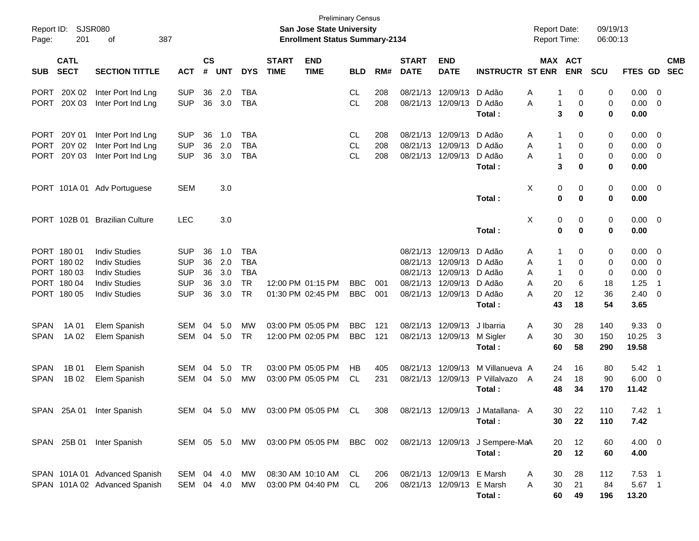| Page:       | Report ID: SJSR080<br>201  | 387<br>οf                      |            |                    |            |               |                             | <b>Preliminary Census</b><br><b>San Jose State University</b><br><b>Enrollment Status Summary-2134</b> |            |     |                             |                           |                                  | <b>Report Date:</b><br>Report Time: |                              | 09/19/13<br>06:00:13 |                |                          |                          |
|-------------|----------------------------|--------------------------------|------------|--------------------|------------|---------------|-----------------------------|--------------------------------------------------------------------------------------------------------|------------|-----|-----------------------------|---------------------------|----------------------------------|-------------------------------------|------------------------------|----------------------|----------------|--------------------------|--------------------------|
| <b>SUB</b>  | <b>CATL</b><br><b>SECT</b> | <b>SECTION TITTLE</b>          | <b>ACT</b> | $\mathsf{cs}$<br># | <b>UNT</b> | <b>DYS</b>    | <b>START</b><br><b>TIME</b> | <b>END</b><br><b>TIME</b>                                                                              | <b>BLD</b> | RM# | <b>START</b><br><b>DATE</b> | <b>END</b><br><b>DATE</b> | <b>INSTRUCTR ST ENR</b>          |                                     | <b>MAX ACT</b><br><b>ENR</b> | <b>SCU</b>           | <b>FTES GD</b> |                          | <b>CMB</b><br><b>SEC</b> |
| <b>PORT</b> | 20X 02                     | Inter Port Ind Lng             | <b>SUP</b> | 36                 | 2.0        | <b>TBA</b>    |                             |                                                                                                        | CL         | 208 | 08/21/13                    | 12/09/13                  | D Adão                           | Α                                   | 1<br>0                       | 0                    | 0.00           | $\overline{\phantom{0}}$ |                          |
| <b>PORT</b> | 20X 03                     | Inter Port Ind Lng             | <b>SUP</b> | 36                 | 3.0        | <b>TBA</b>    |                             |                                                                                                        | <b>CL</b>  | 208 |                             | 08/21/13 12/09/13         | D Adão                           | Α                                   | 1<br>0                       | 0                    | 0.00           | $\overline{\phantom{0}}$ |                          |
|             |                            |                                |            |                    |            |               |                             |                                                                                                        |            |     |                             |                           | Total:                           |                                     | 3<br>0                       | 0                    | 0.00           |                          |                          |
| <b>PORT</b> | 20Y 01                     | Inter Port Ind Lng             | <b>SUP</b> | 36                 | 1.0        | <b>TBA</b>    |                             |                                                                                                        | CL         | 208 | 08/21/13                    | 12/09/13                  | D Adão                           | Α                                   | 1<br>0                       | 0                    | 0.00           | $\overline{\mathbf{0}}$  |                          |
| <b>PORT</b> | 20Y 02                     | Inter Port Ind Lng             | <b>SUP</b> | 36                 | 2.0        | <b>TBA</b>    |                             |                                                                                                        | <b>CL</b>  | 208 |                             | 08/21/13 12/09/13         | D Adão                           | Α                                   | $\mathbf{1}$<br>0            | 0                    | 0.00           | $\overline{\mathbf{0}}$  |                          |
| <b>PORT</b> | 20Y 03                     | Inter Port Ind Lng             | <b>SUP</b> | 36                 | 3.0        | <b>TBA</b>    |                             |                                                                                                        | <b>CL</b>  | 208 |                             | 08/21/13 12/09/13         | D Adão                           | А                                   | $\mathbf{1}$<br>0            | 0                    | 0.00           | $\overline{\mathbf{0}}$  |                          |
|             |                            |                                |            |                    |            |               |                             |                                                                                                        |            |     |                             |                           | Total:                           |                                     | 3<br>0                       | 0                    | 0.00           |                          |                          |
|             |                            | PORT 101A 01 Adv Portuguese    | <b>SEM</b> |                    | 3.0        |               |                             |                                                                                                        |            |     |                             |                           |                                  | X                                   | 0<br>0                       | 0                    | 0.00           | $\overline{\phantom{0}}$ |                          |
|             |                            |                                |            |                    |            |               |                             |                                                                                                        |            |     |                             |                           | Total:                           |                                     | 0<br>0                       | 0                    | 0.00           |                          |                          |
|             |                            | PORT 102B 01 Brazilian Culture | <b>LEC</b> |                    | 3.0        |               |                             |                                                                                                        |            |     |                             |                           |                                  | X                                   | 0<br>0                       | 0                    | $0.00 \quad 0$ |                          |                          |
|             |                            |                                |            |                    |            |               |                             |                                                                                                        |            |     |                             |                           | Total:                           |                                     | 0<br>0                       | 0                    | 0.00           |                          |                          |
|             | PORT 180 01                | <b>Indiv Studies</b>           | <b>SUP</b> | 36                 | 1.0        | <b>TBA</b>    |                             |                                                                                                        |            |     |                             | 08/21/13 12/09/13         | D Adão                           | Α                                   | 1<br>0                       | 0                    | 0.00           | $\overline{\phantom{0}}$ |                          |
|             | PORT 180 02                | <b>Indiv Studies</b>           | <b>SUP</b> | 36                 | 2.0        | <b>TBA</b>    |                             |                                                                                                        |            |     |                             | 08/21/13 12/09/13         | D Adão                           | Α                                   | 0<br>-1                      | 0                    | 0.00           | $\overline{\mathbf{0}}$  |                          |
|             | PORT 180 03                | <b>Indiv Studies</b>           | <b>SUP</b> | 36                 | 3.0        | <b>TBA</b>    |                             |                                                                                                        |            |     |                             | 08/21/13 12/09/13         | D Adão                           | Α                                   | $\overline{1}$<br>0          | 0                    | 0.00           | $\overline{\mathbf{0}}$  |                          |
|             | PORT 180 04                | <b>Indiv Studies</b>           | <b>SUP</b> | 36                 | 3.0        | <b>TR</b>     |                             | 12:00 PM 01:15 PM                                                                                      | <b>BBC</b> | 001 |                             | 08/21/13 12/09/13         | D Adão                           | А<br>20                             | 6                            | 18                   | 1.25           | $\overline{1}$           |                          |
|             | PORT 180 05                | <b>Indiv Studies</b>           | <b>SUP</b> | 36                 | 3.0        | <b>TR</b>     |                             | 01:30 PM 02:45 PM                                                                                      | <b>BBC</b> | 001 |                             | 08/21/13 12/09/13         | D Adão                           | 20<br>А                             | 12                           | 36                   | 2.40           | $\overline{\mathbf{0}}$  |                          |
|             |                            |                                |            |                    |            |               |                             |                                                                                                        |            |     |                             |                           | Total:                           | 43                                  | 18                           | 54                   | 3.65           |                          |                          |
| <b>SPAN</b> | 1A 01                      | Elem Spanish                   | SEM        | 04                 | 5.0        | <b>MW</b>     |                             | 03:00 PM 05:05 PM                                                                                      | <b>BBC</b> | 121 |                             | 08/21/13 12/09/13         | J Ibarria                        | 30<br>Α                             | 28                           | 140                  | 9.33           | $\overline{\mathbf{0}}$  |                          |
| <b>SPAN</b> | 1A 02                      | Elem Spanish                   | SEM        | 04                 | 5.0        | <b>TR</b>     |                             | 12:00 PM 02:05 PM                                                                                      | <b>BBC</b> | 121 |                             | 08/21/13 12/09/13         | M Sigler                         | 30<br>Α                             | 30                           | 150                  | 10.25          | $\overline{\mathbf{3}}$  |                          |
|             |                            |                                |            |                    |            |               |                             |                                                                                                        |            |     |                             |                           | Total:                           | 60                                  | 58                           | 290                  | 19.58          |                          |                          |
| <b>SPAN</b> | 1B 01                      | Elem Spanish                   | SEM        | 04                 | 5.0        | <b>TR</b>     |                             | 03:00 PM 05:05 PM                                                                                      | HB         | 405 | 08/21/13                    | 12/09/13                  | M Villanueva A                   | 24                                  | 16                           | 80                   | 5.42           | $\overline{\phantom{1}}$ |                          |
| <b>SPAN</b> | 1B 02                      | Elem Spanish                   | SEM        | 04                 | 5.0        | <b>MW</b>     |                             | 03:00 PM 05:05 PM                                                                                      | CL         | 231 |                             | 08/21/13 12/09/13         | P Villalvazo                     | 24<br>A                             | 18                           | 90                   | $6.00 \quad 0$ |                          |                          |
|             |                            |                                |            |                    |            |               |                             |                                                                                                        |            |     |                             |                           | Total:                           | 48                                  | 34                           | 170                  | 11.42          |                          |                          |
|             |                            | SPAN 25A 01 Inter Spanish      |            |                    |            |               |                             | SEM 04 5.0 MW 03:00 PM 05:05 PM CL                                                                     |            | 308 |                             |                           | 08/21/13 12/09/13 J Matallana- A |                                     | 22<br>30                     | 110                  | $7.42 \quad 1$ |                          |                          |
|             |                            |                                |            |                    |            |               |                             |                                                                                                        |            |     |                             |                           | Total:                           | 30                                  | 22                           | 110                  | 7.42           |                          |                          |
|             |                            |                                |            |                    |            |               |                             |                                                                                                        |            |     |                             |                           |                                  |                                     |                              |                      |                |                          |                          |
|             |                            | SPAN 25B 01 Inter Spanish      |            |                    |            | SEM 05 5.0 MW |                             | 03:00 PM 05:05 PM BBC 002                                                                              |            |     |                             |                           | 08/21/13 12/09/13 J Sempere-MaA  | 20                                  | 12                           | 60                   | $4.00 \ 0$     |                          |                          |
|             |                            |                                |            |                    |            |               |                             |                                                                                                        |            |     |                             |                           | Total:                           | 20                                  | 12                           | 60                   | 4.00           |                          |                          |
|             |                            | SPAN 101A 01 Advanced Spanish  | SEM 04 4.0 |                    |            | МW            |                             | 08:30 AM 10:10 AM CL                                                                                   |            | 206 |                             | 08/21/13 12/09/13 E Marsh |                                  | A<br>30                             | 28                           | 112                  | $7.53$ 1       |                          |                          |
|             |                            | SPAN 101A 02 Advanced Spanish  | SEM 04 4.0 |                    |            | MW            |                             | 03:00 PM 04:40 PM CL                                                                                   |            | 206 |                             | 08/21/13 12/09/13 E Marsh |                                  | 30<br>Α                             | 21                           | 84                   | 5.67 1         |                          |                          |
|             |                            |                                |            |                    |            |               |                             |                                                                                                        |            |     |                             |                           | Total:                           | 60                                  | 49                           | 196                  | 13.20          |                          |                          |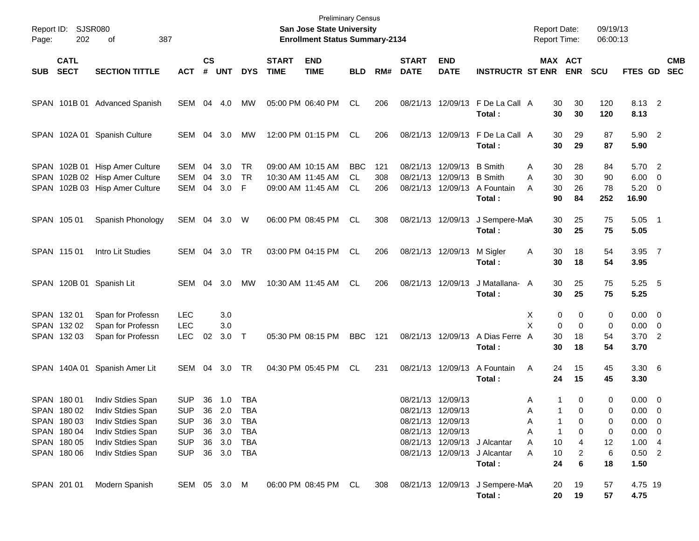| Page: | Report ID: SJSR080<br>202                                                              | 387<br>оf                                                                                                                  |                                                                                  |                      |                                                  |                                               |                             | <b>Preliminary Census</b><br>San Jose State University<br><b>Enrollment Status Summary-2134</b> |                                      |                   |                             |                                                             |                                                                        | <b>Report Date:</b><br><b>Report Time:</b>   |                                                           | 09/19/13<br>06:00:13              |                                                                                  |                          |
|-------|----------------------------------------------------------------------------------------|----------------------------------------------------------------------------------------------------------------------------|----------------------------------------------------------------------------------|----------------------|--------------------------------------------------|-----------------------------------------------|-----------------------------|-------------------------------------------------------------------------------------------------|--------------------------------------|-------------------|-----------------------------|-------------------------------------------------------------|------------------------------------------------------------------------|----------------------------------------------|-----------------------------------------------------------|-----------------------------------|----------------------------------------------------------------------------------|--------------------------|
| SUB   | <b>CATL</b><br><b>SECT</b>                                                             | <b>SECTION TITTLE</b>                                                                                                      | <b>ACT</b>                                                                       | $\mathsf{cs}$<br>#   | <b>UNT</b>                                       | <b>DYS</b>                                    | <b>START</b><br><b>TIME</b> | <b>END</b><br><b>TIME</b>                                                                       | <b>BLD</b>                           | RM#               | <b>START</b><br><b>DATE</b> | <b>END</b><br><b>DATE</b>                                   | <b>INSTRUCTR ST ENR</b>                                                |                                              | MAX ACT<br><b>ENR</b>                                     | <b>SCU</b>                        | FTES GD                                                                          | <b>CMB</b><br><b>SEC</b> |
|       |                                                                                        | SPAN 101B 01 Advanced Spanish                                                                                              | SEM 04 4.0                                                                       |                      |                                                  | МW                                            |                             | 05:00 PM 06:40 PM                                                                               | CL                                   | 206               |                             |                                                             | 08/21/13 12/09/13 F De La Call A<br>Total:                             | 30<br>30                                     | 30<br>30                                                  | 120<br>120                        | 8.13 2<br>8.13                                                                   |                          |
|       |                                                                                        | SPAN 102A 01 Spanish Culture                                                                                               | SEM 04 3.0                                                                       |                      |                                                  | MW                                            |                             | 12:00 PM 01:15 PM                                                                               | CL                                   | 206               |                             |                                                             | 08/21/13 12/09/13 F De La Call A<br>Total:                             | 30<br>30                                     | 29<br>29                                                  | 87<br>87                          | 5.90 2<br>5.90                                                                   |                          |
|       |                                                                                        | SPAN 102B 01 Hisp Amer Culture<br>SPAN 102B 02 Hisp Amer Culture<br>SPAN 102B 03 Hisp Amer Culture                         | SEM<br><b>SEM</b><br><b>SEM</b>                                                  | 04<br>04<br>04       | 3.0<br>3.0<br>3.0                                | <b>TR</b><br><b>TR</b><br>F                   |                             | 09:00 AM 10:15 AM<br>10:30 AM 11:45 AM<br>09:00 AM 11:45 AM                                     | <b>BBC</b><br><b>CL</b><br><b>CL</b> | 121<br>308<br>206 | 08/21/13                    | 08/21/13 12/09/13<br>12/09/13<br>08/21/13 12/09/13          | <b>B</b> Smith<br><b>B</b> Smith<br>A Fountain<br>Total:               | 30<br>A<br>30<br>Α<br>30<br>A<br>90          | 28<br>30<br>26<br>84                                      | 84<br>90<br>78<br>252             | 5.70 2<br>6.00<br>$5.20 \ 0$<br>16.90                                            | $\overline{\phantom{0}}$ |
|       | SPAN 105 01                                                                            | Spanish Phonology                                                                                                          | SEM 04 3.0                                                                       |                      |                                                  | W                                             |                             | 06:00 PM 08:45 PM                                                                               | CL                                   | 308               |                             | 08/21/13 12/09/13                                           | J Sempere-MaA<br>Total:                                                | 30<br>30                                     | 25<br>25                                                  | 75<br>75                          | $5.05$ 1<br>5.05                                                                 |                          |
|       | SPAN 115 01                                                                            | Intro Lit Studies                                                                                                          | SEM                                                                              |                      | 04 3.0                                           | <b>TR</b>                                     |                             | 03:00 PM 04:15 PM                                                                               | CL                                   | 206               |                             | 08/21/13 12/09/13                                           | M Sigler<br>Total:                                                     | 30<br>A<br>30                                | 18<br>18                                                  | 54<br>54                          | 3.95 7<br>3.95                                                                   |                          |
|       |                                                                                        | SPAN 120B 01 Spanish Lit                                                                                                   | SEM                                                                              | 04                   | 3.0                                              | МW                                            |                             | 10:30 AM 11:45 AM                                                                               | CL                                   | 206               |                             | 08/21/13 12/09/13                                           | J Matallana- A<br>Total:                                               | 30<br>30                                     | 25<br>25                                                  | 75<br>75                          | $5.25$ 5<br>5.25                                                                 |                          |
|       | SPAN 132 01<br>SPAN 132 02<br>SPAN 132 03                                              | Span for Professn<br>Span for Professn<br>Span for Professn                                                                | <b>LEC</b><br><b>LEC</b><br><b>LEC</b>                                           | 02                   | 3.0<br>3.0<br>3.0                                | $\top$                                        |                             | 05:30 PM 08:15 PM                                                                               | <b>BBC</b>                           | 121               |                             | 08/21/13 12/09/13                                           | A Dias Ferre                                                           | Х<br>X<br>30<br>A                            | 0<br>0<br>$\Omega$<br>0<br>18                             | 0<br>0<br>54                      | $0.00 \t 0$<br>$0.00 \t 0$<br>$3.70$ 2                                           |                          |
|       | SPAN 140A 01                                                                           | Spanish Amer Lit                                                                                                           | SEM                                                                              | 04                   | 3.0                                              | TR                                            |                             | 04:30 PM 05:45 PM                                                                               | CL                                   | 231               |                             | 08/21/13 12/09/13                                           | Total:<br>A Fountain<br>Total:                                         | 30<br>A<br>24<br>24                          | 18<br>15<br>15                                            | 54<br>45<br>45                    | 3.70<br>$3.30\ 6$<br>3.30                                                        |                          |
|       | SPAN 180 01<br>SPAN 180 02<br>SPAN 180 03<br>SPAN 180 04<br>SPAN 180 05<br>SPAN 180 06 | Indiv Stdies Span<br>Indiv Stdies Span<br>Indiv Stdies Span<br>Indiv Stdies Span<br>Indiv Stdies Span<br>Indiv Stdies Span | <b>SUP</b><br><b>SUP</b><br><b>SUP</b><br><b>SUP</b><br><b>SUP</b><br><b>SUP</b> | 36<br>36<br>36<br>36 | 36 1.0<br>2.0<br>3.0<br>3.0<br>3.0<br>36 3.0 TBA | TBA<br><b>TBA</b><br><b>TBA</b><br>TBA<br>TBA |                             |                                                                                                 |                                      |                   | 08/21/13 12/09/13           | 08/21/13 12/09/13<br>08/21/13 12/09/13<br>08/21/13 12/09/13 | 08/21/13 12/09/13 J Alcantar<br>08/21/13 12/09/13 J Alcantar<br>Total: | A<br>Α<br>Α<br>А<br>Α<br>10<br>Α<br>10<br>24 | 0<br>1<br>0<br>0<br>1<br>$\mathbf{1}$<br>0<br>4<br>2<br>6 | 0<br>0<br>0<br>0<br>12<br>6<br>18 | $0.00 \t 0$<br>0.00 0<br>$0.00 \t 0$<br>$0.00 \t 0$<br>1.004<br>$0.50$ 2<br>1.50 |                          |
|       | SPAN 201 01                                                                            | Modern Spanish                                                                                                             | SEM 05 3.0 M                                                                     |                      |                                                  |                                               |                             | 06:00 PM 08:45 PM CL                                                                            |                                      | 308               |                             |                                                             | 08/21/13 12/09/13 J Sempere-MaA<br>Total:                              | 20<br>20                                     | 19<br>19                                                  | 57<br>57                          | 4.75 19<br>4.75                                                                  |                          |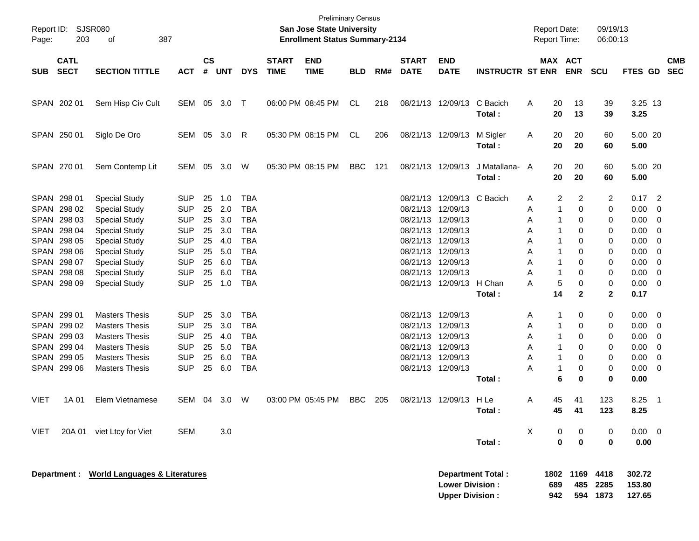| Page:               | Report ID: SJSR080<br>203                                                                                                                                                                                                     | 387<br>оf                                                                                                                                                                                                                                                                                                                                                                  |                                                                                                                                                                                                                |                                                                                        |                                                                                                       |                                                                                                                                                                                                         |                             | <b>Preliminary Census</b><br>San Jose State University<br><b>Enrollment Status Summary-2134</b> |            |     |                                                                                                                                                                                           |                                                                                                                                            |                                    | <b>Report Date:</b><br>Report Time:                                                                                                                                         |                                                                                                                                                              | 09/19/13<br>06:00:13                                                                                |                                                                                                                                          |                                                                                 |                          |
|---------------------|-------------------------------------------------------------------------------------------------------------------------------------------------------------------------------------------------------------------------------|----------------------------------------------------------------------------------------------------------------------------------------------------------------------------------------------------------------------------------------------------------------------------------------------------------------------------------------------------------------------------|----------------------------------------------------------------------------------------------------------------------------------------------------------------------------------------------------------------|----------------------------------------------------------------------------------------|-------------------------------------------------------------------------------------------------------|---------------------------------------------------------------------------------------------------------------------------------------------------------------------------------------------------------|-----------------------------|-------------------------------------------------------------------------------------------------|------------|-----|-------------------------------------------------------------------------------------------------------------------------------------------------------------------------------------------|--------------------------------------------------------------------------------------------------------------------------------------------|------------------------------------|-----------------------------------------------------------------------------------------------------------------------------------------------------------------------------|--------------------------------------------------------------------------------------------------------------------------------------------------------------|-----------------------------------------------------------------------------------------------------|------------------------------------------------------------------------------------------------------------------------------------------|---------------------------------------------------------------------------------|--------------------------|
| <b>SUB</b>          | <b>CATL</b><br><b>SECT</b>                                                                                                                                                                                                    | <b>SECTION TITTLE</b>                                                                                                                                                                                                                                                                                                                                                      | <b>ACT</b>                                                                                                                                                                                                     | $\mathsf{cs}$<br>$\pmb{\#}$                                                            | <b>UNT</b>                                                                                            | <b>DYS</b>                                                                                                                                                                                              | <b>START</b><br><b>TIME</b> | <b>END</b><br><b>TIME</b>                                                                       | <b>BLD</b> | RM# | <b>START</b><br><b>DATE</b>                                                                                                                                                               | <b>END</b><br><b>DATE</b>                                                                                                                  | <b>INSTRUCTR ST ENR ENR</b>        |                                                                                                                                                                             | MAX ACT                                                                                                                                                      | <b>SCU</b>                                                                                          | <b>FTES GD</b>                                                                                                                           |                                                                                 | <b>CMB</b><br><b>SEC</b> |
|                     | SPAN 202 01                                                                                                                                                                                                                   | Sem Hisp Civ Cult                                                                                                                                                                                                                                                                                                                                                          | SEM 05 3.0 T                                                                                                                                                                                                   |                                                                                        |                                                                                                       |                                                                                                                                                                                                         |                             | 06:00 PM 08:45 PM                                                                               | CL         | 218 |                                                                                                                                                                                           | 08/21/13 12/09/13                                                                                                                          | C Bacich<br>Total:                 | Α<br>20<br>20                                                                                                                                                               | 13<br>13                                                                                                                                                     | 39<br>39                                                                                            | 3.25 13<br>3.25                                                                                                                          |                                                                                 |                          |
|                     | SPAN 250 01                                                                                                                                                                                                                   | Siglo De Oro                                                                                                                                                                                                                                                                                                                                                               | SEM 05 3.0 R                                                                                                                                                                                                   |                                                                                        |                                                                                                       |                                                                                                                                                                                                         |                             | 05:30 PM 08:15 PM                                                                               | CL         | 206 |                                                                                                                                                                                           | 08/21/13 12/09/13                                                                                                                          | M Sigler<br>Total:                 | Α<br>20<br>20                                                                                                                                                               | 20<br>20                                                                                                                                                     | 60<br>60                                                                                            | 5.00 20<br>5.00                                                                                                                          |                                                                                 |                          |
|                     | SPAN 270 01                                                                                                                                                                                                                   | Sem Contemp Lit                                                                                                                                                                                                                                                                                                                                                            | SEM 05                                                                                                                                                                                                         |                                                                                        | 3.0                                                                                                   | W                                                                                                                                                                                                       |                             | 05:30 PM 08:15 PM                                                                               | <b>BBC</b> | 121 |                                                                                                                                                                                           | 08/21/13 12/09/13                                                                                                                          | J Matallana- A<br>Total:           | 20<br>20                                                                                                                                                                    | 20<br>20                                                                                                                                                     | 60<br>60                                                                                            | 5.00 20<br>5.00                                                                                                                          |                                                                                 |                          |
|                     | SPAN 298 01<br>SPAN 298 02<br>SPAN 298 03<br>SPAN 298 04<br>SPAN 298 05<br>SPAN 298 06<br>SPAN 298 07<br>SPAN 298 08<br>SPAN 298 09<br>SPAN 299 01<br>SPAN 299 02<br>SPAN 299 03<br>SPAN 299 04<br>SPAN 299 05<br>SPAN 299 06 | <b>Special Study</b><br><b>Special Study</b><br><b>Special Study</b><br><b>Special Study</b><br><b>Special Study</b><br><b>Special Study</b><br><b>Special Study</b><br><b>Special Study</b><br><b>Special Study</b><br><b>Masters Thesis</b><br><b>Masters Thesis</b><br><b>Masters Thesis</b><br><b>Masters Thesis</b><br><b>Masters Thesis</b><br><b>Masters Thesis</b> | <b>SUP</b><br><b>SUP</b><br><b>SUP</b><br><b>SUP</b><br><b>SUP</b><br><b>SUP</b><br><b>SUP</b><br><b>SUP</b><br><b>SUP</b><br><b>SUP</b><br><b>SUP</b><br><b>SUP</b><br><b>SUP</b><br><b>SUP</b><br><b>SUP</b> | 25<br>25<br>25<br>25<br>25<br>25<br>25<br>25<br>25<br>25<br>25<br>25<br>25<br>25<br>25 | 1.0<br>2.0<br>3.0<br>3.0<br>4.0<br>5.0<br>6.0<br>6.0<br>1.0<br>3.0<br>3.0<br>4.0<br>5.0<br>6.0<br>6.0 | <b>TBA</b><br><b>TBA</b><br><b>TBA</b><br><b>TBA</b><br><b>TBA</b><br><b>TBA</b><br><b>TBA</b><br><b>TBA</b><br><b>TBA</b><br>TBA<br><b>TBA</b><br><b>TBA</b><br><b>TBA</b><br><b>TBA</b><br><b>TBA</b> |                             |                                                                                                 |            |     | 08/21/13 12/09/13<br>08/21/13 12/09/13<br>08/21/13 12/09/13<br>08/21/13 12/09/13<br>08/21/13 12/09/13<br>08/21/13 12/09/13<br>08/21/13 12/09/13<br>08/21/13 12/09/13<br>08/21/13 12/09/13 | 08/21/13 12/09/13 C Bacich<br>08/21/13 12/09/13<br>08/21/13 12/09/13<br>08/21/13 12/09/13 H Chan<br>08/21/13 12/09/13<br>08/21/13 12/09/13 | Total:<br>Total:                   | Α<br>1<br>Α<br>-1<br>A<br>1<br>Α<br>1<br>Α<br>1<br>Α<br>1<br>Α<br>$\overline{1}$<br>А<br>A<br>14<br>-1<br>Α<br>-1<br>Α<br>-1<br>Α<br>-1<br>Α<br>$\mathbf 1$<br>Α<br>-1<br>А | 2<br>2<br>0<br>0<br>0<br>0<br>0<br>$\Omega$<br>$\Omega$<br>5<br>$\Omega$<br>$\mathbf{2}$<br>0<br>0<br>$\Omega$<br>$\Omega$<br>$\Omega$<br>0<br>6<br>$\bf{0}$ | 2<br>0<br>0<br>0<br>0<br>0<br>0<br>0<br>0<br>$\mathbf{2}$<br>0<br>0<br>0<br>0<br>0<br>0<br>$\bf{0}$ | $0.17$ 2<br>0.00<br>0.00<br>0.00<br>0.00<br>0.00<br>0.00<br>0.00<br>0.00<br>0.17<br>0.00<br>0.00<br>0.00<br>0.00<br>0.00<br>0.00<br>0.00 | 0<br>0<br>0<br>0<br>0<br>0<br>0<br>0<br>$\overline{0}$<br>0<br>0<br>0<br>0<br>0 |                          |
| <b>VIET</b><br>VIET | 1A 01                                                                                                                                                                                                                         | Elem Vietnamese<br>20A 01 viet Ltcy for Viet                                                                                                                                                                                                                                                                                                                               | SEM<br><b>SEM</b>                                                                                                                                                                                              | 04                                                                                     | 3.0<br>3.0                                                                                            | W                                                                                                                                                                                                       |                             | 03:00 PM 05:45 PM                                                                               | BBC        | 205 |                                                                                                                                                                                           | 08/21/13 12/09/13 H Le                                                                                                                     | Total:                             | 45<br>A<br>45<br>X                                                                                                                                                          | 41<br>41<br>0<br>0                                                                                                                                           | 123<br>123<br>0                                                                                     | 8.25<br>8.25<br>$0.00 \t 0$                                                                                                              | $\overline{\phantom{1}}$                                                        |                          |
|                     |                                                                                                                                                                                                                               | Department : World Languages & Literatures                                                                                                                                                                                                                                                                                                                                 |                                                                                                                                                                                                                |                                                                                        |                                                                                                       |                                                                                                                                                                                                         |                             |                                                                                                 |            |     |                                                                                                                                                                                           | <b>Lower Division:</b><br><b>Upper Division:</b>                                                                                           | Total:<br><b>Department Total:</b> | 1802<br>689<br>942                                                                                                                                                          | $\mathbf 0$<br>$\mathbf 0$<br>1169<br>485                                                                                                                    | 0<br>4418<br>2285<br>594 1873                                                                       | 0.00<br>302.72<br>153.80<br>127.65                                                                                                       |                                                                                 |                          |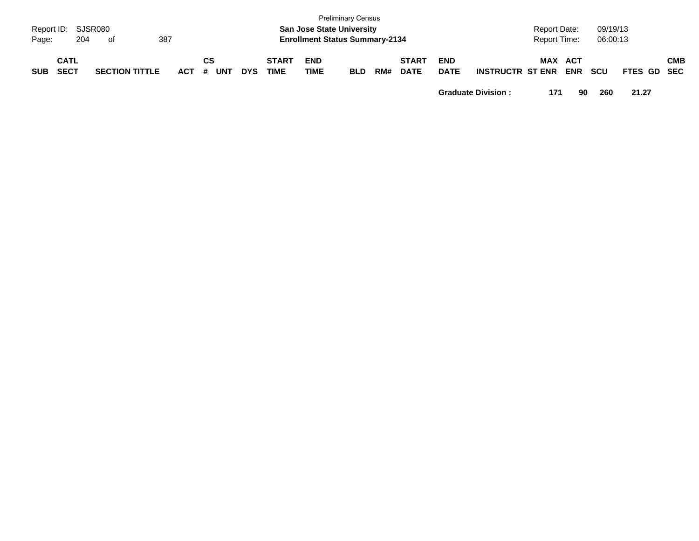| Page:      | Report ID: SJSR080<br>204  | . of                  | 387   |                  |            |                             | <b>San Jose State University</b><br><b>Enrollment Status Summary-2134</b> | <b>Preliminary Census</b> |     |                             |                           |                         | <b>Report Date:</b><br>Report Time: |            | 09/19/13<br>06:00:13 |             |            |
|------------|----------------------------|-----------------------|-------|------------------|------------|-----------------------------|---------------------------------------------------------------------------|---------------------------|-----|-----------------------------|---------------------------|-------------------------|-------------------------------------|------------|----------------------|-------------|------------|
| <b>SUB</b> | <b>CATL</b><br><b>SECT</b> | <b>SECTION TITTLE</b> | ACT # | СS<br><b>UNT</b> | <b>DYS</b> | <b>START</b><br><b>TIME</b> | <b>END</b><br><b>TIME</b>                                                 | <b>BLD</b>                | RM# | <b>START</b><br><b>DATE</b> | <b>END</b><br><b>DATE</b> | <b>INSTRUCTR ST ENR</b> | MAX ACT                             | <b>ENR</b> | <b>SCU</b>           | FTES GD SEC | <b>CMB</b> |

**Graduate Division : 171 90 260 21.27**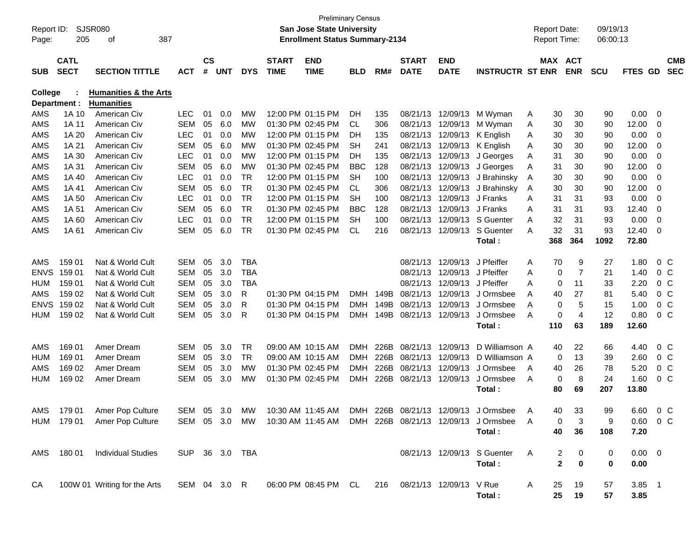| Report ID:<br>Page: | 205                        | SJSR080<br>387<br>оf             |                |                    |            |            |                             | <b>Preliminary Census</b><br><b>San Jose State University</b><br><b>Enrollment Status Summary-2134</b> |            |      |                             |                           |                                                                        |   | <b>Report Date:</b><br><b>Report Time:</b> |                | 09/19/13<br>06:00:13 |                  |        |                          |
|---------------------|----------------------------|----------------------------------|----------------|--------------------|------------|------------|-----------------------------|--------------------------------------------------------------------------------------------------------|------------|------|-----------------------------|---------------------------|------------------------------------------------------------------------|---|--------------------------------------------|----------------|----------------------|------------------|--------|--------------------------|
| <b>SUB</b>          | <b>CATL</b><br><b>SECT</b> | <b>SECTION TITTLE</b>            | <b>ACT</b>     | $\mathsf{cs}$<br># | <b>UNT</b> | <b>DYS</b> | <b>START</b><br><b>TIME</b> | <b>END</b><br><b>TIME</b>                                                                              | <b>BLD</b> | RM#  | <b>START</b><br><b>DATE</b> | <b>END</b><br><b>DATE</b> | <b>INSTRUCTR ST ENR</b>                                                |   | MAX ACT                                    | <b>ENR</b>     | <b>SCU</b>           | FTES GD          |        | <b>CMB</b><br><b>SEC</b> |
| <b>College</b>      |                            | <b>Humanities &amp; the Arts</b> |                |                    |            |            |                             |                                                                                                        |            |      |                             |                           |                                                                        |   |                                            |                |                      |                  |        |                          |
|                     | Department :               | <b>Humanities</b>                |                |                    |            |            |                             |                                                                                                        |            |      |                             |                           |                                                                        |   |                                            |                |                      |                  |        |                          |
| AMS                 | 1A 10                      | American Civ                     | <b>LEC</b>     | 01                 | 0.0        | МW         |                             | 12:00 PM 01:15 PM                                                                                      | DH         | 135  |                             | 08/21/13 12/09/13         | M Wyman                                                                | A | 30                                         | 30             | 90                   | 0.00             | 0      |                          |
| AMS                 | 1A 11                      | <b>American Civ</b>              | <b>SEM</b>     | 05                 | 6.0        | MW         |                             | 01:30 PM 02:45 PM                                                                                      | CL         | 306  | 08/21/13                    | 12/09/13                  | M Wyman                                                                | A | 30                                         | 30             | 90                   | 12.00            | 0      |                          |
| AMS                 | 1A 20                      | <b>American Civ</b>              | <b>LEC</b>     | 01                 | 0.0        | МW         |                             | 12:00 PM 01:15 PM                                                                                      | DН         | 135  |                             | 08/21/13 12/09/13         | K English                                                              | A | 30                                         | 30             | 90                   | 0.00             | 0      |                          |
| AMS                 | 1A 21                      | American Civ                     | <b>SEM</b>     | 05                 | 6.0        | МW         |                             | 01:30 PM 02:45 PM                                                                                      | SН         | 241  |                             | 08/21/13 12/09/13         | K English                                                              | A | 30                                         | 30             | 90                   | 12.00            | 0      |                          |
| AMS                 | 1A 30                      | American Civ                     | <b>LEC</b>     | 01                 | 0.0        | МW         |                             | 12:00 PM 01:15 PM                                                                                      | DH         | 135  | 08/21/13                    | 12/09/13                  | J Georges                                                              | A | 31                                         | 30             | 90                   | 0.00             | 0      |                          |
| AMS                 | 1A 31                      | American Civ                     | <b>SEM</b>     | 05                 | 6.0        | МW         |                             | 01:30 PM 02:45 PM                                                                                      | <b>BBC</b> | 128  | 08/21/13                    | 12/09/13                  | J Georges                                                              | A | 31                                         | 30             | 90                   | 12.00            | 0      |                          |
| AMS                 | 1A 40                      | American Civ                     | <b>LEC</b>     | 01                 | 0.0        | <b>TR</b>  |                             | 12:00 PM 01:15 PM                                                                                      | SН         | 100  | 08/21/13                    | 12/09/13                  | J Brahinsky                                                            | A | 30                                         | 30             | 90                   | 0.00             | 0      |                          |
| AMS                 | 1A 41                      | American Civ                     | <b>SEM</b>     | 05                 | 6.0        | <b>TR</b>  |                             | 01:30 PM 02:45 PM                                                                                      | CL         | 306  | 08/21/13                    | 12/09/13                  | J Brahinsky                                                            | A | 30                                         | 30             | 90                   | 12.00            | 0      |                          |
| AMS                 | 1A 50                      | <b>American Civ</b>              | <b>LEC</b>     | 01                 | 0.0        | <b>TR</b>  |                             | 12:00 PM 01:15 PM                                                                                      | SН         | 100  | 08/21/13                    | 12/09/13                  | J Franks                                                               | A | 31                                         | 31             | 93                   | 0.00             | 0      |                          |
| AMS                 | 1A 51                      | American Civ                     | <b>SEM</b>     | 05                 | 6.0        | <b>TR</b>  |                             | 01:30 PM 02:45 PM                                                                                      | <b>BBC</b> | 128  | 08/21/13                    | 12/09/13                  | J Franks                                                               | A | 31                                         | 31             | 93                   | 12.40            | 0      |                          |
| AMS                 | 1A 60                      | American Civ                     | <b>LEC</b>     | 01                 | 0.0        | <b>TR</b>  |                             | 12:00 PM 01:15 PM                                                                                      | SН         | 100  | 08/21/13                    | 12/09/13                  | S Guenter                                                              | A | 32                                         | 31             | 93                   | 0.00             | 0      |                          |
| AMS                 | 1A 61                      | American Civ                     | <b>SEM</b>     | 05                 | 6.0        | <b>TR</b>  |                             | 01:30 PM 02:45 PM                                                                                      | <b>CL</b>  | 216  |                             | 08/21/13 12/09/13         | S Guenter                                                              | Α | 32                                         | 31             | 93                   | 12.40            | 0      |                          |
|                     |                            |                                  |                |                    |            |            |                             |                                                                                                        |            |      |                             |                           | Total:                                                                 |   | 368                                        | 364            | 1092                 | 72.80            |        |                          |
|                     |                            |                                  |                |                    |            |            |                             |                                                                                                        |            |      |                             |                           |                                                                        |   |                                            |                |                      |                  |        |                          |
| AMS                 | 159 01                     | Nat & World Cult                 | <b>SEM</b>     | 05                 | 3.0        | <b>TBA</b> |                             |                                                                                                        |            |      | 08/21/13                    | 12/09/13                  | J Pfeiffer                                                             | A | 70                                         | 9              | 27                   | 1.80             | $0\,C$ |                          |
| <b>ENVS</b>         | 159 01                     | Nat & World Cult                 | <b>SEM</b>     | 05                 | 3.0        | <b>TBA</b> |                             |                                                                                                        |            |      | 08/21/13                    | 12/09/13                  | J Pfeiffer                                                             | A | 0                                          | 7              | 21                   | 1.40             | $0\,C$ |                          |
| HUM                 | 159 01                     | Nat & World Cult                 | <b>SEM</b>     | 05                 | 3.0        | <b>TBA</b> |                             |                                                                                                        |            |      | 08/21/13                    | 12/09/13                  | J Pfeiffer                                                             | A | 0                                          | 11             | 33                   | 2.20             | $0\,C$ |                          |
| AMS                 | 159 02                     | Nat & World Cult                 | <b>SEM</b>     | 05                 | 3.0        | R          |                             | 01:30 PM 04:15 PM                                                                                      | <b>DMH</b> | 149B | 08/21/13                    | 12/09/13                  | J Ormsbee                                                              | A | 40                                         | 27             | 81                   | 5.40             | $0\,C$ |                          |
| <b>ENVS</b>         | 159 02                     | Nat & World Cult                 | <b>SEM</b>     | 05                 | 3.0        | R          |                             | 01:30 PM 04:15 PM                                                                                      | <b>DMH</b> | 149B | 08/21/13                    | 12/09/13                  | J Ormsbee                                                              | A | 0                                          | 5              | 15                   | 1.00             | $0\,C$ |                          |
| <b>HUM</b>          | 159 02                     | Nat & World Cult                 | <b>SEM</b>     | 05                 | 3.0        | R          |                             | 01:30 PM 04:15 PM                                                                                      | <b>DMH</b> | 149B | 08/21/13 12/09/13           |                           | J Ormsbee                                                              | A | 0                                          | $\overline{4}$ | 12                   | 0.80             | $0\,C$ |                          |
|                     |                            |                                  |                |                    |            |            |                             |                                                                                                        |            |      |                             |                           | Total:                                                                 |   | 110                                        | 63             | 189                  | 12.60            |        |                          |
| AMS                 | 169 01                     | Amer Dream                       | <b>SEM</b>     | 05                 | 3.0        | <b>TR</b>  |                             | 09:00 AM 10:15 AM                                                                                      | <b>DMH</b> | 226B | 08/21/13                    | 12/09/13                  | D Williamson A                                                         |   | 40                                         | 22             | 66                   | 4.40             | $0\,C$ |                          |
| HUM                 | 169 01                     | Amer Dream                       | <b>SEM</b>     | 05                 | 3.0        | TR         |                             | 09:00 AM 10:15 AM                                                                                      | <b>DMH</b> | 226B | 08/21/13                    | 12/09/13                  | D Williamson A                                                         |   | 0                                          | 13             | 39                   | 2.60             | $0\,C$ |                          |
| AMS                 | 169 02                     | Amer Dream                       | <b>SEM</b>     | 05                 | 3.0        | МW         |                             | 01:30 PM 02:45 PM                                                                                      | <b>DMH</b> | 226B | 08/21/13                    | 12/09/13                  | J Ormsbee                                                              | A | 40                                         | 26             | 78                   | 5.20             | $0\,C$ |                          |
| HUM                 | 169 02                     | Amer Dream                       | <b>SEM</b>     | 05                 | 3.0        | МW         |                             | 01:30 PM 02:45 PM                                                                                      | <b>DMH</b> | 226B | 08/21/13 12/09/13           |                           | J Ormsbee                                                              | A | 0                                          | 8              | 24                   | 1.60             | $0\,C$ |                          |
|                     |                            |                                  |                |                    |            |            |                             |                                                                                                        |            |      |                             |                           | Total:                                                                 |   | 80                                         | 69             | 207                  | 13.80            |        |                          |
|                     |                            |                                  |                |                    |            |            |                             |                                                                                                        |            |      |                             |                           |                                                                        |   |                                            |                |                      |                  |        |                          |
| AMS                 | 179 01                     | Amer Pop Culture                 | SEM 05 3.0     |                    |            | MW         |                             | 10:30 AM 11:45 AM                                                                                      | <b>DMH</b> | 226B | 08/21/13 12/09/13           |                           | J Ormsbee                                                              | A | 40                                         | 33             | qq                   | 6.60             | 0 C    |                          |
|                     |                            | HUM 179 01 Amer Pop Culture      |                |                    |            |            |                             |                                                                                                        |            |      |                             |                           | SEM 05 3.0 MW 10:30 AM 11:45 AM DMH 226B 08/21/13 12/09/13 J Ormsbee A |   | 0                                          | 3              | 9                    | $0.60 \t 0 \t C$ |        |                          |
|                     |                            |                                  |                |                    |            |            |                             |                                                                                                        |            |      |                             |                           | Total:                                                                 |   | 40                                         | 36             | 108                  | 7.20             |        |                          |
|                     |                            | AMS 180 01 Individual Studies    | SUP 36 3.0 TBA |                    |            |            |                             |                                                                                                        |            |      |                             |                           | 08/21/13 12/09/13 S Guenter                                            | A | 2                                          | 0              | 0                    | $0.00 \t 0$      |        |                          |
|                     |                            |                                  |                |                    |            |            |                             |                                                                                                        |            |      |                             |                           | Total:                                                                 |   | $\mathbf{2}$                               | 0              | 0                    | 0.00             |        |                          |
|                     |                            |                                  |                |                    |            |            |                             |                                                                                                        |            |      |                             |                           |                                                                        |   |                                            |                |                      |                  |        |                          |
| CA                  |                            | 100W 01 Writing for the Arts     |                |                    |            |            |                             |                                                                                                        |            |      |                             |                           |                                                                        | A | 25                                         | 19             | 57                   | $3.85$ 1         |        |                          |
|                     |                            |                                  |                |                    |            |            |                             |                                                                                                        |            |      |                             |                           | Total:                                                                 |   | 25                                         | 19             | 57                   | 3.85             |        |                          |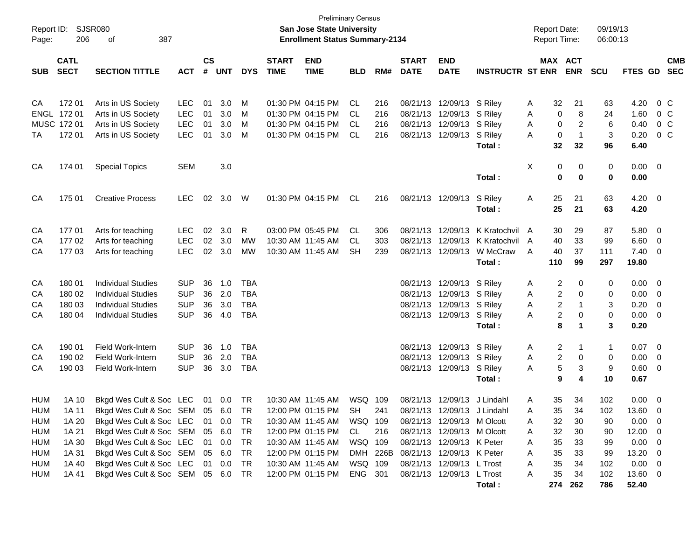| Report ID:<br>Page: | 206                        | SJSR080<br>387<br>οf                     |                          |                    |            |            |                             | <b>Preliminary Census</b><br>San Jose State University<br><b>Enrollment Status Summary-2134</b> |            |            |                             |                                       |                         | <b>Report Date:</b><br><b>Report Time:</b> |          |                       | 09/19/13<br>06:00:13 |                    |                          |                          |
|---------------------|----------------------------|------------------------------------------|--------------------------|--------------------|------------|------------|-----------------------------|-------------------------------------------------------------------------------------------------|------------|------------|-----------------------------|---------------------------------------|-------------------------|--------------------------------------------|----------|-----------------------|----------------------|--------------------|--------------------------|--------------------------|
| <b>SUB</b>          | <b>CATL</b><br><b>SECT</b> | <b>SECTION TITTLE</b>                    | <b>ACT</b>               | $\mathsf{cs}$<br># | <b>UNT</b> | <b>DYS</b> | <b>START</b><br><b>TIME</b> | <b>END</b><br><b>TIME</b>                                                                       | <b>BLD</b> | RM#        | <b>START</b><br><b>DATE</b> | <b>END</b><br><b>DATE</b>             | <b>INSTRUCTR ST ENR</b> |                                            |          | MAX ACT<br><b>ENR</b> | <b>SCU</b>           | <b>FTES GD</b>     |                          | <b>CMB</b><br><b>SEC</b> |
|                     |                            |                                          |                          |                    |            |            |                             |                                                                                                 |            |            |                             |                                       |                         |                                            |          |                       |                      |                    |                          |                          |
| CA                  | 17201                      | Arts in US Society                       | <b>LEC</b>               | 01                 | 3.0        | M          |                             | 01:30 PM 04:15 PM                                                                               | <b>CL</b>  | 216        |                             | 08/21/13 12/09/13 S Riley             |                         | A                                          | 32       | 21                    | 63                   | 4.20               | 0 C                      |                          |
|                     | ENGL 172 01<br>MUSC 172 01 | Arts in US Society<br>Arts in US Society | <b>LEC</b><br><b>LEC</b> | 01<br>01           | 3.0<br>3.0 | M<br>M     |                             | 01:30 PM 04:15 PM<br>01:30 PM 04:15 PM                                                          | CL.<br>CL. | 216<br>216 | 08/21/13                    | 08/21/13 12/09/13<br>12/09/13 S Riley | S Riley                 | A<br>A                                     | 0<br>0   | 8<br>2                | 24<br>6              | 1.60<br>0.40       | $0\,$ C<br>$0\,$ C       |                          |
| TA                  | 172 01                     | Arts in US Society                       | <b>LEC</b>               | 01                 | 3.0        | М          |                             | 01:30 PM 04:15 PM                                                                               | <b>CL</b>  | 216        |                             | 08/21/13 12/09/13                     | S Riley                 | A                                          | 0        | $\mathbf 1$           | 3                    | 0.20               | 0 C                      |                          |
|                     |                            |                                          |                          |                    |            |            |                             |                                                                                                 |            |            |                             |                                       | Total:                  |                                            | 32       | 32                    | 96                   | 6.40               |                          |                          |
| CA                  | 174 01                     | <b>Special Topics</b>                    | <b>SEM</b>               |                    | 3.0        |            |                             |                                                                                                 |            |            |                             |                                       |                         | Χ                                          | 0        | 0                     | 0                    | $0.00 \t 0$        |                          |                          |
|                     |                            |                                          |                          |                    |            |            |                             |                                                                                                 |            |            |                             |                                       | Total:                  |                                            | 0        | $\bf{0}$              | 0                    | 0.00               |                          |                          |
| CA                  | 175 01                     | <b>Creative Process</b>                  | <b>LEC</b>               | 02                 | 3.0        | W          |                             | 01:30 PM 04:15 PM                                                                               | CL         | 216        |                             | 08/21/13 12/09/13                     | S Riley<br>Total:       | Α                                          | 25<br>25 | 21<br>21              | 63<br>63             | $4.20 \ 0$<br>4.20 |                          |                          |
| CA                  | 17701                      | Arts for teaching                        | <b>LEC</b>               | 02                 | 3.0        | R          |                             | 03:00 PM 05:45 PM                                                                               | CL.        | 306        |                             | 08/21/13 12/09/13                     | K Kratochvil            | A                                          | 30       | 29                    | 87                   | 5.80 0             |                          |                          |
| CА                  | 17702                      | Arts for teaching                        | <b>LEC</b>               | 02                 | 3.0        | MW         |                             | 10:30 AM 11:45 AM                                                                               | CL.        | 303        | 08/21/13                    | 12/09/13                              | K Kratochvil            | A                                          | 40       | 33                    | 99                   | 6.60               | $\overline{0}$           |                          |
| CA                  | 17703                      | Arts for teaching                        | <b>LEC</b>               | 02                 | 3.0        | МW         |                             | 10:30 AM 11:45 AM                                                                               | SН         | 239        |                             | 08/21/13 12/09/13                     | W McCraw                | A                                          | 40       | 37                    | 111                  | 7.40               | $\overline{\phantom{0}}$ |                          |
|                     |                            |                                          |                          |                    |            |            |                             |                                                                                                 |            |            |                             |                                       | Total:                  |                                            | 110      | 99                    | 297                  | 19.80              |                          |                          |
| CA                  | 180 01                     | <b>Individual Studies</b>                | <b>SUP</b>               | 36                 | 1.0        | TBA        |                             |                                                                                                 |            |            |                             | 08/21/13 12/09/13 S Riley             |                         | A                                          | 2        | 0                     | 0                    | 0.00               | $\overline{\phantom{0}}$ |                          |
| CA                  | 180 02                     | <b>Individual Studies</b>                | <b>SUP</b>               | 36                 | 2.0        | <b>TBA</b> |                             |                                                                                                 |            |            | 08/21/13                    | 12/09/13 S Riley                      |                         | A                                          | 2        | 0                     | 0                    | 0.00               | $\overline{\mathbf{0}}$  |                          |
| CA                  | 180 03                     | <b>Individual Studies</b>                | <b>SUP</b>               | 36                 | 3.0        | <b>TBA</b> |                             |                                                                                                 |            |            |                             | 08/21/13 12/09/13 S Riley             |                         | A                                          | 2        | -1                    | 3                    | 0.20               | $\overline{\mathbf{0}}$  |                          |
| CA                  | 180 04                     | <b>Individual Studies</b>                | <b>SUP</b>               | 36                 | 4.0        | <b>TBA</b> |                             |                                                                                                 |            |            |                             | 08/21/13 12/09/13 S Riley             |                         | A                                          | 2        | 0                     | 0                    | 0.00               | $\overline{\mathbf{0}}$  |                          |
|                     |                            |                                          |                          |                    |            |            |                             |                                                                                                 |            |            |                             |                                       | Total:                  |                                            | 8        | 1                     | 3                    | 0.20               |                          |                          |
| CA                  | 190 01                     | <b>Field Work-Intern</b>                 | <b>SUP</b>               | 36                 | 1.0        | <b>TBA</b> |                             |                                                                                                 |            |            |                             | 08/21/13 12/09/13 S Riley             |                         | A                                          | 2        | 1                     | 1                    | 0.07               | $\overline{\phantom{0}}$ |                          |
| CA                  | 190 02                     | <b>Field Work-Intern</b>                 | <b>SUP</b>               | 36                 | 2.0        | <b>TBA</b> |                             |                                                                                                 |            |            |                             | 08/21/13 12/09/13 S Riley             |                         | A                                          | 2        | 0                     | 0                    | 0.00               | $\overline{\mathbf{0}}$  |                          |
| CA                  | 190 03                     | <b>Field Work-Intern</b>                 | <b>SUP</b>               | 36                 | 3.0        | <b>TBA</b> |                             |                                                                                                 |            |            |                             | 08/21/13 12/09/13 S Riley             |                         | A                                          | 5        | 3                     | 9                    | 0.60               | $\overline{\mathbf{0}}$  |                          |
|                     |                            |                                          |                          |                    |            |            |                             |                                                                                                 |            |            |                             |                                       | Total:                  |                                            | 9        | 4                     | 10                   | 0.67               |                          |                          |
| <b>HUM</b>          | 1A 10                      | Bkgd Wes Cult & Soc LEC                  |                          | 01                 | 0.0        | TR         |                             | 10:30 AM 11:45 AM                                                                               | WSQ        | 109        |                             | 08/21/13 12/09/13                     | J Lindahl               | Α                                          | 35       | 34                    | 102                  | 0.00               | $\overline{\phantom{0}}$ |                          |
| HUM                 | 1A 11                      | Bkgd Wes Cult & Soc SEM 05 6.0 TR        |                          |                    |            |            |                             | 12:00 PM 01:15 PM                                                                               | <b>SH</b>  | 241        |                             | 08/21/13 12/09/13 J Lindahl           |                         | А                                          | 35       | 34                    | 102                  | 13.60 0            |                          |                          |
| HUM                 | 1A 20                      | Bkgd Wes Cult & Soc LEC                  |                          |                    | 01 0.0     | TR         |                             | 10:30 AM 11:45 AM                                                                               | WSQ 109    |            |                             | 08/21/13 12/09/13 M Olcott            |                         | Α                                          | 32       | 30                    | 90                   | 0.00               | $\overline{\phantom{0}}$ |                          |
| <b>HUM</b>          | 1A 21                      | Bkgd Wes Cult & Soc SEM                  |                          | 05                 | 6.0        | TR         |                             | 12:00 PM 01:15 PM                                                                               | CL         | 216        |                             | 08/21/13 12/09/13 M Olcott            |                         | A                                          | 32       | 30                    | 90                   | 12.00              | $\overline{\phantom{0}}$ |                          |
| <b>HUM</b>          | 1A 30                      | Bkgd Wes Cult & Soc LEC                  |                          |                    | 01 0.0     | TR         |                             | 10:30 AM 11:45 AM                                                                               | WSQ 109    |            |                             | 08/21/13 12/09/13 K Peter             |                         | Α                                          | 35       | 33                    | 99                   | 0.00               | $\overline{\phantom{0}}$ |                          |
| <b>HUM</b>          | 1A 31                      | Bkgd Wes Cult & Soc SEM                  |                          |                    | 05 6.0     | TR         |                             | 12:00 PM 01:15 PM                                                                               |            | DMH 226B   |                             | 08/21/13 12/09/13 K Peter             |                         | Α                                          | 35       | 33                    | 99                   | 13.20              | $\overline{\phantom{0}}$ |                          |
| <b>HUM</b>          | 1A 40                      | Bkgd Wes Cult & Soc LEC                  |                          |                    | 01 0.0     | TR         |                             | 10:30 AM 11:45 AM                                                                               | WSQ 109    |            |                             | 08/21/13 12/09/13 L Trost             |                         | Α                                          | 35       | 34                    | 102                  | $0.00 \t 0$        |                          |                          |
| <b>HUM</b>          | 1A 41                      | Bkgd Wes Cult & Soc SEM 05 6.0           |                          |                    |            | TR         |                             | 12:00 PM 01:15 PM                                                                               | ENG 301    |            |                             | 08/21/13 12/09/13 L Trost             |                         | A                                          | 35       | 34                    | 102                  | 13.60 0            |                          |                          |
|                     |                            |                                          |                          |                    |            |            |                             |                                                                                                 |            |            |                             |                                       | Total:                  |                                            | 274      | 262                   | 786                  | 52.40              |                          |                          |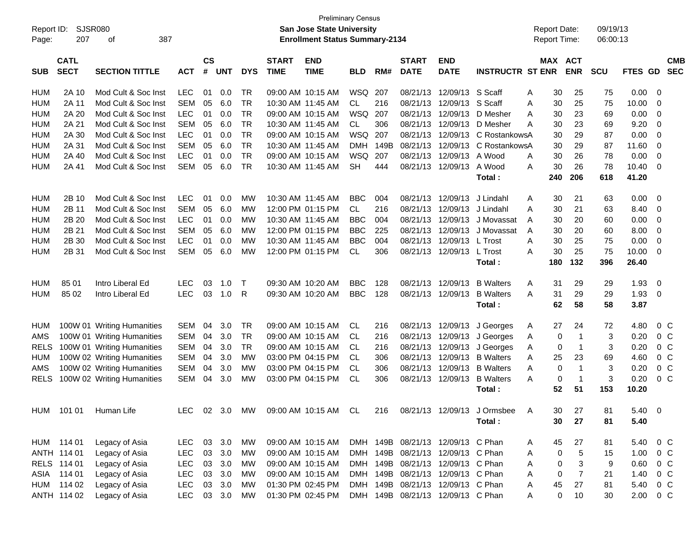|                   | <b>Preliminary Census</b><br><b>SJSR080</b><br>San Jose State University<br>Report ID:<br><b>Report Date:</b><br>207<br>387<br><b>Enrollment Status Summary-2134</b><br>οf |                                            |                          |                    |            |                        |                             |                                        |                         |            |                             |                                   |                                                                      |                    |                          |                      |              |                          |
|-------------------|----------------------------------------------------------------------------------------------------------------------------------------------------------------------------|--------------------------------------------|--------------------------|--------------------|------------|------------------------|-----------------------------|----------------------------------------|-------------------------|------------|-----------------------------|-----------------------------------|----------------------------------------------------------------------|--------------------|--------------------------|----------------------|--------------|--------------------------|
| Page:             |                                                                                                                                                                            |                                            |                          |                    |            |                        |                             |                                        |                         |            |                             |                                   |                                                                      | Report Time:       |                          | 09/19/13<br>06:00:13 |              |                          |
|                   |                                                                                                                                                                            |                                            |                          |                    |            |                        |                             |                                        |                         |            |                             |                                   |                                                                      |                    |                          |                      |              |                          |
| <b>SUB</b>        | <b>CATL</b><br><b>SECT</b>                                                                                                                                                 | <b>SECTION TITTLE</b>                      | <b>ACT</b>               | $\mathsf{cs}$<br># | <b>UNT</b> | <b>DYS</b>             | <b>START</b><br><b>TIME</b> | <b>END</b><br><b>TIME</b>              | <b>BLD</b>              | RM#        | <b>START</b><br><b>DATE</b> | <b>END</b><br><b>DATE</b>         | <b>INSTRUCTR ST ENR</b>                                              | MAX                | <b>ACT</b><br><b>ENR</b> | <b>SCU</b>           | FTES GD      | <b>CMB</b><br><b>SEC</b> |
|                   |                                                                                                                                                                            |                                            |                          |                    |            |                        |                             |                                        |                         |            |                             |                                   |                                                                      |                    |                          |                      |              |                          |
| HUM               | 2A 10                                                                                                                                                                      | Mod Cult & Soc Inst                        | <b>LEC</b>               | 01                 | 0.0        | TR                     |                             | 09:00 AM 10:15 AM                      | WSQ                     | 207        | 08/21/13                    | 12/09/13                          | S Scaff<br>S Scaff                                                   | 30<br>Α            | 25                       | 75                   | 0.00         | - 0                      |
| HUM               | 2A 11                                                                                                                                                                      | Mod Cult & Soc Inst                        | <b>SEM</b><br><b>LEC</b> | 05                 | 6.0        | <b>TR</b><br><b>TR</b> |                             | 10:30 AM 11:45 AM                      | <b>CL</b>               | 216        | 08/21/13<br>08/21/13        | 12/09/13<br>12/09/13              |                                                                      | 30<br>A            | 25                       | 75                   | 10.00        | -0                       |
| HUM<br><b>HUM</b> | 2A 20<br>2A 21                                                                                                                                                             | Mod Cult & Soc Inst<br>Mod Cult & Soc Inst | <b>SEM</b>               | 01<br>05           | 0.0<br>6.0 | <b>TR</b>              |                             | 09:00 AM 10:15 AM<br>10:30 AM 11:45 AM | <b>WSQ</b><br><b>CL</b> | 207<br>306 | 08/21/13                    | 12/09/13                          | D Mesher<br>D Mesher                                                 | 30<br>A<br>30<br>А | 23<br>23                 | 69<br>69             | 0.00<br>9.20 | -0<br>-0                 |
| <b>HUM</b>        | 2A 30                                                                                                                                                                      | Mod Cult & Soc Inst                        | <b>LEC</b>               | 01                 | 0.0        | <b>TR</b>              |                             | 09:00 AM 10:15 AM                      | <b>WSQ</b>              | 207        | 08/21/13                    | 12/09/13                          | C RostankowsA                                                        | 30                 | 29                       | 87                   | 0.00         | $\overline{0}$           |
| <b>HUM</b>        | 2A 31                                                                                                                                                                      | Mod Cult & Soc Inst                        | <b>SEM</b>               | 05                 | 6.0        | <b>TR</b>              |                             | 10:30 AM 11:45 AM                      | <b>DMH</b>              | 149B       | 08/21/13                    | 12/09/13                          | C RostankowsA                                                        | 30                 | 29                       | 87                   | 11.60        | -0                       |
| <b>HUM</b>        | 2A 40                                                                                                                                                                      | Mod Cult & Soc Inst                        | <b>LEC</b>               | 01                 | 0.0        | <b>TR</b>              |                             | 09:00 AM 10:15 AM                      | <b>WSQ</b>              | 207        | 08/21/13                    | 12/09/13                          | A Wood                                                               | 30<br>A            | 26                       | 78                   | 0.00         | $\overline{0}$           |
| HUM               | 2A 41                                                                                                                                                                      | Mod Cult & Soc Inst                        | SEM                      | 05                 | 6.0        | <b>TR</b>              |                             | 10:30 AM 11:45 AM                      | <b>SH</b>               | 444        | 08/21/13                    | 12/09/13                          | A Wood                                                               | 30<br>A            | 26                       | 78                   | 10.40        | -0                       |
|                   |                                                                                                                                                                            |                                            |                          |                    |            |                        |                             |                                        |                         |            |                             |                                   | Total:                                                               | 240                | 206                      | 618                  | 41.20        |                          |
| HUM               | 2B 10                                                                                                                                                                      | Mod Cult & Soc Inst                        | <b>LEC</b>               | 01                 | 0.0        | MW                     |                             | 10:30 AM 11:45 AM                      | <b>BBC</b>              | 004        | 08/21/13                    | 12/09/13                          | J Lindahl                                                            | 30<br>A            | 21                       | 63                   | 0.00         | - 0                      |
| HUM               | 2B 11                                                                                                                                                                      | Mod Cult & Soc Inst                        | <b>SEM</b>               | 05                 | 6.0        | MW                     |                             | 12:00 PM 01:15 PM                      | CL.                     | 216        | 08/21/13                    | 12/09/13                          | J Lindahl                                                            | 30<br>A            | 21                       | 63                   | 8.40         | -0                       |
| HUM               | 2B 20                                                                                                                                                                      | Mod Cult & Soc Inst                        | <b>LEC</b>               | 01                 | 0.0        | MW                     |                             | 10:30 AM 11:45 AM                      | <b>BBC</b>              | 004        | 08/21/13                    | 12/09/13                          | J Movassat                                                           | 30<br>A            | 20                       | 60                   | 0.00         | -0                       |
| <b>HUM</b>        | 2B 21                                                                                                                                                                      | Mod Cult & Soc Inst                        | <b>SEM</b>               | 05                 | 6.0        | MW                     |                             | 12:00 PM 01:15 PM                      | <b>BBC</b>              | 225        | 08/21/13                    | 12/09/13                          | J Movassat                                                           | 30<br>A            | 20                       | 60                   | 8.00         | 0                        |
| <b>HUM</b>        | 2B 30                                                                                                                                                                      | Mod Cult & Soc Inst                        | <b>LEC</b>               | 01                 | 0.0        | MW                     |                             | 10:30 AM 11:45 AM                      | <b>BBC</b>              | 004        | 08/21/13                    | 12/09/13                          | L Trost                                                              | 30<br>A            | 25                       | 75                   | 0.00         | $\overline{0}$           |
| <b>HUM</b>        | 2B 31                                                                                                                                                                      | Mod Cult & Soc Inst                        | SEM                      | 05                 | 6.0        | <b>MW</b>              |                             | 12:00 PM 01:15 PM                      | CL.                     | 306        | 08/21/13                    | 12/09/13 L Trost                  |                                                                      | 30<br>A            | 25                       | 75                   | 10.00        | -0                       |
|                   |                                                                                                                                                                            |                                            |                          |                    |            |                        |                             |                                        |                         |            |                             |                                   | Total:                                                               | 180                | 132                      | 396                  | 26.40        |                          |
|                   |                                                                                                                                                                            |                                            |                          |                    |            |                        |                             |                                        |                         |            |                             |                                   |                                                                      |                    |                          |                      |              |                          |
| HUM               | 85 01                                                                                                                                                                      | Intro Liberal Ed                           | <b>LEC</b>               | 03                 | 1.0        | $\mathsf{T}$           |                             | 09:30 AM 10:20 AM                      | <b>BBC</b>              | 128        | 08/21/13                    | 12/09/13                          | <b>B</b> Walters                                                     | 31<br>A            | 29                       | 29                   | 1.93         | -0                       |
| HUM               | 85 02                                                                                                                                                                      | Intro Liberal Ed                           | <b>LEC</b>               | 03                 | 1.0        | $\mathsf{R}$           |                             | 09:30 AM 10:20 AM                      | <b>BBC</b>              | 128        | 08/21/13                    | 12/09/13                          | <b>B</b> Walters                                                     | 31<br>A            | 29                       | 29                   | 1.93         | 0                        |
|                   |                                                                                                                                                                            |                                            |                          |                    |            |                        |                             |                                        |                         |            |                             |                                   | Total:                                                               | 62                 | 58                       | 58                   | 3.87         |                          |
| HUM               |                                                                                                                                                                            | 100W 01 Writing Humanities                 | <b>SEM</b>               | 04                 | 3.0        | TR                     |                             | 09:00 AM 10:15 AM                      | CL.                     | 216        | 08/21/13                    | 12/09/13                          | J Georges                                                            | 27<br>A            | 24                       | 72                   | 4.80         | $0\,C$                   |
| AMS               |                                                                                                                                                                            | 100W 01 Writing Humanities                 | <b>SEM</b>               | 04                 | 3.0        | <b>TR</b>              |                             | 09:00 AM 10:15 AM                      | CL                      | 216        | 08/21/13                    | 12/09/13                          | J Georges                                                            | A                  | $\overline{1}$<br>0      | 3                    | 0.20         | 0 <sup>o</sup>           |
| <b>RELS</b>       |                                                                                                                                                                            | 100W 01 Writing Humanities                 | <b>SEM</b>               | 04                 | 3.0        | <b>TR</b>              |                             | 09:00 AM 10:15 AM                      | CL                      | 216        | 08/21/13                    | 12/09/13                          | J Georges                                                            | 0<br>A             | $\overline{1}$           | 3                    | 0.20         | $0\,C$                   |
| HUM               |                                                                                                                                                                            | 100W 02 Writing Humanities                 | <b>SEM</b>               | 04                 | 3.0        | <b>MW</b>              |                             | 03:00 PM 04:15 PM                      | CL                      | 306        | 08/21/13                    | 12/09/13                          | <b>B</b> Walters                                                     | 25<br>A            | 23                       | 69                   | 4.60         | 0 <sup>o</sup>           |
| AMS               |                                                                                                                                                                            | 100W 02 Writing Humanities                 | <b>SEM</b>               | 04                 | 3.0        | MW                     |                             | 03:00 PM 04:15 PM                      | CL                      | 306        | 08/21/13                    | 12/09/13                          | <b>B</b> Walters                                                     | A                  | $\overline{1}$<br>0      | 3                    | 0.20         | 0 <sup>o</sup>           |
| <b>RELS</b>       |                                                                                                                                                                            | 100W 02 Writing Humanities                 | <b>SEM</b>               | 04                 | 3.0        | <b>MW</b>              |                             | 03:00 PM 04:15 PM                      | CL                      | 306        | 08/21/13                    | 12/09/13                          | <b>B</b> Walters                                                     | A                  | $\overline{1}$<br>0      | 3                    | 0.20         | 0 <sup>o</sup>           |
|                   |                                                                                                                                                                            |                                            |                          |                    |            |                        |                             |                                        |                         |            |                             |                                   | Total:                                                               | 52                 | 51                       | 153                  | 10.20        |                          |
|                   |                                                                                                                                                                            | HUM 101 01 Human Life                      |                          |                    |            |                        |                             |                                        |                         |            |                             |                                   | LEC 02 3.0 MW 09:00 AM 10:15 AM CL 216 08/21/13 12/09/13 J Ormsbee A |                    | 30 27                    | 81                   | 5.40 0       |                          |
|                   |                                                                                                                                                                            |                                            |                          |                    |            |                        |                             |                                        |                         |            |                             |                                   | Total:                                                               | 30                 | 27                       | 81                   | 5.40         |                          |
|                   |                                                                                                                                                                            |                                            |                          |                    |            |                        |                             |                                        |                         |            |                             |                                   |                                                                      |                    |                          |                      |              |                          |
|                   | HUM 114 01                                                                                                                                                                 | Legacy of Asia                             | <b>LEC</b>               | 03                 | 3.0        | МW                     |                             | 09:00 AM 10:15 AM                      |                         |            |                             | DMH 149B 08/21/13 12/09/13 C Phan |                                                                      | 45<br>A            | 27                       | 81                   | 5.40         | $0\,$ C                  |
|                   | ANTH 114 01                                                                                                                                                                | Legacy of Asia                             | <b>LEC</b>               | 03                 | 3.0        | MW                     |                             | 09:00 AM 10:15 AM                      |                         |            |                             | DMH 149B 08/21/13 12/09/13 C Phan |                                                                      | Α                  | $\sqrt{5}$<br>0          | 15                   | 1.00         | $0\,C$                   |
|                   | RELS 114 01                                                                                                                                                                | Legacy of Asia                             | <b>LEC</b>               | 03                 | 3.0        | МW                     |                             | 09:00 AM 10:15 AM                      |                         |            |                             | DMH 149B 08/21/13 12/09/13 C Phan |                                                                      | Α                  | $\sqrt{3}$<br>0          | 9                    | 0.60         | $0\,C$                   |
|                   | ASIA 114 01                                                                                                                                                                | Legacy of Asia                             | <b>LEC</b>               | 03                 | 3.0        | МW                     |                             | 09:00 AM 10:15 AM                      |                         |            |                             | DMH 149B 08/21/13 12/09/13 C Phan |                                                                      | Α                  | $\overline{7}$<br>0      | 21                   | 1.40         | 0 C                      |
|                   | HUM 114 02                                                                                                                                                                 | Legacy of Asia                             | <b>LEC</b>               | 03                 | 3.0        | MW                     |                             | 01:30 PM 02:45 PM                      | DMH                     |            |                             | 149B 08/21/13 12/09/13 C Phan     |                                                                      | 45<br>Α            | 27                       | 81                   | 5.40         | $0\,C$                   |
|                   | ANTH 114 02                                                                                                                                                                | Legacy of Asia                             | <b>LEC</b>               |                    | 03 3.0     | MW                     |                             | 01:30 PM 02:45 PM                      |                         |            |                             | DMH 149B 08/21/13 12/09/13 C Phan |                                                                      | Α                  | 10<br>0                  | 30                   | 2.00 0 C     |                          |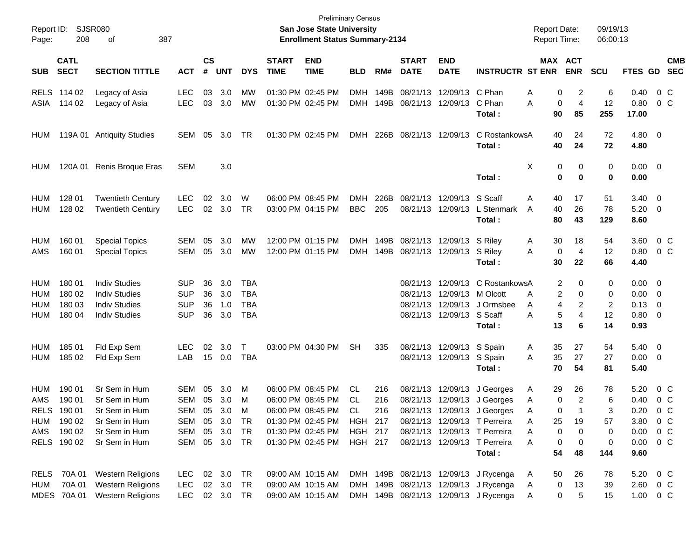| Report ID:<br>Page:              | 208                                                               | SJSR080<br>387<br>οf                                                                               |                                                                |                      |                          |                                 |                                        | <b>Preliminary Census</b><br><b>San Jose State University</b><br><b>Enrollment Status Summary-2134</b>                     |                                                   |                   |                             |                                                         |                                                                                                                                                                                                     | <b>Report Date:</b><br><b>Report Time:</b>                       |                               | 09/19/13<br>06:00:13           |                                                                            |                       |                          |
|----------------------------------|-------------------------------------------------------------------|----------------------------------------------------------------------------------------------------|----------------------------------------------------------------|----------------------|--------------------------|---------------------------------|----------------------------------------|----------------------------------------------------------------------------------------------------------------------------|---------------------------------------------------|-------------------|-----------------------------|---------------------------------------------------------|-----------------------------------------------------------------------------------------------------------------------------------------------------------------------------------------------------|------------------------------------------------------------------|-------------------------------|--------------------------------|----------------------------------------------------------------------------|-----------------------|--------------------------|
| <b>SUB</b>                       | <b>CATL</b><br><b>SECT</b>                                        | <b>SECTION TITTLE</b>                                                                              | <b>ACT</b>                                                     | <b>CS</b><br>#       | <b>UNT</b>               | <b>DYS</b>                      | <b>START</b><br><b>TIME</b>            | <b>END</b><br><b>TIME</b>                                                                                                  | <b>BLD</b>                                        | RM#               | <b>START</b><br><b>DATE</b> | <b>END</b><br><b>DATE</b>                               | <b>INSTRUCTR ST ENR</b>                                                                                                                                                                             |                                                                  | MAX ACT<br><b>ENR</b>         | <b>SCU</b>                     | FTES GD                                                                    |                       | <b>CMB</b><br><b>SEC</b> |
| ASIA                             | RELS 114 02<br>114 02                                             | Legacy of Asia<br>Legacy of Asia                                                                   | <b>LEC</b><br><b>LEC</b>                                       | 03                   | 3.0<br>03 3.0            | MW<br>MW                        | 01:30 PM 02:45 PM<br>01:30 PM 02:45 PM |                                                                                                                            | <b>DMH</b><br><b>DMH</b>                          | 149B<br>149B      | 08/21/13                    | 12/09/13 C Phan<br>08/21/13 12/09/13 C Phan             | Total :                                                                                                                                                                                             | 0<br>Α<br>0<br>Α<br>90                                           | 2<br>$\overline{4}$<br>85     | 6<br>12<br>255                 | 0.40<br>0.80<br>17.00                                                      | 0 C<br>0 <sup>o</sup> |                          |
| HUM                              |                                                                   | 119A 01 Antiquity Studies                                                                          | SEM                                                            | 05                   | 3.0                      | TR                              |                                        | 01:30 PM 02:45 PM                                                                                                          | <b>DMH</b>                                        | 226B              | 08/21/13 12/09/13           |                                                         | C RostankowsA<br>Total :                                                                                                                                                                            | 40<br>40                                                         | 24<br>24                      | 72<br>72                       | $4.80\ 0$<br>4.80                                                          |                       |                          |
| HUM                              |                                                                   | 120A 01 Renis Broque Eras                                                                          | SEM                                                            |                      | 3.0                      |                                 |                                        |                                                                                                                            |                                                   |                   |                             |                                                         | Total:                                                                                                                                                                                              | Х<br>0<br>0                                                      | 0<br>0                        | 0<br>0                         | $0.00 \quad 0$<br>0.00                                                     |                       |                          |
| HUM<br>HUM                       | 128 01<br>128 02                                                  | <b>Twentieth Century</b><br><b>Twentieth Century</b>                                               | <b>LEC</b><br><b>LEC</b>                                       | 02                   | 3.0<br>02 3.0            | W<br>TR                         | 06:00 PM 08:45 PM                      | 03:00 PM 04:15 PM                                                                                                          | <b>DMH</b><br><b>BBC</b>                          | 226B<br>205       |                             | 08/21/13 12/09/13 S Scaff                               | 08/21/13 12/09/13 L Stenmark<br>Total :                                                                                                                                                             | Α<br>40<br>40<br>A<br>80                                         | 17<br>26<br>43                | 51<br>78<br>129                | $3.40 \ 0$<br>$5.20 \ 0$<br>8.60                                           |                       |                          |
| HUM<br>AMS                       | 160 01<br>160 01                                                  | <b>Special Topics</b><br><b>Special Topics</b>                                                     | SEM<br>SEM                                                     | 05<br>05             | 3.0<br>3.0               | МW<br>MW                        |                                        | 12:00 PM 01:15 PM<br>12:00 PM 01:15 PM                                                                                     | <b>DMH</b><br><b>DMH</b>                          | 149B<br>149B      |                             | 08/21/13 12/09/13 S Riley<br>08/21/13 12/09/13 S Riley  | Total :                                                                                                                                                                                             | 30<br>A<br>0<br>A<br>30                                          | 18<br>4<br>22                 | 54<br>12<br>66                 | 3.60<br>$0.80 \t 0 \t C$<br>4.40                                           | 0 C                   |                          |
| <b>HUM</b><br>HUM<br>HUM<br>HUM  | 180 01<br>180 02<br>180 03<br>180 04                              | <b>Indiv Studies</b><br><b>Indiv Studies</b><br><b>Indiv Studies</b><br><b>Indiv Studies</b>       | <b>SUP</b><br><b>SUP</b><br><b>SUP</b><br><b>SUP</b>           | 36<br>36<br>36<br>36 | 3.0<br>3.0<br>1.0<br>3.0 | TBA<br>TBA<br>TBA<br><b>TBA</b> |                                        |                                                                                                                            |                                                   |                   |                             | 08/21/13 12/09/13 M Olcott<br>08/21/13 12/09/13 S Scaff | 08/21/13 12/09/13 C RostankowsA<br>08/21/13 12/09/13 J Ormsbee<br>Total :                                                                                                                           | 2<br>2<br>A<br>4<br>A<br>5<br>A<br>13                            | 0<br>0<br>2<br>4<br>6         | 0<br>0<br>2<br>12<br>14        | $0.00 \ 0$<br>$0.00 \t 0$<br>$0.13 \quad 0$<br>$0.80 \ 0$<br>0.93          |                       |                          |
| <b>HUM</b><br>HUM                | 185 01<br>185 02                                                  | Fld Exp Sem<br>Fld Exp Sem                                                                         | <b>LEC</b><br>LAB                                              | 02                   | 3.0<br>15 0.0            | $\top$<br>TBA                   |                                        | 03:00 PM 04:30 PM                                                                                                          | <b>SH</b>                                         | 335               |                             | 08/21/13 12/09/13 S Spain<br>08/21/13 12/09/13 S Spain  | Total :                                                                                                                                                                                             | 35<br>A<br>35<br>A<br>70                                         | 27<br>27<br>54                | 54<br>27<br>81                 | $5.40 \quad 0$<br>$0.00 \t 0$<br>5.40                                      |                       |                          |
| HUM<br>AMS<br><b>RELS</b><br>AMS | 190 01<br>190 01<br>190 01<br>HUM 190 02<br>190 02<br>RELS 190 02 | Sr Sem in Hum<br>Sr Sem in Hum<br>Sr Sem in Hum<br>Sr Sem in Hum<br>Sr Sem in Hum<br>Sr Sem in Hum | SEM<br>SEM<br>SEM<br>SEM 05 3.0<br>SEM 05 3.0<br>SEM 05 3.0 TR | 05<br>05             | 3.0<br>3.0<br>05 3.0     | M<br>M<br>м<br>TR<br>TR         |                                        | 06:00 PM 08:45 PM<br>06:00 PM 08:45 PM<br>06:00 PM 08:45 PM<br>01:30 PM 02:45 PM<br>01:30 PM 02:45 PM<br>01:30 PM 02:45 PM | CL.<br>CL.<br>CL<br>HGH 217<br>HGH 217<br>HGH 217 | 216<br>216<br>216 |                             |                                                         | 08/21/13 12/09/13 J Georges<br>08/21/13 12/09/13 J Georges<br>08/21/13 12/09/13 J Georges<br>08/21/13 12/09/13 T Perreira<br>08/21/13 12/09/13 T Perreira<br>08/21/13 12/09/13 T Perreira<br>Total: | 29<br>A<br>0<br>A<br>0<br>Α<br>25<br>Α<br>0<br>A<br>0<br>A<br>54 | 26<br>2<br>19<br>0<br>0<br>48 | 78<br>6<br>57<br>0<br>0<br>144 | 5.20<br>0.40<br>0.20<br>3.80 0 C<br>$0.00 \t 0 C$<br>$0.00 \t 0 C$<br>9.60 | 0 C<br>0 C<br>0 C     |                          |
| HUM                              | RELS 70A 01<br>70A 01<br>MDES 70A 01                              | <b>Western Religions</b><br><b>Western Religions</b><br><b>Western Religions</b>                   | LEC<br>LEC.<br>LEC 02 3.0 TR                                   |                      | 02 3.0 TR<br>02 3.0      | TR.                             |                                        | 09:00 AM 10:15 AM<br>09:00 AM 10:15 AM<br>09:00 AM 10:15 AM                                                                |                                                   |                   |                             |                                                         | DMH 149B 08/21/13 12/09/13 J Rycenga<br>DMH 149B 08/21/13 12/09/13 J Rycenga<br>DMH 149B 08/21/13 12/09/13 J Rycenga                                                                                | 50<br>A<br>0<br>A<br>A                                           | 26<br>13<br>0<br>5            | 78<br>39<br>15                 | 5.20 0 C<br>$2.60 \t 0 \t C$<br>1.00 0 C                                   |                       |                          |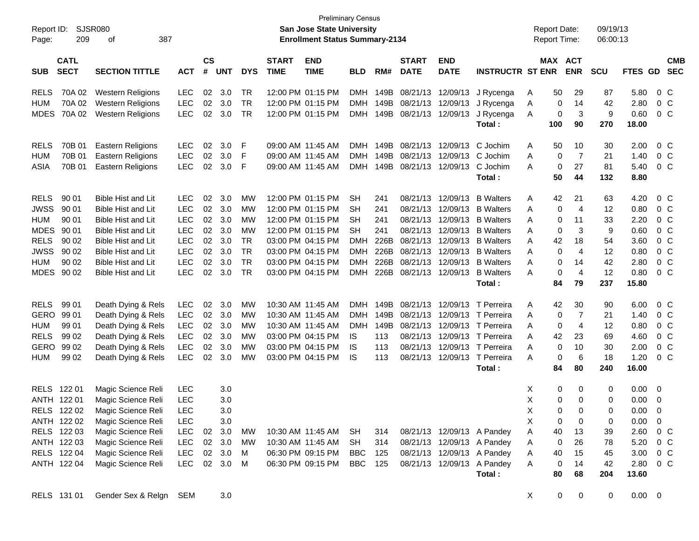| Report ID:<br>Page: | 209                        | <b>Preliminary Census</b><br><b>SJSR080</b><br>San Jose State University<br>387<br><b>Enrollment Status Summary-2134</b><br>οf<br>$\mathsf{cs}$<br><b>END</b><br><b>START</b><br><b>END</b><br><b>START</b> |            |        |            |            |             |                   |            |          |                            |                            |                                   |   |             | <b>Report Date:</b><br><b>Report Time:</b> | 09/19/13<br>06:00:13 |                |                         |                          |
|---------------------|----------------------------|-------------------------------------------------------------------------------------------------------------------------------------------------------------------------------------------------------------|------------|--------|------------|------------|-------------|-------------------|------------|----------|----------------------------|----------------------------|-----------------------------------|---|-------------|--------------------------------------------|----------------------|----------------|-------------------------|--------------------------|
| <b>SUB</b>          | <b>CATL</b><br><b>SECT</b> | <b>SECTION TITTLE</b>                                                                                                                                                                                       | <b>ACT</b> | #      | <b>UNT</b> | <b>DYS</b> | <b>TIME</b> | <b>TIME</b>       | <b>BLD</b> | RM#      | <b>DATE</b>                | <b>DATE</b>                | <b>INSTRUCTR ST ENR</b>           |   | MAX ACT     | <b>ENR</b>                                 | <b>SCU</b>           | <b>FTES GD</b> |                         | <b>CMB</b><br><b>SEC</b> |
| <b>RELS</b>         | 70A 02                     | <b>Western Religions</b>                                                                                                                                                                                    | <b>LEC</b> | $02\,$ | 3.0        | TR         |             | 12:00 PM 01:15 PM |            |          | DMH 149B 08/21/13 12/09/13 |                            | J Rycenga                         | Α | 50          | 29                                         | 87                   | 5.80           |                         | $0\,C$                   |
| <b>HUM</b>          | 70A 02                     | <b>Western Religions</b>                                                                                                                                                                                    | <b>LEC</b> | 02     | 3.0        | <b>TR</b>  |             | 12:00 PM 01:15 PM |            |          | DMH 149B 08/21/13 12/09/13 |                            | J Rycenga                         | A | 0           | 14                                         | 42                   | 2.80           |                         | 0 C                      |
| MDES                | 70A 02                     | <b>Western Religions</b>                                                                                                                                                                                    | <b>LEC</b> | 02     | 3.0        | TR         |             | 12:00 PM 01:15 PM |            |          | DMH 149B 08/21/13 12/09/13 |                            | J Rycenga                         | A | 0           | $\mathbf{3}$                               | 9                    | 0.60           |                         | 0 C                      |
|                     |                            |                                                                                                                                                                                                             |            |        |            |            |             |                   |            |          |                            |                            | Total:                            |   | 100         | 90                                         | 270                  | 18.00          |                         |                          |
| <b>RELS</b>         | 70B 01                     | <b>Eastern Religions</b>                                                                                                                                                                                    | <b>LEC</b> | 02     | 3.0        | F          |             | 09:00 AM 11:45 AM |            | DMH 149B | 08/21/13                   | 12/09/13                   | C Jochim                          | A | 50          | 10                                         | 30                   | 2.00           |                         | $0\,C$                   |
| <b>HUM</b>          | 70B 01                     | <b>Eastern Religions</b>                                                                                                                                                                                    | <b>LEC</b> | 02     | 3.0        | F          |             | 09:00 AM 11:45 AM | <b>DMH</b> |          |                            | 149B 08/21/13 12/09/13     | C Jochim                          | A | 0           | $\overline{7}$                             | 21                   | 1.40           |                         | 0 C                      |
| ASIA                | 70B 01                     | Eastern Religions                                                                                                                                                                                           | <b>LEC</b> | 02     | 3.0        | E          |             | 09:00 AM 11:45 AM |            |          |                            | DMH 149B 08/21/13 12/09/13 | C Jochim                          | A | 0           | 27                                         | 81                   | 5.40           |                         | 0 C                      |
|                     |                            |                                                                                                                                                                                                             |            |        |            |            |             |                   |            |          |                            |                            | Total:                            |   | 50          | 44                                         | 132                  | 8.80           |                         |                          |
| <b>RELS</b>         | 90 01                      | <b>Bible Hist and Lit</b>                                                                                                                                                                                   | <b>LEC</b> | 02     | 3.0        | MW         |             | 12:00 PM 01:15 PM | <b>SH</b>  | 241      | 08/21/13                   | 12/09/13                   | <b>B</b> Walters                  | A | 42          | 21                                         | 63                   | 4.20           |                         | $0\,C$                   |
| <b>JWSS</b>         | 90 01                      | Bible Hist and Lit                                                                                                                                                                                          | <b>LEC</b> | 02     | 3.0        | МW         |             | 12:00 PM 01:15 PM | <b>SH</b>  | 241      |                            | 08/21/13 12/09/13          | <b>B</b> Walters                  | A | 0           | $\overline{4}$                             | 12                   | 0.80           |                         | $0\,C$                   |
| <b>HUM</b>          | 90 01                      | Bible Hist and Lit                                                                                                                                                                                          | <b>LEC</b> | $02\,$ | 3.0        | MW         |             | 12:00 PM 01:15 PM | <b>SH</b>  | 241      | 08/21/13                   | 12/09/13                   | <b>B</b> Walters                  | A | 0           | 11                                         | 33                   | 2.20           |                         | $0\,C$                   |
| <b>MDES</b>         | 90 01                      | Bible Hist and Lit                                                                                                                                                                                          | <b>LEC</b> | $02\,$ | 3.0        | MW         |             | 12:00 PM 01:15 PM | <b>SH</b>  | 241      | 08/21/13                   | 12/09/13                   | <b>B</b> Walters                  | A | 0           | 3                                          | 9                    | 0.60           |                         | $0\,C$                   |
| <b>RELS</b>         | 90 02                      | Bible Hist and Lit                                                                                                                                                                                          | <b>LEC</b> | 02     | 3.0        | <b>TR</b>  |             | 03:00 PM 04:15 PM | <b>DMH</b> | 226B     |                            | 08/21/13 12/09/13          | <b>B</b> Walters                  | A | 42          | 18                                         | 54                   | 3.60           |                         | $0\,C$                   |
| <b>JWSS</b>         | 90 02                      | Bible Hist and Lit                                                                                                                                                                                          | <b>LEC</b> | 02     | 3.0        | <b>TR</b>  |             | 03:00 PM 04:15 PM | <b>DMH</b> | 226B     |                            | 08/21/13 12/09/13          | <b>B</b> Walters                  | A | 0           | $\overline{4}$                             | 12                   | 0.80           |                         | $0\,C$                   |
| <b>HUM</b>          | 90 02                      | <b>Bible Hist and Lit</b>                                                                                                                                                                                   | <b>LEC</b> | 02     | 3.0        | <b>TR</b>  |             | 03:00 PM 04:15 PM | <b>DMH</b> | 226B     | 08/21/13                   | 12/09/13                   | <b>B</b> Walters                  | A | 0           | 14                                         | 42                   | 2.80           |                         | $0\,C$                   |
|                     | MDES 90 02                 | <b>Bible Hist and Lit</b>                                                                                                                                                                                   | <b>LEC</b> | 02     | 3.0        | <b>TR</b>  |             | 03:00 PM 04:15 PM | <b>DMH</b> |          |                            | 226B 08/21/13 12/09/13     | <b>B</b> Walters                  | A | 0           | $\overline{4}$                             | 12                   | 0.80           |                         | 0 C                      |
|                     |                            |                                                                                                                                                                                                             |            |        |            |            |             |                   |            |          |                            |                            | Total:                            |   | 84          | 79                                         | 237                  | 15.80          |                         |                          |
| <b>RELS</b>         | 99 01                      | Death Dying & Rels                                                                                                                                                                                          | <b>LEC</b> | 02     | 3.0        | MW         |             | 10:30 AM 11:45 AM | DMH        | 149B     |                            |                            | 08/21/13 12/09/13 T Perreira      | A | 42          | 30                                         | 90                   | 6.00           |                         | $0\,C$                   |
| GERO                | 99 01                      | Death Dying & Rels                                                                                                                                                                                          | <b>LEC</b> |        | 02 3.0     | МW         |             | 10:30 AM 11:45 AM | <b>DMH</b> | 149B     |                            |                            | 08/21/13 12/09/13 T Perreira      | A | 0           | $\overline{7}$                             | 21                   | 1.40           |                         | 0 C                      |
| <b>HUM</b>          | 99 01                      | Death Dying & Rels                                                                                                                                                                                          | <b>LEC</b> |        | 02 3.0     | МW         |             | 10:30 AM 11:45 AM | <b>DMH</b> |          |                            |                            | 149B 08/21/13 12/09/13 T Perreira | A | 0           | $\overline{4}$                             | 12                   | 0.80           |                         | $0\,C$                   |
| <b>RELS</b>         | 99 02                      | Death Dying & Rels                                                                                                                                                                                          | <b>LEC</b> | $02\,$ | 3.0        | MW         |             | 03:00 PM 04:15 PM | IS         | 113      |                            |                            | 08/21/13 12/09/13 T Perreira      | A | 42          | 23                                         | 69                   | 4.60           |                         | $0\,C$                   |
| GERO                | 99 02                      | Death Dying & Rels                                                                                                                                                                                          | <b>LEC</b> | 02     | 3.0        | MW         |             | 03:00 PM 04:15 PM | IS         | 113      |                            |                            | 08/21/13 12/09/13 T Perreira      | A | $\mathbf 0$ | 10                                         | 30                   | 2.00           |                         | $0\,C$                   |
| <b>HUM</b>          | 99 02                      | Death Dying & Rels                                                                                                                                                                                          | <b>LEC</b> | 02     | 3.0        | МW         |             | 03:00 PM 04:15 PM | <b>IS</b>  | 113      |                            |                            | 08/21/13 12/09/13 T Perreira      | A | 0           | 6                                          | 18                   | 1.20           |                         | 0 C                      |
|                     |                            |                                                                                                                                                                                                             |            |        |            |            |             |                   |            |          |                            |                            | Total:                            |   | 84          | 80                                         | 240                  | 16.00          |                         |                          |
|                     | RELS 122 01                | Magic Science Reli                                                                                                                                                                                          | <b>LEC</b> |        | 3.0        |            |             |                   |            |          |                            |                            |                                   | X | 0           | 0                                          | 0                    | 0.00           | $\overline{\mathbf{0}}$ |                          |
|                     | ANTH 122 01                | Magic Science Reli                                                                                                                                                                                          | LEC        |        | 3.0        |            |             |                   |            |          |                            |                            |                                   | X | 0           | 0                                          | 0                    | 0.00           | $\overline{0}$          |                          |
|                     | RELS 122 02                | Magic Science Reli                                                                                                                                                                                          | LEC        |        | 3.0        |            |             |                   |            |          |                            |                            |                                   | X | $\mathbf 0$ | 0                                          | 0                    | $0.00 \t 0$    |                         |                          |
|                     | ANTH 122 02                | Magic Science Reli                                                                                                                                                                                          | <b>LEC</b> |        | 3.0        |            |             |                   |            |          |                            |                            |                                   | X | 0           | 0                                          | 0                    | 0.00           | $\overline{0}$          |                          |
|                     | RELS 122 03                | Magic Science Reli                                                                                                                                                                                          | LEC        |        | 02 3.0     | MW         |             | 10:30 AM 11:45 AM | SH         | 314      |                            |                            | 08/21/13 12/09/13 A Pandey        | Α | 40          | 13                                         | 39                   | 2.60           | 0 C                     |                          |
|                     | ANTH 122 03                | Magic Science Reli                                                                                                                                                                                          | LEC        |        | 02 3.0     | MW         |             | 10:30 AM 11:45 AM | SH         | 314      |                            |                            | 08/21/13 12/09/13 A Pandey        | Α | 0           | 26                                         | 78                   | 5.20           |                         | $0\,C$                   |
|                     | RELS 122 04                | Magic Science Reli                                                                                                                                                                                          | <b>LEC</b> |        | 02 3.0     | M          |             | 06:30 PM 09:15 PM | BBC        | 125      |                            |                            | 08/21/13 12/09/13 A Pandey        | Α | 40          | 15                                         | 45                   | 3.00           | 0 C                     |                          |
|                     | ANTH 122 04                | Magic Science Reli                                                                                                                                                                                          | <b>LEC</b> |        | 02 3.0     | M          |             | 06:30 PM 09:15 PM | <b>BBC</b> | 125      |                            |                            | 08/21/13 12/09/13 A Pandey        | Α | 0           | 14                                         | 42                   | 2.80           | $0\,C$                  |                          |
|                     |                            |                                                                                                                                                                                                             |            |        |            |            |             |                   |            |          |                            |                            | Total:                            |   | 80          | 68                                         | 204                  | 13.60          |                         |                          |
|                     | RELS 131 01                | Gender Sex & Relgn SEM                                                                                                                                                                                      |            |        | 3.0        |            |             |                   |            |          |                            |                            |                                   | X | $\mathbf 0$ | 0                                          | 0                    | $0.00 \t 0$    |                         |                          |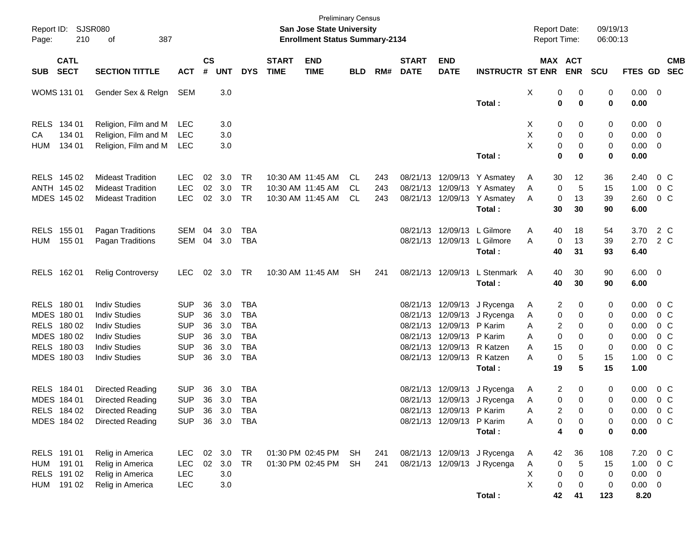| Report ID:<br>Page: | 210                        | SJSR080<br>387<br>оf     |            |                    |            |            |                             | <b>Preliminary Census</b><br>San Jose State University<br><b>Enrollment Status Summary-2134</b> |            |     |                             |                           |                              | <b>Report Date:</b><br><b>Report Time:</b> |                       |                  | 09/19/13<br>06:00:13 |                          |
|---------------------|----------------------------|--------------------------|------------|--------------------|------------|------------|-----------------------------|-------------------------------------------------------------------------------------------------|------------|-----|-----------------------------|---------------------------|------------------------------|--------------------------------------------|-----------------------|------------------|----------------------|--------------------------|
| <b>SUB</b>          | <b>CATL</b><br><b>SECT</b> | <b>SECTION TITTLE</b>    | <b>ACT</b> | $\mathsf{cs}$<br># | <b>UNT</b> | <b>DYS</b> | <b>START</b><br><b>TIME</b> | <b>END</b><br><b>TIME</b>                                                                       | <b>BLD</b> | RM# | <b>START</b><br><b>DATE</b> | <b>END</b><br><b>DATE</b> | <b>INSTRUCTR ST ENR</b>      |                                            | MAX ACT<br><b>ENR</b> | <b>SCU</b>       | <b>FTES GD</b>       | <b>CMB</b><br><b>SEC</b> |
|                     | WOMS 131 01                | Gender Sex & Relgn       | <b>SEM</b> |                    | 3.0        |            |                             |                                                                                                 |            |     |                             |                           | Total:                       | х                                          | 0<br>0                | 0<br>0<br>0<br>0 | $0.00 \t 0$<br>0.00  |                          |
| <b>RELS</b>         | 134 01                     | Religion, Film and M     | <b>LEC</b> |                    | 3.0        |            |                             |                                                                                                 |            |     |                             |                           |                              | X                                          | 0                     | 0<br>0           | 0.00                 | $\overline{\phantom{0}}$ |
| CA                  | 134 01                     | Religion, Film and M     | <b>LEC</b> |                    | 3.0        |            |                             |                                                                                                 |            |     |                             |                           |                              | Χ                                          | 0                     | 0<br>0           | 0.00                 | $\overline{\mathbf{0}}$  |
| <b>HUM</b>          | 134 01                     | Religion, Film and M     | <b>LEC</b> |                    | 3.0        |            |                             |                                                                                                 |            |     |                             |                           |                              | X                                          | 0                     | 0<br>0           | 0.00                 | $\overline{\mathbf{0}}$  |
|                     |                            |                          |            |                    |            |            |                             |                                                                                                 |            |     |                             |                           | Total:                       |                                            | $\mathbf 0$           | $\bf{0}$<br>0    | 0.00                 |                          |
|                     | RELS 145 02                | <b>Mideast Tradition</b> | <b>LEC</b> | 02                 | 3.0        | <b>TR</b>  |                             | 10:30 AM 11:45 AM                                                                               | CL.        | 243 | 08/21/13                    |                           | 12/09/13 Y Asmatey           | A                                          | 30<br>12              | 36               | 2.40                 | 0 C                      |
|                     | ANTH 145 02                | <b>Mideast Tradition</b> | <b>LEC</b> | 02                 | 3.0        | <b>TR</b>  |                             | 10:30 AM 11:45 AM                                                                               | CL.        | 243 | 08/21/13                    |                           | 12/09/13 Y Asmatey           | A                                          | 0                     | 5<br>15          | 1.00                 | 0 <sup>o</sup>           |
|                     | MDES 145 02                | <b>Mideast Tradition</b> | <b>LEC</b> |                    | 02 3.0     | <b>TR</b>  |                             | 10:30 AM 11:45 AM                                                                               | CL         | 243 | 08/21/13                    |                           | 12/09/13 Y Asmatey<br>Total: | A                                          | 13<br>0<br>30<br>30   | 39<br>90         | 2.60<br>6.00         | 0 <sup>o</sup>           |
| <b>RELS</b>         | 155 01                     | Pagan Traditions         | <b>SEM</b> | 04                 | 3.0        | <b>TBA</b> |                             |                                                                                                 |            |     | 08/21/13                    | 12/09/13                  | L Gilmore                    | A                                          | 40<br>18              | 54               | 3.70                 | 2 C                      |
| <b>HUM</b>          | 155 01                     | Pagan Traditions         | SEM        |                    | 04 3.0     | <b>TBA</b> |                             |                                                                                                 |            |     | 08/21/13                    |                           | 12/09/13 L Gilmore           | A                                          | 13<br>0               | 39               | 2.70                 | 2 C                      |
|                     |                            |                          |            |                    |            |            |                             |                                                                                                 |            |     |                             |                           | Total:                       |                                            | 40<br>31              | 93               | 6.40                 |                          |
|                     | RELS 162 01                | <b>Relig Controversy</b> | <b>LEC</b> |                    | 02 3.0     | TR         |                             | 10:30 AM 11:45 AM                                                                               | <b>SH</b>  | 241 | 08/21/13                    | 12/09/13                  | L Stenmark                   | A                                          | 40<br>30              | 90               | $6.00 \quad 0$       |                          |
|                     |                            |                          |            |                    |            |            |                             |                                                                                                 |            |     |                             |                           | Total:                       |                                            | 40<br>30              | 90               | 6.00                 |                          |
|                     | RELS 180 01                | <b>Indiv Studies</b>     | <b>SUP</b> | 36                 | 3.0        | <b>TBA</b> |                             |                                                                                                 |            |     | 08/21/13                    |                           | 12/09/13 J Rycenga           | A                                          | 2                     | 0<br>0           | 0.00                 | 0 C                      |
|                     | MDES 180 01                | <b>Indiv Studies</b>     | <b>SUP</b> | 36                 | 3.0        | <b>TBA</b> |                             |                                                                                                 |            |     | 08/21/13                    | 12/09/13                  | J Rycenga                    | A                                          | 0                     | 0<br>0           | 0.00                 | 0 <sup>o</sup>           |
|                     | RELS 180 02                | <b>Indiv Studies</b>     | <b>SUP</b> | 36                 | 3.0        | <b>TBA</b> |                             |                                                                                                 |            |     | 08/21/13                    | 12/09/13                  | P Karim                      | Α                                          | 2                     | 0<br>0           | 0.00                 | $0\,$ C                  |
|                     | MDES 180 02                | <b>Indiv Studies</b>     | <b>SUP</b> | 36                 | 3.0        | <b>TBA</b> |                             |                                                                                                 |            |     | 08/21/13                    | 12/09/13                  | P Karim                      | Α                                          | 0                     | 0<br>0           | 0.00                 | $0\,$ C                  |
|                     | RELS 180 03                | <b>Indiv Studies</b>     | <b>SUP</b> | 36                 | 3.0        | <b>TBA</b> |                             |                                                                                                 |            |     | 08/21/13                    | 12/09/13                  | R Katzen                     | Α                                          | 15                    | 0<br>0           | 0.00                 | 0 <sup>o</sup>           |
|                     | MDES 180 03                | <b>Indiv Studies</b>     | <b>SUP</b> | 36                 | 3.0        | <b>TBA</b> |                             |                                                                                                 |            |     | 08/21/13                    | 12/09/13                  | R Katzen                     | A                                          | 0                     | 5<br>15          | 1.00                 | 0 <sup>o</sup>           |
|                     |                            |                          |            |                    |            |            |                             |                                                                                                 |            |     |                             |                           | Total:                       |                                            | 19                    | 5<br>15          | 1.00                 |                          |
|                     | RELS 184 01                | Directed Reading         | <b>SUP</b> | 36                 | 3.0        | <b>TBA</b> |                             |                                                                                                 |            |     | 08/21/13                    |                           | 12/09/13 J Rycenga           | A                                          | 2                     | 0<br>0           | 0.00                 | 0 <sup>o</sup>           |
|                     | MDES 184 01                | Directed Reading         | <b>SUP</b> | 36                 | 3.0        | <b>TBA</b> |                             |                                                                                                 |            |     |                             |                           | 08/21/13 12/09/13 J Rycenga  | Α                                          | 0                     | 0<br>0           | 0.00                 | 0 <sup>o</sup>           |
|                     | RELS 184 02                | <b>Directed Reading</b>  | <b>SUP</b> | 36                 | 3.0        | <b>TBA</b> |                             |                                                                                                 |            |     |                             | 08/21/13 12/09/13 P Karim |                              | Α                                          | 2                     | 0<br>0           |                      | $0.00 \t 0 C$            |
|                     | MDES 184 02                | <b>Directed Reading</b>  | <b>SUP</b> | 36                 | 3.0 TBA    |            |                             |                                                                                                 |            |     |                             | 08/21/13 12/09/13 P Karim |                              | Α                                          | 0                     | 0<br>0           | 0.00                 | 0 <sup>o</sup>           |
|                     |                            |                          |            |                    |            |            |                             |                                                                                                 |            |     |                             |                           | Total:                       |                                            | 4                     | 0<br>0           | 0.00                 |                          |
|                     | RELS 191 01                | Relig in America         | <b>LEC</b> | 02                 | 3.0        | TR         |                             | 01:30 PM 02:45 PM                                                                               | SH         | 241 |                             |                           | 08/21/13 12/09/13 J Rycenga  | A                                          | 42<br>36              | 108              | 7.20                 | $0\,C$                   |
| HUM                 | 191 01                     | Relig in America         | <b>LEC</b> | $02\,$             | 3.0        | TR         |                             | 01:30 PM 02:45 PM                                                                               | <b>SH</b>  | 241 |                             |                           | 08/21/13 12/09/13 J Rycenga  | Α                                          | $\pmb{0}$             | 5<br>15          | 1.00                 | $0\,C$                   |
|                     | RELS 191 02                | Relig in America         | <b>LEC</b> |                    | 3.0        |            |                             |                                                                                                 |            |     |                             |                           |                              | х                                          | $\pmb{0}$             | 0<br>0           | $0.00 \t 0$          |                          |
| HUM                 | 191 02                     | Relig in America         | <b>LEC</b> |                    | 3.0        |            |                             |                                                                                                 |            |     |                             |                           |                              | Χ                                          | 0                     | 0<br>0           | $0.00 \t 0$          |                          |
|                     |                            |                          |            |                    |            |            |                             |                                                                                                 |            |     |                             |                           | Total:                       |                                            | 42<br>41              | 123              | 8.20                 |                          |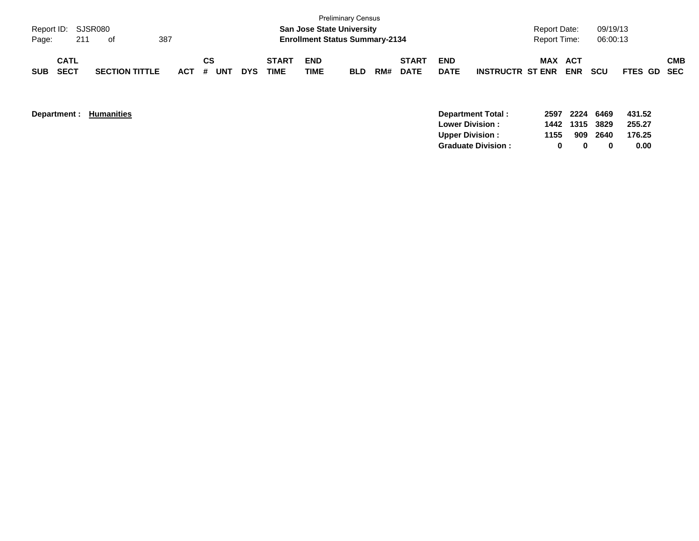| Page:      | Report ID: SJSR080<br>211 | of                    | 387     |           |            |                      |                    | <b>Preliminary Census</b><br><b>San Jose State University</b><br><b>Enrollment Status Summary-2134</b> |     |                             |                           |                         | <b>Report Date:</b><br><b>Report Time:</b> |                   | 09/19/13<br>06:00:13 |             |            |
|------------|---------------------------|-----------------------|---------|-----------|------------|----------------------|--------------------|--------------------------------------------------------------------------------------------------------|-----|-----------------------------|---------------------------|-------------------------|--------------------------------------------|-------------------|----------------------|-------------|------------|
| <b>SUB</b> | CATL<br><b>SECT</b>       | <b>SECTION TITTLE</b> | $ACT$ # | СS<br>UNT | <b>DYS</b> | <b>START</b><br>TIME | <b>END</b><br>TIME | <b>BLD</b>                                                                                             | RM# | <b>START</b><br><b>DATE</b> | <b>END</b><br><b>DATE</b> | <b>INSTRUCTR ST ENR</b> | <b>MAX</b>                                 | ACT<br><b>ENR</b> | <b>SCU</b>           | FTES GD SEC | <b>CMB</b> |

| Department : | <b>Humanities</b> |  |
|--------------|-------------------|--|
|--------------|-------------------|--|

|      |                  | 255.27       |
|------|------------------|--------------|
|      |                  | 176.25       |
| n.   |                  | 0.00         |
| 1155 | 1442 1315<br>909 | 3829<br>2640 |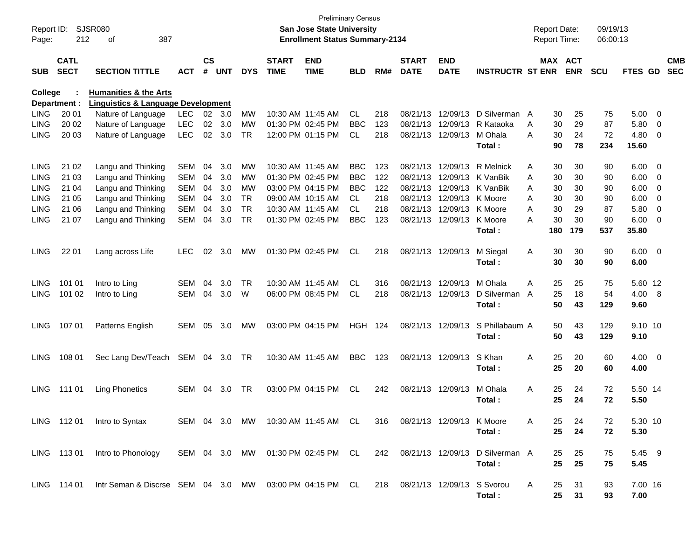| Report ID:<br>Page: | 212                        | <b>SJSR080</b><br>387<br>оf                                                            |            |                    |            |            |                             | <b>Preliminary Census</b><br><b>San Jose State University</b><br><b>Enrollment Status Summary-2134</b> |                |     |                             |                           |                                                                        | <b>Report Date:</b><br>Report Time: |                       | 09/19/13<br>06:00:13 |                |                          |                          |
|---------------------|----------------------------|----------------------------------------------------------------------------------------|------------|--------------------|------------|------------|-----------------------------|--------------------------------------------------------------------------------------------------------|----------------|-----|-----------------------------|---------------------------|------------------------------------------------------------------------|-------------------------------------|-----------------------|----------------------|----------------|--------------------------|--------------------------|
| <b>SUB</b>          | <b>CATL</b><br><b>SECT</b> | <b>SECTION TITTLE</b>                                                                  | <b>ACT</b> | $\mathsf{cs}$<br># | <b>UNT</b> | <b>DYS</b> | <b>START</b><br><b>TIME</b> | <b>END</b><br><b>TIME</b>                                                                              | <b>BLD</b>     | RM# | <b>START</b><br><b>DATE</b> | <b>END</b><br><b>DATE</b> | <b>INSTRUCTR ST ENR</b>                                                |                                     | MAX ACT<br><b>ENR</b> | <b>SCU</b>           | FTES GD        |                          | <b>CMB</b><br><b>SEC</b> |
| <b>College</b>      |                            | <b>Humanities &amp; the Arts</b>                                                       |            |                    |            |            |                             |                                                                                                        |                |     |                             |                           |                                                                        |                                     |                       |                      |                |                          |                          |
| <b>LING</b>         | Department :<br>20 01      | <b>Linguistics &amp; Language Development</b><br>Nature of Language                    | <b>LEC</b> | 02 <sub>o</sub>    | 3.0        | MW         |                             | 10:30 AM 11:45 AM                                                                                      | CL.            | 218 | 08/21/13                    | 12/09/13                  | D Silverman A                                                          | 30                                  | 25                    | 75                   | $5.00 \t 0$    |                          |                          |
| <b>LING</b>         | 20 02                      | Nature of Language                                                                     | <b>LEC</b> | 02                 | 3.0        | MW         |                             | 01:30 PM 02:45 PM                                                                                      | <b>BBC</b>     | 123 | 08/21/13                    | 12/09/13                  | R Kataoka                                                              | 30<br>A                             | 29                    | 87                   | 5.80           | $\overline{\phantom{0}}$ |                          |
| <b>LING</b>         | 20 03                      | Nature of Language                                                                     | <b>LEC</b> | 02                 | 3.0        | <b>TR</b>  |                             | 12:00 PM 01:15 PM                                                                                      | CL             | 218 |                             | 08/21/13 12/09/13         | M Ohala                                                                | 30<br>A                             | 24                    | 72                   | $4.80\ 0$      |                          |                          |
|                     |                            |                                                                                        |            |                    |            |            |                             |                                                                                                        |                |     |                             |                           | Total:                                                                 | 90                                  | 78                    | 234                  | 15.60          |                          |                          |
| <b>LING</b>         | 21 02                      | Langu and Thinking                                                                     | <b>SEM</b> | 04                 | 3.0        | MW         |                             | 10:30 AM 11:45 AM                                                                                      | <b>BBC</b>     | 123 |                             | 08/21/13 12/09/13         | <b>R</b> Melnick                                                       | 30<br>A                             | 30                    | 90                   | $6.00 \t 0$    |                          |                          |
| <b>LING</b>         | 21 03                      | Langu and Thinking                                                                     | <b>SEM</b> | 04                 | 3.0        | МW         |                             | 01:30 PM 02:45 PM                                                                                      | <b>BBC</b>     | 122 | 08/21/13                    |                           | 12/09/13 K VanBik                                                      | 30<br>A                             | 30                    | 90                   | $6.00 \quad 0$ |                          |                          |
| <b>LING</b>         | 21 04                      | Langu and Thinking                                                                     | <b>SEM</b> | 04                 | 3.0        | МW         |                             | 03:00 PM 04:15 PM                                                                                      | <b>BBC</b>     | 122 | 08/21/13                    |                           | 12/09/13 K VanBik                                                      | 30<br>A                             | 30                    | 90                   | $6.00 \quad 0$ |                          |                          |
| LING                | 21 05                      | Langu and Thinking                                                                     | <b>SEM</b> | 04                 | 3.0        | <b>TR</b>  |                             | 09:00 AM 10:15 AM                                                                                      | CL             | 218 |                             | 08/21/13 12/09/13 K Moore |                                                                        | 30<br>A                             | 30                    | 90                   | 6.00           | $\overline{\phantom{0}}$ |                          |
| <b>LING</b>         | 21 06                      | Langu and Thinking                                                                     | <b>SEM</b> | 04                 | 3.0        | <b>TR</b>  |                             | 10:30 AM 11:45 AM                                                                                      | <b>CL</b>      | 218 |                             | 08/21/13 12/09/13 K Moore |                                                                        | 30<br>Α                             | 29                    | 87                   | 5.80           | $\overline{\phantom{0}}$ |                          |
| <b>LING</b>         | 21 07                      | Langu and Thinking                                                                     | <b>SEM</b> | 04                 | 3.0        | <b>TR</b>  |                             | 01:30 PM 02:45 PM                                                                                      | <b>BBC</b>     | 123 |                             | 08/21/13 12/09/13         | K Moore                                                                | 30<br>А                             | 30                    | 90                   | $6.00 \quad 0$ |                          |                          |
|                     |                            |                                                                                        |            |                    |            |            |                             |                                                                                                        |                |     |                             |                           | Total:                                                                 | 180                                 | 179                   | 537                  | 35.80          |                          |                          |
| <b>LING</b>         | 22 01                      | Lang across Life                                                                       | <b>LEC</b> | 02                 | 3.0        | MW         |                             | 01:30 PM 02:45 PM                                                                                      | CL.            | 218 |                             | 08/21/13 12/09/13         | M Siegal                                                               | 30<br>Α                             | 30                    | 90                   | $6.00 \quad 0$ |                          |                          |
|                     |                            |                                                                                        |            |                    |            |            |                             |                                                                                                        |                |     |                             |                           | Total:                                                                 | 30                                  | 30                    | 90                   | 6.00           |                          |                          |
| <b>LING</b>         | 101 01                     | Intro to Ling                                                                          | <b>SEM</b> | 04                 | 3.0        | TR         |                             | 10:30 AM 11:45 AM                                                                                      | CL.            | 316 |                             | 08/21/13 12/09/13         | M Ohala                                                                | 25<br>Α                             | 25                    | 75                   | 5.60 12        |                          |                          |
| <b>LING</b>         | 101 02                     | Intro to Ling                                                                          | SEM        | 04                 | 3.0        | W          |                             | 06:00 PM 08:45 PM                                                                                      | <b>CL</b>      | 218 |                             | 08/21/13 12/09/13         | D Silverman                                                            | 25<br>A                             | 18                    | 54                   | 4.00 8         |                          |                          |
|                     |                            |                                                                                        |            |                    |            |            |                             |                                                                                                        |                |     |                             |                           | Total:                                                                 | 50                                  | 43                    | 129                  | 9.60           |                          |                          |
| <b>LING</b>         | 107 01                     | Patterns English                                                                       | SEM        | 05                 | 3.0        | MW         |                             | 03:00 PM 04:15 PM                                                                                      | <b>HGH 124</b> |     |                             | 08/21/13 12/09/13         | S Phillabaum A                                                         | 50                                  | 43                    | 129                  | 9.10 10        |                          |                          |
|                     |                            |                                                                                        |            |                    |            |            |                             |                                                                                                        |                |     |                             |                           | Total:                                                                 | 50                                  | 43                    | 129                  | 9.10           |                          |                          |
| <b>LING</b>         | 108 01                     | Sec Lang Dev/Teach                                                                     | SEM 04 3.0 |                    |            | TR         |                             | 10:30 AM 11:45 AM                                                                                      | <b>BBC</b>     | 123 |                             | 08/21/13 12/09/13         | S Khan                                                                 | 25<br>Α                             | 20                    | 60                   | $4.00 \ 0$     |                          |                          |
|                     |                            |                                                                                        |            |                    |            |            |                             |                                                                                                        |                |     |                             |                           | Total:                                                                 | 25                                  | 20                    | 60                   | 4.00           |                          |                          |
| <b>LING</b>         | 111 01                     | <b>Ling Phonetics</b>                                                                  | SEM        | 04                 | 3.0        | TR         |                             | 03:00 PM 04:15 PM                                                                                      | <b>CL</b>      | 242 |                             | 08/21/13 12/09/13         | M Ohala                                                                | 25<br>Α                             | 24                    | 72                   | 5.50 14        |                          |                          |
|                     |                            |                                                                                        |            |                    |            |            |                             |                                                                                                        |                |     |                             |                           | Total :                                                                | 25                                  | 24                    | 72                   | 5.50           |                          |                          |
|                     | LING 11201                 | Intro to Syntax                                                                        |            |                    |            |            |                             | SEM 04 3.0 MW 10:30 AM 11:45 AM CL                                                                     |                | 316 |                             | 08/21/13 12/09/13 K Moore |                                                                        | 25<br>A                             | 24                    | 72                   | 5.30 10        |                          |                          |
|                     |                            |                                                                                        |            |                    |            |            |                             |                                                                                                        |                |     |                             |                           | Total:                                                                 | 25                                  | 24                    | 72                   | 5.30           |                          |                          |
|                     | LING 11301                 | Intro to Phonology                                                                     |            |                    |            |            |                             |                                                                                                        |                |     |                             |                           | SEM 04 3.0 MW 01:30 PM 02:45 PM CL 242 08/21/13 12/09/13 D Silverman A | 25                                  | 25                    | 75                   | 5.45 9         |                          |                          |
|                     |                            |                                                                                        |            |                    |            |            |                             |                                                                                                        |                |     |                             |                           | Total:                                                                 | 25                                  | 25                    | 75                   | 5.45           |                          |                          |
|                     | LING 114 01                | Intr Seman & Discrse SEM 04 3.0 MW 03:00 PM 04:15 PM CL 218 08/21/13 12/09/13 S Svorou |            |                    |            |            |                             |                                                                                                        |                |     |                             |                           |                                                                        | A<br>25                             | 31                    | 93                   | 7.00 16        |                          |                          |
|                     |                            |                                                                                        |            |                    |            |            |                             |                                                                                                        |                |     |                             |                           | Total:                                                                 | 25                                  | 31                    | 93                   | 7.00           |                          |                          |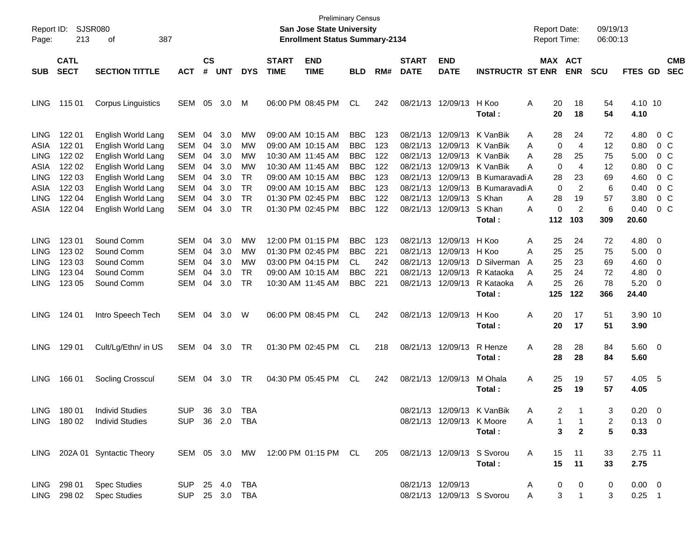| Report ID:<br>Page: | 213                        | SJSR080<br>387<br>οf          |                |                |            |            |                             | <b>Preliminary Census</b><br><b>San Jose State University</b><br><b>Enrollment Status Summary-2134</b> |            |     |                             |                            |                             | <b>Report Date:</b><br><b>Report Time:</b> |                | 09/19/13<br>06:00:13 |                |                          |                          |
|---------------------|----------------------------|-------------------------------|----------------|----------------|------------|------------|-----------------------------|--------------------------------------------------------------------------------------------------------|------------|-----|-----------------------------|----------------------------|-----------------------------|--------------------------------------------|----------------|----------------------|----------------|--------------------------|--------------------------|
| <b>SUB</b>          | <b>CATL</b><br><b>SECT</b> | <b>SECTION TITTLE</b>         | <b>ACT</b>     | <b>CS</b><br># | <b>UNT</b> | <b>DYS</b> | <b>START</b><br><b>TIME</b> | <b>END</b><br><b>TIME</b>                                                                              | <b>BLD</b> | RM# | <b>START</b><br><b>DATE</b> | <b>END</b><br><b>DATE</b>  | <b>INSTRUCTR ST ENR</b>     | MAX ACT                                    | <b>ENR</b>     | <b>SCU</b>           | <b>FTES GD</b> |                          | <b>CMB</b><br><b>SEC</b> |
| <b>LING</b>         | 115 01                     |                               | SEM            | 05             | 3.0        | M          |                             | 06:00 PM 08:45 PM                                                                                      | CL.        | 242 |                             | 08/21/13 12/09/13 H Koo    |                             | Α<br>20                                    | 18             | 54                   | 4.10 10        |                          |                          |
|                     |                            | <b>Corpus Linguistics</b>     |                |                |            |            |                             |                                                                                                        |            |     |                             |                            | Total :                     | 20                                         | 18             | 54                   | 4.10           |                          |                          |
| <b>LING</b>         | 122 01                     | English World Lang            | SEM            | 04             | 3.0        | MW         |                             | 09:00 AM 10:15 AM                                                                                      | <b>BBC</b> | 123 |                             | 08/21/13 12/09/13 K VanBik |                             | 28<br>A                                    | 24             | 72                   | 4.80           |                          | 0 C                      |
| ASIA                | 122 01                     | English World Lang            | SEM            | 04             | 3.0        | MW         |                             | 09:00 AM 10:15 AM                                                                                      | <b>BBC</b> | 123 | 08/21/13                    |                            | 12/09/13 K VanBik           | 0<br>A                                     | 4              | 12                   | 0.80           |                          | 0 C                      |
| <b>LING</b>         | 122 02                     | English World Lang            | SEM            | 04             | 3.0        | MW         |                             | 10:30 AM 11:45 AM                                                                                      | <b>BBC</b> | 122 | 08/21/13                    |                            | 12/09/13 K VanBik           | 28<br>A                                    | 25             | 75                   | 5.00           |                          | 0 C                      |
| ASIA                | 122 02                     | English World Lang            | SEM            | 04             | 3.0        | MW         |                             | 10:30 AM 11:45 AM                                                                                      | <b>BBC</b> | 122 | 08/21/13                    |                            | 12/09/13 K VanBik           | 0<br>A                                     | 4              | 12                   | 0.80           |                          | 0 C                      |
| <b>LING</b>         | 122 03                     | English World Lang            | SEM            | 04             | 3.0        | <b>TR</b>  |                             | 09:00 AM 10:15 AM                                                                                      | <b>BBC</b> | 123 | 08/21/13                    |                            | 12/09/13 B Kumaravadi A     | 28                                         | 23             | 69                   | 4.60           |                          | 0 <sup>o</sup>           |
| ASIA                | 122 03                     | English World Lang            | SEM            | 04             | 3.0        | TR         |                             | 09:00 AM 10:15 AM                                                                                      | <b>BBC</b> | 123 | 08/21/13                    |                            | 12/09/13 B Kumaravadi A     | 0                                          | 2              | 6                    | 0.40           |                          | 0 <sup>o</sup>           |
| <b>LING</b>         | 122 04                     | English World Lang            | SEM            | 04             | 3.0        | TR         |                             | 01:30 PM 02:45 PM                                                                                      | <b>BBC</b> | 122 | 08/21/13                    | 12/09/13 S Khan            |                             | 28<br>A                                    | 19             | 57                   | 3.80           |                          | 0 <sup>o</sup>           |
| ASIA                | 122 04                     | English World Lang            | SEM            | 04             | 3.0        | TR         |                             | 01:30 PM 02:45 PM                                                                                      | <b>BBC</b> | 122 |                             | 08/21/13 12/09/13 S Khan   |                             | 0<br>A                                     | $\overline{2}$ | 6                    | 0.40           |                          | $0\,C$                   |
|                     |                            |                               |                |                |            |            |                             |                                                                                                        |            |     |                             |                            | Total :                     | 112                                        | 103            | 309                  | 20.60          |                          |                          |
| <b>LING</b>         | 123 01                     | Sound Comm                    | SEM            | 04             | 3.0        | MW         |                             | 12:00 PM 01:15 PM                                                                                      | <b>BBC</b> | 123 | 08/21/13                    | 12/09/13 H Koo             |                             | 25<br>Α                                    | 24             | 72                   | 4.80 0         |                          |                          |
| <b>LING</b>         | 123 02                     | Sound Comm                    | SEM            | 04             | 3.0        | MW         |                             | 01:30 PM 02:45 PM                                                                                      | <b>BBC</b> | 221 | 08/21/13                    | 12/09/13 H Koo             |                             | 25<br>A                                    | 25             | 75                   | 5.00           | $\overline{\phantom{0}}$ |                          |
| <b>LING</b>         | 123 03                     | Sound Comm                    | SEM            | 04             | 3.0        | MW         |                             | 03:00 PM 04:15 PM                                                                                      | CL         | 242 | 08/21/13                    |                            | 12/09/13 D Silverman        | 25<br>A                                    | 23             | 69                   | 4.60           | $\overline{\phantom{0}}$ |                          |
| <b>LING</b>         | 123 04                     | Sound Comm                    | <b>SEM</b>     | 04             | 3.0        | <b>TR</b>  |                             | 09:00 AM 10:15 AM                                                                                      | <b>BBC</b> | 221 | 08/21/13                    |                            | 12/09/13 R Kataoka          | 25<br>Α                                    | 24             | 72                   | 4.80           | $\overline{\mathbf{0}}$  |                          |
| <b>LING</b>         | 123 05                     | Sound Comm                    | SEM            | 04             | 3.0        | <b>TR</b>  |                             | 10:30 AM 11:45 AM                                                                                      | <b>BBC</b> | 221 |                             |                            | 08/21/13 12/09/13 R Kataoka | 25<br>A                                    | 26             | 78                   | 5.20           | $\overline{\phantom{0}}$ |                          |
|                     |                            |                               |                |                |            |            |                             |                                                                                                        |            |     |                             |                            | Total :                     | 125                                        | 122            | 366                  | 24.40          |                          |                          |
| <b>LING</b>         | 124 01                     | Intro Speech Tech             | SEM            | 04             | 3.0        | W          |                             | 06:00 PM 08:45 PM                                                                                      | <b>CL</b>  | 242 |                             | 08/21/13 12/09/13          | H Koo                       | 20<br>Α                                    | 17             | 51                   | 3.90 10        |                          |                          |
|                     |                            |                               |                |                |            |            |                             |                                                                                                        |            |     |                             |                            | Total :                     | 20                                         | 17             | 51                   | 3.90           |                          |                          |
| <b>LING</b>         | 129 01                     | Cult/Lg/Ethn/ in US           | SEM            | 04             | 3.0        | TR         |                             | 01:30 PM 02:45 PM                                                                                      | CL.        | 218 |                             | 08/21/13 12/09/13          | R Henze                     | 28<br>Α                                    | 28             | 84                   | 5.60 0         |                          |                          |
|                     |                            |                               |                |                |            |            |                             |                                                                                                        |            |     |                             |                            | Total :                     | 28                                         | 28             | 84                   | 5.60           |                          |                          |
| <b>LING</b>         | 166 01                     | Socling Crosscul              | SEM            | 04             | 3.0        | TR         |                             | 04:30 PM 05:45 PM                                                                                      | CL.        | 242 |                             | 08/21/13 12/09/13          | M Ohala                     | 25<br>Α                                    | 19             | 57                   | 4.05 5         |                          |                          |
|                     |                            |                               |                |                |            |            |                             |                                                                                                        |            |     |                             |                            | Total :                     | 25                                         | 19             | 57                   | 4.05           |                          |                          |
| LING.               | 180 01                     | <b>Individ Studies</b>        | <b>SUP</b>     |                | 36 3.0     | TBA        |                             |                                                                                                        |            |     |                             |                            | 08/21/13 12/09/13 K VanBik  | $\overline{2}$<br>A                        |                | 3                    | $0.20 \ 0$     |                          |                          |
|                     |                            | LING 180 02 Individ Studies   | SUP 36 2.0 TBA |                |            |            |                             |                                                                                                        |            |     |                             | 08/21/13 12/09/13 K Moore  |                             | A<br>1                                     | $\mathbf{1}$   | 2                    | $0.13 \quad 0$ |                          |                          |
|                     |                            |                               |                |                |            |            |                             |                                                                                                        |            |     |                             |                            | Total:                      | 3                                          | $\overline{2}$ | 5                    | 0.33           |                          |                          |
|                     |                            | LING 202A 01 Syntactic Theory |                |                |            |            |                             | SEM 05 3.0 MW 12:00 PM 01:15 PM CL 205 08/21/13 12/09/13 S Svorou                                      |            |     |                             |                            |                             | A                                          | 15 11          | 33                   | 2.75 11        |                          |                          |
|                     |                            |                               |                |                |            |            |                             |                                                                                                        |            |     |                             |                            | Total:                      |                                            | 15 11          | 33                   | 2.75           |                          |                          |
|                     | LING 298 01                | <b>Spec Studies</b>           | SUP 25 4.0 TBA |                |            |            |                             |                                                                                                        |            |     |                             | 08/21/13 12/09/13          |                             | 0<br>$\mathsf{A}$                          | 0              | 0                    | $0.00 \quad 0$ |                          |                          |
|                     | LING 298 02                | <b>Spec Studies</b>           | SUP 25 3.0 TBA |                |            |            |                             |                                                                                                        |            |     |                             |                            | 08/21/13 12/09/13 S Svorou  | 3 <sup>7</sup><br>A                        | $\mathbf{1}$   | 3                    | $0.25$ 1       |                          |                          |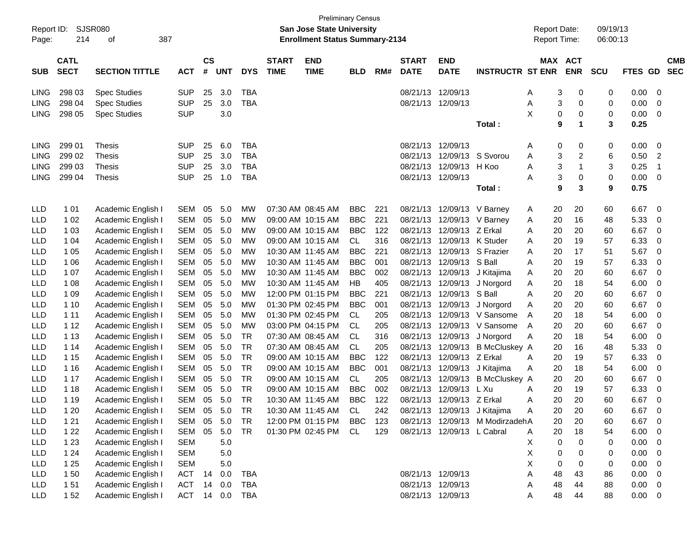| Report ID:<br>Page: | 214                        | <b>Preliminary Census</b><br>SJSR080<br><b>San Jose State University</b><br>387<br><b>Enrollment Status Summary-2134</b><br>оf<br>$\mathsf{cs}$<br><b>START</b><br><b>END</b><br><b>START</b><br><b>END</b> |                |    |            |            |             |                      |            |     |                   |                            |                                 |         |                              | 09/19/13<br>06:00:13 |                |                          |
|---------------------|----------------------------|-------------------------------------------------------------------------------------------------------------------------------------------------------------------------------------------------------------|----------------|----|------------|------------|-------------|----------------------|------------|-----|-------------------|----------------------------|---------------------------------|---------|------------------------------|----------------------|----------------|--------------------------|
| <b>SUB</b>          | <b>CATL</b><br><b>SECT</b> | <b>SECTION TITTLE</b>                                                                                                                                                                                       | <b>ACT</b>     | #  | <b>UNT</b> | <b>DYS</b> | <b>TIME</b> | <b>TIME</b>          | <b>BLD</b> | RM# | <b>DATE</b>       | <b>DATE</b>                | <b>INSTRUCTR ST ENR</b>         |         | MAX ACT<br><b>ENR</b>        | <b>SCU</b>           | <b>FTES GD</b> | <b>CMB</b><br><b>SEC</b> |
| <b>LING</b>         | 298 03                     | <b>Spec Studies</b>                                                                                                                                                                                         | <b>SUP</b>     | 25 | 3.0        | <b>TBA</b> |             |                      |            |     | 08/21/13          | 12/09/13                   |                                 | A       | 3<br>0                       | 0                    | 0.00           | 0                        |
| <b>LING</b>         | 298 04                     | <b>Spec Studies</b>                                                                                                                                                                                         | <b>SUP</b>     | 25 | 3.0        | <b>TBA</b> |             |                      |            |     | 08/21/13 12/09/13 |                            |                                 | Α       | 3<br>0                       | 0                    | 0.00           | 0                        |
| <b>LING</b>         | 298 05                     | <b>Spec Studies</b>                                                                                                                                                                                         | <b>SUP</b>     |    | 3.0        |            |             |                      |            |     |                   |                            |                                 | X       | 0<br>$\pmb{0}$               | 0                    | 0.00           | 0                        |
|                     |                            |                                                                                                                                                                                                             |                |    |            |            |             |                      |            |     |                   |                            | Total:                          |         | $\mathbf 1$<br>9             | 3                    | 0.25           |                          |
| <b>LING</b>         | 299 01                     | Thesis                                                                                                                                                                                                      | <b>SUP</b>     | 25 | 6.0        | <b>TBA</b> |             |                      |            |     | 08/21/13          | 12/09/13                   |                                 | A       | 0<br>0                       | 0                    | 0.00           | $\mathbf 0$              |
| <b>LING</b>         | 299 02                     | <b>Thesis</b>                                                                                                                                                                                               | <b>SUP</b>     | 25 | 3.0        | <b>TBA</b> |             |                      |            |     | 08/21/13          | 12/09/13                   | S Svorou                        | Α       | 3<br>$\overline{\mathbf{c}}$ | 6                    | 0.50           | $\overline{2}$           |
| <b>LING</b>         | 299 03                     | <b>Thesis</b>                                                                                                                                                                                               | <b>SUP</b>     | 25 | 3.0        | <b>TBA</b> |             |                      |            |     | 08/21/13          | 12/09/13                   | H Koo                           | Α       | 3<br>1                       | 3                    | 0.25           | $\overline{1}$           |
| <b>LING</b>         | 299 04                     | <b>Thesis</b>                                                                                                                                                                                               | <b>SUP</b>     | 25 | 1.0        | <b>TBA</b> |             |                      |            |     | 08/21/13 12/09/13 |                            |                                 | Α       | 3<br>0                       | 0                    | 0.00           | $\mathbf 0$              |
|                     |                            |                                                                                                                                                                                                             |                |    |            |            |             |                      |            |     |                   |                            | Total:                          |         | 3<br>9                       | 9                    | 0.75           |                          |
| LLD                 | 101                        | Academic English I                                                                                                                                                                                          | <b>SEM</b>     | 05 | 5.0        | MW         |             | 07:30 AM 08:45 AM    | <b>BBC</b> | 221 | 08/21/13          |                            | 12/09/13 V Barney               | 20<br>A | 20                           | 60                   | 6.67           | $\mathbf 0$              |
| LLD                 | 1 0 2                      | Academic English I                                                                                                                                                                                          | <b>SEM</b>     | 05 | 5.0        | MW         |             | 09:00 AM 10:15 AM    | <b>BBC</b> | 221 | 08/21/13          |                            | 12/09/13 V Barnev               | 20<br>A | 16                           | 48                   | 5.33           | 0                        |
| LLD                 | 1 0 3                      | Academic English I                                                                                                                                                                                          | <b>SEM</b>     | 05 | 5.0        | MW         |             | 09:00 AM 10:15 AM    | <b>BBC</b> | 122 | 08/21/13          | 12/09/13 Z Erkal           |                                 | 20<br>Α | 20                           | 60                   | 6.67           | 0                        |
| LLD                 | 1 0 4                      | Academic English I                                                                                                                                                                                          | <b>SEM</b>     | 05 | 5.0        | MW         |             | 09:00 AM 10:15 AM    | CL         | 316 | 08/21/13          | 12/09/13 K Studer          |                                 | 20<br>Α | 19                           | 57                   | 6.33           | 0                        |
| LLD                 | 1 0 5                      | Academic English I                                                                                                                                                                                          | <b>SEM</b>     | 05 | 5.0        | MW         |             | 10:30 AM 11:45 AM    | <b>BBC</b> | 221 | 08/21/13          |                            | 12/09/13 S Frazier              | 20<br>Α | 17                           | 51                   | 5.67           | $\mathbf 0$              |
| <b>LLD</b>          | 1 0 6                      | Academic English I                                                                                                                                                                                          | <b>SEM</b>     | 05 | 5.0        | MW         |             | 10:30 AM 11:45 AM    | <b>BBC</b> | 001 | 08/21/13          | 12/09/13                   | S Ball                          | 20<br>Α | 19                           | 57                   | 6.33           | $\mathbf 0$              |
| LLD                 | 1 0 7                      | Academic English I                                                                                                                                                                                          | <b>SEM</b>     | 05 | 5.0        | MW         |             | 10:30 AM 11:45 AM    | <b>BBC</b> | 002 | 08/21/13          | 12/09/13                   | J Kitajima                      | 20<br>A | 20                           | 60                   | 6.67           | $\mathbf 0$              |
| LLD                 | 1 0 8                      | Academic English I                                                                                                                                                                                          | <b>SEM</b>     | 05 | 5.0        | MW         |             | 10:30 AM 11:45 AM    | HB         | 405 | 08/21/13          | 12/09/13                   | J Norgord                       | 20<br>A | 18                           | 54                   | 6.00           | 0                        |
| LLD                 | 1 0 9                      | Academic English I                                                                                                                                                                                          | <b>SEM</b>     | 05 | 5.0        | MW         |             | 12:00 PM 01:15 PM    | <b>BBC</b> | 221 | 08/21/13          | 12/09/13                   | S Ball                          | A<br>20 | 20                           | 60                   | 6.67           | $\mathbf 0$              |
| LLD                 | 1 1 0                      | Academic English I                                                                                                                                                                                          | <b>SEM</b>     | 05 | 5.0        | MW         |             | 01:30 PM 02:45 PM    | <b>BBC</b> | 001 | 08/21/13          |                            | 12/09/13 J Norgord              | 20<br>Α | 20                           | 60                   | 6.67           | $\mathbf 0$              |
| LLD                 | 1 1 1                      | Academic English I                                                                                                                                                                                          | <b>SEM</b>     | 05 | 5.0        | MW         |             | 01:30 PM 02:45 PM    | CL         | 205 | 08/21/13          |                            | 12/09/13 V Sansome              | 20<br>A | 18                           | 54                   | 6.00           | 0                        |
| LLD                 | 1 1 2                      | Academic English I                                                                                                                                                                                          | <b>SEM</b>     | 05 | 5.0        | MW         |             | 03:00 PM 04:15 PM    | CL         | 205 | 08/21/13          |                            | 12/09/13 V Sansome              | 20<br>A | 20                           | 60                   | 6.67           | $\mathbf 0$              |
| LLD                 | 1 1 3                      | Academic English I                                                                                                                                                                                          | <b>SEM</b>     | 05 | 5.0        | <b>TR</b>  |             | 07:30 AM 08:45 AM    | CL         | 316 | 08/21/13          | 12/09/13                   | J Norgord                       | 20<br>Α | 18                           | 54                   | 6.00           | 0                        |
| LLD                 | 1 14                       | Academic English I                                                                                                                                                                                          | <b>SEM</b>     | 05 | 5.0        | <b>TR</b>  |             | 07:30 AM 08:45 AM    | CL         | 205 | 08/21/13          |                            | 12/09/13 B McCluskey A          | 20      | 16                           | 48                   | 5.33           | 0                        |
| LLD                 | 1 15                       | Academic English I                                                                                                                                                                                          | SEM            | 05 | 5.0        | <b>TR</b>  |             | 09:00 AM 10:15 AM    | <b>BBC</b> | 122 | 08/21/13          | 12/09/13                   | Z Erkal                         | 20<br>A | 19                           | 57                   | 6.33           | 0                        |
| LLD                 | 1 1 6                      | Academic English I                                                                                                                                                                                          | SEM            | 05 | 5.0        | <b>TR</b>  |             | 09:00 AM 10:15 AM    | <b>BBC</b> | 001 | 08/21/13          | 12/09/13                   | J Kitajima                      | 20<br>Α | 18                           | 54                   | 6.00           | 0                        |
| LLD                 | 1 1 7                      | Academic English I                                                                                                                                                                                          | SEM            | 05 | 5.0        | TR         |             | 09:00 AM 10:15 AM    | CL         | 205 | 08/21/13          | 12/09/13                   | <b>B McCluskey A</b>            | 20      | 20                           | 60                   | 6.67           | 0                        |
| LLD                 | 1 18                       | Academic English I                                                                                                                                                                                          | SEM            | 05 | 5.0        | TR         |             | 09:00 AM 10:15 AM    | <b>BBC</b> | 002 | 08/21/13          | 12/09/13                   | L Xu                            | 20<br>A | 19                           | 57                   | 6.33           | 0                        |
| LLD                 | 1 1 9                      | Academic English I                                                                                                                                                                                          | SEM            | 05 | 5.0        | TR         |             | 10:30 AM 11:45 AM    | <b>BBC</b> | 122 | 08/21/13          | 12/09/13 Z Erkal           |                                 | 20<br>A | 20                           | 60                   | 6.67           | $\mathbf 0$              |
| LLD                 | 1 2 0                      | Academic English I                                                                                                                                                                                          | SEM 05 5.0     |    |            | <b>TR</b>  |             | 10:30 AM 11:45 AM    | <b>CL</b>  | 242 |                   |                            | 08/21/13 12/09/13 J Kitajima    |         | 20<br>20                     | 60                   | 6.67           | $\mathbf 0$              |
| LLD                 | 1 2 1                      | Academic English I                                                                                                                                                                                          | SEM 05         |    | 5.0        | <b>TR</b>  |             | 12:00 PM 01:15 PM    | BBC        | 123 |                   |                            | 08/21/13 12/09/13 M ModirzadehA | 20      | 20                           | 60                   | 6.67           | $\mathbf 0$              |
| LLD                 | 1 2 2                      | Academic English I                                                                                                                                                                                          | SEM            | 05 | 5.0        | <b>TR</b>  |             | 01:30 PM 02:45 PM CL |            | 129 |                   | 08/21/13 12/09/13 L Cabral |                                 | 20<br>A | 18                           | 54                   | 6.00           | 0                        |
| LLD                 | 1 2 3                      | Academic English I                                                                                                                                                                                          | <b>SEM</b>     |    | $5.0\,$    |            |             |                      |            |     |                   |                            |                                 | X       | $\mathbf 0$<br>0             | 0                    | 0.00           | $\mathbf 0$              |
| LLD                 | 1 2 4                      | Academic English I                                                                                                                                                                                          | <b>SEM</b>     |    | $5.0\,$    |            |             |                      |            |     |                   |                            |                                 | х       | 0<br>0                       | 0                    | 0.00           | $\mathbf 0$              |
| LLD                 | 1 2 5                      | Academic English I                                                                                                                                                                                          | <b>SEM</b>     |    | 5.0        |            |             |                      |            |     |                   |                            |                                 | X       | 0<br>0                       | 0                    | 0.00           | $\overline{0}$           |
| LLD                 | 150                        | Academic English I                                                                                                                                                                                          | ACT            |    | 14 0.0     | <b>TBA</b> |             |                      |            |     | 08/21/13 12/09/13 |                            |                                 | 48<br>Α | 43                           | 86                   | 0.00           | $\overline{0}$           |
| LLD                 | 151                        | Academic English I                                                                                                                                                                                          | <b>ACT</b>     |    | 14 0.0     | <b>TBA</b> |             |                      |            |     | 08/21/13 12/09/13 |                            |                                 | 48<br>A | 44                           | 88                   | 0.00           | 0                        |
| LLD                 | 152                        | Academic English I                                                                                                                                                                                          | ACT 14 0.0 TBA |    |            |            |             |                      |            |     | 08/21/13 12/09/13 |                            |                                 | 48<br>Α | 44                           | 88                   | $0.00 \t 0$    |                          |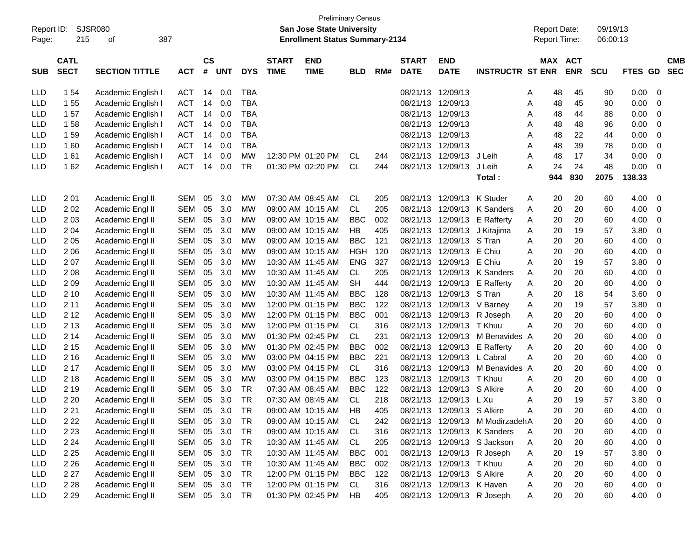| Report ID:<br>Page: | 215                        | SJSR080<br>387<br>οf  |            |                    |            |            |                             | <b>Preliminary Census</b><br><b>San Jose State University</b><br><b>Enrollment Status Summary-2134</b> |            |     |                             |                            |                         |              | <b>Report Date:</b> | Report Time:          | 09/19/13<br>06:00:13 |             |                                       |  |
|---------------------|----------------------------|-----------------------|------------|--------------------|------------|------------|-----------------------------|--------------------------------------------------------------------------------------------------------|------------|-----|-----------------------------|----------------------------|-------------------------|--------------|---------------------|-----------------------|----------------------|-------------|---------------------------------------|--|
| <b>SUB</b>          | <b>CATL</b><br><b>SECT</b> | <b>SECTION TITTLE</b> | <b>ACT</b> | $\mathsf{cs}$<br># | <b>UNT</b> | <b>DYS</b> | <b>START</b><br><b>TIME</b> | <b>END</b><br><b>TIME</b>                                                                              | <b>BLD</b> | RM# | <b>START</b><br><b>DATE</b> | <b>END</b><br><b>DATE</b>  | <b>INSTRUCTR ST ENR</b> |              |                     | MAX ACT<br><b>ENR</b> | <b>SCU</b>           | <b>FTES</b> | <b>CMB</b><br><b>SEC</b><br><b>GD</b> |  |
| LLD                 | 1 54                       | Academic English I    | <b>ACT</b> | 14                 | 0.0        | <b>TBA</b> |                             |                                                                                                        |            |     | 08/21/13                    | 12/09/13                   |                         | A            | 48                  | 45                    | 90                   | 0.00        | 0                                     |  |
| LLD                 | 155                        | Academic English I    | <b>ACT</b> | 14                 | 0.0        | <b>TBA</b> |                             |                                                                                                        |            |     | 08/21/13                    | 12/09/13                   |                         | Α            | 48                  | 45                    | 90                   | 0.00        | 0                                     |  |
| LLD                 | 157                        | Academic English I    | <b>ACT</b> | 14                 | 0.0        | <b>TBA</b> |                             |                                                                                                        |            |     | 08/21/13                    | 12/09/13                   |                         | A            | 48                  | 44                    | 88                   | 0.00        | 0                                     |  |
| LLD                 | 158                        | Academic English I    | <b>ACT</b> | 14                 | 0.0        | <b>TBA</b> |                             |                                                                                                        |            |     | 08/21/13                    | 12/09/13                   |                         | Α            | 48                  | 48                    | 96                   | 0.00        | 0                                     |  |
| LLD                 | 159                        | Academic English I    | <b>ACT</b> | 14                 | 0.0        | <b>TBA</b> |                             |                                                                                                        |            |     | 08/21/13                    | 12/09/13                   |                         | Α            | 48                  | 22                    | 44                   | 0.00        | 0                                     |  |
| LLD                 | 160                        | Academic English I    | <b>ACT</b> | 14                 | 0.0        | <b>TBA</b> |                             |                                                                                                        |            |     | 08/21/13                    | 12/09/13                   |                         | Α            | 48                  | 39                    | 78                   | 0.00        | 0                                     |  |
| LLD                 | 161                        | Academic English I    | <b>ACT</b> | 14                 | 0.0        | <b>MW</b>  |                             | 12:30 PM 01:20 PM                                                                                      | CL         | 244 | 08/21/13                    | 12/09/13                   | J Leih                  | Α            | 48                  | 17                    | 34                   | 0.00        | 0                                     |  |
| <b>LLD</b>          | 162                        | Academic English I    | <b>ACT</b> | 14                 | 0.0        | <b>TR</b>  |                             | 01:30 PM 02:20 PM                                                                                      | <b>CL</b>  | 244 | 08/21/13                    | 12/09/13                   | J Leih                  | Α            | 24                  | 24                    | 48                   | 0.00        | 0                                     |  |
|                     |                            |                       |            |                    |            |            |                             |                                                                                                        |            |     |                             |                            | Total:                  |              | 944                 | 830                   | 2075                 | 138.33      |                                       |  |
| LLD                 | 201                        | Academic Engl II      | <b>SEM</b> | 05                 | 3.0        | МW         |                             | 07:30 AM 08:45 AM                                                                                      | CL         | 205 | 08/21/13                    | 12/09/13                   | K Studer                | A            | 20                  | 20                    | 60                   | 4.00        | 0                                     |  |
| LLD                 | 202                        | Academic Engl II      | <b>SEM</b> | 05                 | 3.0        | <b>MW</b>  |                             | 09:00 AM 10:15 AM                                                                                      | <b>CL</b>  | 205 | 08/21/13                    | 12/09/13                   | K Sanders               | Α            | 20                  | 20                    | 60                   | 4.00        | 0                                     |  |
| LLD                 | 203                        | Academic Engl II      | <b>SEM</b> | 05                 | 3.0        | <b>MW</b>  |                             | 09:00 AM 10:15 AM                                                                                      | <b>BBC</b> | 002 | 08/21/13                    | 12/09/13                   | <b>E</b> Rafferty       | Α            | 20                  | 20                    | 60                   | 4.00        | 0                                     |  |
| LLD                 | 2 0 4                      | Academic Engl II      | <b>SEM</b> | 05                 | 3.0        | <b>MW</b>  |                             | 09:00 AM 10:15 AM                                                                                      | HB         | 405 | 08/21/13                    | 12/09/13                   | J Kitajima              | Α            | 20                  | 19                    | 57                   | 3.80        | 0                                     |  |
| LLD                 | 205                        | Academic Engl II      | <b>SEM</b> | 05                 | 3.0        | МW         |                             | 09:00 AM 10:15 AM                                                                                      | <b>BBC</b> | 121 | 08/21/13                    | 12/09/13                   | S Tran                  | A            | 20                  | 20                    | 60                   | 4.00        | 0                                     |  |
| LLD                 | 2 0 6                      | Academic Engl II      | <b>SEM</b> | 05                 | 3.0        | МW         |                             | 09:00 AM 10:15 AM                                                                                      | <b>HGH</b> | 120 | 08/21/13                    | 12/09/13                   | E Chiu                  | Α            | 20                  | 20                    | 60                   | 4.00        | 0                                     |  |
| LLD                 | 207                        | Academic Engl II      | <b>SEM</b> | 05                 | 3.0        | МW         |                             | 10:30 AM 11:45 AM                                                                                      | <b>ENG</b> | 327 | 08/21/13                    | 12/09/13                   | E Chiu                  | Α            | 20                  | 19                    | 57                   | 3.80        | 0                                     |  |
| LLD                 | 2 0 8                      | Academic Engl II      | <b>SEM</b> | 05                 | 3.0        | МW         |                             | 10:30 AM 11:45 AM                                                                                      | CL         | 205 | 08/21/13                    | 12/09/13                   | <b>K</b> Sanders        | A            | 20                  | 20                    | 60                   | 4.00        | 0                                     |  |
| LLD                 | 209                        | Academic Engl II      | <b>SEM</b> | 05                 | 3.0        | МW         |                             | 10:30 AM 11:45 AM                                                                                      | <b>SH</b>  | 444 | 08/21/13                    | 12/09/13                   | <b>E</b> Rafferty       | Α            | 20                  | 20                    | 60                   | 4.00        | 0                                     |  |
| LLD                 | 2 1 0                      | Academic Engl II      | <b>SEM</b> | 05                 | 3.0        | МW         |                             | 10:30 AM 11:45 AM                                                                                      | <b>BBC</b> | 128 | 08/21/13                    | 12/09/13                   | S Tran                  | A            | 20                  | 18                    | 54                   | 3.60        | 0                                     |  |
| LLD                 | 2 1 1                      | Academic Engl II      | <b>SEM</b> | 05                 | 3.0        | <b>MW</b>  |                             | 12:00 PM 01:15 PM                                                                                      | <b>BBC</b> | 122 | 08/21/13                    | 12/09/13                   | V Barney                | Α            | 20                  | 19                    | 57                   | 3.80        | 0                                     |  |
| LLD                 | 2 1 2                      | Academic Engl II      | <b>SEM</b> | 05                 | 3.0        | <b>MW</b>  |                             | 12:00 PM 01:15 PM                                                                                      | <b>BBC</b> | 001 | 08/21/13                    | 12/09/13                   | R Joseph                | Α            | 20                  | 20                    | 60                   | 4.00        | 0                                     |  |
| LLD                 | 2 1 3                      | Academic Engl II      | <b>SEM</b> | 05                 | 3.0        | <b>MW</b>  |                             | 12:00 PM 01:15 PM                                                                                      | CL         | 316 | 08/21/13                    | 12/09/13                   | T Khuu                  | A            | 20                  | 20                    | 60                   | 4.00        | 0                                     |  |
| LLD                 | 2 14                       | Academic Engl II      | <b>SEM</b> | 05                 | 3.0        | МW         |                             | 01:30 PM 02:45 PM                                                                                      | <b>CL</b>  | 231 | 08/21/13                    | 12/09/13                   | M Benavides A           |              | 20                  | 20                    | 60                   | 4.00        | 0                                     |  |
| LLD                 | 2 1 5                      | Academic Engl II      | <b>SEM</b> | 05                 | 3.0        | МW         |                             | 01:30 PM 02:45 PM                                                                                      | <b>BBC</b> | 002 | 08/21/13                    | 12/09/13                   | <b>E</b> Rafferty       | A            | 20                  | 20                    | 60                   | 4.00        | 0                                     |  |
| LLD                 | 2 1 6                      | Academic Engl II      | <b>SEM</b> | 05                 | 3.0        | МW         |                             | 03:00 PM 04:15 PM                                                                                      | <b>BBC</b> | 221 | 08/21/13                    | 12/09/13                   | L Cabral                | Α            | 20                  | 20                    | 60                   | 4.00        | 0                                     |  |
| LLD                 | 2 1 7                      | Academic Engl II      | <b>SEM</b> | 05                 | 3.0        | МW         |                             | 03:00 PM 04:15 PM                                                                                      | CL         | 316 | 08/21/13                    | 12/09/13                   | M Benavides A           |              | 20                  | 20                    | 60                   | 4.00        | 0                                     |  |
| LLD                 | 2 1 8                      | Academic Engl II      | <b>SEM</b> | 05                 | 3.0        | <b>MW</b>  |                             | 03:00 PM 04:15 PM                                                                                      | <b>BBC</b> | 123 | 08/21/13                    | 12/09/13                   | T Khuu                  | A            | 20                  | 20                    | 60                   | 4.00        | 0                                     |  |
| LLD                 | 2 1 9                      | Academic Engl II      | <b>SEM</b> | 05                 | 3.0        | <b>TR</b>  |                             | 07:30 AM 08:45 AM                                                                                      | <b>BBC</b> | 122 | 08/21/13                    | 12/09/13                   | S Alkire                | A            | 20                  | 20                    | 60                   | 4.00        | 0                                     |  |
| <b>LLD</b>          | 2 2 0                      | Academic Engl II      | <b>SEM</b> | 05                 | 3.0        | <b>TR</b>  |                             | 07:30 AM 08:45 AM                                                                                      | <b>CL</b>  | 218 | 08/21/13                    | 12/09/13                   | L Xu                    | A            | 20                  | 19                    | 57                   | 3.80        | 0                                     |  |
| LLD                 | 2 2 1                      | Academic Engl II      | SEM        | 05                 | 3.0        | TR         |                             | 09:00 AM 10:15 AM                                                                                      | HB         | 405 |                             | 08/21/13 12/09/13 S Alkire |                         | A            | 20                  | 20                    | 60                   | 4.00        | 0                                     |  |
| LLD                 | 2 2 2                      | Academic Engl II      | SEM        | 05                 | 3.0        | TR         |                             | 09:00 AM 10:15 AM                                                                                      | CL.        | 242 | 08/21/13                    | 12/09/13                   | M ModirzadehA           |              | 20                  | 20                    | 60                   | 4.00        | 0                                     |  |
| LLD                 | 2 2 3                      | Academic Engl II      | SEM        |                    | 05 3.0     | TR         |                             | 09:00 AM 10:15 AM                                                                                      | CL         | 316 | 08/21/13                    |                            | 12/09/13 K Sanders      | A            | 20                  | 20                    | 60                   | 4.00        | 0                                     |  |
| <b>LLD</b>          | 2 2 4                      | Academic Engl II      | SEM        |                    | 05 3.0     | TR         |                             | 10:30 AM 11:45 AM                                                                                      | CL         | 205 | 08/21/13                    |                            | 12/09/13 S Jackson      | A            | 20                  | 20                    | 60                   | 4.00        | 0                                     |  |
| LLD                 | 2 2 5                      | Academic Engl II      | SEM        |                    | 05 3.0     | <b>TR</b>  |                             | 10:30 AM 11:45 AM                                                                                      | <b>BBC</b> | 001 | 08/21/13                    |                            | 12/09/13 R Joseph       | A            | 20                  | 19                    | 57                   | 3.80        | 0                                     |  |
| LLD                 | 2 2 6                      | Academic Engl II      | SEM        |                    | 05 3.0     | TR         |                             | 10:30 AM 11:45 AM                                                                                      | <b>BBC</b> | 002 | 08/21/13                    | 12/09/13 T Khuu            |                         | A            | 20                  | 20                    | 60                   | 4.00        | 0                                     |  |
| LLD                 | 2 2 7                      | Academic Engl II      | SEM        |                    | 05 3.0     | TR         |                             | 12:00 PM 01:15 PM                                                                                      | <b>BBC</b> | 122 |                             | 08/21/13 12/09/13 S Alkire |                         | A            | 20                  | 20                    | 60                   | 4.00        | 0                                     |  |
| LLD                 | 2 2 8                      | Academic Engl II      | SEM 05 3.0 |                    |            | TR         |                             | 12:00 PM 01:15 PM                                                                                      | CL         | 316 |                             | 08/21/13 12/09/13 K Haven  |                         | A            | 20                  | 20                    | 60                   | 4.00        | 0                                     |  |
| <b>LLD</b>          | 2 2 9                      | Academic Engl II      | SEM 05 3.0 |                    |            | TR         |                             | 01:30 PM 02:45 PM HB                                                                                   |            | 405 |                             | 08/21/13 12/09/13 R Joseph |                         | $\mathsf{A}$ | 20                  | 20                    | 60                   | 4.00        | $\overline{0}$                        |  |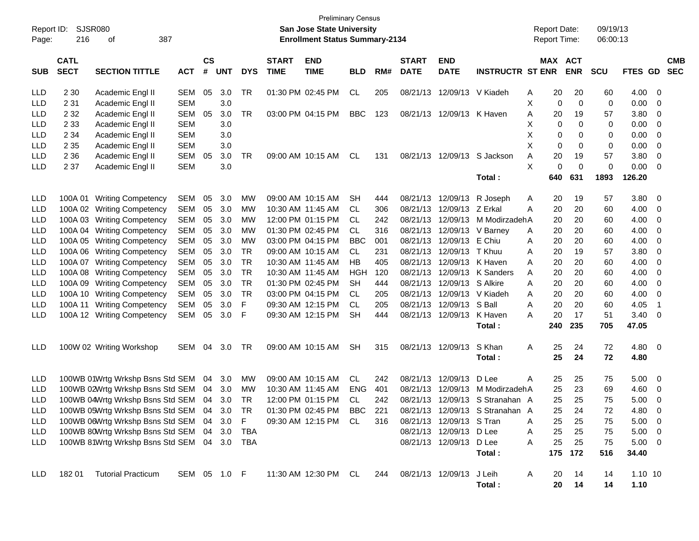| Report ID:<br>Page: | 216                        | <b>SJSR080</b><br>387<br>οf                 |              |                |            |            |                             | <b>Preliminary Census</b><br><b>San Jose State University</b><br><b>Enrollment Status Summary-2134</b> |            |     |                             |                            |                                 | <b>Report Date:</b><br>Report Time: |            | 09/19/13<br>06:00:13 |                   |                         |                          |
|---------------------|----------------------------|---------------------------------------------|--------------|----------------|------------|------------|-----------------------------|--------------------------------------------------------------------------------------------------------|------------|-----|-----------------------------|----------------------------|---------------------------------|-------------------------------------|------------|----------------------|-------------------|-------------------------|--------------------------|
| <b>SUB</b>          | <b>CATL</b><br><b>SECT</b> | <b>SECTION TITTLE</b>                       | <b>ACT</b>   | <b>CS</b><br># | <b>UNT</b> | <b>DYS</b> | <b>START</b><br><b>TIME</b> | <b>END</b><br><b>TIME</b>                                                                              | <b>BLD</b> | RM# | <b>START</b><br><b>DATE</b> | <b>END</b><br><b>DATE</b>  | <b>INSTRUCTR ST ENR</b>         | MAX ACT                             | <b>ENR</b> | <b>SCU</b>           | <b>FTES GD</b>    |                         | <b>CMB</b><br><b>SEC</b> |
| <b>LLD</b>          | 2 3 0                      | Academic Engl II                            | SEM          | 05             | 3.0        | TR         |                             | 01:30 PM 02:45 PM                                                                                      | CL         | 205 |                             | 08/21/13 12/09/13 V Kiadeh |                                 | 20<br>Α                             | 20         | 60                   | 4.00              | 0                       |                          |
| <b>LLD</b>          | 2 3 1                      | Academic Engl II                            | <b>SEM</b>   |                | 3.0        |            |                             |                                                                                                        |            |     |                             |                            |                                 | X<br>$\mathbf 0$                    | 0          | 0                    | 0.00              | 0                       |                          |
| <b>LLD</b>          | 2 3 2                      | Academic Engl II                            | SEM          | 05             | 3.0        | TR         |                             | 03:00 PM 04:15 PM                                                                                      | <b>BBC</b> | 123 |                             | 08/21/13 12/09/13 K Haven  |                                 | Α<br>20                             | 19         | 57                   | 3.80              | 0                       |                          |
| <b>LLD</b>          | 2 3 3                      | Academic Engl II                            | <b>SEM</b>   |                | 3.0        |            |                             |                                                                                                        |            |     |                             |                            |                                 | Χ<br>0                              | 0          | 0                    | 0.00              | 0                       |                          |
| LLD                 | 2 3 4                      | Academic Engl II                            | <b>SEM</b>   |                | 3.0        |            |                             |                                                                                                        |            |     |                             |                            |                                 | X<br>0                              | 0          | 0                    | 0.00              | 0                       |                          |
| <b>LLD</b>          | 2 3 5                      | Academic Engl II                            | <b>SEM</b>   |                | 3.0        |            |                             |                                                                                                        |            |     |                             |                            |                                 | X<br>0                              | 0          | 0                    | 0.00              | 0                       |                          |
| <b>LLD</b>          | 2 3 6                      | Academic Engl II                            | SEM          | 05             | 3.0        | TR         |                             | 09:00 AM 10:15 AM                                                                                      | CL         | 131 |                             |                            | 08/21/13 12/09/13 S Jackson     | 20<br>A                             | 19         | 57                   | 3.80              | 0                       |                          |
| LLD                 | 2 3 7                      | Academic Engl II                            | <b>SEM</b>   |                | 3.0        |            |                             |                                                                                                        |            |     |                             |                            |                                 | X<br>0                              | 0          | 0                    | 0.00              | 0                       |                          |
|                     |                            |                                             |              |                |            |            |                             |                                                                                                        |            |     |                             |                            | Total:                          | 640                                 | 631        | 1893                 | 126.20            |                         |                          |
| LLD                 |                            | 100A 01 Writing Competency                  | SEM          | 05             | 3.0        | <b>MW</b>  |                             | 09:00 AM 10:15 AM                                                                                      | SН         | 444 |                             | 08/21/13 12/09/13          | R Joseph                        | 20<br>Α                             | 19         | 57                   | 3.80              | 0                       |                          |
| LLD                 |                            | 100A 02 Writing Competency                  | <b>SEM</b>   | 05             | 3.0        | <b>MW</b>  |                             | 10:30 AM 11:45 AM                                                                                      | CL.        | 306 | 08/21/13                    | 12/09/13 Z Erkal           |                                 | 20<br>Α                             | 20         | 60                   | 4.00              | 0                       |                          |
| LLD                 |                            | 100A 03 Writing Competency                  | SEM          | 05             | 3.0        | МW         |                             | 12:00 PM 01:15 PM                                                                                      | CL.        | 242 | 08/21/13                    | 12/09/13                   | M ModirzadehA                   | 20                                  | 20         | 60                   | 4.00              | 0                       |                          |
| LLD                 |                            | 100A 04 Writing Competency                  | <b>SEM</b>   | 05             | 3.0        | <b>MW</b>  |                             | 01:30 PM 02:45 PM                                                                                      | CL.        | 316 |                             | 08/21/13 12/09/13 V Barney |                                 | A<br>20                             | 20         | 60                   | 4.00              | 0                       |                          |
| LLD                 |                            | 100A 05 Writing Competency                  | SEM          | 05             | 3.0        | <b>MW</b>  |                             | 03:00 PM 04:15 PM                                                                                      | BBC        | 001 |                             | 08/21/13 12/09/13 E Chiu   |                                 | 20<br>Α                             | 20         | 60                   | 4.00              | 0                       |                          |
| LLD                 |                            | 100A 06 Writing Competency                  | SEM          | 05             | 3.0        | TR         |                             | 09:00 AM 10:15 AM                                                                                      | CL         | 231 | 08/21/13                    | 12/09/13                   | T Khuu                          | 20<br>Α                             | 19         | 57                   | 3.80              | 0                       |                          |
| LLD                 |                            | 100A 07 Writing Competency                  | <b>SEM</b>   | 05             | 3.0        | TR         |                             | 10:30 AM 11:45 AM                                                                                      | HВ         | 405 | 08/21/13                    | 12/09/13 K Haven           |                                 | 20<br>A                             | 20         | 60                   | 4.00              | 0                       |                          |
| LLD                 |                            | 100A 08 Writing Competency                  | <b>SEM</b>   | 05             | 3.0        | TR         |                             | 10:30 AM 11:45 AM                                                                                      | HGH        | 120 | 08/21/13                    |                            | 12/09/13 K Sanders              | 20<br>A                             | 20         | 60                   | 4.00              | 0                       |                          |
| LLD                 |                            | 100A 09 Writing Competency                  | SEM          | 05             | 3.0        | TR         |                             | 01:30 PM 02:45 PM                                                                                      | SН         | 444 | 08/21/13                    | 12/09/13 S Alkire          |                                 | 20<br>A                             | 20         | 60                   | 4.00              | 0                       |                          |
| LLD                 |                            | 100A 10 Writing Competency                  | SEM          | 05             | 3.0        | <b>TR</b>  |                             | 03:00 PM 04:15 PM                                                                                      | CL         | 205 | 08/21/13                    |                            | 12/09/13 V Kiadeh               | 20<br>A                             | 20         | 60                   | 4.00              | 0                       |                          |
| <b>LLD</b>          |                            | 100A 11 Writing Competency                  | <b>SEM</b>   | 05             | 3.0        | F          |                             | 09:30 AM 12:15 PM                                                                                      | СL         | 205 |                             | 08/21/13 12/09/13          | S Ball                          | 20<br>A                             | 20         | 60                   | 4.05              | -1                      |                          |
| <b>LLD</b>          |                            | 100A 12 Writing Competency                  | SEM          | 05             | 3.0        | F          |                             | 09:30 AM 12:15 PM                                                                                      | <b>SH</b>  | 444 |                             | 08/21/13 12/09/13          | K Haven                         | 20<br>A                             | 17         | 51                   | 3.40              | 0                       |                          |
|                     |                            |                                             |              |                |            |            |                             |                                                                                                        |            |     |                             |                            | Total :                         | 240                                 | 235        | 705                  | 47.05             |                         |                          |
| <b>LLD</b>          |                            | 100W 02 Writing Workshop                    | SEM          | 04             | 3.0        | TR         |                             | 09:00 AM 10:15 AM                                                                                      | SН         | 315 | 08/21/13 12/09/13           |                            | S Khan<br>Total:                | 25<br>Α<br>25                       | 24<br>24   | 72<br>72             | 4.80<br>4.80      | $\overline{\mathbf{0}}$ |                          |
| LLD                 |                            | 100WB 01Wrtg Wrkshp Bsns Std SEM            |              | 04             | 3.0        | МW         |                             | 09:00 AM 10:15 AM                                                                                      | CL         | 242 | 08/21/13                    | 12/09/13                   | D Lee                           | A<br>25                             | 25         | 75                   | 5.00              | 0                       |                          |
| <b>LLD</b>          |                            | 100WB 02Wrtg Wrkshp Bsns Std SEM            |              | 04             | 3.0        | <b>MW</b>  |                             | 10:30 AM 11:45 AM                                                                                      | <b>ENG</b> | 401 | 08/21/13                    | 12/09/13                   | M ModirzadehA                   | 25                                  | 23         | 69                   | 4.60              | 0                       |                          |
| <b>LLD</b>          |                            | 100WB 04Wrtg Wrkshp Bsns Std SEM            |              | 04             | 3.0        | TR         |                             | 12:00 PM 01:15 PM                                                                                      | CL.        | 242 |                             |                            | 08/21/13 12/09/13 S Stranahan A | 25                                  | 25         | 75                   | 5.00              | 0                       |                          |
| <b>LLD</b>          |                            | 100WB 05Wrtg Wrkshp Bsns Std SEM 04         |              |                | 3.0        | TR         |                             | 01:30 PM 02:45 PM                                                                                      | <b>BBC</b> | 221 |                             |                            | 08/21/13 12/09/13 S Stranahan A | 25                                  | 24         | 72                   | 4.80              | $\overline{\mathbf{0}}$ |                          |
| LLD                 |                            | 100WB 06Wrtg Wrkshp Bsns Std SEM 04         |              |                | 3.0        | F          |                             | 09:30 AM 12:15 PM                                                                                      | CL         | 316 |                             | 08/21/13 12/09/13 S Tran   |                                 | 25<br>Α                             | 25         | 75                   | $5.00 \t 0$       |                         |                          |
| LLD                 |                            | 100WB 80Wrtg Wrkshp Bsns Std SEM 04 3.0     |              |                |            | TBA        |                             |                                                                                                        |            |     |                             | 08/21/13 12/09/13 D Lee    |                                 | 25<br>Α                             | 25         | 75                   | $5.00 \t 0$       |                         |                          |
| <b>LLD</b>          |                            | 100WB 81Wrtg Wrkshp Bsns Std SEM 04 3.0 TBA |              |                |            |            |                             |                                                                                                        |            |     |                             | 08/21/13 12/09/13 D Lee    |                                 | 25<br>Α                             | 25         | 75                   | $5.00 \t 0$       |                         |                          |
|                     |                            |                                             |              |                |            |            |                             |                                                                                                        |            |     |                             |                            | Total:                          |                                     | 175 172    | 516                  | 34.40             |                         |                          |
| LLD                 | 18201                      | <b>Tutorial Practicum</b>                   | SEM 05 1.0 F |                |            |            |                             | 11:30 AM 12:30 PM CL                                                                                   |            | 244 | 08/21/13 12/09/13           |                            | J Leih<br>Total:                | A<br>20<br>20                       | 14<br>14   | 14<br>14             | $1.10$ 10<br>1.10 |                         |                          |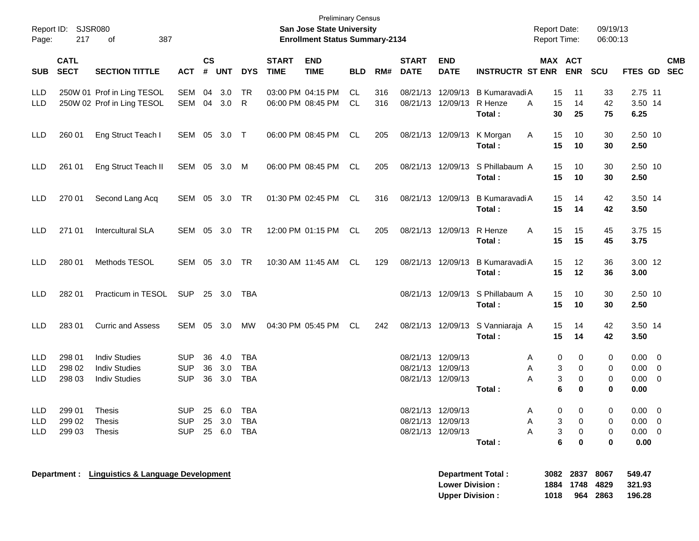| Report ID:<br>Page:                    | 217                        | <b>SJSR080</b><br>387<br>оf                                          |                                        |                             |                   |                                        |                             | <b>Preliminary Census</b><br>San Jose State University<br><b>Enrollment Status Summary-2134</b> |            |            |                             |                                                             |                                     | <b>Report Date:</b><br><b>Report Time:</b> |                                             | 09/19/13<br>06:00:13        |                                                      |                               |
|----------------------------------------|----------------------------|----------------------------------------------------------------------|----------------------------------------|-----------------------------|-------------------|----------------------------------------|-----------------------------|-------------------------------------------------------------------------------------------------|------------|------------|-----------------------------|-------------------------------------------------------------|-------------------------------------|--------------------------------------------|---------------------------------------------|-----------------------------|------------------------------------------------------|-------------------------------|
| <b>SUB</b>                             | <b>CATL</b><br><b>SECT</b> | <b>SECTION TITTLE</b>                                                | <b>ACT</b>                             | $\mathbf{c}\mathbf{s}$<br># | <b>UNT</b>        | <b>DYS</b>                             | <b>START</b><br><b>TIME</b> | <b>END</b><br><b>TIME</b>                                                                       | <b>BLD</b> | RM#        | <b>START</b><br><b>DATE</b> | <b>END</b><br><b>DATE</b>                                   | <b>INSTRUCTR ST ENR</b>             | MAX ACT                                    | <b>ENR</b>                                  | <b>SCU</b>                  | <b>FTES GD</b>                                       | <b>CMB</b><br><b>SEC</b>      |
| <b>LLD</b><br><b>LLD</b>               |                            | 250W 01 Prof in Ling TESOL<br>250W 02 Prof in Ling TESOL             | <b>SEM</b><br><b>SEM</b>               | 04<br>04                    | 3.0<br>3.0        | TR<br>R                                |                             | 03:00 PM 04:15 PM<br>06:00 PM 08:45 PM                                                          | CL<br>CL.  | 316<br>316 |                             | 08/21/13 12/09/13<br>08/21/13 12/09/13                      | B Kumaravadi A<br>R Henze<br>Total: | 15<br>A<br>15<br>30                        | 11<br>14<br>25                              | 33<br>42<br>75              | 2.75 11<br>3.50 14<br>6.25                           |                               |
| <b>LLD</b>                             | 260 01                     | Eng Struct Teach I                                                   | SEM                                    | 05                          | 3.0               | $\top$                                 |                             | 06:00 PM 08:45 PM                                                                               | CL         | 205        |                             | 08/21/13 12/09/13                                           | K Morgan<br>Total:                  | 15<br>A<br>15                              | 10<br>10                                    | 30<br>30                    | 2.50 10<br>2.50                                      |                               |
| LLD                                    | 261 01                     | Eng Struct Teach II                                                  | <b>SEM</b>                             | 05                          | 3.0               | M                                      |                             | 06:00 PM 08:45 PM                                                                               | CL         | 205        |                             | 08/21/13 12/09/13                                           | S Phillabaum A<br>Total:            | 15<br>15                                   | 10<br>10                                    | 30<br>30                    | 2.50 10<br>2.50                                      |                               |
| <b>LLD</b>                             | 270 01                     | Second Lang Acq                                                      | SEM                                    | 05                          | 3.0               | TR                                     |                             | 01:30 PM 02:45 PM                                                                               | CL         | 316        |                             | 08/21/13 12/09/13                                           | B Kumaravadi A<br>Total:            | 15<br>15                                   | 14<br>14                                    | 42<br>42                    | 3.50 14<br>3.50                                      |                               |
| <b>LLD</b>                             | 271 01                     | <b>Intercultural SLA</b>                                             | SEM                                    | 05                          | 3.0               | TR                                     |                             | 12:00 PM 01:15 PM                                                                               | CL.        | 205        |                             | 08/21/13 12/09/13                                           | R Henze<br>Total:                   | A<br>15<br>15                              | 15<br>15                                    | 45<br>45                    | 3.75 15<br>3.75                                      |                               |
| <b>LLD</b>                             | 280 01                     | Methods TESOL                                                        | SEM                                    | 05                          | 3.0               | TR                                     |                             | 10:30 AM 11:45 AM                                                                               | CL.        | 129        |                             | 08/21/13 12/09/13                                           | B Kumaravadi A<br>Total:            | 15<br>15                                   | 12<br>12                                    | 36<br>36                    | 3.00 12<br>3.00                                      |                               |
| <b>LLD</b>                             | 282 01                     | Practicum in TESOL                                                   | <b>SUP</b>                             |                             | 25 3.0            | TBA                                    |                             |                                                                                                 |            |            |                             | 08/21/13 12/09/13                                           | S Phillabaum A<br>Total:            | 15<br>15                                   | 10<br>10                                    | 30<br>30                    | 2.50 10<br>2.50                                      |                               |
| <b>LLD</b>                             | 283 01                     | <b>Curric and Assess</b>                                             | <b>SEM</b>                             | 05                          | 3.0               | <b>MW</b>                              |                             | 04:30 PM 05:45 PM                                                                               | CL.        | 242        |                             | 08/21/13 12/09/13                                           | S Vanniaraja A<br>Total:            | 15<br>15                                   | 14<br>14                                    | 42<br>42                    | 3.50 14<br>3.50                                      |                               |
| <b>LLD</b><br><b>LLD</b><br><b>LLD</b> | 298 01<br>298 02<br>298 03 | <b>Indiv Studies</b><br><b>Indiv Studies</b><br><b>Indiv Studies</b> | <b>SUP</b><br><b>SUP</b><br><b>SUP</b> | 36<br>36<br>36              | 4.0<br>3.0<br>3.0 | <b>TBA</b><br><b>TBA</b><br><b>TBA</b> |                             |                                                                                                 |            |            |                             | 08/21/13 12/09/13<br>08/21/13 12/09/13<br>08/21/13 12/09/13 | Total:                              | 0<br>A<br>3<br>A<br>Α<br>3<br>6            | 0<br>0<br>0<br>0                            | 0<br>0<br>0<br>0            | $0.00 \t 0$<br>0.00<br>0.00<br>0.00                  | $\overline{0}$<br>$\mathbf 0$ |
| LLD<br>LLD<br><b>LLD</b>               | 299 01<br>299 02<br>299 03 | Thesis<br>Thesis<br>Thesis                                           | <b>SUP</b><br><b>SUP</b><br>SUP 25 6.0 |                             | 25 6.0<br>25 3.0  | <b>TBA</b><br>TBA<br>TBA               |                             |                                                                                                 |            |            |                             | 08/21/13 12/09/13<br>08/21/13 12/09/13<br>08/21/13 12/09/13 | Total:                              | A<br>A<br>3<br>3<br>Α<br>6                 | $\mathbf{0}$<br>$\mathbf{0}$<br>0<br>0<br>0 | $\mathbf{0}$<br>0<br>0<br>0 | $0.00 \t 0$<br>$0.00 \quad 0$<br>$0.00 \t 0$<br>0.00 |                               |
|                                        |                            | Department : Linguistics & Language Development                      |                                        |                             |                   |                                        |                             |                                                                                                 |            |            |                             | <b>Lower Division:</b><br><b>Upper Division:</b>            | <b>Department Total:</b>            | 1884<br>1018                               | 3082 2837<br>1748<br>964                    | 8067<br>4829<br>2863        | 549.47<br>321.93<br>196.28                           |                               |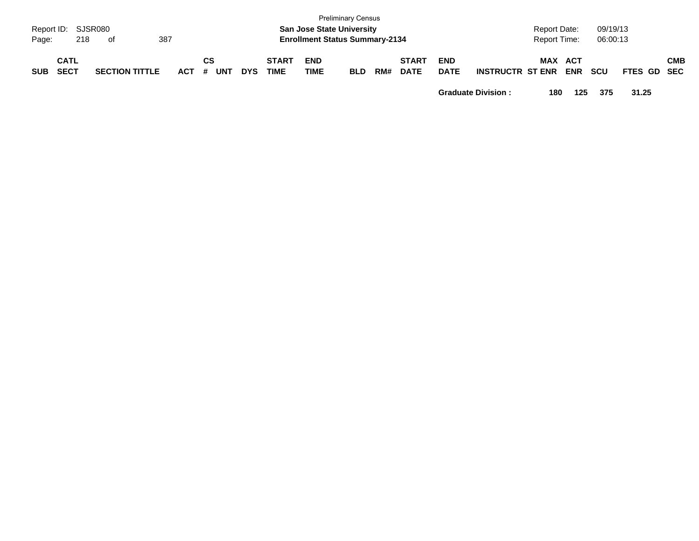| Page:      | Report ID: SJSR080<br>218  | . of                  | 387   |                  |            |                             |                           | <b>Preliminary Census</b><br><b>San Jose State University</b><br><b>Enrollment Status Summary-2134</b> |     |                             |                           |                         | <b>Report Date:</b><br>Report Time: |            | 09/19/13<br>06:00:13 |             |            |
|------------|----------------------------|-----------------------|-------|------------------|------------|-----------------------------|---------------------------|--------------------------------------------------------------------------------------------------------|-----|-----------------------------|---------------------------|-------------------------|-------------------------------------|------------|----------------------|-------------|------------|
| <b>SUB</b> | <b>CATL</b><br><b>SECT</b> | <b>SECTION TITTLE</b> | ACT # | СS<br><b>UNT</b> | <b>DYS</b> | <b>START</b><br><b>TIME</b> | <b>END</b><br><b>TIME</b> | <b>BLD</b>                                                                                             | RM# | <b>START</b><br><b>DATE</b> | <b>END</b><br><b>DATE</b> | <b>INSTRUCTR ST ENR</b> | MAX ACT                             | <b>ENR</b> | <b>SCU</b>           | FTES GD SEC | <b>CMB</b> |

**Graduate Division : 180 125 375 31.25**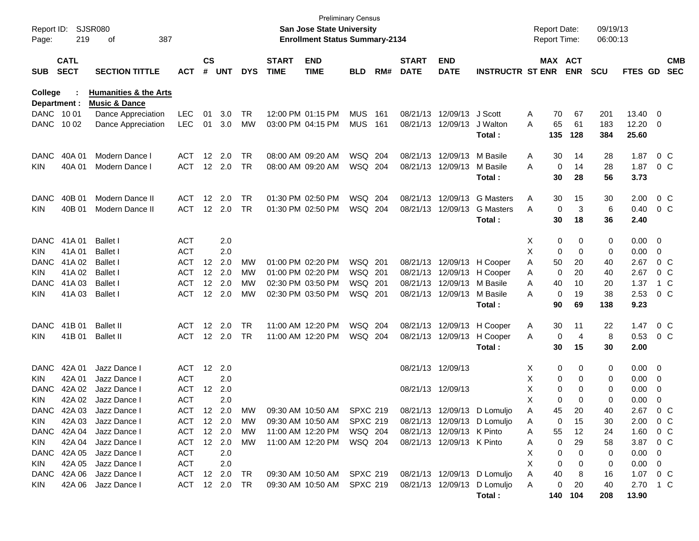| Report ID:<br>Page:       | 219                        | <b>SJSR080</b><br>387<br>οf                     |                   |                   |                  |            |                             | <b>Preliminary Census</b><br><b>San Jose State University</b><br><b>Enrollment Status Summary-2134</b> |                 |     |                             |                           |                             | <b>Report Date:</b> |        | <b>Report Time:</b>   | 09/19/13<br>06:00:13 |                  |         |                          |
|---------------------------|----------------------------|-------------------------------------------------|-------------------|-------------------|------------------|------------|-----------------------------|--------------------------------------------------------------------------------------------------------|-----------------|-----|-----------------------------|---------------------------|-----------------------------|---------------------|--------|-----------------------|----------------------|------------------|---------|--------------------------|
| <b>SUB</b>                | <b>CATL</b><br><b>SECT</b> | <b>SECTION TITTLE</b>                           | ACT               | $\mathsf{cs}$     | # UNT            | <b>DYS</b> | <b>START</b><br><b>TIME</b> | <b>END</b><br><b>TIME</b>                                                                              | <b>BLD</b>      | RM# | <b>START</b><br><b>DATE</b> | <b>END</b><br><b>DATE</b> | <b>INSTRUCTR ST ENR</b>     |                     |        | MAX ACT<br><b>ENR</b> | <b>SCU</b>           | FTES GD          |         | <b>CMB</b><br><b>SEC</b> |
| College                   |                            | <b>Humanities &amp; the Arts</b>                |                   |                   |                  |            |                             |                                                                                                        |                 |     |                             |                           |                             |                     |        |                       |                      |                  |         |                          |
| Department :<br>DANC 1001 |                            | <b>Music &amp; Dance</b><br>Dance Appreciation  | <b>LEC</b>        | 01                | 3.0              | TR         |                             | 12:00 PM 01:15 PM                                                                                      | <b>MUS</b>      | 161 | 08/21/13                    | 12/09/13                  | J Scott                     | A                   | 70     | 67                    | 201                  | 13.40            | 0       |                          |
| DANC                      | 10 02                      | Dance Appreciation                              | <b>LEC</b>        | 01                | 3.0              | MW         | 03:00 PM 04:15 PM           |                                                                                                        | <b>MUS</b>      | 161 | 08/21/13                    | 12/09/13                  | J Walton                    | A                   | 65     | 61                    | 183                  | 12.20            | 0       |                          |
|                           |                            |                                                 |                   |                   |                  |            |                             |                                                                                                        |                 |     |                             |                           | Total:                      |                     | 135    | 128                   | 384                  | 25.60            |         |                          |
| DANC                      | 40A 01                     | Modern Dance I                                  | <b>ACT</b>        | 12                | 2.0              | TR         | 08:00 AM 09:20 AM           |                                                                                                        | WSQ 204         |     | 08/21/13                    | 12/09/13                  | M Basile                    | A                   | 30     | 14                    | 28                   | 1.87             | $0\,C$  |                          |
| KIN.                      | 40A 01                     | Modern Dance I                                  | <b>ACT</b>        |                   | 12 2.0           | <b>TR</b>  | 08:00 AM 09:20 AM           |                                                                                                        | WSQ 204         |     | 08/21/13                    | 12/09/13                  | M Basile                    | A                   | 0      | 14                    | 28                   | 1.87             | $0\,C$  |                          |
|                           |                            |                                                 |                   |                   |                  |            |                             |                                                                                                        |                 |     |                             |                           | Total:                      |                     | 30     | 28                    | 56                   | 3.73             |         |                          |
| <b>DANC</b>               | 40B 01                     | Modern Dance II                                 | <b>ACT</b>        | $12 \,$           | 2.0              | TR         | 01:30 PM 02:50 PM           |                                                                                                        | WSQ 204         |     | 08/21/13                    | 12/09/13                  | <b>G</b> Masters            | A                   | 30     | 15                    | 30                   | 2.00             | $0\,C$  |                          |
| KIN.                      | 40B 01                     | Modern Dance II                                 | <b>ACT</b>        |                   | 12 2.0           | <b>TR</b>  | 01:30 PM 02:50 PM           |                                                                                                        | WSQ 204         |     | 08/21/13                    | 12/09/13                  | <b>G</b> Masters            | A                   | 0      | 3                     | 6                    | 0.40             | $0\,C$  |                          |
|                           |                            |                                                 |                   |                   |                  |            |                             |                                                                                                        |                 |     |                             |                           | Total:                      |                     | 30     | 18                    | 36                   | 2.40             |         |                          |
| <b>DANC</b>               | 41A 01                     | <b>Ballet I</b>                                 | <b>ACT</b>        |                   | 2.0              |            |                             |                                                                                                        |                 |     |                             |                           |                             | X                   | 0      | 0                     | 0                    | 0.00             | 0       |                          |
| KIN.                      | 41A 01                     | <b>Ballet I</b>                                 | <b>ACT</b>        |                   | 2.0              |            |                             |                                                                                                        |                 |     |                             |                           |                             | Х                   | 0      | 0                     | 0                    | 0.00             | 0       |                          |
| DANC                      | 41A 02                     | <b>Ballet I</b>                                 | <b>ACT</b>        | $12 \overline{ }$ | 2.0              | MW         | 01:00 PM 02:20 PM           |                                                                                                        | WSQ 201         |     |                             |                           | 08/21/13 12/09/13 H Cooper  | Α                   | 50     | 20                    | 40                   | 2.67             | $0\,C$  |                          |
| KIN                       | 41A 02                     | <b>Ballet I</b>                                 | <b>ACT</b>        |                   | 12 2.0           | МW         | 01:00 PM 02:20 PM           |                                                                                                        | WSQ 201         |     | 08/21/13                    |                           | 12/09/13 H Cooper           | A                   | 0      | 20                    | 40                   | 2.67             | $0\,C$  |                          |
| <b>DANC</b>               | 41A 03                     | <b>Ballet I</b>                                 | <b>ACT</b>        |                   | 12 2.0           | МW         | 02:30 PM 03:50 PM           |                                                                                                        | WSQ 201         |     | 08/21/13                    | 12/09/13                  | M Basile                    | A                   | 40     | 10                    | 20                   | 1.37             | 1 C     |                          |
| <b>KIN</b>                | 41A 03                     | <b>Ballet I</b>                                 | <b>ACT</b>        | 12                | 2.0              | МW         | 02:30 PM 03:50 PM           |                                                                                                        | WSQ 201         |     |                             | 08/21/13 12/09/13         | M Basile                    | A                   | 0      | 19                    | 38                   | 2.53             | $0\,C$  |                          |
|                           |                            |                                                 |                   |                   |                  |            |                             |                                                                                                        |                 |     |                             |                           | Total:                      |                     | 90     | 69                    | 138                  | 9.23             |         |                          |
| <b>DANC</b>               | 41B 01                     | <b>Ballet II</b>                                | <b>ACT</b>        | $12 \overline{ }$ | 2.0              | TR         | 11:00 AM 12:20 PM           |                                                                                                        | WSQ 204         |     | 08/21/13                    | 12/09/13                  | H Cooper                    | A                   | 30     | 11                    | 22                   | 1.47             | $0\,C$  |                          |
| KIN.                      | 41B 01                     | <b>Ballet II</b>                                | <b>ACT</b>        |                   | 12 2.0           | <b>TR</b>  | 11:00 AM 12:20 PM           |                                                                                                        | WSQ 204         |     |                             | 08/21/13 12/09/13         | H Cooper                    | A                   | 0      | 4                     | 8                    | 0.53             | $0\,C$  |                          |
|                           |                            |                                                 |                   |                   |                  |            |                             |                                                                                                        |                 |     |                             |                           | Total:                      |                     | 30     | 15                    | 30                   | 2.00             |         |                          |
| <b>DANC</b>               | 42A 01                     | Jazz Dance I                                    | <b>ACT</b>        | 12                | 2.0              |            |                             |                                                                                                        |                 |     | 08/21/13 12/09/13           |                           |                             | X                   | 0      | 0                     | 0                    | 0.00             | - 0     |                          |
| KIN.                      | 42A 01                     | Jazz Dance I                                    | <b>ACT</b>        |                   | 2.0              |            |                             |                                                                                                        |                 |     |                             |                           |                             | х                   | 0      | 0                     | 0                    | 0.00             | 0       |                          |
| <b>DANC</b>               | 42A 02                     | Jazz Dance I                                    | <b>ACT</b>        | $12 \overline{ }$ | 2.0              |            |                             |                                                                                                        |                 |     | 08/21/13 12/09/13           |                           |                             | х                   | 0      | 0                     | 0                    | 0.00             | 0       |                          |
| KIN.                      | 42A 02                     | Jazz Dance I                                    | <b>ACT</b>        |                   | 2.0              |            |                             |                                                                                                        |                 |     |                             |                           |                             | X                   | 0      | 0                     | 0                    | 0.00             | 0       |                          |
|                           |                            | DANC 42A 03 Jazz Dance I                        | ACT 12 2.0        |                   |                  | MW         |                             | 09:30 AM 10:50 AM                                                                                      | <b>SPXC 219</b> |     |                             |                           | 08/21/13 12/09/13 D Lomuljo | Α                   | 45     | 20                    | 40                   | 2.67             |         | 0 C                      |
| <b>KIN</b>                |                            | 42A 03 Jazz Dance I                             | ACT 12 2.0        |                   |                  | MW         |                             | 09:30 AM 10:50 AM SPXC 219                                                                             |                 |     |                             |                           | 08/21/13 12/09/13 D Lomuljo | A                   | 0      | 15                    | 30                   | 2.00             | $0\,$ C |                          |
|                           | DANC 42A 04                | Jazz Dance I                                    | ACT               |                   | 12 2.0<br>12 2.0 | MW         |                             | 11:00 AM 12:20 PM  WSQ  204                                                                            |                 |     |                             | 08/21/13 12/09/13 K Pinto |                             | A                   | 55     | 12                    | 24                   | 1.60             | 0 C     |                          |
| KIN                       |                            | 42A 04 Jazz Dance I<br>DANC 42A 05 Jazz Dance I | ACT<br><b>ACT</b> |                   | 2.0              | MW         |                             | 11:00 AM 12:20 PM   WSQ   204                                                                          |                 |     |                             | 08/21/13 12/09/13 K Pinto |                             | Α<br>х              | 0<br>0 | 29<br>0               | 58<br>0              | 3.87 0 C<br>0.00 | 0       |                          |
| KIN                       |                            | 42A 05 Jazz Dance I                             | <b>ACT</b>        |                   | 2.0              |            |                             |                                                                                                        |                 |     |                             |                           |                             | Х                   | 0      | 0                     | 0                    | $0.00 \quad 0$   |         |                          |
|                           |                            | DANC 42A 06 Jazz Dance I                        | ACT 12 2.0        |                   |                  | TR         |                             | 09:30 AM 10:50 AM SPXC 219 08/21/13 12/09/13 D Lomuljo                                                 |                 |     |                             |                           |                             | A                   | 40     | 8                     | 16                   | 1.07 0 C         |         |                          |
| KIN.                      |                            | 42A 06 Jazz Dance I                             | ACT 12 2.0 TR     |                   |                  |            |                             | 09:30 AM 10:50 AM SPXC 219 08/21/13 12/09/13 D Lomuljo                                                 |                 |     |                             |                           |                             | Α                   | 0      | 20                    | 40                   | 2.70 1 C         |         |                          |
|                           |                            |                                                 |                   |                   |                  |            |                             |                                                                                                        |                 |     |                             |                           | Total:                      |                     | 140    | 104                   | 208                  | 13.90            |         |                          |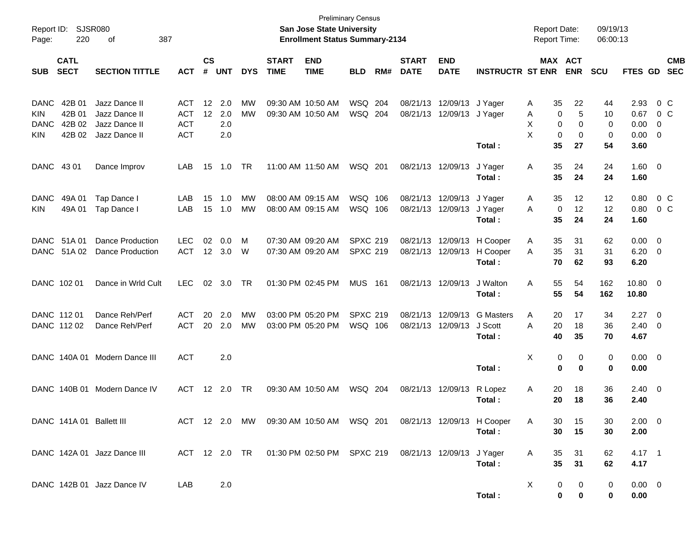| Report ID:<br>Page:                      | 220                                  | SJSR080<br>387<br>оf                                             |                                                      |                    |                          |                        |                                        | <b>Preliminary Census</b><br><b>San Jose State University</b><br><b>Enrollment Status Summary-2134</b> |                                    |            |                             |                           |                                       | <b>Report Date:</b><br><b>Report Time:</b> |                              | 09/19/13<br>06:00:13 |                              |                                                      |                          |
|------------------------------------------|--------------------------------------|------------------------------------------------------------------|------------------------------------------------------|--------------------|--------------------------|------------------------|----------------------------------------|--------------------------------------------------------------------------------------------------------|------------------------------------|------------|-----------------------------|---------------------------|---------------------------------------|--------------------------------------------|------------------------------|----------------------|------------------------------|------------------------------------------------------|--------------------------|
| <b>SUB</b>                               | <b>CATL</b><br><b>SECT</b>           | <b>SECTION TITTLE</b>                                            | <b>ACT</b>                                           | $\mathsf{cs}$<br># | <b>UNT</b>               | <b>DYS</b>             | <b>START</b><br><b>TIME</b>            | <b>END</b><br><b>TIME</b>                                                                              | <b>BLD</b>                         | RM#        | <b>START</b><br><b>DATE</b> | <b>END</b><br><b>DATE</b> | <b>INSTRUCTR ST ENR</b>               |                                            | <b>MAX ACT</b><br><b>ENR</b> | <b>SCU</b>           | FTES GD                      |                                                      | <b>CMB</b><br><b>SEC</b> |
| <b>DANC</b><br>KIN<br><b>DANC</b><br>KIN | 42B 01<br>42B 01<br>42B 02<br>42B 02 | Jazz Dance II<br>Jazz Dance II<br>Jazz Dance II<br>Jazz Dance II | <b>ACT</b><br><b>ACT</b><br><b>ACT</b><br><b>ACT</b> | 12<br>12           | 2.0<br>2.0<br>2.0<br>2.0 | МW<br><b>MW</b>        | 09:30 AM 10:50 AM<br>09:30 AM 10:50 AM |                                                                                                        | WSQ<br>WSQ                         | 204<br>204 | 08/21/13<br>08/21/13        | 12/09/13<br>12/09/13      | J Yager<br>J Yager                    | 35<br>A<br>Α<br>X<br>0<br>X<br>0           | 22<br>5<br>0<br>0<br>0       | 44<br>10<br>0<br>0   | 2.93<br>0.67<br>0.00<br>0.00 | $0\,C$<br>0 <sup>o</sup><br>- 0<br>- 0               |                          |
| DANC 43 01                               |                                      | Dance Improv                                                     | LAB                                                  | 15                 | 1.0                      | <b>TR</b>              | 11:00 AM 11:50 AM                      |                                                                                                        | WSQ 201                            |            | 08/21/13                    | 12/09/13                  | Total:<br>J Yager<br>Total:           | 35<br>35<br>Α<br>35                        | 27<br>24<br>24               | 54<br>24<br>24       | 3.60<br>1.60 0<br>1.60       |                                                      |                          |
| <b>DANC</b><br>KIN.                      | 49A 01<br>49A 01                     | Tap Dance I<br>Tap Dance I                                       | LAB<br>LAB                                           | 15<br>15           | 1.0<br>1.0               | MW<br><b>MW</b>        | 08:00 AM 09:15 AM<br>08:00 AM 09:15 AM |                                                                                                        | WSQ<br>WSQ 106                     | 106        | 08/21/13<br>08/21/13        | 12/09/13<br>12/09/13      | J Yager<br>J Yager<br>Total:          | 35<br>A<br>0<br>A<br>35                    | 12<br>12<br>24               | 12<br>12<br>24       | 0.80<br>0.80<br>1.60         | 0 <sup>o</sup><br>0 <sup>o</sup>                     |                          |
| DANC                                     | 51A 01<br>DANC 51A 02                | <b>Dance Production</b><br><b>Dance Production</b>               | <b>LEC</b><br><b>ACT</b>                             | 02<br>12           | 0.0<br>3.0               | M<br>W                 | 07:30 AM 09:20 AM<br>07:30 AM 09:20 AM |                                                                                                        | <b>SPXC 219</b><br><b>SPXC 219</b> |            | 08/21/13<br>08/21/13        | 12/09/13<br>12/09/13      | H Cooper<br>H Cooper<br>Total:        | 35<br>A<br>35<br>A<br>70                   | 31<br>31<br>62               | 62<br>31<br>93       | 0.00<br>6.20<br>6.20         | $\overline{\phantom{0}}$<br>$\overline{\phantom{0}}$ |                          |
|                                          | DANC 102 01                          | Dance in Wrld Cult                                               | <b>LEC</b>                                           | 02                 | 3.0                      | <b>TR</b>              | 01:30 PM 02:45 PM                      |                                                                                                        | <b>MUS</b>                         | 161        | 08/21/13                    | 12/09/13                  | J Walton<br>Total:                    | 55<br>A<br>55                              | 54<br>54                     | 162<br>162           | 10.80 0<br>10.80             |                                                      |                          |
|                                          | DANC 112 01<br>DANC 112 02           | Dance Reh/Perf<br>Dance Reh/Perf                                 | <b>ACT</b><br><b>ACT</b>                             | 20<br>20           | 2.0<br>2.0               | <b>MW</b><br><b>MW</b> | 03:00 PM 05:20 PM<br>03:00 PM 05:20 PM |                                                                                                        | <b>SPXC 219</b><br>WSQ 106         |            | 08/21/13<br>08/21/13        | 12/09/13<br>12/09/13      | <b>G</b> Masters<br>J Scott<br>Total: | Α<br>20<br>A<br>20<br>40                   | 17<br>18<br>35               | 34<br>36<br>70       | 2.27<br>2.40<br>4.67         | $\overline{\phantom{0}}$<br>$\overline{\mathbf{0}}$  |                          |
|                                          | DANC 140A 01                         | Modern Dance III                                                 | <b>ACT</b>                                           |                    | 2.0                      |                        |                                        |                                                                                                        |                                    |            |                             |                           | Total:                                | X<br>$\bf{0}$                              | 0<br>0<br>0                  | 0<br>0               | $0.00 \t 0$<br>0.00          |                                                      |                          |
|                                          | DANC 140B 01                         | Modern Dance IV                                                  | ACT                                                  | $12 \overline{ }$  | 2.0                      | TR                     | 09:30 AM 10:50 AM                      |                                                                                                        | WSQ 204                            |            | 08/21/13                    | 12/09/13                  | R Lopez<br>Total:                     | 20<br>Α<br>20                              | 18<br>18                     | 36<br>36             | $2.40 \ 0$<br>2.40           |                                                      |                          |
|                                          |                                      | DANC 141A 01 Ballett III                                         |                                                      |                    |                          |                        |                                        | ACT 12 2.0 MW 09:30 AM 10:50 AM WSQ 201                                                                |                                    |            |                             |                           | 08/21/13 12/09/13 H Cooper<br>Total:  | A<br>30<br>30                              | 15<br>15                     | 30<br>30             | $2.00 \t 0$<br>2.00          |                                                      |                          |
|                                          |                                      | DANC 142A 01 Jazz Dance III                                      |                                                      |                    |                          |                        |                                        | ACT 12 2.0 TR  01:30 PM 02:50 PM  SPXC 219                                                             |                                    |            | 08/21/13 12/09/13 J Yager   |                           | Total:                                | 35<br>A<br>35                              | 31<br>31                     | 62<br>62             | $4.17 \quad 1$<br>4.17       |                                                      |                          |
|                                          |                                      | DANC 142B 01 Jazz Dance IV                                       | LAB                                                  |                    | 2.0                      |                        |                                        |                                                                                                        |                                    |            |                             |                           | Total:                                | X                                          | 0<br>0<br>0<br>$\pmb{0}$     | 0<br>0               | $0.00 \t 0$<br>0.00          |                                                      |                          |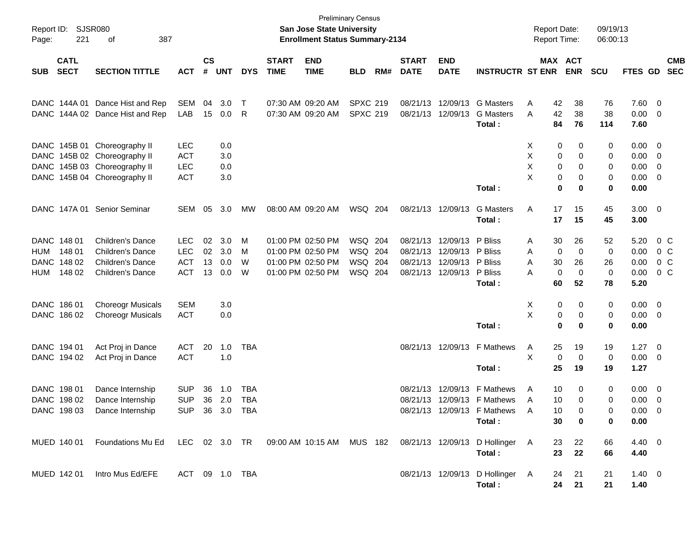| Page:      | Report ID: SJSR080<br>221  | 387<br>of                                                                                 |                |                    |            |            |                             | <b>San Jose State University</b><br><b>Enrollment Status Summary-2134</b> | <b>Preliminary Census</b> |     |                             |                           |                                 | <b>Report Date:</b><br>Report Time: |                       | 09/19/13<br>06:00:13 |                |                |                          |
|------------|----------------------------|-------------------------------------------------------------------------------------------|----------------|--------------------|------------|------------|-----------------------------|---------------------------------------------------------------------------|---------------------------|-----|-----------------------------|---------------------------|---------------------------------|-------------------------------------|-----------------------|----------------------|----------------|----------------|--------------------------|
| <b>SUB</b> | <b>CATL</b><br><b>SECT</b> | <b>SECTION TITTLE</b>                                                                     | <b>ACT</b>     | $\mathsf{cs}$<br># | <b>UNT</b> | <b>DYS</b> | <b>START</b><br><b>TIME</b> | <b>END</b><br><b>TIME</b>                                                 | <b>BLD</b>                | RM# | <b>START</b><br><b>DATE</b> | <b>END</b><br><b>DATE</b> | <b>INSTRUCTR ST ENR</b>         |                                     | MAX ACT<br><b>ENR</b> | <b>SCU</b>           | FTES GD        |                | <b>CMB</b><br><b>SEC</b> |
|            |                            |                                                                                           |                |                    |            |            |                             |                                                                           |                           |     |                             |                           |                                 |                                     |                       |                      |                |                |                          |
|            | DANC 144A 01               | Dance Hist and Rep                                                                        | SEM            | 04                 | 3.0        | $\top$     |                             | 07:30 AM 09:20 AM                                                         | <b>SPXC 219</b>           |     |                             | 08/21/13 12/09/13         | <b>G</b> Masters                | 42<br>Α                             | 38                    | 76                   | 7.60 0         |                |                          |
|            |                            | DANC 144A 02 Dance Hist and Rep                                                           | LAB            | 15                 | 0.0        | R          |                             | 07:30 AM 09:20 AM                                                         | <b>SPXC 219</b>           |     |                             | 08/21/13 12/09/13         | <b>G</b> Masters                | 42<br>A                             | 38                    | 38                   | $0.00 \t 0$    |                |                          |
|            |                            |                                                                                           |                |                    |            |            |                             |                                                                           |                           |     |                             |                           | Total:                          | 84                                  | 76                    | 114                  | 7.60           |                |                          |
|            |                            | DANC 145B 01 Choreography II                                                              | <b>LEC</b>     |                    | 0.0        |            |                             |                                                                           |                           |     |                             |                           |                                 | X                                   | 0<br>0                | 0                    | $0.00 \t 0$    |                |                          |
|            |                            | DANC 145B 02 Choreography II                                                              | <b>ACT</b>     |                    | 3.0        |            |                             |                                                                           |                           |     |                             |                           |                                 | х                                   | 0<br>0                | 0                    | $0.00 \t 0$    |                |                          |
|            |                            | DANC 145B 03 Choreography II                                                              | <b>LEC</b>     |                    | 0.0        |            |                             |                                                                           |                           |     |                             |                           |                                 | Χ                                   | 0<br>0                | 0                    | $0.00 \t 0$    |                |                          |
| DANC .     |                            | 145B 04 Choreography II                                                                   | <b>ACT</b>     |                    | 3.0        |            |                             |                                                                           |                           |     |                             |                           |                                 | X                                   | 0<br>0                | 0                    | $0.00 \t 0$    |                |                          |
|            |                            |                                                                                           |                |                    |            |            |                             |                                                                           |                           |     |                             |                           | Total:                          |                                     | 0<br>0                | 0                    | 0.00           |                |                          |
|            | DANC 147A 01               | <b>Senior Seminar</b>                                                                     | SEM            | 05                 | 3.0        | MW         |                             | 08:00 AM 09:20 AM                                                         | WSQ 204                   |     |                             | 08/21/13 12/09/13         | <b>G</b> Masters                | Α<br>17                             | 15                    | 45                   | $3.00 \ 0$     |                |                          |
|            |                            |                                                                                           |                |                    |            |            |                             |                                                                           |                           |     |                             |                           | Total:                          | 17                                  | 15                    | 45                   | 3.00           |                |                          |
|            | DANC 148 01                | Children's Dance                                                                          | <b>LEC</b>     | 02                 | 3.0        | M          |                             | 01:00 PM 02:50 PM                                                         | WSQ 204                   |     |                             | 08/21/13 12/09/13 P Bliss |                                 | 30<br>Α                             | 26                    | 52                   | 5.20           | 0 C            |                          |
| HUM        | 148 01                     | Children's Dance                                                                          | <b>LEC</b>     | 02                 | 3.0        | M          |                             | 01:00 PM 02:50 PM                                                         | WSQ 204                   |     |                             | 08/21/13 12/09/13 P Bliss |                                 | Α                                   | 0<br>0                | 0                    | 0.00           | $0\,$ C        |                          |
|            | DANC 148 02                | Children's Dance                                                                          | <b>ACT</b>     | 13                 | 0.0        | W          |                             | 01:00 PM 02:50 PM                                                         | WSQ 204                   |     |                             | 08/21/13 12/09/13 P Bliss |                                 | 30<br>A                             | 26                    | 26                   | 0.00           | 0 <sup>o</sup> |                          |
| HUM        | 148 02                     | <b>Children's Dance</b>                                                                   | <b>ACT</b>     | 13                 | 0.0        | W          |                             | 01:00 PM 02:50 PM                                                         | WSQ 204                   |     |                             | 08/21/13 12/09/13 P Bliss |                                 | A                                   | 0<br>0                | 0                    | 0.00           | 0 C            |                          |
|            |                            |                                                                                           |                |                    |            |            |                             |                                                                           |                           |     |                             |                           | Total:                          | 60                                  | 52                    | 78                   | 5.20           |                |                          |
|            | DANC 186 01                | <b>Choreogr Musicals</b>                                                                  | <b>SEM</b>     |                    | 3.0        |            |                             |                                                                           |                           |     |                             |                           |                                 | X                                   | 0<br>0                | 0                    | $0.00 \t 0$    |                |                          |
|            | DANC 186 02                | <b>Choreogr Musicals</b>                                                                  | <b>ACT</b>     |                    | 0.0        |            |                             |                                                                           |                           |     |                             |                           |                                 | Χ                                   | 0<br>0                | 0                    | $0.00 \t 0$    |                |                          |
|            |                            |                                                                                           |                |                    |            |            |                             |                                                                           |                           |     |                             |                           | Total:                          |                                     | 0<br>0                | 0                    | 0.00           |                |                          |
|            | DANC 194 01                | Act Proj in Dance                                                                         | <b>ACT</b>     | 20                 | 1.0        | TBA        |                             |                                                                           |                           |     |                             |                           | 08/21/13 12/09/13 F Mathews     | 25<br>A                             | 19                    | 19                   | $1.27 \t 0$    |                |                          |
|            | DANC 194 02                | Act Proj in Dance                                                                         | <b>ACT</b>     |                    | 1.0        |            |                             |                                                                           |                           |     |                             |                           |                                 | X                                   | 0<br>0                | 0                    | $0.00 \t 0$    |                |                          |
|            |                            |                                                                                           |                |                    |            |            |                             |                                                                           |                           |     |                             |                           | Total:                          | 25                                  | 19                    | 19                   | 1.27           |                |                          |
|            | DANC 198 01                | Dance Internship                                                                          | <b>SUP</b>     | 36                 | 1.0        | TBA        |                             |                                                                           |                           |     |                             | 08/21/13 12/09/13         | F Mathews                       | A<br>10                             | 0                     | 0                    | $0.00 \t 0$    |                |                          |
|            | DANC 198 02                | Dance Internship                                                                          | <b>SUP</b>     | 36                 | 2.0        | <b>TBA</b> |                             |                                                                           |                           |     |                             |                           | 08/21/13 12/09/13 F Mathews     | 10<br>A                             | 0                     | 0                    | $0.00 \t 0$    |                |                          |
|            | DANC 198 03                | Dance Internship                                                                          | <b>SUP</b>     |                    | 36 3.0     | TBA        |                             |                                                                           |                           |     |                             |                           | 08/21/13 12/09/13 F Mathews     | 10<br>A                             | 0                     | 0                    | $0.00 \t 0$    |                |                          |
|            |                            |                                                                                           |                |                    |            |            |                             |                                                                           |                           |     |                             |                           | Total:                          | 30                                  | 0                     | 0                    | 0.00           |                |                          |
|            | MUED 140 01                | Foundations Mu Ed LEC 02 3.0 TR 09:00 AM 10:15 AM MUS 182 08/21/13 12/09/13 D Hollinger A |                |                    |            |            |                             |                                                                           |                           |     |                             |                           |                                 | 23                                  | 22                    | 66                   | $4.40 \quad 0$ |                |                          |
|            |                            |                                                                                           |                |                    |            |            |                             |                                                                           |                           |     |                             |                           | Total:                          | 23                                  | 22                    | 66                   | 4.40           |                |                          |
|            | MUED 142 01                | Intro Mus Ed/EFE                                                                          | ACT 09 1.0 TBA |                    |            |            |                             |                                                                           |                           |     |                             |                           | 08/21/13 12/09/13 D Hollinger A | 24                                  | 21                    | 21                   | $1.40 \ 0$     |                |                          |
|            |                            |                                                                                           |                |                    |            |            |                             |                                                                           |                           |     |                             |                           | Total:                          |                                     | 24 21                 | 21                   | 1.40           |                |                          |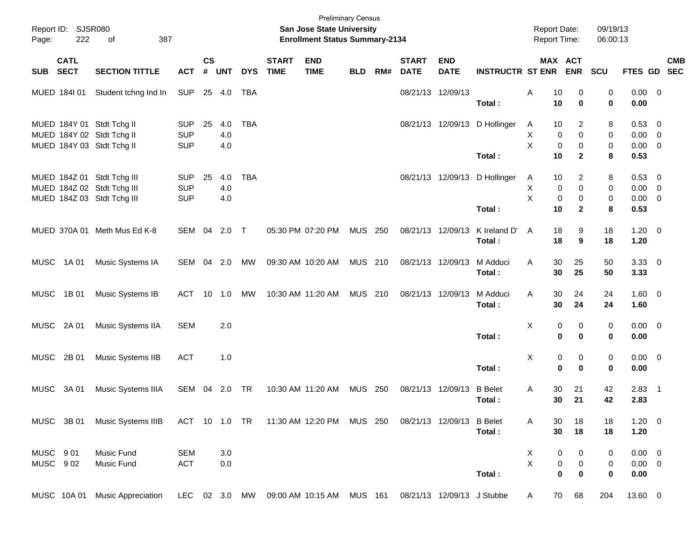| Page:       | Report ID: SJSR080<br>222  | 387<br>of                                                                              |                                        |                         |                   |            |                             | San Jose State University<br><b>Enrollment Status Summary-2134</b> | <b>Preliminary Census</b> |     |                             |                            |                          | Report Date:<br><b>Report Time:</b>             |                                         | 09/19/13<br>06:00:13 |                                    |                                                                                |
|-------------|----------------------------|----------------------------------------------------------------------------------------|----------------------------------------|-------------------------|-------------------|------------|-----------------------------|--------------------------------------------------------------------|---------------------------|-----|-----------------------------|----------------------------|--------------------------|-------------------------------------------------|-----------------------------------------|----------------------|------------------------------------|--------------------------------------------------------------------------------|
| <b>SUB</b>  | <b>CATL</b><br><b>SECT</b> | <b>SECTION TITTLE</b>                                                                  | <b>ACT</b>                             | <b>CS</b><br>$\pmb{\#}$ | <b>UNT</b>        | <b>DYS</b> | <b>START</b><br><b>TIME</b> | <b>END</b><br><b>TIME</b>                                          | <b>BLD</b>                | RM# | <b>START</b><br><b>DATE</b> | <b>END</b><br><b>DATE</b>  | <b>INSTRUCTR ST ENR</b>  | MAX ACT                                         | <b>ENR</b>                              | SCU                  |                                    | <b>CMB</b><br>FTES GD SEC                                                      |
|             | MUED 1841 01               | Student tchng Ind In                                                                   | <b>SUP</b>                             |                         | 25 4.0            | <b>TBA</b> |                             |                                                                    |                           |     |                             | 08/21/13 12/09/13          | Total:                   | Α<br>10<br>10                                   | 0<br>$\mathbf 0$                        | 0<br>0               | $0.00 \t 0$<br>0.00                |                                                                                |
|             |                            | MUED 184Y 01 Stdt Tchg II<br>MUED 184Y 02 Stdt Tchg II<br>MUED 184Y 03 Stdt Tchg II    | <b>SUP</b><br><b>SUP</b><br><b>SUP</b> | 25                      | 4.0<br>4.0<br>4.0 | <b>TBA</b> |                             |                                                                    |                           |     |                             | 08/21/13 12/09/13          | D Hollinger<br>Total:    | 10<br>A<br>X<br>0<br>X<br>$\mathbf 0$<br>10     | 2<br>$\mathbf 0$<br>0<br>$\overline{2}$ | 8<br>0<br>0<br>8     | 0.53<br>0.00<br>0.00<br>0.53       | $\overline{\mathbf{0}}$<br>$\overline{\mathbf{0}}$<br>$\overline{\phantom{0}}$ |
|             |                            | MUED 184Z 01 Stdt Tchg III<br>MUED 184Z 02 Stdt Tchg III<br>MUED 184Z 03 Stdt Tchg III | <b>SUP</b><br><b>SUP</b><br><b>SUP</b> | 25                      | 4.0<br>4.0<br>4.0 | <b>TBA</b> |                             |                                                                    |                           |     |                             | 08/21/13 12/09/13          | D Hollinger<br>Total:    | 10<br>A<br>X<br>0<br>X<br>0<br>10               | 2<br>$\mathbf 0$<br>0<br>$\mathbf{2}$   | 8<br>0<br>0<br>8     | 0.53 0<br>0.00<br>0.00<br>0.53     | $\overline{\phantom{0}}$<br>$\overline{\phantom{0}}$                           |
|             |                            | MUED 370A 01 Meth Mus Ed K-8                                                           | SEM 04                                 |                         | 2.0               | $\top$     |                             | 05:30 PM 07:20 PM                                                  | <b>MUS 250</b>            |     |                             | 08/21/13 12/09/13          | K Ireland D'<br>Total:   | 18<br>A<br>18                                   | 9<br>9                                  | 18<br>18             | $1.20 \t 0$<br>1.20                |                                                                                |
| <b>MUSC</b> | 1A 01                      | Music Systems IA                                                                       | SEM 04 2.0                             |                         |                   | МW         |                             | 09:30 AM 10:20 AM                                                  | MUS 210                   |     |                             | 08/21/13 12/09/13          | M Adduci<br>Total:       | 30<br>A<br>30                                   | 25<br>25                                | 50<br>50             | $3.33 \ 0$<br>3.33                 |                                                                                |
| <b>MUSC</b> | 1B 01                      | Music Systems IB                                                                       | <b>ACT</b>                             | 10                      | 1.0               | МW         |                             | 10:30 AM 11:20 AM                                                  | MUS 210                   |     |                             | 08/21/13 12/09/13          | M Adduci<br>Total:       | 30<br>A<br>30                                   | 24<br>24                                | 24<br>24             | $1.60 \t 0$<br>1.60                |                                                                                |
|             | MUSC 2A 01                 | Music Systems IIA                                                                      | <b>SEM</b>                             |                         | 2.0               |            |                             |                                                                    |                           |     |                             |                            | Total:                   | X<br>0<br>$\bf{0}$                              | 0<br>$\bf{0}$                           | 0<br>0               | $0.00 \t 0$<br>0.00                |                                                                                |
| <b>MUSC</b> | 2B 01                      | Music Systems IIB                                                                      | <b>ACT</b>                             |                         | 1.0               |            |                             |                                                                    |                           |     |                             |                            | Total:                   | X<br>0<br>$\bf{0}$                              | 0<br>$\bf{0}$                           | 0<br>0               | $0.00 \t 0$<br>0.00                |                                                                                |
| MUSC        | 3A 01                      | Music Systems IIIA                                                                     | SEM                                    | 04                      | 2.0               | <b>TR</b>  |                             | 10:30 AM 11:20 AM                                                  | MUS                       | 250 |                             | 08/21/13 12/09/13          | <b>B</b> Belet<br>Total: | 30<br>A<br>30                                   | 21<br>21                                | 42<br>42             | $2.83$ 1<br>2.83                   |                                                                                |
|             | MUSC 3B 01                 | Music Systems IIIB                                                                     |                                        |                         |                   |            |                             | ACT 10 1.0 TR 11:30 AM 12:20 PM MUS 250                            |                           |     |                             | 08/21/13 12/09/13          | <b>B</b> Belet<br>Total: | 30<br>A<br>30                                   | 18<br>18                                | 18<br>18             | $1.20 \t 0$<br>1.20                |                                                                                |
| MUSC 901    | MUSC 902                   | Music Fund<br>Music Fund                                                               | <b>SEM</b><br><b>ACT</b>               |                         | 3.0<br>0.0        |            |                             |                                                                    |                           |     |                             |                            | Total:                   | X<br>0<br>$\mathsf{X}$<br>$\pmb{0}$<br>$\bf{0}$ | 0<br>$\pmb{0}$<br>$\bf{0}$              | 0<br>0<br>0          | $0.00 \t 0$<br>$0.00 \t 0$<br>0.00 |                                                                                |
|             |                            | MUSC 10A 01 Music Appreciation                                                         | LEC 02 3.0 MW                          |                         |                   |            |                             | 09:00 AM 10:15 AM MUS 161                                          |                           |     |                             | 08/21/13 12/09/13 J Stubbe |                          | 70<br>A                                         | 68                                      | 204                  | 13.60 0                            |                                                                                |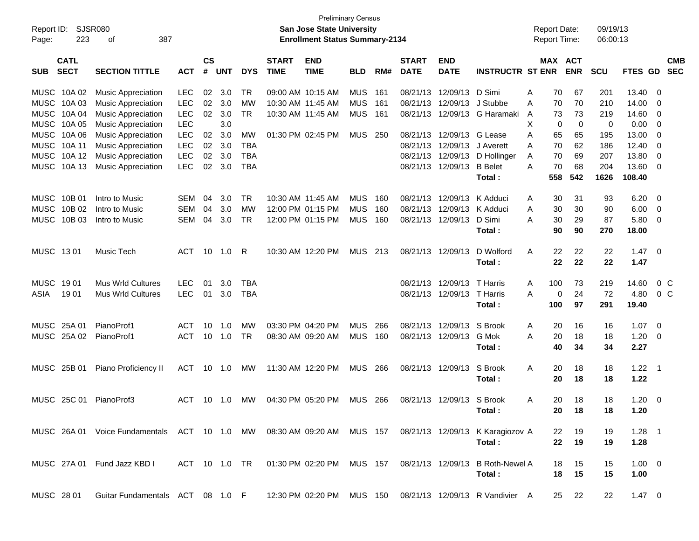| Report ID:<br>Page: | 223                        | SJSR080<br>387<br>οf                                                                                    |            |                |            |            |                             | <b>Preliminary Census</b><br>San Jose State University<br><b>Enrollment Status Summary-2134</b> |            |       |                             |                           |                                                           | <b>Report Date:</b><br><b>Report Time:</b> |                              | 09/19/13<br>06:00:13 |                 |                          |            |
|---------------------|----------------------------|---------------------------------------------------------------------------------------------------------|------------|----------------|------------|------------|-----------------------------|-------------------------------------------------------------------------------------------------|------------|-------|-----------------------------|---------------------------|-----------------------------------------------------------|--------------------------------------------|------------------------------|----------------------|-----------------|--------------------------|------------|
| <b>SUB</b>          | <b>CATL</b><br><b>SECT</b> | <b>SECTION TITTLE</b>                                                                                   | <b>ACT</b> | <b>CS</b><br># | <b>UNT</b> | <b>DYS</b> | <b>START</b><br><b>TIME</b> | <b>END</b><br><b>TIME</b>                                                                       | <b>BLD</b> | RM#   | <b>START</b><br><b>DATE</b> | <b>END</b><br><b>DATE</b> | <b>INSTRUCTR ST ENR</b>                                   |                                            | <b>MAX ACT</b><br><b>ENR</b> | <b>SCU</b>           | FTES GD SEC     |                          | <b>CMB</b> |
|                     | MUSC 10A 02                | <b>Music Appreciation</b>                                                                               | <b>LEC</b> | 02             | 3.0        | TR         |                             | 09:00 AM 10:15 AM                                                                               | MUS        | 161   |                             | 08/21/13 12/09/13         | D Simi                                                    | 70<br>Α                                    | 67                           | 201                  | 13.40           | $\overline{\mathbf{0}}$  |            |
| <b>MUSC</b>         | 10A 03                     | <b>Music Appreciation</b>                                                                               | <b>LEC</b> | 02             | 3.0        | MW         |                             | 10:30 AM 11:45 AM                                                                               | <b>MUS</b> | 161   |                             | 08/21/13 12/09/13         | J Stubbe                                                  | 70<br>Α                                    | 70                           | 210                  | 14.00           | - 0                      |            |
| <b>MUSC</b>         | 10A 04                     | <b>Music Appreciation</b>                                                                               | <b>LEC</b> | 02             | 3.0        | <b>TR</b>  |                             | 10:30 AM 11:45 AM                                                                               | <b>MUS</b> | 161   |                             |                           | 08/21/13 12/09/13 G Haramaki                              | 73<br>A                                    | 73                           | 219                  | 14.60           | $\overline{\mathbf{0}}$  |            |
| <b>MUSC</b>         | 10A 05                     | <b>Music Appreciation</b>                                                                               | <b>LEC</b> |                | 3.0        |            |                             |                                                                                                 |            |       |                             |                           |                                                           | X                                          | 0<br>0                       | 0                    | 0.00            | $\overline{\mathbf{0}}$  |            |
| <b>MUSC</b>         | 10A 06                     | <b>Music Appreciation</b>                                                                               | <b>LEC</b> | 02             | 3.0        | MW         |                             | 01:30 PM 02:45 PM                                                                               | MUS        | -250  |                             | 08/21/13 12/09/13         | G Lease                                                   | 65<br>Α                                    | 65                           | 195                  | 13.00           | 0                        |            |
| <b>MUSC</b>         | 10A 11                     | <b>Music Appreciation</b>                                                                               | <b>LEC</b> | 02             | 3.0        | <b>TBA</b> |                             |                                                                                                 |            |       |                             | 08/21/13 12/09/13         | J Averett                                                 | 70<br>A                                    | 62                           | 186                  | 12.40           | $\overline{\mathbf{0}}$  |            |
| <b>MUSC</b>         | 10A 12                     | <b>Music Appreciation</b>                                                                               | <b>LEC</b> | 02             | 3.0        | <b>TBA</b> |                             |                                                                                                 |            |       |                             | 08/21/13 12/09/13         | D Hollinger                                               | 70<br>A                                    | 69                           | 207                  | 13.80           | 0                        |            |
|                     | MUSC 10A 13                | <b>Music Appreciation</b>                                                                               | <b>LEC</b> | 02             | 3.0        | <b>TBA</b> |                             |                                                                                                 |            |       |                             | 08/21/13 12/09/13         | <b>B</b> Belet<br>Total:                                  | 70<br>A<br>558                             | 68<br>542                    | 204<br>1626          | 13.60<br>108.40 | $\overline{0}$           |            |
|                     | MUSC 10B 01                | Intro to Music                                                                                          | <b>SEM</b> | 04             | 3.0        | TR         |                             | 10:30 AM 11:45 AM                                                                               | <b>MUS</b> | 160   |                             | 08/21/13 12/09/13         | K Adduci                                                  | 30<br>Α                                    | 31                           | 93                   | 6.20            | $\overline{\mathbf{0}}$  |            |
| <b>MUSC</b>         | 10B 02                     | Intro to Music                                                                                          | <b>SEM</b> | 04             | 3.0        | MW         |                             | 12:00 PM 01:15 PM                                                                               | <b>MUS</b> | 160   |                             | 08/21/13 12/09/13         | K Adduci                                                  | 30<br>Α                                    | 30                           | 90                   | 6.00            | $\overline{\mathbf{0}}$  |            |
|                     | MUSC 10B 03                | Intro to Music                                                                                          | <b>SEM</b> | 04             | 3.0        | <b>TR</b>  |                             | 12:00 PM 01:15 PM                                                                               | <b>MUS</b> | 160   |                             | 08/21/13 12/09/13         | D Simi                                                    | 30<br>A                                    | 29                           | 87                   | 5.80            | $\overline{\mathbf{0}}$  |            |
|                     |                            |                                                                                                         |            |                |            |            |                             |                                                                                                 |            |       |                             |                           | Total:                                                    | 90                                         | 90                           | 270                  | 18.00           |                          |            |
| MUSC 1301           |                            | Music Tech                                                                                              | ACT        | 10             | 1.0        | -R         |                             | 10:30 AM 12:20 PM                                                                               | MUS        | 213   |                             | 08/21/13 12/09/13         | D Wolford                                                 | 22<br>A                                    | 22                           | 22                   | 1.47            | $\overline{\mathbf{0}}$  |            |
|                     |                            |                                                                                                         |            |                |            |            |                             |                                                                                                 |            |       |                             |                           | Total:                                                    | 22                                         | 22                           | 22                   | 1.47            |                          |            |
| MUSC                | 1901                       | <b>Mus Wrld Cultures</b>                                                                                | <b>LEC</b> | 01             | 3.0        | TBA        |                             |                                                                                                 |            |       |                             | 08/21/13 12/09/13         | T Harris                                                  | 100<br>A                                   | 73                           | 219                  | 14.60           | $0\,$ C                  |            |
| ASIA                | 1901                       | <b>Mus Wrld Cultures</b>                                                                                | <b>LEC</b> | 01             | 3.0        | <b>TBA</b> |                             |                                                                                                 |            |       |                             | 08/21/13 12/09/13         | T Harris                                                  | A                                          | 24<br>0                      | 72                   | 4.80            | 0 <sup>o</sup>           |            |
|                     |                            |                                                                                                         |            |                |            |            |                             |                                                                                                 |            |       |                             |                           | Total:                                                    | 100                                        | 97                           | 291                  | 19.40           |                          |            |
|                     | MUSC 25A 01                | PianoProf1                                                                                              | ACT        | 10             | 1.0        | МW         |                             | 03:30 PM 04:20 PM                                                                               | <b>MUS</b> | 266   |                             | 08/21/13 12/09/13         | S Brook                                                   | A<br>20                                    | 16                           | 16                   | 1.07            | $\overline{\phantom{0}}$ |            |
|                     | MUSC 25A 02                | PianoProf1                                                                                              | <b>ACT</b> | 10             | 1.0        | <b>TR</b>  |                             | 08:30 AM 09:20 AM                                                                               | <b>MUS</b> | 160   |                             | 08/21/13 12/09/13         | G Mok                                                     | Α<br>20                                    | 18                           | 18                   | 1.20            | $\overline{\mathbf{0}}$  |            |
|                     |                            |                                                                                                         |            |                |            |            |                             |                                                                                                 |            |       |                             |                           | Total:                                                    | 40                                         | 34                           | 34                   | 2.27            |                          |            |
|                     | MUSC 25B 01                | Piano Proficiency II                                                                                    | ACT        |                | 10 1.0     | <b>MW</b>  |                             | 11:30 AM 12:20 PM                                                                               | MUS        | - 266 |                             | 08/21/13 12/09/13         | S Brook                                                   | A<br>20                                    | 18                           | 18                   | 1.22            | - 1                      |            |
|                     |                            |                                                                                                         |            |                |            |            |                             |                                                                                                 |            |       |                             |                           | Total:                                                    | 20                                         | 18                           | 18                   | 1.22            |                          |            |
|                     |                            | MUSC 25C 01 PianoProf3                                                                                  | ACT        |                | 10 1.0     | MW.        |                             | 04:30 PM 05:20 PM                                                                               | MUS 266    |       |                             | 08/21/13 12/09/13 S Brook |                                                           | 20<br>A                                    | 18                           | 18                   | 1.20            | $\overline{\mathbf{0}}$  |            |
|                     |                            |                                                                                                         |            |                |            |            |                             |                                                                                                 |            |       |                             |                           | Total:                                                    |                                            | 20 18                        | 18                   | 1.20            |                          |            |
|                     |                            | MUSC 26A 01 Voice Fundamentals ACT 10 1.0 MW 08:30 AM 09:20 AM MUS 157 08/21/13 12/09/13 K Karagiozov A |            |                |            |            |                             |                                                                                                 |            |       |                             |                           |                                                           | 22                                         | - 19                         | 19                   | $1.28$ 1        |                          |            |
|                     |                            |                                                                                                         |            |                |            |            |                             |                                                                                                 |            |       |                             |                           | Total:                                                    | 22                                         | 19                           | 19                   | 1.28            |                          |            |
|                     |                            | MUSC 27A 01 Fund Jazz KBD I                                                                             |            |                |            |            |                             | ACT 10 1.0 TR  01:30 PM  02:20 PM  MUS  157                                                     |            |       |                             | 08/21/13 12/09/13         | <b>B</b> Roth-Newel A                                     | 18                                         | 15                           | 15                   | $1.00 \t 0$     |                          |            |
|                     |                            |                                                                                                         |            |                |            |            |                             |                                                                                                 |            |       |                             |                           | Total:                                                    | 18                                         | 15                           | 15                   | 1.00            |                          |            |
| MUSC 28 01          |                            | Guitar Fundamentals ACT 08 1.0 F                                                                        |            |                |            |            |                             |                                                                                                 |            |       |                             |                           | 12:30 PM 02:20 PM MUS 150 08/21/13 12/09/13 R Vandivier A | 25                                         | 22                           | 22                   | $1.47 \t 0$     |                          |            |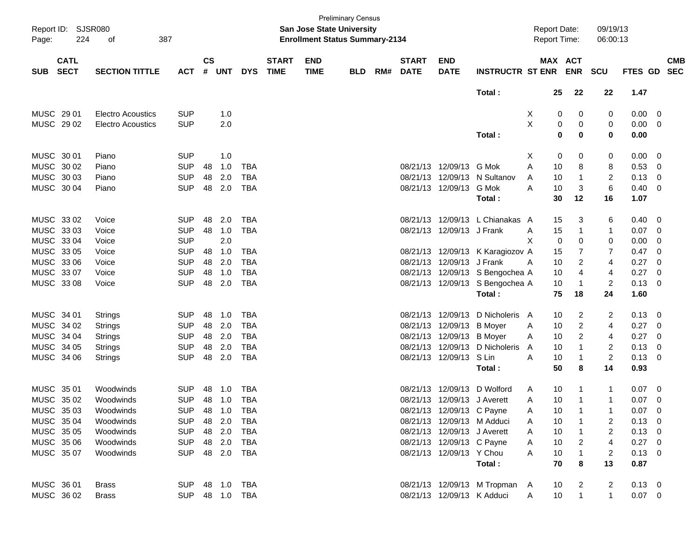| Page:      | Report ID: SJSR080<br>224  | 387<br>of                |                |                    |              |            |                             | <b>San Jose State University</b><br><b>Enrollment Status Summary-2134</b> | <b>Preliminary Census</b> |     |                             |                             |                                  | <b>Report Date:</b><br><b>Report Time:</b> |                       | 09/19/13<br>06:00:13 |            |   |                          |
|------------|----------------------------|--------------------------|----------------|--------------------|--------------|------------|-----------------------------|---------------------------------------------------------------------------|---------------------------|-----|-----------------------------|-----------------------------|----------------------------------|--------------------------------------------|-----------------------|----------------------|------------|---|--------------------------|
| <b>SUB</b> | <b>CATL</b><br><b>SECT</b> | <b>SECTION TITTLE</b>    | <b>ACT</b>     | $\mathsf{cs}$<br># | <b>UNT</b>   | <b>DYS</b> | <b>START</b><br><b>TIME</b> | <b>END</b><br><b>TIME</b>                                                 | <b>BLD</b>                | RM# | <b>START</b><br><b>DATE</b> | <b>END</b><br><b>DATE</b>   | <b>INSTRUCTR ST ENR</b>          |                                            | MAX ACT<br><b>ENR</b> | <b>SCU</b>           | FTES GD    |   | <b>CMB</b><br><b>SEC</b> |
|            |                            |                          |                |                    |              |            |                             |                                                                           |                           |     |                             |                             | Total:                           |                                            | 25<br>22              | 22                   | 1.47       |   |                          |
|            | MUSC 29 01                 | <b>Electro Acoustics</b> | <b>SUP</b>     |                    | 1.0          |            |                             |                                                                           |                           |     |                             |                             |                                  | X                                          | 0<br>0                | 0                    | 0.00       | 0 |                          |
|            | MUSC 29 02                 | <b>Electro Acoustics</b> | <b>SUP</b>     |                    | 2.0          |            |                             |                                                                           |                           |     |                             |                             |                                  | X                                          | 0<br>0                | 0                    | 0.00       | 0 |                          |
|            |                            |                          |                |                    |              |            |                             |                                                                           |                           |     |                             |                             | Total:                           |                                            | 0<br>0                | 0                    | 0.00       |   |                          |
|            | MUSC 30 01                 | Piano                    | <b>SUP</b>     |                    | 1.0          |            |                             |                                                                           |                           |     |                             |                             |                                  | Х                                          | 0<br>0                | 0                    | 0.00       | 0 |                          |
|            | MUSC 30 02                 | Piano                    | <b>SUP</b>     | 48                 | 1.0          | <b>TBA</b> |                             |                                                                           |                           |     | 08/21/13                    | 12/09/13                    | G Mok                            | Α                                          | 8<br>10               | 8                    | 0.53       | 0 |                          |
|            | MUSC 30 03                 | Piano                    | <b>SUP</b>     | 48                 | 2.0          | <b>TBA</b> |                             |                                                                           |                           |     | 08/21/13                    | 12/09/13                    | N Sultanov                       | A                                          | 10<br>1               | 2                    | 0.13       | 0 |                          |
|            | MUSC 30 04                 | Piano                    | <b>SUP</b>     | 48                 | 2.0          | <b>TBA</b> |                             |                                                                           |                           |     |                             | 08/21/13 12/09/13           | G Mok                            | A                                          | 10<br>3               | $6\phantom{1}6$      | 0.40       | 0 |                          |
|            |                            |                          |                |                    |              |            |                             |                                                                           |                           |     |                             |                             | Total:                           |                                            | 30<br>12              | 16                   | 1.07       |   |                          |
|            | MUSC 33 02                 | Voice                    | <b>SUP</b>     | 48                 | 2.0          | <b>TBA</b> |                             |                                                                           |                           |     | 08/21/13                    |                             | 12/09/13 L Chianakas A           |                                            | 15<br>3               | 6                    | 0.40       | 0 |                          |
|            | MUSC 3303                  | Voice                    | <b>SUP</b>     | 48                 | 1.0          | <b>TBA</b> |                             |                                                                           |                           |     | 08/21/13                    | 12/09/13 J Frank            |                                  | Α                                          | 15<br>1               | 1                    | 0.07       | 0 |                          |
|            | MUSC 33 04                 | Voice                    | <b>SUP</b>     |                    | 2.0          |            |                             |                                                                           |                           |     |                             |                             |                                  | X                                          | 0<br>0                | 0                    | 0.00       | 0 |                          |
|            | MUSC 33 05                 | Voice                    | <b>SUP</b>     | 48                 | 1.0          | <b>TBA</b> |                             |                                                                           |                           |     |                             |                             | 08/21/13 12/09/13 K Karagiozov A |                                            | 7<br>15               | $\overline{7}$       | 0.47       | 0 |                          |
|            | MUSC 33 06                 | Voice                    | <b>SUP</b>     | 48                 | 2.0          | <b>TBA</b> |                             |                                                                           |                           |     | 08/21/13                    | 12/09/13 J Frank            |                                  | A                                          | 10<br>2               | 4                    | 0.27       | 0 |                          |
|            | MUSC 33 07                 | Voice                    | <b>SUP</b>     | 48                 | 1.0          | <b>TBA</b> |                             |                                                                           |                           |     | 08/21/13                    |                             | 12/09/13 S Bengochea A           |                                            | 10<br>4               | 4                    | 0.27       | 0 |                          |
|            | MUSC 33 08                 | Voice                    | <b>SUP</b>     | 48                 | 2.0          | <b>TBA</b> |                             |                                                                           |                           |     |                             |                             | 08/21/13 12/09/13 S Bengochea A  |                                            | 10<br>$\mathbf{1}$    | $\overline{c}$       | 0.13       | 0 |                          |
|            |                            |                          |                |                    |              |            |                             |                                                                           |                           |     |                             |                             | Total:                           | 75                                         | 18                    | 24                   | 1.60       |   |                          |
|            | MUSC 34 01                 | <b>Strings</b>           | <b>SUP</b>     | 48                 | 1.0          | <b>TBA</b> |                             |                                                                           |                           |     | 08/21/13                    | 12/09/13                    | D Nicholeris A                   |                                            | 10<br>2               | 2                    | 0.13       | 0 |                          |
|            | MUSC 34 02                 | Strings                  | <b>SUP</b>     | 48                 | 2.0          | <b>TBA</b> |                             |                                                                           |                           |     | 08/21/13                    | 12/09/13                    | <b>B</b> Moyer                   | A                                          | $\overline{c}$<br>10  | 4                    | 0.27       | 0 |                          |
|            | MUSC 34 04                 | Strings                  | <b>SUP</b>     | 48                 | 2.0          | <b>TBA</b> |                             |                                                                           |                           |     | 08/21/13                    | 12/09/13 B Moyer            |                                  | A                                          | $\overline{c}$<br>10  | 4                    | 0.27       | 0 |                          |
|            | MUSC 34 05                 | <b>Strings</b>           | <b>SUP</b>     | 48                 | 2.0          | <b>TBA</b> |                             |                                                                           |                           |     | 08/21/13                    | 12/09/13                    | D Nicholeris                     | A                                          | 10<br>1               | 2                    | 0.13       | 0 |                          |
|            | MUSC 34 06                 | Strings                  | <b>SUP</b>     | 48                 | 2.0          | <b>TBA</b> |                             |                                                                           |                           |     |                             | 08/21/13 12/09/13           | S Lin                            | A                                          | 10<br>1               | $\overline{c}$       | 0.13       | 0 |                          |
|            |                            |                          |                |                    |              |            |                             |                                                                           |                           |     |                             |                             | Total:                           |                                            | 50<br>8               | 14                   | 0.93       |   |                          |
|            | MUSC 3501                  | Woodwinds                | <b>SUP</b>     | 48                 | 1.0          | <b>TBA</b> |                             |                                                                           |                           |     | 08/21/13                    | 12/09/13                    | D Wolford                        | A                                          | 10<br>1               | 1                    | 0.07       | 0 |                          |
|            | MUSC 35 02                 | Woodwinds                | <b>SUP</b>     | 48                 | 1.0          | <b>TBA</b> |                             |                                                                           |                           |     |                             | 08/21/13 12/09/13 J Averett |                                  | A                                          | 10<br>1               | 1                    | 0.07       | 0 |                          |
|            | MUSC 35 03                 | Woodwinds                | <b>SUP</b>     |                    | 48 1.0       | TBA        |                             |                                                                           |                           |     |                             | 08/21/13 12/09/13 C Payne   |                                  | A                                          | 10                    |                      | $0.07$ 0   |   |                          |
|            | MUSC 35 04                 | Woodwinds                | <b>SUP</b>     |                    | 48 2.0       | TBA        |                             |                                                                           |                           |     |                             | 08/21/13 12/09/13 M Adduci  |                                  | A                                          | 10                    | 2                    | $0.13 \ 0$ |   |                          |
|            | MUSC 35 05                 | Woodwinds                | <b>SUP</b>     |                    | 48 2.0       | TBA        |                             |                                                                           |                           |     |                             | 08/21/13 12/09/13 J Averett |                                  | A                                          | 10<br>$\mathbf{1}$    | 2                    | $0.13 \ 0$ |   |                          |
|            | MUSC 35 06                 | Woodwinds                | <b>SUP</b>     |                    | 48 2.0       | TBA        |                             |                                                                           |                           |     |                             | 08/21/13 12/09/13 C Payne   |                                  | A                                          | 10<br>2               | 4                    | $0.27$ 0   |   |                          |
|            | MUSC 3507                  | Woodwinds                | <b>SUP</b>     |                    | 48 2.0 TBA   |            |                             |                                                                           |                           |     |                             | 08/21/13 12/09/13 Y Chou    |                                  | Α                                          | 10                    | 2                    | $0.13 \ 0$ |   |                          |
|            |                            |                          |                |                    |              |            |                             |                                                                           |                           |     |                             |                             | Total:                           |                                            | 70<br>8               | 13                   | 0.87       |   |                          |
|            | MUSC 36 01                 | <b>Brass</b>             | SUP 48 1.0 TBA |                    |              |            |                             |                                                                           |                           |     |                             |                             | 08/21/13 12/09/13 M Tropman A    |                                            | 10<br>2               | 2                    | $0.13 \ 0$ |   |                          |
|            | MUSC 36 02                 | <b>Brass</b>             | <b>SUP</b>     |                    | 48  1.0  TBA |            |                             |                                                                           |                           |     |                             | 08/21/13 12/09/13 K Adduci  |                                  | A                                          | 10                    | $\mathbf{1}$         | $0.07$ 0   |   |                          |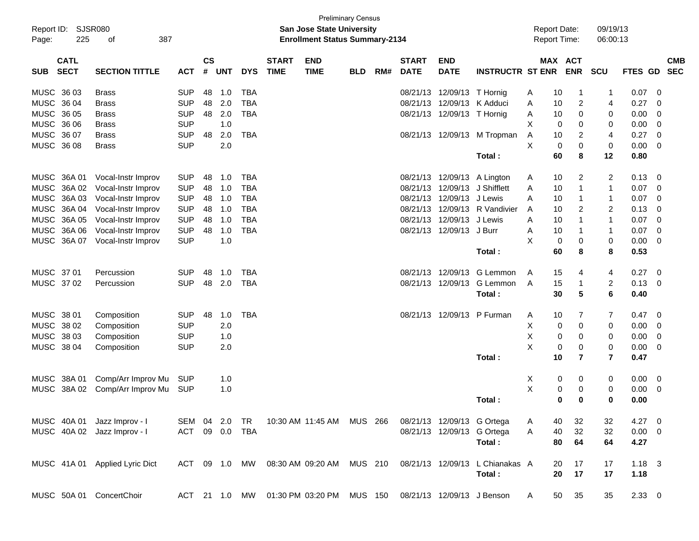| Page:       | Report ID: SJSR080<br>225  | 387<br>οf                      |                |                |            |            |                             | <b>Preliminary Census</b><br><b>San Jose State University</b><br><b>Enrollment Status Summary-2134</b> |            |     |                             |                            |                                 | <b>Report Date:</b><br><b>Report Time:</b> |                          | 09/19/13<br>06:00:13    |                |                |                          |
|-------------|----------------------------|--------------------------------|----------------|----------------|------------|------------|-----------------------------|--------------------------------------------------------------------------------------------------------|------------|-----|-----------------------------|----------------------------|---------------------------------|--------------------------------------------|--------------------------|-------------------------|----------------|----------------|--------------------------|
| <b>SUB</b>  | <b>CATL</b><br><b>SECT</b> | <b>SECTION TITTLE</b>          | <b>ACT</b>     | <b>CS</b><br># | <b>UNT</b> | <b>DYS</b> | <b>START</b><br><b>TIME</b> | <b>END</b><br><b>TIME</b>                                                                              | <b>BLD</b> | RM# | <b>START</b><br><b>DATE</b> | <b>END</b><br><b>DATE</b>  | <b>INSTRUCTR ST ENR</b>         |                                            | MAX ACT<br><b>ENR</b>    | <b>SCU</b>              | <b>FTES GD</b> |                | <b>CMB</b><br><b>SEC</b> |
| MUSC 36 03  |                            | <b>Brass</b>                   | <b>SUP</b>     | 48             | 1.0        | <b>TBA</b> |                             |                                                                                                        |            |     | 08/21/13                    | 12/09/13 T Hornig          |                                 | 10<br>A                                    | $\mathbf 1$              | 1                       | 0.07           | 0              |                          |
| MUSC 36 04  |                            | <b>Brass</b>                   | <b>SUP</b>     | 48             | 2.0        | <b>TBA</b> |                             |                                                                                                        |            |     | 08/21/13                    |                            | 12/09/13 K Adduci               | 10<br>Α                                    | $\overline{c}$           | 4                       | 0.27           | - 0            |                          |
| MUSC 36 05  |                            | <b>Brass</b>                   | <b>SUP</b>     |                | 48 2.0     | <b>TBA</b> |                             |                                                                                                        |            |     |                             | 08/21/13 12/09/13 T Hornig |                                 | Α<br>10                                    | 0                        | 0                       | 0.00           | 0              |                          |
| MUSC 36 06  |                            | <b>Brass</b>                   | <b>SUP</b>     |                | 1.0        |            |                             |                                                                                                        |            |     |                             |                            |                                 | X                                          | $\mathbf 0$<br>0         | 0                       | 0.00           | 0              |                          |
| MUSC 36 07  |                            | <b>Brass</b>                   | <b>SUP</b>     | 48             | 2.0        | <b>TBA</b> |                             |                                                                                                        |            |     |                             |                            | 08/21/13 12/09/13 M Tropman     | Α<br>10                                    | $\overline{c}$           | 4                       | 0.27           | $\overline{0}$ |                          |
| MUSC 36 08  |                            | <b>Brass</b>                   | <b>SUP</b>     |                | 2.0        |            |                             |                                                                                                        |            |     |                             |                            |                                 | X                                          | $\pmb{0}$<br>$\mathbf 0$ | 0                       | 0.00           | $\overline{0}$ |                          |
|             |                            |                                |                |                |            |            |                             |                                                                                                        |            |     |                             |                            | Total:                          | 60                                         | 8                        | 12                      | 0.80           |                |                          |
|             | MUSC 36A 01                | Vocal-Instr Improv             | <b>SUP</b>     | 48             | 1.0        | <b>TBA</b> |                             |                                                                                                        |            |     |                             |                            | 08/21/13 12/09/13 A Lington     | 10<br>A                                    | 2                        | 2                       | 0.13           | - 0            |                          |
|             | MUSC 36A 02                | Vocal-Instr Improv             | <b>SUP</b>     | 48             | 1.0        | <b>TBA</b> |                             |                                                                                                        |            |     | 08/21/13                    |                            | 12/09/13 J Shifflett            | A<br>10                                    | $\mathbf{1}$             | 1                       | 0.07           | 0              |                          |
|             | MUSC 36A 03                | Vocal-Instr Improv             | <b>SUP</b>     | 48             | 1.0        | <b>TBA</b> |                             |                                                                                                        |            |     | 08/21/13                    | 12/09/13 J Lewis           |                                 | A<br>10                                    | $\mathbf{1}$             | 1                       | 0.07           | 0              |                          |
| <b>MUSC</b> | 36A 04                     | Vocal-Instr Improv             | <b>SUP</b>     | 48             | 1.0        | <b>TBA</b> |                             |                                                                                                        |            |     | 08/21/13                    |                            | 12/09/13 R Vandivier            | 10<br>A                                    | $\overline{2}$           | $\overline{c}$          | 0.13           | 0              |                          |
| <b>MUSC</b> | 36A 05                     | Vocal-Instr Improv             | <b>SUP</b>     | 48             | 1.0        | <b>TBA</b> |                             |                                                                                                        |            |     | 08/21/13                    | 12/09/13                   | J Lewis                         | A<br>10                                    | $\mathbf{1}$             | 1                       | 0.07           | $\overline{0}$ |                          |
|             | MUSC 36A 06                | Vocal-Instr Improv             | <b>SUP</b>     | 48             | 1.0        | <b>TBA</b> |                             |                                                                                                        |            |     |                             | 08/21/13 12/09/13 J Burr   |                                 | 10<br>Α                                    | $\mathbf 1$              | $\mathbf{1}$            | 0.07           | $\overline{0}$ |                          |
|             | MUSC 36A 07                | Vocal-Instr Improv             | <b>SUP</b>     |                | 1.0        |            |                             |                                                                                                        |            |     |                             |                            |                                 | X                                          | $\mathbf 0$<br>0         | 0                       | 0.00           | 0              |                          |
|             |                            |                                |                |                |            |            |                             |                                                                                                        |            |     |                             |                            | Total:                          | 60                                         | 8                        | 8                       | 0.53           |                |                          |
| MUSC 37 01  |                            | Percussion                     | <b>SUP</b>     | 48             | 1.0        | <b>TBA</b> |                             |                                                                                                        |            |     | 08/21/13                    | 12/09/13                   | G Lemmon                        | 15<br>A                                    | 4                        | 4                       | 0.27           | - 0            |                          |
| MUSC 37 02  |                            | Percussion                     | <b>SUP</b>     | 48             | 2.0        | <b>TBA</b> |                             |                                                                                                        |            |     |                             | 08/21/13 12/09/13          | G Lemmon                        | 15<br>A                                    | $\mathbf{1}$             | $\overline{\mathbf{c}}$ | 0.13           | - 0            |                          |
|             |                            |                                |                |                |            |            |                             |                                                                                                        |            |     |                             |                            | Total:                          | 30                                         | $5\phantom{.0}$          | 6                       | 0.40           |                |                          |
| MUSC 38 01  |                            | Composition                    | <b>SUP</b>     | 48             | 1.0        | <b>TBA</b> |                             |                                                                                                        |            |     | 08/21/13                    |                            | 12/09/13 P Furman               | 10<br>A                                    | 7                        | 7                       | 0.47           | - 0            |                          |
| MUSC 38 02  |                            | Composition                    | <b>SUP</b>     |                | 2.0        |            |                             |                                                                                                        |            |     |                             |                            |                                 | X                                          | $\mathbf 0$<br>0         | 0                       | 0.00           | 0              |                          |
| MUSC 38 03  |                            | Composition                    | <b>SUP</b>     |                | 1.0        |            |                             |                                                                                                        |            |     |                             |                            |                                 | X                                          | 0<br>0                   | 0                       | 0.00           | 0              |                          |
| MUSC 38 04  |                            | Composition                    | <b>SUP</b>     |                | 2.0        |            |                             |                                                                                                        |            |     |                             |                            |                                 | Χ                                          | $\pmb{0}$<br>0           | 0                       | 0.00           | 0              |                          |
|             |                            |                                |                |                |            |            |                             |                                                                                                        |            |     |                             |                            | Total:                          | 10                                         | $\overline{7}$           | $\overline{7}$          | 0.47           |                |                          |
|             | MUSC 38A 01                | Comp/Arr Improv Mu             | <b>SUP</b>     |                | 1.0        |            |                             |                                                                                                        |            |     |                             |                            |                                 | X                                          | 0<br>0                   | 0                       | 0.00           | - 0            |                          |
|             | MUSC 38A 02                | Comp/Arr Improv Mu             | <b>SUP</b>     |                | 1.0        |            |                             |                                                                                                        |            |     |                             |                            |                                 | X                                          | 0<br>0                   | 0                       | 0.00           | 0              |                          |
|             |                            |                                |                |                |            |            |                             |                                                                                                        |            |     |                             |                            | Total:                          |                                            | $\bf{0}$<br>0            | 0                       | 0.00           |                |                          |
|             |                            | MUSC 40A 01 Jazz Improv - I    | SEM 04 2.0     |                |            | TR         |                             | 10:30 AM 11:45 AM MUS 266                                                                              |            |     |                             |                            | 08/21/13 12/09/13 G Ortega      | 40<br>A                                    | 32                       | 32                      | $4.27 \t 0$    |                |                          |
|             |                            | MUSC 40A 02 Jazz Improv - I    | ACT 09 0.0 TBA |                |            |            |                             |                                                                                                        |            |     |                             |                            | 08/21/13 12/09/13 G Ortega      | 40<br>A                                    | 32                       | 32                      | $0.00 \t 0$    |                |                          |
|             |                            |                                |                |                |            |            |                             |                                                                                                        |            |     |                             |                            | Total:                          | 80                                         | 64                       | 64                      | 4.27           |                |                          |
|             |                            | MUSC 41A 01 Applied Lyric Dict |                |                |            |            |                             | ACT 09 1.0 MW 08:30 AM 09:20 AM MUS 210                                                                |            |     |                             |                            | 08/21/13 12/09/13 L Chianakas A | 20                                         | 17                       | 17                      | $1.18$ 3       |                |                          |
|             |                            |                                |                |                |            |            |                             |                                                                                                        |            |     |                             |                            | Total:                          | 20                                         | 17                       | 17                      | 1.18           |                |                          |
|             |                            | MUSC 50A 01 ConcertChoir       |                |                |            |            |                             | ACT 21 1.0 MW 01:30 PM 03:20 PM MUS 150                                                                |            |     |                             |                            | 08/21/13 12/09/13 J Benson      | 50<br>A                                    | 35                       | 35                      | $2.33 \t0$     |                |                          |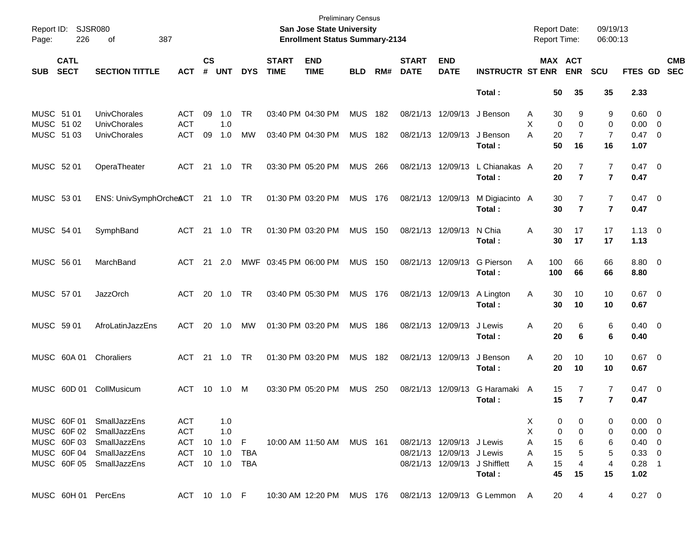| Page:                    | Report ID: SJSR080<br>226  | 387<br>of                                |                          |                    |            |            |                             | <b>Preliminary Census</b><br><b>San Jose State University</b><br><b>Enrollment Status Summary-2134</b> |                |     |                             |                           |                                                                          |        | <b>Report Date:</b><br><b>Report Time:</b> |                                  | 09/19/13<br>06:00:13 |                               |                          |
|--------------------------|----------------------------|------------------------------------------|--------------------------|--------------------|------------|------------|-----------------------------|--------------------------------------------------------------------------------------------------------|----------------|-----|-----------------------------|---------------------------|--------------------------------------------------------------------------|--------|--------------------------------------------|----------------------------------|----------------------|-------------------------------|--------------------------|
| <b>SUB</b>               | <b>CATL</b><br><b>SECT</b> | <b>SECTION TITTLE</b>                    | <b>ACT</b>               | $\mathsf{cs}$<br># | <b>UNT</b> | <b>DYS</b> | <b>START</b><br><b>TIME</b> | <b>END</b><br><b>TIME</b>                                                                              | <b>BLD</b>     | RM# | <b>START</b><br><b>DATE</b> | <b>END</b><br><b>DATE</b> | <b>INSTRUCTR ST ENR</b>                                                  |        |                                            | MAX ACT<br><b>ENR</b>            | <b>SCU</b>           | FTES GD                       | <b>CMB</b><br><b>SEC</b> |
|                          |                            |                                          |                          |                    |            |            |                             |                                                                                                        |                |     |                             |                           | Total:                                                                   |        | 50                                         | 35                               | 35                   | 2.33                          |                          |
| MUSC 51 01<br>MUSC 51 02 |                            | UnivChorales<br>UnivChorales             | <b>ACT</b><br><b>ACT</b> | 09                 | 1.0<br>1.0 | TR         |                             | 03:40 PM 04:30 PM                                                                                      | <b>MUS</b>     | 182 |                             | 08/21/13 12/09/13         | J Benson                                                                 | Α<br>X | 30<br>0                                    | 9<br>0                           | 9<br>0               | $0.60 \quad 0$<br>$0.00 \t 0$ |                          |
| MUSC 51 03               |                            | UnivChorales                             | <b>ACT</b>               | 09                 | 1.0        | MW         |                             | 03:40 PM 04:30 PM                                                                                      | MUS            | 182 |                             | 08/21/13 12/09/13         | J Benson<br>Total:                                                       | A      | 20<br>50                                   | $\overline{7}$<br>16             | 7<br>16              | $0.47 \quad 0$<br>1.07        |                          |
| MUSC 52 01               |                            | OperaTheater                             | ACT                      | 21                 | 1.0        | <b>TR</b>  |                             | 03:30 PM 05:20 PM                                                                                      | <b>MUS 266</b> |     |                             | 08/21/13 12/09/13         | L Chianakas A<br>Total:                                                  |        | 20<br>20                                   | 7<br>$\overline{7}$              | 7<br>$\overline{7}$  | $0.47 \quad 0$<br>0.47        |                          |
| MUSC 53 01               |                            | ENS: UnivSymphOrcheACT 21 1.0 TR         |                          |                    |            |            |                             | 01:30 PM 03:20 PM                                                                                      | MUS 176        |     | 08/21/13 12/09/13           |                           | M Digiacinto A<br>Total:                                                 |        | 30<br>30                                   | $\overline{7}$<br>$\overline{7}$ | 7<br>$\overline{7}$  | $0.47 \quad 0$<br>0.47        |                          |
| MUSC 54 01               |                            | SymphBand                                | ACT                      | 21                 | 1.0        | <b>TR</b>  |                             | 01:30 PM 03:20 PM                                                                                      | MUS            | 150 |                             | 08/21/13 12/09/13         | N Chia<br>Total:                                                         | Α      | 30<br>30                                   | 17<br>17                         | 17<br>17             | $1.13 \ 0$<br>1.13            |                          |
| MUSC 56 01               |                            | MarchBand                                | ACT                      | 21                 | 2.0        |            | MWF 03:45 PM 06:00 PM       |                                                                                                        | MUS            | 150 |                             | 08/21/13 12/09/13         | G Pierson<br>Total:                                                      | Α      | 100<br>100                                 | 66<br>66                         | 66<br>66             | 8.80 0<br>8.80                |                          |
| MUSC 57 01               |                            | <b>JazzOrch</b>                          | ACT                      |                    | 20 1.0     | <b>TR</b>  |                             | 03:40 PM 05:30 PM                                                                                      | <b>MUS 176</b> |     |                             | 08/21/13 12/09/13         | A Lington<br>Total:                                                      | Α      | 30<br>30                                   | 10<br>10                         | 10<br>10             | $0.67$ 0<br>0.67              |                          |
| MUSC 59 01               |                            | AfroLatinJazzEns                         | ACT                      |                    | 20 1.0     | МW         |                             | 01:30 PM 03:20 PM                                                                                      | MUS            | 186 |                             | 08/21/13 12/09/13         | J Lewis<br>Total:                                                        | Α      | 20<br>20                                   | 6<br>6                           | 6<br>6               | $0.40 \quad 0$<br>0.40        |                          |
|                          | MUSC 60A 01                | Choraliers                               | <b>ACT</b>               |                    | 21 1.0     | <b>TR</b>  |                             | 01:30 PM 03:20 PM                                                                                      | MUS            | 182 |                             | 08/21/13 12/09/13         | J Benson<br>Total:                                                       | Α      | 20<br>20                                   | 10<br>10                         | 10<br>10             | $0.67$ 0<br>0.67              |                          |
|                          | MUSC 60D 01                | CollMusicum                              | ACT                      |                    | 10  1.0    | M          |                             | 03:30 PM 05:20 PM                                                                                      | MUS            | 250 |                             | 08/21/13 12/09/13         | G Haramaki A<br>Total:                                                   |        | 15<br>15                                   | 7<br>$\overline{7}$              | 7<br>$\overline{7}$  | 0.47 0<br>0.47                |                          |
|                          | MUSC 60F 02                | MUSC 60F 01 SmallJazzEns<br>SmallJazzEns | ACT<br><b>ACT</b>        |                    | 1.0<br>1.0 |            |                             |                                                                                                        |                |     |                             |                           |                                                                          | х<br>X | 0<br>0                                     | 0                                | 0                    | $0.00 \t 0$<br>$0.00 \t 0$    |                          |
|                          | MUSC 60F03                 | SmallJazzEns                             | ACT 10 1.0 F             |                    |            |            |                             | 10:00 AM 11:50 AM MUS 161                                                                              |                |     |                             | 08/21/13 12/09/13 J Lewis |                                                                          | A      | 15                                         | 6                                | 6                    | $0.40 \quad 0$                |                          |
|                          |                            | MUSC 60F 04 SmallJazzEns                 | ACT 10 1.0 TBA           |                    |            |            |                             |                                                                                                        |                |     |                             | 08/21/13 12/09/13 J Lewis |                                                                          | Α      | 15                                         | 5                                | 5                    | $0.33 \ 0$                    |                          |
|                          |                            | MUSC 60F 05 SmallJazzEns                 | ACT 10 1.0 TBA           |                    |            |            |                             |                                                                                                        |                |     |                             |                           | 08/21/13 12/09/13 J Shifflett<br>Total:                                  | A      | 15<br>45                                   | 4<br>15                          | 4<br>15              | $0.28$ 1<br>1.02              |                          |
|                          |                            | MUSC 60H 01 PercEns                      | ACT 10 1.0 F             |                    |            |            |                             |                                                                                                        |                |     |                             |                           | 10:30 AM 12:20 PM    MUS    176    08/21/13    12/09/13    G Lemmon    A |        | 20                                         | 4                                | 4                    | $0.27 \t 0$                   |                          |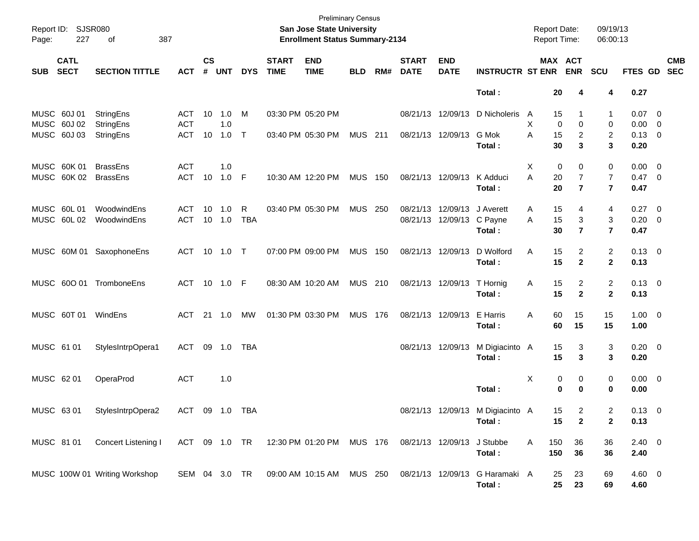| Page:                      | Report ID: SJSR080<br>227  | 387<br>оf                          |                                 |                    |                           |            |                             | <b>Preliminary Census</b><br>San Jose State University<br><b>Enrollment Status Summary-2134</b> |                |     |                             |                                                |                                                                                  | <b>Report Date:</b><br><b>Report Time:</b> |                |                                       | 09/19/13<br>06:00:13                    |                                           |                           |
|----------------------------|----------------------------|------------------------------------|---------------------------------|--------------------|---------------------------|------------|-----------------------------|-------------------------------------------------------------------------------------------------|----------------|-----|-----------------------------|------------------------------------------------|----------------------------------------------------------------------------------|--------------------------------------------|----------------|---------------------------------------|-----------------------------------------|-------------------------------------------|---------------------------|
| <b>SUB</b>                 | <b>CATL</b><br><b>SECT</b> | <b>SECTION TITTLE</b>              | <b>ACT</b>                      | $\mathsf{cs}$<br># | <b>UNT</b>                | <b>DYS</b> | <b>START</b><br><b>TIME</b> | <b>END</b><br><b>TIME</b>                                                                       | <b>BLD</b>     | RM# | <b>START</b><br><b>DATE</b> | <b>END</b><br><b>DATE</b>                      | <b>INSTRUCTR ST ENR</b>                                                          |                                            |                | MAX ACT<br><b>ENR</b>                 | <b>SCU</b>                              |                                           | <b>CMB</b><br>FTES GD SEC |
|                            |                            |                                    |                                 |                    |                           |            |                             |                                                                                                 |                |     |                             |                                                | Total:                                                                           |                                            | 20             | 4                                     | 4                                       | 0.27                                      |                           |
| MUSC 60J 01<br>MUSC 60J 02 | MUSC 60J 03                | StringEns<br>StringEns             | ACT<br><b>ACT</b><br><b>ACT</b> | 10                 | 1.0 M<br>1.0<br>10 1.0 T  |            | 03:30 PM 05:20 PM           | 03:40 PM 05:30 PM                                                                               | MUS 211        |     |                             | 08/21/13 12/09/13<br>08/21/13 12/09/13         | D Nicholeris<br>G Mok                                                            | A<br>X<br>A                                | 15<br>0        | 0<br>2                                | 1<br>0<br>$\overline{2}$                | $0.07$ 0<br>$0.00 \t 0$<br>$0.13 \quad 0$ |                           |
|                            |                            | StringEns                          |                                 |                    |                           |            |                             |                                                                                                 |                |     |                             |                                                | Total:                                                                           |                                            | 15<br>30       | 3                                     | 3                                       | 0.20                                      |                           |
|                            | MUSC 60K 01<br>MUSC 60K 02 | <b>BrassEns</b><br><b>BrassEns</b> | <b>ACT</b><br>ACT 10 1.0 F      |                    | 1.0                       |            |                             | 10:30 AM 12:20 PM                                                                               | <b>MUS</b>     | 150 | 08/21/13 12/09/13           |                                                | K Adduci<br>Total:                                                               | X<br>A                                     | 0<br>20<br>20  | 0<br>$\overline{7}$<br>$\overline{7}$ | 0<br>7<br>$\overline{\mathbf{r}}$       | $0.00 \t 0$<br>$0.47 \quad 0$<br>0.47     |                           |
| MUSC 60L 01                | MUSC 60L 02                | WoodwindEns<br>WoodwindEns         | ACT<br>ACT                      |                    | 10  1.0<br>$10 \quad 1.0$ | R<br>TBA   |                             | 03:40 PM 05:30 PM                                                                               | <b>MUS 250</b> |     |                             | 08/21/13 12/09/13<br>08/21/13 12/09/13 C Payne | J Averett<br>Total:                                                              | A<br>A                                     | 15<br>15<br>30 | 4<br>3<br>$\overline{7}$              | 4<br>3<br>$\overline{7}$                | $0.27$ 0<br>$0.20 \ 0$<br>0.47            |                           |
|                            |                            | MUSC 60M 01 SaxophoneEns           | ACT 10 1.0 T                    |                    |                           |            |                             | 07:00 PM 09:00 PM                                                                               | <b>MUS 150</b> |     | 08/21/13 12/09/13           |                                                | D Wolford<br>Total:                                                              | Α                                          | 15<br>15       | $\overline{2}$<br>$\overline{2}$      | $\overline{\mathbf{c}}$<br>$\mathbf{2}$ | $0.13 \quad 0$<br>0.13                    |                           |
|                            | MUSC 600 01                | TromboneEns                        | ACT 10 1.0 F                    |                    |                           |            |                             | 08:30 AM 10:20 AM                                                                               | MUS 210        |     | 08/21/13 12/09/13           |                                                | T Hornig<br>Total:                                                               | A                                          | 15<br>15       | $\overline{2}$<br>$\overline{2}$      | $\overline{\mathbf{c}}$<br>$\mathbf{2}$ | $0.13 \quad 0$<br>0.13                    |                           |
|                            | MUSC 60T 01                | WindEns                            | ACT                             |                    | 21 1.0                    | МW         |                             | 01:30 PM 03:30 PM                                                                               | <b>MUS 176</b> |     | 08/21/13 12/09/13           |                                                | E Harris<br>Total:                                                               | Α                                          | 60<br>60       | 15<br>15                              | 15<br>15                                | $1.00 \t 0$<br>1.00                       |                           |
| MUSC 61 01                 |                            | StylesIntrpOpera1                  | ACT 09 1.0 TBA                  |                    |                           |            |                             |                                                                                                 |                |     | 08/21/13 12/09/13           |                                                | M Digiacinto A<br>Total:                                                         |                                            | 15<br>15       | 3<br>3                                | 3<br>3                                  | $0.20 \ 0$<br>0.20                        |                           |
| MUSC 62 01                 |                            | OperaProd                          | <b>ACT</b>                      |                    | 1.0                       |            |                             |                                                                                                 |                |     |                             |                                                | Total:                                                                           | Χ                                          | 0<br>0         | 0<br>$\bf{0}$                         | 0<br>0                                  | $0.00 \t 0$<br>0.00                       |                           |
| MUSC 6301                  |                            | StylesIntrpOpera2                  | ACT 09 1.0 TBA                  |                    |                           |            |                             |                                                                                                 |                |     |                             |                                                | 08/21/13 12/09/13 M Digiacinto A<br>Total:                                       |                                            | 15<br>15       | 2<br>$\overline{2}$                   | 2<br>$\mathbf{2}$                       | $0.13 \quad 0$<br>0.13                    |                           |
|                            | MUSC 8101                  | Concert Listening I                |                                 |                    |                           |            |                             | ACT 09 1.0 TR  12:30 PM  01:20 PM  MUS  176  08/21/13  12/09/13  J Stubbe                       |                |     |                             |                                                | Total:                                                                           | A                                          | 150<br>150     | 36<br>36                              | 36<br>36                                | $2.40 \ 0$<br>2.40                        |                           |
|                            |                            | MUSC 100W 01 Writing Workshop      |                                 |                    |                           |            |                             |                                                                                                 |                |     |                             |                                                | SEM 04 3.0 TR 09:00 AM 10:15 AM MUS 250 08/21/13 12/09/13 G Haramaki A<br>Total: |                                            | 25<br>$25\,$   | 23<br>23                              | 69<br>69                                | $4.60$ 0<br>4.60                          |                           |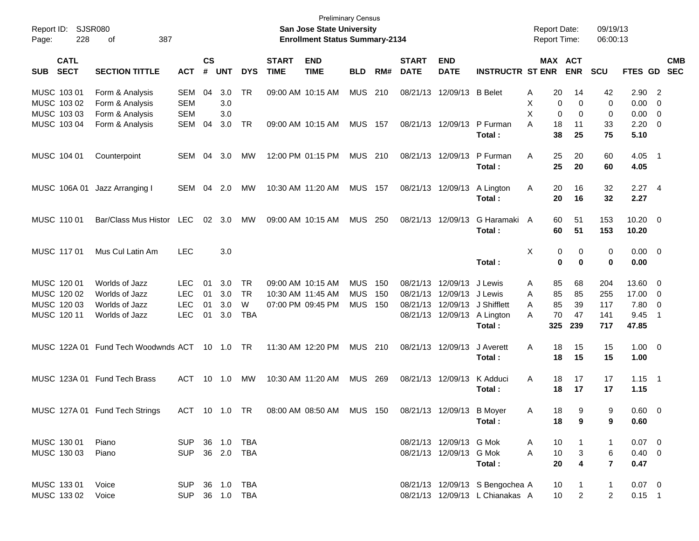| Report ID: SJSR080<br>228<br>387<br>Page:<br>οf |                                                       |                                 |                    | <b>Preliminary Census</b><br><b>San Jose State University</b><br><b>Enrollment Status Summary-2134</b> |            |                             |                           |                |     |                             |                           |                                       |                                       | <b>Report Date:</b><br><b>Report Time:</b> | 09/19/13<br>06:00:13 |                          |                                |            |
|-------------------------------------------------|-------------------------------------------------------|---------------------------------|--------------------|--------------------------------------------------------------------------------------------------------|------------|-----------------------------|---------------------------|----------------|-----|-----------------------------|---------------------------|---------------------------------------|---------------------------------------|--------------------------------------------|----------------------|--------------------------|--------------------------------|------------|
| <b>CATL</b><br><b>SECT</b><br><b>SUB</b>        | <b>SECTION TITTLE</b>                                 | <b>ACT</b>                      | $\mathsf{cs}$<br># | <b>UNT</b>                                                                                             | <b>DYS</b> | <b>START</b><br><b>TIME</b> | <b>END</b><br><b>TIME</b> | <b>BLD</b>     | RM# | <b>START</b><br><b>DATE</b> | <b>END</b><br><b>DATE</b> | <b>INSTRUCTR ST ENR</b>               | MAX ACT                               | <b>ENR</b>                                 | <b>SCU</b>           | FTES GD SEC              |                                | <b>CMB</b> |
| MUSC 103 01<br>MUSC 103 02<br>MUSC 103 03       | Form & Analysis<br>Form & Analysis<br>Form & Analysis | SEM<br><b>SEM</b><br><b>SEM</b> | 04                 | 3.0<br>3.0<br>3.0                                                                                      | TR         |                             | 09:00 AM 10:15 AM         | <b>MUS</b>     | 210 |                             | 08/21/13 12/09/13 B Belet |                                       | 20<br>Α<br>X<br>0<br>X<br>$\mathbf 0$ | 14<br>0<br>0                               | 42<br>0<br>0         | $2.90$ 2<br>0.00<br>0.00 | - 0<br>$\overline{\mathbf{0}}$ |            |
| MUSC 103 04                                     | Form & Analysis                                       | SEM                             | 04                 | 3.0                                                                                                    | <b>TR</b>  |                             | 09:00 AM 10:15 AM         | <b>MUS 157</b> |     |                             | 08/21/13 12/09/13         | P Furman<br>Total:                    | А<br>18<br>38                         | 11<br>25                                   | 33<br>75             | 2.20<br>5.10             | $\overline{\phantom{0}}$       |            |
| MUSC 104 01                                     | Counterpoint                                          | SEM                             | 04                 | 3.0                                                                                                    | МW         |                             | 12:00 PM 01:15 PM         | MUS 210        |     |                             | 08/21/13 12/09/13         | P Furman<br>Total:                    | Α<br>25<br>25                         | 20<br>20                                   | 60<br>60             | $4.05$ 1<br>4.05         |                                |            |
| MUSC 106A 01                                    | Jazz Arranging I                                      | SEM 04 2.0                      |                    |                                                                                                        | МW         |                             | 10:30 AM 11:20 AM         | <b>MUS 157</b> |     |                             | 08/21/13 12/09/13         | A Lington<br>Total:                   | A<br>20<br>20                         | 16<br>16                                   | 32<br>32             | $2.27$ 4<br>2.27         |                                |            |
| MUSC 110 01                                     | Bar/Class Mus Histor                                  | LEC                             |                    | $02 \quad 3.0$                                                                                         | MW         |                             | 09:00 AM 10:15 AM         | MUS 250        |     | 08/21/13 12/09/13           |                           | G Haramaki A<br>Total:                | 60<br>60                              | 51<br>51                                   | 153<br>153           | $10.20 \t 0$<br>10.20    |                                |            |
| MUSC 117 01                                     | Mus Cul Latin Am                                      | <b>LEC</b>                      |                    | 3.0                                                                                                    |            |                             |                           |                |     |                             |                           | Total:                                | Χ<br>0<br>$\mathbf 0$                 | 0<br>$\bf{0}$                              | 0<br>0               | $0.00 \t 0$<br>0.00      |                                |            |
| MUSC 120 01                                     | Worlds of Jazz                                        | <b>LEC</b>                      | 01                 | 3.0                                                                                                    | TR         |                             | 09:00 AM 10:15 AM         | <b>MUS</b>     | 150 |                             | 08/21/13 12/09/13         | J Lewis                               | 85<br>A                               | 68                                         | 204                  | 13.60                    | $\overline{\phantom{0}}$       |            |
| MUSC 120 02                                     | Worlds of Jazz                                        | <b>LEC</b>                      | 01                 | 3.0                                                                                                    | TR         |                             | 10:30 AM 11:45 AM         | <b>MUS</b>     | 150 |                             | 08/21/13 12/09/13 J Lewis |                                       | 85<br>Α                               | 85                                         | 255                  | 17.00                    | $\overline{\mathbf{0}}$        |            |
| MUSC 120 03                                     | Worlds of Jazz                                        | <b>LEC</b>                      | 01                 | 3.0                                                                                                    | W          |                             | 07:00 PM 09:45 PM         | <b>MUS 150</b> |     |                             |                           | 08/21/13 12/09/13 J Shifflett         | 85<br>Α                               | 39                                         | 117                  | 7.80                     | $\overline{\mathbf{0}}$        |            |
| MUSC 120 11                                     | Worlds of Jazz                                        | <b>LEC</b>                      | 01                 | 3.0                                                                                                    | <b>TBA</b> |                             |                           |                |     |                             |                           | 08/21/13 12/09/13 A Lington<br>Total: | 70<br>A<br>325                        | 47<br>239                                  | 141<br>717           | 9.45<br>47.85            | - 1                            |            |
|                                                 | MUSC 122A 01 Fund Tech Woodwnds ACT 10 1.0 TR         |                                 |                    |                                                                                                        |            |                             | 11:30 AM 12:20 PM         | MUS 210        |     |                             | 08/21/13 12/09/13         | J Averett<br>Total:                   | Α<br>18<br>18                         | 15<br>15                                   | 15<br>15             | $1.00 \t 0$<br>1.00      |                                |            |
|                                                 | MUSC 123A 01 Fund Tech Brass                          | ACT 10 1.0                      |                    |                                                                                                        | МW         |                             | 10:30 AM 11:20 AM         | MUS 269        |     |                             | 08/21/13 12/09/13         | K Adduci<br>Total:                    | Α<br>18<br>18                         | 17<br>17                                   | 17<br>17             | $1.15$ 1<br>1.15         |                                |            |
|                                                 | MUSC 127A 01 Fund Tech Strings                        | ACT 10 1.0 TR                   |                    |                                                                                                        |            |                             | 08:00 AM 08:50 AM         | MUS 150        |     |                             | 08/21/13 12/09/13         | <b>B</b> Moyer<br>Total:              | 18<br>A<br>18                         | -9<br>9                                    | 9<br>9               | $0.60 \t 0$<br>0.60      |                                |            |
| MUSC 130 01                                     | Piano                                                 | SUP 36 1.0 TBA                  |                    |                                                                                                        |            |                             |                           |                |     |                             | 08/21/13 12/09/13 G Mok   |                                       | 10<br>A                               |                                            | -1                   | $0.07 \ 0$               |                                |            |
| MUSC 130 03                                     | Piano                                                 | SUP 36 2.0 TBA                  |                    |                                                                                                        |            |                             |                           |                |     |                             | 08/21/13 12/09/13 G Mok   |                                       | 10<br>A                               | $\mathbf{3}$                               | 6                    | $0.40 \quad 0$           |                                |            |
|                                                 |                                                       |                                 |                    |                                                                                                        |            |                             |                           |                |     |                             |                           | Total:                                | 20                                    | $\overline{\mathbf{4}}$                    | $\overline{7}$       | 0.47                     |                                |            |
| MUSC 133 01                                     | Voice                                                 | SUP 36 1.0 TBA                  |                    |                                                                                                        |            |                             |                           |                |     |                             |                           | 08/21/13 12/09/13 S Bengochea A       | 10                                    |                                            | $\mathbf{1}$         | $0.07 \quad 0$           |                                |            |
| MUSC 133 02                                     | Voice                                                 | SUP 36 1.0 TBA                  |                    |                                                                                                        |            |                             |                           |                |     |                             |                           | 08/21/13 12/09/13 L Chianakas A       | 10 <sup>1</sup>                       | $\overline{2}$                             | $\overline{2}$       | $0.15$ 1                 |                                |            |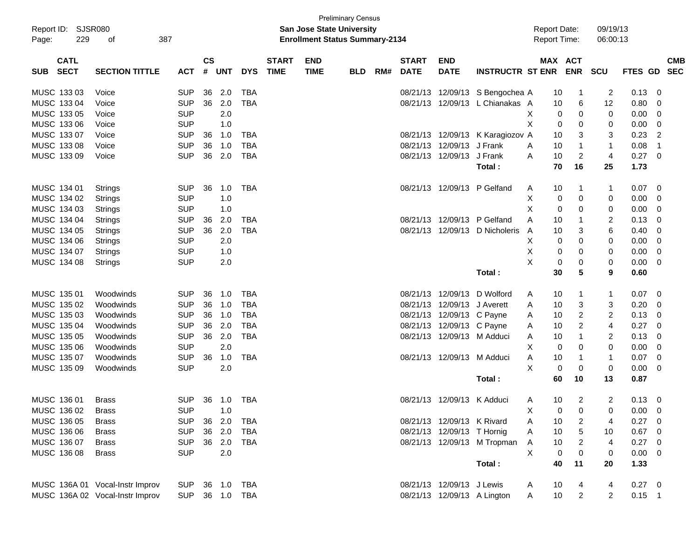| <b>Preliminary Census</b>                       |                                 |            |                                       |            |            |              |             |            |                     |              |                            |                             |   |                |                         |                         |                |                         |            |
|-------------------------------------------------|---------------------------------|------------|---------------------------------------|------------|------------|--------------|-------------|------------|---------------------|--------------|----------------------------|-----------------------------|---|----------------|-------------------------|-------------------------|----------------|-------------------------|------------|
| Report ID: SJSR080<br>San Jose State University |                                 |            |                                       |            |            |              |             |            | <b>Report Date:</b> |              |                            | 09/19/13                    |   |                |                         |                         |                |                         |            |
| 229<br>387<br>Page:<br>οf                       |                                 |            | <b>Enrollment Status Summary-2134</b> |            |            |              |             |            |                     |              |                            | Report Time:                |   |                | 06:00:13                |                         |                |                         |            |
|                                                 |                                 |            |                                       |            |            |              |             |            |                     |              |                            |                             |   |                |                         |                         |                |                         |            |
| <b>CATL</b>                                     |                                 |            | $\mathsf{cs}$                         |            |            | <b>START</b> | <b>END</b>  |            |                     | <b>START</b> | <b>END</b>                 |                             |   | MAX ACT        |                         |                         |                |                         | <b>CMB</b> |
| <b>SECT</b><br><b>SUB</b>                       | <b>SECTION TITTLE</b>           | <b>ACT</b> | #                                     | <b>UNT</b> | <b>DYS</b> | <b>TIME</b>  | <b>TIME</b> | <b>BLD</b> | RM#                 | <b>DATE</b>  | <b>DATE</b>                | <b>INSTRUCTR ST ENR</b>     |   |                | <b>ENR</b>              | <b>SCU</b>              | <b>FTES GD</b> |                         | <b>SEC</b> |
|                                                 |                                 |            |                                       |            |            |              |             |            |                     |              |                            |                             |   |                |                         |                         |                |                         |            |
| MUSC 133 03                                     | Voice                           | <b>SUP</b> | 36                                    | 2.0        | <b>TBA</b> |              |             |            |                     | 08/21/13     |                            | 12/09/13 S Bengochea A      |   | 10             | 1                       | 2                       | 0.13           | 0                       |            |
| MUSC 133 04                                     | Voice                           | <b>SUP</b> | 36                                    | 2.0        | <b>TBA</b> |              |             |            |                     | 08/21/13     |                            | 12/09/13 L Chianakas A      |   | 10             | 6                       | 12                      | 0.80           | 0                       |            |
| MUSC 133 05                                     | Voice                           | <b>SUP</b> |                                       | 2.0        |            |              |             |            |                     |              |                            |                             | X | 0              | 0                       | 0                       | 0.00           | 0                       |            |
| MUSC 133 06                                     | Voice                           | <b>SUP</b> |                                       | 1.0        |            |              |             |            |                     |              |                            |                             | X | 0              | 0                       | 0                       | 0.00           | 0                       |            |
| MUSC 133 07                                     | Voice                           | <b>SUP</b> | 36                                    | 1.0        | <b>TBA</b> |              |             |            |                     |              | 08/21/13 12/09/13          | K Karagiozov A              |   | 10             | 3                       | 3                       | 0.23           | 2                       |            |
| MUSC 133 08                                     | Voice                           | <b>SUP</b> | 36                                    | 1.0        | <b>TBA</b> |              |             |            |                     | 08/21/13     | 12/09/13                   | J Frank                     | A | 10             | $\mathbf{1}$            | $\mathbf{1}$            | 0.08           | $\overline{1}$          |            |
| MUSC 133 09                                     | Voice                           | <b>SUP</b> | 36                                    | 2.0        | <b>TBA</b> |              |             |            |                     | 08/21/13     | 12/09/13                   | J Frank                     | Α | 10             | $\overline{\mathbf{c}}$ | 4                       | 0.27           | $\mathbf 0$             |            |
|                                                 |                                 |            |                                       |            |            |              |             |            |                     |              |                            | Total:                      |   | 70             | 16                      | 25                      | 1.73           |                         |            |
| MUSC 134 01                                     | Strings                         | <b>SUP</b> | 36                                    | 1.0        | <b>TBA</b> |              |             |            |                     | 08/21/13     | 12/09/13                   | P Gelfand                   | A | 10             | 1                       | 1                       | 0.07           | 0                       |            |
| MUSC 134 02                                     |                                 | <b>SUP</b> |                                       | 1.0        |            |              |             |            |                     |              |                            |                             | Χ | 0              | 0                       | 0                       | 0.00           | 0                       |            |
| MUSC 134 03                                     | Strings                         | <b>SUP</b> |                                       | 1.0        |            |              |             |            |                     |              |                            |                             | Х |                | 0                       |                         | 0.00           |                         |            |
|                                                 | <b>Strings</b>                  |            |                                       |            |            |              |             |            |                     |              |                            |                             |   | 0              |                         | 0                       |                | 0                       |            |
| MUSC 134 04                                     | Strings                         | <b>SUP</b> | 36                                    | 2.0        | <b>TBA</b> |              |             |            |                     | 08/21/13     | 12/09/13                   | P Gelfand                   | Α | 10             | 1                       | 2                       | 0.13           | 0                       |            |
| MUSC 134 05                                     | Strings                         | <b>SUP</b> | 36                                    | 2.0        | <b>TBA</b> |              |             |            |                     |              | 08/21/13 12/09/13          | D Nicholeris                | A | 10             | 3                       | 6                       | 0.40           | 0                       |            |
| MUSC 134 06                                     | Strings                         | <b>SUP</b> |                                       | 2.0        |            |              |             |            |                     |              |                            |                             | Χ | 0              | 0                       | 0                       | 0.00           | 0                       |            |
| MUSC 134 07                                     | Strings                         | <b>SUP</b> |                                       | 1.0        |            |              |             |            |                     |              |                            |                             | Χ | 0              | 0                       | 0                       | 0.00           | 0                       |            |
| MUSC 134 08                                     | Strings                         | <b>SUP</b> |                                       | 2.0        |            |              |             |            |                     |              |                            |                             | X | 0              | 0                       | 0                       | 0.00           | 0                       |            |
|                                                 |                                 |            |                                       |            |            |              |             |            |                     |              |                            | Total:                      |   | 30             | 5                       | 9                       | 0.60           |                         |            |
| MUSC 135 01                                     | Woodwinds                       | <b>SUP</b> | 36                                    | 1.0        | <b>TBA</b> |              |             |            |                     | 08/21/13     | 12/09/13                   | D Wolford                   | A | 10             | 1                       | 1                       | 0.07           | 0                       |            |
| MUSC 135 02                                     | Woodwinds                       | <b>SUP</b> | 36                                    | 1.0        | <b>TBA</b> |              |             |            |                     | 08/21/13     | 12/09/13                   | J Averett                   | A | 10             | 3                       | 3                       | 0.20           | 0                       |            |
| MUSC 135 03                                     | Woodwinds                       | <b>SUP</b> | 36                                    | 1.0        | <b>TBA</b> |              |             |            |                     | 08/21/13     | 12/09/13 C Payne           |                             | A | 10             | $\overline{c}$          | $\overline{\mathbf{c}}$ | 0.13           | 0                       |            |
| MUSC 135 04                                     | Woodwinds                       | <b>SUP</b> | 36                                    | 2.0        | <b>TBA</b> |              |             |            |                     | 08/21/13     | 12/09/13 C Payne           |                             | A | 10             | 2                       | 4                       | 0.27           | 0                       |            |
| MUSC 135 05                                     | Woodwinds                       | <b>SUP</b> | 36                                    | 2.0        | <b>TBA</b> |              |             |            |                     |              | 08/21/13 12/09/13 M Adduci |                             | A | 10             | 1                       | 2                       | 0.13           | 0                       |            |
| MUSC 135 06                                     | Woodwinds                       | <b>SUP</b> |                                       | 2.0        |            |              |             |            |                     |              |                            |                             | Χ | 0              | 0                       | 0                       | 0.00           | 0                       |            |
| MUSC 135 07                                     | Woodwinds                       | <b>SUP</b> | 36                                    | 1.0        | <b>TBA</b> |              |             |            |                     |              | 08/21/13 12/09/13 M Adduci |                             | Α | 10             | 1                       | 1                       | 0.07           | 0                       |            |
| MUSC 135 09                                     | Woodwinds                       | <b>SUP</b> |                                       | 2.0        |            |              |             |            |                     |              |                            |                             | X | $\mathbf 0$    | 0                       | 0                       | 0.00           | 0                       |            |
|                                                 |                                 |            |                                       |            |            |              |             |            |                     |              |                            |                             |   |                |                         |                         |                |                         |            |
|                                                 |                                 |            |                                       |            |            |              |             |            |                     |              |                            | Total:                      |   | 60             | 10                      | 13                      | 0.87           |                         |            |
| MUSC 136 01                                     | <b>Brass</b>                    | <b>SUP</b> |                                       | 36 1.0     | TBA        |              |             |            |                     |              | 08/21/13 12/09/13 K Adduci |                             | A | 10             | 2                       | 2                       | 0.13           | 0                       |            |
| MUSC 136 02                                     | <b>Brass</b>                    | <b>SUP</b> |                                       | 1.0        |            |              |             |            |                     |              |                            |                             | Χ | $\overline{0}$ | $\overline{0}$          | 0                       | $0.00 \t 0$    |                         |            |
| MUSC 136 05                                     | <b>Brass</b>                    | <b>SUP</b> |                                       | 36 2.0     | TBA        |              |             |            |                     |              | 08/21/13 12/09/13 K Rivard |                             | A | 10             | 2                       | 4                       | 0.27           | - 0                     |            |
| MUSC 136 06                                     | <b>Brass</b>                    | <b>SUP</b> |                                       | 36 2.0     | <b>TBA</b> |              |             |            |                     |              | 08/21/13 12/09/13 T Hornig |                             | A | 10             | 5                       | 10                      | 0.67           | $\overline{0}$          |            |
| MUSC 136 07                                     | <b>Brass</b>                    | <b>SUP</b> |                                       | 36 2.0     | TBA        |              |             |            |                     |              |                            | 08/21/13 12/09/13 M Tropman | A | 10             | $\overline{c}$          | 4                       | 0.27           | $\overline{\mathbf{0}}$ |            |
| MUSC 136 08                                     | <b>Brass</b>                    | <b>SUP</b> |                                       | 2.0        |            |              |             |            |                     |              |                            |                             | X | $\mathbf 0$    | 0                       | 0                       | $0.00 \t 0$    |                         |            |
|                                                 |                                 |            |                                       |            |            |              |             |            |                     |              |                            | Total:                      |   | 40             | 11                      | 20                      | 1.33           |                         |            |
|                                                 |                                 |            |                                       |            |            |              |             |            |                     |              |                            |                             |   |                |                         |                         |                |                         |            |
|                                                 | MUSC 136A 01 Vocal-Instr Improv | <b>SUP</b> |                                       | 36 1.0 TBA |            |              |             |            |                     |              | 08/21/13 12/09/13 J Lewis  |                             | A | 10             | 4                       | 4                       | $0.27$ 0       |                         |            |
|                                                 | MUSC 136A 02 Vocal-Instr Improv | <b>SUP</b> |                                       | 36 1.0 TBA |            |              |             |            |                     |              |                            | 08/21/13 12/09/13 A Lington | A | 10             | $\overline{c}$          | $\overline{2}$          | $0.15$ 1       |                         |            |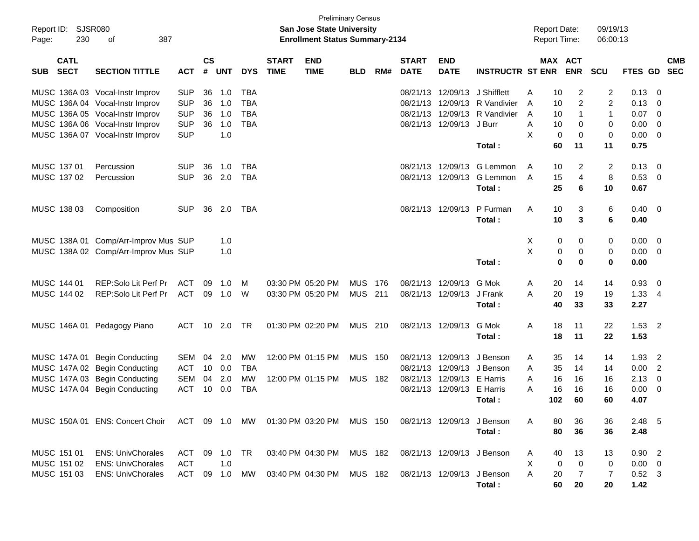| Report ID:<br>Page: | SJSR080<br>230             | 387<br>оf                                                               |               |                    |            |            |                             | <b>Preliminary Census</b><br>San Jose State University<br><b>Enrollment Status Summary-2134</b> |            |      |                             |                           |                            | <b>Report Date:</b><br><b>Report Time:</b> |                | 09/19/13<br>06:00:13 |             |                           |
|---------------------|----------------------------|-------------------------------------------------------------------------|---------------|--------------------|------------|------------|-----------------------------|-------------------------------------------------------------------------------------------------|------------|------|-----------------------------|---------------------------|----------------------------|--------------------------------------------|----------------|----------------------|-------------|---------------------------|
| <b>SUB</b>          | <b>CATL</b><br><b>SECT</b> | <b>SECTION TITTLE</b>                                                   | <b>ACT</b>    | $\mathsf{cs}$<br># | <b>UNT</b> | <b>DYS</b> | <b>START</b><br><b>TIME</b> | <b>END</b><br><b>TIME</b>                                                                       | <b>BLD</b> | RM#  | <b>START</b><br><b>DATE</b> | <b>END</b><br><b>DATE</b> | <b>INSTRUCTR ST ENR</b>    | <b>MAX ACT</b>                             | <b>ENR</b>     | <b>SCU</b>           |             | <b>CMB</b><br>FTES GD SEC |
|                     |                            | MUSC 136A 03 Vocal-Instr Improv                                         | <b>SUP</b>    | 36                 | 1.0        | <b>TBA</b> |                             |                                                                                                 |            |      | 08/21/13                    | 12/09/13                  | J Shifflett                | 10<br>A                                    | 2              | $\overline{2}$       | 0.13        | - 0                       |
|                     |                            | MUSC 136A 04 Vocal-Instr Improv                                         | <b>SUP</b>    | 36                 | 1.0        | <b>TBA</b> |                             |                                                                                                 |            |      | 08/21/13                    | 12/09/13                  | R Vandivier                | 10<br>A                                    | $\overline{c}$ | 2                    | 0.13        | 0                         |
|                     |                            | MUSC 136A 05 Vocal-Instr Improv                                         | <b>SUP</b>    | 36                 | 1.0        | <b>TBA</b> |                             |                                                                                                 |            |      | 08/21/13                    | 12/09/13                  | R Vandivier                | A<br>10                                    | 1              | $\mathbf{1}$         | 0.07        | $\overline{0}$            |
|                     |                            | MUSC 136A 06 Vocal-Instr Improv                                         | <b>SUP</b>    | 36                 | 1.0        | <b>TBA</b> |                             |                                                                                                 |            |      |                             | 08/21/13 12/09/13         | J Burr                     | Α<br>10                                    | 0              | 0                    | 0.00        | $\overline{0}$            |
|                     |                            | MUSC 136A 07 Vocal-Instr Improv                                         | <b>SUP</b>    |                    | 1.0        |            |                             |                                                                                                 |            |      |                             |                           |                            | X<br>$\mathbf 0$                           | $\mathbf 0$    | 0                    | 0.00        | $\overline{0}$            |
|                     |                            |                                                                         |               |                    |            |            |                             |                                                                                                 |            |      |                             |                           | Total:                     | 60                                         | 11             | 11                   | 0.75        |                           |
|                     | MUSC 137 01                | Percussion                                                              | <b>SUP</b>    | 36                 | 1.0        | <b>TBA</b> |                             |                                                                                                 |            |      |                             | 08/21/13 12/09/13         | G Lemmon                   | 10<br>A                                    | 2              | $\overline{2}$       | 0.13        | $\overline{0}$            |
|                     | MUSC 137 02                | Percussion                                                              | <b>SUP</b>    | 36                 | 2.0        | TBA        |                             |                                                                                                 |            |      |                             | 08/21/13 12/09/13         | G Lemmon                   | 15<br>A                                    | 4              | 8                    | 0.53        | $\overline{0}$            |
|                     |                            |                                                                         |               |                    |            |            |                             |                                                                                                 |            |      |                             |                           | Total:                     | 25                                         | 6              | 10                   | 0.67        |                           |
|                     | MUSC 138 03                | Composition                                                             | <b>SUP</b>    | 36                 | 2.0        | TBA        |                             |                                                                                                 |            |      |                             | 08/21/13 12/09/13         | P Furman                   | 10<br>A                                    | 3              | 6                    | 0.40        | $\overline{\mathbf{0}}$   |
|                     |                            |                                                                         |               |                    |            |            |                             |                                                                                                 |            |      |                             |                           | Total:                     | 10                                         | 3              | 6                    | 0.40        |                           |
|                     |                            | MUSC 138A 01 Comp/Arr-Improv Mus SUP                                    |               |                    | 1.0        |            |                             |                                                                                                 |            |      |                             |                           |                            | Х<br>0                                     | 0              | 0                    | 0.00        | $\overline{\mathbf{0}}$   |
|                     |                            | MUSC 138A 02 Comp/Arr-Improv Mus SUP                                    |               |                    | 1.0        |            |                             |                                                                                                 |            |      |                             |                           |                            | X<br>0                                     | 0              | 0                    | 0.00        | $\overline{\mathbf{0}}$   |
|                     |                            |                                                                         |               |                    |            |            |                             |                                                                                                 |            |      |                             |                           | Total:                     | 0                                          | 0              | $\bf{0}$             | 0.00        |                           |
|                     | MUSC 144 01                | REP:Solo Lit Perf Pr                                                    | ACT           | 09                 | 1.0        | м          |                             | 03:30 PM 05:20 PM                                                                               | <b>MUS</b> | 176  |                             | 08/21/13 12/09/13         | G Mok                      | Α<br>20                                    | 14             | 14                   | 0.93        | $\overline{0}$            |
|                     | MUSC 144 02                | REP:Solo Lit Perf Pr                                                    | <b>ACT</b>    | 09                 | 1.0        | W          |                             | 03:30 PM 05:20 PM                                                                               | <b>MUS</b> | 211  |                             | 08/21/13 12/09/13         | J Frank                    | 20<br>A                                    | 19             | 19                   | 1.33        | 4                         |
|                     |                            |                                                                         |               |                    |            |            |                             |                                                                                                 |            |      |                             |                           | Total:                     | 40                                         | 33             | 33                   | 2.27        |                           |
|                     |                            | MUSC 146A 01 Pedagogy Piano                                             | ACT           | 10                 | 2.0        | TR         |                             | 01:30 PM 02:20 PM                                                                               | <b>MUS</b> | 210  |                             | 08/21/13 12/09/13         | G Mok                      | 18<br>A                                    | 11             | 22                   | 1.53        | $\overline{2}$            |
|                     |                            |                                                                         |               |                    |            |            |                             |                                                                                                 |            |      |                             |                           | Total:                     | 18                                         | 11             | 22                   | 1.53        |                           |
|                     | MUSC 147A 01               | <b>Begin Conducting</b>                                                 | <b>SEM</b>    | 04                 | 2.0        | МW         |                             | 12:00 PM 01:15 PM                                                                               | <b>MUS</b> | -150 | 08/21/13                    | 12/09/13                  | J Benson                   | 35<br>A                                    | 14             | 14                   | 1.93        | $\overline{2}$            |
|                     |                            | MUSC 147A 02 Begin Conducting                                           | <b>ACT</b>    | 10                 | 0.0        | <b>TBA</b> |                             |                                                                                                 |            |      | 08/21/13                    | 12/09/13                  | J Benson                   | A<br>35                                    | 14             | 14                   | 0.00        | $\overline{2}$            |
|                     |                            | MUSC 147A 03 Begin Conducting                                           | <b>SEM</b>    | 04                 | 2.0        | МW         |                             | 12:00 PM 01:15 PM                                                                               | <b>MUS</b> | -182 | 08/21/13                    | 12/09/13                  | E Harris                   | A<br>16                                    | 16             | 16                   | 2.13        | 0                         |
|                     |                            | MUSC 147A 04 Begin Conducting                                           | <b>ACT</b>    | 10                 | 0.0        | <b>TBA</b> |                             |                                                                                                 |            |      |                             | 08/21/13 12/09/13         | E Harris                   | 16<br>А                                    | 16             | 16                   | 0.00        | 0                         |
|                     |                            |                                                                         |               |                    |            |            |                             |                                                                                                 |            |      |                             |                           | Total:                     | 102                                        | 60             | 60                   | 4.07        |                           |
|                     |                            | MUSC 150A 01 ENS: Concert Choir ACT 09 1.0 MW 01:30 PM 03:20 PM MUS 150 |               |                    |            |            |                             |                                                                                                 |            |      |                             |                           | 08/21/13 12/09/13 J Benson | 80<br>A                                    | 36             | 36                   | 2.48 5      |                           |
|                     |                            |                                                                         |               |                    |            |            |                             |                                                                                                 |            |      |                             |                           | Total:                     | 80                                         | 36             | 36                   | 2.48        |                           |
|                     | MUSC 151 01                | <b>ENS: UnivChorales</b>                                                | ACT 09 1.0 TR |                    |            |            |                             | 03:40 PM 04:30 PM MUS 182                                                                       |            |      |                             |                           | 08/21/13 12/09/13 J Benson | 40<br>A                                    | 13             | 13                   | $0.90$ 2    |                           |
|                     | MUSC 151 02                | <b>ENS: UnivChorales</b>                                                | ACT           |                    | 1.0        |            |                             |                                                                                                 |            |      |                             |                           |                            | X<br>0                                     | 0              | 0                    | $0.00 \t 0$ |                           |
|                     | MUSC 151 03                | <b>ENS: UnivChorales</b>                                                | ACT           |                    | 09 1.0 MW  |            |                             | 03:40 PM 04:30 PM MUS 182                                                                       |            |      |                             |                           | 08/21/13 12/09/13 J Benson | A<br>20                                    | $\overline{7}$ | 7                    | $0.52$ 3    |                           |
|                     |                            |                                                                         |               |                    |            |            |                             |                                                                                                 |            |      |                             |                           | Total:                     | 60                                         | 20             | 20                   | 1.42        |                           |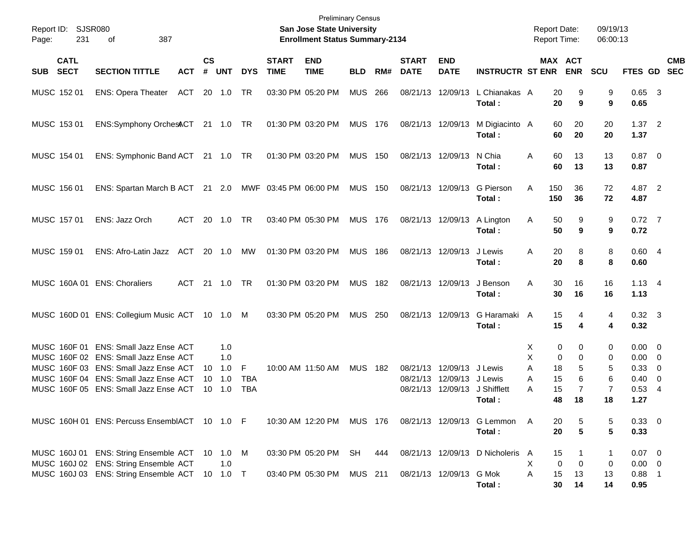| Report ID:<br>231<br>Page:               | SJSR080<br>387<br>οf                                                                                                                                                                                      |                                    |                 |                          |                             | <b>Preliminary Census</b><br><b>San Jose State University</b><br><b>Enrollment Status Summary-2134</b> |                |     |                             |                                               |                                            |                       |                                | <b>Report Date:</b><br><b>Report Time:</b> | 09/19/13<br>06:00:13        |                                                                            |                           |
|------------------------------------------|-----------------------------------------------------------------------------------------------------------------------------------------------------------------------------------------------------------|------------------------------------|-----------------|--------------------------|-----------------------------|--------------------------------------------------------------------------------------------------------|----------------|-----|-----------------------------|-----------------------------------------------|--------------------------------------------|-----------------------|--------------------------------|--------------------------------------------|-----------------------------|----------------------------------------------------------------------------|---------------------------|
| <b>CATL</b><br><b>SECT</b><br><b>SUB</b> | <b>SECTION TITTLE</b><br><b>ACT</b>                                                                                                                                                                       | $\mathbf{c}\mathbf{s}$<br>#        | <b>UNT</b>      | <b>DYS</b>               | <b>START</b><br><b>TIME</b> | <b>END</b><br><b>TIME</b>                                                                              | <b>BLD</b>     | RM# | <b>START</b><br><b>DATE</b> | <b>END</b><br><b>DATE</b>                     | <b>INSTRUCTR ST ENR</b>                    |                       |                                | MAX ACT<br><b>ENR</b>                      | <b>SCU</b>                  |                                                                            | <b>CMB</b><br>FTES GD SEC |
| MUSC 152 01                              | ACT<br><b>ENS: Opera Theater</b>                                                                                                                                                                          |                                    | 20 1.0 TR       |                          |                             | 03:30 PM 05:20 PM                                                                                      | <b>MUS</b>     | 266 |                             | 08/21/13 12/09/13                             | L Chianakas A<br>Total :                   |                       | 20<br>20                       | 9<br>9                                     | 9<br>9                      | $0.65$ 3<br>0.65                                                           |                           |
| MUSC 153 01                              | ENS:Symphony OrchesACT 21 1.0 TR                                                                                                                                                                          |                                    |                 |                          |                             | 01:30 PM 03:20 PM                                                                                      | MUS 176        |     | 08/21/13 12/09/13           |                                               | M Digiacinto A<br>Total:                   |                       | 60<br>60                       | 20<br>20                                   | 20<br>20                    | 1.372<br>1.37                                                              |                           |
| MUSC 154 01                              | ENS: Symphonic Band ACT 21 1.0 TR                                                                                                                                                                         |                                    |                 |                          |                             | 01:30 PM 03:20 PM                                                                                      | <b>MUS 150</b> |     |                             | 08/21/13 12/09/13                             | N Chia<br>Total:                           | A                     | 60<br>60                       | 13<br>13                                   | 13<br>13                    | $0.87$ 0<br>0.87                                                           |                           |
| MUSC 156 01                              | ENS: Spartan March B ACT 21 2.0 MWF 03:45 PM 06:00 PM                                                                                                                                                     |                                    |                 |                          |                             |                                                                                                        | <b>MUS 150</b> |     |                             | 08/21/13 12/09/13                             | G Pierson<br>Total:                        | A                     | 150<br>150                     | 36<br>36                                   | 72<br>72                    | 4.87 2<br>4.87                                                             |                           |
| MUSC 157 01                              | ENS: Jazz Orch<br>ACT                                                                                                                                                                                     | 20 1.0                             | <b>TR</b>       |                          |                             | 03:40 PM 05:30 PM                                                                                      | MUS 176        |     |                             | 08/21/13 12/09/13                             | A Lington<br>Total:                        | A                     | 50<br>50                       | 9<br>9                                     | 9<br>9                      | $0.72$ 7<br>0.72                                                           |                           |
| MUSC 159 01                              | ENS: Afro-Latin Jazz ACT 20 1.0 MW                                                                                                                                                                        |                                    |                 |                          |                             | 01:30 PM 03:20 PM                                                                                      | <b>MUS 186</b> |     |                             | 08/21/13 12/09/13                             | J Lewis<br>Total:                          | A                     | 20<br>20                       | 8<br>8                                     | 8<br>8                      | 0.604<br>0.60                                                              |                           |
|                                          | MUSC 160A 01 ENS: Choraliers<br>ACT                                                                                                                                                                       | 21 1.0                             | <b>TR</b>       |                          |                             | 01:30 PM 03:20 PM                                                                                      | MUS 182        |     |                             | 08/21/13 12/09/13                             | J Benson<br>Total:                         | A                     | 30<br>30                       | 16<br>16                                   | 16<br>16                    | $1.13 \quad 4$<br>1.13                                                     |                           |
|                                          | MUSC 160D 01 ENS: Collegium Music ACT 10 1.0 M                                                                                                                                                            |                                    |                 |                          |                             | 03:30 PM 05:20 PM                                                                                      | <b>MUS 250</b> |     |                             | 08/21/13 12/09/13                             | G Haramaki A<br>Total:                     |                       | 15<br>15                       | 4<br>4                                     | 4<br>4                      | $0.32 \quad 3$<br>0.32                                                     |                           |
|                                          | MUSC 160F 01 ENS: Small Jazz Ense ACT<br>MUSC 160F 02 ENS: Small Jazz Ense ACT<br>MUSC 160F 03 ENS: Small Jazz Ense ACT<br>MUSC 160F 04 ENS: Small Jazz Ense ACT<br>MUSC 160F 05 ENS: Small Jazz Ense ACT | 10 1.0<br>$10 \quad 1.0$<br>10 1.0 | 1.0<br>1.0<br>F | <b>TBA</b><br><b>TBA</b> |                             | 10:00 AM 11:50 AM                                                                                      | <b>MUS 182</b> |     | 08/21/13                    | 08/21/13 12/09/13 J Lewis<br>12/09/13 J Lewis | 08/21/13 12/09/13 J Shifflett<br>Total:    | X<br>X<br>Α<br>A<br>Α | 0<br>0<br>18<br>15<br>15<br>48 | 0<br>0<br>5<br>6<br>$\overline{7}$<br>18   | 0<br>0<br>5<br>6<br>7<br>18 | $0.00 \t 0$<br>$0.00 \t 0$<br>0.33 0<br>$0.40 \quad 0$<br>$0.53$ 4<br>1.27 |                           |
|                                          | MUSC 160H 01 ENS: Percuss EnsemblACT 10 1.0 F                                                                                                                                                             |                                    |                 |                          |                             | 10:30 AM 12:20 PM MUS 176                                                                              |                |     |                             |                                               | 08/21/13 12/09/13 G Lemmon<br>Total:       | A                     | 20<br>20                       | 5                                          | 5<br>5                      | 0.33 0<br>0.33                                                             |                           |
|                                          | MUSC 160J 01 ENS: String Ensemble ACT 10 1.0 M<br>MUSC 160J 02 ENS: String Ensemble ACT<br>MUSC 160J 03 ENS: String Ensemble ACT 10 1.0 T                                                                 |                                    | 1.0             |                          |                             | 03:30 PM 05:20 PM<br>03:40 PM 05:30 PM MUS 211                                                         | SH             | 444 |                             | 08/21/13 12/09/13 G Mok                       | 08/21/13 12/09/13 D Nicholeris A<br>Total: | Х<br>Α                | 15<br>0<br>15<br>30            | 0<br>13<br>14                              | 1<br>0<br>13<br>14          | $0.07 \quad 0$<br>$0.00 \t 0$<br>$0.88$ 1<br>0.95                          |                           |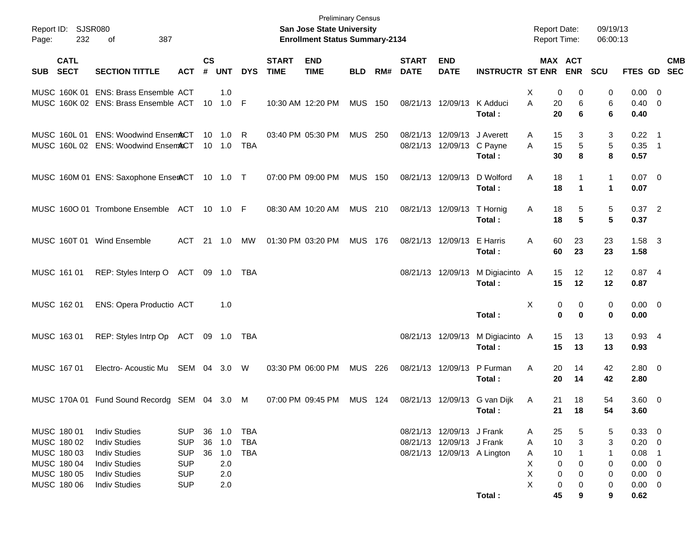| Report ID:<br>232<br>Page:                                              | <b>SJSR080</b><br>387<br>of                                                                                          |                                                                    |                    |                                  |                                        |                             | <b>Preliminary Census</b><br>San Jose State University<br><b>Enrollment Status Summary-2134</b> |                |     |                             |                                                          |                                        | <b>Report Date:</b><br><b>Report Time:</b>   |                                 | 09/19/13<br>06:00:13        |                                                            |                           |
|-------------------------------------------------------------------------|----------------------------------------------------------------------------------------------------------------------|--------------------------------------------------------------------|--------------------|----------------------------------|----------------------------------------|-----------------------------|-------------------------------------------------------------------------------------------------|----------------|-----|-----------------------------|----------------------------------------------------------|----------------------------------------|----------------------------------------------|---------------------------------|-----------------------------|------------------------------------------------------------|---------------------------|
| <b>CATL</b><br><b>SECT</b><br><b>SUB</b>                                | <b>SECTION TITTLE</b>                                                                                                | <b>ACT</b>                                                         | $\mathsf{cs}$<br># | <b>UNT</b>                       | <b>DYS</b>                             | <b>START</b><br><b>TIME</b> | <b>END</b><br><b>TIME</b>                                                                       | <b>BLD</b>     | RM# | <b>START</b><br><b>DATE</b> | <b>END</b><br><b>DATE</b>                                | <b>INSTRUCTR ST ENR ENR</b>            |                                              | <b>MAX ACT</b>                  | <b>SCU</b>                  |                                                            | <b>CMB</b><br>FTES GD SEC |
|                                                                         | MUSC 160K 01 ENS: Brass Ensemble ACT<br>MUSC 160K 02 ENS: Brass Ensemble ACT                                         |                                                                    |                    | 1.0<br>10 1.0 F                  |                                        |                             | 10:30 AM 12:20 PM                                                                               | <b>MUS 150</b> |     |                             | 08/21/13 12/09/13 K Adduci                               | Total:                                 | х<br>A<br>20<br>20                           | 0<br>0<br>6<br>6                | 0<br>6<br>6                 | $0.00 \t 0$<br>$0.40 \quad 0$<br>0.40                      |                           |
| MUSC 160L 01                                                            | <b>ENS: Woodwind EnsemACT</b><br>MUSC 160L 02 ENS: Woodwind EnsemACT                                                 |                                                                    |                    | $10 \quad 1.0$<br>$10 \quad 1.0$ | R<br><b>TBA</b>                        |                             | 03:40 PM 05:30 PM                                                                               | <b>MUS 250</b> |     |                             | 08/21/13 12/09/13 J Averett<br>08/21/13 12/09/13 C Payne | Total:                                 | 15<br>A<br>15<br>A<br>30                     | 3<br>$\sqrt{5}$<br>8            | 3<br>5<br>8                 | $0.22$ 1<br>$0.35$ 1<br>0.57                               |                           |
|                                                                         | MUSC 160M 01 ENS: Saxophone EnserACT 10 1.0 T                                                                        |                                                                    |                    |                                  |                                        |                             | 07:00 PM 09:00 PM                                                                               | <b>MUS 150</b> |     |                             | 08/21/13 12/09/13                                        | D Wolford<br>Total:                    | A<br>18<br>18                                | 1<br>$\mathbf 1$                | $\mathbf{1}$<br>$\mathbf 1$ | $0.07$ 0<br>0.07                                           |                           |
|                                                                         | MUSC 1600 01 Trombone Ensemble ACT 10 1.0 F                                                                          |                                                                    |                    |                                  |                                        |                             | 08:30 AM 10:20 AM                                                                               | <b>MUS 210</b> |     |                             | 08/21/13 12/09/13 T Hornig                               | Total:                                 | 18<br>Α<br>18                                | 5<br>5                          | 5<br>5                      | $0.37$ 2<br>0.37                                           |                           |
| MUSC 160T 01 Wind Ensemble                                              |                                                                                                                      | ACT                                                                |                    | 21 1.0                           | МW                                     |                             | 01:30 PM 03:20 PM                                                                               | <b>MUS 176</b> |     |                             | 08/21/13 12/09/13 E Harris                               | Total:                                 | 60<br>A<br>60                                | 23<br>23                        | 23<br>23                    | $1.58$ 3<br>1.58                                           |                           |
| MUSC 161 01                                                             | REP: Styles Interp O ACT 09 1.0 TBA                                                                                  |                                                                    |                    |                                  |                                        |                             |                                                                                                 |                |     |                             | 08/21/13 12/09/13                                        | M Digiacinto A<br>Total:               | 15<br>15                                     | 12<br>12                        | 12<br>12                    | 0.874<br>0.87                                              |                           |
| MUSC 162 01                                                             | ENS: Opera Productio ACT                                                                                             |                                                                    |                    | 1.0                              |                                        |                             |                                                                                                 |                |     |                             |                                                          | Total:                                 | X                                            | 0<br>0<br>$\bf{0}$<br>$\bf{0}$  | 0<br>0                      | $0.00 \t 0$<br>0.00                                        |                           |
| MUSC 163 01                                                             | REP: Styles Intrp Op ACT 09 1.0 TBA                                                                                  |                                                                    |                    |                                  |                                        |                             |                                                                                                 |                |     |                             | 08/21/13 12/09/13                                        | M Digiacinto A<br>Total:               | 15<br>15                                     | 13<br>13                        | 13<br>13                    | $0.93$ 4<br>0.93                                           |                           |
| MUSC 167 01                                                             | Electro-Acoustic Mu SEM 04 3.0                                                                                       |                                                                    |                    |                                  | W                                      |                             | 03:30 PM 06:00 PM                                                                               | MUS 226        |     |                             | 08/21/13 12/09/13                                        | P Furman<br>Total:                     | Α<br>20<br>20                                | 14<br>14                        | 42<br>42                    | $2.80 \t 0$<br>2.80                                        |                           |
|                                                                         | MUSC 170A 01 Fund Sound Recordg SEM 04 3.0                                                                           |                                                                    |                    |                                  | M                                      |                             | 07:00 PM 09:45 PM                                                                               | <b>MUS 124</b> |     |                             |                                                          | 08/21/13 12/09/13 G van Dijk<br>Total: | 21<br>A<br>21                                | 18<br>18                        | 54<br>54                    | 3.60 0<br>3.60                                             |                           |
| MUSC 180 01<br>MUSC 180 02<br>MUSC 180 03<br>MUSC 180 04<br>MUSC 180 05 | <b>Indiv Studies</b><br><b>Indiv Studies</b><br><b>Indiv Studies</b><br><b>Indiv Studies</b><br><b>Indiv Studies</b> | <b>SUP</b><br><b>SUP</b><br><b>SUP</b><br><b>SUP</b><br><b>SUP</b> | 36<br>36<br>36     | 1.0<br>1.0<br>1.0<br>2.0<br>2.0  | <b>TBA</b><br><b>TBA</b><br><b>TBA</b> |                             |                                                                                                 |                |     |                             | 08/21/13 12/09/13 J Frank<br>08/21/13 12/09/13 J Frank   | 08/21/13 12/09/13 A Lington            | 25<br>A<br>10<br>A<br>10<br>A<br>X<br>Χ<br>X | 5<br>3<br>1<br>0<br>0<br>0<br>0 | 5<br>3<br>1<br>0<br>0       | 0.33 0<br>$0.20 \ 0$<br>0.08<br>$0.00 \t 0$<br>$0.00 \t 0$ | $\overline{\phantom{1}}$  |
| MUSC 180 06                                                             | <b>Indiv Studies</b>                                                                                                 | <b>SUP</b>                                                         |                    | 2.0                              |                                        |                             |                                                                                                 |                |     |                             |                                                          | Total:                                 | 45                                           | 0<br>0<br>9                     | 0<br>9                      | $0.00 \t 0$<br>0.62                                        |                           |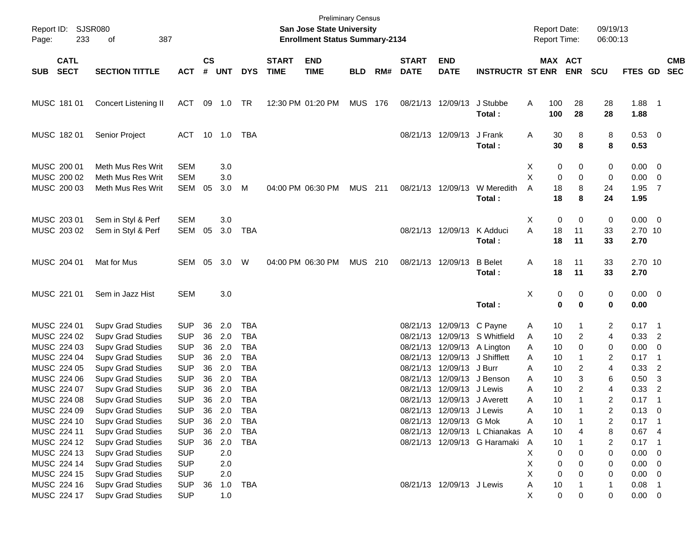| $\mathsf{cs}$<br><b>CATL</b><br><b>START</b><br><b>END</b><br><b>START</b><br><b>END</b><br>MAX ACT<br><b>CMB</b><br><b>SECT</b><br>#<br><b>DYS</b><br><b>TIME</b><br><b>ENR</b><br><b>SECTION TITTLE</b><br><b>UNT</b><br><b>TIME</b><br>RM#<br><b>DATE</b><br><b>DATE</b><br><b>INSTRUCTR ST ENR</b><br><b>SCU</b><br>FTES GD<br><b>SEC</b><br><b>SUB</b><br><b>ACT</b><br><b>BLD</b><br>MUSC 181 01<br>09 1.0 TR<br>12:30 PM 01:20 PM<br>MUS 176<br>J Stubbe<br>100<br>$1.88$ 1<br>Concert Listening II<br>ACT<br>08/21/13 12/09/13<br>Α<br>28<br>28<br>28<br>Total:<br>100<br>28<br>1.88<br>MUSC 182 01<br>Senior Project<br>08/21/13 12/09/13<br>J Frank<br>8<br>8<br>0.53 0<br>ACT 10 1.0<br>TBA<br>Α<br>30<br>30<br>8<br>Total:<br>8<br>0.53<br>MUSC 200 01<br>Meth Mus Res Writ<br><b>SEM</b><br>$0.00 \t 0$<br>3.0<br>X<br>0<br>0<br>0<br>X<br>MUSC 200 02<br>Meth Mus Res Writ<br><b>SEM</b><br>3.0<br>0<br>0<br>$0.00 \t 0$<br>0<br>8<br>MUSC 200 03<br>SEM<br>3.0<br>MUS 211<br>08/21/13 12/09/13<br>A<br>18<br>24<br>1.95<br>$\overline{7}$<br>Meth Mus Res Writ<br>05<br>M<br>04:00 PM 06:30 PM<br>W Meredith<br>18<br>8<br>Total:<br>24<br>1.95<br>MUSC 203 01<br>Sem in Styl & Perf<br>3.0<br>0<br>0<br>0<br>$0.00 \t 0$<br><b>SEM</b><br>X<br>A<br>MUSC 203 02<br>Sem in Styl & Perf<br><b>SEM</b><br>05<br>3.0<br><b>TBA</b><br>K Adduci<br>18<br>11<br>33<br>2.70 10<br>08/21/13 12/09/13<br>18<br>Total:<br>11<br>33<br>2.70<br>MUSC 204 01<br>05<br>04:00 PM 06:30 PM<br>MUS 210<br><b>B</b> Belet<br>18<br>11<br>33<br>2.70 10<br>Mat for Mus<br>SEM<br>3.0<br>W<br>08/21/13 12/09/13<br>Α<br>18<br>Total:<br>11<br>33<br>2.70<br>MUSC 221 01<br>3.0<br>х<br>0<br>0<br>$0.00 \t 0$<br>Sem in Jazz Hist<br><b>SEM</b><br>0<br>$\mathbf 0$<br>Total:<br>0<br>0<br>0.00<br>MUSC 224 01<br>2.0<br><b>TBA</b><br>08/21/13 12/09/13 C Payne<br><b>Supv Grad Studies</b><br><b>SUP</b><br>36<br>2<br>$0.17$ 1<br>10<br>1<br>Α<br>2.0<br>MUSC 224 02<br><b>Supv Grad Studies</b><br><b>SUP</b><br>36<br><b>TBA</b><br>12/09/13 S Whitfield<br>10<br>2<br>$0.33$ 2<br>08/21/13<br>4<br>A<br>2.0<br>MUSC 224 03<br><b>Supv Grad Studies</b><br><b>SUP</b><br>36<br><b>TBA</b><br>12/09/13 A Lington<br>0<br>$0.00 \t 0$<br>08/21/13<br>Α<br>10<br>0<br>MUSC 224 04<br><b>Supv Grad Studies</b><br><b>SUP</b><br>36<br>2.0<br><b>TBA</b><br>12/09/13 J Shifflett<br>$0.17$ 1<br>08/21/13<br>Α<br>10<br>1<br>2<br>MUSC 224 05<br><b>SUP</b><br>36<br>2.0<br><b>TBA</b><br>12/09/13 J Burr<br>2<br>0.33<br><b>Supv Grad Studies</b><br>08/21/13<br>Α<br>10<br>4<br>$\overline{2}$<br>3<br><b>SUP</b><br>36<br>2.0<br><b>TBA</b><br>12/09/13 J Benson<br>$0.50$ 3<br>MUSC 224 06<br><b>Supv Grad Studies</b><br>08/21/13<br>10<br>6<br>Α<br><b>SUP</b><br>36<br>2.0<br><b>TBA</b><br>12/09/13 J Lewis<br>10<br>2<br>4<br>0.33<br>$\overline{2}$<br>MUSC 224 07<br><b>Supv Grad Studies</b><br>08/21/13<br>А<br><b>SUP</b><br>36<br>2.0<br><b>TBA</b><br>10<br>$\mathbf{1}$<br>2<br>0.17<br>MUSC 224 08<br><b>Supv Grad Studies</b><br>08/21/13 12/09/13 J Averett<br>Α<br>$\overline{\phantom{1}}$<br>MUSC 224 09<br><b>Supv Grad Studies</b><br><b>SUP</b><br>36<br>2.0<br><b>TBA</b><br>08/21/13 12/09/13 J Lewis<br>Α<br>10<br>2<br>$0.13 \ 0$<br>2.0<br>MUSC 224 10<br><b>SUP</b><br>36<br><b>TBA</b><br>08/21/13 12/09/13 G Mok<br>$0.17$ 1<br><b>Supv Grad Studies</b><br>Α<br>10<br>2<br>MUSC 224 11<br>Supv Grad Studies<br><b>SUP</b><br>36<br>2.0<br><b>TBA</b><br>08/21/13 12/09/13 L Chianakas<br>10<br>8<br>0.674<br>A<br>4<br>MUSC 224 12<br>Supv Grad Studies<br><b>SUP</b><br>2.0<br>08/21/13 12/09/13 G Haramaki<br>10<br>2<br>0.17<br>36<br>TBA<br>A<br>$\overline{\phantom{1}}$<br>MUSC 224 13<br>Supv Grad Studies<br><b>SUP</b><br>х<br>0.00<br>2.0<br>0<br>0<br>$\overline{\phantom{0}}$<br>0<br>MUSC 224 14<br>Supv Grad Studies<br><b>SUP</b><br>2.0<br>Χ<br>0<br>$0.00 \t 0$<br>0<br>0<br>Χ<br>MUSC 224 15<br>Supv Grad Studies<br><b>SUP</b><br>2.0<br>0<br>$0.00 \t 0$<br>0<br>0<br>MUSC 224 16<br><b>Supv Grad Studies</b><br><b>SUP</b><br><b>TBA</b><br>08/21/13 12/09/13 J Lewis<br>10<br>0.08<br>1.0<br>Α<br>36<br>1<br>$\blacksquare$<br>$\pmb{0}$<br>MUSC 224 17<br><b>Supv Grad Studies</b><br><b>SUP</b><br>1.0<br>X<br>0<br>0<br>$0.00 \t 0$ | Page: | Report ID: SJSR080<br>233<br>387<br>of |  |  |  | San Jose State University<br><b>Enrollment Status Summary-2134</b> | <b>Preliminary Census</b> |  |  | <b>Report Date:</b><br><b>Report Time:</b> | 09/19/13<br>06:00:13 |  |  |
|-------------------------------------------------------------------------------------------------------------------------------------------------------------------------------------------------------------------------------------------------------------------------------------------------------------------------------------------------------------------------------------------------------------------------------------------------------------------------------------------------------------------------------------------------------------------------------------------------------------------------------------------------------------------------------------------------------------------------------------------------------------------------------------------------------------------------------------------------------------------------------------------------------------------------------------------------------------------------------------------------------------------------------------------------------------------------------------------------------------------------------------------------------------------------------------------------------------------------------------------------------------------------------------------------------------------------------------------------------------------------------------------------------------------------------------------------------------------------------------------------------------------------------------------------------------------------------------------------------------------------------------------------------------------------------------------------------------------------------------------------------------------------------------------------------------------------------------------------------------------------------------------------------------------------------------------------------------------------------------------------------------------------------------------------------------------------------------------------------------------------------------------------------------------------------------------------------------------------------------------------------------------------------------------------------------------------------------------------------------------------------------------------------------------------------------------------------------------------------------------------------------------------------------------------------------------------------------------------------------------------------------------------------------------------------------------------------------------------------------------------------------------------------------------------------------------------------------------------------------------------------------------------------------------------------------------------------------------------------------------------------------------------------------------------------------------------------------------------------------------------------------------------------------------------------------------------------------------------------------------------------------------------------------------------------------------------------------------------------------------------------------------------------------------------------------------------------------------------------------------------------------------------------------------------------------------------------------------------------------------------------------------------------------------------------------------------------------------------------------------------------------------------------------------------------------------------------------------------------------------------------------------------------------------------------------------------------------------------------------------------------------------------------------------------------------------------------------------------------------------------------------------------------------------------------------------------------------------------------------------------------------------------------------------|-------|----------------------------------------|--|--|--|--------------------------------------------------------------------|---------------------------|--|--|--------------------------------------------|----------------------|--|--|
|                                                                                                                                                                                                                                                                                                                                                                                                                                                                                                                                                                                                                                                                                                                                                                                                                                                                                                                                                                                                                                                                                                                                                                                                                                                                                                                                                                                                                                                                                                                                                                                                                                                                                                                                                                                                                                                                                                                                                                                                                                                                                                                                                                                                                                                                                                                                                                                                                                                                                                                                                                                                                                                                                                                                                                                                                                                                                                                                                                                                                                                                                                                                                                                                                                                                                                                                                                                                                                                                                                                                                                                                                                                                                                                                                                                                                                                                                                                                                                                                                                                                                                                                                                                                                                                                                           |       |                                        |  |  |  |                                                                    |                           |  |  |                                            |                      |  |  |
|                                                                                                                                                                                                                                                                                                                                                                                                                                                                                                                                                                                                                                                                                                                                                                                                                                                                                                                                                                                                                                                                                                                                                                                                                                                                                                                                                                                                                                                                                                                                                                                                                                                                                                                                                                                                                                                                                                                                                                                                                                                                                                                                                                                                                                                                                                                                                                                                                                                                                                                                                                                                                                                                                                                                                                                                                                                                                                                                                                                                                                                                                                                                                                                                                                                                                                                                                                                                                                                                                                                                                                                                                                                                                                                                                                                                                                                                                                                                                                                                                                                                                                                                                                                                                                                                                           |       |                                        |  |  |  |                                                                    |                           |  |  |                                            |                      |  |  |
|                                                                                                                                                                                                                                                                                                                                                                                                                                                                                                                                                                                                                                                                                                                                                                                                                                                                                                                                                                                                                                                                                                                                                                                                                                                                                                                                                                                                                                                                                                                                                                                                                                                                                                                                                                                                                                                                                                                                                                                                                                                                                                                                                                                                                                                                                                                                                                                                                                                                                                                                                                                                                                                                                                                                                                                                                                                                                                                                                                                                                                                                                                                                                                                                                                                                                                                                                                                                                                                                                                                                                                                                                                                                                                                                                                                                                                                                                                                                                                                                                                                                                                                                                                                                                                                                                           |       |                                        |  |  |  |                                                                    |                           |  |  |                                            |                      |  |  |
|                                                                                                                                                                                                                                                                                                                                                                                                                                                                                                                                                                                                                                                                                                                                                                                                                                                                                                                                                                                                                                                                                                                                                                                                                                                                                                                                                                                                                                                                                                                                                                                                                                                                                                                                                                                                                                                                                                                                                                                                                                                                                                                                                                                                                                                                                                                                                                                                                                                                                                                                                                                                                                                                                                                                                                                                                                                                                                                                                                                                                                                                                                                                                                                                                                                                                                                                                                                                                                                                                                                                                                                                                                                                                                                                                                                                                                                                                                                                                                                                                                                                                                                                                                                                                                                                                           |       |                                        |  |  |  |                                                                    |                           |  |  |                                            |                      |  |  |
|                                                                                                                                                                                                                                                                                                                                                                                                                                                                                                                                                                                                                                                                                                                                                                                                                                                                                                                                                                                                                                                                                                                                                                                                                                                                                                                                                                                                                                                                                                                                                                                                                                                                                                                                                                                                                                                                                                                                                                                                                                                                                                                                                                                                                                                                                                                                                                                                                                                                                                                                                                                                                                                                                                                                                                                                                                                                                                                                                                                                                                                                                                                                                                                                                                                                                                                                                                                                                                                                                                                                                                                                                                                                                                                                                                                                                                                                                                                                                                                                                                                                                                                                                                                                                                                                                           |       |                                        |  |  |  |                                                                    |                           |  |  |                                            |                      |  |  |
|                                                                                                                                                                                                                                                                                                                                                                                                                                                                                                                                                                                                                                                                                                                                                                                                                                                                                                                                                                                                                                                                                                                                                                                                                                                                                                                                                                                                                                                                                                                                                                                                                                                                                                                                                                                                                                                                                                                                                                                                                                                                                                                                                                                                                                                                                                                                                                                                                                                                                                                                                                                                                                                                                                                                                                                                                                                                                                                                                                                                                                                                                                                                                                                                                                                                                                                                                                                                                                                                                                                                                                                                                                                                                                                                                                                                                                                                                                                                                                                                                                                                                                                                                                                                                                                                                           |       |                                        |  |  |  |                                                                    |                           |  |  |                                            |                      |  |  |
|                                                                                                                                                                                                                                                                                                                                                                                                                                                                                                                                                                                                                                                                                                                                                                                                                                                                                                                                                                                                                                                                                                                                                                                                                                                                                                                                                                                                                                                                                                                                                                                                                                                                                                                                                                                                                                                                                                                                                                                                                                                                                                                                                                                                                                                                                                                                                                                                                                                                                                                                                                                                                                                                                                                                                                                                                                                                                                                                                                                                                                                                                                                                                                                                                                                                                                                                                                                                                                                                                                                                                                                                                                                                                                                                                                                                                                                                                                                                                                                                                                                                                                                                                                                                                                                                                           |       |                                        |  |  |  |                                                                    |                           |  |  |                                            |                      |  |  |
|                                                                                                                                                                                                                                                                                                                                                                                                                                                                                                                                                                                                                                                                                                                                                                                                                                                                                                                                                                                                                                                                                                                                                                                                                                                                                                                                                                                                                                                                                                                                                                                                                                                                                                                                                                                                                                                                                                                                                                                                                                                                                                                                                                                                                                                                                                                                                                                                                                                                                                                                                                                                                                                                                                                                                                                                                                                                                                                                                                                                                                                                                                                                                                                                                                                                                                                                                                                                                                                                                                                                                                                                                                                                                                                                                                                                                                                                                                                                                                                                                                                                                                                                                                                                                                                                                           |       |                                        |  |  |  |                                                                    |                           |  |  |                                            |                      |  |  |
|                                                                                                                                                                                                                                                                                                                                                                                                                                                                                                                                                                                                                                                                                                                                                                                                                                                                                                                                                                                                                                                                                                                                                                                                                                                                                                                                                                                                                                                                                                                                                                                                                                                                                                                                                                                                                                                                                                                                                                                                                                                                                                                                                                                                                                                                                                                                                                                                                                                                                                                                                                                                                                                                                                                                                                                                                                                                                                                                                                                                                                                                                                                                                                                                                                                                                                                                                                                                                                                                                                                                                                                                                                                                                                                                                                                                                                                                                                                                                                                                                                                                                                                                                                                                                                                                                           |       |                                        |  |  |  |                                                                    |                           |  |  |                                            |                      |  |  |
|                                                                                                                                                                                                                                                                                                                                                                                                                                                                                                                                                                                                                                                                                                                                                                                                                                                                                                                                                                                                                                                                                                                                                                                                                                                                                                                                                                                                                                                                                                                                                                                                                                                                                                                                                                                                                                                                                                                                                                                                                                                                                                                                                                                                                                                                                                                                                                                                                                                                                                                                                                                                                                                                                                                                                                                                                                                                                                                                                                                                                                                                                                                                                                                                                                                                                                                                                                                                                                                                                                                                                                                                                                                                                                                                                                                                                                                                                                                                                                                                                                                                                                                                                                                                                                                                                           |       |                                        |  |  |  |                                                                    |                           |  |  |                                            |                      |  |  |
|                                                                                                                                                                                                                                                                                                                                                                                                                                                                                                                                                                                                                                                                                                                                                                                                                                                                                                                                                                                                                                                                                                                                                                                                                                                                                                                                                                                                                                                                                                                                                                                                                                                                                                                                                                                                                                                                                                                                                                                                                                                                                                                                                                                                                                                                                                                                                                                                                                                                                                                                                                                                                                                                                                                                                                                                                                                                                                                                                                                                                                                                                                                                                                                                                                                                                                                                                                                                                                                                                                                                                                                                                                                                                                                                                                                                                                                                                                                                                                                                                                                                                                                                                                                                                                                                                           |       |                                        |  |  |  |                                                                    |                           |  |  |                                            |                      |  |  |
|                                                                                                                                                                                                                                                                                                                                                                                                                                                                                                                                                                                                                                                                                                                                                                                                                                                                                                                                                                                                                                                                                                                                                                                                                                                                                                                                                                                                                                                                                                                                                                                                                                                                                                                                                                                                                                                                                                                                                                                                                                                                                                                                                                                                                                                                                                                                                                                                                                                                                                                                                                                                                                                                                                                                                                                                                                                                                                                                                                                                                                                                                                                                                                                                                                                                                                                                                                                                                                                                                                                                                                                                                                                                                                                                                                                                                                                                                                                                                                                                                                                                                                                                                                                                                                                                                           |       |                                        |  |  |  |                                                                    |                           |  |  |                                            |                      |  |  |
|                                                                                                                                                                                                                                                                                                                                                                                                                                                                                                                                                                                                                                                                                                                                                                                                                                                                                                                                                                                                                                                                                                                                                                                                                                                                                                                                                                                                                                                                                                                                                                                                                                                                                                                                                                                                                                                                                                                                                                                                                                                                                                                                                                                                                                                                                                                                                                                                                                                                                                                                                                                                                                                                                                                                                                                                                                                                                                                                                                                                                                                                                                                                                                                                                                                                                                                                                                                                                                                                                                                                                                                                                                                                                                                                                                                                                                                                                                                                                                                                                                                                                                                                                                                                                                                                                           |       |                                        |  |  |  |                                                                    |                           |  |  |                                            |                      |  |  |
|                                                                                                                                                                                                                                                                                                                                                                                                                                                                                                                                                                                                                                                                                                                                                                                                                                                                                                                                                                                                                                                                                                                                                                                                                                                                                                                                                                                                                                                                                                                                                                                                                                                                                                                                                                                                                                                                                                                                                                                                                                                                                                                                                                                                                                                                                                                                                                                                                                                                                                                                                                                                                                                                                                                                                                                                                                                                                                                                                                                                                                                                                                                                                                                                                                                                                                                                                                                                                                                                                                                                                                                                                                                                                                                                                                                                                                                                                                                                                                                                                                                                                                                                                                                                                                                                                           |       |                                        |  |  |  |                                                                    |                           |  |  |                                            |                      |  |  |
|                                                                                                                                                                                                                                                                                                                                                                                                                                                                                                                                                                                                                                                                                                                                                                                                                                                                                                                                                                                                                                                                                                                                                                                                                                                                                                                                                                                                                                                                                                                                                                                                                                                                                                                                                                                                                                                                                                                                                                                                                                                                                                                                                                                                                                                                                                                                                                                                                                                                                                                                                                                                                                                                                                                                                                                                                                                                                                                                                                                                                                                                                                                                                                                                                                                                                                                                                                                                                                                                                                                                                                                                                                                                                                                                                                                                                                                                                                                                                                                                                                                                                                                                                                                                                                                                                           |       |                                        |  |  |  |                                                                    |                           |  |  |                                            |                      |  |  |
|                                                                                                                                                                                                                                                                                                                                                                                                                                                                                                                                                                                                                                                                                                                                                                                                                                                                                                                                                                                                                                                                                                                                                                                                                                                                                                                                                                                                                                                                                                                                                                                                                                                                                                                                                                                                                                                                                                                                                                                                                                                                                                                                                                                                                                                                                                                                                                                                                                                                                                                                                                                                                                                                                                                                                                                                                                                                                                                                                                                                                                                                                                                                                                                                                                                                                                                                                                                                                                                                                                                                                                                                                                                                                                                                                                                                                                                                                                                                                                                                                                                                                                                                                                                                                                                                                           |       |                                        |  |  |  |                                                                    |                           |  |  |                                            |                      |  |  |
|                                                                                                                                                                                                                                                                                                                                                                                                                                                                                                                                                                                                                                                                                                                                                                                                                                                                                                                                                                                                                                                                                                                                                                                                                                                                                                                                                                                                                                                                                                                                                                                                                                                                                                                                                                                                                                                                                                                                                                                                                                                                                                                                                                                                                                                                                                                                                                                                                                                                                                                                                                                                                                                                                                                                                                                                                                                                                                                                                                                                                                                                                                                                                                                                                                                                                                                                                                                                                                                                                                                                                                                                                                                                                                                                                                                                                                                                                                                                                                                                                                                                                                                                                                                                                                                                                           |       |                                        |  |  |  |                                                                    |                           |  |  |                                            |                      |  |  |
|                                                                                                                                                                                                                                                                                                                                                                                                                                                                                                                                                                                                                                                                                                                                                                                                                                                                                                                                                                                                                                                                                                                                                                                                                                                                                                                                                                                                                                                                                                                                                                                                                                                                                                                                                                                                                                                                                                                                                                                                                                                                                                                                                                                                                                                                                                                                                                                                                                                                                                                                                                                                                                                                                                                                                                                                                                                                                                                                                                                                                                                                                                                                                                                                                                                                                                                                                                                                                                                                                                                                                                                                                                                                                                                                                                                                                                                                                                                                                                                                                                                                                                                                                                                                                                                                                           |       |                                        |  |  |  |                                                                    |                           |  |  |                                            |                      |  |  |
|                                                                                                                                                                                                                                                                                                                                                                                                                                                                                                                                                                                                                                                                                                                                                                                                                                                                                                                                                                                                                                                                                                                                                                                                                                                                                                                                                                                                                                                                                                                                                                                                                                                                                                                                                                                                                                                                                                                                                                                                                                                                                                                                                                                                                                                                                                                                                                                                                                                                                                                                                                                                                                                                                                                                                                                                                                                                                                                                                                                                                                                                                                                                                                                                                                                                                                                                                                                                                                                                                                                                                                                                                                                                                                                                                                                                                                                                                                                                                                                                                                                                                                                                                                                                                                                                                           |       |                                        |  |  |  |                                                                    |                           |  |  |                                            |                      |  |  |
|                                                                                                                                                                                                                                                                                                                                                                                                                                                                                                                                                                                                                                                                                                                                                                                                                                                                                                                                                                                                                                                                                                                                                                                                                                                                                                                                                                                                                                                                                                                                                                                                                                                                                                                                                                                                                                                                                                                                                                                                                                                                                                                                                                                                                                                                                                                                                                                                                                                                                                                                                                                                                                                                                                                                                                                                                                                                                                                                                                                                                                                                                                                                                                                                                                                                                                                                                                                                                                                                                                                                                                                                                                                                                                                                                                                                                                                                                                                                                                                                                                                                                                                                                                                                                                                                                           |       |                                        |  |  |  |                                                                    |                           |  |  |                                            |                      |  |  |
|                                                                                                                                                                                                                                                                                                                                                                                                                                                                                                                                                                                                                                                                                                                                                                                                                                                                                                                                                                                                                                                                                                                                                                                                                                                                                                                                                                                                                                                                                                                                                                                                                                                                                                                                                                                                                                                                                                                                                                                                                                                                                                                                                                                                                                                                                                                                                                                                                                                                                                                                                                                                                                                                                                                                                                                                                                                                                                                                                                                                                                                                                                                                                                                                                                                                                                                                                                                                                                                                                                                                                                                                                                                                                                                                                                                                                                                                                                                                                                                                                                                                                                                                                                                                                                                                                           |       |                                        |  |  |  |                                                                    |                           |  |  |                                            |                      |  |  |
|                                                                                                                                                                                                                                                                                                                                                                                                                                                                                                                                                                                                                                                                                                                                                                                                                                                                                                                                                                                                                                                                                                                                                                                                                                                                                                                                                                                                                                                                                                                                                                                                                                                                                                                                                                                                                                                                                                                                                                                                                                                                                                                                                                                                                                                                                                                                                                                                                                                                                                                                                                                                                                                                                                                                                                                                                                                                                                                                                                                                                                                                                                                                                                                                                                                                                                                                                                                                                                                                                                                                                                                                                                                                                                                                                                                                                                                                                                                                                                                                                                                                                                                                                                                                                                                                                           |       |                                        |  |  |  |                                                                    |                           |  |  |                                            |                      |  |  |
|                                                                                                                                                                                                                                                                                                                                                                                                                                                                                                                                                                                                                                                                                                                                                                                                                                                                                                                                                                                                                                                                                                                                                                                                                                                                                                                                                                                                                                                                                                                                                                                                                                                                                                                                                                                                                                                                                                                                                                                                                                                                                                                                                                                                                                                                                                                                                                                                                                                                                                                                                                                                                                                                                                                                                                                                                                                                                                                                                                                                                                                                                                                                                                                                                                                                                                                                                                                                                                                                                                                                                                                                                                                                                                                                                                                                                                                                                                                                                                                                                                                                                                                                                                                                                                                                                           |       |                                        |  |  |  |                                                                    |                           |  |  |                                            |                      |  |  |
|                                                                                                                                                                                                                                                                                                                                                                                                                                                                                                                                                                                                                                                                                                                                                                                                                                                                                                                                                                                                                                                                                                                                                                                                                                                                                                                                                                                                                                                                                                                                                                                                                                                                                                                                                                                                                                                                                                                                                                                                                                                                                                                                                                                                                                                                                                                                                                                                                                                                                                                                                                                                                                                                                                                                                                                                                                                                                                                                                                                                                                                                                                                                                                                                                                                                                                                                                                                                                                                                                                                                                                                                                                                                                                                                                                                                                                                                                                                                                                                                                                                                                                                                                                                                                                                                                           |       |                                        |  |  |  |                                                                    |                           |  |  |                                            |                      |  |  |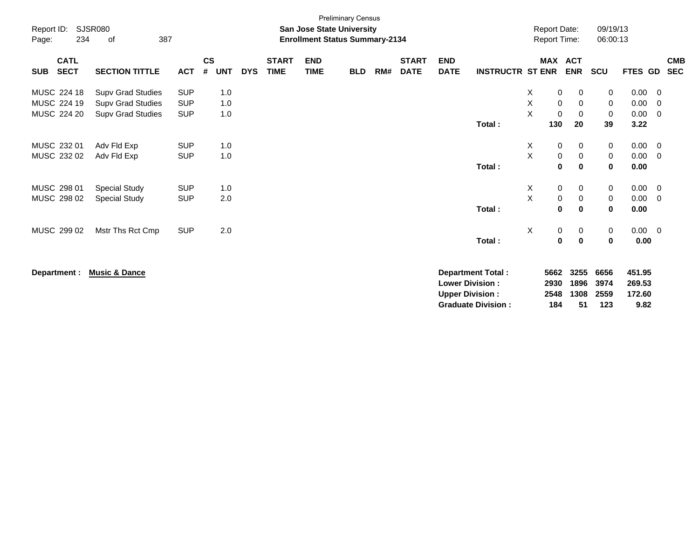| Report ID:<br>234<br>Page:               | <b>SJSR080</b><br>387<br>of |            |                              |            |                             | San Jose State University<br><b>Enrollment Status Summary-2134</b> | <b>Preliminary Census</b> |     |                             |                           |                           |             | <b>Report Date:</b><br><b>Report Time:</b> |             | 09/19/13<br>06:00:13 |             |                |                          |
|------------------------------------------|-----------------------------|------------|------------------------------|------------|-----------------------------|--------------------------------------------------------------------|---------------------------|-----|-----------------------------|---------------------------|---------------------------|-------------|--------------------------------------------|-------------|----------------------|-------------|----------------|--------------------------|
| <b>CATL</b><br><b>SECT</b><br><b>SUB</b> | <b>SECTION TITTLE</b>       | <b>ACT</b> | <b>CS</b><br>#<br><b>UNT</b> | <b>DYS</b> | <b>START</b><br><b>TIME</b> | <b>END</b><br><b>TIME</b>                                          | <b>BLD</b>                | RM# | <b>START</b><br><b>DATE</b> | <b>END</b><br><b>DATE</b> | <b>INSTRUCTR ST ENR</b>   |             | MAX ACT                                    | <b>ENR</b>  | <b>SCU</b>           | FTES GD     |                | <b>CMB</b><br><b>SEC</b> |
|                                          |                             |            |                              |            |                             |                                                                    |                           |     |                             |                           |                           |             |                                            |             |                      |             |                |                          |
| MUSC 224 18                              | <b>Supv Grad Studies</b>    | <b>SUP</b> | 1.0                          |            |                             |                                                                    |                           |     |                             |                           |                           | Χ           | 0                                          | 0           | 0                    | 0.00        | 0              |                          |
| MUSC 224 19                              | <b>Supv Grad Studies</b>    | <b>SUP</b> | 1.0                          |            |                             |                                                                    |                           |     |                             |                           |                           | Χ           | $\mathbf 0$                                | 0           | 0                    | 0.00        | 0              |                          |
| MUSC 224 20                              | <b>Supv Grad Studies</b>    | <b>SUP</b> | 1.0                          |            |                             |                                                                    |                           |     |                             |                           |                           | X           | $\mathbf 0$                                | $\mathbf 0$ | 0                    | 0.00        | 0              |                          |
|                                          |                             |            |                              |            |                             |                                                                    |                           |     |                             |                           | Total:                    |             | 130                                        | 20          | 39                   | 3.22        |                |                          |
| MUSC 232 01                              | Adv Fld Exp                 | <b>SUP</b> | 1.0                          |            |                             |                                                                    |                           |     |                             |                           |                           | X           | 0                                          | 0           | 0                    | 0.00        | 0              |                          |
| MUSC 232 02                              | Adv Fld Exp                 | <b>SUP</b> | 1.0                          |            |                             |                                                                    |                           |     |                             |                           |                           | $\mathsf X$ | $\pmb{0}$                                  | $\,0\,$     | $\,0\,$              | 0.00        | $\overline{0}$ |                          |
|                                          |                             |            |                              |            |                             |                                                                    |                           |     |                             |                           | Total:                    |             | $\mathbf 0$                                | $\mathbf 0$ | $\mathbf{0}$         | 0.00        |                |                          |
| MUSC 298 01                              |                             | <b>SUP</b> | 1.0                          |            |                             |                                                                    |                           |     |                             |                           |                           | X           | $\mathbf 0$                                | 0           |                      | 0.00        | 0              |                          |
| MUSC 298 02                              | <b>Special Study</b>        | <b>SUP</b> | 2.0                          |            |                             |                                                                    |                           |     |                             |                           |                           | X           | $\pmb{0}$                                  |             | 0                    | 0.00        | $\overline{0}$ |                          |
|                                          | <b>Special Study</b>        |            |                              |            |                             |                                                                    |                           |     |                             |                           | Total:                    |             | 0                                          | 0<br>0      | 0<br>$\mathbf 0$     | 0.00        |                |                          |
|                                          |                             |            |                              |            |                             |                                                                    |                           |     |                             |                           |                           |             |                                            |             |                      |             |                |                          |
| MUSC 299 02                              | Mstr Ths Rct Cmp            | <b>SUP</b> | 2.0                          |            |                             |                                                                    |                           |     |                             |                           |                           | X           | $\mathbf 0$                                | 0           | 0                    | $0.00 \t 0$ |                |                          |
|                                          |                             |            |                              |            |                             |                                                                    |                           |     |                             |                           | Total:                    |             | 0                                          | $\bf{0}$    | 0                    | 0.00        |                |                          |
|                                          |                             |            |                              |            |                             |                                                                    |                           |     |                             |                           |                           |             |                                            |             |                      |             |                |                          |
| Department :                             | <b>Music &amp; Dance</b>    |            |                              |            |                             |                                                                    |                           |     |                             |                           | <b>Department Total:</b>  |             | 5662                                       | 3255        | 6656                 | 451.95      |                |                          |
|                                          |                             |            |                              |            |                             |                                                                    |                           |     |                             |                           | <b>Lower Division:</b>    |             | 2930                                       | 1896        | 3974                 | 269.53      |                |                          |
|                                          |                             |            |                              |            |                             |                                                                    |                           |     |                             |                           | <b>Upper Division:</b>    |             | 2548                                       | 1308        | 2559                 | 172.60      |                |                          |
|                                          |                             |            |                              |            |                             |                                                                    |                           |     |                             |                           | <b>Graduate Division:</b> |             | 184                                        | 51          | 123                  | 9.82        |                |                          |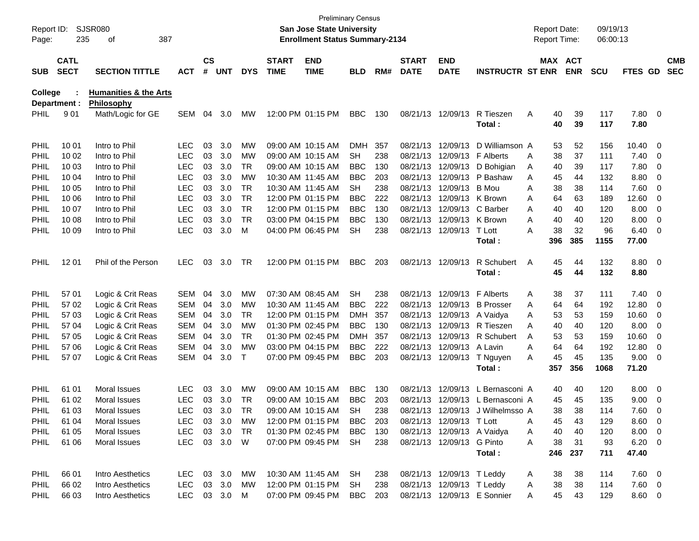| Report ID:<br>Page: | 235                        | SJSR080<br>οf<br>387             |              |                    |            |            |                             | San Jose State University<br><b>Enrollment Status Summary-2134</b> | <b>Preliminary Census</b> |     |                             |                             |                                  | <b>Report Date:</b><br>Report Time: |            | 09/19/13<br>06:00:13 |               |                          |                          |
|---------------------|----------------------------|----------------------------------|--------------|--------------------|------------|------------|-----------------------------|--------------------------------------------------------------------|---------------------------|-----|-----------------------------|-----------------------------|----------------------------------|-------------------------------------|------------|----------------------|---------------|--------------------------|--------------------------|
| <b>SUB</b>          | <b>CATL</b><br><b>SECT</b> | <b>SECTION TITTLE</b>            | <b>ACT</b>   | $\mathsf{cs}$<br># | UNT        | <b>DYS</b> | <b>START</b><br><b>TIME</b> | <b>END</b><br><b>TIME</b>                                          | <b>BLD</b>                | RM# | <b>START</b><br><b>DATE</b> | <b>END</b><br><b>DATE</b>   | <b>INSTRUCTR ST ENR</b>          | MAX ACT                             | <b>ENR</b> | <b>SCU</b>           | FTES GD       |                          | <b>CMB</b><br><b>SEC</b> |
| College             |                            | <b>Humanities &amp; the Arts</b> |              |                    |            |            |                             |                                                                    |                           |     |                             |                             |                                  |                                     |            |                      |               |                          |                          |
| <b>PHIL</b>         | Department :<br>901        | Philosophy<br>Math/Logic for GE  | <b>SEM</b>   | 04                 | 3.0        | МW         |                             | 12:00 PM 01:15 PM                                                  | <b>BBC</b>                | 130 |                             | 08/21/13 12/09/13           | R Tieszen                        | 40<br>Α                             | 39         | 117                  | 7.80 0        |                          |                          |
|                     |                            |                                  |              |                    |            |            |                             |                                                                    |                           |     |                             |                             | Total:                           | 40                                  | 39         | 117                  | 7.80          |                          |                          |
| <b>PHIL</b>         | 10 01                      | Intro to Phil                    | LEC          | 03                 | 3.0        | МW         |                             | 09:00 AM 10:15 AM                                                  | DMH.                      | 357 |                             | 08/21/13 12/09/13           | D Williamson A                   | 53                                  | 52         | 156                  | 10.40         | - 0                      |                          |
| PHIL                | 10 02                      | Intro to Phil                    | <b>LEC</b>   | 03                 | 3.0        | МW         |                             | 09:00 AM 10:15 AM                                                  | SH                        | 238 |                             | 08/21/13 12/09/13 F Alberts |                                  | 38<br>A                             | 37         | 111                  | 7.40          | $\overline{\mathbf{0}}$  |                          |
| PHIL                | 10 03                      | Intro to Phil                    | <b>LEC</b>   | 03                 | 3.0        | TR.        |                             | 09:00 AM 10:15 AM                                                  | <b>BBC</b>                | 130 |                             |                             | 08/21/13 12/09/13 D Bohigian     | 40<br>Α                             | 39         | 117                  | 7.80          | 0                        |                          |
| PHIL                | 10 04                      | Intro to Phil                    | <b>LEC</b>   | 03                 | 3.0        | <b>MW</b>  |                             | 10:30 AM 11:45 AM                                                  | <b>BBC</b>                | 203 |                             |                             | 08/21/13 12/09/13 P Bashaw       | 45<br>A                             | 44         | 132                  | 8.80          | 0                        |                          |
| PHIL                | 10 05                      | Intro to Phil                    | <b>LEC</b>   | 03                 | 3.0        | <b>TR</b>  |                             | 10:30 AM 11:45 AM                                                  | SН                        | 238 |                             | 08/21/13 12/09/13 B Mou     |                                  | 38<br>A                             | 38         | 114                  | 7.60          | - 0                      |                          |
| PHIL                | 10 06                      | Intro to Phil                    | <b>LEC</b>   | 03                 | 3.0        | <b>TR</b>  |                             | 12:00 PM 01:15 PM                                                  | <b>BBC</b>                | 222 |                             | 08/21/13 12/09/13 K Brown   |                                  | 64<br>A                             | 63         | 189                  | 12.60         | 0                        |                          |
| PHIL                | 10 07                      | Intro to Phil                    | <b>LEC</b>   | 03                 | 3.0        | <b>TR</b>  |                             | 12:00 PM 01:15 PM                                                  | <b>BBC</b>                | 130 |                             | 08/21/13 12/09/13 C Barber  |                                  | Α<br>40                             | 40         | 120                  | 8.00          | 0                        |                          |
| PHIL                | 10 08                      | Intro to Phil                    | <b>LEC</b>   | 03                 | 3.0        | <b>TR</b>  |                             | 03:00 PM 04:15 PM                                                  | <b>BBC</b>                | 130 |                             | 08/21/13 12/09/13 K Brown   |                                  | Α<br>40                             | 40         | 120                  | 8.00          | 0                        |                          |
| PHIL                | 10 09                      | Intro to Phil                    | <b>LEC</b>   | 03                 | 3.0        | м          |                             | 04:00 PM 06:45 PM                                                  | <b>SH</b>                 | 238 |                             | 08/21/13 12/09/13 T Lott    |                                  | 38<br>А                             | 32         | 96                   | 6.40          | $\overline{\phantom{0}}$ |                          |
|                     |                            |                                  |              |                    |            |            |                             |                                                                    |                           |     |                             |                             | Total:                           | 396                                 | 385        | 1155                 | 77.00         |                          |                          |
| <b>PHIL</b>         | 12 01                      | Phil of the Person               | <b>LEC</b>   | 03                 | 3.0        | TR         |                             | 12:00 PM 01:15 PM                                                  | <b>BBC</b>                | 203 |                             | 08/21/13 12/09/13           | R Schubert                       | 45<br>A                             | 44         | 132                  | 8.80 0        |                          |                          |
|                     |                            |                                  |              |                    |            |            |                             |                                                                    |                           |     |                             |                             | Total:                           | 45                                  | 44         | 132                  | 8.80          |                          |                          |
|                     |                            |                                  |              |                    |            |            |                             |                                                                    |                           |     |                             |                             |                                  |                                     |            |                      |               |                          |                          |
| <b>PHIL</b>         | 57 01                      | Logic & Crit Reas                | <b>SEM</b>   | 04                 | 3.0        | МW         |                             | 07:30 AM 08:45 AM                                                  | SН                        | 238 |                             | 08/21/13 12/09/13 F Alberts |                                  | 38<br>Α                             | 37         | 111                  | 7.40          | $\overline{\phantom{0}}$ |                          |
| PHIL                | 57 02                      | Logic & Crit Reas                | <b>SEM</b>   | 04                 | 3.0        | МW         |                             | 10:30 AM 11:45 AM                                                  | <b>BBC</b>                | 222 |                             |                             | 08/21/13 12/09/13 B Prosser      | 64<br>A                             | 64         | 192                  | 12.80         | $\overline{\mathbf{0}}$  |                          |
| PHIL                | 57 03                      | Logic & Crit Reas                | <b>SEM</b>   | 04                 | 3.0        | TR.        |                             | 12:00 PM 01:15 PM                                                  | <b>DMH</b>                | 357 |                             | 08/21/13 12/09/13 A Vaidya  |                                  | 53<br>Α                             | 53         | 159                  | 10.60         | 0                        |                          |
| PHIL                | 57 04                      | Logic & Crit Reas                | <b>SEM</b>   | 04                 | 3.0        | МW         |                             | 01:30 PM 02:45 PM                                                  | <b>BBC</b>                | 130 |                             |                             | 08/21/13 12/09/13 R Tieszen      | 40<br>A                             | 40         | 120                  | 8.00          | 0                        |                          |
| PHIL                | 57 05                      | Logic & Crit Reas                | <b>SEM</b>   | 04                 | 3.0<br>3.0 | <b>TR</b>  |                             | 01:30 PM 02:45 PM                                                  | <b>DMH</b>                | 357 |                             | 08/21/13 12/09/13 A Lavin   | 08/21/13 12/09/13 R Schubert     | Α<br>53                             | 53         | 159                  | 10.60         | 0                        |                          |
| PHIL                | 57 06                      | Logic & Crit Reas                | <b>SEM</b>   | 04                 |            | МW<br>Τ    |                             | 03:00 PM 04:15 PM                                                  | <b>BBC</b>                | 222 |                             |                             |                                  | 64<br>Α                             | 64<br>45   | 192                  | 12.80         | 0                        |                          |
| <b>PHIL</b>         | 57 07                      | Logic & Crit Reas                | <b>SEM</b>   | 04                 | 3.0        |            |                             | 07:00 PM 09:45 PM                                                  | <b>BBC</b>                | 203 |                             | 08/21/13 12/09/13           | T Nguyen<br>Total:               | 45<br>A<br>357                      | 356        | 135<br>1068          | 9.00<br>71.20 | - 0                      |                          |
|                     |                            |                                  |              |                    |            |            |                             |                                                                    |                           |     |                             |                             |                                  |                                     |            |                      |               |                          |                          |
| <b>PHIL</b>         | 61 01                      | Moral Issues                     | LEC          | 03                 | 3.0        | МW         |                             | 09:00 AM 10:15 AM                                                  | <b>BBC</b>                | 130 | 08/21/13                    | 12/09/13                    | L Bernasconi A                   | 40                                  | 40         | 120                  | 8.00          | $\overline{\phantom{0}}$ |                          |
| <b>PHIL</b>         | 61 02                      | Moral Issues                     | <b>LEC</b>   | 03                 | 3.0        | TR         |                             | 09:00 AM 10:15 AM                                                  | <b>BBC</b>                | 203 |                             |                             | 08/21/13 12/09/13 L Bernasconi A | 45                                  | 45         | 135                  | 9.00          | $\overline{\phantom{0}}$ |                          |
| <b>PHIL</b>         | 61 03                      | Moral Issues                     | <b>LEC</b>   |                    | 03 3.0     | TR         |                             | 09:00 AM 10:15 AM                                                  | <b>SH</b>                 | 238 |                             |                             | 08/21/13 12/09/13 J Wilhelmsso A | 38                                  | 38         | 114                  | $7.60 \t 0$   |                          |                          |
| <b>PHIL</b>         | 61 04                      | Moral Issues                     | <b>LEC</b>   | 03                 | 3.0        | МW         |                             | 12:00 PM 01:15 PM                                                  | <b>BBC</b>                | 203 |                             | 08/21/13 12/09/13 T Lott    |                                  | 45<br>Α                             | 43         | 129                  | $8.60$ 0      |                          |                          |
| <b>PHIL</b>         | 61 05                      | Moral Issues                     | <b>LEC</b>   |                    | 03 3.0     | <b>TR</b>  |                             | 01:30 PM 02:45 PM                                                  | <b>BBC</b>                | 130 |                             | 08/21/13 12/09/13 A Vaidya  |                                  | 40<br>A                             | 40         | 120                  | $8.00 \t 0$   |                          |                          |
| <b>PHIL</b>         | 61 06                      | Moral Issues                     | <b>LEC</b>   |                    | 03 3.0 W   |            |                             | 07:00 PM 09:45 PM                                                  | SH                        | 238 |                             | 08/21/13 12/09/13 G Pinto   |                                  | 38<br>A                             | 31         | 93                   | $6.20 \ 0$    |                          |                          |
|                     |                            |                                  |              |                    |            |            |                             |                                                                    |                           |     |                             |                             | Total:                           | 246                                 | 237        | 711                  | 47.40         |                          |                          |
| <b>PHIL</b>         | 66 01                      | Intro Aesthetics                 | <b>LEC</b>   |                    | 03 3.0     | МW         |                             | 10:30 AM 11:45 AM                                                  | <b>SH</b>                 | 238 |                             | 08/21/13 12/09/13 T Leddy   |                                  | 38<br>A                             | 38         | 114                  | $7.60$ 0      |                          |                          |
| <b>PHIL</b>         | 66 02                      | Intro Aesthetics                 | <b>LEC</b>   |                    | 03 3.0     | МW         |                             | 12:00 PM 01:15 PM                                                  | SH                        | 238 |                             | 08/21/13 12/09/13 T Leddy   |                                  | 38<br>A                             | 38         | 114                  | $7.60 \t 0$   |                          |                          |
| <b>PHIL</b>         | 66 03                      | Intro Aesthetics                 | LEC 03 3.0 M |                    |            |            |                             | 07:00 PM 09:45 PM                                                  | <b>BBC</b>                | 203 |                             |                             | 08/21/13 12/09/13 E Sonnier      | 45<br>Α                             | 43         | 129                  | 8.60 0        |                          |                          |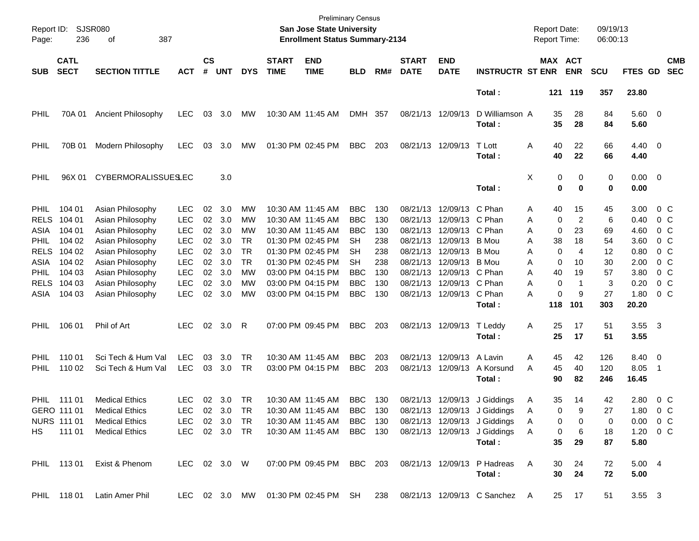| Page:                              | Report ID: SJSR080<br>236            | 387<br>οf                                                                                    |                                        |                    |                   |                              |                             | <b>Preliminary Census</b><br>San Jose State University<br><b>Enrollment Status Summary-2134</b> |                                        |                   |                                  |                                                                |                                                                                                                                                                                                                  |             | <b>Report Date:</b>                    | <b>Report Time:</b>                                    | 09/19/13<br>06:00:13 |                                           |                                             |                          |
|------------------------------------|--------------------------------------|----------------------------------------------------------------------------------------------|----------------------------------------|--------------------|-------------------|------------------------------|-----------------------------|-------------------------------------------------------------------------------------------------|----------------------------------------|-------------------|----------------------------------|----------------------------------------------------------------|------------------------------------------------------------------------------------------------------------------------------------------------------------------------------------------------------------------|-------------|----------------------------------------|--------------------------------------------------------|----------------------|-------------------------------------------|---------------------------------------------|--------------------------|
| <b>SUB</b>                         | <b>CATL</b><br><b>SECT</b>           | <b>SECTION TITTLE</b>                                                                        | <b>ACT</b>                             | $\mathsf{cs}$<br># | <b>UNT</b>        | <b>DYS</b>                   | <b>START</b><br><b>TIME</b> | <b>END</b><br><b>TIME</b>                                                                       | <b>BLD</b>                             | RM#               | <b>START</b><br><b>DATE</b>      | <b>END</b><br><b>DATE</b>                                      | <b>INSTRUCTR ST ENR</b>                                                                                                                                                                                          |             |                                        | MAX ACT<br><b>ENR</b>                                  | <b>SCU</b>           | FTES GD                                   |                                             | <b>CMB</b><br><b>SEC</b> |
|                                    |                                      |                                                                                              |                                        |                    |                   |                              |                             |                                                                                                 |                                        |                   |                                  |                                                                | Total:                                                                                                                                                                                                           |             |                                        | 121 119                                                | 357                  | 23.80                                     |                                             |                          |
| PHIL                               | 70A 01                               | Ancient Philosophy                                                                           | LEC.                                   | 03                 | 3.0               | МW                           |                             | 10:30 AM 11:45 AM                                                                               | DMH 357                                |                   |                                  | 08/21/13 12/09/13                                              | D Williamson A<br>Total :                                                                                                                                                                                        |             | 35<br>35                               | 28<br>28                                               | 84<br>84             | 5.60 0<br>5.60                            |                                             |                          |
| PHIL                               | 70B 01                               | Modern Philosophy                                                                            | <b>LEC</b>                             | 03                 | 3.0               | МW                           |                             | 01:30 PM 02:45 PM                                                                               | <b>BBC</b>                             | 203               |                                  | 08/21/13 12/09/13                                              | T Lott<br>Total:                                                                                                                                                                                                 | Α           | 40<br>40                               | 22<br>22                                               | 66<br>66             | $4.40 \ 0$<br>4.40                        |                                             |                          |
| <b>PHIL</b>                        | 96X 01                               | <b>CYBERMORALISSUESLEC</b>                                                                   |                                        |                    | 3.0               |                              |                             |                                                                                                 |                                        |                   |                                  |                                                                | Total:                                                                                                                                                                                                           | Χ           | 0<br>0                                 | 0<br>$\mathbf 0$                                       | 0<br>0               | $0.00 \t 0$<br>0.00                       |                                             |                          |
| <b>PHIL</b><br><b>RELS</b><br>ASIA | 104 01<br>104 01<br>104 01           | Asian Philosophy<br>Asian Philosophy<br>Asian Philosophy                                     | <b>LEC</b><br><b>LEC</b><br><b>LEC</b> | 02<br>02<br>02     | 3.0<br>3.0<br>3.0 | MW<br>MW<br>MW               |                             | 10:30 AM 11:45 AM<br>10:30 AM 11:45 AM<br>10:30 AM 11:45 AM                                     | <b>BBC</b><br><b>BBC</b><br><b>BBC</b> | 130<br>130<br>130 | 08/21/13<br>08/21/13             | 08/21/13 12/09/13 C Phan<br>12/09/13 C Phan<br>12/09/13 C Phan |                                                                                                                                                                                                                  | Α<br>Α<br>Α | 40<br>0<br>0                           | 15<br>$\overline{2}$<br>23                             | 45<br>6<br>69        | 3.00<br>0.40<br>4.60                      | $0\,$ C<br>0 C<br>$0\,$ C                   |                          |
| <b>PHIL</b><br><b>RELS</b><br>ASIA | 104 02<br>104 02<br>104 02           | Asian Philosophy<br>Asian Philosophy<br>Asian Philosophy                                     | <b>LEC</b><br><b>LEC</b><br><b>LEC</b> | 02<br>02<br>02     | 3.0<br>3.0<br>3.0 | TR<br><b>TR</b><br><b>TR</b> |                             | 01:30 PM 02:45 PM<br>01:30 PM 02:45 PM<br>01:30 PM 02:45 PM                                     | SН<br>SН<br>SН                         | 238<br>238<br>238 | 08/21/13<br>08/21/13<br>08/21/13 | 12/09/13 B Mou<br>12/09/13<br>12/09/13 B Mou                   | B Mou                                                                                                                                                                                                            | Α<br>Α<br>Α | 38<br>0<br>0                           | 18<br>4<br>10                                          | 54<br>12<br>30       | 3.60<br>0.80<br>2.00                      | $0\,$ C<br>$0\,$ C<br>0 <sup>o</sup>        |                          |
| <b>PHIL</b><br><b>RELS</b><br>ASIA | 104 03<br>104 03<br>104 03           | Asian Philosophy<br>Asian Philosophy<br>Asian Philosophy                                     | <b>LEC</b><br><b>LEC</b><br><b>LEC</b> | 02<br>02<br>02     | 3.0<br>3.0<br>3.0 | MW<br>MW<br>MW               |                             | 03:00 PM 04:15 PM<br>03:00 PM 04:15 PM<br>03:00 PM 04:15 PM                                     | BBC<br><b>BBC</b><br><b>BBC</b>        | 130<br>130<br>130 | 08/21/13<br>08/21/13             | 12/09/13 C Phan<br>12/09/13 C Phan<br>08/21/13 12/09/13 C Phan |                                                                                                                                                                                                                  | Α<br>Α<br>A | 40<br>0<br>0                           | 19<br>-1<br>9                                          | 57<br>3<br>27        | 3.80<br>0.20<br>1.80                      | $0\,$ C<br>0 <sup>o</sup><br>0 <sup>o</sup> |                          |
| <b>PHIL</b>                        | 106 01                               | Phil of Art                                                                                  | LEC.                                   |                    | 02 3.0            | -R                           |                             | 07:00 PM 09:45 PM                                                                               | <b>BBC</b>                             | 203               |                                  | 08/21/13 12/09/13                                              | Total :<br>T Leddy<br>Total :                                                                                                                                                                                    | Α           | 118<br>25<br>25                        | 101<br>17<br>17                                        | 303<br>51<br>51      | 20.20<br>3.55<br>3.55                     | - 3                                         |                          |
| <b>PHIL</b><br><b>PHIL</b>         | 110 01<br>110 02                     | Sci Tech & Hum Val<br>Sci Tech & Hum Val                                                     | <b>LEC</b><br><b>LEC</b>               | 03<br>03           | 3.0<br>3.0        | <b>TR</b><br>TR              |                             | 10:30 AM 11:45 AM<br>03:00 PM 04:15 PM                                                          | <b>BBC</b><br><b>BBC</b>               | 203<br>203        |                                  | 08/21/13 12/09/13<br>08/21/13 12/09/13                         | A Lavin<br>A Korsund<br>Total :                                                                                                                                                                                  | Α<br>A      | 45<br>45<br>90                         | 42<br>40<br>82                                         | 126<br>120<br>246    | 8.40 0<br>8.05<br>16.45                   | $\overline{\phantom{0}}$                    |                          |
| PHIL                               | 111 01<br>GERO 111 01<br>NURS 111 01 | <b>Medical Ethics</b><br><b>Medical Ethics</b><br>Medical Ethics<br>HS 111 01 Medical Ethics | <b>LEC</b><br>LEC                      | 02                 | 3.0<br>02 3.0 TR  | TR                           |                             | 10:30 AM 11:45 AM<br>10:30 AM_11:45 AM_                                                         | <b>BBC</b><br>BBC 130                  | 130               |                                  |                                                                | 08/21/13 12/09/13 J Giddings<br>08/21/13 12/09/13 J Giddings<br>LEC 02 3.0 TR 10:30 AM 11:45 AM BBC 130 08/21/13 12/09/13 J Giddings A<br>LEC 02 3.0 TR 10:30 AM 11:45 AM BBC 130 08/21/13 12/09/13 J Giddings A | A<br>Α      | 35<br>0<br>$\mathbf{0}$<br>$\mathbf 0$ | 14<br>9.<br>$\overline{\mathbf{0}}$<br>$6\overline{6}$ | 42<br>27<br>0<br>18  | 2.80<br>1.80<br>$0.00 \t 0 C$<br>1.20 0 C | $0\,$ C<br>0 C                              |                          |
|                                    |                                      | PHIL 113 01 Exist & Phenom                                                                   |                                        |                    |                   |                              |                             |                                                                                                 |                                        |                   |                                  |                                                                | Total:<br>LEC 02 3.0 W 07:00 PM 09:45 PM BBC 203 08/21/13 12/09/13 P Hadreas A<br>Total :                                                                                                                        |             | 35<br>30<br>30 <sub>o</sub>            | 29<br>24<br>24                                         | 87<br>72<br>72       | 5.80<br>5.004<br>5.00                     |                                             |                          |
|                                    |                                      | PHIL 118 01 Latin Amer Phil                                                                  |                                        |                    |                   |                              |                             |                                                                                                 |                                        |                   |                                  |                                                                | LEC 02 3.0 MW 01:30 PM 02:45 PM SH 238 08/21/13 12/09/13 C Sanchez A                                                                                                                                             |             |                                        | 25 17                                                  | 51                   | 3.55 3                                    |                                             |                          |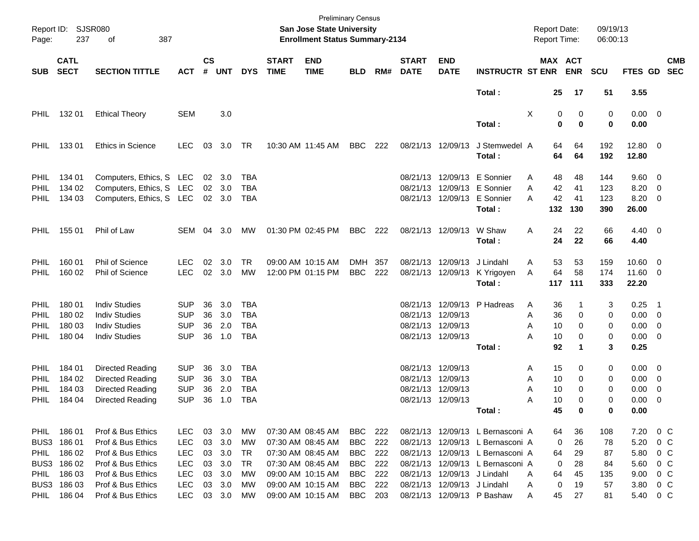| Report ID:<br>Page: | SJSR080<br>237             | of<br>387                |            |                    |                |            |                             | San Jose State University<br><b>Enrollment Status Summary-2134</b> | <b>Preliminary Census</b> |     |                             |                           |                                       | <b>Report Date:</b><br><b>Report Time:</b> |                              | 09/19/13<br>06:00:13 |                     |                          |
|---------------------|----------------------------|--------------------------|------------|--------------------|----------------|------------|-----------------------------|--------------------------------------------------------------------|---------------------------|-----|-----------------------------|---------------------------|---------------------------------------|--------------------------------------------|------------------------------|----------------------|---------------------|--------------------------|
| <b>SUB</b>          | <b>CATL</b><br><b>SECT</b> | <b>SECTION TITTLE</b>    | <b>ACT</b> | $\mathsf{cs}$<br># | <b>UNT</b>     | <b>DYS</b> | <b>START</b><br><b>TIME</b> | <b>END</b><br><b>TIME</b>                                          | <b>BLD</b>                | RM# | <b>START</b><br><b>DATE</b> | <b>END</b><br><b>DATE</b> | <b>INSTRUCTR ST ENR</b>               |                                            | <b>MAX ACT</b><br><b>ENR</b> | <b>SCU</b>           | FTES GD             | <b>CMB</b><br><b>SEC</b> |
|                     |                            |                          |            |                    |                |            |                             |                                                                    |                           |     |                             |                           | Total:                                | 25                                         | 17                           | 51                   | 3.55                |                          |
| <b>PHIL</b>         | 132 01                     | <b>Ethical Theory</b>    | <b>SEM</b> |                    | 3.0            |            |                             |                                                                    |                           |     |                             |                           | Total:                                | X                                          | 0<br>0<br>0<br>$\bf{0}$      | 0<br>0               | $0.00 \t 0$<br>0.00 |                          |
|                     |                            |                          |            |                    |                |            |                             |                                                                    |                           |     |                             |                           |                                       |                                            |                              |                      |                     |                          |
| <b>PHIL</b>         | 13301                      | Ethics in Science        | <b>LEC</b> | 03                 | 3.0            | TR         |                             | 10:30 AM 11:45 AM                                                  | BBC                       | 222 |                             | 08/21/13 12/09/13         | J Stemwedel A<br>Total:               | 64<br>64                                   | 64<br>64                     | 192<br>192           | 12.80 0<br>12.80    |                          |
| <b>PHIL</b>         | 134 01                     | Computers, Ethics, S LEC |            | 02                 | 3.0            | TBA        |                             |                                                                    |                           |     | 08/21/13                    |                           | 12/09/13 E Sonnier                    | A<br>48                                    | 48                           | 144                  | $9.60 \quad 0$      |                          |
| <b>PHIL</b>         | 134 02                     | Computers, Ethics, S LEC |            | 02                 | 3.0            | TBA        |                             |                                                                    |                           |     | 08/21/13                    |                           | 12/09/13 E Sonnier                    | 42<br>A                                    | 41                           | 123                  | 8.20                | $\overline{\phantom{0}}$ |
| <b>PHIL</b>         | 134 03                     | Computers, Ethics, S LEC |            |                    | $02 \quad 3.0$ | TBA        |                             |                                                                    |                           |     |                             |                           | 08/21/13 12/09/13 E Sonnier<br>Total: | 42<br>A<br>132                             | 41<br>130                    | 123<br>390           | 8.20<br>26.00       | $\overline{\phantom{0}}$ |
| <b>PHIL</b>         | 155 01                     | Phil of Law              | SEM 04 3.0 |                    |                | МW         |                             | 01:30 PM 02:45 PM                                                  | BBC                       | 222 |                             | 08/21/13 12/09/13         | W Shaw<br>Total:                      | 24<br>A<br>24                              | 22<br>22                     | 66<br>66             | $4.40 \ 0$<br>4.40  |                          |
|                     |                            |                          |            |                    |                |            |                             |                                                                    |                           |     |                             |                           |                                       |                                            |                              |                      |                     |                          |
| <b>PHIL</b>         | 160 01                     | Phil of Science          | <b>LEC</b> | 02                 | 3.0            | <b>TR</b>  |                             | 09:00 AM 10:15 AM                                                  | DMH 357                   |     |                             | 08/21/13 12/09/13         | J Lindahl                             | 53<br>Α                                    | 53                           | 159                  | $10.60 \t 0$        |                          |
| <b>PHIL</b>         | 160 02                     | Phil of Science          | <b>LEC</b> | 02                 | 3.0            | <b>MW</b>  |                             | 12:00 PM 01:15 PM                                                  | <b>BBC</b>                | 222 |                             | 08/21/13 12/09/13         | K Yrigoyen                            | 64<br>Α                                    | 58                           | 174                  | 11.60 0             |                          |
|                     |                            |                          |            |                    |                |            |                             |                                                                    |                           |     |                             |                           | Total:                                | 117                                        | 111                          | 333                  | 22.20               |                          |
| <b>PHIL</b>         | 180 01                     | <b>Indiv Studies</b>     | <b>SUP</b> | 36                 | 3.0            | <b>TBA</b> |                             |                                                                    |                           |     | 08/21/13                    |                           | 12/09/13 P Hadreas                    | 36<br>Α                                    | 1                            | 3                    | 0.25                | $\blacksquare$ 1         |
| PHIL                | 180 02                     | <b>Indiv Studies</b>     | <b>SUP</b> | 36                 | 3.0            | <b>TBA</b> |                             |                                                                    |                           |     | 08/21/13                    | 12/09/13                  |                                       | 36<br>Α                                    | 0                            | 0                    | $0.00 \t 0$         |                          |
| PHIL                | 180 03                     | <b>Indiv Studies</b>     | <b>SUP</b> | 36                 | 2.0            | <b>TBA</b> |                             |                                                                    |                           |     | 08/21/13                    | 12/09/13                  |                                       | 10<br>Α                                    | 0                            | 0                    | $0.00 \t 0$         |                          |
| <b>PHIL</b>         | 180 04                     | <b>Indiv Studies</b>     | <b>SUP</b> | 36                 | 1.0            | <b>TBA</b> |                             |                                                                    |                           |     |                             | 08/21/13 12/09/13         |                                       | Α<br>10                                    | 0                            | 0                    | $0.00 \t 0$         |                          |
|                     |                            |                          |            |                    |                |            |                             |                                                                    |                           |     |                             |                           | Total:                                | 92                                         | 1                            | 3                    | 0.25                |                          |
| <b>PHIL</b>         | 184 01                     | Directed Reading         | <b>SUP</b> | 36                 | 3.0            | TBA        |                             |                                                                    |                           |     | 08/21/13 12/09/13           |                           |                                       | 15<br>Α                                    | 0                            | 0                    | $0.00 \t 0$         |                          |
| PHIL                | 184 02                     | Directed Reading         | <b>SUP</b> | 36                 | 3.0            | <b>TBA</b> |                             |                                                                    |                           |     | 08/21/13                    | 12/09/13                  |                                       | 10<br>Α                                    | 0                            | 0                    | $0.00 \t 0$         |                          |
| PHIL                | 184 03                     | Directed Reading         | <b>SUP</b> | 36                 | 2.0            | <b>TBA</b> |                             |                                                                    |                           |     | 08/21/13                    | 12/09/13                  |                                       | 10<br>Α                                    | 0                            | 0                    | 0.00                | $\overline{\mathbf{0}}$  |
| <b>PHIL</b>         | 184 04                     | Directed Reading         | <b>SUP</b> | 36                 | 1.0            | <b>TBA</b> |                             |                                                                    |                           |     |                             | 08/21/13 12/09/13         |                                       | 10<br>Α                                    | $\Omega$                     | 0                    | $0.00 \t 0$         |                          |
|                     |                            |                          |            |                    |                |            |                             |                                                                    |                           |     |                             |                           | Total :                               | 45                                         | $\bf{0}$                     | 0                    | 0.00                |                          |
| PHIL                | 18601                      | Prof & Bus Ethics        | <b>LEC</b> | 03                 | 3.0            | МW         |                             | 07:30 AM 08:45 AM                                                  | BBC                       | 222 |                             |                           | 08/21/13 12/09/13 L Bernasconi A      | 64                                         | 36                           | 108                  | 7.20                | $0\,$ C                  |
| BUS3                | 18601                      | Prof & Bus Ethics        | <b>LEC</b> | 03                 | 3.0            | <b>MW</b>  |                             | 07:30 AM 08:45 AM                                                  | <b>BBC</b>                | 222 |                             |                           | 08/21/13 12/09/13 L Bernasconi A      |                                            | 26<br>0                      | 78                   | 5.20                | $0\,$ C                  |
| <b>PHIL</b>         | 186 02                     | Prof & Bus Ethics        | <b>LEC</b> | 03                 | 3.0            | TR         |                             | 07:30 AM 08:45 AM                                                  | <b>BBC</b>                | 222 |                             |                           | 08/21/13 12/09/13 L Bernasconi A      | 64                                         | 29                           | 87                   | 5.80                | $0\,$ C                  |
|                     | BUS3 186 02                | Prof & Bus Ethics        | <b>LEC</b> | 03                 | 3.0            | <b>TR</b>  |                             | 07:30 AM 08:45 AM                                                  | <b>BBC</b>                | 222 | 08/21/13                    |                           | 12/09/13 L Bernasconi A               |                                            | 28<br>0                      | 84                   | 5.60                | $0\,$ C                  |
| <b>PHIL</b>         | 186 03                     | Prof & Bus Ethics        | <b>LEC</b> | 03                 | 3.0            | <b>MW</b>  |                             | 09:00 AM 10:15 AM                                                  | <b>BBC</b>                | 222 | 08/21/13                    |                           | 12/09/13 J Lindahl                    | 64<br>Α                                    | 45                           | 135                  | 9.00                | $0\,$ C                  |
| BUS3                | 186 03                     | Prof & Bus Ethics        | <b>LEC</b> | 03                 | 3.0            | <b>MW</b>  |                             | 09:00 AM 10:15 AM                                                  | <b>BBC</b>                | 222 | 08/21/13                    |                           | 12/09/13 J Lindahl                    | Α                                          | 19<br>$\boldsymbol{0}$       | 57                   | 3.80                | $0\,$ C                  |
| <b>PHIL</b>         | 186 04                     | Prof & Bus Ethics        | <b>LEC</b> |                    | 03 3.0         | MW         |                             | 09:00 AM 10:15 AM                                                  | <b>BBC</b>                | 203 |                             |                           | 08/21/13 12/09/13 P Bashaw            | Α<br>45                                    | 27                           | 81                   |                     | 5.40 0 C                 |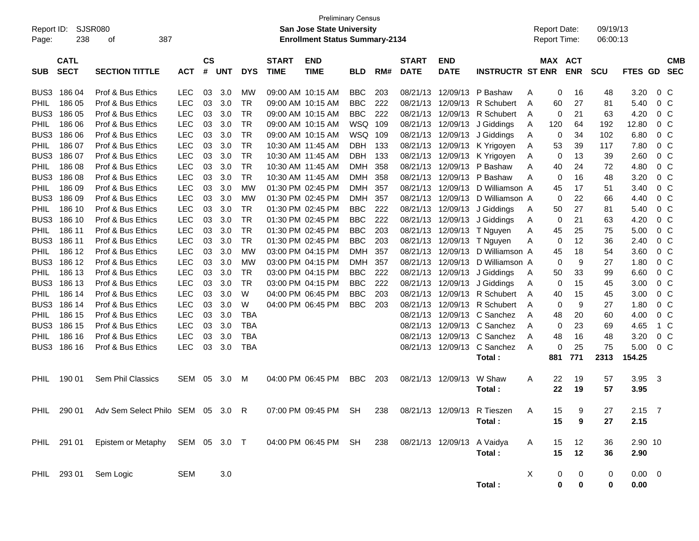| Report ID:<br>Page: | SJSR080<br>238             | 387<br>of                                     |            |                    |            |            |                             | <b>Preliminary Census</b><br><b>San Jose State University</b><br><b>Enrollment Status Summary-2134</b> |            |     |                             |                                |                                 |   | <b>Report Date:</b><br>Report Time: |                  | 09/19/13<br>06:00:13 |                          |                |                          |
|---------------------|----------------------------|-----------------------------------------------|------------|--------------------|------------|------------|-----------------------------|--------------------------------------------------------------------------------------------------------|------------|-----|-----------------------------|--------------------------------|---------------------------------|---|-------------------------------------|------------------|----------------------|--------------------------|----------------|--------------------------|
| <b>SUB</b>          | <b>CATL</b><br><b>SECT</b> | <b>SECTION TITTLE</b>                         | <b>ACT</b> | $\mathsf{cs}$<br># | <b>UNT</b> | <b>DYS</b> | <b>START</b><br><b>TIME</b> | <b>END</b><br><b>TIME</b>                                                                              | <b>BLD</b> | RM# | <b>START</b><br><b>DATE</b> | <b>END</b><br><b>DATE</b>      | <b>INSTRUCTR ST ENR</b>         |   | <b>MAX ACT</b>                      | <b>ENR</b>       | <b>SCU</b>           | <b>FTES</b><br><b>GD</b> |                | <b>CMB</b><br><b>SEC</b> |
| BUS3                | 186 04                     | Prof & Bus Ethics                             | <b>LEC</b> | 03                 | 3.0        | МW         |                             | 09:00 AM 10:15 AM                                                                                      | <b>BBC</b> | 203 | 08/21/13                    | 12/09/13                       | P Bashaw                        | A | 0                                   | 16               | 48                   | 3.20                     | 0 <sup>o</sup> |                          |
| <b>PHIL</b>         | 186 05                     | Prof & Bus Ethics                             | <b>LEC</b> | 03                 | 3.0        | TR         |                             | 09:00 AM 10:15 AM                                                                                      | <b>BBC</b> | 222 | 08/21/13                    | 12/09/13                       | R Schubert                      | A | 60                                  | 27               | 81                   | 5.40                     | 0 <sup>o</sup> |                          |
| BUS <sub>3</sub>    | 186 05                     | Prof & Bus Ethics                             | <b>LEC</b> | 03                 | 3.0        | TR         |                             | 09:00 AM 10:15 AM                                                                                      | <b>BBC</b> | 222 | 08/21/13                    | 12/09/13                       | R Schubert                      | A | 0                                   | 21               | 63                   | 4.20                     | 0 <sup>o</sup> |                          |
| <b>PHIL</b>         | 186 06                     | Prof & Bus Ethics                             | <b>LEC</b> | 03                 | 3.0        | TR         |                             | 09:00 AM 10:15 AM                                                                                      | WSQ        | 109 | 08/21/13                    | 12/09/13                       | J Giddings                      | A | 120                                 | 64               | 192                  | 12.80                    | 0 <sup>o</sup> |                          |
| BUS <sub>3</sub>    | 186 06                     | Prof & Bus Ethics                             | <b>LEC</b> | 03                 | 3.0        | TR         |                             | 09:00 AM 10:15 AM                                                                                      | WSQ        | 109 | 08/21/13                    | 12/09/13                       | J Giddings                      | A | 0                                   | 34               | 102                  | 6.80                     | 0 <sup>o</sup> |                          |
| <b>PHIL</b>         | 186 07                     | Prof & Bus Ethics                             | <b>LEC</b> | 03                 | 3.0        | TR         |                             | 10:30 AM 11:45 AM                                                                                      | <b>DBH</b> | 133 | 08/21/13                    | 12/09/13                       | K Yrigoyen                      | A | 53                                  | 39               | 117                  | 7.80                     | 0 <sup>o</sup> |                          |
| BUS <sub>3</sub>    | 186 07                     | Prof & Bus Ethics                             | <b>LEC</b> | 03                 | 3.0        | TR         |                             | 10:30 AM 11:45 AM                                                                                      | <b>DBH</b> | 133 | 08/21/13                    | 12/09/13                       | K Yrigoyen                      | A | 0                                   | 13               | 39                   | 2.60                     | 0 <sup>o</sup> |                          |
| <b>PHIL</b>         | 186 08                     | Prof & Bus Ethics                             | <b>LEC</b> | 03                 | 3.0        | TR         |                             | 10:30 AM 11:45 AM                                                                                      | <b>DMH</b> | 358 | 08/21/13                    | 12/09/13                       | P Bashaw                        | A | 40                                  | 24               | 72                   | 4.80                     | 0 <sup>o</sup> |                          |
| BUS <sub>3</sub>    | 186 08                     | Prof & Bus Ethics                             | <b>LEC</b> | 03                 | 3.0        | TR         |                             | 10:30 AM 11:45 AM                                                                                      | <b>DMH</b> | 358 | 08/21/13                    | 12/09/13                       | P Bashaw                        | A | 0                                   | 16               | 48                   | 3.20                     | 0 <sup>o</sup> |                          |
| <b>PHIL</b>         | 186 09                     | Prof & Bus Ethics                             | <b>LEC</b> | 03                 | 3.0        | МW         |                             | 01:30 PM 02:45 PM                                                                                      | <b>DMH</b> | 357 | 08/21/13                    | 12/09/13                       | D Williamson A                  |   | 45                                  | 17               | 51                   | 3.40                     | 0 <sup>o</sup> |                          |
| BUS <sub>3</sub>    | 186 09                     | Prof & Bus Ethics                             | <b>LEC</b> | 03                 | 3.0        | МW         |                             | 01:30 PM 02:45 PM                                                                                      | <b>DMH</b> | 357 | 08/21/13                    | 12/09/13                       | D Williamson A                  |   | 0                                   | 22               | 66                   | 4.40                     | 0 <sup>o</sup> |                          |
| <b>PHIL</b>         | 186 10                     | Prof & Bus Ethics                             | <b>LEC</b> | 03                 | 3.0        | TR         |                             | 01:30 PM 02:45 PM                                                                                      | <b>BBC</b> | 222 | 08/21/13                    | 12/09/13                       | J Giddings                      | A | 50                                  | 27               | 81                   | 5.40                     | 0 <sup>o</sup> |                          |
| BUS <sub>3</sub>    | 186 10                     | Prof & Bus Ethics                             | <b>LEC</b> | 03                 | 3.0        | TR         |                             | 01:30 PM 02:45 PM                                                                                      | <b>BBC</b> | 222 | 08/21/13                    | 12/09/13                       | J Giddings                      | A | 0                                   | 21               | 63                   | 4.20                     | 0 <sup>o</sup> |                          |
| <b>PHIL</b>         | 186 11                     | Prof & Bus Ethics                             | <b>LEC</b> | 03                 | 3.0        | TR         |                             | 01:30 PM 02:45 PM                                                                                      | <b>BBC</b> | 203 | 08/21/13                    | 12/09/13                       | T Nguyen                        | A | 45                                  | 25               | 75                   | 5.00                     | 0 <sup>o</sup> |                          |
| BUS <sub>3</sub>    | 186 11                     | Prof & Bus Ethics                             | <b>LEC</b> | 03                 | 3.0        | TR         |                             | 01:30 PM 02:45 PM                                                                                      | <b>BBC</b> | 203 | 08/21/13                    | 12/09/13                       | T Nguyen                        | A | 0                                   | 12               | 36                   | 2.40                     | 0 <sup>o</sup> |                          |
| <b>PHIL</b>         | 186 12                     | Prof & Bus Ethics                             | <b>LEC</b> | 03                 | 3.0        | МW         |                             | 03:00 PM 04:15 PM                                                                                      | <b>DMH</b> | 357 | 08/21/13                    | 12/09/13                       | D Williamson A                  |   | 45                                  | 18               | 54                   | 3.60                     | 0 <sup>o</sup> |                          |
| BUS <sub>3</sub>    | 186 12                     | Prof & Bus Ethics                             | <b>LEC</b> | 03                 | 3.0        | МW         |                             | 03:00 PM 04:15 PM                                                                                      | <b>DMH</b> | 357 | 08/21/13                    | 12/09/13                       | D Williamson A                  |   | 0                                   | 9                | 27                   | 1.80                     | 0 <sup>o</sup> |                          |
| <b>PHIL</b>         | 186 13                     | Prof & Bus Ethics                             | <b>LEC</b> | 03                 | 3.0        | TR         |                             | 03:00 PM 04:15 PM                                                                                      | <b>BBC</b> | 222 | 08/21/13                    | 12/09/13                       | J Giddings                      | A | 50                                  | 33               | 99                   | 6.60                     | 0 <sup>o</sup> |                          |
| BUS <sub>3</sub>    | 186 13                     | Prof & Bus Ethics                             | <b>LEC</b> | 03                 | 3.0        | TR         |                             | 03:00 PM 04:15 PM                                                                                      | <b>BBC</b> | 222 | 08/21/13                    | 12/09/13                       | J Giddings                      | A | 0                                   | 15               | 45                   | 3.00                     | 0 <sup>o</sup> |                          |
| <b>PHIL</b>         | 186 14                     | Prof & Bus Ethics                             | <b>LEC</b> | 03                 | 3.0        | W          |                             | 04:00 PM 06:45 PM                                                                                      | <b>BBC</b> | 203 | 08/21/13                    |                                | 12/09/13 R Schubert             | A | 40                                  | 15               | 45                   | 3.00                     | 0 <sup>o</sup> |                          |
| BUS <sub>3</sub>    | 186 14                     | Prof & Bus Ethics                             | <b>LEC</b> | 03                 | 3.0        | W          |                             | 04:00 PM 06:45 PM                                                                                      | <b>BBC</b> | 203 | 08/21/13                    | 12/09/13                       | R Schubert                      | A | 0                                   | 9                | 27                   | 1.80                     | 0 <sup>o</sup> |                          |
| <b>PHIL</b>         | 186 15                     | Prof & Bus Ethics                             | <b>LEC</b> | 03                 | 3.0        | TBA        |                             |                                                                                                        |            |     | 08/21/13                    | 12/09/13                       | C Sanchez                       | A | 48                                  | 20               | 60                   | 4.00                     | 0 <sup>o</sup> |                          |
| BUS <sub>3</sub>    | 186 15                     | Prof & Bus Ethics                             | <b>LEC</b> | 03                 | 3.0        | <b>TBA</b> |                             |                                                                                                        |            |     | 08/21/13                    | 12/09/13                       | C Sanchez                       | A | 0                                   | 23               | 69                   | 4.65                     | 1 C            |                          |
| PHIL                | 186 16                     | Prof & Bus Ethics                             | LEC        | 03                 | 3.0        | <b>TBA</b> |                             |                                                                                                        |            |     | 08/21/13                    | 12/09/13                       | C Sanchez                       | A | 48                                  | 16               | 48                   | 3.20                     | 0 <sup>o</sup> |                          |
| BUS3                | 186 16                     | Prof & Bus Ethics                             | <b>LEC</b> | 03                 | 3.0        | <b>TBA</b> |                             |                                                                                                        |            |     | 08/21/13                    | 12/09/13                       | C Sanchez                       | A | 0                                   | 25               | 75                   | 5.00                     | 0 <sup>o</sup> |                          |
|                     |                            |                                               |            |                    |            |            |                             |                                                                                                        |            |     |                             |                                | Total:                          |   | 881                                 | 771              | 2313                 | 154.25                   |                |                          |
| PHIL                | 190 01                     | Sem Phil Classics                             | <b>SEM</b> | 05                 | 3.0        | M          |                             | 04:00 PM 06:45 PM                                                                                      | <b>BBC</b> | 203 | 08/21/13                    | 12/09/13                       | W Shaw                          | A | 22                                  | 19               | 57                   | 3.95                     | - 3            |                          |
|                     |                            |                                               |            |                    |            |            |                             |                                                                                                        |            |     |                             |                                | Total:                          |   | 22                                  | 19               | 57                   | 3.95                     |                |                          |
|                     |                            |                                               |            |                    |            |            |                             |                                                                                                        |            |     |                             |                                |                                 |   |                                     |                  |                      |                          |                |                          |
|                     |                            | PHIL 290 01 Adv Sem Select Philo SEM 05 3.0 R |            |                    |            |            |                             | 07:00 PM 09:45 PM SH                                                                                   |            |     |                             |                                | 238 08/21/13 12/09/13 R Tieszen | A | 15                                  | 9                | 27                   | $2.15$ 7                 |                |                          |
|                     |                            |                                               |            |                    |            |            |                             |                                                                                                        |            |     |                             |                                | Total:                          |   | 15                                  | 9                | 27                   | 2.15                     |                |                          |
|                     |                            |                                               |            |                    |            |            |                             |                                                                                                        |            |     |                             |                                |                                 |   |                                     |                  |                      |                          |                |                          |
|                     |                            | PHIL 291 01 Epistem or Metaphy SEM 05 3.0 T   |            |                    |            |            |                             | 04:00 PM 06:45 PM SH                                                                                   |            |     |                             | 238 08/21/13 12/09/13 A Vaidya |                                 | A | 15                                  | 12               | 36                   | 2.90 10                  |                |                          |
|                     |                            |                                               |            |                    |            |            |                             |                                                                                                        |            |     |                             |                                | Total:                          |   | 15                                  | 12               | 36                   | 2.90                     |                |                          |
|                     |                            |                                               |            |                    |            |            |                             |                                                                                                        |            |     |                             |                                |                                 |   |                                     |                  |                      |                          |                |                          |
|                     |                            | PHIL 293 01 Sem Logic                         | <b>SEM</b> |                    | $3.0\,$    |            |                             |                                                                                                        |            |     |                             |                                |                                 | X | 0                                   | $\boldsymbol{0}$ | 0                    | $0.00 \t 0$              |                |                          |
|                     |                            |                                               |            |                    |            |            |                             |                                                                                                        |            |     |                             |                                | Total:                          |   | $\mathbf 0$                         | $\mathbf 0$      | 0                    | 0.00                     |                |                          |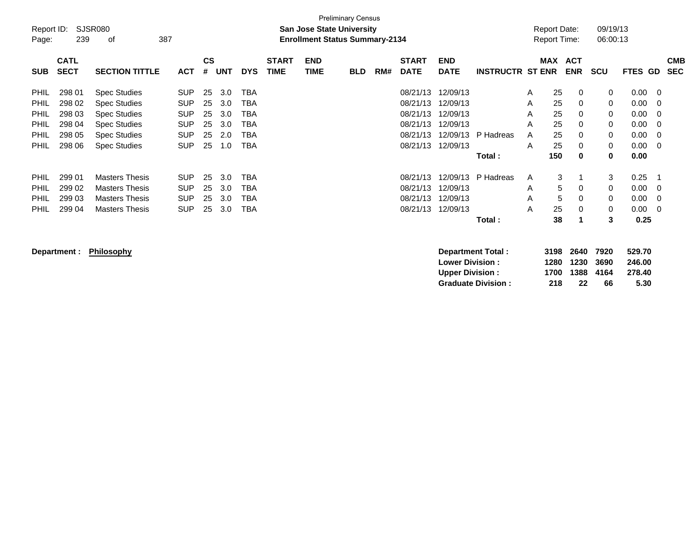| Report ID:<br>Page: | 239         | SJSR080<br>387<br>0f  |            |           |            |            |              | <b>San Jose State University</b><br><b>Enrollment Status Summary-2134</b> | <b>Preliminary Census</b> |     |              |             |                         | Report Date:<br><b>Report Time:</b> |                   | 09/19/13<br>06:00:13 |         |    |            |
|---------------------|-------------|-----------------------|------------|-----------|------------|------------|--------------|---------------------------------------------------------------------------|---------------------------|-----|--------------|-------------|-------------------------|-------------------------------------|-------------------|----------------------|---------|----|------------|
|                     | <b>CATL</b> |                       |            | <b>CS</b> |            |            | <b>START</b> | <b>END</b>                                                                |                           |     | <b>START</b> | <b>END</b>  |                         | <b>MAX</b>                          | <b>ACT</b>        |                      |         |    | <b>CMB</b> |
| <b>SUB</b>          | <b>SECT</b> | <b>SECTION TITTLE</b> | <b>ACT</b> | #         | <b>UNT</b> | <b>DYS</b> | <b>TIME</b>  | <b>TIME</b>                                                               | <b>BLD</b>                | RM# | <b>DATE</b>  | <b>DATE</b> | <b>INSTRUCTR ST ENR</b> |                                     | <b>ENR</b>        | <b>SCU</b>           | FTES GD |    | <b>SEC</b> |
| <b>PHIL</b>         | 298 01      | <b>Spec Studies</b>   | <b>SUP</b> | 25        | 3.0        | TBA        |              |                                                                           |                           |     | 08/21/13     | 12/09/13    |                         | 25<br>A                             | 0                 | 0                    | 0.00    | 0  |            |
| PHIL                | 298 02      | <b>Spec Studies</b>   | <b>SUP</b> | 25        | 3.0        | TBA        |              |                                                                           |                           |     | 08/21/13     | 12/09/13    |                         | A                                   | 25<br>$\mathbf 0$ | $\Omega$             | 0.00    | -0 |            |
| PHIL                | 298 03      | <b>Spec Studies</b>   | <b>SUP</b> | 25        | 3.0        | TBA        |              |                                                                           |                           |     | 08/21/13     | 12/09/13    |                         | 25<br>A                             | 0                 | $\Omega$             | 0.00    | -0 |            |
| PHIL                | 298 04      | <b>Spec Studies</b>   | <b>SUP</b> | 25        | 3.0        | TBA        |              |                                                                           |                           |     | 08/21/13     | 12/09/13    |                         | A                                   | 25<br>0           | 0                    | 0.00    | 0  |            |
| PHIL                | 298 05      | <b>Spec Studies</b>   | <b>SUP</b> | 25        | 2.0        | TBA        |              |                                                                           |                           |     | 08/21/13     | 12/09/13    | P Hadreas               | 25<br>A                             | 0                 | 0                    | 0.00    | -0 |            |
| <b>PHIL</b>         | 298 06      | <b>Spec Studies</b>   | <b>SUP</b> | 25        | 1.0        | TBA        |              |                                                                           |                           |     | 08/21/13     | 12/09/13    |                         | 25<br>A                             | 0                 | 0                    | 0.00    | -0 |            |
|                     |             |                       |            |           |            |            |              |                                                                           |                           |     |              |             | Total:                  | 150                                 | $\mathbf 0$       | 0                    | 0.00    |    |            |
| PHIL                | 299 01      | <b>Masters Thesis</b> | <b>SUP</b> | 25        | 3.0        | TBA        |              |                                                                           |                           |     | 08/21/13     | 12/09/13    | P Hadreas               | A                                   | 3                 | 3                    | 0.25    |    |            |
| PHIL                | 299 02      | <b>Masters Thesis</b> | <b>SUP</b> | 25        | 3.0        | TBA        |              |                                                                           |                           |     | 08/21/13     | 12/09/13    |                         | A                                   | 5<br>0            | 0                    | 0.00    | -0 |            |
| PHIL                | 299 03      | <b>Masters Thesis</b> | <b>SUP</b> | 25        | 3.0        | TBA        |              |                                                                           |                           |     | 08/21/13     | 12/09/13    |                         | A                                   | 5<br>0            | $\Omega$             | 0.00    | -0 |            |
| PHIL                | 299 04      | <b>Masters Thesis</b> | <b>SUP</b> | 25        | 3.0        | TBA        |              |                                                                           |                           |     | 08/21/13     | 12/09/13    |                         | 25<br>A                             | 0                 | 0                    | 0.00    | -0 |            |
|                     |             |                       |            |           |            |            |              |                                                                           |                           |     |              |             | Total:                  | 38                                  |                   | 3                    | 0.25    |    |            |

**Department : Philosophy Department Total : 3198 2640 7920 529.70 Lower Division : 1280 1230 3690 246.00 Upper Division : 1700 1388 4164 278.40 Graduate Division : 218 22 66 5.30**